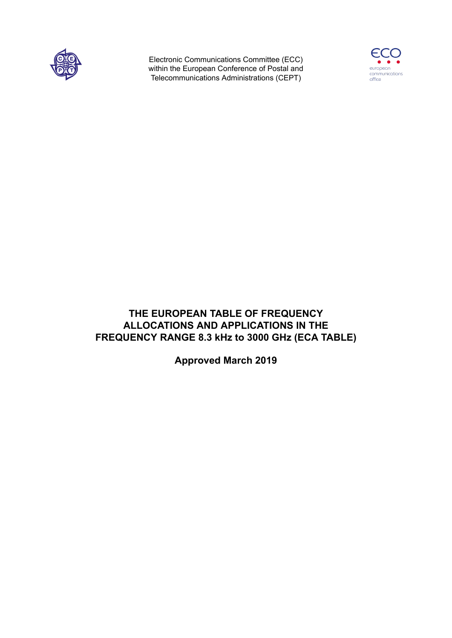

Electronic Communications Committee (ECC) within the European Conference of Postal and Telecommunications Administrations (CEPT)



# **THE EUROPEAN TABLE OF FREQUENCY ALLOCATIONS AND APPLICATIONS IN THE FREQUENCY RANGE 8.3 kHz to 3000 GHz (ECA TABLE)**

**Approved March 2019**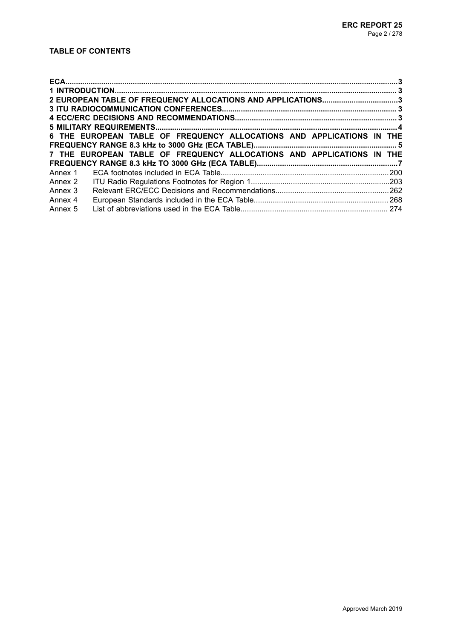# **TABLE OF CONTENTS**

| 2 EUROPEAN TABLE OF FREQUENCY ALLOCATIONS AND APPLICATIONS3 |                                                                       |  |  |  |  |  |  |  |  |
|-------------------------------------------------------------|-----------------------------------------------------------------------|--|--|--|--|--|--|--|--|
|                                                             |                                                                       |  |  |  |  |  |  |  |  |
|                                                             |                                                                       |  |  |  |  |  |  |  |  |
|                                                             |                                                                       |  |  |  |  |  |  |  |  |
|                                                             | 6 THE EUROPEAN TABLE OF FREQUENCY ALLOCATIONS AND APPLICATIONS IN THE |  |  |  |  |  |  |  |  |
|                                                             |                                                                       |  |  |  |  |  |  |  |  |
|                                                             | 7 THE EUROPEAN TABLE OF FREQUENCY ALLOCATIONS AND APPLICATIONS IN THE |  |  |  |  |  |  |  |  |
|                                                             |                                                                       |  |  |  |  |  |  |  |  |
|                                                             |                                                                       |  |  |  |  |  |  |  |  |
| Annex 2                                                     |                                                                       |  |  |  |  |  |  |  |  |
| Annex 3                                                     |                                                                       |  |  |  |  |  |  |  |  |
| Annex 4                                                     |                                                                       |  |  |  |  |  |  |  |  |
| Annex 5                                                     |                                                                       |  |  |  |  |  |  |  |  |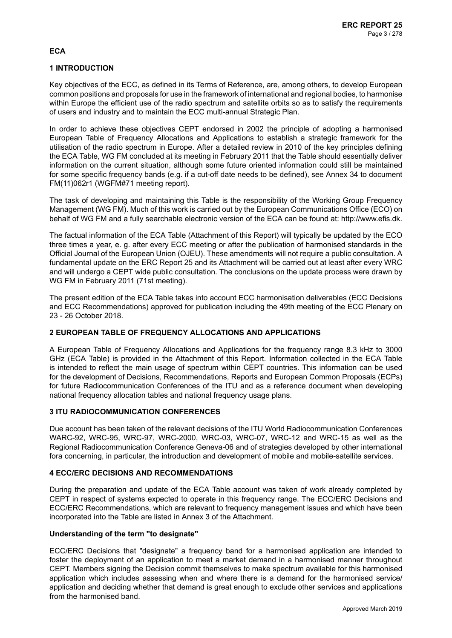# **ECA**

# **1 INTRODUCTION**

Key objectives of the ECC, as defined in its Terms of Reference, are, among others, to develop European common positions and proposals for use in the framework of international and regional bodies, to harmonise within Europe the efficient use of the radio spectrum and satellite orbits so as to satisfy the requirements of users and industry and to maintain the ECC multi-annual Strategic Plan.

In order to achieve these objectives CEPT endorsed in 2002 the principle of adopting a harmonised European Table of Frequency Allocations and Applications to establish a strategic framework for the utilisation of the radio spectrum in Europe. After a detailed review in 2010 of the key principles defining the ECA Table, WG FM concluded at its meeting in February 2011 that the Table should essentially deliver information on the current situation, although some future oriented information could still be maintained for some specific frequency bands (e.g. if a cut-off date needs to be defined), see Annex 34 to document FM(11)062r1 (WGFM#71 meeting report).

The task of developing and maintaining this Table is the responsibility of the Working Group Frequency Management (WG FM). Much of this work is carried out by the European Communications Office (ECO) on behalf of WG FM and a fully searchable electronic version of the ECA can be found at: <http://www.efis.dk>.

The factual information of the ECA Table (Attachment of this Report) will typically be updated by the ECO three times a year, e. g. after every ECC meeting or after the publication of harmonised standards in the Official Journal of the European Union (OJEU). These amendments will not require a public consultation. A fundamental update on the ERC Report 25 and its Attachment will be carried out at least after every WRC and will undergo a CEPT wide public consultation. The conclusions on the update process were drawn by WG FM in February 2011 (71st meeting).

The present edition of the ECA Table takes into account ECC harmonisation deliverables (ECC Decisions and ECC Recommendations) approved for publication including the 49th meeting of the ECC Plenary on 23 - 26 October 2018.

## **2 EUROPEAN TABLE OF FREQUENCY ALLOCATIONS AND APPLICATIONS**

A European Table of Frequency Allocations and Applications for the frequency range 8.3 kHz to 3000 GHz (ECA Table) is provided in the Attachment of this Report. Information collected in the ECA Table is intended to reflect the main usage of spectrum within CEPT countries. This information can be used for the development of Decisions, Recommendations, Reports and European Common Proposals (ECPs) for future Radiocommunication Conferences of the ITU and as a reference document when developing national frequency allocation tables and national frequency usage plans.

## **3 ITU RADIOCOMMUNICATION CONFERENCES**

Due account has been taken of the relevant decisions of the ITU World Radiocommunication Conferences WARC-92, WRC-95, WRC-97, WRC-2000, WRC-03, WRC-07, WRC-12 and WRC-15 as well as the Regional Radiocommunication Conference Geneva-06 and of strategies developed by other international fora concerning, in particular, the introduction and development of mobile and mobile-satellite services.

## **4 ECC/ERC DECISIONS AND RECOMMENDATIONS**

During the preparation and update of the ECA Table account was taken of work already completed by CEPT in respect of systems expected to operate in this frequency range. The ECC/ERC Decisions and ECC/ERC Recommendations, which are relevant to frequency management issues and which have been incorporated into the Table are listed in Annex 3 of the Attachment.

## **Understanding of the term "to designate"**

ECC/ERC Decisions that "designate" a frequency band for a harmonised application are intended to foster the deployment of an application to meet a market demand in a harmonised manner throughout CEPT. Members signing the Decision commit themselves to make spectrum available for this harmonised application which includes assessing when and where there is a demand for the harmonised service/ application and deciding whether that demand is great enough to exclude other services and applications from the harmonised band.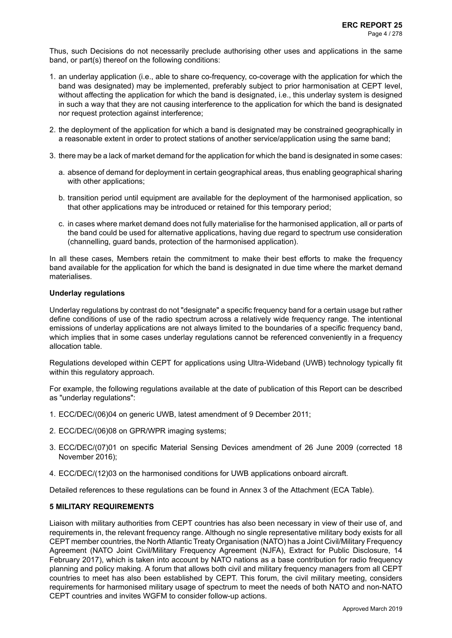Thus, such Decisions do not necessarily preclude authorising other uses and applications in the same band, or part(s) thereof on the following conditions:

- 1. an underlay application (i.e., able to share co-frequency, co-coverage with the application for which the band was designated) may be implemented, preferably subject to prior harmonisation at CEPT level, without affecting the application for which the band is designated, i.e., this underlay system is designed in such a way that they are not causing interference to the application for which the band is designated nor request protection against interference;
- 2. the deployment of the application for which a band is designated may be constrained geographically in a reasonable extent in order to protect stations of another service/application using the same band;
- 3. there may be a lack of market demand for the application for which the band is designated in some cases:
	- a. absence of demand for deployment in certain geographical areas, thus enabling geographical sharing with other applications;
	- b. transition period until equipment are available for the deployment of the harmonised application, so that other applications may be introduced or retained for this temporary period;
	- c. in cases where market demand does not fully materialise for the harmonised application, all or parts of the band could be used for alternative applications, having due regard to spectrum use consideration (channelling, guard bands, protection of the harmonised application).

In all these cases, Members retain the commitment to make their best efforts to make the frequency band available for the application for which the band is designated in due time where the market demand materialises.

### **Underlay regulations**

Underlay regulations by contrast do not "designate" a specific frequency band for a certain usage but rather define conditions of use of the radio spectrum across a relatively wide frequency range. The intentional emissions of underlay applications are not always limited to the boundaries of a specific frequency band, which implies that in some cases underlay regulations cannot be referenced conveniently in a frequency allocation table.

Regulations developed within CEPT for applications using Ultra-Wideband (UWB) technology typically fit within this regulatory approach.

For example, the following regulations available at the date of publication of this Report can be described as "underlay regulations":

- 1. ECC/DEC/(06)04 on generic UWB, latest amendment of 9 December 2011;
- 2. ECC/DEC/(06)08 on GPR/WPR imaging systems;
- 3. ECC/DEC/(07)01 on specific Material Sensing Devices amendment of 26 June 2009 (corrected 18 November 2016);
- 4. ECC/DEC/(12)03 on the harmonised conditions for UWB applications onboard aircraft.

Detailed references to these regulations can be found in Annex 3 of the Attachment (ECA Table).

## **5 MILITARY REQUIREMENTS**

Liaison with military authorities from CEPT countries has also been necessary in view of their use of, and requirements in, the relevant frequency range. Although no single representative military body exists for all CEPT member countries, the North Atlantic Treaty Organisation (NATO) has a Joint Civil/Military Frequency Agreement (NATO Joint Civil/Military Frequency Agreement (NJFA), Extract for Public Disclosure, 14 February 2017), which is taken into account by NATO nations as a base contribution for radio frequency planning and policy making. A forum that allows both civil and military frequency managers from all CEPT countries to meet has also been established by CEPT. This forum, the civil military meeting, considers requirements for harmonised military usage of spectrum to meet the needs of both NATO and non-NATO CEPT countries and invites WGFM to consider follow-up actions.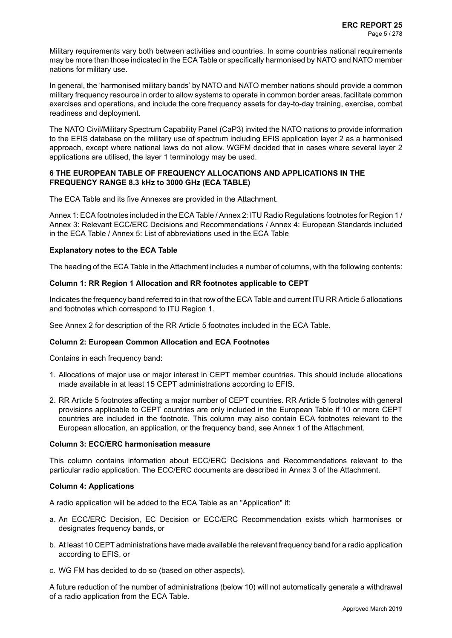Military requirements vary both between activities and countries. In some countries national requirements may be more than those indicated in the ECA Table or specifically harmonised by NATO and NATO member nations for military use.

In general, the 'harmonised military bands' by NATO and NATO member nations should provide a common military frequency resource in order to allow systems to operate in common border areas, facilitate common exercises and operations, and include the core frequency assets for day-to-day training, exercise, combat readiness and deployment.

The NATO Civil/Military Spectrum Capability Panel (CaP3) invited the NATO nations to provide information to the EFIS database on the military use of spectrum including EFIS application layer 2 as a harmonised approach, except where national laws do not allow. WGFM decided that in cases where several layer 2 applications are utilised, the layer 1 terminology may be used.

### **6 THE EUROPEAN TABLE OF FREQUENCY ALLOCATIONS AND APPLICATIONS IN THE FREQUENCY RANGE 8.3 kHz to 3000 GHz (ECA TABLE)**

The ECA Table and its five Annexes are provided in the Attachment.

Annex 1: ECA footnotes included in the ECA Table / Annex 2: ITU Radio Regulations footnotes for Region 1 / Annex 3: Relevant ECC/ERC Decisions and Recommendations / Annex 4: European Standards included in the ECA Table / Annex 5: List of abbreviations used in the ECA Table

### **Explanatory notes to the ECA Table**

The heading of the ECA Table in the Attachment includes a number of columns, with the following contents:

### **Column 1: RR Region 1 Allocation and RR footnotes applicable to CEPT**

Indicates the frequency band referred to in that row of the ECA Table and current ITU RR Article 5 allocations and footnotes which correspond to ITU Region 1.

See Annex 2 for description of the RR Article 5 footnotes included in the ECA Table.

## **Column 2: European Common Allocation and ECA Footnotes**

Contains in each frequency band:

- 1. Allocations of major use or major interest in CEPT member countries. This should include allocations made available in at least 15 CEPT administrations according to EFIS.
- 2. RR Article 5 footnotes affecting a major number of CEPT countries. RR Article 5 footnotes with general provisions applicable to CEPT countries are only included in the European Table if 10 or more CEPT countries are included in the footnote. This column may also contain ECA footnotes relevant to the European allocation, an application, or the frequency band, see Annex 1 of the Attachment.

### **Column 3: ECC/ERC harmonisation measure**

This column contains information about ECC/ERC Decisions and Recommendations relevant to the particular radio application. The ECC/ERC documents are described in Annex 3 of the Attachment.

### **Column 4: Applications**

A radio application will be added to the ECA Table as an "Application" if:

- a. An ECC/ERC Decision, EC Decision or ECC/ERC Recommendation exists which harmonises or designates frequency bands, or
- b. At least 10 CEPT administrations have made available the relevant frequency band for a radio application according to EFIS, or
- c. WG FM has decided to do so (based on other aspects).

A future reduction of the number of administrations (below 10) will not automatically generate a withdrawal of a radio application from the ECA Table.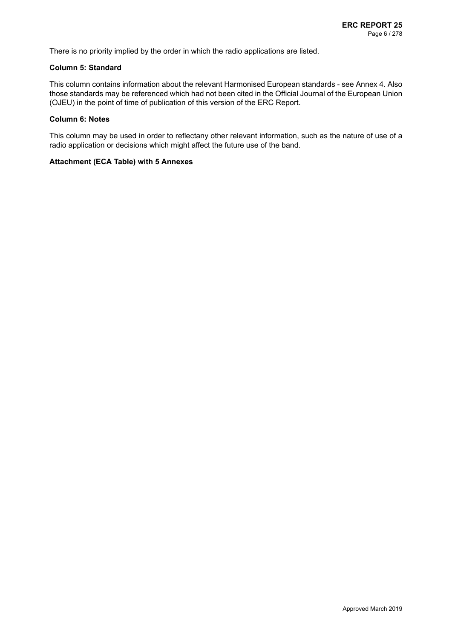There is no priority implied by the order in which the radio applications are listed.

### **Column 5: Standard**

This column contains information about the relevant Harmonised European standards - see Annex 4. Also those standards may be referenced which had not been cited in the Official Journal of the European Union (OJEU) in the point of time of publication of this version of the ERC Report.

#### **Column 6: Notes**

This column may be used in order to reflectany other relevant information, such as the nature of use of a radio application or decisions which might affect the future use of the band.

### **Attachment (ECA Table) with 5 Annexes**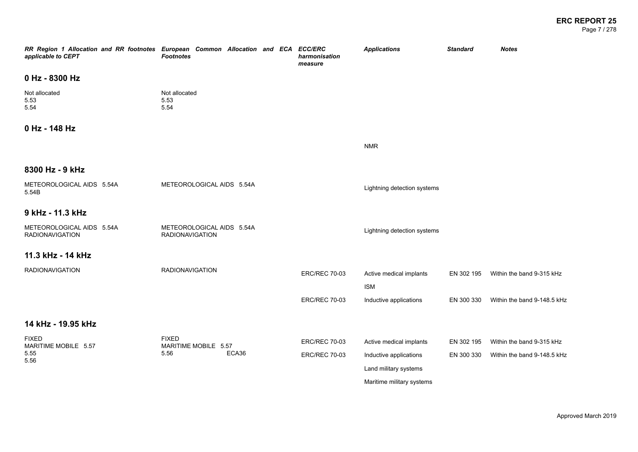Page 7 / 278

| RR Region 1 Allocation and RR footnotes European Common Allocation and ECA ECC/ERC<br>applicable to CEPT | <b>Footnotes</b>                                    | harmonisation<br>measure | <b>Applications</b>                   | <b>Standard</b> | <b>Notes</b>                |
|----------------------------------------------------------------------------------------------------------|-----------------------------------------------------|--------------------------|---------------------------------------|-----------------|-----------------------------|
| 0 Hz - 8300 Hz                                                                                           |                                                     |                          |                                       |                 |                             |
| Not allocated<br>5.53<br>5.54                                                                            | Not allocated<br>5.53<br>5.54                       |                          |                                       |                 |                             |
| 0 Hz - 148 Hz                                                                                            |                                                     |                          |                                       |                 |                             |
|                                                                                                          |                                                     |                          | <b>NMR</b>                            |                 |                             |
| 8300 Hz - 9 kHz                                                                                          |                                                     |                          |                                       |                 |                             |
| METEOROLOGICAL AIDS 5.54A<br>5.54B                                                                       | METEOROLOGICAL AIDS 5.54A                           |                          | Lightning detection systems           |                 |                             |
| 9 kHz - 11.3 kHz                                                                                         |                                                     |                          |                                       |                 |                             |
| METEOROLOGICAL AIDS 5.54A<br><b>RADIONAVIGATION</b>                                                      | METEOROLOGICAL AIDS 5.54A<br><b>RADIONAVIGATION</b> |                          | Lightning detection systems           |                 |                             |
| 11.3 kHz - 14 kHz                                                                                        |                                                     |                          |                                       |                 |                             |
| <b>RADIONAVIGATION</b>                                                                                   | <b>RADIONAVIGATION</b>                              | <b>ERC/REC 70-03</b>     | Active medical implants<br><b>ISM</b> | EN 302 195      | Within the band 9-315 kHz   |
|                                                                                                          |                                                     | <b>ERC/REC 70-03</b>     | Inductive applications                | EN 300 330      | Within the band 9-148.5 kHz |
| 14 kHz - 19.95 kHz                                                                                       |                                                     |                          |                                       |                 |                             |
| <b>FIXED</b><br>MARITIME MOBILE 5.57                                                                     | <b>FIXED</b><br>MARITIME MOBILE 5.57                | <b>ERC/REC 70-03</b>     | Active medical implants               | EN 302 195      | Within the band 9-315 kHz   |
| 5.55                                                                                                     | ECA36<br>5.56                                       | <b>ERC/REC 70-03</b>     | Inductive applications                | EN 300 330      | Within the band 9-148.5 kHz |
| 5.56                                                                                                     |                                                     |                          | Land military systems                 |                 |                             |
|                                                                                                          |                                                     |                          | Maritime military systems             |                 |                             |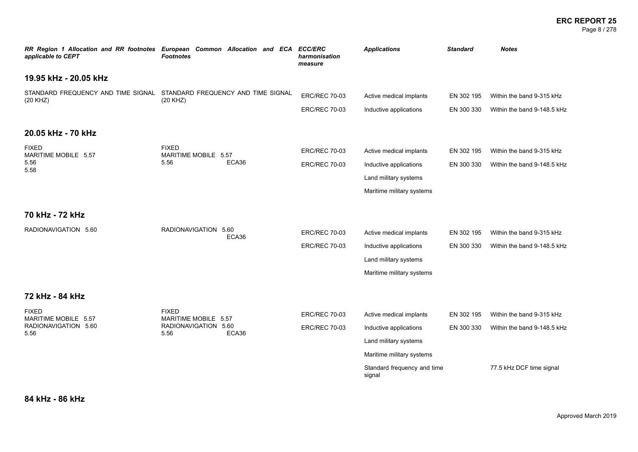### **ERC REPORT 25** Page 8 / 278

| RR Region 1 Allocation and RR footnotes European Common Allocation and ECA<br>applicable to CEPT | <b>Footnotes</b>                     |       |                      | <b>ECC/ERC</b><br>harmonisation<br>measure | <b>Applications</b>                   | <b>Standard</b>             | <b>Notes</b>                |
|--------------------------------------------------------------------------------------------------|--------------------------------------|-------|----------------------|--------------------------------------------|---------------------------------------|-----------------------------|-----------------------------|
| 19.95 kHz - 20.05 kHz                                                                            |                                      |       |                      |                                            |                                       |                             |                             |
| STANDARD FREQUENCY AND TIME SIGNAL STANDARD FREQUENCY AND TIME SIGNAL<br>(20 KHZ)                | (20 KHZ)                             |       |                      | <b>ERC/REC 70-03</b>                       | Active medical implants               | EN 302 195                  | Within the band 9-315 kHz   |
|                                                                                                  |                                      |       |                      | <b>ERC/REC 70-03</b>                       | Inductive applications                | EN 300 330                  | Within the band 9-148.5 kHz |
| 20.05 kHz - 70 kHz                                                                               |                                      |       |                      |                                            |                                       |                             |                             |
| <b>FIXED</b><br>MARITIME MOBILE 5.57                                                             | <b>FIXED</b><br>MARITIME MOBILE 5.57 | ECA36 |                      | <b>ERC/REC 70-03</b>                       | Active medical implants               | EN 302 195                  | Within the band 9-315 kHz   |
| 5.56<br>5.56<br>5.58                                                                             |                                      |       | <b>ERC/REC 70-03</b> | Inductive applications                     | EN 300 330                            | Within the band 9-148.5 kHz |                             |
|                                                                                                  |                                      |       |                      | Land military systems                      |                                       |                             |                             |
|                                                                                                  |                                      |       |                      |                                            | Maritime military systems             |                             |                             |
| 70 kHz - 72 kHz                                                                                  |                                      |       |                      |                                            |                                       |                             |                             |
| RADIONAVIGATION 5.60                                                                             | RADIONAVIGATION 5.60                 | ECA36 | <b>ERC/REC 70-03</b> | Active medical implants                    | EN 302 195                            | Within the band 9-315 kHz   |                             |
|                                                                                                  |                                      |       | <b>ERC/REC 70-03</b> | Inductive applications                     | EN 300 330                            | Within the band 9-148.5 kHz |                             |
|                                                                                                  |                                      |       |                      |                                            | Land military systems                 |                             |                             |
|                                                                                                  |                                      |       |                      |                                            | Maritime military systems             |                             |                             |
| 72 kHz - 84 kHz                                                                                  |                                      |       |                      |                                            |                                       |                             |                             |
| <b>FIXED</b><br>MARITIME MOBILE 5.57                                                             | <b>FIXED</b><br>MARITIME MOBILE 5.57 |       |                      | <b>ERC/REC 70-03</b>                       | Active medical implants               | EN 302 195                  | Within the band 9-315 kHz   |
| RADIONAVIGATION 5.60<br>5.56                                                                     | RADIONAVIGATION 5.60<br>5.56         | ECA36 |                      | <b>ERC/REC 70-03</b>                       | Inductive applications                | EN 300 330                  | Within the band 9-148.5 kHz |
|                                                                                                  |                                      |       |                      | Land military systems                      |                                       |                             |                             |
|                                                                                                  |                                      |       |                      |                                            | Maritime military systems             |                             |                             |
|                                                                                                  |                                      |       |                      |                                            | Standard frequency and time<br>signal |                             | 77.5 kHz DCF time signal    |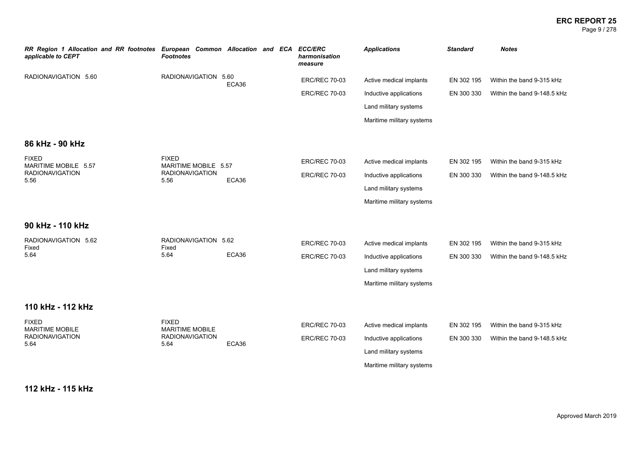### **ERC REPORT 25** Page 9 / 278

| RR Region 1 Allocation and RR footnotes<br>applicable to CEPT | European Common Allocation and ECA<br><b>Footnotes</b> |       |  | <b>ECC/ERC</b><br>harmonisation<br>measure | <b>Applications</b>       | <b>Standard</b> | <b>Notes</b>                |
|---------------------------------------------------------------|--------------------------------------------------------|-------|--|--------------------------------------------|---------------------------|-----------------|-----------------------------|
| RADIONAVIGATION 5.60                                          | RADIONAVIGATION 5.60                                   | ECA36 |  | <b>ERC/REC 70-03</b>                       | Active medical implants   | EN 302 195      | Within the band 9-315 kHz   |
|                                                               |                                                        |       |  | <b>ERC/REC 70-03</b>                       | Inductive applications    | EN 300 330      | Within the band 9-148.5 kHz |
|                                                               |                                                        |       |  |                                            | Land military systems     |                 |                             |
|                                                               |                                                        |       |  |                                            | Maritime military systems |                 |                             |
| 86 kHz - 90 kHz                                               |                                                        |       |  |                                            |                           |                 |                             |
| <b>FIXED</b><br>MARITIME MOBILE 5.57                          | <b>FIXED</b><br>MARITIME MOBILE 5.57                   |       |  | <b>ERC/REC 70-03</b>                       | Active medical implants   | EN 302 195      | Within the band 9-315 kHz   |
| <b>RADIONAVIGATION</b><br>5.56                                | <b>RADIONAVIGATION</b><br>5.56                         | ECA36 |  | <b>ERC/REC 70-03</b>                       | Inductive applications    | EN 300 330      | Within the band 9-148.5 kHz |
|                                                               |                                                        |       |  |                                            | Land military systems     |                 |                             |
|                                                               |                                                        |       |  |                                            | Maritime military systems |                 |                             |
| 90 kHz - 110 kHz                                              |                                                        |       |  |                                            |                           |                 |                             |
| RADIONAVIGATION 5.62<br>Fixed                                 | RADIONAVIGATION 5.62<br>Fixed                          |       |  | <b>ERC/REC 70-03</b>                       | Active medical implants   | EN 302 195      | Within the band 9-315 kHz   |
| 5.64                                                          | 5.64                                                   | ECA36 |  | <b>ERC/REC 70-03</b>                       | Inductive applications    | EN 300 330      | Within the band 9-148.5 kHz |
|                                                               |                                                        |       |  |                                            | Land military systems     |                 |                             |
|                                                               |                                                        |       |  |                                            | Maritime military systems |                 |                             |
| 110 kHz - 112 kHz                                             |                                                        |       |  |                                            |                           |                 |                             |
| <b>FIXED</b><br><b>MARITIME MOBILE</b>                        | <b>FIXED</b><br><b>MARITIME MOBILE</b>                 |       |  | <b>ERC/REC 70-03</b>                       | Active medical implants   | EN 302 195      | Within the band 9-315 kHz   |
| <b>RADIONAVIGATION</b><br>5.64                                | <b>RADIONAVIGATION</b><br>5.64                         | ECA36 |  | <b>ERC/REC 70-03</b>                       | Inductive applications    | EN 300 330      | Within the band 9-148.5 kHz |
|                                                               |                                                        |       |  |                                            | Land military systems     |                 |                             |
|                                                               |                                                        |       |  |                                            | Maritime military systems |                 |                             |
|                                                               |                                                        |       |  |                                            |                           |                 |                             |

**112 kHz - 115 kHz**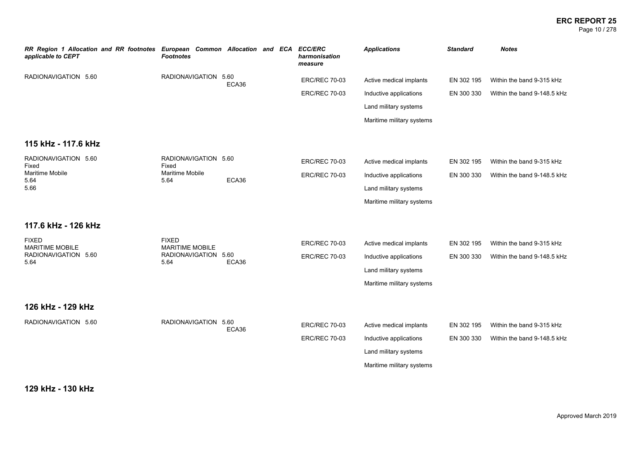### **ERC REPORT 25** Page 10 / 278

| RR Region 1 Allocation and RR footnotes<br>applicable to CEPT | European Common Allocation and ECA<br><b>Footnotes</b> |       |  |  | <b>ECC/ERC</b><br>harmonisation<br>measure | <b>Applications</b>       | <b>Standard</b> | <b>Notes</b>                |
|---------------------------------------------------------------|--------------------------------------------------------|-------|--|--|--------------------------------------------|---------------------------|-----------------|-----------------------------|
| RADIONAVIGATION 5.60                                          | RADIONAVIGATION 5.60                                   | ECA36 |  |  | <b>ERC/REC 70-03</b>                       | Active medical implants   | EN 302 195      | Within the band 9-315 kHz   |
|                                                               |                                                        |       |  |  | <b>ERC/REC 70-03</b>                       | Inductive applications    | EN 300 330      | Within the band 9-148.5 kHz |
|                                                               |                                                        |       |  |  |                                            | Land military systems     |                 |                             |
|                                                               |                                                        |       |  |  |                                            | Maritime military systems |                 |                             |
| 115 kHz - 117.6 kHz                                           |                                                        |       |  |  |                                            |                           |                 |                             |
| RADIONAVIGATION 5.60<br>Fixed                                 | RADIONAVIGATION 5.60<br>Fixed                          |       |  |  | <b>ERC/REC 70-03</b>                       | Active medical implants   | EN 302 195      | Within the band 9-315 kHz   |
| Maritime Mobile<br>5.64                                       | Maritime Mobile<br>5.64                                | ECA36 |  |  | <b>ERC/REC 70-03</b>                       | Inductive applications    | EN 300 330      | Within the band 9-148.5 kHz |
| 5.66                                                          |                                                        |       |  |  |                                            | Land military systems     |                 |                             |
|                                                               |                                                        |       |  |  |                                            | Maritime military systems |                 |                             |
| 117.6 kHz - 126 kHz                                           |                                                        |       |  |  |                                            |                           |                 |                             |
| <b>FIXED</b><br><b>MARITIME MOBILE</b>                        | <b>FIXED</b><br>MARITIME MOBILE                        |       |  |  | <b>ERC/REC 70-03</b>                       | Active medical implants   | EN 302 195      | Within the band 9-315 kHz   |
| RADIONAVIGATION 5.60<br>5.64                                  | RADIONAVIGATION 5.60<br>5.64                           | ECA36 |  |  | <b>ERC/REC 70-03</b>                       | Inductive applications    | EN 300 330      | Within the band 9-148.5 kHz |
|                                                               |                                                        |       |  |  |                                            | Land military systems     |                 |                             |
|                                                               |                                                        |       |  |  |                                            | Maritime military systems |                 |                             |
| 126 kHz - 129 kHz                                             |                                                        |       |  |  |                                            |                           |                 |                             |
| RADIONAVIGATION 5.60                                          | RADIONAVIGATION 5.60                                   |       |  |  | <b>ERC/REC 70-03</b>                       | Active medical implants   | EN 302 195      | Within the band 9-315 kHz   |
|                                                               |                                                        | ECA36 |  |  | <b>ERC/REC 70-03</b>                       | Inductive applications    | EN 300 330      | Within the band 9-148.5 kHz |
|                                                               |                                                        |       |  |  |                                            | Land military systems     |                 |                             |
|                                                               |                                                        |       |  |  |                                            | Maritime military systems |                 |                             |
|                                                               |                                                        |       |  |  |                                            |                           |                 |                             |

**129 kHz - 130 kHz**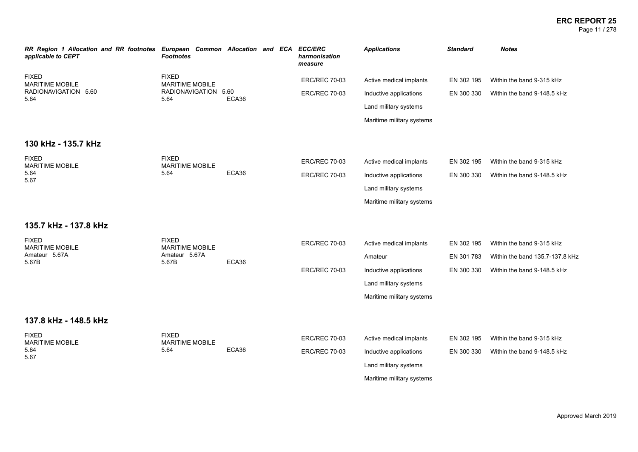### **ERC REPORT 25** Page 11 / 278

| RR Region 1 Allocation and RR footnotes European Common Allocation and ECA ECC/ERC<br>applicable to CEPT | <b>Footnotes</b>                       |       |  | harmonisation<br>measure | <b>Applications</b>       | <b>Standard</b> | <b>Notes</b>                    |
|----------------------------------------------------------------------------------------------------------|----------------------------------------|-------|--|--------------------------|---------------------------|-----------------|---------------------------------|
| <b>FIXED</b><br><b>MARITIME MOBILE</b>                                                                   | <b>FIXED</b><br><b>MARITIME MOBILE</b> |       |  | <b>ERC/REC 70-03</b>     | Active medical implants   | EN 302 195      | Within the band 9-315 kHz       |
| RADIONAVIGATION 5.60<br>5.64                                                                             | RADIONAVIGATION 5.60<br>5.64           | ECA36 |  | <b>ERC/REC 70-03</b>     | Inductive applications    | EN 300 330      | Within the band 9-148.5 kHz     |
|                                                                                                          |                                        |       |  |                          | Land military systems     |                 |                                 |
|                                                                                                          |                                        |       |  |                          | Maritime military systems |                 |                                 |
| 130 kHz - 135.7 kHz                                                                                      |                                        |       |  |                          |                           |                 |                                 |
| <b>FIXED</b><br><b>MARITIME MOBILE</b>                                                                   | <b>FIXED</b><br><b>MARITIME MOBILE</b> |       |  | <b>ERC/REC 70-03</b>     | Active medical implants   | EN 302 195      | Within the band 9-315 kHz       |
| 5.64<br>5.67                                                                                             | 5.64                                   | ECA36 |  | <b>ERC/REC 70-03</b>     | Inductive applications    | EN 300 330      | Within the band 9-148.5 kHz     |
|                                                                                                          |                                        |       |  |                          | Land military systems     |                 |                                 |
|                                                                                                          |                                        |       |  |                          | Maritime military systems |                 |                                 |
| 135.7 kHz - 137.8 kHz                                                                                    |                                        |       |  |                          |                           |                 |                                 |
| <b>FIXED</b><br><b>MARITIME MOBILE</b>                                                                   | <b>FIXED</b><br><b>MARITIME MOBILE</b> | ECA36 |  | <b>ERC/REC 70-03</b>     | Active medical implants   | EN 302 195      | Within the band 9-315 kHz       |
| Amateur 5.67A<br>5.67B                                                                                   | Amateur 5.67A<br>5.67B                 |       |  |                          | Amateur                   | EN 301 783      | Within the band 135.7-137.8 kHz |
|                                                                                                          |                                        |       |  | <b>ERC/REC 70-03</b>     | Inductive applications    | EN 300 330      | Within the band 9-148.5 kHz     |
|                                                                                                          |                                        |       |  |                          | Land military systems     |                 |                                 |
|                                                                                                          |                                        |       |  |                          | Maritime military systems |                 |                                 |
| 137.8 kHz - 148.5 kHz                                                                                    |                                        |       |  |                          |                           |                 |                                 |
| <b>FIXED</b><br><b>MARITIME MOBILE</b>                                                                   | <b>FIXED</b><br><b>MARITIME MOBILE</b> |       |  | <b>ERC/REC 70-03</b>     | Active medical implants   | EN 302 195      | Within the band 9-315 kHz       |
| 5.64<br>5.67                                                                                             | 5.64                                   | ECA36 |  | <b>ERC/REC 70-03</b>     | Inductive applications    | EN 300 330      | Within the band 9-148.5 kHz     |
|                                                                                                          |                                        |       |  |                          | Land military systems     |                 |                                 |
|                                                                                                          |                                        |       |  |                          | Maritime military systems |                 |                                 |
|                                                                                                          |                                        |       |  |                          |                           |                 |                                 |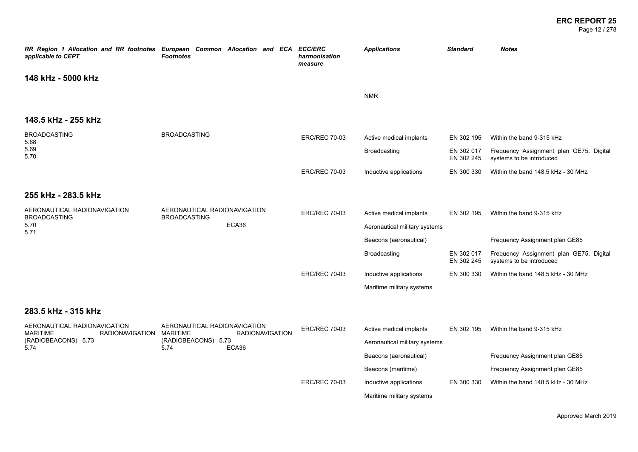Page 12 / 278

| RR Region 1 Allocation and RR footnotes European Common Allocation and ECA<br>applicable to CEPT | Footnotes                                           |                        | <b>ECC/ERC</b><br>harmonisation<br>measure | <b>Applications</b>           | <b>Standard</b>          | <b>Notes</b>                                                        |
|--------------------------------------------------------------------------------------------------|-----------------------------------------------------|------------------------|--------------------------------------------|-------------------------------|--------------------------|---------------------------------------------------------------------|
| 148 kHz - 5000 kHz                                                                               |                                                     |                        |                                            |                               |                          |                                                                     |
|                                                                                                  |                                                     |                        |                                            | <b>NMR</b>                    |                          |                                                                     |
| 148.5 kHz - 255 kHz                                                                              |                                                     |                        |                                            |                               |                          |                                                                     |
| <b>BROADCASTING</b><br>5.68                                                                      | <b>BROADCASTING</b>                                 |                        | <b>ERC/REC 70-03</b>                       | Active medical implants       | EN 302 195               | Within the band 9-315 kHz                                           |
| 5.69<br>5.70                                                                                     |                                                     |                        |                                            | Broadcasting                  | EN 302 017<br>EN 302 245 | Frequency Assignment plan GE75. Digital<br>systems to be introduced |
|                                                                                                  |                                                     |                        | <b>ERC/REC 70-03</b>                       | Inductive applications        | EN 300 330               | Within the band 148.5 kHz - 30 MHz                                  |
| 255 kHz - 283.5 kHz                                                                              |                                                     |                        |                                            |                               |                          |                                                                     |
| AERONAUTICAL RADIONAVIGATION<br><b>BROADCASTING</b>                                              | AERONAUTICAL RADIONAVIGATION<br><b>BROADCASTING</b> |                        | <b>ERC/REC 70-03</b>                       | Active medical implants       | EN 302 195               | Within the band 9-315 kHz                                           |
| 5.70<br>5.71                                                                                     |                                                     | ECA36                  |                                            | Aeronautical military systems |                          |                                                                     |
|                                                                                                  |                                                     |                        |                                            | Beacons (aeronautical)        |                          | Frequency Assignment plan GE85                                      |
|                                                                                                  |                                                     |                        |                                            | Broadcasting                  | EN 302 017<br>EN 302 245 | Frequency Assignment plan GE75. Digital<br>systems to be introduced |
|                                                                                                  |                                                     |                        | <b>ERC/REC 70-03</b>                       | Inductive applications        | EN 300 330               | Within the band 148.5 kHz - 30 MHz                                  |
|                                                                                                  |                                                     |                        |                                            | Maritime military systems     |                          |                                                                     |
| 283.5 kHz - 315 kHz                                                                              |                                                     |                        |                                            |                               |                          |                                                                     |
| AERONAUTICAL RADIONAVIGATION<br><b>MARITIME</b><br>RADIONAVIGATION                               | AERONAUTICAL RADIONAVIGATION<br>MARITIME            | <b>RADIONAVIGATION</b> | <b>ERC/REC 70-03</b>                       | Active medical implants       | EN 302 195               | Within the band 9-315 kHz                                           |
| (RADIOBEACONS) 5.73<br>5.74                                                                      | (RADIOBEACONS) 5.73<br>ECA36<br>5.74                |                        |                                            | Aeronautical military systems |                          |                                                                     |
|                                                                                                  |                                                     |                        |                                            | Beacons (aeronautical)        |                          | Frequency Assignment plan GE85                                      |
|                                                                                                  |                                                     |                        |                                            | Beacons (maritime)            |                          | Frequency Assignment plan GE85                                      |
|                                                                                                  |                                                     |                        | <b>ERC/REC 70-03</b>                       | Inductive applications        | EN 300 330               | Within the band 148.5 kHz - 30 MHz                                  |
|                                                                                                  |                                                     |                        |                                            | Maritime military systems     |                          |                                                                     |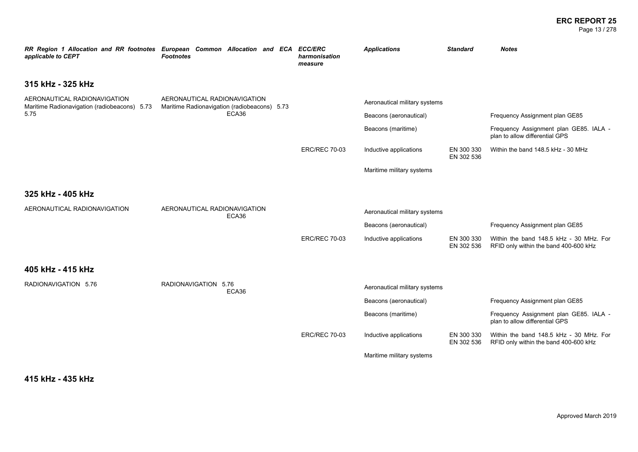### **ERC REPORT 25** Page 13 / 278

| RR Region 1 Allocation and RR footnotes European Common Allocation and ECA<br>applicable to CEPT | <b>Footnotes</b>                                                             |       | <b>ECC/ERC</b><br>harmonisation<br>measure | <b>Applications</b>                          | <b>Standard</b>          | <b>Notes</b>                                                                                               |
|--------------------------------------------------------------------------------------------------|------------------------------------------------------------------------------|-------|--------------------------------------------|----------------------------------------------|--------------------------|------------------------------------------------------------------------------------------------------------|
| 315 kHz - 325 kHz                                                                                |                                                                              |       |                                            |                                              |                          |                                                                                                            |
| AERONAUTICAL RADIONAVIGATION<br>Maritime Radionavigation (radiobeacons) 5.73<br>5.75             | AERONAUTICAL RADIONAVIGATION<br>Maritime Radionavigation (radiobeacons) 5.73 | ECA36 |                                            | Aeronautical military systems                |                          |                                                                                                            |
|                                                                                                  |                                                                              |       |                                            | Beacons (aeronautical)<br>Beacons (maritime) |                          | Frequency Assignment plan GE85<br>Frequency Assignment plan GE85. IALA -<br>plan to allow differential GPS |
|                                                                                                  |                                                                              |       | <b>ERC/REC 70-03</b>                       | Inductive applications                       | EN 300 330<br>EN 302 536 | Within the band 148.5 kHz - 30 MHz                                                                         |
|                                                                                                  |                                                                              |       |                                            | Maritime military systems                    |                          |                                                                                                            |
| 325 kHz - 405 kHz                                                                                |                                                                              |       |                                            |                                              |                          |                                                                                                            |
| AERONAUTICAL RADIONAVIGATION                                                                     | AERONAUTICAL RADIONAVIGATION                                                 | ECA36 |                                            | Aeronautical military systems                |                          |                                                                                                            |
|                                                                                                  |                                                                              |       |                                            | Beacons (aeronautical)                       |                          | Frequency Assignment plan GE85                                                                             |
|                                                                                                  |                                                                              |       | <b>ERC/REC 70-03</b>                       | Inductive applications                       | EN 300 330<br>EN 302 536 | Within the band 148.5 kHz - 30 MHz. For<br>RFID only within the band 400-600 kHz                           |
| 405 kHz - 415 kHz                                                                                |                                                                              |       |                                            |                                              |                          |                                                                                                            |
| RADIONAVIGATION 5.76                                                                             | RADIONAVIGATION 5.76                                                         | ECA36 |                                            | Aeronautical military systems                |                          |                                                                                                            |
|                                                                                                  |                                                                              |       |                                            | Beacons (aeronautical)                       |                          | Frequency Assignment plan GE85                                                                             |
|                                                                                                  |                                                                              |       |                                            | Beacons (maritime)                           |                          | Frequency Assignment plan GE85. IALA -<br>plan to allow differential GPS                                   |
|                                                                                                  |                                                                              |       | <b>ERC/REC 70-03</b>                       | Inductive applications                       | EN 300 330<br>EN 302 536 | Within the band 148.5 kHz - 30 MHz. For<br>RFID only within the band 400-600 kHz                           |
|                                                                                                  |                                                                              |       |                                            | Maritime military systems                    |                          |                                                                                                            |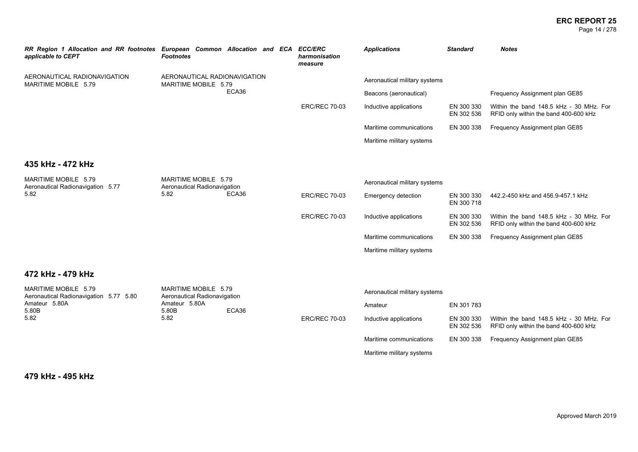### **ERC REPORT 25** Page 14 / 278

| RR Region 1 Allocation and RR footnotes European Common Allocation and ECA<br>applicable to CEPT | <b>Footnotes</b>                                             |       | <b>ECC/ERC</b><br>harmonisation<br>measure | <b>Applications</b>           | <b>Standard</b>          | <b>Notes</b>                                                                     |
|--------------------------------------------------------------------------------------------------|--------------------------------------------------------------|-------|--------------------------------------------|-------------------------------|--------------------------|----------------------------------------------------------------------------------|
| AERONAUTICAL RADIONAVIGATION<br>MARITIME MOBILE 5.79                                             | AERONAUTICAL RADIONAVIGATION<br>MARITIME MOBILE 5.79         |       |                                            | Aeronautical military systems |                          |                                                                                  |
|                                                                                                  |                                                              | ECA36 |                                            | Beacons (aeronautical)        |                          | Frequency Assignment plan GE85                                                   |
|                                                                                                  |                                                              |       | <b>ERC/REC 70-03</b>                       | Inductive applications        | EN 300 330<br>EN 302 536 | Within the band 148.5 kHz - 30 MHz. For<br>RFID only within the band 400-600 kHz |
|                                                                                                  |                                                              |       |                                            | Maritime communications       | EN 300 338               | Frequency Assignment plan GE85                                                   |
|                                                                                                  |                                                              |       |                                            | Maritime military systems     |                          |                                                                                  |
|                                                                                                  |                                                              |       |                                            |                               |                          |                                                                                  |
| 435 kHz - 472 kHz                                                                                |                                                              |       |                                            |                               |                          |                                                                                  |
| MARITIME MOBILE 5.79<br>Aeronautical Radionavigation 5.77                                        | MARITIME MOBILE 5.79<br>Aeronautical Radionavigation<br>5.82 | ECA36 |                                            | Aeronautical military systems |                          |                                                                                  |
| 5.82                                                                                             |                                                              |       | <b>ERC/REC 70-03</b>                       | Emergency detection           | EN 300 330<br>EN 300 718 | 442.2-450 kHz and 456.9-457.1 kHz                                                |
|                                                                                                  |                                                              |       | <b>ERC/REC 70-03</b>                       | Inductive applications        | EN 300 330<br>EN 302 536 | Within the band 148.5 kHz - 30 MHz. For<br>RFID only within the band 400-600 kHz |
|                                                                                                  |                                                              |       |                                            | Maritime communications       | EN 300 338               | Frequency Assignment plan GE85                                                   |
|                                                                                                  |                                                              |       |                                            | Maritime military systems     |                          |                                                                                  |
|                                                                                                  |                                                              |       |                                            |                               |                          |                                                                                  |
| 472 kHz - 479 kHz                                                                                |                                                              |       |                                            |                               |                          |                                                                                  |
| MARITIME MOBILE 5.79<br>Aeronautical Radionavigation 5.77 5.80                                   | MARITIME MOBILE 5.79<br>Aeronautical Radionavigation         |       |                                            | Aeronautical military systems |                          |                                                                                  |
| Amateur 5.80A<br>5.80B                                                                           | Amateur 5.80A<br>5.80B                                       | ECA36 |                                            | Amateur                       | EN 301 783               |                                                                                  |
| 5.82                                                                                             | 5.82                                                         |       | <b>ERC/REC 70-03</b>                       | Inductive applications        | EN 300 330<br>EN 302 536 | Within the band 148.5 kHz - 30 MHz. For<br>RFID only within the band 400-600 kHz |
|                                                                                                  |                                                              |       |                                            | Maritime communications       | EN 300 338               | Frequency Assignment plan GE85                                                   |

Maritime military systems

**479 kHz - 495 kHz**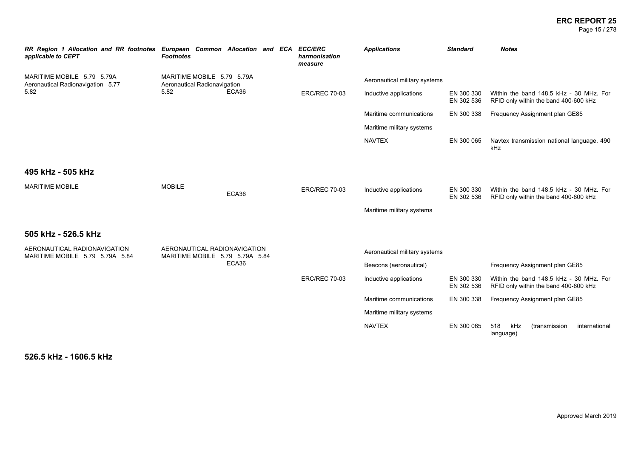# **ERC REPORT 25**<br>Page 15/278

| Page 15 / 278 |  |
|---------------|--|
|---------------|--|

| RR Region 1 Allocation and RR footnotes European Common Allocation and ECA ECC/ERC<br>applicable to CEPT | <b>Footnotes</b>                                                |       | harmonisation<br>measure | <b>Applications</b>           | <b>Standard</b>          | <b>Notes</b>                                                                     |
|----------------------------------------------------------------------------------------------------------|-----------------------------------------------------------------|-------|--------------------------|-------------------------------|--------------------------|----------------------------------------------------------------------------------|
| MARITIME MOBILE 5.79 5.79A<br>Aeronautical Radionavigation 5.77                                          | MARITIME MOBILE 5.79 5.79A<br>Aeronautical Radionavigation      |       |                          | Aeronautical military systems |                          |                                                                                  |
| 5.82                                                                                                     | 5.82                                                            | ECA36 | <b>ERC/REC 70-03</b>     | Inductive applications        | EN 300 330<br>EN 302 536 | Within the band 148.5 kHz - 30 MHz. For<br>RFID only within the band 400-600 kHz |
|                                                                                                          |                                                                 |       |                          | Maritime communications       | EN 300 338               | Frequency Assignment plan GE85                                                   |
|                                                                                                          |                                                                 |       |                          | Maritime military systems     |                          |                                                                                  |
|                                                                                                          |                                                                 |       |                          | <b>NAVTEX</b>                 | EN 300 065               | Navtex transmission national language. 490<br>kHz                                |
| 495 kHz - 505 kHz                                                                                        |                                                                 |       |                          |                               |                          |                                                                                  |
| <b>MARITIME MOBILE</b>                                                                                   | <b>MOBILE</b>                                                   | ECA36 | <b>ERC/REC 70-03</b>     | Inductive applications        | EN 300 330<br>EN 302 536 | Within the band 148.5 kHz - 30 MHz. For<br>RFID only within the band 400-600 kHz |
|                                                                                                          |                                                                 |       |                          | Maritime military systems     |                          |                                                                                  |
| 505 kHz - 526.5 kHz                                                                                      |                                                                 |       |                          |                               |                          |                                                                                  |
| AERONAUTICAL RADIONAVIGATION<br>MARITIME MOBILE 5.79 5.79A 5.84                                          | AERONAUTICAL RADIONAVIGATION<br>MARITIME MOBILE 5.79 5.79A 5.84 |       |                          | Aeronautical military systems |                          |                                                                                  |
|                                                                                                          |                                                                 | ECA36 |                          | Beacons (aeronautical)        |                          | Frequency Assignment plan GE85                                                   |
|                                                                                                          |                                                                 |       | <b>ERC/REC 70-03</b>     | Inductive applications        | EN 300 330<br>EN 302 536 | Within the band 148.5 kHz - 30 MHz. For<br>RFID only within the band 400-600 kHz |
|                                                                                                          |                                                                 |       |                          | Maritime communications       | EN 300 338               | Frequency Assignment plan GE85                                                   |
|                                                                                                          |                                                                 |       |                          | Maritime military systems     |                          |                                                                                  |
|                                                                                                          |                                                                 |       |                          | <b>NAVTEX</b>                 | EN 300 065               | 518<br>kHz<br>(transmission<br>international<br>language)                        |

**526.5 kHz - 1606.5 kHz**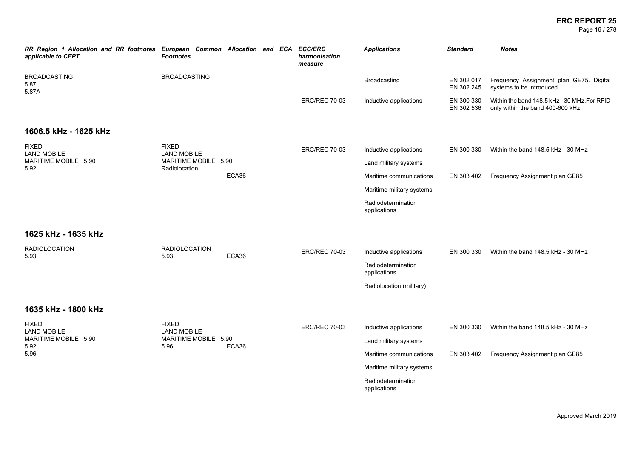Page 16 / 278

| RR Region 1 Allocation and RR footnotes European Common Allocation and ECA ECC/ERC<br>applicable to CEPT | <b>Footnotes</b>                           |       |                      | harmonisation<br>measure  | <b>Applications</b>                | <b>Standard</b>                    | <b>Notes</b>                                                                     |
|----------------------------------------------------------------------------------------------------------|--------------------------------------------|-------|----------------------|---------------------------|------------------------------------|------------------------------------|----------------------------------------------------------------------------------|
| <b>BROADCASTING</b><br>5.87<br>5.87A                                                                     | <b>BROADCASTING</b>                        |       |                      |                           | Broadcasting                       | EN 302 017<br>EN 302 245           | Frequency Assignment plan GE75. Digital<br>systems to be introduced              |
|                                                                                                          |                                            |       |                      | <b>ERC/REC 70-03</b>      | Inductive applications             | EN 300 330<br>EN 302 536           | Within the band 148.5 kHz - 30 MHz. For RFID<br>only within the band 400-600 kHz |
| 1606.5 kHz - 1625 kHz                                                                                    |                                            |       |                      |                           |                                    |                                    |                                                                                  |
| <b>FIXED</b><br><b>LAND MOBILE</b>                                                                       | <b>FIXED</b><br><b>LAND MOBILE</b>         |       |                      | <b>ERC/REC 70-03</b>      | Inductive applications             | EN 300 330                         | Within the band 148.5 kHz - 30 MHz                                               |
| MARITIME MOBILE 5.90<br>5.92                                                                             | MARITIME MOBILE 5.90<br>Radiolocation      |       |                      |                           | Land military systems              |                                    |                                                                                  |
|                                                                                                          |                                            | ECA36 |                      |                           | Maritime communications            | EN 303 402                         | Frequency Assignment plan GE85                                                   |
|                                                                                                          |                                            |       |                      | Maritime military systems |                                    |                                    |                                                                                  |
|                                                                                                          |                                            |       |                      |                           | Radiodetermination<br>applications |                                    |                                                                                  |
| 1625 kHz - 1635 kHz                                                                                      |                                            |       |                      |                           |                                    |                                    |                                                                                  |
| <b>RADIOLOCATION</b><br>5.93                                                                             | <b>RADIOLOCATION</b>                       | ECA36 | <b>ERC/REC 70-03</b> | Inductive applications    | EN 300 330                         | Within the band 148.5 kHz - 30 MHz |                                                                                  |
|                                                                                                          | 5.93                                       |       |                      |                           | Radiodetermination<br>applications |                                    |                                                                                  |
|                                                                                                          |                                            |       |                      |                           | Radiolocation (military)           |                                    |                                                                                  |
| 1635 kHz - 1800 kHz                                                                                      |                                            |       |                      |                           |                                    |                                    |                                                                                  |
| <b>FIXED</b>                                                                                             | <b>FIXED</b>                               |       |                      | <b>ERC/REC 70-03</b>      | Inductive applications             | EN 300 330                         | Within the band 148.5 kHz - 30 MHz                                               |
| <b>LAND MOBILE</b><br>MARITIME MOBILE 5.90                                                               | <b>LAND MOBILE</b><br>MARITIME MOBILE 5.90 |       |                      |                           | Land military systems              |                                    |                                                                                  |
| 5.92<br>5.96                                                                                             | 5.96                                       | ECA36 |                      |                           | Maritime communications            | EN 303 402                         | Frequency Assignment plan GE85                                                   |
|                                                                                                          |                                            |       |                      |                           | Maritime military systems          |                                    |                                                                                  |
|                                                                                                          |                                            |       |                      |                           | Radiodetermination<br>applications |                                    |                                                                                  |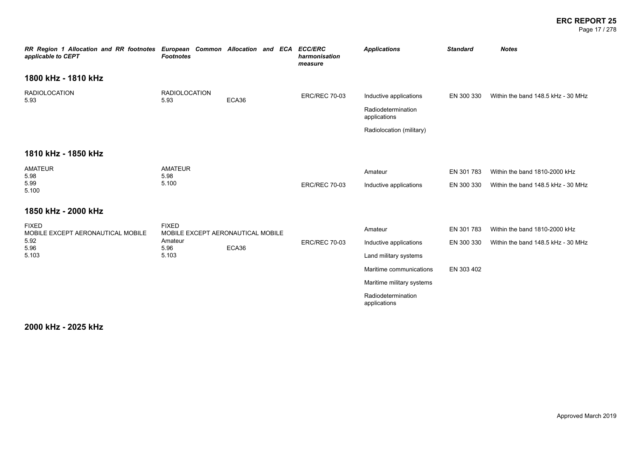### **ERC REPORT 25** Page 17 / 278

| RR Region 1 Allocation and RR footnotes European Common Allocation and ECA<br>applicable to CEPT | <b>Footnotes</b>             |                                   |  | <b>ECC/ERC</b><br>harmonisation<br>measure | <b>Applications</b>                | <b>Standard</b> | <b>Notes</b>                       |
|--------------------------------------------------------------------------------------------------|------------------------------|-----------------------------------|--|--------------------------------------------|------------------------------------|-----------------|------------------------------------|
| 1800 kHz - 1810 kHz                                                                              |                              |                                   |  |                                            |                                    |                 |                                    |
| <b>RADIOLOCATION</b><br>5.93                                                                     | <b>RADIOLOCATION</b><br>5.93 | ECA36                             |  | <b>ERC/REC 70-03</b>                       | Inductive applications             | EN 300 330      | Within the band 148.5 kHz - 30 MHz |
|                                                                                                  |                              |                                   |  | Radiodetermination<br>applications         |                                    |                 |                                    |
|                                                                                                  |                              |                                   |  |                                            | Radiolocation (military)           |                 |                                    |
| 1810 kHz - 1850 kHz                                                                              |                              |                                   |  |                                            |                                    |                 |                                    |
| AMATEUR<br>5.98                                                                                  | <b>AMATEUR</b><br>5.98       |                                   |  |                                            | Amateur                            | EN 301 783      | Within the band 1810-2000 kHz      |
| 5.99<br>5.100                                                                                    | 5.100                        |                                   |  | <b>ERC/REC 70-03</b>                       | Inductive applications             | EN 300 330      | Within the band 148.5 kHz - 30 MHz |
| 1850 kHz - 2000 kHz                                                                              |                              |                                   |  |                                            |                                    |                 |                                    |
| <b>FIXED</b><br>MOBILE EXCEPT AERONAUTICAL MOBILE                                                | <b>FIXED</b>                 | MOBILE EXCEPT AERONAUTICAL MOBILE |  |                                            | Amateur                            | EN 301 783      | Within the band 1810-2000 kHz      |
| 5.92<br>5.96                                                                                     | Amateur<br>5.96              | ECA36                             |  | <b>ERC/REC 70-03</b>                       | Inductive applications             | EN 300 330      | Within the band 148.5 kHz - 30 MHz |
| 5.103                                                                                            | 5.103                        |                                   |  |                                            | Land military systems              |                 |                                    |
|                                                                                                  |                              |                                   |  |                                            | Maritime communications            | EN 303 402      |                                    |
|                                                                                                  |                              |                                   |  |                                            | Maritime military systems          |                 |                                    |
|                                                                                                  |                              |                                   |  |                                            | Radiodetermination<br>applications |                 |                                    |
|                                                                                                  |                              |                                   |  |                                            |                                    |                 |                                    |

**2000 kHz - 2025 kHz**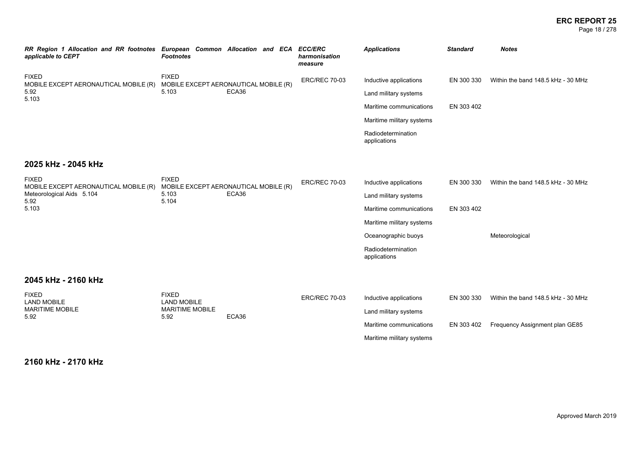### **ERC REPORT 25** Page 18 / 278

| RR Region 1 Allocation and RR footnotes<br>applicable to CEPT | European Common Allocation and ECA<br><b>Footnotes</b> |       |  | <b>ECC/ERC</b><br>harmonisation<br>measure | <b>Applications</b>                | <b>Standard</b>                | <b>Notes</b>                       |
|---------------------------------------------------------------|--------------------------------------------------------|-------|--|--------------------------------------------|------------------------------------|--------------------------------|------------------------------------|
| <b>FIXED</b><br>MOBILE EXCEPT AERONAUTICAL MOBILE (R)         | <b>FIXED</b><br>MOBILE EXCEPT AERONAUTICAL MOBILE (R)  |       |  | <b>ERC/REC 70-03</b>                       | Inductive applications             | EN 300 330                     | Within the band 148.5 kHz - 30 MHz |
| 5.92<br>5.103                                                 | 5.103                                                  | ECA36 |  |                                            | Land military systems              |                                |                                    |
|                                                               |                                                        |       |  |                                            | Maritime communications            | EN 303 402                     |                                    |
|                                                               |                                                        |       |  |                                            | Maritime military systems          |                                |                                    |
|                                                               |                                                        |       |  |                                            | Radiodetermination<br>applications |                                |                                    |
| 2025 kHz - 2045 kHz                                           |                                                        |       |  |                                            |                                    |                                |                                    |
| <b>FIXED</b><br>MOBILE EXCEPT AERONAUTICAL MOBILE (R)         | <b>FIXED</b><br>MOBILE EXCEPT AERONAUTICAL MOBILE (R)  |       |  | <b>ERC/REC 70-03</b>                       | Inductive applications             | EN 300 330                     | Within the band 148.5 kHz - 30 MHz |
| Meteorological Aids 5.104<br>5.92                             | 5.103<br>5.104                                         | ECA36 |  | Land military systems                      |                                    |                                |                                    |
| 5.103                                                         |                                                        |       |  |                                            | Maritime communications            | EN 303 402                     |                                    |
|                                                               |                                                        |       |  |                                            | Maritime military systems          |                                |                                    |
|                                                               |                                                        |       |  |                                            | Oceanographic buoys                |                                | Meteorological                     |
|                                                               |                                                        |       |  |                                            | Radiodetermination<br>applications |                                |                                    |
| 2045 kHz - 2160 kHz                                           |                                                        |       |  |                                            |                                    |                                |                                    |
| <b>FIXED</b><br><b>LAND MOBILE</b>                            | <b>FIXED</b><br><b>LAND MOBILE</b>                     |       |  | <b>ERC/REC 70-03</b>                       | Inductive applications             | EN 300 330                     | Within the band 148.5 kHz - 30 MHz |
| <b>MARITIME MOBILE</b><br>5.92                                | <b>MARITIME MOBILE</b><br>5.92                         | ECA36 |  | Land military systems                      |                                    |                                |                                    |
|                                                               |                                                        |       |  | Maritime communications                    | EN 303 402                         | Frequency Assignment plan GE85 |                                    |
|                                                               |                                                        |       |  |                                            | Maritime military systems          |                                |                                    |

**2160 kHz - 2170 kHz**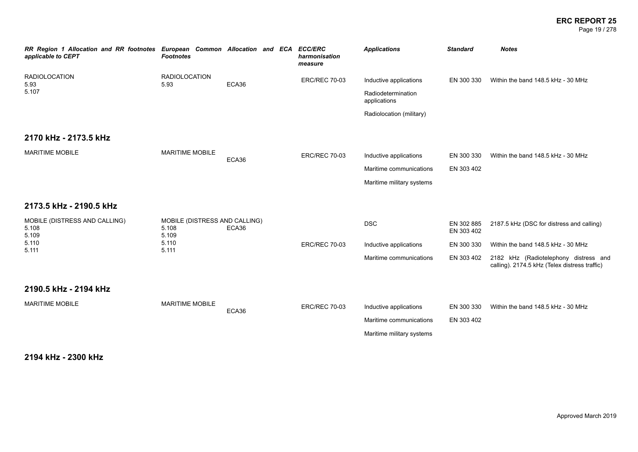### **ERC REPORT 25** Page 19 / 278

| RR Region 1 Allocation and RR footnotes<br>applicable to CEPT | European Common Allocation and ECA<br><b>Footnotes</b> |       |  | <b>ECC/ERC</b><br>harmonisation<br>measure | <b>Applications</b>                | <b>Standard</b>          | <b>Notes</b>                                                                           |
|---------------------------------------------------------------|--------------------------------------------------------|-------|--|--------------------------------------------|------------------------------------|--------------------------|----------------------------------------------------------------------------------------|
| <b>RADIOLOCATION</b><br>5.93                                  | <b>RADIOLOCATION</b><br>5.93                           | ECA36 |  | <b>ERC/REC 70-03</b>                       | Inductive applications             | EN 300 330               | Within the band 148.5 kHz - 30 MHz                                                     |
| 5.107                                                         |                                                        |       |  |                                            | Radiodetermination<br>applications |                          |                                                                                        |
|                                                               |                                                        |       |  |                                            | Radiolocation (military)           |                          |                                                                                        |
| 2170 kHz - 2173.5 kHz                                         |                                                        |       |  |                                            |                                    |                          |                                                                                        |
| <b>MARITIME MOBILE</b>                                        | <b>MARITIME MOBILE</b>                                 | ECA36 |  | <b>ERC/REC 70-03</b>                       | Inductive applications             | EN 300 330               | Within the band 148.5 kHz - 30 MHz                                                     |
|                                                               |                                                        |       |  | Maritime communications                    | EN 303 402                         |                          |                                                                                        |
|                                                               |                                                        |       |  |                                            | Maritime military systems          |                          |                                                                                        |
| 2173.5 kHz - 2190.5 kHz                                       |                                                        |       |  |                                            |                                    |                          |                                                                                        |
| MOBILE (DISTRESS AND CALLING)<br>5.108<br>5.109               | MOBILE (DISTRESS AND CALLING)<br>5.108<br>5.109        | ECA36 |  |                                            | <b>DSC</b>                         | EN 302 885<br>EN 303 402 | 2187.5 kHz (DSC for distress and calling)                                              |
| 5.110<br>5.111                                                | 5.110<br>5.111                                         |       |  | <b>ERC/REC 70-03</b>                       | Inductive applications             | EN 300 330               | Within the band 148.5 kHz - 30 MHz                                                     |
|                                                               |                                                        |       |  |                                            | Maritime communications            | EN 303 402               | 2182 kHz (Radiotelephony distress and<br>calling). 2174.5 kHz (Telex distress traffic) |

# **2190.5 kHz - 2194 kHz**

| MARITIME MOBILE | MARITIME MOBILE | ECA36 | <b>ERC/REC 70-03</b> | Inductive applications    | EN 300 330 | Within the band 148.5 kHz - 30 MHz |
|-----------------|-----------------|-------|----------------------|---------------------------|------------|------------------------------------|
|                 |                 |       |                      | Maritime communications   | EN 303 402 |                                    |
|                 |                 |       |                      | Maritime military systems |            |                                    |

**2194 kHz - 2300 kHz**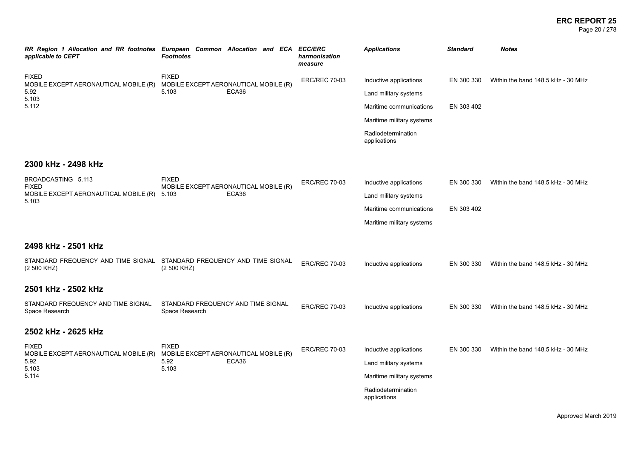### **ERC REPORT 25** Page 20 / 278

| applicable to CEPT                                              | RR Region 1 Allocation and RR footnotes European Common Allocation and ECA ECC/ERC<br><b>Footnotes</b> | harmonisation<br>measure | <b>Applications</b>                | <b>Standard</b> | <b>Notes</b>                       |
|-----------------------------------------------------------------|--------------------------------------------------------------------------------------------------------|--------------------------|------------------------------------|-----------------|------------------------------------|
| <b>FIXED</b><br>MOBILE EXCEPT AERONAUTICAL MOBILE (R)           | <b>FIXED</b><br>MOBILE EXCEPT AERONAUTICAL MOBILE (R)                                                  | <b>ERC/REC 70-03</b>     | Inductive applications             | EN 300 330      | Within the band 148.5 kHz - 30 MHz |
| 5.92<br>5.103                                                   | 5.103<br>ECA36                                                                                         |                          | Land military systems              |                 |                                    |
| 5.112                                                           |                                                                                                        |                          | Maritime communications            | EN 303 402      |                                    |
|                                                                 |                                                                                                        |                          | Maritime military systems          |                 |                                    |
|                                                                 |                                                                                                        |                          | Radiodetermination<br>applications |                 |                                    |
| 2300 kHz - 2498 kHz                                             |                                                                                                        |                          |                                    |                 |                                    |
| BROADCASTING 5.113                                              | <b>FIXED</b><br>MOBILE EXCEPT AERONAUTICAL MOBILE (R)                                                  | <b>ERC/REC 70-03</b>     | Inductive applications             | EN 300 330      | Within the band 148.5 kHz - 30 MHz |
| <b>FIXED</b><br>MOBILE EXCEPT AERONAUTICAL MOBILE (R) 5.103     | ECA36                                                                                                  |                          | Land military systems              |                 |                                    |
| 5.103                                                           |                                                                                                        |                          | Maritime communications            | EN 303 402      |                                    |
|                                                                 |                                                                                                        |                          | Maritime military systems          |                 |                                    |
| 2498 kHz - 2501 kHz                                             |                                                                                                        |                          |                                    |                 |                                    |
| (2 500 KHZ)                                                     | STANDARD FREQUENCY AND TIME SIGNAL STANDARD FREQUENCY AND TIME SIGNAL<br>(2 500 KHZ)                   | <b>ERC/REC 70-03</b>     | Inductive applications             | EN 300 330      | Within the band 148.5 kHz - 30 MHz |
| 2501 kHz - 2502 kHz                                             |                                                                                                        |                          |                                    |                 |                                    |
| STANDARD FREQUENCY AND TIME SIGNAL<br>Space Research            | STANDARD FREQUENCY AND TIME SIGNAL<br>Space Research                                                   | <b>ERC/REC 70-03</b>     | Inductive applications             | EN 300 330      | Within the band 148.5 kHz - 30 MHz |
| 2502 kHz - 2625 kHz                                             |                                                                                                        |                          |                                    |                 |                                    |
| <b>FIXED</b>                                                    | <b>FIXED</b><br>MOBILE EXCEPT AERONAUTICAL MOBILE (R)                                                  | <b>ERC/REC 70-03</b>     | Inductive applications             | EN 300 330      | Within the band 148.5 kHz - 30 MHz |
| MOBILE EXCEPT AERONAUTICAL MOBILE (R)<br>5.92<br>5.103<br>5.114 | 5.92<br>ECA36<br>5.103                                                                                 |                          | Land military systems              |                 |                                    |
|                                                                 |                                                                                                        |                          | Maritime military systems          |                 |                                    |
|                                                                 |                                                                                                        |                          | Radiodetermination<br>applications |                 |                                    |
|                                                                 |                                                                                                        |                          |                                    |                 |                                    |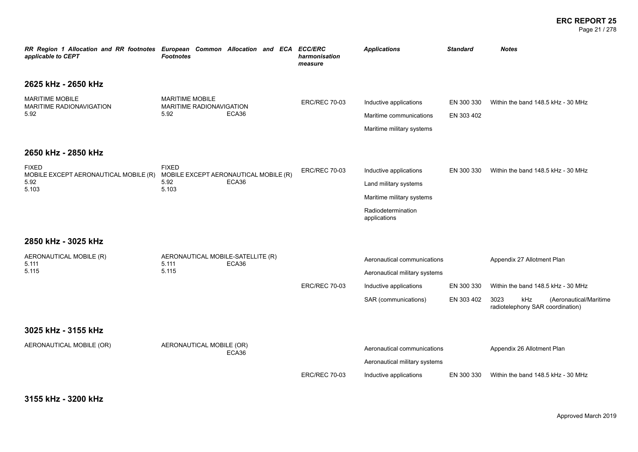### **ERC REPORT 25** Page 21 / 278

| RR Region 1 Allocation and RR footnotes European Common Allocation and ECA<br>applicable to CEPT | <b>Footnotes</b>                                                       |       | <b>ECC/ERC</b><br>harmonisation<br>measure | <b>Applications</b>                                                                                                | <b>Standard</b>          | <b>Notes</b>                                                                                                                                  |
|--------------------------------------------------------------------------------------------------|------------------------------------------------------------------------|-------|--------------------------------------------|--------------------------------------------------------------------------------------------------------------------|--------------------------|-----------------------------------------------------------------------------------------------------------------------------------------------|
| 2625 kHz - 2650 kHz                                                                              |                                                                        |       |                                            |                                                                                                                    |                          |                                                                                                                                               |
| <b>MARITIME MOBILE</b><br>MARITIME RADIONAVIGATION<br>5.92                                       | <b>MARITIME MOBILE</b><br>MARITIME RADIONAVIGATION<br>5.92             | ECA36 | <b>ERC/REC 70-03</b>                       | Inductive applications<br>Maritime communications<br>Maritime military systems                                     | EN 300 330<br>EN 303 402 | Within the band 148.5 kHz - 30 MHz                                                                                                            |
| 2650 kHz - 2850 kHz                                                                              |                                                                        |       |                                            |                                                                                                                    |                          |                                                                                                                                               |
| <b>FIXED</b><br>MOBILE EXCEPT AERONAUTICAL MOBILE (R)<br>5.92<br>5.103                           | <b>FIXED</b><br>MOBILE EXCEPT AERONAUTICAL MOBILE (R)<br>5.92<br>5.103 | ECA36 | <b>ERC/REC 70-03</b>                       | Inductive applications<br>Land military systems<br>Maritime military systems<br>Radiodetermination<br>applications | EN 300 330               | Within the band 148.5 kHz - 30 MHz                                                                                                            |
| 2850 kHz - 3025 kHz                                                                              |                                                                        |       |                                            |                                                                                                                    |                          |                                                                                                                                               |
| AERONAUTICAL MOBILE (R)<br>5.111<br>5.115                                                        | AERONAUTICAL MOBILE-SATELLITE (R)<br>5.111<br>5.115                    | ECA36 | <b>ERC/REC 70-03</b>                       | Aeronautical communications<br>Aeronautical military systems<br>Inductive applications<br>SAR (communications)     | EN 300 330<br>EN 303 402 | Appendix 27 Allotment Plan<br>Within the band 148.5 kHz - 30 MHz<br>3023<br>kHz<br>(Aeronautical/Maritime<br>radiotelephony SAR coordination) |
| 3025 kHz - 3155 kHz                                                                              |                                                                        |       |                                            |                                                                                                                    |                          |                                                                                                                                               |
| AERONAUTICAL MOBILE (OR)                                                                         | AERONAUTICAL MOBILE (OR)                                               | ECA36 |                                            | Aeronautical communications<br>Aeronautical military systems                                                       |                          | Appendix 26 Allotment Plan                                                                                                                    |
|                                                                                                  |                                                                        |       | <b>ERC/REC 70-03</b>                       | Inductive applications                                                                                             | EN 300 330               | Within the band 148.5 kHz - 30 MHz                                                                                                            |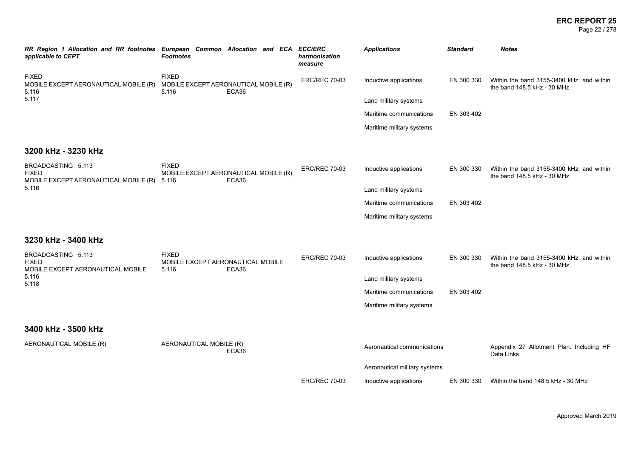Page 22 / 278

| applicable to CEPT                                                          | RR Region 1 Allocation and RR footnotes European Common Allocation and ECA ECC/ERC<br><b>Footnotes</b> | harmonisation<br>measure | <b>Applications</b>           | <b>Standard</b> | <b>Notes</b>                                                             |
|-----------------------------------------------------------------------------|--------------------------------------------------------------------------------------------------------|--------------------------|-------------------------------|-----------------|--------------------------------------------------------------------------|
| <b>FIXED</b><br>MOBILE EXCEPT AERONAUTICAL MOBILE (R)<br>5.116              | <b>FIXED</b><br>MOBILE EXCEPT AERONAUTICAL MOBILE (R)<br>5.116<br>ECA36                                | <b>ERC/REC 70-03</b>     | Inductive applications        | EN 300 330      | Within the band 3155-3400 kHz; and within<br>the band 148.5 kHz - 30 MHz |
| 5.117                                                                       |                                                                                                        |                          | Land military systems         |                 |                                                                          |
|                                                                             |                                                                                                        |                          | Maritime communications       | EN 303 402      |                                                                          |
|                                                                             |                                                                                                        |                          | Maritime military systems     |                 |                                                                          |
| 3200 kHz - 3230 kHz                                                         |                                                                                                        |                          |                               |                 |                                                                          |
| BROADCASTING 5.113<br><b>FIXED</b><br>MOBILE EXCEPT AERONAUTICAL MOBILE (R) | <b>FIXED</b><br>MOBILE EXCEPT AERONAUTICAL MOBILE (R)<br>ECA36<br>5.116                                | <b>ERC/REC 70-03</b>     | Inductive applications        | EN 300 330      | Within the band 3155-3400 kHz; and within<br>the band 148.5 kHz - 30 MHz |
| 5.116                                                                       |                                                                                                        |                          | Land military systems         |                 |                                                                          |
|                                                                             |                                                                                                        |                          | Maritime communications       | EN 303 402      |                                                                          |
|                                                                             |                                                                                                        |                          | Maritime military systems     |                 |                                                                          |
| 3230 kHz - 3400 kHz                                                         |                                                                                                        |                          |                               |                 |                                                                          |
| BROADCASTING 5.113<br><b>FIXED</b><br>MOBILE EXCEPT AERONAUTICAL MOBILE     | <b>FIXED</b><br>MOBILE EXCEPT AERONAUTICAL MOBILE<br>ECA36<br>5.116                                    | <b>ERC/REC 70-03</b>     | Inductive applications        | EN 300 330      | Within the band 3155-3400 kHz; and within<br>the band 148.5 kHz - 30 MHz |
| 5.116<br>5.118                                                              |                                                                                                        |                          | Land military systems         |                 |                                                                          |
|                                                                             |                                                                                                        |                          | Maritime communications       | EN 303 402      |                                                                          |
|                                                                             |                                                                                                        |                          | Maritime military systems     |                 |                                                                          |
| 3400 kHz - 3500 kHz                                                         |                                                                                                        |                          |                               |                 |                                                                          |
| AERONAUTICAL MOBILE (R)                                                     | AERONAUTICAL MOBILE (R)<br>ECA36                                                                       |                          | Aeronautical communications   |                 | Appendix 27 Allotment Plan. Including HF<br>Data Links                   |
|                                                                             |                                                                                                        |                          | Aeronautical military systems |                 |                                                                          |
|                                                                             |                                                                                                        | <b>ERC/REC 70-03</b>     | Inductive applications        | EN 300 330      | Within the band 148.5 kHz - 30 MHz                                       |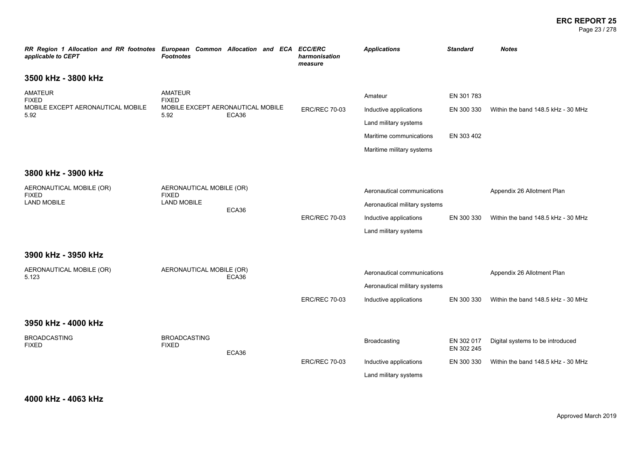### **ERC REPORT 25** Page 23 / 278

| RR Region 1 Allocation and RR footnotes European Common Allocation and ECA ECC/ERC<br>applicable to CEPT | <b>Footnotes</b>                                                            |       |                      | harmonisation<br>measure                        | <b>Applications</b>                                                                                                | <b>Standard</b>                                                        | <b>Notes</b>                                                     |
|----------------------------------------------------------------------------------------------------------|-----------------------------------------------------------------------------|-------|----------------------|-------------------------------------------------|--------------------------------------------------------------------------------------------------------------------|------------------------------------------------------------------------|------------------------------------------------------------------|
| 3500 kHz - 3800 kHz                                                                                      |                                                                             |       |                      |                                                 |                                                                                                                    |                                                                        |                                                                  |
| <b>AMATEUR</b><br><b>FIXED</b><br>MOBILE EXCEPT AERONAUTICAL MOBILE<br>5.92                              | <b>AMATEUR</b><br><b>FIXED</b><br>MOBILE EXCEPT AERONAUTICAL MOBILE<br>5.92 | ECA36 |                      | <b>ERC/REC 70-03</b>                            | Amateur<br>Inductive applications<br>Land military systems<br>Maritime communications<br>Maritime military systems | EN 301 783<br>EN 300 330<br>EN 303 402                                 | Within the band 148.5 kHz - 30 MHz                               |
| 3800 kHz - 3900 kHz                                                                                      |                                                                             |       |                      |                                                 |                                                                                                                    |                                                                        |                                                                  |
| AERONAUTICAL MOBILE (OR)<br><b>FIXED</b><br><b>LAND MOBILE</b>                                           | AERONAUTICAL MOBILE (OR)<br><b>FIXED</b><br><b>LAND MOBILE</b>              | ECA36 |                      | <b>ERC/REC 70-03</b>                            | Aeronautical communications<br>Aeronautical military systems<br>Inductive applications<br>Land military systems    | EN 300 330                                                             | Appendix 26 Allotment Plan<br>Within the band 148.5 kHz - 30 MHz |
| 3900 kHz - 3950 kHz                                                                                      |                                                                             |       |                      |                                                 |                                                                                                                    |                                                                        |                                                                  |
| AERONAUTICAL MOBILE (OR)<br>5.123                                                                        | AERONAUTICAL MOBILE (OR)                                                    | ECA36 |                      | <b>ERC/REC 70-03</b>                            | Aeronautical communications<br>Aeronautical military systems<br>Inductive applications                             | EN 300 330                                                             | Appendix 26 Allotment Plan<br>Within the band 148.5 kHz - 30 MHz |
| 3950 kHz - 4000 kHz                                                                                      |                                                                             |       |                      |                                                 |                                                                                                                    |                                                                        |                                                                  |
| <b>BROADCASTING</b><br><b>FIXED</b>                                                                      | <b>BROADCASTING</b><br><b>FIXED</b>                                         | ECA36 | <b>ERC/REC 70-03</b> | Broadcasting                                    | EN 302 017<br>EN 302 245<br>EN 300 330                                                                             | Digital systems to be introduced<br>Within the band 148.5 kHz - 30 MHz |                                                                  |
|                                                                                                          |                                                                             |       |                      | Inductive applications<br>Land military systems |                                                                                                                    |                                                                        |                                                                  |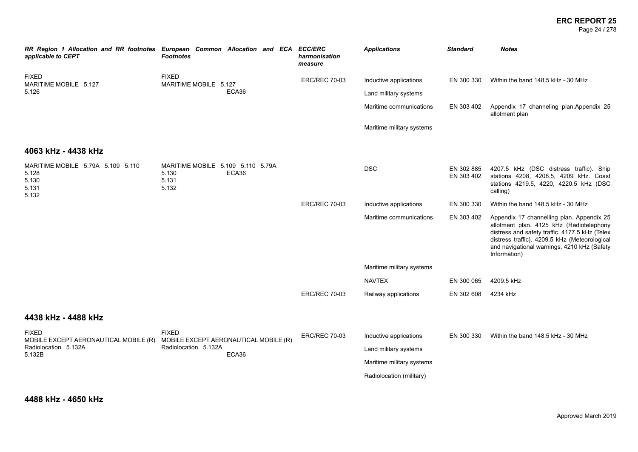Page 24 / 278

| RR Region 1 Allocation and RR footnotes European Common Allocation and ECA<br><b>Footnotes</b> | harmonisation<br>measure | <b>Applications</b>                                                                                      | <b>Standard</b>          | <b>Notes</b>                                                                                                                                                                                                                                            |
|------------------------------------------------------------------------------------------------|--------------------------|----------------------------------------------------------------------------------------------------------|--------------------------|---------------------------------------------------------------------------------------------------------------------------------------------------------------------------------------------------------------------------------------------------------|
| <b>FIXED</b>                                                                                   | <b>ERC/REC 70-03</b>     | Inductive applications                                                                                   | EN 300 330               | Within the band 148.5 kHz - 30 MHz                                                                                                                                                                                                                      |
| ECA36                                                                                          |                          | Land military systems                                                                                    |                          |                                                                                                                                                                                                                                                         |
|                                                                                                |                          | Maritime communications                                                                                  | EN 303 402               | Appendix 17 channeling plan.Appendix 25<br>allotment plan                                                                                                                                                                                               |
|                                                                                                |                          | Maritime military systems                                                                                |                          |                                                                                                                                                                                                                                                         |
|                                                                                                |                          |                                                                                                          |                          |                                                                                                                                                                                                                                                         |
| MARITIME MOBILE 5.109 5.110 5.79A<br>5.130<br>ECA36<br>5.131<br>5.132                          |                          | <b>DSC</b>                                                                                               | EN 302 885<br>EN 303 402 | 4207.5 kHz (DSC distress traffic). Ship<br>stations 4208, 4208.5, 4209 kHz. Coast<br>stations 4219.5, 4220, 4220.5 kHz (DSC<br>calling)                                                                                                                 |
|                                                                                                | <b>ERC/REC 70-03</b>     | Inductive applications                                                                                   | EN 300 330               | Within the band 148.5 kHz - 30 MHz                                                                                                                                                                                                                      |
|                                                                                                |                          | Maritime communications                                                                                  | EN 303 402               | Appendix 17 channelling plan. Appendix 25<br>allotment plan. 4125 kHz (Radiotelephony<br>distress and safety traffic. 4177.5 kHz (Telex<br>distress traffic). 4209.5 kHz (Meteorological<br>and navigational warnings. 4210 kHz (Safety<br>Information) |
|                                                                                                |                          | Maritime military systems                                                                                |                          |                                                                                                                                                                                                                                                         |
|                                                                                                |                          | <b>NAVTEX</b>                                                                                            | EN 300 065               | 4209.5 kHz                                                                                                                                                                                                                                              |
|                                                                                                | <b>ERC/REC 70-03</b>     | Railway applications                                                                                     | EN 302 608               | 4234 kHz                                                                                                                                                                                                                                                |
|                                                                                                |                          |                                                                                                          |                          |                                                                                                                                                                                                                                                         |
| <b>FIXED</b><br>MOBILE EXCEPT AERONAUTICAL MOBILE (R)<br>Radiolocation 5.132A<br>ECA36         | <b>ERC/REC 70-03</b>     | Inductive applications<br>Land military systems<br>Maritime military systems<br>Radiolocation (military) | EN 300 330               | Within the band 148.5 kHz - 30 MHz                                                                                                                                                                                                                      |
|                                                                                                | MARITIME MOBILE 5.127    | <b>ECC/ERC</b>                                                                                           |                          |                                                                                                                                                                                                                                                         |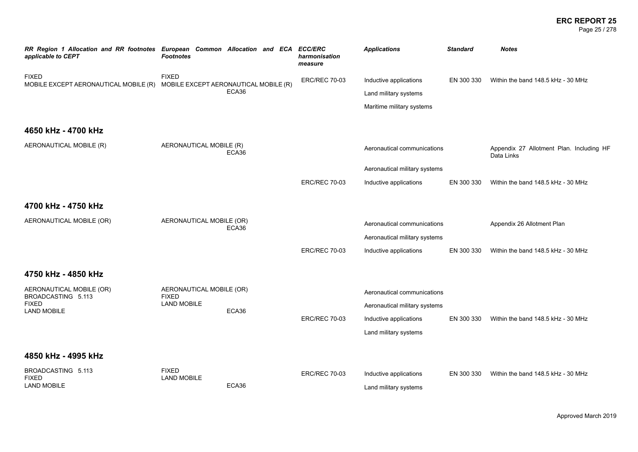### **ERC REPORT 25** Page 25 / 278

| applicable to CEPT                                    | RR Region 1 Allocation and RR footnotes European Common Allocation and ECA<br><b>Footnotes</b> | <b>ECC/ERC</b><br>harmonisation<br>measure | <b>Applications</b>           | <b>Standard</b> | <b>Notes</b>                                           |
|-------------------------------------------------------|------------------------------------------------------------------------------------------------|--------------------------------------------|-------------------------------|-----------------|--------------------------------------------------------|
| <b>FIXED</b><br>MOBILE EXCEPT AERONAUTICAL MOBILE (R) | <b>FIXED</b><br>MOBILE EXCEPT AERONAUTICAL MOBILE (R)                                          | <b>ERC/REC 70-03</b>                       | Inductive applications        | EN 300 330      | Within the band 148.5 kHz - 30 MHz                     |
|                                                       | ECA36                                                                                          |                                            | Land military systems         |                 |                                                        |
|                                                       |                                                                                                |                                            | Maritime military systems     |                 |                                                        |
| 4650 kHz - 4700 kHz                                   |                                                                                                |                                            |                               |                 |                                                        |
| AERONAUTICAL MOBILE (R)                               | AERONAUTICAL MOBILE (R)<br>ECA36                                                               |                                            | Aeronautical communications   |                 | Appendix 27 Allotment Plan. Including HF<br>Data Links |
|                                                       |                                                                                                |                                            | Aeronautical military systems |                 |                                                        |
|                                                       |                                                                                                | <b>ERC/REC 70-03</b>                       | Inductive applications        | EN 300 330      | Within the band 148.5 kHz - 30 MHz                     |
| 4700 kHz - 4750 kHz                                   |                                                                                                |                                            |                               |                 |                                                        |
| AERONAUTICAL MOBILE (OR)                              | AERONAUTICAL MOBILE (OR)<br>ECA36                                                              |                                            | Aeronautical communications   |                 | Appendix 26 Allotment Plan                             |
|                                                       |                                                                                                |                                            | Aeronautical military systems |                 |                                                        |
|                                                       |                                                                                                | <b>ERC/REC 70-03</b>                       | Inductive applications        | EN 300 330      | Within the band 148.5 kHz - 30 MHz                     |
| 4750 kHz - 4850 kHz                                   |                                                                                                |                                            |                               |                 |                                                        |
| AERONAUTICAL MOBILE (OR)<br>BROADCASTING 5.113        | AERONAUTICAL MOBILE (OR)<br><b>FIXED</b>                                                       |                                            | Aeronautical communications   |                 |                                                        |
| <b>FIXED</b><br><b>LAND MOBILE</b>                    | <b>LAND MOBILE</b><br>ECA36                                                                    |                                            | Aeronautical military systems |                 |                                                        |
|                                                       |                                                                                                | <b>ERC/REC 70-03</b>                       | Inductive applications        | EN 300 330      | Within the band 148.5 kHz - 30 MHz                     |
|                                                       |                                                                                                |                                            | Land military systems         |                 |                                                        |
| 4850 kHz - 4995 kHz                                   |                                                                                                |                                            |                               |                 |                                                        |
| BROADCASTING 5.113<br><b>FIXED</b>                    | <b>FIXED</b><br><b>LAND MOBILE</b>                                                             | <b>ERC/REC 70-03</b>                       | Inductive applications        | EN 300 330      | Within the band 148.5 kHz - 30 MHz                     |
| <b>LAND MOBILE</b>                                    | ECA36                                                                                          |                                            | Land military systems         |                 |                                                        |
|                                                       |                                                                                                |                                            |                               |                 |                                                        |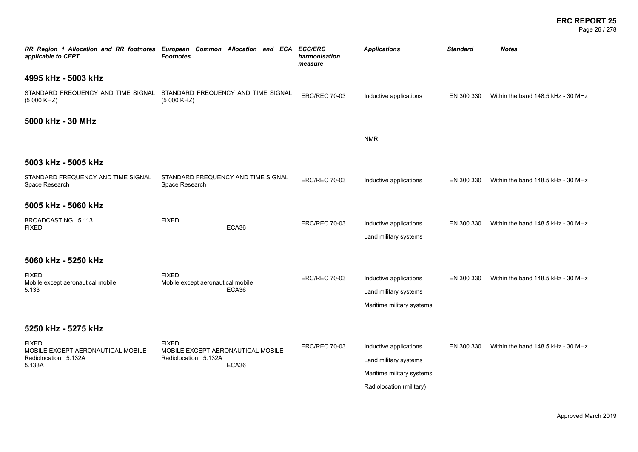### **ERC REPORT 25** Page 26 / 278

| RR Region 1 Allocation and RR footnotes European Common Allocation and ECA ECC/ERC<br>applicable to CEPT | <b>Footnotes</b>                                                          |       | harmonisation<br>measure | <b>Applications</b>                                                                                      | <b>Standard</b> | <b>Notes</b>                       |
|----------------------------------------------------------------------------------------------------------|---------------------------------------------------------------------------|-------|--------------------------|----------------------------------------------------------------------------------------------------------|-----------------|------------------------------------|
| 4995 kHz - 5003 kHz                                                                                      |                                                                           |       |                          |                                                                                                          |                 |                                    |
| STANDARD FREQUENCY AND TIME SIGNAL STANDARD FREQUENCY AND TIME SIGNAL<br>(5 000 KHZ)                     | (5 000 KHZ)                                                               |       | <b>ERC/REC 70-03</b>     | Inductive applications                                                                                   | EN 300 330      | Within the band 148.5 kHz - 30 MHz |
| 5000 kHz - 30 MHz                                                                                        |                                                                           |       |                          |                                                                                                          |                 |                                    |
|                                                                                                          |                                                                           |       |                          | <b>NMR</b>                                                                                               |                 |                                    |
| 5003 kHz - 5005 kHz                                                                                      |                                                                           |       |                          |                                                                                                          |                 |                                    |
| STANDARD FREQUENCY AND TIME SIGNAL<br>Space Research                                                     | STANDARD FREQUENCY AND TIME SIGNAL<br>Space Research                      |       | <b>ERC/REC 70-03</b>     | Inductive applications                                                                                   | EN 300 330      | Within the band 148.5 kHz - 30 MHz |
| 5005 kHz - 5060 kHz                                                                                      |                                                                           |       |                          |                                                                                                          |                 |                                    |
| BROADCASTING 5.113<br><b>FIXED</b>                                                                       | <b>FIXED</b>                                                              | ECA36 | <b>ERC/REC 70-03</b>     | Inductive applications<br>Land military systems                                                          | EN 300 330      | Within the band 148.5 kHz - 30 MHz |
| 5060 kHz - 5250 kHz                                                                                      |                                                                           |       |                          |                                                                                                          |                 |                                    |
| <b>FIXED</b><br>Mobile except aeronautical mobile<br>5.133                                               | <b>FIXED</b><br>Mobile except aeronautical mobile                         | ECA36 | <b>ERC/REC 70-03</b>     | Inductive applications<br>Land military systems<br>Maritime military systems                             | EN 300 330      | Within the band 148.5 kHz - 30 MHz |
| 5250 kHz - 5275 kHz                                                                                      |                                                                           |       |                          |                                                                                                          |                 |                                    |
| <b>FIXED</b><br>MOBILE EXCEPT AERONAUTICAL MOBILE<br>Radiolocation 5.132A<br>5.133A                      | <b>FIXED</b><br>MOBILE EXCEPT AERONAUTICAL MOBILE<br>Radiolocation 5.132A | ECA36 | <b>ERC/REC 70-03</b>     | Inductive applications<br>Land military systems<br>Maritime military systems<br>Radiolocation (military) | EN 300 330      | Within the band 148.5 kHz - 30 MHz |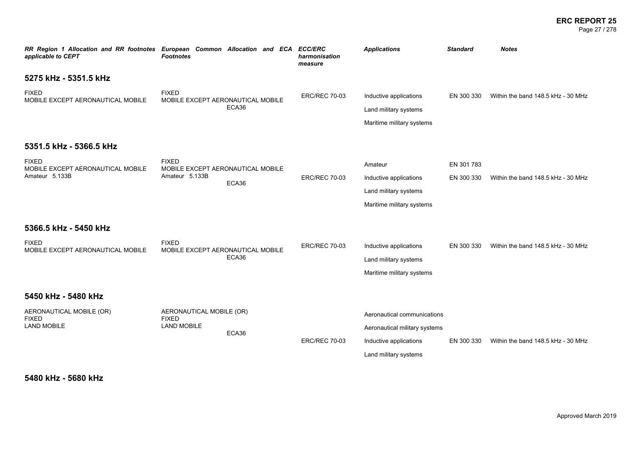### **ERC REPORT 25** Page 27 / 278

| RR Region 1 Allocation and RR footnotes European Common Allocation and ECA<br>applicable to CEPT | <b>Footnotes</b>                                                    |       | <b>ECC/ERC</b><br>harmonisation<br>measure | <b>Applications</b>                                                                                             | <b>Standard</b>          | <b>Notes</b>                       |
|--------------------------------------------------------------------------------------------------|---------------------------------------------------------------------|-------|--------------------------------------------|-----------------------------------------------------------------------------------------------------------------|--------------------------|------------------------------------|
| 5275 kHz - 5351.5 kHz                                                                            |                                                                     |       |                                            |                                                                                                                 |                          |                                    |
| <b>FIXED</b><br>MOBILE EXCEPT AERONAUTICAL MOBILE                                                | <b>FIXED</b><br>MOBILE EXCEPT AERONAUTICAL MOBILE                   | ECA36 | <b>ERC/REC 70-03</b>                       | Inductive applications<br>Land military systems<br>Maritime military systems                                    | EN 300 330               | Within the band 148.5 kHz - 30 MHz |
| 5351.5 kHz - 5366.5 kHz                                                                          |                                                                     |       |                                            |                                                                                                                 |                          |                                    |
| <b>FIXED</b><br>MOBILE EXCEPT AERONAUTICAL MOBILE<br>Amateur 5.133B                              | <b>FIXED</b><br>MOBILE EXCEPT AERONAUTICAL MOBILE<br>Amateur 5.133B | ECA36 | <b>ERC/REC 70-03</b>                       | Amateur<br>Inductive applications<br>Land military systems<br>Maritime military systems                         | EN 301 783<br>EN 300 330 | Within the band 148.5 kHz - 30 MHz |
| 5366.5 kHz - 5450 kHz                                                                            |                                                                     |       |                                            |                                                                                                                 |                          |                                    |
| <b>FIXED</b><br>MOBILE EXCEPT AERONAUTICAL MOBILE                                                | <b>FIXED</b><br>MOBILE EXCEPT AERONAUTICAL MOBILE                   | ECA36 | <b>ERC/REC 70-03</b>                       | Inductive applications<br>Land military systems<br>Maritime military systems                                    | EN 300 330               | Within the band 148.5 kHz - 30 MHz |
| 5450 kHz - 5480 kHz                                                                              |                                                                     |       |                                            |                                                                                                                 |                          |                                    |
| AERONAUTICAL MOBILE (OR)<br><b>FIXED</b><br><b>LAND MOBILE</b>                                   | AERONAUTICAL MOBILE (OR)<br><b>FIXED</b><br><b>LAND MOBILE</b>      | ECA36 | <b>ERC/REC 70-03</b>                       | Aeronautical communications<br>Aeronautical military systems<br>Inductive applications<br>Land military systems | EN 300 330               | Within the band 148.5 kHz - 30 MHz |

**5480 kHz - 5680 kHz**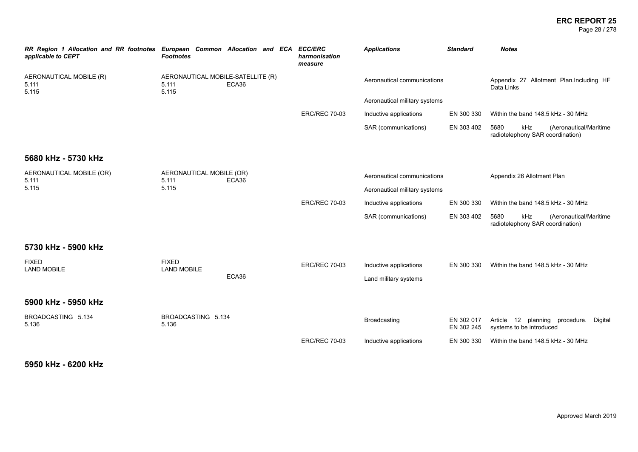Page 28 / 278

| RR Region 1 Allocation and RR footnotes European Common Allocation and ECA<br>applicable to CEPT | <b>Footnotes</b>                                    |       | <b>ECC/ERC</b><br>harmonisation<br>measure | <b>Applications</b>           | <b>Standard</b>          | <b>Notes</b>                                                              |
|--------------------------------------------------------------------------------------------------|-----------------------------------------------------|-------|--------------------------------------------|-------------------------------|--------------------------|---------------------------------------------------------------------------|
| AERONAUTICAL MOBILE (R)<br>5.111<br>5.115                                                        | AERONAUTICAL MOBILE-SATELLITE (R)<br>5.111<br>5.115 | ECA36 |                                            | Aeronautical communications   |                          | Appendix 27 Allotment Plan.Including HF<br>Data Links                     |
|                                                                                                  |                                                     |       |                                            | Aeronautical military systems |                          |                                                                           |
|                                                                                                  |                                                     |       | <b>ERC/REC 70-03</b>                       | Inductive applications        | EN 300 330               | Within the band 148.5 kHz - 30 MHz                                        |
|                                                                                                  |                                                     |       |                                            | SAR (communications)          | EN 303 402               | 5680<br>kHz<br>(Aeronautical/Maritime<br>radiotelephony SAR coordination) |
| 5680 kHz - 5730 kHz                                                                              |                                                     |       |                                            |                               |                          |                                                                           |
| AERONAUTICAL MOBILE (OR)<br>5.111                                                                | AERONAUTICAL MOBILE (OR)<br>5.111                   | ECA36 |                                            | Aeronautical communications   |                          | Appendix 26 Allotment Plan                                                |
| 5.115                                                                                            | 5.115                                               |       |                                            | Aeronautical military systems |                          |                                                                           |
|                                                                                                  |                                                     |       | <b>ERC/REC 70-03</b>                       | Inductive applications        | EN 300 330               | Within the band 148.5 kHz - 30 MHz                                        |
|                                                                                                  |                                                     |       |                                            | SAR (communications)          | EN 303 402               | 5680<br>kHz<br>(Aeronautical/Maritime<br>radiotelephony SAR coordination) |
| 5730 kHz - 5900 kHz                                                                              |                                                     |       |                                            |                               |                          |                                                                           |
| <b>FIXED</b>                                                                                     | <b>FIXED</b><br><b>LAND MOBILE</b>                  | ECA36 | <b>ERC/REC 70-03</b>                       | Inductive applications        | EN 300 330               | Within the band 148.5 kHz - 30 MHz                                        |
| <b>LAND MOBILE</b>                                                                               |                                                     |       |                                            | Land military systems         |                          |                                                                           |
| 5900 kHz - 5950 kHz                                                                              |                                                     |       |                                            |                               |                          |                                                                           |
| BROADCASTING 5.134<br>5.136                                                                      | BROADCASTING 5.134<br>5.136                         |       |                                            | Broadcasting                  | EN 302 017<br>EN 302 245 | Article 12 planning procedure.<br>Digital<br>systems to be introduced     |
|                                                                                                  |                                                     |       | <b>ERC/REC 70-03</b>                       | Inductive applications        | EN 300 330               | Within the band 148.5 kHz - 30 MHz                                        |

# **5950 kHz - 6200 kHz**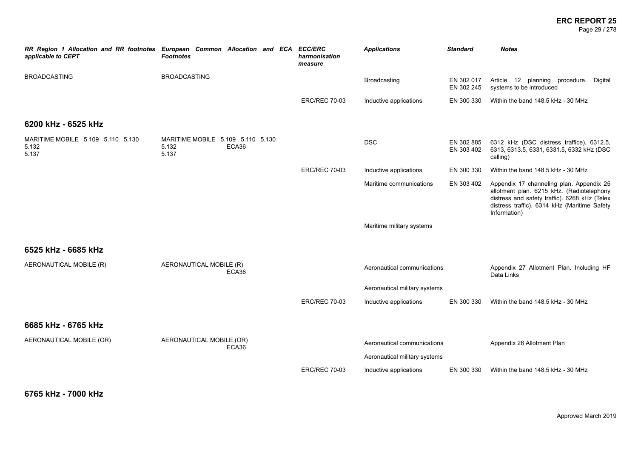Page 29 / 278

| RR Region 1 Allocation and RR footnotes European Common Allocation and ECA ECC/ERC<br>applicable to CEPT | <b>Footnotes</b>                                             | harmonisation<br>measure | <b>Applications</b>           | <b>Standard</b>          | <b>Notes</b>                                                                                                                                                                                           |
|----------------------------------------------------------------------------------------------------------|--------------------------------------------------------------|--------------------------|-------------------------------|--------------------------|--------------------------------------------------------------------------------------------------------------------------------------------------------------------------------------------------------|
| <b>BROADCASTING</b>                                                                                      | <b>BROADCASTING</b>                                          |                          | Broadcasting                  | EN 302 017<br>EN 302 245 | Article 12 planning procedure. Digital<br>systems to be introduced                                                                                                                                     |
|                                                                                                          |                                                              | <b>ERC/REC 70-03</b>     | Inductive applications        | EN 300 330               | Within the band 148.5 kHz - 30 MHz                                                                                                                                                                     |
| 6200 kHz - 6525 kHz                                                                                      |                                                              |                          |                               |                          |                                                                                                                                                                                                        |
| MARITIME MOBILE 5.109 5.110 5.130<br>5.132<br>5.137                                                      | MARITIME MOBILE 5.109 5.110 5.130<br>5.132<br>ECA36<br>5.137 |                          | <b>DSC</b>                    | EN 302 885<br>EN 303 402 | 6312 kHz (DSC distress traffice). 6312.5,<br>6313, 6313.5, 6331, 6331.5, 6332 kHz (DSC<br>calling)                                                                                                     |
|                                                                                                          |                                                              | <b>ERC/REC 70-03</b>     | Inductive applications        | EN 300 330               | Within the band 148.5 kHz - 30 MHz                                                                                                                                                                     |
|                                                                                                          |                                                              |                          | Maritime communications       | EN 303 402               | Appendix 17 channeling plan. Appendix 25<br>allotment plan. 6215 kHz. (Radiotelephony<br>distress and safety traffic). 6268 kHz (Telex<br>distress traffic). 6314 kHz (Maritime Safety<br>Information) |
|                                                                                                          |                                                              |                          | Maritime military systems     |                          |                                                                                                                                                                                                        |
| 6525 kHz - 6685 kHz                                                                                      |                                                              |                          |                               |                          |                                                                                                                                                                                                        |
| AERONAUTICAL MOBILE (R)                                                                                  | AERONAUTICAL MOBILE (R)<br>ECA36                             |                          | Aeronautical communications   |                          | Appendix 27 Allotment Plan. Including HF<br>Data Links                                                                                                                                                 |
|                                                                                                          |                                                              |                          | Aeronautical military systems |                          |                                                                                                                                                                                                        |
|                                                                                                          |                                                              | <b>ERC/REC 70-03</b>     | Inductive applications        | EN 300 330               | Within the band 148.5 kHz - 30 MHz                                                                                                                                                                     |
| 6685 kHz - 6765 kHz                                                                                      |                                                              |                          |                               |                          |                                                                                                                                                                                                        |
| AERONAUTICAL MOBILE (OR)                                                                                 | AERONAUTICAL MOBILE (OR)<br>ECA36                            |                          | Aeronautical communications   |                          | Appendix 26 Allotment Plan                                                                                                                                                                             |
|                                                                                                          |                                                              |                          | Aeronautical military systems |                          |                                                                                                                                                                                                        |
|                                                                                                          |                                                              | <b>ERC/REC 70-03</b>     | Inductive applications        | EN 300 330               | Within the band 148.5 kHz - 30 MHz                                                                                                                                                                     |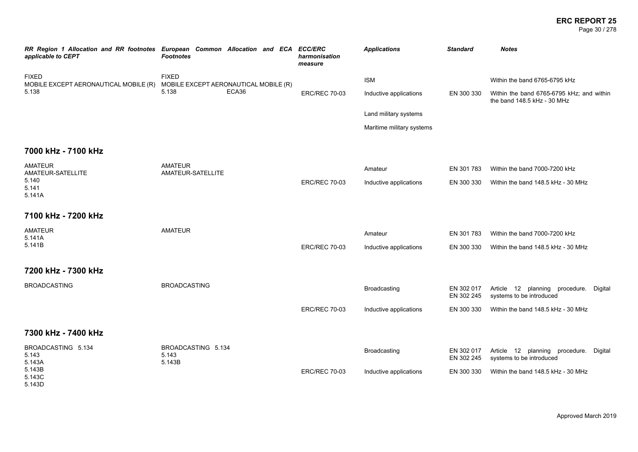Page 30 / 278

| applicable to CEPT                                    | RR Region 1 Allocation and RR footnotes European Common Allocation and ECA ECC/ERC<br><b>Footnotes</b> | harmonisation<br>measure | <b>Applications</b>       | <b>Standard</b>          | <b>Notes</b>                                                             |
|-------------------------------------------------------|--------------------------------------------------------------------------------------------------------|--------------------------|---------------------------|--------------------------|--------------------------------------------------------------------------|
| <b>FIXED</b><br>MOBILE EXCEPT AERONAUTICAL MOBILE (R) | <b>FIXED</b><br>MOBILE EXCEPT AERONAUTICAL MOBILE (R)                                                  |                          | <b>ISM</b>                |                          | Within the band 6765-6795 kHz                                            |
| 5.138                                                 | ECA36<br>5.138                                                                                         | <b>ERC/REC 70-03</b>     | Inductive applications    | EN 300 330               | Within the band 6765-6795 kHz; and within<br>the band 148.5 kHz - 30 MHz |
|                                                       |                                                                                                        |                          | Land military systems     |                          |                                                                          |
|                                                       |                                                                                                        |                          | Maritime military systems |                          |                                                                          |
| 7000 kHz - 7100 kHz                                   |                                                                                                        |                          |                           |                          |                                                                          |
| <b>AMATEUR</b><br>AMATEUR-SATELLITE                   | <b>AMATEUR</b><br>AMATEUR-SATELLITE                                                                    |                          | Amateur                   | EN 301 783               | Within the band 7000-7200 kHz                                            |
| 5.140<br>5.141<br>5.141A                              |                                                                                                        | <b>ERC/REC 70-03</b>     | Inductive applications    | EN 300 330               | Within the band 148.5 kHz - 30 MHz                                       |
| 7100 kHz - 7200 kHz                                   |                                                                                                        |                          |                           |                          |                                                                          |
| <b>AMATEUR</b><br>5.141A                              | <b>AMATEUR</b>                                                                                         |                          | Amateur                   | EN 301 783               | Within the band 7000-7200 kHz                                            |
| 5.141B                                                |                                                                                                        | <b>ERC/REC 70-03</b>     | Inductive applications    | EN 300 330               | Within the band 148.5 kHz - 30 MHz                                       |
| 7200 kHz - 7300 kHz                                   |                                                                                                        |                          |                           |                          |                                                                          |
| <b>BROADCASTING</b>                                   | <b>BROADCASTING</b>                                                                                    |                          | Broadcasting              | EN 302 017<br>EN 302 245 | Article 12 planning procedure.<br>Digital<br>systems to be introduced    |
|                                                       |                                                                                                        | <b>ERC/REC 70-03</b>     | Inductive applications    | EN 300 330               | Within the band 148.5 kHz - 30 MHz                                       |
| 7300 kHz - 7400 kHz                                   |                                                                                                        |                          |                           |                          |                                                                          |
| BROADCASTING 5.134<br>5.143<br>5.143A                 | BROADCASTING 5.134<br>5.143<br>5.143B                                                                  |                          | Broadcasting              | EN 302 017<br>EN 302 245 | Article 12 planning procedure.<br>Digital<br>systems to be introduced    |
| 5.143B<br>5.143C<br>5.143D                            |                                                                                                        | <b>ERC/REC 70-03</b>     | Inductive applications    | EN 300 330               | Within the band 148.5 kHz - 30 MHz                                       |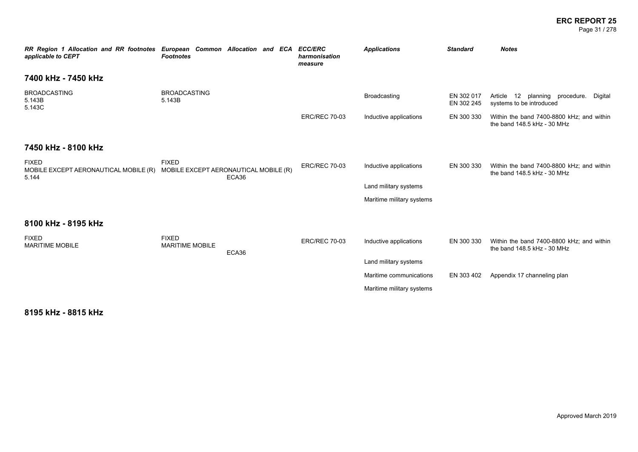#### **ERC REPORT 25** Page 31 / 278

*RR Region 1 Allocation and RR footnotes European Common Allocation and ECA ECC/ERC applicable to CEPT Footnotes harmonisation measure Applications Standard Notes* **7400 kHz - 7450 kHz** BROADCASTING 5.143B 5.143C BROADCASTING<br>5 143B 5.143B Broadcasting EN 302 017 EN 302 245 Article 12 planning procedure. Digital systems to be introduced ERC/REC 70-03 Inductive applications EN 300 330 Within the band 7400-8800 kHz; and within the band 148.5 kHz - 30 MHz **7450 kHz - 8100 kHz** FIXED MOBILE EXCEPT AERONAUTICAL MOBILE (R) MOBILE EXCEPT AERONAUTICAL MOBILE (R) 5.144 FIXED ECA36 ERC/REC 70-03 Inductive applications EN 300 330 Within the band 7400-8800 kHz; and within the band 148.5 kHz - 30 MHz Land military systems Maritime military systems **8100 kHz - 8195 kHz** FIXED MARITIME MOBILE FIXED MARITIME MOBILE ECA36 ERC/REC 70-03 Inductive applications EN 300 330 Within the band 7400-8800 kHz; and within the band 148.5 kHz - 30 MHz Land military systems Maritime communications EN 303 402 Appendix 17 channeling plan Maritime military systems

**8195 kHz - 8815 kHz**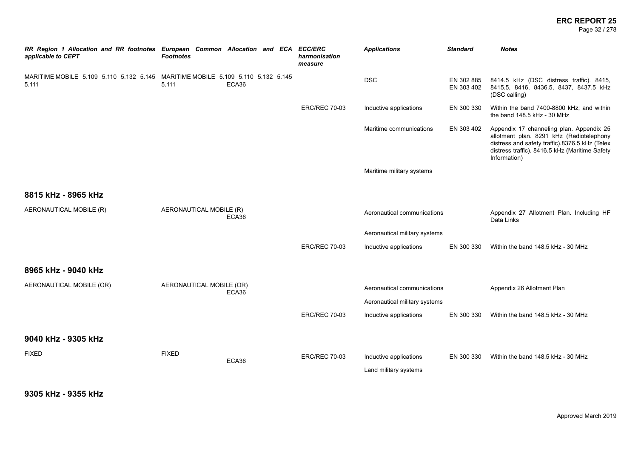Page 32 / 278

| RR Region 1 Allocation and RR footnotes European Common Allocation and ECA ECC/ERC<br>applicable to CEPT | <b>Footnotes</b>         |       | harmonisation<br>measure | <b>Applications</b>           | <b>Standard</b>          | <b>Notes</b>                                                                                                                                                                                             |
|----------------------------------------------------------------------------------------------------------|--------------------------|-------|--------------------------|-------------------------------|--------------------------|----------------------------------------------------------------------------------------------------------------------------------------------------------------------------------------------------------|
| MARITIME MOBILE 5.109 5.110 5.132 5.145 MARITIME MOBILE 5.109 5.110 5.132 5.145<br>5.111                 | 5.111                    | ECA36 |                          | <b>DSC</b>                    | EN 302 885<br>EN 303 402 | 8414.5 kHz (DSC distress traffic). 8415,<br>8415.5, 8416, 8436.5, 8437, 8437.5 kHz<br>(DSC calling)                                                                                                      |
|                                                                                                          |                          |       | <b>ERC/REC 70-03</b>     | Inductive applications        | EN 300 330               | Within the band 7400-8800 kHz; and within<br>the band 148.5 kHz - 30 MHz                                                                                                                                 |
|                                                                                                          |                          |       |                          | Maritime communications       | EN 303 402               | Appendix 17 channeling plan. Appendix 25<br>allotment plan. 8291 kHz (Radiotelephony<br>distress and safety traffic).8376.5 kHz (Telex<br>distress traffic). 8416.5 kHz (Maritime Safety<br>Information) |
|                                                                                                          |                          |       |                          | Maritime military systems     |                          |                                                                                                                                                                                                          |
| 8815 kHz - 8965 kHz                                                                                      |                          |       |                          |                               |                          |                                                                                                                                                                                                          |
| AERONAUTICAL MOBILE (R)                                                                                  | AERONAUTICAL MOBILE (R)  | ECA36 |                          | Aeronautical communications   |                          | Appendix 27 Allotment Plan. Including HF<br>Data Links                                                                                                                                                   |
|                                                                                                          |                          |       |                          | Aeronautical military systems |                          |                                                                                                                                                                                                          |
|                                                                                                          |                          |       | <b>ERC/REC 70-03</b>     | Inductive applications        | EN 300 330               | Within the band 148.5 kHz - 30 MHz                                                                                                                                                                       |
| 8965 kHz - 9040 kHz                                                                                      |                          |       |                          |                               |                          |                                                                                                                                                                                                          |
| AERONAUTICAL MOBILE (OR)                                                                                 | AERONAUTICAL MOBILE (OR) | ECA36 |                          | Aeronautical communications   |                          | Appendix 26 Allotment Plan                                                                                                                                                                               |
|                                                                                                          |                          |       |                          | Aeronautical military systems |                          |                                                                                                                                                                                                          |
|                                                                                                          |                          |       | <b>ERC/REC 70-03</b>     | Inductive applications        | EN 300 330               | Within the band 148.5 kHz - 30 MHz                                                                                                                                                                       |
| 9040 kHz - 9305 kHz                                                                                      |                          |       |                          |                               |                          |                                                                                                                                                                                                          |
| <b>FIXED</b>                                                                                             | <b>FIXED</b>             | ECA36 | <b>ERC/REC 70-03</b>     | Inductive applications        | EN 300 330               | Within the band 148.5 kHz - 30 MHz                                                                                                                                                                       |
|                                                                                                          |                          |       |                          | Land military systems         |                          |                                                                                                                                                                                                          |

**9305 kHz - 9355 kHz**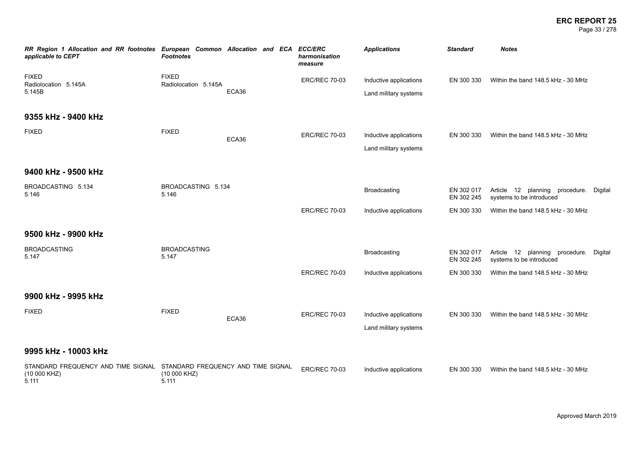### **ERC REPORT 25** Page 33 / 278

| RR Region 1 Allocation and RR footnotes European Common Allocation and ECA<br>applicable to CEPT | <b>Footnotes</b>                                            |       | <b>ECC/ERC</b><br>harmonisation<br>measure | <b>Applications</b>    | <b>Standard</b>          | <b>Notes</b>                                                       |  |
|--------------------------------------------------------------------------------------------------|-------------------------------------------------------------|-------|--------------------------------------------|------------------------|--------------------------|--------------------------------------------------------------------|--|
| <b>FIXED</b><br>Radiolocation 5.145A                                                             | <b>FIXED</b><br>Radiolocation 5.145A                        |       | <b>ERC/REC 70-03</b>                       | Inductive applications | EN 300 330               | Within the band 148.5 kHz - 30 MHz                                 |  |
| 5.145B                                                                                           |                                                             | ECA36 |                                            | Land military systems  |                          |                                                                    |  |
| 9355 kHz - 9400 kHz                                                                              |                                                             |       |                                            |                        |                          |                                                                    |  |
| <b>FIXED</b>                                                                                     | <b>FIXED</b>                                                | ECA36 | <b>ERC/REC 70-03</b>                       | Inductive applications | EN 300 330               | Within the band 148.5 kHz - 30 MHz                                 |  |
|                                                                                                  |                                                             |       |                                            | Land military systems  |                          |                                                                    |  |
| 9400 kHz - 9500 kHz                                                                              |                                                             |       |                                            |                        |                          |                                                                    |  |
| BROADCASTING 5.134<br>5.146                                                                      | BROADCASTING 5.134<br>5.146                                 |       |                                            | Broadcasting           | EN 302 017<br>EN 302 245 | Article 12 planning procedure. Digital<br>systems to be introduced |  |
|                                                                                                  |                                                             |       | <b>ERC/REC 70-03</b>                       | Inductive applications | EN 300 330               | Within the band 148.5 kHz - 30 MHz                                 |  |
| 9500 kHz - 9900 kHz                                                                              |                                                             |       |                                            |                        |                          |                                                                    |  |
| <b>BROADCASTING</b><br>5.147                                                                     | <b>BROADCASTING</b><br>5.147                                |       |                                            | Broadcasting           | EN 302 017<br>EN 302 245 | Article 12 planning procedure. Digital<br>systems to be introduced |  |
|                                                                                                  |                                                             |       | <b>ERC/REC 70-03</b>                       | Inductive applications | EN 300 330               | Within the band 148.5 kHz - 30 MHz                                 |  |
| 9900 kHz - 9995 kHz                                                                              |                                                             |       |                                            |                        |                          |                                                                    |  |
| <b>FIXED</b>                                                                                     | <b>FIXED</b>                                                | ECA36 | <b>ERC/REC 70-03</b>                       | Inductive applications | EN 300 330               | Within the band 148.5 kHz - 30 MHz                                 |  |
|                                                                                                  |                                                             |       |                                            | Land military systems  |                          |                                                                    |  |
| 9995 kHz - 10003 kHz                                                                             |                                                             |       |                                            |                        |                          |                                                                    |  |
| STANDARD FREQUENCY AND TIME SIGNAL<br>(10 000 KHZ)<br>5.111                                      | STANDARD FREQUENCY AND TIME SIGNAL<br>(10 000 KHZ)<br>5.111 |       | <b>ERC/REC 70-03</b>                       | Inductive applications | EN 300 330               | Within the band 148.5 kHz - 30 MHz                                 |  |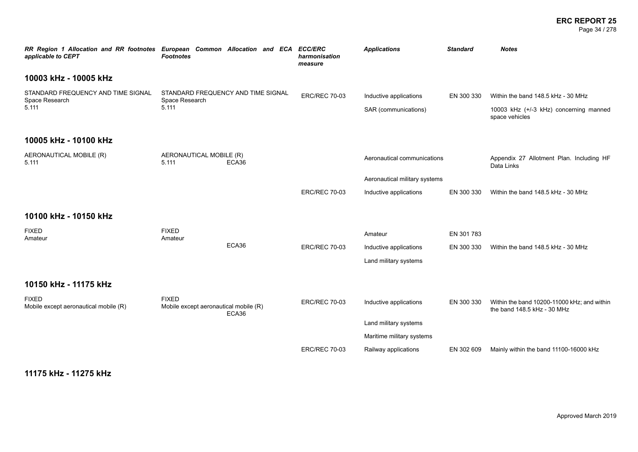### **ERC REPORT 25** Page 34 / 278

| RR Region 1 Allocation and RR footnotes European Common Allocation and ECA<br>applicable to CEPT | <b>Footnotes</b>                                      |                                    | <b>ECC/ERC</b><br>harmonisation<br>measure | <b>Applications</b>                            | <b>Standard</b> | <b>Notes</b>                                                                                   |
|--------------------------------------------------------------------------------------------------|-------------------------------------------------------|------------------------------------|--------------------------------------------|------------------------------------------------|-----------------|------------------------------------------------------------------------------------------------|
| 10003 kHz - 10005 kHz                                                                            |                                                       |                                    |                                            |                                                |                 |                                                                                                |
| STANDARD FREQUENCY AND TIME SIGNAL<br>Space Research<br>5.111                                    | Space Research<br>5.111                               | STANDARD FREQUENCY AND TIME SIGNAL | <b>ERC/REC 70-03</b>                       | Inductive applications<br>SAR (communications) | EN 300 330      | Within the band 148.5 kHz - 30 MHz<br>10003 kHz (+/-3 kHz) concerning manned<br>space vehicles |
| 10005 kHz - 10100 kHz                                                                            |                                                       |                                    |                                            |                                                |                 |                                                                                                |
| AERONAUTICAL MOBILE (R)<br>5.111                                                                 | AERONAUTICAL MOBILE (R)<br>5.111                      | ECA36                              |                                            | Aeronautical communications                    |                 | Appendix 27 Allotment Plan. Including HF<br>Data Links                                         |
|                                                                                                  |                                                       |                                    |                                            | Aeronautical military systems                  |                 |                                                                                                |
|                                                                                                  |                                                       |                                    | <b>ERC/REC 70-03</b>                       | Inductive applications                         | EN 300 330      | Within the band 148.5 kHz - 30 MHz                                                             |
| 10100 kHz - 10150 kHz                                                                            |                                                       |                                    |                                            |                                                |                 |                                                                                                |
| <b>FIXED</b><br>Amateur                                                                          | <b>FIXED</b><br>Amateur                               |                                    |                                            | Amateur                                        | EN 301 783      |                                                                                                |
|                                                                                                  |                                                       | ECA36                              | <b>ERC/REC 70-03</b>                       | Inductive applications                         | EN 300 330      | Within the band 148.5 kHz - 30 MHz                                                             |
|                                                                                                  |                                                       |                                    |                                            | Land military systems                          |                 |                                                                                                |
| 10150 kHz - 11175 kHz                                                                            |                                                       |                                    |                                            |                                                |                 |                                                                                                |
| <b>FIXED</b><br>Mobile except aeronautical mobile (R)                                            | <b>FIXED</b><br>Mobile except aeronautical mobile (R) | ECA36                              | <b>ERC/REC 70-03</b>                       | Inductive applications                         | EN 300 330      | Within the band 10200-11000 kHz; and within<br>the band 148.5 kHz - 30 MHz                     |
|                                                                                                  |                                                       |                                    |                                            | Land military systems                          |                 |                                                                                                |
|                                                                                                  |                                                       |                                    |                                            | Maritime military systems                      |                 |                                                                                                |
|                                                                                                  |                                                       |                                    | <b>ERC/REC 70-03</b>                       | Railway applications                           | EN 302 609      | Mainly within the band 11100-16000 kHz                                                         |

**11175 kHz - 11275 kHz**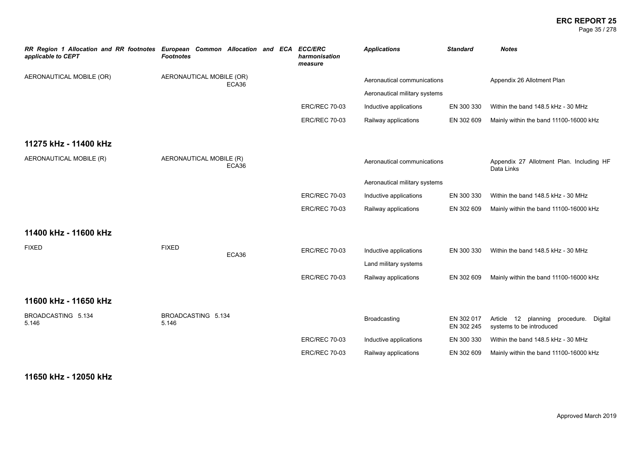### **ERC REPORT 25** Page 35 / 278

| RR Region 1 Allocation and RR footnotes European Common Allocation and ECA<br>applicable to CEPT | <b>Footnotes</b>            |       | <b>ECC/ERC</b><br>harmonisation<br>measure | <b>Applications</b>           | <b>Standard</b>          | <b>Notes</b>                                                       |
|--------------------------------------------------------------------------------------------------|-----------------------------|-------|--------------------------------------------|-------------------------------|--------------------------|--------------------------------------------------------------------|
| AERONAUTICAL MOBILE (OR)                                                                         | AERONAUTICAL MOBILE (OR)    | ECA36 |                                            | Aeronautical communications   |                          | Appendix 26 Allotment Plan                                         |
|                                                                                                  |                             |       |                                            | Aeronautical military systems |                          |                                                                    |
|                                                                                                  |                             |       | <b>ERC/REC 70-03</b>                       | Inductive applications        | EN 300 330               | Within the band 148.5 kHz - 30 MHz                                 |
|                                                                                                  |                             |       | <b>ERC/REC 70-03</b>                       | Railway applications          | EN 302 609               | Mainly within the band 11100-16000 kHz                             |
| 11275 kHz - 11400 kHz                                                                            |                             |       |                                            |                               |                          |                                                                    |
| AERONAUTICAL MOBILE (R)                                                                          | AERONAUTICAL MOBILE (R)     | ECA36 |                                            | Aeronautical communications   |                          | Appendix 27 Allotment Plan. Including HF<br>Data Links             |
|                                                                                                  |                             |       |                                            | Aeronautical military systems |                          |                                                                    |
|                                                                                                  |                             |       | <b>ERC/REC 70-03</b>                       | Inductive applications        | EN 300 330               | Within the band 148.5 kHz - 30 MHz                                 |
|                                                                                                  |                             |       | <b>ERC/REC 70-03</b>                       | Railway applications          | EN 302 609               | Mainly within the band 11100-16000 kHz                             |
| 11400 kHz - 11600 kHz                                                                            |                             |       |                                            |                               |                          |                                                                    |
| <b>FIXED</b>                                                                                     | <b>FIXED</b>                | ECA36 | <b>ERC/REC 70-03</b>                       | Inductive applications        | EN 300 330               | Within the band 148.5 kHz - 30 MHz                                 |
|                                                                                                  |                             |       |                                            | Land military systems         |                          |                                                                    |
|                                                                                                  |                             |       | <b>ERC/REC 70-03</b>                       | Railway applications          | EN 302 609               | Mainly within the band 11100-16000 kHz                             |
| 11600 kHz - 11650 kHz                                                                            |                             |       |                                            |                               |                          |                                                                    |
| BROADCASTING 5.134<br>5.146                                                                      | BROADCASTING 5.134<br>5.146 |       |                                            | Broadcasting                  | EN 302 017<br>EN 302 245 | Article 12 planning procedure. Digital<br>systems to be introduced |
|                                                                                                  |                             |       | <b>ERC/REC 70-03</b>                       | Inductive applications        | EN 300 330               | Within the band 148.5 kHz - 30 MHz                                 |
|                                                                                                  |                             |       | <b>ERC/REC 70-03</b>                       | Railway applications          | EN 302 609               | Mainly within the band 11100-16000 kHz                             |

# **11650 kHz - 12050 kHz**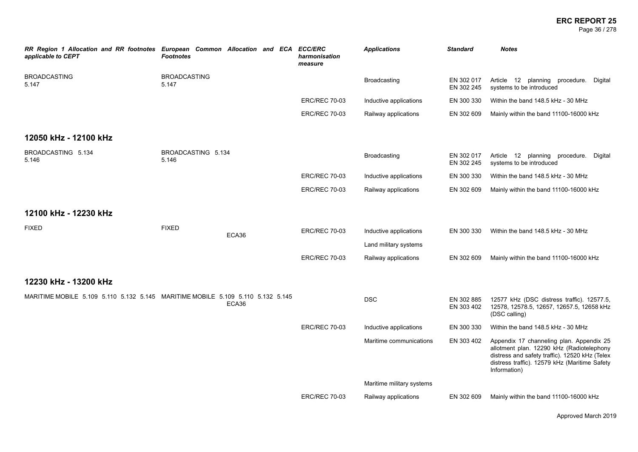Page 36 / 278

| RR Region 1 Allocation and RR footnotes European Common Allocation and ECA ECC/ERC<br>applicable to CEPT | <b>Footnotes</b>             |       | harmonisation<br>measure | <b>Applications</b>       | <b>Standard</b>          | <b>Notes</b>                                                                                                                                                                                             |
|----------------------------------------------------------------------------------------------------------|------------------------------|-------|--------------------------|---------------------------|--------------------------|----------------------------------------------------------------------------------------------------------------------------------------------------------------------------------------------------------|
| <b>BROADCASTING</b><br>5.147                                                                             | <b>BROADCASTING</b><br>5.147 |       |                          | Broadcasting              | EN 302 017<br>EN 302 245 | Article 12 planning procedure. Digital<br>systems to be introduced                                                                                                                                       |
|                                                                                                          |                              |       | <b>ERC/REC 70-03</b>     | Inductive applications    | EN 300 330               | Within the band 148.5 kHz - 30 MHz                                                                                                                                                                       |
|                                                                                                          |                              |       | <b>ERC/REC 70-03</b>     | Railway applications      | EN 302 609               | Mainly within the band 11100-16000 kHz                                                                                                                                                                   |
| 12050 kHz - 12100 kHz                                                                                    |                              |       |                          |                           |                          |                                                                                                                                                                                                          |
| BROADCASTING 5.134<br>5.146                                                                              | BROADCASTING 5.134<br>5.146  |       |                          | <b>Broadcasting</b>       | EN 302 017<br>EN 302 245 | Article 12 planning procedure. Digital<br>systems to be introduced                                                                                                                                       |
|                                                                                                          |                              |       | <b>ERC/REC 70-03</b>     | Inductive applications    | EN 300 330               | Within the band 148.5 kHz - 30 MHz                                                                                                                                                                       |
|                                                                                                          |                              |       | <b>ERC/REC 70-03</b>     | Railway applications      | EN 302 609               | Mainly within the band 11100-16000 kHz                                                                                                                                                                   |
| 12100 kHz - 12230 kHz                                                                                    |                              |       |                          |                           |                          |                                                                                                                                                                                                          |
| <b>FIXED</b>                                                                                             | <b>FIXED</b>                 | ECA36 | <b>ERC/REC 70-03</b>     | Inductive applications    | EN 300 330               | Within the band 148.5 kHz - 30 MHz                                                                                                                                                                       |
|                                                                                                          |                              |       |                          | Land military systems     |                          |                                                                                                                                                                                                          |
|                                                                                                          |                              |       | <b>ERC/REC 70-03</b>     | Railway applications      | EN 302 609               | Mainly within the band 11100-16000 kHz                                                                                                                                                                   |
| 12230 kHz - 13200 kHz                                                                                    |                              |       |                          |                           |                          |                                                                                                                                                                                                          |
| MARITIME MOBILE 5.109 5.110 5.132 5.145 MARITIME MOBILE 5.109 5.110 5.132 5.145                          |                              | ECA36 |                          | <b>DSC</b>                | EN 302 885<br>EN 303 402 | 12577 kHz (DSC distress traffic). 12577.5,<br>12578, 12578.5, 12657, 12657.5, 12658 kHz<br>(DSC calling)                                                                                                 |
|                                                                                                          |                              |       | <b>ERC/REC 70-03</b>     | Inductive applications    | EN 300 330               | Within the band 148.5 kHz - 30 MHz                                                                                                                                                                       |
|                                                                                                          |                              |       |                          | Maritime communications   | EN 303 402               | Appendix 17 channeling plan. Appendix 25<br>allotment plan. 12290 kHz (Radiotelephony<br>distress and safety traffic). 12520 kHz (Telex<br>distress traffic). 12579 kHz (Maritime Safety<br>Information) |
|                                                                                                          |                              |       |                          | Maritime military systems |                          |                                                                                                                                                                                                          |
|                                                                                                          |                              |       | <b>ERC/REC 70-03</b>     | Railway applications      | EN 302 609               | Mainly within the band 11100-16000 kHz                                                                                                                                                                   |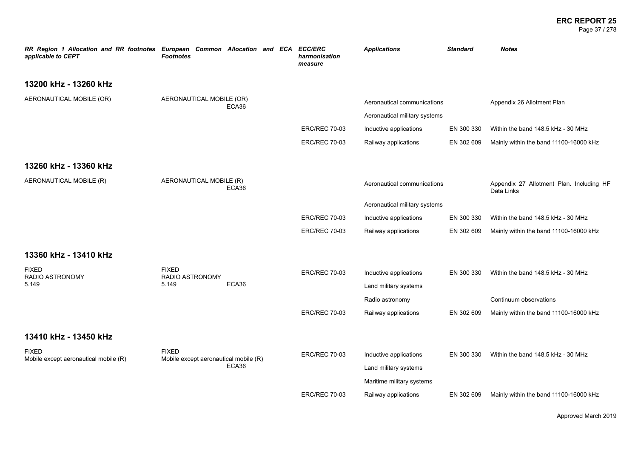#### **ERC REPORT 25** Page 37 / 278

| RR Region 1 Allocation and RR footnotes European Common Allocation and ECA<br>applicable to CEPT | <b>Footnotes</b>                       |       | <b>ECC/ERC</b><br>harmonisation<br>measure | <b>Applications</b>           | <b>Standard</b> | <b>Notes</b>                                           |
|--------------------------------------------------------------------------------------------------|----------------------------------------|-------|--------------------------------------------|-------------------------------|-----------------|--------------------------------------------------------|
| 13200 kHz - 13260 kHz                                                                            |                                        |       |                                            |                               |                 |                                                        |
| AERONAUTICAL MOBILE (OR)                                                                         | AERONAUTICAL MOBILE (OR)               | ECA36 |                                            | Aeronautical communications   |                 | Appendix 26 Allotment Plan                             |
|                                                                                                  |                                        |       |                                            | Aeronautical military systems |                 |                                                        |
|                                                                                                  |                                        |       | <b>ERC/REC 70-03</b>                       | Inductive applications        | EN 300 330      | Within the band 148.5 kHz - 30 MHz                     |
|                                                                                                  |                                        |       | <b>ERC/REC 70-03</b>                       | Railway applications          | EN 302 609      | Mainly within the band 11100-16000 kHz                 |
| 13260 kHz - 13360 kHz                                                                            |                                        |       |                                            |                               |                 |                                                        |
| AERONAUTICAL MOBILE (R)                                                                          | AERONAUTICAL MOBILE (R)                | ECA36 |                                            | Aeronautical communications   |                 | Appendix 27 Allotment Plan. Including HF<br>Data Links |
|                                                                                                  |                                        |       |                                            | Aeronautical military systems |                 |                                                        |
|                                                                                                  |                                        |       | <b>ERC/REC 70-03</b>                       | Inductive applications        | EN 300 330      | Within the band 148.5 kHz - 30 MHz                     |
|                                                                                                  |                                        |       | <b>ERC/REC 70-03</b>                       | Railway applications          | EN 302 609      | Mainly within the band 11100-16000 kHz                 |
| 13360 kHz - 13410 kHz                                                                            |                                        |       |                                            |                               |                 |                                                        |
| <b>FIXED</b><br>RADIO ASTRONOMY                                                                  | <b>FIXED</b><br><b>RADIO ASTRONOMY</b> |       | <b>ERC/REC 70-03</b>                       | Inductive applications        | EN 300 330      | Within the band 148.5 kHz - 30 MHz                     |
| 5.149                                                                                            | 5.149                                  | ECA36 |                                            | Land military systems         |                 |                                                        |
|                                                                                                  |                                        |       |                                            | Radio astronomy               |                 | Continuum observations                                 |
|                                                                                                  |                                        |       | <b>ERC/REC 70-03</b>                       | Railway applications          | EN 302 609      | Mainly within the band 11100-16000 kHz                 |
| 13410 kHz - 13450 kHz                                                                            |                                        |       |                                            |                               |                 |                                                        |
| <b>FIXED</b>                                                                                     | <b>FIXED</b>                           |       | <b>ERC/REC 70-03</b>                       | Inductive applications        | EN 300 330      | Within the band 148.5 kHz - 30 MHz                     |
| Mobile except aeronautical mobile (R)                                                            | Mobile except aeronautical mobile (R)  | ECA36 |                                            | Land military systems         |                 |                                                        |
|                                                                                                  |                                        |       |                                            | Maritime military systems     |                 |                                                        |
|                                                                                                  |                                        |       | <b>ERC/REC 70-03</b>                       | Railway applications          | EN 302 609      | Mainly within the band 11100-16000 kHz                 |

Approved March 2019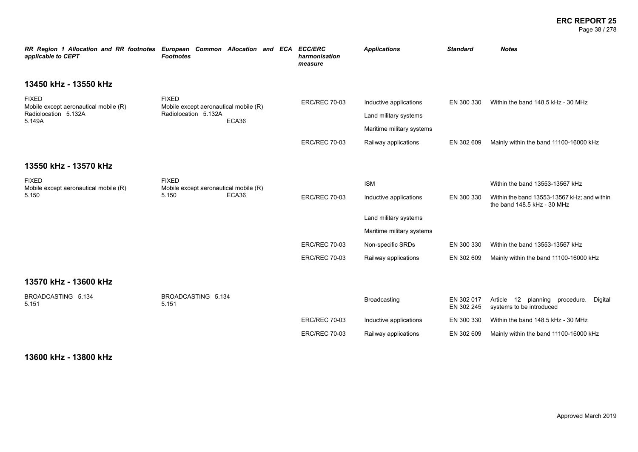#### **ERC REPORT 25** Page 38 / 278

| RR Region 1 Allocation and RR footnotes European Common Allocation and ECA<br>applicable to CEPT | <b>Footnotes</b>                                      |       |                      | <b>ECC/ERC</b><br>harmonisation<br>measure | <b>Applications</b>       | <b>Standard</b>                                                            | <b>Notes</b>                                                             |
|--------------------------------------------------------------------------------------------------|-------------------------------------------------------|-------|----------------------|--------------------------------------------|---------------------------|----------------------------------------------------------------------------|--------------------------------------------------------------------------|
| 13450 kHz - 13550 kHz                                                                            |                                                       |       |                      |                                            |                           |                                                                            |                                                                          |
| <b>FIXED</b><br>Mobile except aeronautical mobile (R)                                            | <b>FIXED</b><br>Mobile except aeronautical mobile (R) |       |                      | <b>ERC/REC 70-03</b>                       | Inductive applications    | EN 300 330                                                                 | Within the band 148.5 kHz - 30 MHz                                       |
| Radiolocation 5.132A<br>5.149A                                                                   | Radiolocation 5.132A                                  | ECA36 |                      | Land military systems                      |                           |                                                                            |                                                                          |
|                                                                                                  |                                                       |       |                      |                                            | Maritime military systems |                                                                            |                                                                          |
|                                                                                                  |                                                       |       |                      | <b>ERC/REC 70-03</b>                       | Railway applications      | EN 302 609                                                                 | Mainly within the band 11100-16000 kHz                                   |
| 13550 kHz - 13570 kHz                                                                            |                                                       |       |                      |                                            |                           |                                                                            |                                                                          |
| <b>FIXED</b><br>Mobile except aeronautical mobile (R)                                            | <b>FIXED</b><br>Mobile except aeronautical mobile (R) |       |                      |                                            | <b>ISM</b>                |                                                                            | Within the band 13553-13567 kHz                                          |
| 5.150                                                                                            | 5.150                                                 | ECA36 | <b>ERC/REC 70-03</b> | Inductive applications                     | EN 300 330                | Within the band 13553-13567 kHz; and within<br>the band 148.5 kHz - 30 MHz |                                                                          |
|                                                                                                  |                                                       |       |                      |                                            | Land military systems     |                                                                            |                                                                          |
|                                                                                                  |                                                       |       |                      |                                            | Maritime military systems |                                                                            |                                                                          |
|                                                                                                  |                                                       |       |                      | <b>ERC/REC 70-03</b>                       | Non-specific SRDs         | EN 300 330                                                                 | Within the band 13553-13567 kHz                                          |
|                                                                                                  |                                                       |       |                      | <b>ERC/REC 70-03</b>                       | Railway applications      | EN 302 609                                                                 | Mainly within the band 11100-16000 kHz                                   |
| 13570 kHz - 13600 kHz                                                                            |                                                       |       |                      |                                            |                           |                                                                            |                                                                          |
| BROADCASTING 5.134<br>5.151                                                                      | BROADCASTING 5.134<br>5.151                           |       |                      |                                            | Broadcasting              | EN 302 017<br>EN 302 245                                                   | Article 12<br>planning procedure.<br>Digital<br>systems to be introduced |
|                                                                                                  |                                                       |       |                      | <b>ERC/REC 70-03</b>                       | Inductive applications    | EN 300 330                                                                 | Within the band 148.5 kHz - 30 MHz                                       |
|                                                                                                  |                                                       |       |                      | <b>ERC/REC 70-03</b>                       | Railway applications      | EN 302 609                                                                 | Mainly within the band 11100-16000 kHz                                   |

**13600 kHz - 13800 kHz**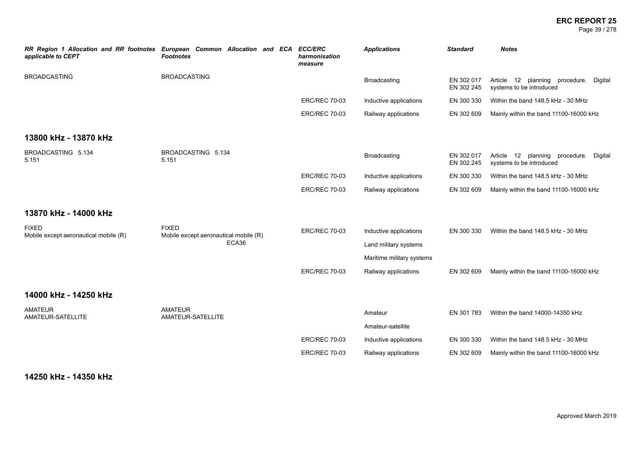Page 39 / 278

| RR Region 1 Allocation and RR footnotes European Common Allocation and ECA<br>applicable to CEPT | <b>Footnotes</b>                                      | <b>ECC/ERC</b><br>harmonisation<br>measure | <b>Applications</b>          | <b>Standard</b>          | <b>Notes</b>                                                             |
|--------------------------------------------------------------------------------------------------|-------------------------------------------------------|--------------------------------------------|------------------------------|--------------------------|--------------------------------------------------------------------------|
| <b>BROADCASTING</b>                                                                              | <b>BROADCASTING</b>                                   |                                            | Broadcasting                 | EN 302 017<br>EN 302 245 | 12 planning procedure.<br>Article<br>Digital<br>systems to be introduced |
|                                                                                                  |                                                       | <b>ERC/REC 70-03</b>                       | Inductive applications       | EN 300 330               | Within the band 148.5 kHz - 30 MHz                                       |
|                                                                                                  |                                                       | <b>ERC/REC 70-03</b>                       | Railway applications         | EN 302 609               | Mainly within the band 11100-16000 kHz                                   |
| 13800 kHz - 13870 kHz                                                                            |                                                       |                                            |                              |                          |                                                                          |
| BROADCASTING 5.134<br>5.151                                                                      | BROADCASTING 5.134<br>5.151                           |                                            | Broadcasting                 | EN 302 017<br>EN 302 245 | Article 12 planning procedure.<br>Digital<br>systems to be introduced    |
|                                                                                                  |                                                       | <b>ERC/REC 70-03</b>                       | Inductive applications       | EN 300 330               | Within the band 148.5 kHz - 30 MHz                                       |
|                                                                                                  |                                                       | <b>ERC/REC 70-03</b>                       | Railway applications         | EN 302 609               | Mainly within the band 11100-16000 kHz                                   |
| 13870 kHz - 14000 kHz                                                                            |                                                       |                                            |                              |                          |                                                                          |
| <b>FIXED</b><br>Mobile except aeronautical mobile (R)                                            | <b>FIXED</b><br>Mobile except aeronautical mobile (R) | <b>ERC/REC 70-03</b>                       | Inductive applications       | EN 300 330               | Within the band 148.5 kHz - 30 MHz                                       |
|                                                                                                  | ECA36                                                 |                                            | Land military systems        |                          |                                                                          |
|                                                                                                  |                                                       |                                            | Maritime military systems    |                          |                                                                          |
|                                                                                                  |                                                       | <b>ERC/REC 70-03</b>                       | Railway applications         | EN 302 609               | Mainly within the band 11100-16000 kHz                                   |
| 14000 kHz - 14250 kHz                                                                            |                                                       |                                            |                              |                          |                                                                          |
| <b>AMATEUR</b><br>AMATEUR-SATELLITE                                                              | <b>AMATEUR</b><br>AMATEUR-SATELLITE                   |                                            | Amateur<br>Amateur-satellite | EN 301 783               | Within the band 14000-14350 kHz                                          |
|                                                                                                  |                                                       | <b>ERC/REC 70-03</b>                       | Inductive applications       | EN 300 330               | Within the band 148.5 kHz - 30 MHz                                       |
|                                                                                                  |                                                       | <b>ERC/REC 70-03</b>                       | Railway applications         | EN 302 609               | Mainly within the band 11100-16000 kHz                                   |

**14250 kHz - 14350 kHz**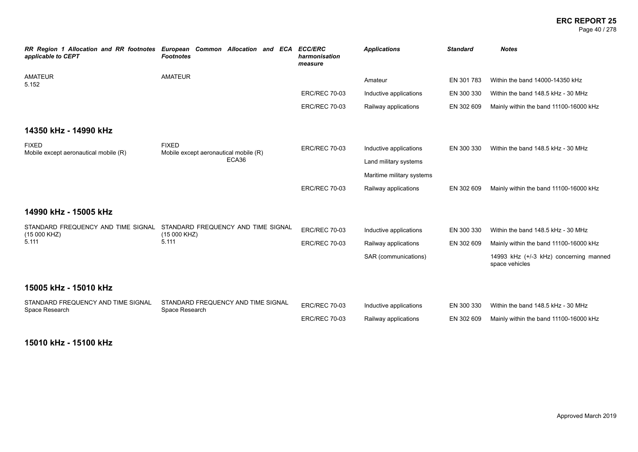#### **ERC REPORT 25** Page 40 / 278

| applicable to CEPT                                 | RR Region 1 Allocation and RR footnotes European Common Allocation and ECA<br><b>Footnotes</b> | <b>ECC/ERC</b><br>harmonisation<br>measure | <b>Applications</b>       | <b>Standard</b> | <b>Notes</b>                                             |
|----------------------------------------------------|------------------------------------------------------------------------------------------------|--------------------------------------------|---------------------------|-----------------|----------------------------------------------------------|
| <b>AMATEUR</b><br>5.152                            | <b>AMATEUR</b>                                                                                 |                                            | Amateur                   | EN 301 783      | Within the band 14000-14350 kHz                          |
|                                                    |                                                                                                | <b>ERC/REC 70-03</b>                       | Inductive applications    | EN 300 330      | Within the band 148.5 kHz - 30 MHz                       |
|                                                    |                                                                                                | <b>ERC/REC 70-03</b>                       | Railway applications      | EN 302 609      | Mainly within the band 11100-16000 kHz                   |
| 14350 kHz - 14990 kHz                              |                                                                                                |                                            |                           |                 |                                                          |
| <b>FIXED</b>                                       | <b>FIXED</b>                                                                                   | <b>ERC/REC 70-03</b>                       | Inductive applications    | EN 300 330      | Within the band 148.5 kHz - 30 MHz                       |
| Mobile except aeronautical mobile (R)              | Mobile except aeronautical mobile (R)<br>ECA36                                                 |                                            | Land military systems     |                 |                                                          |
|                                                    |                                                                                                |                                            | Maritime military systems |                 |                                                          |
|                                                    |                                                                                                | <b>ERC/REC 70-03</b>                       | Railway applications      | EN 302 609      | Mainly within the band 11100-16000 kHz                   |
| 14990 kHz - 15005 kHz                              |                                                                                                |                                            |                           |                 |                                                          |
| STANDARD FREQUENCY AND TIME SIGNAL<br>(15 000 KHZ) | STANDARD FREQUENCY AND TIME SIGNAL<br>(15 000 KHZ)                                             | <b>ERC/REC 70-03</b>                       | Inductive applications    | EN 300 330      | Within the band 148.5 kHz - 30 MHz                       |
| 5.111                                              | 5.111                                                                                          | <b>ERC/REC 70-03</b>                       | Railway applications      | EN 302 609      | Mainly within the band 11100-16000 kHz                   |
|                                                    |                                                                                                |                                            | SAR (communications)      |                 | 14993 kHz (+/-3 kHz) concerning manned<br>space vehicles |
| 15005 kHz - 15010 kHz                              |                                                                                                |                                            |                           |                 |                                                          |
| STANDARD FREQUENCY AND TIME SIGNAL                 | STANDARD FREQUENCY AND TIME SIGNAL                                                             | <b>ERC/REC 70-03</b>                       | Inductive applications    | EN 300 330      | Within the band 148.5 kHz - 30 MHz                       |
| Space Research                                     | Space Research                                                                                 | <b>ERC/REC 70-03</b>                       | Railway applications      | EN 302 609      | Mainly within the band 11100-16000 kHz                   |

**15010 kHz - 15100 kHz**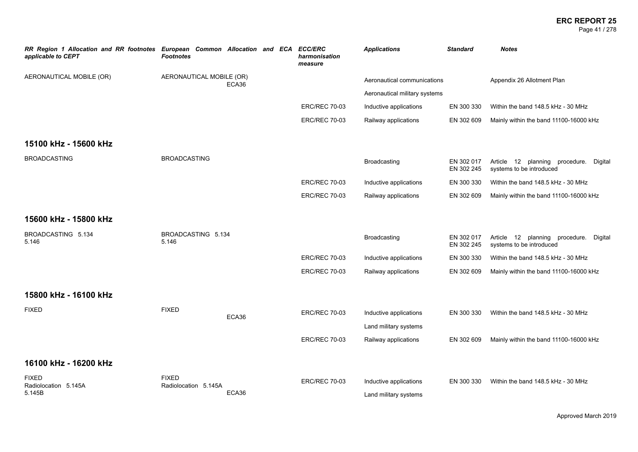#### **ERC REPORT 25** Page 41 / 278

| RR Region 1 Allocation and RR footnotes European Common Allocation and ECA ECC/ERC<br>applicable to CEPT | <b>Footnotes</b>                     |       | harmonisation<br>measure | <b>Applications</b>                             | <b>Standard</b>          | <b>Notes</b>                                                          |
|----------------------------------------------------------------------------------------------------------|--------------------------------------|-------|--------------------------|-------------------------------------------------|--------------------------|-----------------------------------------------------------------------|
| AERONAUTICAL MOBILE (OR)                                                                                 | AERONAUTICAL MOBILE (OR)             | ECA36 |                          | Aeronautical communications                     |                          | Appendix 26 Allotment Plan                                            |
|                                                                                                          |                                      |       |                          | Aeronautical military systems                   |                          |                                                                       |
|                                                                                                          |                                      |       | <b>ERC/REC 70-03</b>     | Inductive applications                          | EN 300 330               | Within the band 148.5 kHz - 30 MHz                                    |
|                                                                                                          |                                      |       | <b>ERC/REC 70-03</b>     | Railway applications                            | EN 302 609               | Mainly within the band 11100-16000 kHz                                |
| 15100 kHz - 15600 kHz                                                                                    |                                      |       |                          |                                                 |                          |                                                                       |
| <b>BROADCASTING</b>                                                                                      | <b>BROADCASTING</b>                  |       |                          | Broadcasting                                    | EN 302 017<br>EN 302 245 | Article 12 planning procedure. Digital<br>systems to be introduced    |
|                                                                                                          |                                      |       | <b>ERC/REC 70-03</b>     | Inductive applications                          | EN 300 330               | Within the band 148.5 kHz - 30 MHz                                    |
|                                                                                                          |                                      |       | <b>ERC/REC 70-03</b>     | Railway applications                            | EN 302 609               | Mainly within the band 11100-16000 kHz                                |
| 15600 kHz - 15800 kHz                                                                                    |                                      |       |                          |                                                 |                          |                                                                       |
| BROADCASTING 5.134<br>5.146                                                                              | BROADCASTING 5.134<br>5.146          |       |                          | Broadcasting                                    | EN 302 017<br>EN 302 245 | Article 12 planning procedure.<br>Digital<br>systems to be introduced |
|                                                                                                          |                                      |       | <b>ERC/REC 70-03</b>     | Inductive applications                          | EN 300 330               | Within the band 148.5 kHz - 30 MHz                                    |
|                                                                                                          |                                      |       | <b>ERC/REC 70-03</b>     | Railway applications                            | EN 302 609               | Mainly within the band 11100-16000 kHz                                |
| 15800 kHz - 16100 kHz                                                                                    |                                      |       |                          |                                                 |                          |                                                                       |
| <b>FIXED</b>                                                                                             | <b>FIXED</b>                         | ECA36 | <b>ERC/REC 70-03</b>     | Inductive applications                          | EN 300 330               | Within the band 148.5 kHz - 30 MHz                                    |
|                                                                                                          |                                      |       |                          | Land military systems                           |                          |                                                                       |
|                                                                                                          |                                      |       | <b>ERC/REC 70-03</b>     | Railway applications                            | EN 302 609               | Mainly within the band 11100-16000 kHz                                |
| 16100 kHz - 16200 kHz                                                                                    |                                      |       |                          |                                                 |                          |                                                                       |
| <b>FIXED</b><br>Radiolocation 5.145A<br>5.145B                                                           | <b>FIXED</b><br>Radiolocation 5.145A | ECA36 | <b>ERC/REC 70-03</b>     | Inductive applications<br>Land military systems | EN 300 330               | Within the band 148.5 kHz - 30 MHz                                    |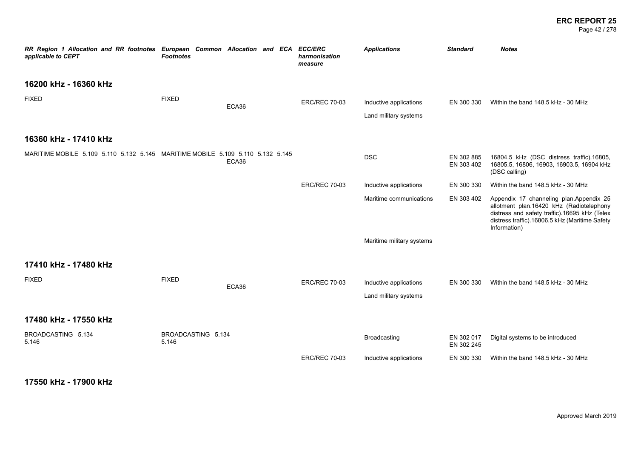#### **ERC REPORT 25** Page 42 / 278

| RR Region 1 Allocation and RR footnotes European Common Allocation and ECA ECC/ERC<br>applicable to CEPT | <b>Footnotes</b>            |       | harmonisation<br>measure | <b>Applications</b>                             | <b>Standard</b>          | <b>Notes</b>                                                                                                                                                                                           |
|----------------------------------------------------------------------------------------------------------|-----------------------------|-------|--------------------------|-------------------------------------------------|--------------------------|--------------------------------------------------------------------------------------------------------------------------------------------------------------------------------------------------------|
| 16200 kHz - 16360 kHz                                                                                    |                             |       |                          |                                                 |                          |                                                                                                                                                                                                        |
| <b>FIXED</b>                                                                                             | <b>FIXED</b>                | ECA36 | <b>ERC/REC 70-03</b>     | Inductive applications<br>Land military systems | EN 300 330               | Within the band 148.5 kHz - 30 MHz                                                                                                                                                                     |
| 16360 kHz - 17410 kHz                                                                                    |                             |       |                          |                                                 |                          |                                                                                                                                                                                                        |
| MARITIME MOBILE 5.109 5.110 5.132 5.145 MARITIME MOBILE 5.109 5.110 5.132 5.145                          |                             | ECA36 |                          | <b>DSC</b>                                      | EN 302 885<br>EN 303 402 | 16804.5 kHz (DSC distress traffic).16805,<br>16805.5, 16806, 16903, 16903.5, 16904 kHz<br>(DSC calling)                                                                                                |
|                                                                                                          |                             |       | <b>ERC/REC 70-03</b>     | Inductive applications                          | EN 300 330               | Within the band 148.5 kHz - 30 MHz                                                                                                                                                                     |
|                                                                                                          |                             |       |                          | Maritime communications                         | EN 303 402               | Appendix 17 channeling plan.Appendix 25<br>allotment plan.16420 kHz (Radiotelephony<br>distress and safety traffic).16695 kHz (Telex<br>distress traffic).16806.5 kHz (Maritime Safety<br>Information) |
|                                                                                                          |                             |       |                          | Maritime military systems                       |                          |                                                                                                                                                                                                        |
| 17410 kHz - 17480 kHz                                                                                    |                             |       |                          |                                                 |                          |                                                                                                                                                                                                        |
| <b>FIXED</b>                                                                                             | <b>FIXED</b>                | ECA36 | <b>ERC/REC 70-03</b>     | Inductive applications<br>Land military systems | EN 300 330               | Within the band 148.5 kHz - 30 MHz                                                                                                                                                                     |
| 17480 kHz - 17550 kHz                                                                                    |                             |       |                          |                                                 |                          |                                                                                                                                                                                                        |
| BROADCASTING 5.134<br>5.146                                                                              | BROADCASTING 5.134<br>5.146 |       |                          | Broadcasting                                    | EN 302 017<br>EN 302 245 | Digital systems to be introduced                                                                                                                                                                       |
|                                                                                                          |                             |       | <b>ERC/REC 70-03</b>     | Inductive applications                          | EN 300 330               | Within the band 148.5 kHz - 30 MHz                                                                                                                                                                     |

**17550 kHz - 17900 kHz**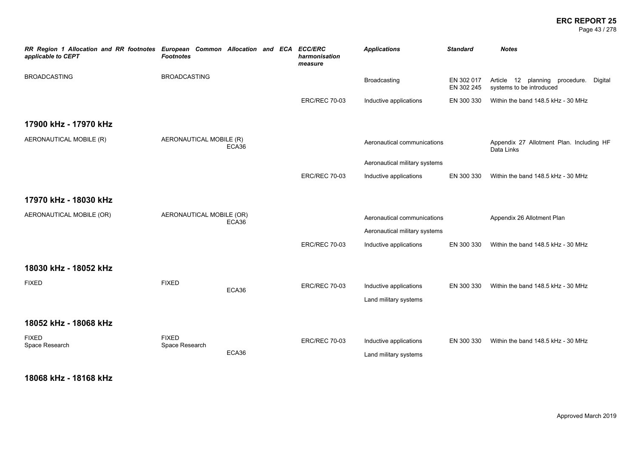Page 43 / 278

| RR Region 1 Allocation and RR footnotes European Common Allocation and ECA<br>applicable to CEPT | <b>Footnotes</b>         |       | <b>ECC/ERC</b><br>harmonisation<br>measure | <b>Applications</b>           | <b>Standard</b>          | <b>Notes</b>                                                          |
|--------------------------------------------------------------------------------------------------|--------------------------|-------|--------------------------------------------|-------------------------------|--------------------------|-----------------------------------------------------------------------|
| <b>BROADCASTING</b>                                                                              | <b>BROADCASTING</b>      |       |                                            | <b>Broadcasting</b>           | EN 302 017<br>EN 302 245 | Article 12 planning procedure.<br>Digital<br>systems to be introduced |
|                                                                                                  |                          |       | <b>ERC/REC 70-03</b>                       | Inductive applications        | EN 300 330               | Within the band 148.5 kHz - 30 MHz                                    |
| 17900 kHz - 17970 kHz                                                                            |                          |       |                                            |                               |                          |                                                                       |
| AERONAUTICAL MOBILE (R)                                                                          | AERONAUTICAL MOBILE (R)  | ECA36 |                                            | Aeronautical communications   |                          | Appendix 27 Allotment Plan. Including HF<br>Data Links                |
|                                                                                                  |                          |       |                                            | Aeronautical military systems |                          |                                                                       |
|                                                                                                  |                          |       | <b>ERC/REC 70-03</b>                       | Inductive applications        | EN 300 330               | Within the band 148.5 kHz - 30 MHz                                    |
| 17970 kHz - 18030 kHz                                                                            |                          |       |                                            |                               |                          |                                                                       |
| AERONAUTICAL MOBILE (OR)                                                                         | AERONAUTICAL MOBILE (OR) | ECA36 |                                            | Aeronautical communications   |                          | Appendix 26 Allotment Plan                                            |
|                                                                                                  |                          |       |                                            | Aeronautical military systems |                          |                                                                       |
|                                                                                                  |                          |       | <b>ERC/REC 70-03</b>                       | Inductive applications        | EN 300 330               | Within the band 148.5 kHz - 30 MHz                                    |
| 18030 kHz - 18052 kHz                                                                            |                          |       |                                            |                               |                          |                                                                       |
| <b>FIXED</b>                                                                                     | <b>FIXED</b>             | ECA36 | <b>ERC/REC 70-03</b>                       | Inductive applications        | EN 300 330               | Within the band 148.5 kHz - 30 MHz                                    |
|                                                                                                  |                          |       |                                            | Land military systems         |                          |                                                                       |
| 18052 kHz - 18068 kHz                                                                            |                          |       |                                            |                               |                          |                                                                       |
| <b>FIXED</b>                                                                                     | <b>FIXED</b>             |       | <b>ERC/REC 70-03</b>                       | Inductive applications        | EN 300 330               | Within the band 148.5 kHz - 30 MHz                                    |
| Space Research                                                                                   | Space Research           | ECA36 |                                            | Land military systems         |                          |                                                                       |
|                                                                                                  |                          |       |                                            |                               |                          |                                                                       |

**18068 kHz - 18168 kHz**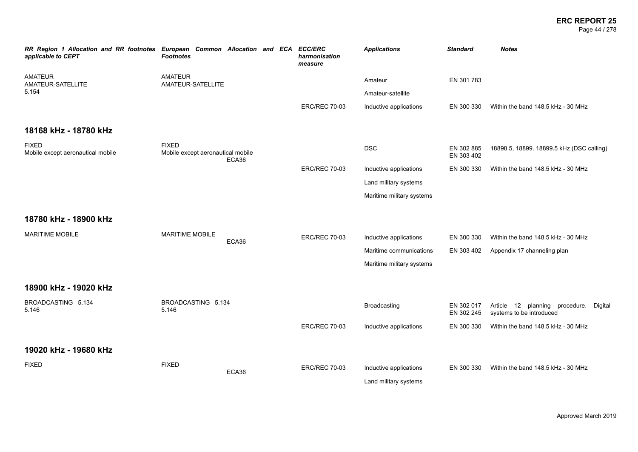Page 44 / 278

| RR Region 1 Allocation and RR footnotes European Common Allocation and ECA<br>applicable to CEPT | <b>Footnotes</b>                                  |       | <b>ECC/ERC</b><br>harmonisation<br>measure | <b>Applications</b>       | <b>Standard</b>          | <b>Notes</b>                                                       |
|--------------------------------------------------------------------------------------------------|---------------------------------------------------|-------|--------------------------------------------|---------------------------|--------------------------|--------------------------------------------------------------------|
| <b>AMATEUR</b><br>AMATEUR-SATELLITE                                                              | <b>AMATEUR</b><br>AMATEUR-SATELLITE               |       |                                            | Amateur                   | EN 301 783               |                                                                    |
| 5.154                                                                                            |                                                   |       |                                            | Amateur-satellite         |                          |                                                                    |
|                                                                                                  |                                                   |       | <b>ERC/REC 70-03</b>                       | Inductive applications    | EN 300 330               | Within the band 148.5 kHz - 30 MHz                                 |
| 18168 kHz - 18780 kHz                                                                            |                                                   |       |                                            |                           |                          |                                                                    |
| <b>FIXED</b><br>Mobile except aeronautical mobile                                                | <b>FIXED</b><br>Mobile except aeronautical mobile | ECA36 |                                            | <b>DSC</b>                | EN 302 885<br>EN 303 402 | 18898.5, 18899. 18899.5 kHz (DSC calling)                          |
|                                                                                                  |                                                   |       | <b>ERC/REC 70-03</b>                       | Inductive applications    | EN 300 330               | Within the band 148.5 kHz - 30 MHz                                 |
|                                                                                                  |                                                   |       |                                            | Land military systems     |                          |                                                                    |
|                                                                                                  |                                                   |       |                                            | Maritime military systems |                          |                                                                    |
| 18780 kHz - 18900 kHz                                                                            |                                                   |       |                                            |                           |                          |                                                                    |
| <b>MARITIME MOBILE</b>                                                                           | <b>MARITIME MOBILE</b>                            | ECA36 | <b>ERC/REC 70-03</b>                       | Inductive applications    | EN 300 330               | Within the band 148.5 kHz - 30 MHz                                 |
|                                                                                                  |                                                   |       |                                            | Maritime communications   | EN 303 402               | Appendix 17 channeling plan                                        |
|                                                                                                  |                                                   |       |                                            | Maritime military systems |                          |                                                                    |
| 18900 kHz - 19020 kHz                                                                            |                                                   |       |                                            |                           |                          |                                                                    |
| BROADCASTING 5.134<br>5.146                                                                      | BROADCASTING 5.134<br>5.146                       |       |                                            | Broadcasting              | EN 302 017<br>EN 302 245 | Article 12 planning procedure. Digital<br>systems to be introduced |
|                                                                                                  |                                                   |       | <b>ERC/REC 70-03</b>                       | Inductive applications    | EN 300 330               | Within the band 148.5 kHz - 30 MHz                                 |
| 19020 kHz - 19680 kHz                                                                            |                                                   |       |                                            |                           |                          |                                                                    |
| <b>FIXED</b>                                                                                     | <b>FIXED</b>                                      |       | <b>ERC/REC 70-03</b>                       | Inductive applications    | EN 300 330               | Within the band 148.5 kHz - 30 MHz                                 |
|                                                                                                  |                                                   | ECA36 |                                            | Land military systems     |                          |                                                                    |
|                                                                                                  |                                                   |       |                                            |                           |                          |                                                                    |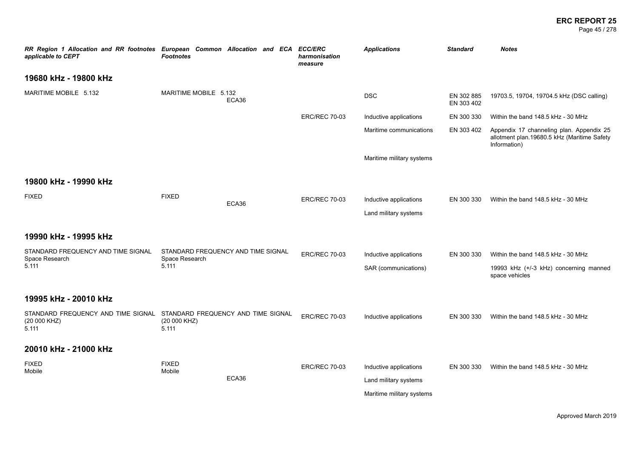#### **ERC REPORT 25** Page 45 / 278

*RR Region 1 Allocation and RR footnotes European Common Allocation and ECA ECC/ERC applicable to CEPT Footnotes harmonisation measure Applications Standard Notes* **19680 kHz - 19800 kHz** MARITIME MOBILE 5.132 MARITIME MOBILE 5.132 ECA36 DSC EN 302 885 EN 303 402 19703.5, 19704, 19704.5 kHz (DSC calling) ERC/REC 70-03 Inductive applications EN 300 330 Within the band 148.5 kHz - 30 MHz Maritime communications EN 303 402 Appendix 17 channeling plan. Appendix 25 allotment plan.19680.5 kHz (Maritime Safety Information) Maritime military systems **19800 kHz - 19990 kHz** FIXED FIXED ECA36 ERC/REC 70-03 Inductive applications EN 300 330 Within the band 148.5 kHz - 30 MHz Land military systems **19990 kHz - 19995 kHz** STANDARD FREQUENCY AND TIME SIGNAL Space Research 5.111 STANDARD FREQUENCY AND TIME SIGNAL Space Research 5.111 ERC/REC 70-03 Inductive applications EN 300 330 Within the band 148.5 kHz - 30 MHz SAR (communications) 19993 kHz (+/-3 kHz) concerning manned space vehicles **19995 kHz - 20010 kHz** STANDARD FREQUENCY AND TIME SIGNAL (20 000 KHZ) 5.111 STANDARD FREQUENCY AND TIME SIGNAL (20 000 KHZ) 5.111 ERC/REC 70-03 Inductive applications EN 300 330 Within the band 148.5 kHz - 30 MHz **20010 kHz - 21000 kHz** FIXED Mobile FIXED Mobile ECA36 ERC/REC 70-03 Inductive applications EN 300 330 Within the band 148.5 kHz - 30 MHz Land military systems Maritime military systems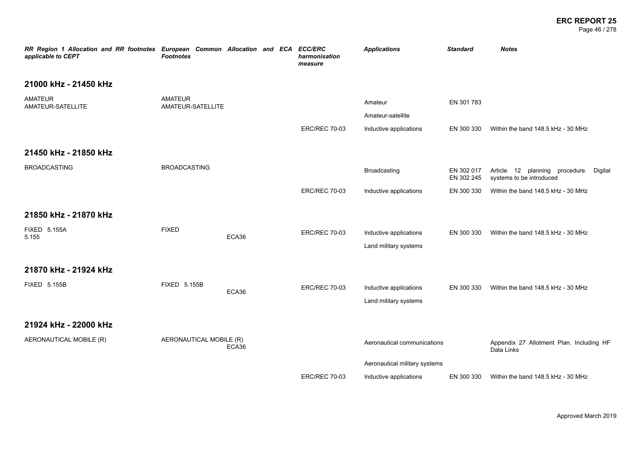Page 46 / 278

| RR Region 1 Allocation and RR footnotes European Common Allocation and ECA ECC/ERC<br>applicable to CEPT | <b>Footnotes</b>                    |       | harmonisation<br>measure | <b>Applications</b>           | <b>Standard</b>          | <b>Notes</b>                                                       |
|----------------------------------------------------------------------------------------------------------|-------------------------------------|-------|--------------------------|-------------------------------|--------------------------|--------------------------------------------------------------------|
| 21000 kHz - 21450 kHz                                                                                    |                                     |       |                          |                               |                          |                                                                    |
| AMATEUR<br>AMATEUR-SATELLITE                                                                             | <b>AMATEUR</b><br>AMATEUR-SATELLITE |       |                          | Amateur                       | EN 301 783               |                                                                    |
|                                                                                                          |                                     |       |                          | Amateur-satellite             |                          |                                                                    |
|                                                                                                          |                                     |       | <b>ERC/REC 70-03</b>     | Inductive applications        | EN 300 330               | Within the band 148.5 kHz - 30 MHz                                 |
| 21450 kHz - 21850 kHz                                                                                    |                                     |       |                          |                               |                          |                                                                    |
| <b>BROADCASTING</b>                                                                                      | <b>BROADCASTING</b>                 |       |                          | Broadcasting                  | EN 302 017<br>EN 302 245 | Article 12 planning procedure. Digital<br>systems to be introduced |
|                                                                                                          |                                     |       | <b>ERC/REC 70-03</b>     | Inductive applications        | EN 300 330               | Within the band 148.5 kHz - 30 MHz                                 |
| 21850 kHz - 21870 kHz                                                                                    |                                     |       |                          |                               |                          |                                                                    |
| <b>FIXED 5.155A</b><br>5.155                                                                             | <b>FIXED</b>                        | ECA36 | <b>ERC/REC 70-03</b>     | Inductive applications        | EN 300 330               | Within the band 148.5 kHz - 30 MHz                                 |
|                                                                                                          |                                     |       |                          | Land military systems         |                          |                                                                    |
| 21870 kHz - 21924 kHz                                                                                    |                                     |       |                          |                               |                          |                                                                    |
| FIXED 5.155B                                                                                             | FIXED 5.155B                        |       | <b>ERC/REC 70-03</b>     | Inductive applications        | EN 300 330               | Within the band 148.5 kHz - 30 MHz                                 |
|                                                                                                          |                                     | ECA36 |                          | Land military systems         |                          |                                                                    |
| 21924 kHz - 22000 kHz                                                                                    |                                     |       |                          |                               |                          |                                                                    |
| AERONAUTICAL MOBILE (R)                                                                                  | AERONAUTICAL MOBILE (R)             | ECA36 |                          | Aeronautical communications   |                          | Appendix 27 Allotment Plan. Including HF<br>Data Links             |
|                                                                                                          |                                     |       |                          | Aeronautical military systems |                          |                                                                    |
|                                                                                                          |                                     |       | <b>ERC/REC 70-03</b>     | Inductive applications        | EN 300 330               | Within the band 148.5 kHz - 30 MHz                                 |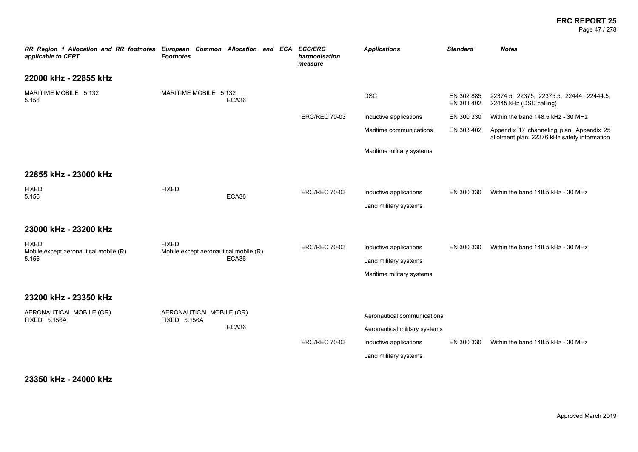Page 47 / 278

| RR Region 1 Allocation and RR footnotes European Common Allocation and ECA ECC/ERC<br>applicable to CEPT | <b>Footnotes</b>                                      |       | harmonisation<br>measure | <b>Applications</b>                                                                                             | <b>Standard</b>          | <b>Notes</b>                                                                             |
|----------------------------------------------------------------------------------------------------------|-------------------------------------------------------|-------|--------------------------|-----------------------------------------------------------------------------------------------------------------|--------------------------|------------------------------------------------------------------------------------------|
| 22000 kHz - 22855 kHz                                                                                    |                                                       |       |                          |                                                                                                                 |                          |                                                                                          |
| MARITIME MOBILE 5.132<br>5.156                                                                           | MARITIME MOBILE 5.132                                 | ECA36 |                          | <b>DSC</b>                                                                                                      | EN 302 885<br>EN 303 402 | 22374.5, 22375, 22375.5, 22444, 22444.5,<br>22445 kHz (DSC calling)                      |
|                                                                                                          |                                                       |       | <b>ERC/REC 70-03</b>     | Inductive applications                                                                                          | EN 300 330               | Within the band 148.5 kHz - 30 MHz                                                       |
|                                                                                                          |                                                       |       |                          | Maritime communications                                                                                         | EN 303 402               | Appendix 17 channeling plan. Appendix 25<br>allotment plan. 22376 kHz safety information |
|                                                                                                          |                                                       |       |                          | Maritime military systems                                                                                       |                          |                                                                                          |
| 22855 kHz - 23000 kHz                                                                                    |                                                       |       |                          |                                                                                                                 |                          |                                                                                          |
| <b>FIXED</b><br>5.156                                                                                    | <b>FIXED</b>                                          | ECA36 | <b>ERC/REC 70-03</b>     | Inductive applications<br>Land military systems                                                                 | EN 300 330               | Within the band 148.5 kHz - 30 MHz                                                       |
| 23000 kHz - 23200 kHz                                                                                    |                                                       |       |                          |                                                                                                                 |                          |                                                                                          |
| <b>FIXED</b><br>Mobile except aeronautical mobile (R)<br>5.156                                           | <b>FIXED</b><br>Mobile except aeronautical mobile (R) | ECA36 | <b>ERC/REC 70-03</b>     | Inductive applications<br>Land military systems<br>Maritime military systems                                    | EN 300 330               | Within the band 148.5 kHz - 30 MHz                                                       |
| 23200 kHz - 23350 kHz                                                                                    |                                                       |       |                          |                                                                                                                 |                          |                                                                                          |
| AERONAUTICAL MOBILE (OR)<br><b>FIXED 5.156A</b>                                                          | AERONAUTICAL MOBILE (OR)<br><b>FIXED 5.156A</b>       | ECA36 | <b>ERC/REC 70-03</b>     | Aeronautical communications<br>Aeronautical military systems<br>Inductive applications<br>Land military systems | EN 300 330               | Within the band 148.5 kHz - 30 MHz                                                       |

### **23350 kHz - 24000 kHz**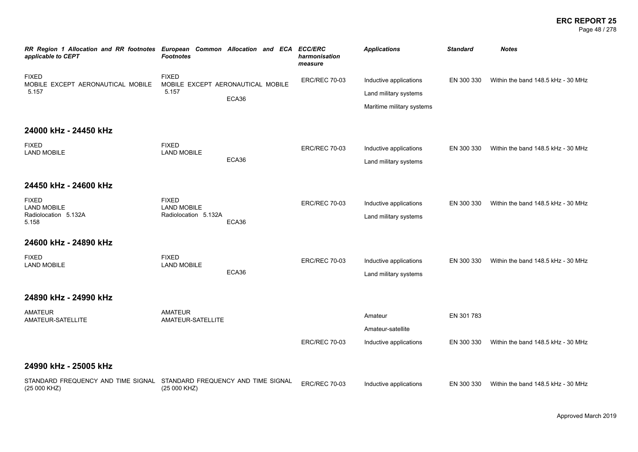#### **ERC REPORT 25** Page 48 / 278

| RR Region 1 Allocation and RR footnotes European Common Allocation and ECA ECC/ERC<br>applicable to CEPT | <b>Footnotes</b>                                           |                                            | harmonisation<br>measure | <b>Applications</b>                                                          | <b>Standard</b>          | <b>Notes</b>                       |
|----------------------------------------------------------------------------------------------------------|------------------------------------------------------------|--------------------------------------------|--------------------------|------------------------------------------------------------------------------|--------------------------|------------------------------------|
| <b>FIXED</b><br>MOBILE EXCEPT AERONAUTICAL MOBILE<br>5.157                                               | <b>FIXED</b><br>5.157                                      | MOBILE EXCEPT AERONAUTICAL MOBILE<br>ECA36 | <b>ERC/REC 70-03</b>     | Inductive applications<br>Land military systems<br>Maritime military systems | EN 300 330               | Within the band 148.5 kHz - 30 MHz |
| 24000 kHz - 24450 kHz                                                                                    |                                                            |                                            |                          |                                                                              |                          |                                    |
| <b>FIXED</b><br><b>LAND MOBILE</b>                                                                       | <b>FIXED</b><br><b>LAND MOBILE</b>                         | ECA36                                      | <b>ERC/REC 70-03</b>     | Inductive applications<br>Land military systems                              | EN 300 330               | Within the band 148.5 kHz - 30 MHz |
| 24450 kHz - 24600 kHz                                                                                    |                                                            |                                            |                          |                                                                              |                          |                                    |
| <b>FIXED</b><br><b>LAND MOBILE</b><br>Radiolocation 5.132A<br>5.158                                      | <b>FIXED</b><br><b>LAND MOBILE</b><br>Radiolocation 5.132A | ECA36                                      | <b>ERC/REC 70-03</b>     | Inductive applications<br>Land military systems                              | EN 300 330               | Within the band 148.5 kHz - 30 MHz |
| 24600 kHz - 24890 kHz                                                                                    |                                                            |                                            |                          |                                                                              |                          |                                    |
| <b>FIXED</b><br><b>LAND MOBILE</b>                                                                       | <b>FIXED</b><br><b>LAND MOBILE</b>                         | ECA36                                      | <b>ERC/REC 70-03</b>     | Inductive applications<br>Land military systems                              | EN 300 330               | Within the band 148.5 kHz - 30 MHz |
| 24890 kHz - 24990 kHz                                                                                    |                                                            |                                            |                          |                                                                              |                          |                                    |
| <b>AMATEUR</b><br>AMATEUR-SATELLITE                                                                      | <b>AMATEUR</b><br>AMATEUR-SATELLITE                        |                                            | <b>ERC/REC 70-03</b>     | Amateur<br>Amateur-satellite<br>Inductive applications                       | EN 301 783<br>EN 300 330 | Within the band 148.5 kHz - 30 MHz |
| 24990 kHz - 25005 kHz                                                                                    |                                                            |                                            |                          |                                                                              |                          |                                    |
| STANDARD FREQUENCY AND TIME SIGNAL STANDARD FREQUENCY AND TIME SIGNAL<br>(25 000 KHZ)                    | (25 000 KHZ)                                               |                                            | <b>ERC/REC 70-03</b>     | Inductive applications                                                       | EN 300 330               | Within the band 148.5 kHz - 30 MHz |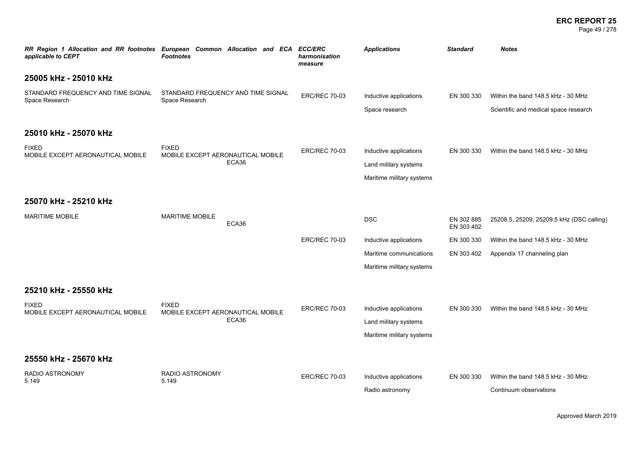#### **ERC REPORT 25** Page 49 / 278

| applicable to CEPT                                   | RR Region 1 Allocation and RR footnotes European Common Allocation and ECA ECC/ERC<br><b>Footnotes</b> | harmonisation<br>measure | <b>Applications</b>                                                          | <b>Standard</b>          | <b>Notes</b>                                                                |
|------------------------------------------------------|--------------------------------------------------------------------------------------------------------|--------------------------|------------------------------------------------------------------------------|--------------------------|-----------------------------------------------------------------------------|
| 25005 kHz - 25010 kHz                                |                                                                                                        |                          |                                                                              |                          |                                                                             |
| STANDARD FREQUENCY AND TIME SIGNAL<br>Space Research | STANDARD FREQUENCY AND TIME SIGNAL<br>Space Research                                                   | <b>ERC/REC 70-03</b>     | Inductive applications<br>Space research                                     | EN 300 330               | Within the band 148.5 kHz - 30 MHz<br>Scientific and medical space research |
| 25010 kHz - 25070 kHz                                |                                                                                                        |                          |                                                                              |                          |                                                                             |
| <b>FIXED</b><br>MOBILE EXCEPT AERONAUTICAL MOBILE    | <b>FIXED</b><br>MOBILE EXCEPT AERONAUTICAL MOBILE<br>ECA36                                             | <b>ERC/REC 70-03</b>     | Inductive applications<br>Land military systems<br>Maritime military systems | EN 300 330               | Within the band 148.5 kHz - 30 MHz                                          |
| 25070 kHz - 25210 kHz                                |                                                                                                        |                          |                                                                              |                          |                                                                             |
| <b>MARITIME MOBILE</b>                               | <b>MARITIME MOBILE</b><br>ECA36                                                                        |                          | <b>DSC</b>                                                                   | EN 302 885<br>EN 303 402 | 25208.5, 25209, 25209.5 kHz (DSC calling)                                   |
|                                                      |                                                                                                        | <b>ERC/REC 70-03</b>     | Inductive applications                                                       | EN 300 330               | Within the band 148.5 kHz - 30 MHz                                          |
|                                                      |                                                                                                        |                          | Maritime communications<br>Maritime military systems                         | EN 303 402               | Appendix 17 channeling plan                                                 |
| 25210 kHz - 25550 kHz                                |                                                                                                        |                          |                                                                              |                          |                                                                             |
| <b>FIXED</b><br>MOBILE EXCEPT AERONAUTICAL MOBILE    | <b>FIXED</b><br>MOBILE EXCEPT AERONAUTICAL MOBILE<br>ECA36                                             | <b>ERC/REC 70-03</b>     | Inductive applications<br>Land military systems<br>Maritime military systems | EN 300 330               | Within the band 148.5 kHz - 30 MHz                                          |
| 25550 kHz - 25670 kHz                                |                                                                                                        |                          |                                                                              |                          |                                                                             |
| RADIO ASTRONOMY<br>5.149                             | RADIO ASTRONOMY<br>5.149                                                                               | <b>ERC/REC 70-03</b>     | Inductive applications<br>Radio astronomy                                    | EN 300 330               | Within the band 148.5 kHz - 30 MHz<br>Continuum observations                |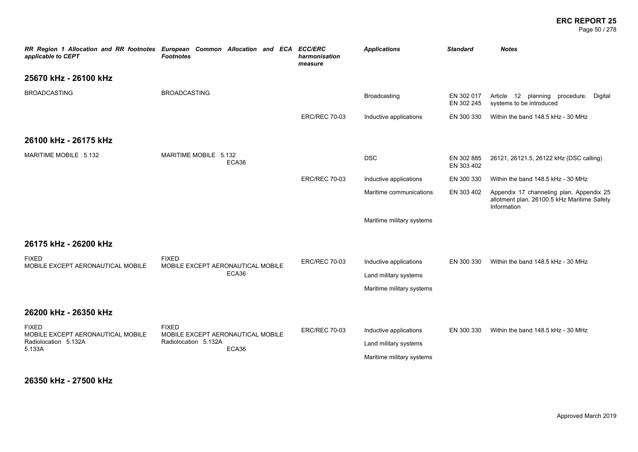#### **ERC REPORT 25** Page 50 / 278

*RR Region 1 Allocation and RR footnotes European Common Allocation and ECA ECC/ERC applicable to CEPT Footnotes harmonisation measure Applications Standard Notes* **25670 kHz - 26100 kHz** BROADCASTING BROADCASTING Broadcasting EN 302 017 EN 302 245 Article 12 planning procedure. Digital systems to be introduced ERC/REC 70-03 Inductive applications EN 300 330 Within the band 148.5 kHz - 30 MHz **26100 kHz - 26175 kHz** MARITIME MOBILE 5.132 MARITIME MOBILE 5.132 MARITIME MOBILE 5.132 المادية المستوى المستوى المستوى المستوى المستوى المستوى المستوى المستوى المستوى المستوى المستوى المستوى المستو<br>ECA36 المستوى المستوى المستوى المستوى المستوى المستوى المستوى المستوى المستوى المستوى المستوى المستوى المستوى<br> EN 303 402 26121, 26121.5, 26122 kHz (DSC calling) ERC/REC 70-03 Inductive applications EN 300 330 Within the band 148.5 kHz - 30 MHz Maritime communications EN 303 402 Appendix 17 channeling plan. Appendix 25 allotment plan. 26100.5 kHz Maritime Safety Information Maritime military systems **26175 kHz - 26200 kHz** FIXED MOBILE EXCEPT AERONAUTICAL MOBILE FIXED MOBILE EXCEPT AERONAUTICAL MOBILE ECA36 ERC/REC 70-03 Inductive applications EN 300 330 Within the band 148.5 kHz - 30 MHz Land military systems Maritime military systems **26200 kHz - 26350 kHz** FIXED MOBILE EXCEPT AERONAUTICAL MOBILE Radiolocation 5.132A 5.133A FIXED MOBILE EXCEPT AERONAUTICAL MOBILE Radiolocation 5.132A ECA36 ERC/REC 70-03 Inductive applications EN 300 330 Within the band 148.5 kHz - 30 MHz Land military systems Maritime military systems

**26350 kHz - 27500 kHz**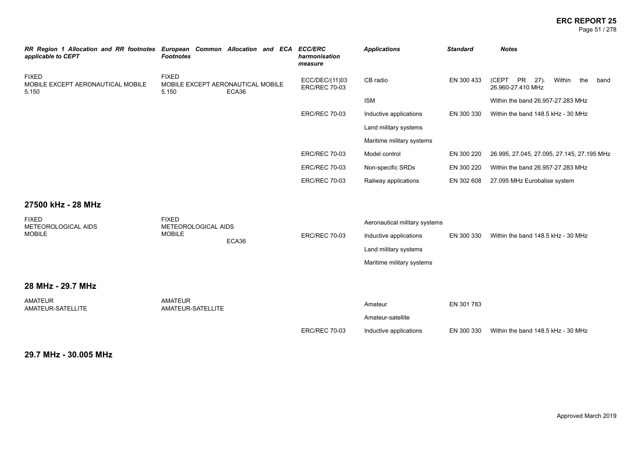Page 51 / 278

| RR Region 1 Allocation and RR footnotes European Common Allocation and ECA<br>applicable to CEPT | <b>Footnotes</b>                                           |       | <b>ECC/ERC</b><br>harmonisation<br>measure | <b>Applications</b>                                                                                           | <b>Standard</b> | <b>Notes</b>                                                |
|--------------------------------------------------------------------------------------------------|------------------------------------------------------------|-------|--------------------------------------------|---------------------------------------------------------------------------------------------------------------|-----------------|-------------------------------------------------------------|
| <b>FIXED</b><br>MOBILE EXCEPT AERONAUTICAL MOBILE<br>5.150                                       | <b>FIXED</b><br>MOBILE EXCEPT AERONAUTICAL MOBILE<br>5.150 | ECA36 | ECC/DEC/(11)03<br><b>ERC/REC 70-03</b>     | CB radio                                                                                                      | EN 300 433      | (CEPT PR 27).<br>Within<br>the<br>band<br>26.960-27.410 MHz |
|                                                                                                  |                                                            |       |                                            | <b>ISM</b>                                                                                                    |                 | Within the band 26.957-27.283 MHz                           |
|                                                                                                  |                                                            |       | <b>ERC/REC 70-03</b>                       | Inductive applications                                                                                        | EN 300 330      | Within the band 148.5 kHz - 30 MHz                          |
|                                                                                                  |                                                            |       |                                            | Land military systems                                                                                         |                 |                                                             |
|                                                                                                  |                                                            |       |                                            | Maritime military systems                                                                                     |                 |                                                             |
|                                                                                                  |                                                            |       | <b>ERC/REC 70-03</b>                       | Model control                                                                                                 | EN 300 220      | 26.995, 27.045, 27.095, 27.145, 27.195 MHz                  |
|                                                                                                  |                                                            |       | <b>ERC/REC 70-03</b>                       | Non-specific SRDs                                                                                             | EN 300 220      | Within the band 26.957-27.283 MHz                           |
|                                                                                                  |                                                            |       | <b>ERC/REC 70-03</b>                       | Railway applications                                                                                          | EN 302 608      | 27.095 MHz Eurobalise system                                |
| 27500 kHz - 28 MHz<br><b>FIXED</b><br>METEOROLOGICAL AIDS<br><b>MOBILE</b>                       | <b>FIXED</b><br>METEOROLOGICAL AIDS<br><b>MOBILE</b>       | ECA36 | <b>ERC/REC 70-03</b>                       | Aeronautical military systems<br>Inductive applications<br>Land military systems<br>Maritime military systems | EN 300 330      | Within the band 148.5 kHz - 30 MHz                          |
| 28 MHz - 29.7 MHz                                                                                |                                                            |       |                                            |                                                                                                               |                 |                                                             |
| <b>AMATEUR</b><br>AMATEUR-SATELLITE                                                              | <b>AMATEUR</b><br>AMATEUR-SATELLITE                        |       |                                            | Amateur<br>Amateur-satellite                                                                                  | EN 301 783      |                                                             |
|                                                                                                  |                                                            |       | <b>ERC/REC 70-03</b>                       | Inductive applications                                                                                        | EN 300 330      | Within the band 148.5 kHz - 30 MHz                          |

**29.7 MHz - 30.005 MHz**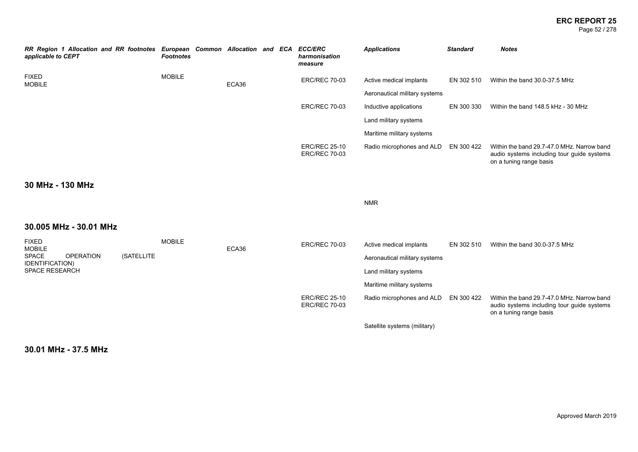#### **ERC REPORT 25** Page 52 / 278

| RR Region 1 Allocation and RR footnotes European Common Allocation and ECA<br>applicable to CEPT |            | <b>Footnotes</b> |       |  | <b>ECC/ERC</b><br>harmonisation<br>measure   | <b>Applications</b>           | <b>Standard</b> | <b>Notes</b>                                                                                                        |
|--------------------------------------------------------------------------------------------------|------------|------------------|-------|--|----------------------------------------------|-------------------------------|-----------------|---------------------------------------------------------------------------------------------------------------------|
| <b>FIXED</b><br><b>MOBILE</b>                                                                    |            | <b>MOBILE</b>    | ECA36 |  | <b>ERC/REC 70-03</b>                         | Active medical implants       | EN 302 510      | Within the band 30.0-37.5 MHz                                                                                       |
|                                                                                                  |            |                  |       |  |                                              | Aeronautical military systems |                 |                                                                                                                     |
|                                                                                                  |            |                  |       |  | <b>ERC/REC 70-03</b>                         | Inductive applications        | EN 300 330      | Within the band 148.5 kHz - 30 MHz                                                                                  |
|                                                                                                  |            |                  |       |  |                                              | Land military systems         |                 |                                                                                                                     |
|                                                                                                  |            |                  |       |  |                                              | Maritime military systems     |                 |                                                                                                                     |
|                                                                                                  |            |                  |       |  | <b>ERC/REC 25-10</b><br><b>ERC/REC 70-03</b> | Radio microphones and ALD     | EN 300 422      | Within the band 29.7-47.0 MHz. Narrow band<br>audio systems including tour guide systems<br>on a tuning range basis |
| 30 MHz - 130 MHz                                                                                 |            |                  |       |  |                                              |                               |                 |                                                                                                                     |
|                                                                                                  |            |                  |       |  |                                              | <b>NMR</b>                    |                 |                                                                                                                     |
| 30.005 MHz - 30.01 MHz                                                                           |            |                  |       |  |                                              |                               |                 |                                                                                                                     |
| <b>FIXED</b><br><b>MOBILE</b>                                                                    |            | <b>MOBILE</b>    | ECA36 |  | <b>ERC/REC 70-03</b>                         | Active medical implants       | EN 302 510      | Within the band 30.0-37.5 MHz                                                                                       |
| <b>SPACE</b><br><b>OPERATION</b><br>IDENTIFICATION)                                              | (SATELLITE |                  |       |  |                                              | Aeronautical military systems |                 |                                                                                                                     |
| <b>SPACE RESEARCH</b>                                                                            |            |                  |       |  |                                              | Land military systems         |                 |                                                                                                                     |
|                                                                                                  |            |                  |       |  |                                              | Maritime military systems     |                 |                                                                                                                     |
|                                                                                                  |            |                  |       |  | <b>ERC/REC 25-10</b><br><b>ERC/REC 70-03</b> | Radio microphones and ALD     | EN 300 422      | Within the band 29.7-47.0 MHz. Narrow band<br>audio systems including tour guide systems<br>on a tuning range basis |
|                                                                                                  |            |                  |       |  |                                              | Satellite systems (military)  |                 |                                                                                                                     |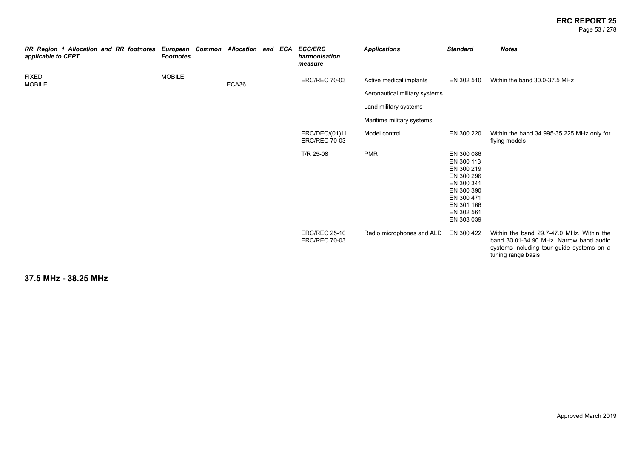#### **ERC REPORT 25** Page 53 / 278

| RR Region 1 Allocation and RR footnotes European Common Allocation and ECA ECC/ERC<br>applicable to CEPT | <b>Footnotes</b> |       |  | harmonisation<br>measure                     | <b>Applications</b>                                      | <b>Standard</b>                                                                                                                          | <b>Notes</b>                                                                                                                                            |
|----------------------------------------------------------------------------------------------------------|------------------|-------|--|----------------------------------------------|----------------------------------------------------------|------------------------------------------------------------------------------------------------------------------------------------------|---------------------------------------------------------------------------------------------------------------------------------------------------------|
| <b>FIXED</b><br><b>MOBILE</b>                                                                            | <b>MOBILE</b>    | ECA36 |  | <b>ERC/REC 70-03</b>                         | Active medical implants<br>Aeronautical military systems | EN 302 510                                                                                                                               | Within the band 30.0-37.5 MHz                                                                                                                           |
|                                                                                                          |                  |       |  |                                              | Land military systems                                    |                                                                                                                                          |                                                                                                                                                         |
|                                                                                                          |                  |       |  | ERC/DEC/(01)11<br><b>ERC/REC 70-03</b>       | Maritime military systems<br>Model control               | EN 300 220                                                                                                                               | Within the band 34.995-35.225 MHz only for<br>flying models                                                                                             |
|                                                                                                          |                  |       |  | T/R 25-08                                    | <b>PMR</b>                                               | EN 300 086<br>EN 300 113<br>EN 300 219<br>EN 300 296<br>EN 300 341<br>EN 300 390<br>EN 300 471<br>EN 301 166<br>EN 302 561<br>EN 303 039 |                                                                                                                                                         |
|                                                                                                          |                  |       |  | <b>ERC/REC 25-10</b><br><b>ERC/REC 70-03</b> | Radio microphones and ALD                                | EN 300 422                                                                                                                               | Within the band 29.7-47.0 MHz. Within the<br>band 30.01-34.90 MHz. Narrow band audio<br>systems including tour guide systems on a<br>tuning range basis |

**37.5 MHz - 38.25 MHz**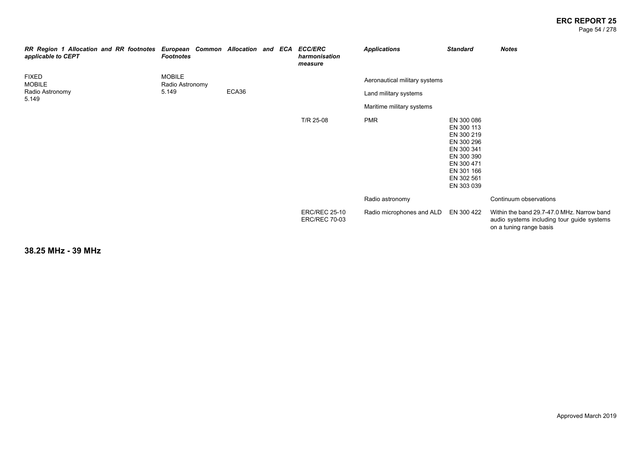#### **ERC REPORT 25** Page 54 / 278

| RR Region 1 Allocation and RR footnotes European Common Allocation and ECA<br>applicable to CEPT | <b>Footnotes</b>                 |       |  | <b>ECC/ERC</b><br>harmonisation<br>measure   | <b>Applications</b>           | <b>Standard</b>                                                                                                                          | <b>Notes</b>                                                                                                        |
|--------------------------------------------------------------------------------------------------|----------------------------------|-------|--|----------------------------------------------|-------------------------------|------------------------------------------------------------------------------------------------------------------------------------------|---------------------------------------------------------------------------------------------------------------------|
| <b>FIXED</b><br><b>MOBILE</b>                                                                    | <b>MOBILE</b><br>Radio Astronomy |       |  |                                              | Aeronautical military systems |                                                                                                                                          |                                                                                                                     |
| Radio Astronomy<br>5.149                                                                         | 5.149                            | ECA36 |  |                                              | Land military systems         |                                                                                                                                          |                                                                                                                     |
|                                                                                                  |                                  |       |  |                                              | Maritime military systems     |                                                                                                                                          |                                                                                                                     |
|                                                                                                  |                                  |       |  | T/R 25-08                                    | <b>PMR</b>                    | EN 300 086<br>EN 300 113<br>EN 300 219<br>EN 300 296<br>EN 300 341<br>EN 300 390<br>EN 300 471<br>EN 301 166<br>EN 302 561<br>EN 303 039 |                                                                                                                     |
|                                                                                                  |                                  |       |  |                                              | Radio astronomy               |                                                                                                                                          | Continuum observations                                                                                              |
|                                                                                                  |                                  |       |  | <b>ERC/REC 25-10</b><br><b>ERC/REC 70-03</b> | Radio microphones and ALD     | EN 300 422                                                                                                                               | Within the band 29.7-47.0 MHz. Narrow band<br>audio systems including tour guide systems<br>on a tuning range basis |

**38.25 MHz - 39 MHz**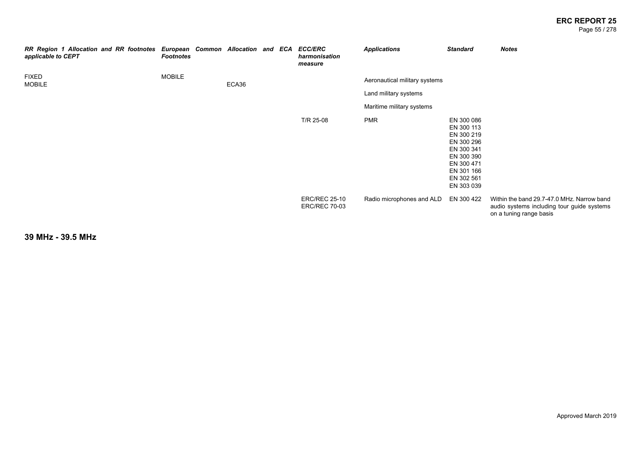#### **ERC REPORT 25** Page 55 / 278

| RR Region 1 Allocation and RR footnotes<br>applicable to CEPT | European Common Allocation and ECA<br><b>Footnotes</b> |       |  | <b>ECC/ERC</b><br>harmonisation<br>measure   | <b>Applications</b>                                                                 | <b>Standard</b>                                                                                                                          | <b>Notes</b>                                                                                                        |
|---------------------------------------------------------------|--------------------------------------------------------|-------|--|----------------------------------------------|-------------------------------------------------------------------------------------|------------------------------------------------------------------------------------------------------------------------------------------|---------------------------------------------------------------------------------------------------------------------|
| <b>FIXED</b><br><b>MOBILE</b>                                 | <b>MOBILE</b>                                          | ECA36 |  |                                              | Aeronautical military systems<br>Land military systems<br>Maritime military systems |                                                                                                                                          |                                                                                                                     |
|                                                               |                                                        |       |  | T/R 25-08                                    | <b>PMR</b>                                                                          | EN 300 086<br>EN 300 113<br>EN 300 219<br>EN 300 296<br>EN 300 341<br>EN 300 390<br>EN 300 471<br>EN 301 166<br>EN 302 561<br>EN 303 039 |                                                                                                                     |
|                                                               |                                                        |       |  | <b>ERC/REC 25-10</b><br><b>ERC/REC 70-03</b> | Radio microphones and ALD                                                           | EN 300 422                                                                                                                               | Within the band 29.7-47.0 MHz. Narrow band<br>audio systems including tour guide systems<br>on a tuning range basis |

**39 MHz - 39.5 MHz**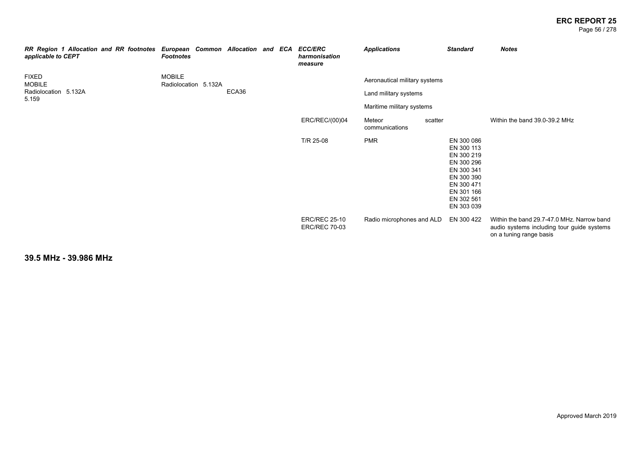#### **ERC REPORT 25** Page 56 / 278

| applicable to CEPT            | RR Region 1 Allocation and RR footnotes | European Common Allocation and ECA<br><b>Footnotes</b> |       |  | <b>ECC/ERC</b><br>harmonisation<br>measure   | <b>Applications</b>           |         | <b>Standard</b>                                                                                                                          | <b>Notes</b>                                                                                                        |
|-------------------------------|-----------------------------------------|--------------------------------------------------------|-------|--|----------------------------------------------|-------------------------------|---------|------------------------------------------------------------------------------------------------------------------------------------------|---------------------------------------------------------------------------------------------------------------------|
| <b>FIXED</b><br><b>MOBILE</b> |                                         | <b>MOBILE</b><br>Radiolocation 5.132A                  |       |  |                                              | Aeronautical military systems |         |                                                                                                                                          |                                                                                                                     |
| Radiolocation 5.132A<br>5.159 |                                         |                                                        | ECA36 |  |                                              | Land military systems         |         |                                                                                                                                          |                                                                                                                     |
|                               |                                         |                                                        |       |  |                                              | Maritime military systems     |         |                                                                                                                                          |                                                                                                                     |
|                               |                                         |                                                        |       |  | ERC/REC/(00)04                               | Meteor<br>communications      | scatter |                                                                                                                                          | Within the band 39.0-39.2 MHz                                                                                       |
|                               |                                         |                                                        |       |  | T/R 25-08                                    | <b>PMR</b>                    |         | EN 300 086<br>EN 300 113<br>EN 300 219<br>EN 300 296<br>EN 300 341<br>EN 300 390<br>EN 300 471<br>EN 301 166<br>EN 302 561<br>EN 303 039 |                                                                                                                     |
|                               |                                         |                                                        |       |  | <b>ERC/REC 25-10</b><br><b>ERC/REC 70-03</b> | Radio microphones and ALD     |         | EN 300 422                                                                                                                               | Within the band 29.7-47.0 MHz. Narrow band<br>audio systems including tour guide systems<br>on a tuning range basis |

**39.5 MHz - 39.986 MHz**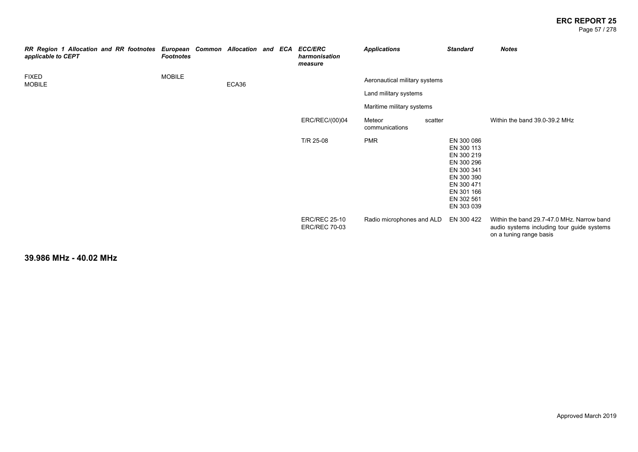#### **ERC REPORT 25** Page 57 / 278

| RR Region 1 Allocation and RR footnotes<br>applicable to CEPT | European Common Allocation and ECA ECC/ERC<br><b>Footnotes</b> |       |  | harmonisation<br>measure                     | <b>Applications</b>           |         | <b>Standard</b>                                                                                                                          | <b>Notes</b>                                                                                                        |
|---------------------------------------------------------------|----------------------------------------------------------------|-------|--|----------------------------------------------|-------------------------------|---------|------------------------------------------------------------------------------------------------------------------------------------------|---------------------------------------------------------------------------------------------------------------------|
| <b>FIXED</b><br><b>MOBILE</b>                                 | <b>MOBILE</b>                                                  | ECA36 |  |                                              | Aeronautical military systems |         |                                                                                                                                          |                                                                                                                     |
|                                                               |                                                                |       |  |                                              | Land military systems         |         |                                                                                                                                          |                                                                                                                     |
|                                                               |                                                                |       |  |                                              | Maritime military systems     |         |                                                                                                                                          |                                                                                                                     |
|                                                               |                                                                |       |  | ERC/REC/(00)04                               | Meteor<br>communications      | scatter |                                                                                                                                          | Within the band 39.0-39.2 MHz                                                                                       |
|                                                               |                                                                |       |  | T/R 25-08                                    | <b>PMR</b>                    |         | EN 300 086<br>EN 300 113<br>EN 300 219<br>EN 300 296<br>EN 300 341<br>EN 300 390<br>EN 300 471<br>EN 301 166<br>EN 302 561<br>EN 303 039 |                                                                                                                     |
|                                                               |                                                                |       |  | <b>ERC/REC 25-10</b><br><b>ERC/REC 70-03</b> | Radio microphones and ALD     |         | EN 300 422                                                                                                                               | Within the band 29.7-47.0 MHz. Narrow band<br>audio systems including tour guide systems<br>on a tuning range basis |

**39.986 MHz - 40.02 MHz**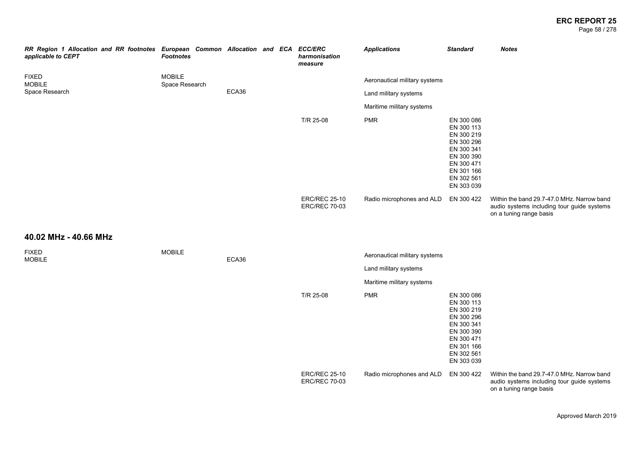#### **ERC REPORT 25** Page 58 / 278

| RR Region 1 Allocation and RR footnotes European Common Allocation and ECA ECC/ERC<br>applicable to CEPT | <b>Footnotes</b>                |       |  | harmonisation<br>measure                     | <b>Applications</b>           | <b>Standard</b>                                                                                                                          | <b>Notes</b>                                                                                                        |
|----------------------------------------------------------------------------------------------------------|---------------------------------|-------|--|----------------------------------------------|-------------------------------|------------------------------------------------------------------------------------------------------------------------------------------|---------------------------------------------------------------------------------------------------------------------|
| <b>FIXED</b><br><b>MOBILE</b>                                                                            | <b>MOBILE</b><br>Space Research |       |  |                                              | Aeronautical military systems |                                                                                                                                          |                                                                                                                     |
| Space Research                                                                                           |                                 | ECA36 |  |                                              | Land military systems         |                                                                                                                                          |                                                                                                                     |
|                                                                                                          |                                 |       |  |                                              | Maritime military systems     |                                                                                                                                          |                                                                                                                     |
|                                                                                                          |                                 |       |  | T/R 25-08                                    | <b>PMR</b>                    | EN 300 086<br>EN 300 113<br>EN 300 219<br>EN 300 296<br>EN 300 341<br>EN 300 390<br>EN 300 471<br>EN 301 166<br>EN 302 561<br>EN 303 039 |                                                                                                                     |
|                                                                                                          |                                 |       |  | <b>ERC/REC 25-10</b><br><b>ERC/REC 70-03</b> | Radio microphones and ALD     | EN 300 422                                                                                                                               | Within the band 29.7-47.0 MHz. Narrow band<br>audio systems including tour guide systems<br>on a tuning range basis |
| 40.02 MHz - 40.66 MHz                                                                                    |                                 |       |  |                                              |                               |                                                                                                                                          |                                                                                                                     |
| <b>FIXED</b>                                                                                             | <b>MOBILE</b>                   |       |  |                                              | Aeronautical military systems |                                                                                                                                          |                                                                                                                     |
| <b>MOBILE</b>                                                                                            |                                 | ECA36 |  |                                              | Land military systems         |                                                                                                                                          |                                                                                                                     |
|                                                                                                          |                                 |       |  |                                              | Maritime military systems     |                                                                                                                                          |                                                                                                                     |
|                                                                                                          |                                 |       |  | T/R 25-08                                    | <b>PMR</b>                    | EN 300 086<br>EN 300 113<br>EN 300 219<br>EN 300 296<br>EN 300 341<br>EN 300 390<br>EN 300 471<br>EN 301 166<br>EN 302 561<br>EN 303 039 |                                                                                                                     |
|                                                                                                          |                                 |       |  | <b>ERC/REC 25-10</b><br><b>ERC/REC 70-03</b> | Radio microphones and ALD     | EN 300 422                                                                                                                               | Within the band 29.7-47.0 MHz. Narrow band<br>audio systems including tour guide systems<br>on a tuning range basis |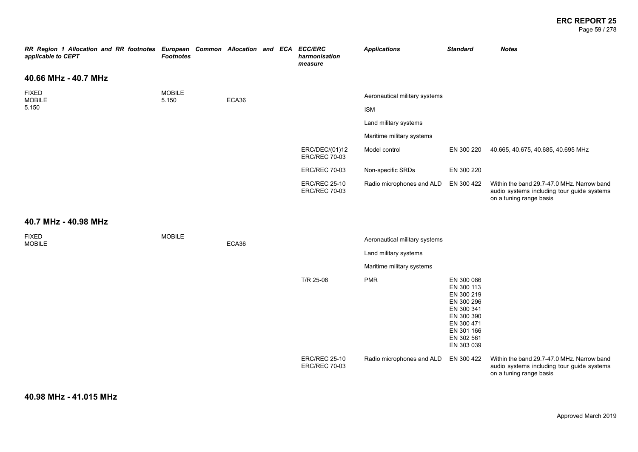#### **ERC REPORT 25** Page 59 / 278

| RR Region 1 Allocation and RR footnotes European Common Allocation and ECA ECC/ERC<br>applicable to CEPT | <b>Footnotes</b>       |       |  | harmonisation<br>measure                     | <b>Applications</b>           | <b>Standard</b>                                                                                                                          | <b>Notes</b>                                                                                                        |
|----------------------------------------------------------------------------------------------------------|------------------------|-------|--|----------------------------------------------|-------------------------------|------------------------------------------------------------------------------------------------------------------------------------------|---------------------------------------------------------------------------------------------------------------------|
| 40.66 MHz - 40.7 MHz                                                                                     |                        |       |  |                                              |                               |                                                                                                                                          |                                                                                                                     |
| <b>FIXED</b><br><b>MOBILE</b>                                                                            | <b>MOBILE</b><br>5.150 | ECA36 |  |                                              | Aeronautical military systems |                                                                                                                                          |                                                                                                                     |
| 5.150                                                                                                    |                        |       |  |                                              | <b>ISM</b>                    |                                                                                                                                          |                                                                                                                     |
|                                                                                                          |                        |       |  |                                              | Land military systems         |                                                                                                                                          |                                                                                                                     |
|                                                                                                          |                        |       |  |                                              | Maritime military systems     |                                                                                                                                          |                                                                                                                     |
|                                                                                                          |                        |       |  | ERC/DEC/(01)12<br><b>ERC/REC 70-03</b>       | Model control                 | EN 300 220                                                                                                                               | 40.665, 40.675, 40.685, 40.695 MHz                                                                                  |
|                                                                                                          |                        |       |  | <b>ERC/REC 70-03</b>                         | Non-specific SRDs             | EN 300 220                                                                                                                               |                                                                                                                     |
|                                                                                                          |                        |       |  | <b>ERC/REC 25-10</b><br><b>ERC/REC 70-03</b> | Radio microphones and ALD     | EN 300 422                                                                                                                               | Within the band 29.7-47.0 MHz. Narrow band<br>audio systems including tour guide systems<br>on a tuning range basis |
| 40.7 MHz - 40.98 MHz                                                                                     |                        |       |  |                                              |                               |                                                                                                                                          |                                                                                                                     |
| <b>FIXED</b><br><b>MOBILE</b>                                                                            | <b>MOBILE</b>          | ECA36 |  |                                              | Aeronautical military systems |                                                                                                                                          |                                                                                                                     |
|                                                                                                          |                        |       |  |                                              | Land military systems         |                                                                                                                                          |                                                                                                                     |
|                                                                                                          |                        |       |  |                                              | Maritime military systems     |                                                                                                                                          |                                                                                                                     |
|                                                                                                          |                        |       |  | T/R 25-08                                    | <b>PMR</b>                    | EN 300 086<br>EN 300 113<br>EN 300 219<br>EN 300 296<br>EN 300 341<br>EN 300 390<br>EN 300 471<br>EN 301 166<br>EN 302 561<br>EN 303 039 |                                                                                                                     |
|                                                                                                          |                        |       |  | <b>ERC/REC 25-10</b><br><b>ERC/REC 70-03</b> | Radio microphones and ALD     | EN 300 422                                                                                                                               | Within the band 29.7-47.0 MHz. Narrow band<br>audio systems including tour guide systems<br>on a tuning range basis |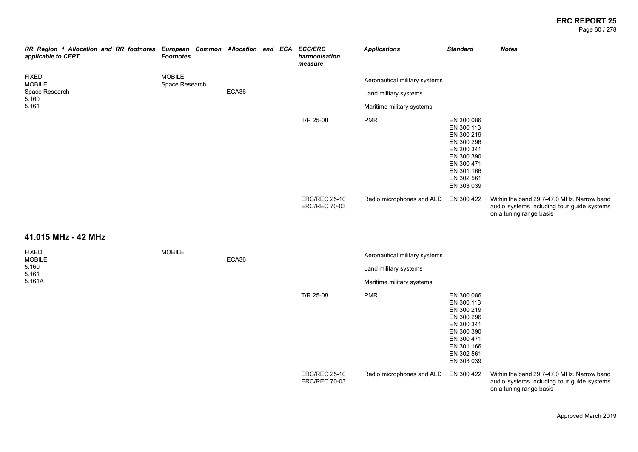#### **ERC REPORT 25** Page 60 / 278

| RR Region 1 Allocation and RR footnotes European Common Allocation and ECA ECC/ERC<br>applicable to CEPT | <b>Footnotes</b>                |       |  | harmonisation<br>measure                     | <b>Applications</b>                  | <b>Standard</b>                                                                                                                          | <b>Notes</b>                                                                                                        |
|----------------------------------------------------------------------------------------------------------|---------------------------------|-------|--|----------------------------------------------|--------------------------------------|------------------------------------------------------------------------------------------------------------------------------------------|---------------------------------------------------------------------------------------------------------------------|
| <b>FIXED</b><br><b>MOBILE</b>                                                                            | <b>MOBILE</b><br>Space Research |       |  |                                              | Aeronautical military systems        |                                                                                                                                          |                                                                                                                     |
| Space Research<br>5.160                                                                                  |                                 | ECA36 |  |                                              | Land military systems                |                                                                                                                                          |                                                                                                                     |
| 5.161                                                                                                    |                                 |       |  |                                              | Maritime military systems            |                                                                                                                                          |                                                                                                                     |
|                                                                                                          |                                 |       |  | T/R 25-08                                    | <b>PMR</b>                           | EN 300 086<br>EN 300 113<br>EN 300 219<br>EN 300 296<br>EN 300 341<br>EN 300 390<br>EN 300 471<br>EN 301 166<br>EN 302 561<br>EN 303 039 |                                                                                                                     |
|                                                                                                          |                                 |       |  | <b>ERC/REC 25-10</b><br><b>ERC/REC 70-03</b> | Radio microphones and ALD EN 300 422 |                                                                                                                                          | Within the band 29.7-47.0 MHz. Narrow band<br>audio systems including tour guide systems<br>on a tuning range basis |
| 41.015 MHz - 42 MHz                                                                                      |                                 |       |  |                                              |                                      |                                                                                                                                          |                                                                                                                     |
| <b>FIXED</b><br><b>MOBILE</b>                                                                            | <b>MOBILE</b>                   | ECA36 |  |                                              | Aeronautical military systems        |                                                                                                                                          |                                                                                                                     |
| 5.160<br>5.161                                                                                           |                                 |       |  |                                              | Land military systems                |                                                                                                                                          |                                                                                                                     |
| 5.161A                                                                                                   |                                 |       |  |                                              | Maritime military systems            |                                                                                                                                          |                                                                                                                     |
|                                                                                                          |                                 |       |  | T/R 25-08                                    | <b>PMR</b>                           | EN 300 086<br>EN 300 113<br>EN 300 219<br>EN 300 296<br>EN 300 341<br>EN 300 390<br>EN 300 471<br>EN 301 166<br>EN 302 561<br>EN 303 039 |                                                                                                                     |
|                                                                                                          |                                 |       |  | <b>ERC/REC 25-10</b><br><b>ERC/REC 70-03</b> | Radio microphones and ALD EN 300 422 |                                                                                                                                          | Within the band 29.7-47.0 MHz. Narrow band<br>audio systems including tour guide systems<br>on a tuning range basis |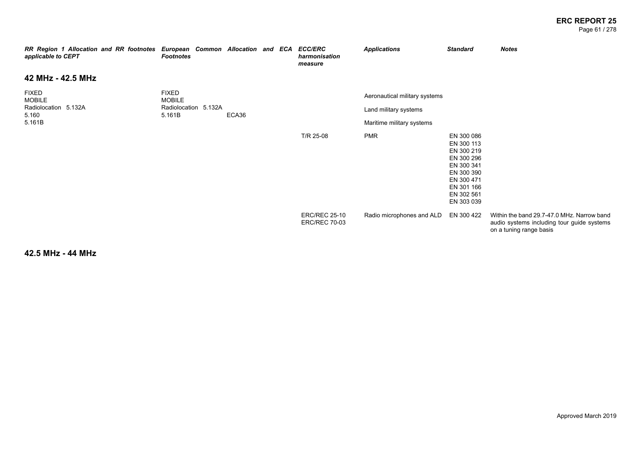#### **ERC REPORT 25** Page 61 / 278

| RR Region 1 Allocation and RR footnotes European Common Allocation and ECA<br>applicable to CEPT | <b>Footnotes</b>               |       |  | <b>ECC/ERC</b><br>harmonisation<br>measure   | <b>Applications</b>           | <b>Standard</b>                                                                                                                          | <b>Notes</b>                                                                                                        |
|--------------------------------------------------------------------------------------------------|--------------------------------|-------|--|----------------------------------------------|-------------------------------|------------------------------------------------------------------------------------------------------------------------------------------|---------------------------------------------------------------------------------------------------------------------|
| 42 MHz - 42.5 MHz                                                                                |                                |       |  |                                              |                               |                                                                                                                                          |                                                                                                                     |
| <b>FIXED</b><br><b>MOBILE</b>                                                                    | <b>FIXED</b><br><b>MOBILE</b>  |       |  |                                              | Aeronautical military systems |                                                                                                                                          |                                                                                                                     |
| Radiolocation 5.132A<br>5.160                                                                    | Radiolocation 5.132A<br>5.161B | ECA36 |  |                                              | Land military systems         |                                                                                                                                          |                                                                                                                     |
| 5.161B                                                                                           |                                |       |  |                                              | Maritime military systems     |                                                                                                                                          |                                                                                                                     |
|                                                                                                  |                                |       |  | T/R 25-08                                    | <b>PMR</b>                    | EN 300 086<br>EN 300 113<br>EN 300 219<br>EN 300 296<br>EN 300 341<br>EN 300 390<br>EN 300 471<br>EN 301 166<br>EN 302 561<br>EN 303 039 |                                                                                                                     |
|                                                                                                  |                                |       |  | <b>ERC/REC 25-10</b><br><b>ERC/REC 70-03</b> | Radio microphones and ALD     | EN 300 422                                                                                                                               | Within the band 29.7-47.0 MHz. Narrow band<br>audio systems including tour guide systems<br>on a tuning range basis |

**42.5 MHz - 44 MHz**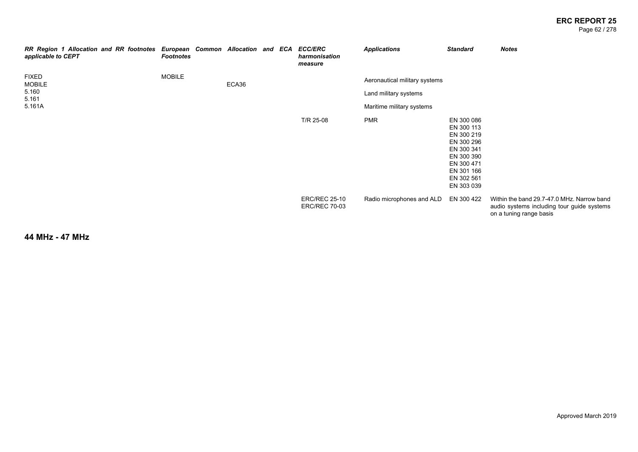#### **ERC REPORT 25** Page 62 / 278

| RR Region 1 Allocation and RR footnotes European Common Allocation and ECA<br>applicable to CEPT | <b>Footnotes</b> |       |  | <b>ECC/ERC</b><br>harmonisation<br>measure   | <b>Applications</b>                                                                 | <b>Standard</b>                                                                                                                          | <b>Notes</b>                                                                                                        |
|--------------------------------------------------------------------------------------------------|------------------|-------|--|----------------------------------------------|-------------------------------------------------------------------------------------|------------------------------------------------------------------------------------------------------------------------------------------|---------------------------------------------------------------------------------------------------------------------|
| <b>FIXED</b><br><b>MOBILE</b><br>5.160<br>5.161<br>5.161A                                        | <b>MOBILE</b>    | ECA36 |  |                                              | Aeronautical military systems<br>Land military systems<br>Maritime military systems |                                                                                                                                          |                                                                                                                     |
|                                                                                                  |                  |       |  | T/R 25-08                                    | <b>PMR</b>                                                                          | EN 300 086<br>EN 300 113<br>EN 300 219<br>EN 300 296<br>EN 300 341<br>EN 300 390<br>EN 300 471<br>EN 301 166<br>EN 302 561<br>EN 303 039 |                                                                                                                     |
|                                                                                                  |                  |       |  | <b>ERC/REC 25-10</b><br><b>ERC/REC 70-03</b> | Radio microphones and ALD                                                           | EN 300 422                                                                                                                               | Within the band 29.7-47.0 MHz. Narrow band<br>audio systems including tour guide systems<br>on a tuning range basis |

**44 MHz - 47 MHz**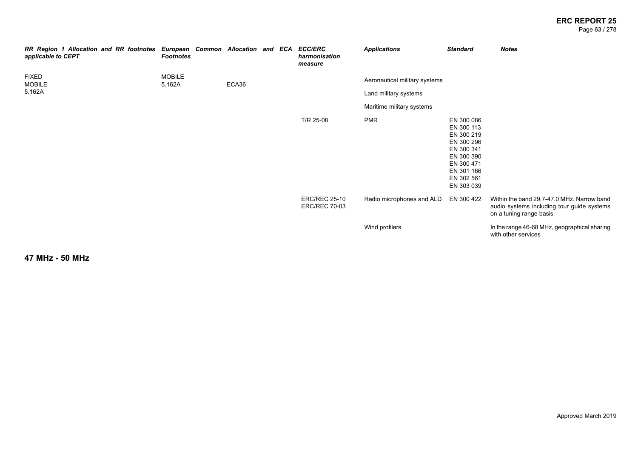#### **ERC REPORT 25** Page 63 / 278

| RR Region 1 Allocation and RR footnotes European Common Allocation and ECA ECC/ERC<br>applicable to CEPT | <b>Footnotes</b>        |       |  | harmonisation<br>measure                     | <b>Applications</b>           | <b>Standard</b>                                                                                                                          | <b>Notes</b>                                                                                                        |
|----------------------------------------------------------------------------------------------------------|-------------------------|-------|--|----------------------------------------------|-------------------------------|------------------------------------------------------------------------------------------------------------------------------------------|---------------------------------------------------------------------------------------------------------------------|
| FIXED<br><b>MOBILE</b>                                                                                   | <b>MOBILE</b><br>5.162A | ECA36 |  |                                              | Aeronautical military systems |                                                                                                                                          |                                                                                                                     |
| 5.162A                                                                                                   |                         |       |  |                                              | Land military systems         |                                                                                                                                          |                                                                                                                     |
|                                                                                                          |                         |       |  |                                              | Maritime military systems     |                                                                                                                                          |                                                                                                                     |
|                                                                                                          |                         |       |  | T/R 25-08                                    | <b>PMR</b>                    | EN 300 086<br>EN 300 113<br>EN 300 219<br>EN 300 296<br>EN 300 341<br>EN 300 390<br>EN 300 471<br>EN 301 166<br>EN 302 561<br>EN 303 039 |                                                                                                                     |
|                                                                                                          |                         |       |  | <b>ERC/REC 25-10</b><br><b>ERC/REC 70-03</b> | Radio microphones and ALD     | EN 300 422                                                                                                                               | Within the band 29.7-47.0 MHz. Narrow band<br>audio systems including tour guide systems<br>on a tuning range basis |
|                                                                                                          |                         |       |  |                                              | Wind profilers                |                                                                                                                                          | In the range 46-68 MHz, geographical sharing<br>with other services                                                 |

**47 MHz - 50 MHz**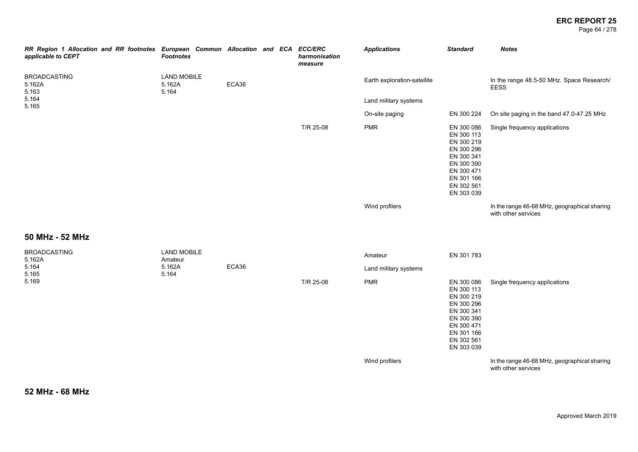Page 64 / 278

| RR Region 1 Allocation and RR footnotes European Common Allocation and ECA ECC/ERC<br>applicable to CEPT | <b>Footnotes</b>                      |       |  | harmonisation<br>measure | <b>Applications</b>         | <b>Standard</b>                                                                                                                          | <b>Notes</b>                                                        |
|----------------------------------------------------------------------------------------------------------|---------------------------------------|-------|--|--------------------------|-----------------------------|------------------------------------------------------------------------------------------------------------------------------------------|---------------------------------------------------------------------|
| <b>BROADCASTING</b><br>5.162A<br>5.163                                                                   | <b>LAND MOBILE</b><br>5.162A<br>5.164 | ECA36 |  |                          | Earth exploration-satellite |                                                                                                                                          | In the range 48.5-50 MHz. Space Research/<br><b>EESS</b>            |
| 5.164<br>5.165                                                                                           |                                       |       |  |                          | Land military systems       |                                                                                                                                          |                                                                     |
|                                                                                                          |                                       |       |  |                          | On-site paging              | EN 300 224                                                                                                                               | On site paging in the band 47.0-47.25 MHz                           |
|                                                                                                          |                                       |       |  | T/R 25-08                | <b>PMR</b>                  | EN 300 086<br>EN 300 113<br>EN 300 219<br>EN 300 296<br>EN 300 341<br>EN 300 390<br>EN 300 471<br>EN 301 166<br>EN 302 561<br>EN 303 039 | Single frequency applications                                       |
|                                                                                                          |                                       |       |  |                          | Wind profilers              |                                                                                                                                          | In the range 46-68 MHz, geographical sharing<br>with other services |
| 50 MHz - 52 MHz                                                                                          |                                       |       |  |                          |                             |                                                                                                                                          |                                                                     |
| <b>BROADCASTING</b><br>5.162A                                                                            | <b>LAND MOBILE</b><br>Amateur         |       |  |                          | Amateur                     | EN 301 783                                                                                                                               |                                                                     |
| 5.164<br>5.165                                                                                           | 5.162A<br>5.164                       | ECA36 |  |                          | Land military systems       |                                                                                                                                          |                                                                     |
| 5.169                                                                                                    |                                       |       |  | T/R 25-08                | <b>PMR</b>                  | EN 300 086<br>EN 300 113<br>EN 300 219<br>EN 300 296<br>EN 300 341<br>EN 300 390<br>EN 300 471<br>EN 301 166<br>EN 302 561<br>EN 303 039 | Single frequency applications                                       |
|                                                                                                          |                                       |       |  |                          | Wind profilers              |                                                                                                                                          | In the range 46-68 MHz, geographical sharing<br>with other services |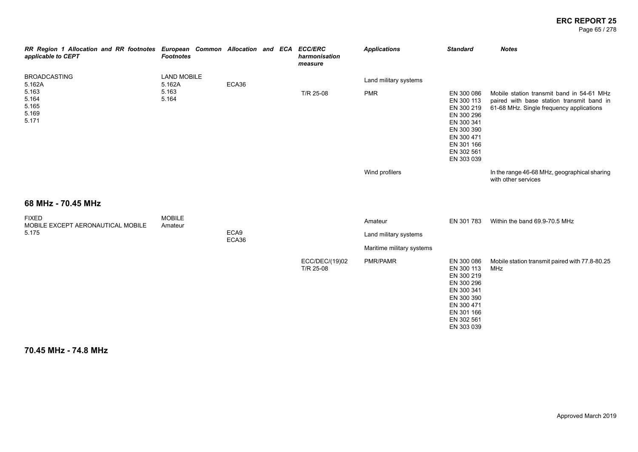Page 65 / 278

| RR Region 1 Allocation and RR footnotes European Common Allocation and ECA ECC/ERC<br>applicable to CEPT | <b>Footnotes</b>             |               | harmonisation<br>measure    | <b>Applications</b>       | <b>Standard</b>                                                                                                                          | <b>Notes</b>                                                                                                                       |
|----------------------------------------------------------------------------------------------------------|------------------------------|---------------|-----------------------------|---------------------------|------------------------------------------------------------------------------------------------------------------------------------------|------------------------------------------------------------------------------------------------------------------------------------|
| <b>BROADCASTING</b><br>5.162A                                                                            | <b>LAND MOBILE</b><br>5.162A | ECA36         |                             | Land military systems     |                                                                                                                                          |                                                                                                                                    |
| 5.163<br>5.164<br>5.165<br>5.169<br>5.171                                                                | 5.163<br>5.164               |               | T/R 25-08                   | <b>PMR</b>                | EN 300 086<br>EN 300 113<br>EN 300 219<br>EN 300 296<br>EN 300 341<br>EN 300 390<br>EN 300 471<br>EN 301 166<br>EN 302 561<br>EN 303 039 | Mobile station transmit band in 54-61 MHz<br>paired with base station transmit band in<br>61-68 MHz. Single frequency applications |
|                                                                                                          |                              |               |                             | Wind profilers            |                                                                                                                                          | In the range 46-68 MHz, geographical sharing<br>with other services                                                                |
| 68 MHz - 70.45 MHz                                                                                       |                              |               |                             |                           |                                                                                                                                          |                                                                                                                                    |
| <b>FIXED</b><br>MOBILE EXCEPT AERONAUTICAL MOBILE                                                        | <b>MOBILE</b><br>Amateur     |               |                             | Amateur                   | EN 301 783                                                                                                                               | Within the band 69.9-70.5 MHz                                                                                                      |
| 5.175                                                                                                    |                              | ECA9<br>ECA36 |                             | Land military systems     |                                                                                                                                          |                                                                                                                                    |
|                                                                                                          |                              |               |                             | Maritime military systems |                                                                                                                                          |                                                                                                                                    |
|                                                                                                          |                              |               | ECC/DEC/(19)02<br>T/R 25-08 | PMR/PAMR                  | EN 300 086<br>EN 300 113<br>EN 300 219<br>EN 300 296<br>EN 300 341<br>EN 300 390<br>EN 300 471<br>EN 301 166<br>EN 302 561<br>EN 303 039 | Mobile station transmit paired with 77.8-80.25<br>MHz                                                                              |

**70.45 MHz - 74.8 MHz**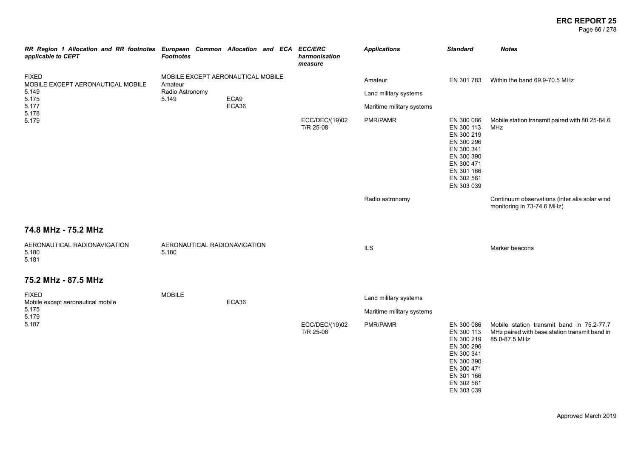Page 66 / 278

| RR Region 1 Allocation and RR footnotes European Common Allocation and ECA ECC/ERC<br>applicable to CEPT | <b>Footnotes</b>                             |               | harmonisation<br>measure    | <b>Applications</b>       | <b>Standard</b>                                                                                                                          | <b>Notes</b>                                                                                                |
|----------------------------------------------------------------------------------------------------------|----------------------------------------------|---------------|-----------------------------|---------------------------|------------------------------------------------------------------------------------------------------------------------------------------|-------------------------------------------------------------------------------------------------------------|
| <b>FIXED</b><br>MOBILE EXCEPT AERONAUTICAL MOBILE                                                        | MOBILE EXCEPT AERONAUTICAL MOBILE<br>Amateur |               |                             | Amateur                   | EN 301 783                                                                                                                               | Within the band 69.9-70.5 MHz                                                                               |
| 5.149<br>5.175                                                                                           | Radio Astronomy<br>5.149                     | ECA9<br>ECA36 |                             | Land military systems     |                                                                                                                                          |                                                                                                             |
| 5.177<br>5.178                                                                                           |                                              |               |                             | Maritime military systems |                                                                                                                                          |                                                                                                             |
| 5.179                                                                                                    |                                              |               | ECC/DEC/(19)02<br>T/R 25-08 | PMR/PAMR                  | EN 300 086<br>EN 300 113<br>EN 300 219<br>EN 300 296<br>EN 300 341<br>EN 300 390<br>EN 300 471<br>EN 301 166<br>EN 302 561<br>EN 303 039 | Mobile station transmit paired with 80.25-84.6<br>MHz                                                       |
|                                                                                                          |                                              |               |                             | Radio astronomy           |                                                                                                                                          | Continuum observations (inter alia solar wind<br>monitoring in 73-74.6 MHz)                                 |
| 74.8 MHz - 75.2 MHz                                                                                      |                                              |               |                             |                           |                                                                                                                                          |                                                                                                             |
| AERONAUTICAL RADIONAVIGATION<br>5.180<br>5.181                                                           | AERONAUTICAL RADIONAVIGATION<br>5.180        |               |                             | <b>ILS</b>                |                                                                                                                                          | Marker beacons                                                                                              |
| 75.2 MHz - 87.5 MHz                                                                                      |                                              |               |                             |                           |                                                                                                                                          |                                                                                                             |
| <b>FIXED</b><br>Mobile except aeronautical mobile                                                        | <b>MOBILE</b>                                | ECA36         |                             | Land military systems     |                                                                                                                                          |                                                                                                             |
| 5.175<br>5.179                                                                                           |                                              |               |                             | Maritime military systems |                                                                                                                                          |                                                                                                             |
| 5.187                                                                                                    |                                              |               | ECC/DEC/(19)02<br>T/R 25-08 | PMR/PAMR                  | EN 300 086<br>EN 300 113<br>EN 300 219<br>EN 300 296<br>EN 300 341<br>EN 300 390<br>EN 300 471<br>EN 301 166<br>EN 302 561<br>EN 303 039 | Mobile station transmit band in 75.2-77.7<br>MHz paired with base station transmit band in<br>85.0-87.5 MHz |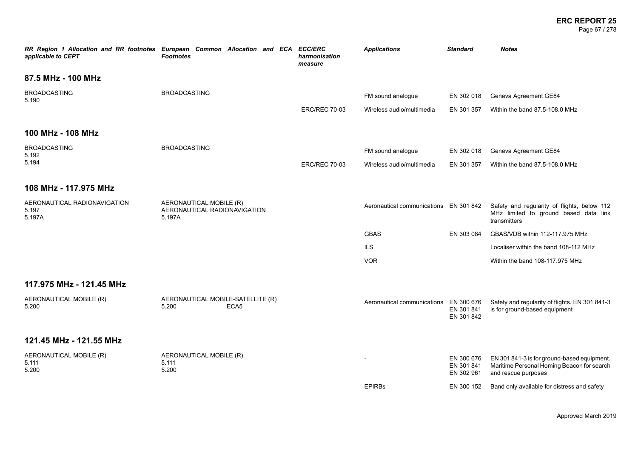#### **ERC REPORT 25** Page 67 / 278

| applicable to CEPT                              | RR Region 1 Allocation and RR footnotes European Common Allocation and ECA ECC/ERC<br><b>Footnotes</b> | harmonisation<br>measure | <b>Applications</b>                    | <b>Standard</b>                        | <b>Notes</b>                                                                                                     |
|-------------------------------------------------|--------------------------------------------------------------------------------------------------------|--------------------------|----------------------------------------|----------------------------------------|------------------------------------------------------------------------------------------------------------------|
| 87.5 MHz - 100 MHz                              |                                                                                                        |                          |                                        |                                        |                                                                                                                  |
| <b>BROADCASTING</b><br>5.190                    | <b>BROADCASTING</b>                                                                                    |                          | FM sound analogue                      | EN 302 018                             | Geneva Agreement GE84                                                                                            |
|                                                 |                                                                                                        | <b>ERC/REC 70-03</b>     | Wireless audio/multimedia              | EN 301 357                             | Within the band 87.5-108.0 MHz                                                                                   |
| 100 MHz - 108 MHz                               |                                                                                                        |                          |                                        |                                        |                                                                                                                  |
| <b>BROADCASTING</b><br>5.192                    | <b>BROADCASTING</b>                                                                                    |                          | FM sound analogue                      | EN 302 018                             | Geneva Agreement GE84                                                                                            |
| 5.194                                           |                                                                                                        | <b>ERC/REC 70-03</b>     | Wireless audio/multimedia              | EN 301 357                             | Within the band 87.5-108.0 MHz                                                                                   |
| 108 MHz - 117.975 MHz                           |                                                                                                        |                          |                                        |                                        |                                                                                                                  |
| AERONAUTICAL RADIONAVIGATION<br>5.197<br>5.197A | AERONAUTICAL MOBILE (R)<br>AERONAUTICAL RADIONAVIGATION<br>5.197A                                      |                          | Aeronautical communications EN 301 842 |                                        | Safety and regularity of flights, below 112<br>MHz limited to ground based data link<br>transmitters             |
|                                                 |                                                                                                        |                          | <b>GBAS</b>                            | EN 303 084                             | GBAS/VDB within 112-117.975 MHz                                                                                  |
|                                                 |                                                                                                        |                          | <b>ILS</b>                             |                                        | Localiser within the band 108-112 MHz                                                                            |
|                                                 |                                                                                                        |                          | <b>VOR</b>                             |                                        | Within the band 108-117.975 MHz                                                                                  |
| 117.975 MHz - 121.45 MHz                        |                                                                                                        |                          |                                        |                                        |                                                                                                                  |
| AERONAUTICAL MOBILE (R)<br>5.200                | AERONAUTICAL MOBILE-SATELLITE (R)<br>5.200<br>ECA <sub>5</sub>                                         |                          | Aeronautical communications EN 300 676 | EN 301 841<br>EN 301 842               | Safety and regularity of flights. EN 301 841-3<br>is for ground-based equipment                                  |
| 121.45 MHz - 121.55 MHz                         |                                                                                                        |                          |                                        |                                        |                                                                                                                  |
| AERONAUTICAL MOBILE (R)<br>5.111<br>5.200       | AERONAUTICAL MOBILE (R)<br>5.111<br>5.200                                                              |                          |                                        | EN 300 676<br>EN 301 841<br>EN 302 961 | EN 301 841-3 is for ground-based equipment.<br>Maritime Personal Homing Beacon for search<br>and rescue purposes |
|                                                 |                                                                                                        |                          | <b>EPIRBs</b>                          | EN 300 152                             | Band only available for distress and safety                                                                      |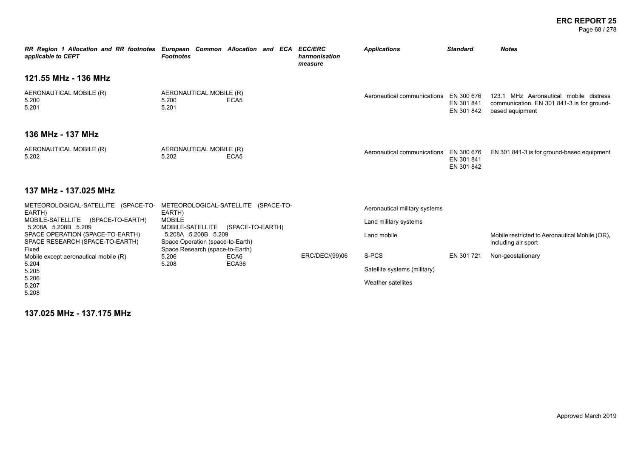#### **ERC REPORT 25** Page 68 / 278

| RR Region 1 Allocation and RR footnotes European Common Allocation and ECA<br>applicable to CEPT | <b>Footnotes</b>                                                                           |                                     | <b>ECC/ERC</b><br>harmonisation<br>measure | <b>Applications</b>                    | <b>Standard</b>                        | <b>Notes</b>                                                                                            |
|--------------------------------------------------------------------------------------------------|--------------------------------------------------------------------------------------------|-------------------------------------|--------------------------------------------|----------------------------------------|----------------------------------------|---------------------------------------------------------------------------------------------------------|
| 121.55 MHz - 136 MHz                                                                             |                                                                                            |                                     |                                            |                                        |                                        |                                                                                                         |
| AERONAUTICAL MOBILE (R)<br>5.200<br>5.201                                                        | AERONAUTICAL MOBILE (R)<br>5.200<br>5.201                                                  | ECA <sub>5</sub>                    |                                            | Aeronautical communications            | EN 300 676<br>EN 301 841<br>EN 301 842 | 123.1 MHz Aeronautical mobile distress<br>communication. EN 301 841-3 is for ground-<br>based equipment |
| 136 MHz - 137 MHz                                                                                |                                                                                            |                                     |                                            |                                        |                                        |                                                                                                         |
| AERONAUTICAL MOBILE (R)<br>5.202                                                                 | AERONAUTICAL MOBILE (R)<br>5.202                                                           | ECA <sub>5</sub>                    |                                            | Aeronautical communications EN 300 676 | EN 301 841<br>EN 301 842               | EN 301 841-3 is for ground-based equipment                                                              |
| 137 MHz - 137.025 MHz                                                                            |                                                                                            |                                     |                                            |                                        |                                        |                                                                                                         |
| METEOROLOGICAL-SATELLITE (SPACE-TO-<br>EARTH)                                                    | EARTH)                                                                                     | METEOROLOGICAL-SATELLITE (SPACE-TO- |                                            | Aeronautical military systems          |                                        |                                                                                                         |
| MOBILE-SATELLITE (SPACE-TO-EARTH)<br>5.208A 5.208B 5.209                                         | <b>MOBILE</b><br>MOBILE-SATELLITE                                                          | (SPACE-TO-EARTH)                    |                                            | Land military systems                  |                                        |                                                                                                         |
| SPACE OPERATION (SPACE-TO-EARTH)<br>SPACE RESEARCH (SPACE-TO-EARTH)<br>Fixed                     | 5.208A 5.208B 5.209<br>Space Operation (space-to-Earth)<br>Space Research (space-to-Earth) |                                     |                                            | Land mobile                            |                                        | Mobile restricted to Aeronautical Mobile (OR).<br>including air sport                                   |
| Mobile except aeronautical mobile (R)                                                            | 5.206                                                                                      | ECA6                                | ERC/DEC/(99)06                             | S-PCS                                  | EN 301 721                             | Non-geostationary                                                                                       |
| 5.204<br>5.205                                                                                   | 5.208                                                                                      | ECA36                               |                                            | Satellite systems (military)           |                                        |                                                                                                         |
| 5.206<br>5.207                                                                                   |                                                                                            |                                     |                                            | Weather satellites                     |                                        |                                                                                                         |

**137.025 MHz - 137.175 MHz**

5.208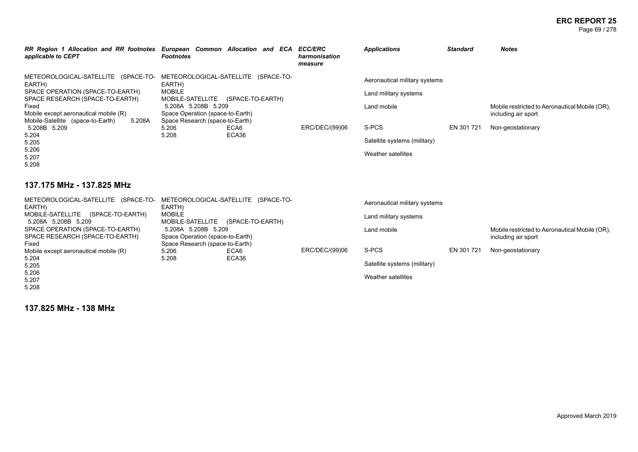#### **ERC REPORT 25** Page 69 / 278

| RR Region 1 Allocation and RR footnotes European Common Allocation and ECA ECC/ERC<br>applicable to CEPT | <b>Footnotes</b>                                                    | harmonisation<br>measure | <b>Applications</b>           | <b>Standard</b> | <b>Notes</b>                                   |
|----------------------------------------------------------------------------------------------------------|---------------------------------------------------------------------|--------------------------|-------------------------------|-----------------|------------------------------------------------|
| METEOROLOGICAL-SATELLITE (SPACE-TO-<br>EARTH)                                                            | METEOROLOGICAL-SATELLITE (SPACE-TO-<br>EARTH)                       |                          | Aeronautical military systems |                 |                                                |
| SPACE OPERATION (SPACE-TO-EARTH)<br>SPACE RESEARCH (SPACE-TO-EARTH)                                      | <b>MOBILE</b><br>MOBILE-SATELLITE<br>(SPACE-TO-EARTH)               |                          | Land military systems         |                 |                                                |
| Fixed                                                                                                    | 5.208A 5.208B 5.209                                                 |                          | Land mobile                   |                 | Mobile restricted to Aeronautical Mobile (OR), |
| Mobile except aeronautical mobile (R)<br>5.208A<br>Mobile-Satellite (space-to-Earth)                     | Space Operation (space-to-Earth)<br>Space Research (space-to-Earth) |                          |                               |                 | including air sport                            |
| 5.208B 5.209                                                                                             | ECA6<br>5.206                                                       | ERC/DEC/(99)06           | S-PCS                         | EN 301 721      | Non-geostationary                              |
| 5.204<br>5.205                                                                                           | ECA36<br>5.208                                                      |                          | Satellite systems (military)  |                 |                                                |
| 5.206<br>5.207                                                                                           |                                                                     |                          | Weather satellites            |                 |                                                |
| 5.208                                                                                                    |                                                                     |                          |                               |                 |                                                |

### **137.175 MHz - 137.825 MHz**

| METEOROLOGICAL-SATELLITE (SPACE-TO-<br>EARTH) | METEOROLOGICAL-SATELLITE (SPACE-TO-<br>EARTH) |                  | Aeronautical military systems |            |                                                |
|-----------------------------------------------|-----------------------------------------------|------------------|-------------------------------|------------|------------------------------------------------|
| MOBILE-SATELLITE<br>(SPACE-TO-EARTH)          | <b>MOBILE</b>                                 |                  | Land military systems         |            |                                                |
| 5.208A 5.208B 5.209                           | MOBILE-SATELLITE                              | (SPACE-TO-EARTH) |                               |            |                                                |
| SPACE OPERATION (SPACE-TO-EARTH)              | 5.208A 5.208B 5.209                           |                  | Land mobile                   |            | Mobile restricted to Aeronautical Mobile (OR), |
| SPACE RESEARCH (SPACE-TO-EARTH)               | Space Operation (space-to-Earth)              |                  |                               |            | including air sport                            |
| Fixed                                         | Space Research (space-to-Earth)               |                  |                               |            |                                                |
| Mobile except aeronautical mobile (R)         | 5.206<br>ECA6                                 | ERC/DEC/(99)06   | S-PCS                         | EN 301 721 | Non-geostationary                              |
| 5.204                                         | ECA36<br>5.208                                |                  |                               |            |                                                |
| 5.205                                         |                                               |                  | Satellite systems (military)  |            |                                                |
| 5.206                                         |                                               |                  |                               |            |                                                |
| 5.207                                         |                                               |                  | Weather satellites            |            |                                                |
| 5.208                                         |                                               |                  |                               |            |                                                |

**137.825 MHz - 138 MHz**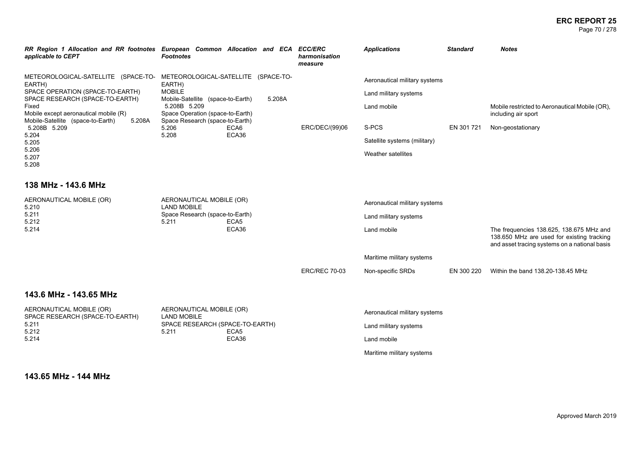Page 70 / 278

| applicable to CEPT                                                                                                                                | RR Region 1 Allocation and RR footnotes European Common Allocation and ECA ECC/ERC<br><b>Footnotes</b>                        | harmonisation<br>measure | <b>Applications</b>                                                                                | <b>Standard</b> | <b>Notes</b>                                                                                                                            |
|---------------------------------------------------------------------------------------------------------------------------------------------------|-------------------------------------------------------------------------------------------------------------------------------|--------------------------|----------------------------------------------------------------------------------------------------|-----------------|-----------------------------------------------------------------------------------------------------------------------------------------|
| METEOROLOGICAL-SATELLITE (SPACE-TO-<br>EARTH)<br>SPACE OPERATION (SPACE-TO-EARTH)<br>SPACE RESEARCH (SPACE-TO-EARTH)<br>Fixed                     | METEOROLOGICAL-SATELLITE (SPACE-TO-<br>EARTH)<br><b>MOBILE</b><br>Mobile-Satellite (space-to-Earth)<br>5.208A<br>5.208B 5.209 |                          | Aeronautical military systems<br>Land military systems<br>Land mobile                              |                 | Mobile restricted to Aeronautical Mobile (OR),                                                                                          |
| Mobile except aeronautical mobile (R)<br>Mobile-Satellite (space-to-Earth)<br>5.208A<br>5.208B 5.209<br>5.204<br>5.205<br>5.206<br>5.207<br>5.208 | Space Operation (space-to-Earth)<br>Space Research (space-to-Earth)<br>5.206<br>ECA6<br>ECA36<br>5.208                        | ERC/DEC/(99)06           | S-PCS<br>Satellite systems (military)<br>Weather satellites                                        | EN 301721       | including air sport<br>Non-geostationary                                                                                                |
| 138 MHz - 143.6 MHz                                                                                                                               |                                                                                                                               |                          |                                                                                                    |                 |                                                                                                                                         |
| AERONAUTICAL MOBILE (OR)<br>5.210<br>5.211<br>5.212<br>5.214                                                                                      | AERONAUTICAL MOBILE (OR)<br><b>LAND MOBILE</b><br>Space Research (space-to-Earth)<br>ECA <sub>5</sub><br>5.211<br>ECA36       |                          | Aeronautical military systems<br>Land military systems<br>Land mobile                              |                 | The frequencies 138.625, 138.675 MHz and<br>138.650 MHz are used for existing tracking<br>and asset tracing systems on a national basis |
|                                                                                                                                                   |                                                                                                                               |                          | Maritime military systems                                                                          |                 |                                                                                                                                         |
|                                                                                                                                                   |                                                                                                                               | <b>ERC/REC 70-03</b>     | Non-specific SRDs                                                                                  | EN 300 220      | Within the band 138.20-138.45 MHz                                                                                                       |
| 143.6 MHz - 143.65 MHz                                                                                                                            |                                                                                                                               |                          |                                                                                                    |                 |                                                                                                                                         |
| AERONAUTICAL MOBILE (OR)<br>SPACE RESEARCH (SPACE-TO-EARTH)<br>5.211<br>5.212<br>5.214                                                            | AERONAUTICAL MOBILE (OR)<br><b>LAND MOBILE</b><br>SPACE RESEARCH (SPACE-TO-EARTH)<br>5.211<br>ECA <sub>5</sub><br>ECA36       |                          | Aeronautical military systems<br>Land military systems<br>Land mobile<br>Maritime military systems |                 |                                                                                                                                         |

**143.65 MHz - 144 MHz**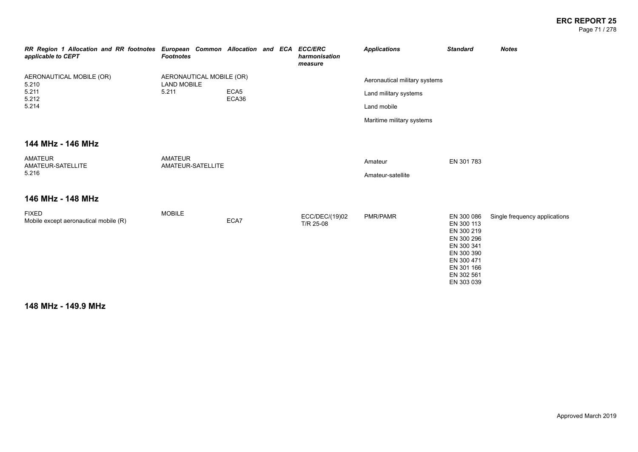#### **ERC REPORT 25** Page 71 / 278

| RR Region 1 Allocation and RR footnotes European Common Allocation and ECA ECC/ERC<br>applicable to CEPT | <b>Footnotes</b>                                        |       |  | harmonisation<br>measure    | <b>Applications</b>                                    | <b>Standard</b>                                                                                                                          | <b>Notes</b>                  |
|----------------------------------------------------------------------------------------------------------|---------------------------------------------------------|-------|--|-----------------------------|--------------------------------------------------------|------------------------------------------------------------------------------------------------------------------------------------------|-------------------------------|
| AERONAUTICAL MOBILE (OR)<br>5.210<br>5.211                                                               | AERONAUTICAL MOBILE (OR)<br><b>LAND MOBILE</b><br>5.211 | ECA5  |  |                             | Aeronautical military systems<br>Land military systems |                                                                                                                                          |                               |
| 5.212<br>5.214                                                                                           |                                                         | ECA36 |  |                             | Land mobile                                            |                                                                                                                                          |                               |
|                                                                                                          |                                                         |       |  |                             | Maritime military systems                              |                                                                                                                                          |                               |
| 144 MHz - 146 MHz                                                                                        |                                                         |       |  |                             |                                                        |                                                                                                                                          |                               |
| <b>AMATEUR</b><br>AMATEUR-SATELLITE<br>5.216                                                             | <b>AMATEUR</b><br>AMATEUR-SATELLITE                     |       |  |                             | Amateur<br>Amateur-satellite                           | EN 301 783                                                                                                                               |                               |
| 146 MHz - 148 MHz                                                                                        |                                                         |       |  |                             |                                                        |                                                                                                                                          |                               |
| <b>FIXED</b><br>Mobile except aeronautical mobile (R)                                                    | <b>MOBILE</b>                                           | ECA7  |  | ECC/DEC/(19)02<br>T/R 25-08 | PMR/PAMR                                               | EN 300 086<br>EN 300 113<br>EN 300 219<br>EN 300 296<br>EN 300 341<br>EN 300 390<br>EN 300 471<br>EN 301 166<br>EN 302 561<br>EN 303 039 | Single frequency applications |

**148 MHz - 149.9 MHz**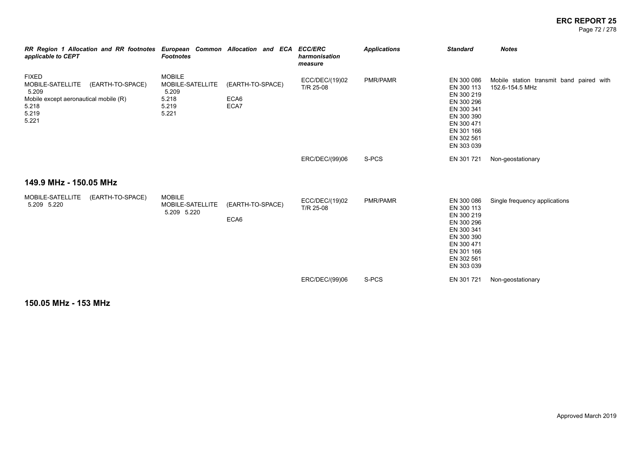Page 72 / 278

| RR Region 1 Allocation and RR footnotes European Common Allocation and ECA ECC/ERC<br>applicable to CEPT                          | <b>Footnotes</b>                                                      |                                  | harmonisation<br>measure    | <b>Applications</b> | <b>Standard</b>                                                                                                                          | <b>Notes</b>                                                |
|-----------------------------------------------------------------------------------------------------------------------------------|-----------------------------------------------------------------------|----------------------------------|-----------------------------|---------------------|------------------------------------------------------------------------------------------------------------------------------------------|-------------------------------------------------------------|
| <b>FIXED</b><br>MOBILE-SATELLITE<br>(EARTH-TO-SPACE)<br>5.209<br>Mobile except aeronautical mobile (R)<br>5.218<br>5.219<br>5.221 | <b>MOBILE</b><br>MOBILE-SATELLITE<br>5.209<br>5.218<br>5.219<br>5.221 | (EARTH-TO-SPACE)<br>ECA6<br>ECA7 | ECC/DEC/(19)02<br>T/R 25-08 | <b>PMR/PAMR</b>     | EN 300 086<br>EN 300 113<br>EN 300 219<br>EN 300 296<br>EN 300 341<br>EN 300 390<br>EN 300 471<br>EN 301 166<br>EN 302 561<br>EN 303 039 | Mobile station transmit band paired with<br>152.6-154.5 MHz |
|                                                                                                                                   |                                                                       |                                  | ERC/DEC/(99)06              | S-PCS               | EN 301 721                                                                                                                               | Non-geostationary                                           |
| 149.9 MHz - 150.05 MHz                                                                                                            |                                                                       |                                  |                             |                     |                                                                                                                                          |                                                             |
| MOBILE-SATELLITE<br>(EARTH-TO-SPACE)<br>5.209 5.220                                                                               | <b>MOBILE</b><br>MOBILE-SATELLITE<br>5.209 5.220                      | (EARTH-TO-SPACE)<br>ECA6         | ECC/DEC/(19)02<br>T/R 25-08 | PMR/PAMR            | EN 300 086<br>EN 300 113<br>EN 300 219<br>EN 300 296<br>EN 300 341<br>EN 300 390<br>EN 300 471<br>EN 301 166<br>EN 302 561<br>EN 303 039 | Single frequency applications                               |
|                                                                                                                                   |                                                                       |                                  | ERC/DEC/(99)06              | S-PCS               | EN 301 721                                                                                                                               | Non-geostationary                                           |

**150.05 MHz - 153 MHz**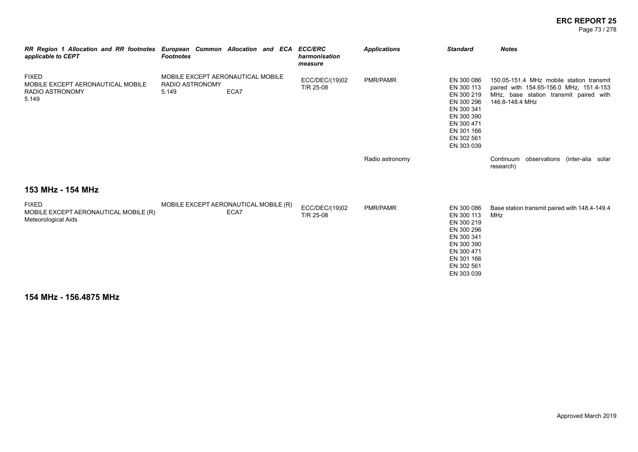Page 73 / 278

| RR Region 1 Allocation and RR footnotes European Common Allocation and ECA ECC/ERC<br>applicable to CEPT | <b>Footnotes</b>                                              |      | harmonisation<br>measure    | <b>Applications</b> | <b>Standard</b>                                                                                                                          | <b>Notes</b>                                                                                                                                     |
|----------------------------------------------------------------------------------------------------------|---------------------------------------------------------------|------|-----------------------------|---------------------|------------------------------------------------------------------------------------------------------------------------------------------|--------------------------------------------------------------------------------------------------------------------------------------------------|
| <b>FIXED</b><br>MOBILE EXCEPT AERONAUTICAL MOBILE<br><b>RADIO ASTRONOMY</b><br>5.149                     | MOBILE EXCEPT AERONAUTICAL MOBILE<br>RADIO ASTRONOMY<br>5.149 | ECA7 | ECC/DEC/(19)02<br>T/R 25-08 | <b>PMR/PAMR</b>     | EN 300 086<br>EN 300 113<br>EN 300 219<br>EN 300 296<br>EN 300 341<br>EN 300 390<br>EN 300 471<br>EN 301 166<br>EN 302 561<br>EN 303 039 | 150.05-151.4 MHz mobile station transmit<br>paired with 154.65-156.0 MHz, 151.4-153<br>MHz, base station transmit paired with<br>146.8-148.4 MHz |
|                                                                                                          |                                                               |      |                             | Radio astronomy     |                                                                                                                                          | Continuum observations (inter-alia solar<br>research)                                                                                            |
| 153 MHz - 154 MHz                                                                                        |                                                               |      |                             |                     |                                                                                                                                          |                                                                                                                                                  |
| <b>FIXED</b><br>MOBILE EXCEPT AERONAUTICAL MOBILE (R)<br>Meteorological Aids                             | MOBILE EXCEPT AERONAUTICAL MOBILE (R)                         | ECA7 | ECC/DEC/(19)02<br>T/R 25-08 | <b>PMR/PAMR</b>     | EN 300 086<br>EN 300 113<br>EN 300 219<br>EN 300 296<br>EN 300 341<br>EN 300 390<br>EN 300 471<br>EN 301 166<br>EN 302 561<br>EN 303 039 | Base station transmit paired with 148.4-149.4<br>MHz                                                                                             |

**154 MHz - 156.4875 MHz**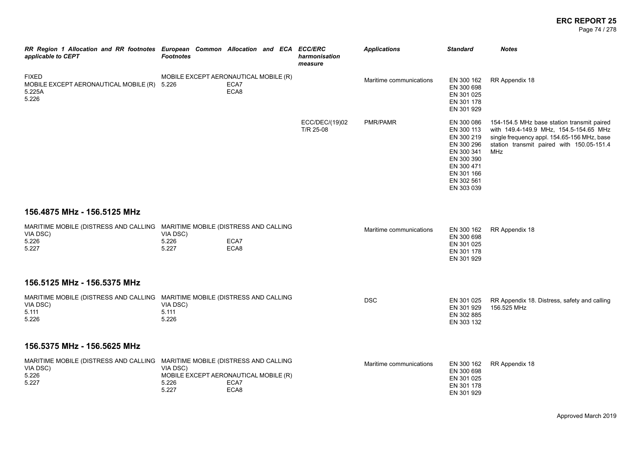Page 74 / 278

| RR Region 1 Allocation and RR footnotes European Common Allocation and ECA ECC/ERC<br>applicable to CEPT  | <b>Footnotes</b>                                                    |              | harmonisation<br>measure    | <b>Applications</b>     | <b>Standard</b>                                                                                                                          | <b>Notes</b>                                                                                                                                                                            |
|-----------------------------------------------------------------------------------------------------------|---------------------------------------------------------------------|--------------|-----------------------------|-------------------------|------------------------------------------------------------------------------------------------------------------------------------------|-----------------------------------------------------------------------------------------------------------------------------------------------------------------------------------------|
| <b>FIXED</b><br>MOBILE EXCEPT AERONAUTICAL MOBILE (R) 5.226<br>5.225A<br>5.226                            | MOBILE EXCEPT AERONAUTICAL MOBILE (R)                               | ECA7<br>ECA8 |                             | Maritime communications | EN 300 162<br>EN 300 698<br>EN 301 025<br>EN 301 178<br>EN 301 929                                                                       | RR Appendix 18                                                                                                                                                                          |
|                                                                                                           |                                                                     |              | ECC/DEC/(19)02<br>T/R 25-08 | PMR/PAMR                | EN 300 086<br>EN 300 113<br>EN 300 219<br>EN 300 296<br>EN 300 341<br>EN 300 390<br>EN 300 471<br>EN 301 166<br>EN 302 561<br>EN 303 039 | 154-154.5 MHz base station transmit paired<br>with 149.4-149.9 MHz, 154.5-154.65 MHz<br>single frequency appl. 154.65-156 MHz, base<br>station transmit paired with 150.05-151.4<br>MHz |
| 156.4875 MHz - 156.5125 MHz                                                                               |                                                                     |              |                             |                         |                                                                                                                                          |                                                                                                                                                                                         |
| MARITIME MOBILE (DISTRESS AND CALLING MARITIME MOBILE (DISTRESS AND CALLING<br>VIA DSC)<br>5.226<br>5.227 | VIA DSC)<br>5.226<br>5.227                                          | ECA7<br>ECA8 |                             | Maritime communications | EN 300 162<br>EN 300 698<br>EN 301 025<br>EN 301 178<br>EN 301 929                                                                       | RR Appendix 18                                                                                                                                                                          |
| 156.5125 MHz - 156.5375 MHz                                                                               |                                                                     |              |                             |                         |                                                                                                                                          |                                                                                                                                                                                         |
| MARITIME MOBILE (DISTRESS AND CALLING MARITIME MOBILE (DISTRESS AND CALLING<br>VIA DSC)<br>5.111<br>5.226 | VIA DSC)<br>5.111<br>5.226                                          |              |                             | <b>DSC</b>              | EN 301 025<br>EN 301 929<br>EN 302 885<br>EN 303 132                                                                                     | RR Appendix 18. Distress, safety and calling<br>156.525 MHz                                                                                                                             |
| 156.5375 MHz - 156.5625 MHz                                                                               |                                                                     |              |                             |                         |                                                                                                                                          |                                                                                                                                                                                         |
| MARITIME MOBILE (DISTRESS AND CALLING MARITIME MOBILE (DISTRESS AND CALLING<br>VIA DSC)<br>5.226<br>5.227 | VIA DSC)<br>MOBILE EXCEPT AERONAUTICAL MOBILE (R)<br>5.226<br>5.227 | ECA7<br>ECA8 |                             | Maritime communications | EN 300 162<br>EN 300 698<br>EN 301 025<br>EN 301 178<br>EN 301 929                                                                       | RR Appendix 18                                                                                                                                                                          |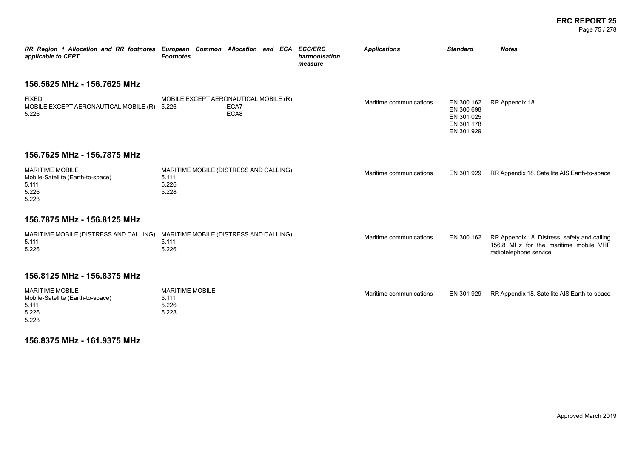#### **ERC REPORT 25** Page 75 / 278

| RR Region 1 Allocation and RR footnotes European Common Allocation and ECA<br>applicable to CEPT | <b>Footnotes</b>        |                                                       | <b>ECC/ERC</b><br>harmonisation<br>measure | <b>Applications</b>     | <b>Standard</b>                                                    | <b>Notes</b>                                                                                                    |
|--------------------------------------------------------------------------------------------------|-------------------------|-------------------------------------------------------|--------------------------------------------|-------------------------|--------------------------------------------------------------------|-----------------------------------------------------------------------------------------------------------------|
| 156.5625 MHz - 156.7625 MHz                                                                      |                         |                                                       |                                            |                         |                                                                    |                                                                                                                 |
| <b>FIXED</b><br>MOBILE EXCEPT AERONAUTICAL MOBILE (R) 5.226<br>5.226                             |                         | MOBILE EXCEPT AERONAUTICAL MOBILE (R)<br>ECA7<br>ECA8 |                                            | Maritime communications | EN 300 162<br>EN 300 698<br>EN 301 025<br>EN 301 178<br>EN 301 929 | RR Appendix 18                                                                                                  |
| 156.7625 MHz - 156.7875 MHz                                                                      |                         |                                                       |                                            |                         |                                                                    |                                                                                                                 |
| <b>MARITIME MOBILE</b><br>Mobile-Satellite (Earth-to-space)<br>5.111<br>5.226<br>5.228           | 5.111<br>5.226<br>5.228 | MARITIME MOBILE (DISTRESS AND CALLING)                |                                            | Maritime communications | EN 301 929                                                         | RR Appendix 18. Satellite AIS Earth-to-space                                                                    |
| 156.7875 MHz - 156.8125 MHz                                                                      |                         |                                                       |                                            |                         |                                                                    |                                                                                                                 |
| MARITIME MOBILE (DISTRESS AND CALLING)<br>5.111<br>5.226                                         | 5.111<br>5.226          | MARITIME MOBILE (DISTRESS AND CALLING)                |                                            | Maritime communications | EN 300 162                                                         | RR Appendix 18. Distress, safety and calling<br>156.8 MHz for the maritime mobile VHF<br>radiotelephone service |
| 156.8125 MHz - 156.8375 MHz                                                                      |                         |                                                       |                                            |                         |                                                                    |                                                                                                                 |

| MARITIME MOBILE                   | <b>MARITIME MOBILE</b> | Maritime communications |  | EN 301 929 RR Appendix 18. Satellite AIS Earth-to-space |  |  |
|-----------------------------------|------------------------|-------------------------|--|---------------------------------------------------------|--|--|
| Mobile-Satellite (Earth-to-space) | 5.111                  |                         |  |                                                         |  |  |
| 5.111                             | 5.226                  |                         |  |                                                         |  |  |
| 5.226                             | 5.228                  |                         |  |                                                         |  |  |
| 5.228                             |                        |                         |  |                                                         |  |  |

**156.8375 MHz - 161.9375 MHz**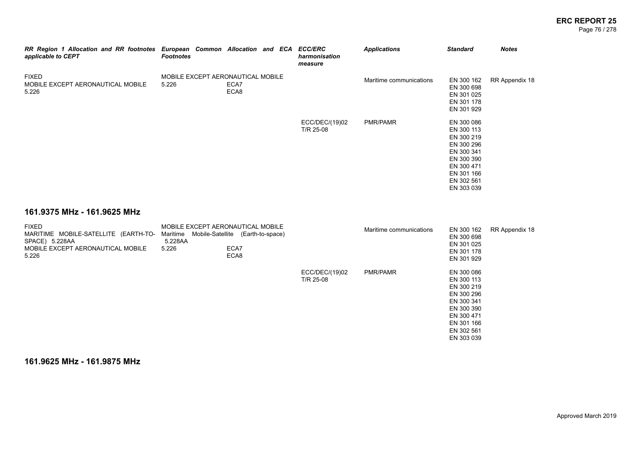#### **ERC REPORT 25** Page 76 / 278

| RR Region 1 Allocation and RR footnotes European Common Allocation and ECA ECC/ERC<br>applicable to CEPT             | <b>Footnotes</b>                                                                                       |              |  | harmonisation<br>measure    | <b>Applications</b>     | <b>Standard</b>                                                                                                                          | <b>Notes</b>   |
|----------------------------------------------------------------------------------------------------------------------|--------------------------------------------------------------------------------------------------------|--------------|--|-----------------------------|-------------------------|------------------------------------------------------------------------------------------------------------------------------------------|----------------|
| <b>FIXED</b><br>MOBILE EXCEPT AERONAUTICAL MOBILE<br>5.226                                                           | MOBILE EXCEPT AERONAUTICAL MOBILE<br>5.226                                                             | ECA7<br>ECA8 |  |                             | Maritime communications | EN 300 162<br>EN 300 698<br>EN 301 025<br>EN 301 178<br>EN 301 929                                                                       | RR Appendix 18 |
|                                                                                                                      |                                                                                                        |              |  | ECC/DEC/(19)02<br>T/R 25-08 | PMR/PAMR                | EN 300 086<br>EN 300 113<br>EN 300 219<br>EN 300 296<br>EN 300 341<br>EN 300 390<br>EN 300 471<br>EN 301 166<br>EN 302 561<br>EN 303 039 |                |
| 161.9375 MHz - 161.9625 MHz                                                                                          |                                                                                                        |              |  |                             |                         |                                                                                                                                          |                |
| <b>FIXED</b><br>MARITIME MOBILE-SATELLITE (EARTH-TO-<br>SPACE) 5.228AA<br>MOBILE EXCEPT AERONAUTICAL MOBILE<br>5.226 | MOBILE EXCEPT AERONAUTICAL MOBILE<br>Maritime<br>Mobile-Satellite (Earth-to-space)<br>5.228AA<br>5.226 | ECA7<br>ECA8 |  |                             | Maritime communications | EN 300 162<br>EN 300 698<br>EN 301 025<br>EN 301 178<br>EN 301 929                                                                       | RR Appendix 18 |
|                                                                                                                      |                                                                                                        |              |  | ECC/DEC/(19)02<br>T/R 25-08 | PMR/PAMR                | EN 300 086<br>EN 300 113<br>EN 300 219<br>EN 300 296<br>EN 300 341<br>EN 300 390<br>EN 300 471<br>EN 301 166<br>EN 302 561<br>EN 303 039 |                |
|                                                                                                                      |                                                                                                        |              |  |                             |                         |                                                                                                                                          |                |

**161.9625 MHz - 161.9875 MHz**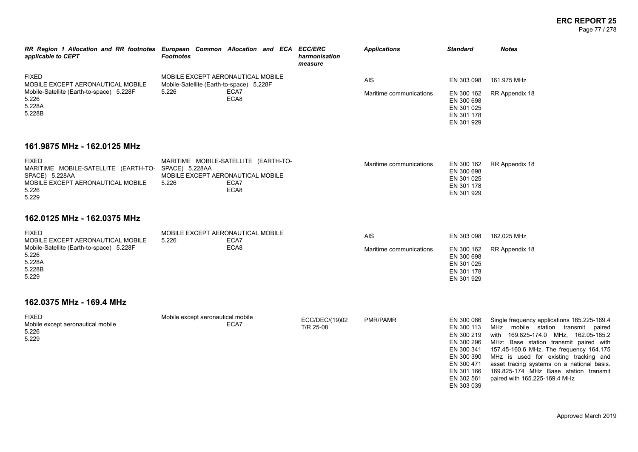#### **ERC REPORT 25** Page 77 / 278

| applicable to CEPT                                                    | RR Region 1 Allocation and RR footnotes European Common Allocation and ECA ECC/ERC<br><b>Footnotes</b> | harmonisation<br>measure | <b>Applications</b>     | <b>Standard</b>                                                    | <b>Notes</b>   |
|-----------------------------------------------------------------------|--------------------------------------------------------------------------------------------------------|--------------------------|-------------------------|--------------------------------------------------------------------|----------------|
| <b>FIXED</b><br>MOBILE EXCEPT AERONAUTICAL MOBILE                     | MOBILE EXCEPT AERONAUTICAL MOBILE<br>Mobile-Satellite (Earth-to-space) 5.228F                          |                          | AIS                     | EN 303 098                                                         | 161.975 MHz    |
| Mobile-Satellite (Earth-to-space) 5.228F<br>5.226<br>5.228A<br>5.228B | 5.226<br>ECA7<br>ECA8                                                                                  |                          | Maritime communications | EN 300 162<br>EN 300 698<br>EN 301 025<br>EN 301 178<br>EN 301 929 | RR Appendix 18 |

# **161.9875 MHz - 162.0125 MHz**

| <b>FIXED</b>                                        | MARITIME MOBILE-SATELLITE (EARTH-TO- | Maritime communications |            | EN 300 162 RR Appendix 18 |
|-----------------------------------------------------|--------------------------------------|-------------------------|------------|---------------------------|
| MARITIME MOBILE-SATELLITE (EARTH-TO- SPACE) 5.228AA |                                      |                         | EN 300 698 |                           |
| SPACE) 5.228AA                                      | MOBILE EXCEPT AERONAUTICAL MOBILE    |                         | EN 301 025 |                           |
| MOBILE EXCEPT AERONAUTICAL MOBILE                   | ECA7<br>5.226                        |                         | EN 301 178 |                           |
| 5.226                                               | ECA8                                 |                         | EN 301 929 |                           |
| 5.229                                               |                                      |                         |            |                           |

### **162.0125 MHz - 162.0375 MHz**

| <b>FIXED</b>                             | MOBILE EXCEPT AERONAUTICAL MOBILE |      | <b>AIS</b>              | EN 303 098 | 162.025 MHz               |
|------------------------------------------|-----------------------------------|------|-------------------------|------------|---------------------------|
| MOBILE EXCEPT AERONAUTICAL MOBILE        | 5.226                             | ECA7 |                         |            |                           |
| Mobile-Satellite (Earth-to-space) 5.228F |                                   | ECA8 | Maritime communications |            | EN 300 162 RR Appendix 18 |
| 5.226                                    |                                   |      |                         | EN 300 698 |                           |
| 5.228A                                   |                                   |      |                         | EN 301 025 |                           |
| 5.228B                                   |                                   |      |                         | EN 301 178 |                           |
| 5.229                                    |                                   |      |                         | EN 301 929 |                           |
|                                          |                                   |      |                         |            |                           |

# **162.0375 MHz - 169.4 MHz**

| <b>FIXED</b><br>Mobile except aeronautical mobile<br>5.226<br>5.229 | Mobile except aeronautical mobile<br>ECA7 | ECC/DEC/(19)02<br>T/R 25-08 | PMR/PAMR | EN 300 086<br>EN 300 113<br>EN 300 219<br>EN 300 296<br>EN 300 341<br>EN 300 390<br>EN 300 471 | Single frequency applications 165.225-169.4<br>MHz mobile station transmit paired<br>with 169.825-174.0 MHz, 162.05-165.2<br>MHz: Base station transmit paired with<br>157.45-160.6 MHz. The frequency 164.175<br>MHz is used for existing tracking and<br>asset tracing systems on a national basis. |
|---------------------------------------------------------------------|-------------------------------------------|-----------------------------|----------|------------------------------------------------------------------------------------------------|-------------------------------------------------------------------------------------------------------------------------------------------------------------------------------------------------------------------------------------------------------------------------------------------------------|
|                                                                     |                                           |                             |          | EN 301 166                                                                                     | 169.825-174 MHz Base station transmit                                                                                                                                                                                                                                                                 |

EN 302 561 paired with 165.225-169.4 MHz

EN 303 039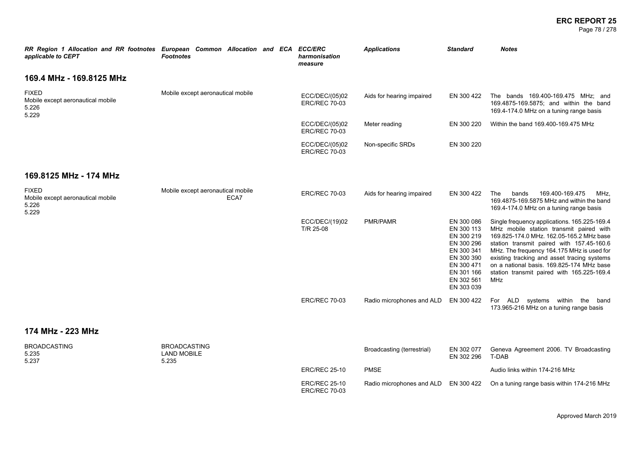#### **ERC REPORT 25** Page 78 / 278

| RR Region 1 Allocation and RR footnotes European Common Allocation and ECA ECC/ERC<br>applicable to CEPT | <b>Footnotes</b>                                   |      | harmonisation<br>measure                     | <b>Applications</b>        | <b>Standard</b>                                                                                                                          | <b>Notes</b>                                                                                                                                                                                                                                                                                                                                                                           |
|----------------------------------------------------------------------------------------------------------|----------------------------------------------------|------|----------------------------------------------|----------------------------|------------------------------------------------------------------------------------------------------------------------------------------|----------------------------------------------------------------------------------------------------------------------------------------------------------------------------------------------------------------------------------------------------------------------------------------------------------------------------------------------------------------------------------------|
| 169.4 MHz - 169.8125 MHz                                                                                 |                                                    |      |                                              |                            |                                                                                                                                          |                                                                                                                                                                                                                                                                                                                                                                                        |
| <b>FIXED</b><br>Mobile except aeronautical mobile<br>5.226<br>5.229                                      | Mobile except aeronautical mobile                  |      | ECC/DEC/(05)02<br><b>ERC/REC 70-03</b>       | Aids for hearing impaired  | EN 300 422                                                                                                                               | The bands 169.400-169.475 MHz; and<br>169.4875-169.5875; and within the band<br>169.4-174.0 MHz on a tuning range basis                                                                                                                                                                                                                                                                |
|                                                                                                          |                                                    |      | ECC/DEC/(05)02<br><b>ERC/REC 70-03</b>       | Meter reading              | EN 300 220                                                                                                                               | Within the band 169.400-169.475 MHz                                                                                                                                                                                                                                                                                                                                                    |
|                                                                                                          |                                                    |      | ECC/DEC/(05)02<br><b>ERC/REC 70-03</b>       | Non-specific SRDs          | EN 300 220                                                                                                                               |                                                                                                                                                                                                                                                                                                                                                                                        |
| 169.8125 MHz - 174 MHz                                                                                   |                                                    |      |                                              |                            |                                                                                                                                          |                                                                                                                                                                                                                                                                                                                                                                                        |
| <b>FIXED</b><br>Mobile except aeronautical mobile<br>5.226<br>5.229                                      | Mobile except aeronautical mobile                  | ECA7 | <b>ERC/REC 70-03</b>                         | Aids for hearing impaired  | EN 300 422                                                                                                                               | 169.400-169.475<br>The<br>bands<br>MHz.<br>169.4875-169.5875 MHz and within the band<br>169.4-174.0 MHz on a tuning range basis                                                                                                                                                                                                                                                        |
|                                                                                                          |                                                    |      | ECC/DEC/(19)02<br>T/R 25-08                  | PMR/PAMR                   | EN 300 086<br>EN 300 113<br>EN 300 219<br>EN 300 296<br>EN 300 341<br>EN 300 390<br>EN 300 471<br>EN 301 166<br>EN 302 561<br>EN 303 039 | Single frequency applications. 165.225-169.4<br>MHz mobile station transmit paired with<br>169.825-174.0 MHz. 162.05-165.2 MHz base<br>station transmit paired with 157.45-160.6<br>MHz. The frequency 164.175 MHz is used for<br>existing tracking and asset tracing systems<br>on a national basis. 169.825-174 MHz base<br>station transmit paired with 165.225-169.4<br><b>MHz</b> |
|                                                                                                          |                                                    |      | <b>ERC/REC 70-03</b>                         | Radio microphones and ALD  | EN 300 422                                                                                                                               | For ALD systems within the band<br>173.965-216 MHz on a tuning range basis                                                                                                                                                                                                                                                                                                             |
| 174 MHz - 223 MHz                                                                                        |                                                    |      |                                              |                            |                                                                                                                                          |                                                                                                                                                                                                                                                                                                                                                                                        |
| <b>BROADCASTING</b><br>5.235<br>5.237                                                                    | <b>BROADCASTING</b><br><b>LAND MOBILE</b><br>5.235 |      |                                              | Broadcasting (terrestrial) | EN 302 077<br>EN 302 296                                                                                                                 | Geneva Agreement 2006. TV Broadcasting<br>T-DAB                                                                                                                                                                                                                                                                                                                                        |
|                                                                                                          |                                                    |      | <b>ERC/REC 25-10</b>                         | <b>PMSE</b>                |                                                                                                                                          | Audio links within 174-216 MHz                                                                                                                                                                                                                                                                                                                                                         |
|                                                                                                          |                                                    |      | <b>ERC/REC 25-10</b><br><b>ERC/REC 70-03</b> | Radio microphones and ALD  | EN 300 422                                                                                                                               | On a tuning range basis within 174-216 MHz                                                                                                                                                                                                                                                                                                                                             |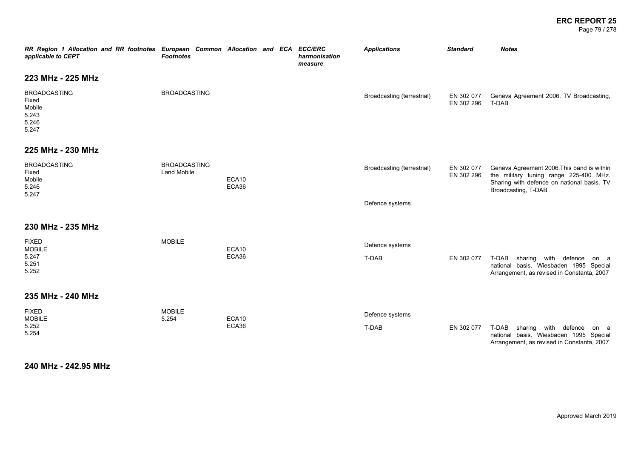#### **ERC REPORT 25** Page 79 / 278

| RR Region 1 Allocation and RR footnotes European Common Allocation and ECA ECC/ERC<br>applicable to CEPT | <b>Footnotes</b>                   |                |  | harmonisation<br>measure | <b>Applications</b>        | <b>Standard</b>          | <b>Notes</b>                                                                                                                                              |
|----------------------------------------------------------------------------------------------------------|------------------------------------|----------------|--|--------------------------|----------------------------|--------------------------|-----------------------------------------------------------------------------------------------------------------------------------------------------------|
| 223 MHz - 225 MHz                                                                                        |                                    |                |  |                          |                            |                          |                                                                                                                                                           |
| <b>BROADCASTING</b><br>Fixed<br>Mobile<br>5.243<br>5.246<br>5.247                                        | <b>BROADCASTING</b>                |                |  |                          | Broadcasting (terrestrial) | EN 302 077<br>EN 302 296 | Geneva Agreement 2006. TV Broadcasting,<br>T-DAB                                                                                                          |
| 225 MHz - 230 MHz                                                                                        |                                    |                |  |                          |                            |                          |                                                                                                                                                           |
| <b>BROADCASTING</b><br>Fixed<br>Mobile<br>5.246<br>5.247                                                 | <b>BROADCASTING</b><br>Land Mobile | ECA10<br>ECA36 |  |                          | Broadcasting (terrestrial) | EN 302 077<br>EN 302 296 | Geneva Agreement 2006. This band is within<br>the military tuning range 225-400 MHz.<br>Sharing with defence on national basis. TV<br>Broadcasting, T-DAB |
|                                                                                                          |                                    |                |  |                          | Defence systems            |                          |                                                                                                                                                           |
| 230 MHz - 235 MHz                                                                                        |                                    |                |  |                          |                            |                          |                                                                                                                                                           |
| <b>FIXED</b><br><b>MOBILE</b>                                                                            | <b>MOBILE</b>                      | ECA10          |  |                          | Defence systems            |                          |                                                                                                                                                           |
| 5.247<br>5.251<br>5.252                                                                                  |                                    | ECA36          |  |                          | T-DAB                      | EN 302 077               | T-DAB sharing with defence<br>on a<br>national basis. Wiesbaden 1995 Special<br>Arrangement, as revised in Constanta, 2007                                |
| 235 MHz - 240 MHz                                                                                        |                                    |                |  |                          |                            |                          |                                                                                                                                                           |
| <b>FIXED</b><br><b>MOBILE</b><br>5.252<br>5.254                                                          | <b>MOBILE</b><br>5.254             | ECA10<br>ECA36 |  |                          | Defence systems<br>T-DAB   | EN 302 077               | T-DAB<br>sharing with defence<br>on a<br>national basis. Wiesbaden 1995 Special<br>Arrangement, as revised in Constanta, 2007                             |

**240 MHz - 242.95 MHz**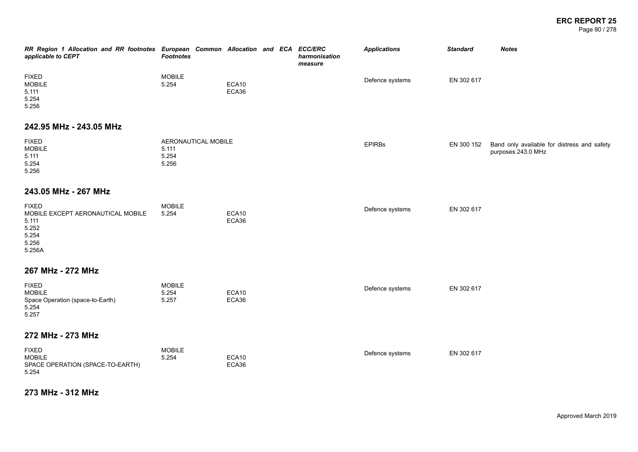Page 80 / 278

| RR Region 1 Allocation and RR footnotes European Common Allocation and ECA ECC/ERC<br>applicable to CEPT | <b>Footnotes</b>                               |                |  | harmonisation<br>measure | <b>Applications</b> | <b>Standard</b> | <b>Notes</b>                                                      |
|----------------------------------------------------------------------------------------------------------|------------------------------------------------|----------------|--|--------------------------|---------------------|-----------------|-------------------------------------------------------------------|
| <b>FIXED</b><br><b>MOBILE</b><br>5.111<br>5.254<br>5.256                                                 | <b>MOBILE</b><br>5.254                         | ECA10<br>ECA36 |  |                          | Defence systems     | EN 302 617      |                                                                   |
| 242.95 MHz - 243.05 MHz                                                                                  |                                                |                |  |                          |                     |                 |                                                                   |
| <b>FIXED</b><br><b>MOBILE</b><br>5.111<br>5.254<br>5.256                                                 | AERONAUTICAL MOBILE<br>5.111<br>5.254<br>5.256 |                |  |                          | <b>EPIRBs</b>       | EN 300 152      | Band only available for distress and safety<br>purposes 243.0 MHz |
| 243.05 MHz - 267 MHz                                                                                     |                                                |                |  |                          |                     |                 |                                                                   |
| <b>FIXED</b><br>MOBILE EXCEPT AERONAUTICAL MOBILE<br>5.111<br>5.252<br>5.254<br>5.256<br>5.256A          | <b>MOBILE</b><br>5.254                         | ECA10<br>ECA36 |  |                          | Defence systems     | EN 302 617      |                                                                   |
| 267 MHz - 272 MHz                                                                                        |                                                |                |  |                          |                     |                 |                                                                   |
| <b>FIXED</b><br><b>MOBILE</b><br>Space Operation (space-to-Earth)<br>5.254<br>5.257                      | <b>MOBILE</b><br>5.254<br>5.257                | ECA10<br>ECA36 |  |                          | Defence systems     | EN 302 617      |                                                                   |
| 272 MHz - 273 MHz                                                                                        |                                                |                |  |                          |                     |                 |                                                                   |
| <b>FIXED</b><br><b>MOBILE</b><br>SPACE OPERATION (SPACE-TO-EARTH)<br>5.254                               | <b>MOBILE</b><br>5.254                         | ECA10<br>ECA36 |  |                          | Defence systems     | EN 302 617      |                                                                   |

**273 MHz - 312 MHz**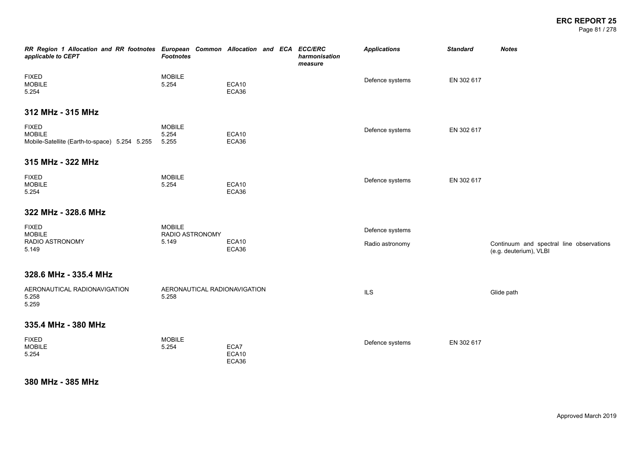Page 81 / 278

| RR Region 1 Allocation and RR footnotes European Common Allocation and ECA ECC/ERC<br>applicable to CEPT | <b>Footnotes</b>                          |                        | harmonisation<br>measure | <b>Applications</b>                | <b>Standard</b> | <b>Notes</b>                                                       |
|----------------------------------------------------------------------------------------------------------|-------------------------------------------|------------------------|--------------------------|------------------------------------|-----------------|--------------------------------------------------------------------|
| <b>FIXED</b><br><b>MOBILE</b><br>5.254                                                                   | <b>MOBILE</b><br>5.254                    | ECA10<br>ECA36         |                          | Defence systems                    | EN 302 617      |                                                                    |
| 312 MHz - 315 MHz                                                                                        |                                           |                        |                          |                                    |                 |                                                                    |
| <b>FIXED</b><br><b>MOBILE</b><br>Mobile-Satellite (Earth-to-space) 5.254 5.255                           | <b>MOBILE</b><br>5.254<br>5.255           | ECA10<br>ECA36         |                          | Defence systems                    | EN 302 617      |                                                                    |
| 315 MHz - 322 MHz                                                                                        |                                           |                        |                          |                                    |                 |                                                                    |
| <b>FIXED</b><br><b>MOBILE</b><br>5.254                                                                   | <b>MOBILE</b><br>5.254                    | ECA10<br>ECA36         |                          | Defence systems                    | EN 302 617      |                                                                    |
| 322 MHz - 328.6 MHz                                                                                      |                                           |                        |                          |                                    |                 |                                                                    |
| <b>FIXED</b><br><b>MOBILE</b><br>RADIO ASTRONOMY<br>5.149                                                | <b>MOBILE</b><br>RADIO ASTRONOMY<br>5.149 | ECA10<br>ECA36         |                          | Defence systems<br>Radio astronomy |                 | Continuum and spectral line observations<br>(e.g. deuterium), VLBI |
| 328.6 MHz - 335.4 MHz                                                                                    |                                           |                        |                          |                                    |                 |                                                                    |
| AERONAUTICAL RADIONAVIGATION<br>5.258<br>5.259                                                           | AERONAUTICAL RADIONAVIGATION<br>5.258     |                        |                          | <b>ILS</b>                         |                 | Glide path                                                         |
| 335.4 MHz - 380 MHz                                                                                      |                                           |                        |                          |                                    |                 |                                                                    |
| <b>FIXED</b><br><b>MOBILE</b><br>5.254                                                                   | <b>MOBILE</b><br>5.254                    | ECA7<br>ECA10<br>ECA36 |                          | Defence systems                    | EN 302 617      |                                                                    |

# **380 MHz - 385 MHz**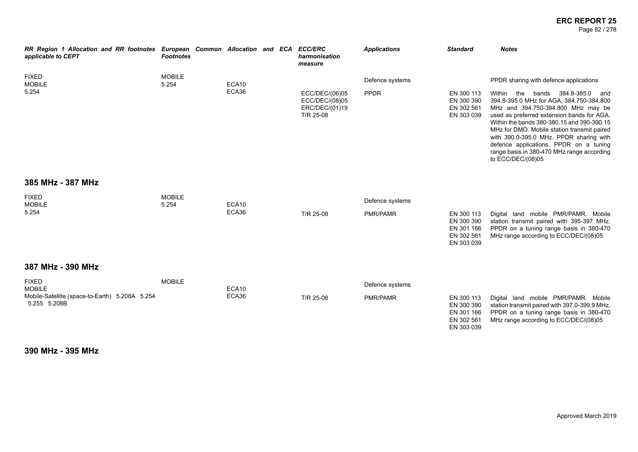#### **ERC REPORT 25** Page 82 / 278

| RR Region 1 Allocation and RR footnotes European Common Allocation and ECA ECC/ERC<br>applicable to CEPT             | <b>Footnotes</b>       |                |  | harmonisation<br>measure                                        | <b>Applications</b>                | <b>Standard</b>                                                    | <b>Notes</b>                                                                                                                                                                                                                                                                                                                                                                                                                                                                |
|----------------------------------------------------------------------------------------------------------------------|------------------------|----------------|--|-----------------------------------------------------------------|------------------------------------|--------------------------------------------------------------------|-----------------------------------------------------------------------------------------------------------------------------------------------------------------------------------------------------------------------------------------------------------------------------------------------------------------------------------------------------------------------------------------------------------------------------------------------------------------------------|
| <b>FIXED</b><br><b>MOBILE</b><br>5.254                                                                               | <b>MOBILE</b><br>5.254 | ECA10<br>ECA36 |  | ECC/DEC/(06)05<br>ECC/DEC/(08)05<br>ERC/DEC/(01)19<br>T/R 25-08 | Defence systems<br><b>PPDR</b>     | EN 300 113<br>EN 300 390<br>EN 302 561<br>EN 303 039               | PPDR sharing with defence applications<br>Within<br>the<br>384.8-385.0<br>bands<br>and<br>394.8-395.0 MHz for AGA, 384.750-384.800<br>MHz and 394.750-394.800 MHz may be<br>used as preferred extension bands for AGA.<br>Within the bands 380-380.15 and 390-390.15<br>MHz for DMO. Mobile station transmit paired<br>with 390.0-395.0 MHz. PPDR sharing with<br>defence applications. PPDR on a tuning<br>range basis in 380-470 MHz range according<br>to ECC/DEC/(08)05 |
| 385 MHz - 387 MHz<br><b>FIXED</b><br><b>MOBILE</b><br>5.254                                                          | <b>MOBILE</b><br>5.254 | ECA10<br>ECA36 |  | T/R 25-08                                                       | Defence systems<br>PMR/PAMR        | EN 300 113<br>EN 300 390<br>EN 301 166<br>EN 302 561<br>EN 303 039 | Digital land mobile PMR/PAMR. Mobile<br>station transmit paired with 395-397 MHz.<br>PPDR on a tuning range basis in 380-470<br>MHz range according to ECC/DEC/(08)05                                                                                                                                                                                                                                                                                                       |
| 387 MHz - 390 MHz<br><b>FIXED</b><br><b>MOBILE</b><br>Mobile-Satellite (space-to-Earth) 5.208A 5.254<br>5.255 5.208B | <b>MOBILE</b>          | ECA10<br>ECA36 |  | T/R 25-08                                                       | Defence systems<br><b>PMR/PAMR</b> | EN 300 113<br>EN 300 390<br>EN 301 166<br>EN 302 561<br>EN 303 039 | Digital land mobile PMR/PAMR. Mobile<br>station transmit paired with 397.0-399.9 MHz.<br>PPDR on a tuning range basis in 380-470<br>MHz range according to ECC/DEC/(08)05                                                                                                                                                                                                                                                                                                   |

**390 MHz - 395 MHz**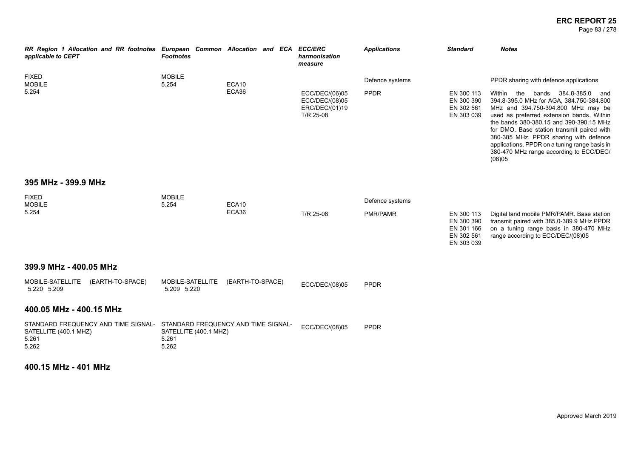#### **ERC REPORT 25** Page 83 / 278

| RR Region 1 Allocation and RR footnotes European Common Allocation and ECA<br>applicable to CEPT                   | <b>Footnotes</b>                        |                  | <b>ECC/ERC</b><br>harmonisation<br>measure                      | <b>Applications</b>            | <b>Standard</b>                                                    | <b>Notes</b>                                                                                                                                                                                                                                                                                                                                                                                                                                             |
|--------------------------------------------------------------------------------------------------------------------|-----------------------------------------|------------------|-----------------------------------------------------------------|--------------------------------|--------------------------------------------------------------------|----------------------------------------------------------------------------------------------------------------------------------------------------------------------------------------------------------------------------------------------------------------------------------------------------------------------------------------------------------------------------------------------------------------------------------------------------------|
| <b>FIXED</b><br><b>MOBILE</b><br>5.254                                                                             | <b>MOBILE</b><br>5.254                  | ECA10<br>ECA36   | ECC/DEC/(06)05<br>ECC/DEC/(08)05<br>ERC/DEC/(01)19<br>T/R 25-08 | Defence systems<br><b>PPDR</b> | EN 300 113<br>EN 300 390<br>EN 302 561<br>EN 303 039               | PPDR sharing with defence applications<br>Within the<br>bands 384.8-385.0<br>and<br>394.8-395.0 MHz for AGA, 384.750-384.800<br>MHz and 394.750-394.800 MHz may be<br>used as preferred extension bands. Within<br>the bands 380-380.15 and 390-390.15 MHz<br>for DMO. Base station transmit paired with<br>380-385 MHz. PPDR sharing with defence<br>applications. PPDR on a tuning range basis in<br>380-470 MHz range according to ECC/DEC/<br>(08)05 |
| 395 MHz - 399.9 MHz                                                                                                |                                         |                  |                                                                 |                                |                                                                    |                                                                                                                                                                                                                                                                                                                                                                                                                                                          |
| <b>FIXED</b><br><b>MOBILE</b><br>5.254                                                                             | <b>MOBILE</b><br>5.254                  | ECA10<br>ECA36   | T/R 25-08                                                       | Defence systems<br>PMR/PAMR    | EN 300 113<br>EN 300 390<br>EN 301 166<br>EN 302 561<br>EN 303 039 | Digital land mobile PMR/PAMR. Base station<br>transmit paired with 385.0-389.9 MHz.PPDR<br>on a tuning range basis in 380-470 MHz<br>range according to ECC/DEC/(08)05                                                                                                                                                                                                                                                                                   |
| 399.9 MHz - 400.05 MHz                                                                                             |                                         |                  |                                                                 |                                |                                                                    |                                                                                                                                                                                                                                                                                                                                                                                                                                                          |
| (EARTH-TO-SPACE)<br>MOBILE-SATELLITE<br>5.220 5.209                                                                | MOBILE-SATELLITE<br>5.209 5.220         | (EARTH-TO-SPACE) | ECC/DEC/(08)05                                                  | <b>PPDR</b>                    |                                                                    |                                                                                                                                                                                                                                                                                                                                                                                                                                                          |
| 400.05 MHz - 400.15 MHz                                                                                            |                                         |                  |                                                                 |                                |                                                                    |                                                                                                                                                                                                                                                                                                                                                                                                                                                          |
| STANDARD FREQUENCY AND TIME SIGNAL- STANDARD FREQUENCY AND TIME SIGNAL-<br>SATELLITE (400.1 MHZ)<br>5.261<br>5.262 | SATELLITE (400.1 MHZ)<br>5.261<br>5.262 |                  | ECC/DEC/(08)05                                                  | <b>PPDR</b>                    |                                                                    |                                                                                                                                                                                                                                                                                                                                                                                                                                                          |

**400.15 MHz - 401 MHz**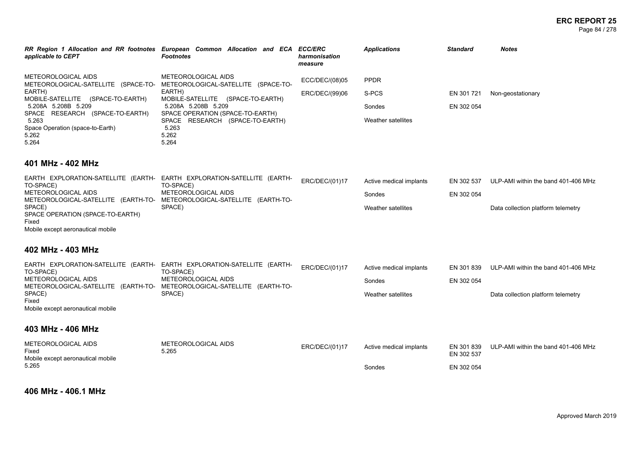| RR Region 1 Allocation and RR footnotes<br>applicable to CEPT                                        | European Common Allocation and ECA ECC/ERC<br><b>Footnotes</b>                                  | harmonisation<br>measure | <b>Applications</b> | <b>Standard</b> | <b>Notes</b>      |
|------------------------------------------------------------------------------------------------------|-------------------------------------------------------------------------------------------------|--------------------------|---------------------|-----------------|-------------------|
| METEOROLOGICAL AIDS<br>METEOROLOGICAL-SATELLITE (SPACE-TO-                                           | METEOROLOGICAL AIDS<br>METEOROLOGICAL-SATELLITE<br>(SPACE-TO-                                   | ECC/DEC/(08)05           | <b>PPDR</b>         |                 |                   |
| EARTH)                                                                                               | EARTH)                                                                                          | ERC/DEC/(99)06           | S-PCS               | EN 301721       | Non-geostationary |
| (SPACE-TO-EARTH)<br>MOBILE-SATELLITE<br>5.208A 5.208B 5.209<br>(SPACE-TO-EARTH)<br>SPACE<br>RESEARCH | (SPACE-TO-EARTH)<br>MOBILE-SATELLITE<br>5.208A 5.208B 5.209<br>SPACE OPERATION (SPACE-TO-EARTH) |                          | Sondes              | EN 302 054      |                   |
| 5.263                                                                                                | (SPACE-TO-EARTH)<br>SPACE RESEARCH                                                              |                          | Weather satellites  |                 |                   |
| Space Operation (space-to-Earth)                                                                     | 5.263                                                                                           |                          |                     |                 |                   |
| 5.262<br>5.264                                                                                       | 5.262<br>5.264                                                                                  |                          |                     |                 |                   |

### **401 MHz - 402 MHz**

| EARTH EXPLORATION-SATELLITE (EARTH- EARTH EXPLORATION-SATELLITE (EARTH- |                     | ERC/DEC/(01)17 | Active medical implants | EN 302 537 | ULP-AMI within the band 401-406 MHz |
|-------------------------------------------------------------------------|---------------------|----------------|-------------------------|------------|-------------------------------------|
| TO-SPACE)                                                               | TO-SPACE)           |                |                         |            |                                     |
| METEOROLOGICAL AIDS                                                     | METEOROLOGICAL AIDS |                | Sondes                  | EN 302 054 |                                     |
| METEOROLOGICAL-SATELLITE (EARTH-TO- METEOROLOGICAL-SATELLITE (EARTH-TO- |                     |                |                         |            |                                     |
| SPACE)                                                                  | SPACE)              |                | Weather satellites      |            | Data collection platform telemetry  |
| SPACE OPERATION (SPACE-TO-EARTH)                                        |                     |                |                         |            |                                     |
| Fixed                                                                   |                     |                |                         |            |                                     |
| Mobile except aeronautical mobile                                       |                     |                |                         |            |                                     |

# **402 MHz - 403 MHz**

| TO-SPACE)                         | EARTH EXPLORATION-SATELLITE (EARTH- EARTH EXPLORATION-SATELLITE (EARTH-<br>TO-SPACE) | ERC/DEC/(01)17 | Active medical implants | EN 301 839 | ULP-AMI within the band 401-406 MHz |
|-----------------------------------|--------------------------------------------------------------------------------------|----------------|-------------------------|------------|-------------------------------------|
| METEOROLOGICAL AIDS               | METEOROLOGICAL AIDS                                                                  |                | Sondes                  | EN 302 054 |                                     |
|                                   | METEOROLOGICAL-SATELLITE (EARTH-TO- METEOROLOGICAL-SATELLITE (EARTH-TO-              |                |                         |            |                                     |
| SPACE)                            | SPACE)                                                                               |                | Weather satellites      |            | Data collection platform telemetry  |
| Fixed                             |                                                                                      |                |                         |            |                                     |
| Mobile except aeronautical mobile |                                                                                      |                |                         |            |                                     |

### **403 MHz - 406 MHz**

| METEOROLOGICAL AIDS<br>Fixed<br>Mobile except aeronautical mobile | METEOROLOGICAL AIDS<br>5.265 | ERC/DEC/(01)17 | Active medical implants | EN 302 537 | EN 301 839 ULP-AMI within the band 401-406 MHz |
|-------------------------------------------------------------------|------------------------------|----------------|-------------------------|------------|------------------------------------------------|
| 5.265                                                             |                              |                | Sondes                  | EN 302 054 |                                                |

**406 MHz - 406.1 MHz**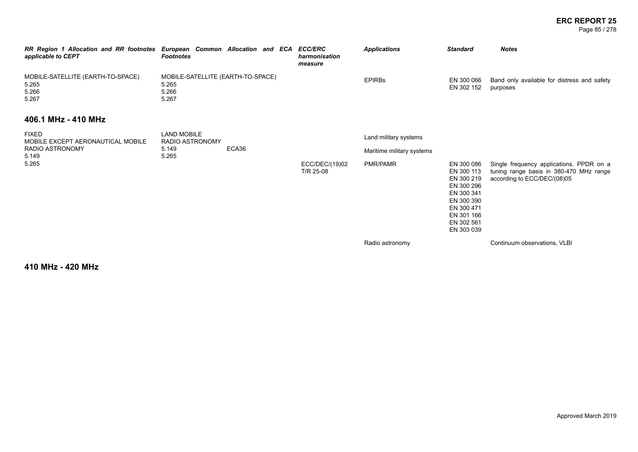Page 85 / 278

| RR Region 1 Allocation and RR footnotes European Common Allocation and ECA<br>applicable to CEPT | <b>Footnotes</b>                                             |       | <b>ECC/ERC</b><br>harmonisation<br>measure | <b>Applications</b>       | <b>Standard</b>                                                                                                                          | <b>Notes</b>                                                                                                       |
|--------------------------------------------------------------------------------------------------|--------------------------------------------------------------|-------|--------------------------------------------|---------------------------|------------------------------------------------------------------------------------------------------------------------------------------|--------------------------------------------------------------------------------------------------------------------|
| MOBILE-SATELLITE (EARTH-TO-SPACE)<br>5.265<br>5.266<br>5.267                                     | MOBILE-SATELLITE (EARTH-TO-SPACE)<br>5.265<br>5.266<br>5.267 |       |                                            | <b>EPIRBS</b>             | EN 300 066<br>EN 302 152                                                                                                                 | Band only available for distress and safety<br>purposes                                                            |
| 406.1 MHz - 410 MHz                                                                              |                                                              |       |                                            |                           |                                                                                                                                          |                                                                                                                    |
| <b>FIXED</b><br>MOBILE EXCEPT AERONAUTICAL MOBILE                                                | <b>LAND MOBILE</b><br>RADIO ASTRONOMY                        |       |                                            | Land military systems     |                                                                                                                                          |                                                                                                                    |
| RADIO ASTRONOMY<br>5.149                                                                         | 5.149<br>5.265                                               | ECA36 |                                            | Maritime military systems |                                                                                                                                          |                                                                                                                    |
| 5.265                                                                                            |                                                              |       | ECC/DEC/(19)02<br>T/R 25-08                | PMR/PAMR                  | EN 300 086<br>EN 300 113<br>EN 300 219<br>EN 300 296<br>EN 300 341<br>EN 300 390<br>EN 300 471<br>EN 301 166<br>EN 302 561<br>EN 303 039 | Single frequency applications. PPDR on a<br>tuning range basis in 380-470 MHz range<br>according to ECC/DEC/(08)05 |
|                                                                                                  |                                                              |       |                                            | Radio astronomy           |                                                                                                                                          | Continuum observations, VLBI                                                                                       |

**410 MHz - 420 MHz**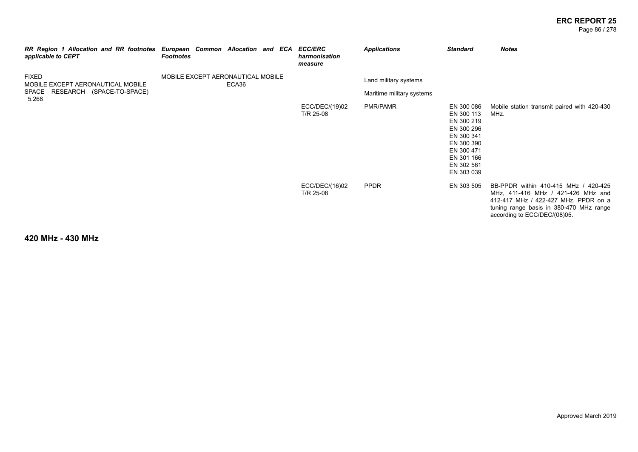#### **ERC REPORT 25** Page 86 / 278

| RR Region 1 Allocation and RR footnotes European Common Allocation and ECA ECC/ERC<br>applicable to CEPT | <b>Footnotes</b>                  |       | harmonisation<br>measure    | <b>Applications</b>                                | <b>Standard</b>                                                                                                                          | <b>Notes</b>                                                                                                                                                                                  |
|----------------------------------------------------------------------------------------------------------|-----------------------------------|-------|-----------------------------|----------------------------------------------------|------------------------------------------------------------------------------------------------------------------------------------------|-----------------------------------------------------------------------------------------------------------------------------------------------------------------------------------------------|
| <b>FIXED</b><br>MOBILE EXCEPT AERONAUTICAL MOBILE<br>SPACE RESEARCH (SPACE-TO-SPACE)<br>5.268            | MOBILE EXCEPT AERONAUTICAL MOBILE | ECA36 |                             | Land military systems<br>Maritime military systems |                                                                                                                                          |                                                                                                                                                                                               |
|                                                                                                          |                                   |       | ECC/DEC/(19)02<br>T/R 25-08 | PMR/PAMR                                           | EN 300 086<br>EN 300 113<br>EN 300 219<br>EN 300 296<br>EN 300 341<br>EN 300 390<br>EN 300 471<br>EN 301 166<br>EN 302 561<br>EN 303 039 | Mobile station transmit paired with 420-430<br>MHz.                                                                                                                                           |
|                                                                                                          |                                   |       | ECC/DEC/(16)02<br>T/R 25-08 | <b>PPDR</b>                                        | EN 303 505                                                                                                                               | BB-PPDR within 410-415 MHz / 420-425<br>MHz, 411-416 MHz / 421-426 MHz and<br>412-417 MHz / 422-427 MHz. PPDR on a<br>tuning range basis in 380-470 MHz range<br>according to ECC/DEC/(08)05. |

**420 MHz - 430 MHz**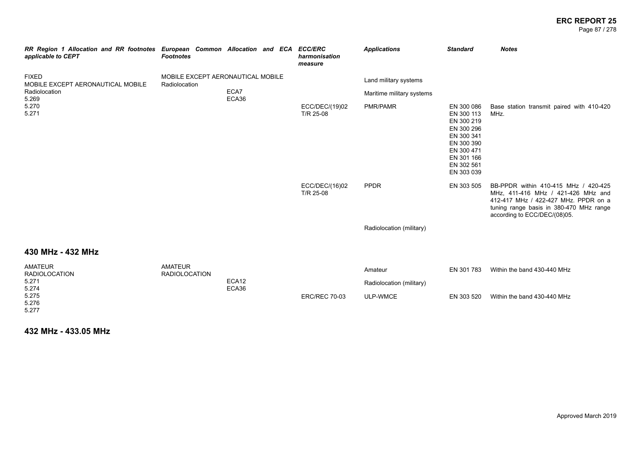#### **ERC REPORT 25** Page 87 / 278

*RR Region 1 Allocation and RR footnotes European Common Allocation and ECA ECC/ERC applicable to CEPT Footnotes harmonisation measure Applications Standard Notes* FIXED MOBILE EXCEPT AERONAUTICAL MOBILE Radiolocation 5.269 5.270 5.271 MOBILE EXCEPT AERONAUTICAL MOBILE Radiolocation ECA7 ECA36 Land military systems Maritime military systems ECC/DEC/(19)02 T/R 25-08 PMR/PAMR EN 300 086 EN 300 113 EN 300 219 EN 300 296 EN 300 341 EN 300 390 EN 300 471 EN 301 166 EN 302 561 EN 303 039 Base station transmit paired with 410-420 MHz. ECC/DEC/(16)02 T/R 25-08 PPDR EN 303 505 BB-PPDR within 410-415 MHz / 420-425 MHz, 411-416 MHz / 421-426 MHz and 412-417 MHz / 422-427 MHz. PPDR on a tuning range basis in 380-470 MHz range according to ECC/DEC/(08)05. Radiolocation (military) **430 MHz - 432 MHz** AMATEUR RADIOLOCATION 5.271 AMATEUR RADIOLOCATION ECA12 Amateur EN 301 783 Within the band 430-440 MHz Radiolocation (military)

ECA36 ERC/REC 70-03 ULP-WMCE EN 303 520 Within the band 430-440 MHz

5.275 5.276 5.277

5.274

**432 MHz - 433.05 MHz**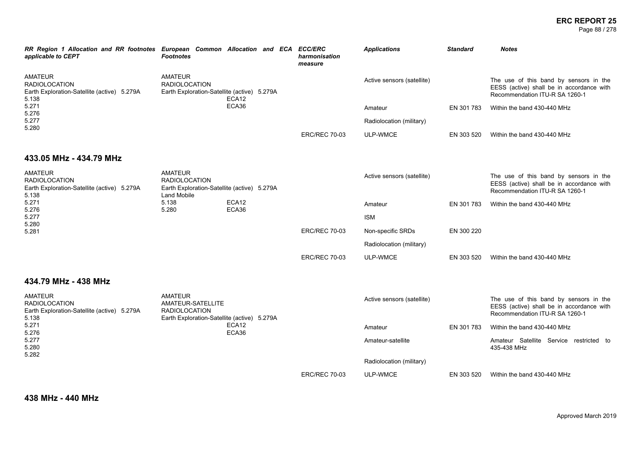Page 88 / 278

| RR Region 1 Allocation and RR footnotes European Common Allocation and ECA ECC/ERC<br>applicable to CEPT | <b>Footnotes</b>                                                                                           |                |  |                      | harmonisation<br>measure | <b>Applications</b>        | <b>Standard</b>             | <b>Notes</b>                                                                                                          |
|----------------------------------------------------------------------------------------------------------|------------------------------------------------------------------------------------------------------------|----------------|--|----------------------|--------------------------|----------------------------|-----------------------------|-----------------------------------------------------------------------------------------------------------------------|
| <b>AMATEUR</b><br><b>RADIOLOCATION</b><br>Earth Exploration-Satellite (active) 5.279A<br>5.138           | <b>AMATEUR</b><br><b>RADIOLOCATION</b><br>Earth Exploration-Satellite (active) 5.279A                      | ECA12          |  |                      |                          | Active sensors (satellite) |                             | The use of this band by sensors in the<br>EESS (active) shall be in accordance with<br>Recommendation ITU-R SA 1260-1 |
| 5.271<br>5.276                                                                                           |                                                                                                            | ECA36          |  |                      |                          | Amateur                    | EN 301 783                  | Within the band 430-440 MHz                                                                                           |
| 5.277<br>5.280                                                                                           |                                                                                                            |                |  |                      |                          | Radiolocation (military)   |                             |                                                                                                                       |
|                                                                                                          |                                                                                                            |                |  |                      | <b>ERC/REC 70-03</b>     | ULP-WMCE                   | EN 303 520                  | Within the band 430-440 MHz                                                                                           |
| 433.05 MHz - 434.79 MHz                                                                                  |                                                                                                            |                |  |                      |                          |                            |                             |                                                                                                                       |
| <b>AMATEUR</b><br><b>RADIOLOCATION</b><br>Earth Exploration-Satellite (active) 5.279A<br>5.138           | <b>AMATEUR</b><br><b>RADIOLOCATION</b><br>Earth Exploration-Satellite (active) 5.279A<br>Land Mobile       |                |  |                      |                          | Active sensors (satellite) |                             | The use of this band by sensors in the<br>EESS (active) shall be in accordance with<br>Recommendation ITU-R SA 1260-1 |
| 5.271<br>5.276                                                                                           | 5.138<br>5.280                                                                                             | ECA12<br>ECA36 |  |                      | Amateur                  | EN 301 783                 | Within the band 430-440 MHz |                                                                                                                       |
| 5.277<br>5.280                                                                                           |                                                                                                            |                |  |                      |                          | <b>ISM</b>                 |                             |                                                                                                                       |
| 5.281                                                                                                    |                                                                                                            |                |  | <b>ERC/REC 70-03</b> | Non-specific SRDs        | EN 300 220                 |                             |                                                                                                                       |
|                                                                                                          |                                                                                                            |                |  |                      |                          | Radiolocation (military)   |                             |                                                                                                                       |
|                                                                                                          |                                                                                                            |                |  |                      | <b>ERC/REC 70-03</b>     | ULP-WMCE                   | EN 303 520                  | Within the band 430-440 MHz                                                                                           |
| 434.79 MHz - 438 MHz                                                                                     |                                                                                                            |                |  |                      |                          |                            |                             |                                                                                                                       |
| <b>AMATEUR</b><br><b>RADIOLOCATION</b><br>Earth Exploration-Satellite (active) 5.279A<br>5.138           | <b>AMATEUR</b><br>AMATEUR-SATELLITE<br><b>RADIOLOCATION</b><br>Earth Exploration-Satellite (active) 5.279A |                |  |                      |                          | Active sensors (satellite) |                             | The use of this band by sensors in the<br>EESS (active) shall be in accordance with<br>Recommendation ITU-R SA 1260-1 |
| 5.271<br>5.276                                                                                           |                                                                                                            | ECA12<br>ECA36 |  |                      |                          | Amateur                    | EN 301 783                  | Within the band 430-440 MHz                                                                                           |
| 5.277<br>5.280<br>5.282                                                                                  |                                                                                                            |                |  |                      |                          | Amateur-satellite          |                             | Amateur Satellite Service restricted to<br>435-438 MHz                                                                |
|                                                                                                          |                                                                                                            |                |  |                      |                          | Radiolocation (military)   |                             |                                                                                                                       |
|                                                                                                          |                                                                                                            |                |  |                      | <b>ERC/REC 70-03</b>     | <b>ULP-WMCE</b>            | EN 303 520                  | Within the band 430-440 MHz                                                                                           |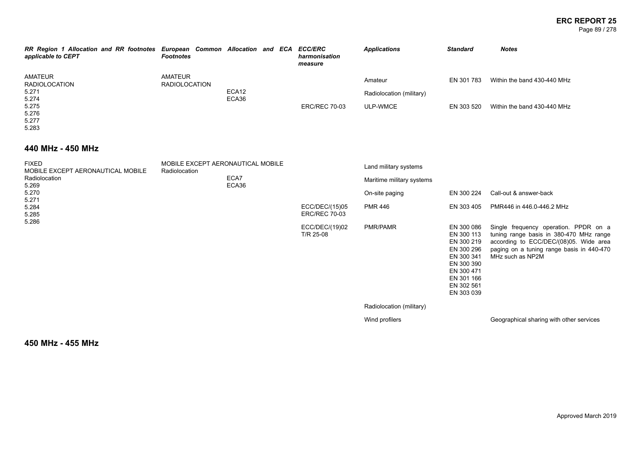#### **ERC REPORT 25** Page 89 / 278

| RR Region 1 Allocation and RR footnotes European Common Allocation and ECA<br>applicable to CEPT | <b>Footnotes</b>         |                |  | <b>ECC/ERC</b><br>harmonisation<br>measure | <b>Applications</b>                             | <b>Standard</b>          | <b>Notes</b>                                               |
|--------------------------------------------------------------------------------------------------|--------------------------|----------------|--|--------------------------------------------|-------------------------------------------------|--------------------------|------------------------------------------------------------|
| AMATEUR<br><b>RADIOLOCATION</b><br>5.271<br>5.274<br>5.275<br>5.276<br>5.277<br>5.283            | AMATEUR<br>RADIOLOCATION | ECA12<br>ECA36 |  | <b>ERC/REC 70-03</b>                       | Amateur<br>Radiolocation (military)<br>ULP-WMCE | EN 301 783<br>EN 303 520 | Within the band 430-440 MHz<br>Within the band 430-440 MHz |

### **440 MHz - 450 MHz**

| <b>FIXED</b><br>MOBILE EXCEPT AERONAUTICAL MOBILE | MOBILE EXCEPT AERONAUTICAL MOBILE<br>Radiolocation |                                        | Land military systems     |                                                                                                                                          |                                                                                                                                                                                             |
|---------------------------------------------------|----------------------------------------------------|----------------------------------------|---------------------------|------------------------------------------------------------------------------------------------------------------------------------------|---------------------------------------------------------------------------------------------------------------------------------------------------------------------------------------------|
| Radiolocation<br>5.269                            | ECA7<br>ECA36                                      |                                        | Maritime military systems |                                                                                                                                          |                                                                                                                                                                                             |
| 5.270                                             |                                                    |                                        | On-site paging            | EN 300 224                                                                                                                               | Call-out & answer-back                                                                                                                                                                      |
| 5.271<br>5.284<br>5.285                           |                                                    | ECC/DEC/(15)05<br><b>ERC/REC 70-03</b> | PMR 446                   | EN 303 405                                                                                                                               | PMR446 in 446.0-446.2 MHz                                                                                                                                                                   |
| 5.286                                             |                                                    | ECC/DEC/(19)02<br>T/R 25-08            | PMR/PAMR                  | EN 300 086<br>EN 300 113<br>EN 300 219<br>EN 300 296<br>EN 300 341<br>EN 300 390<br>EN 300 471<br>EN 301 166<br>EN 302 561<br>EN 303 039 | Single frequency operation. PPDR on a<br>tuning range basis in 380-470 MHz range<br>according to ECC/DEC/(08)05. Wide area<br>paging on a tuning range basis in 440-470<br>MHz such as NP2M |
|                                                   |                                                    |                                        | Radiolocation (military)  |                                                                                                                                          |                                                                                                                                                                                             |
|                                                   |                                                    |                                        | Wind profilers            |                                                                                                                                          | Geographical sharing with other services                                                                                                                                                    |

**450 MHz - 455 MHz**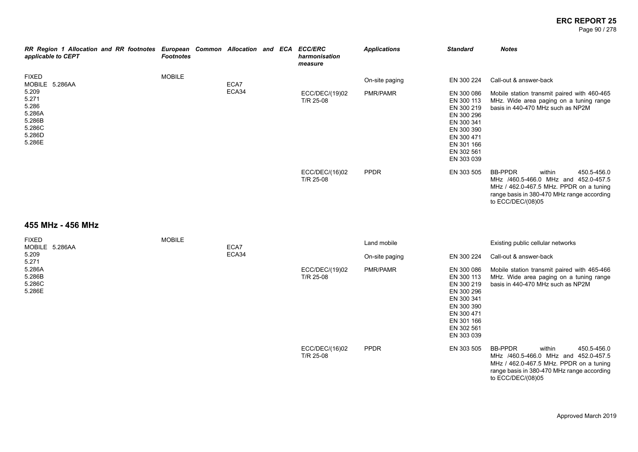Page 90 / 278

| RR Region 1 Allocation and RR footnotes European Common Allocation and ECA<br>applicable to CEPT                                                                                                                                                                                                                                                                                     | <b>Footnotes</b> |               |  | <b>ECC/ERC</b><br>harmonisation<br>measure | <b>Applications</b>        | <b>Standard</b>                                                                                                                                        | <b>Notes</b>                                                                                                                                                                                  |
|--------------------------------------------------------------------------------------------------------------------------------------------------------------------------------------------------------------------------------------------------------------------------------------------------------------------------------------------------------------------------------------|------------------|---------------|--|--------------------------------------------|----------------------------|--------------------------------------------------------------------------------------------------------------------------------------------------------|-----------------------------------------------------------------------------------------------------------------------------------------------------------------------------------------------|
| <b>FIXED</b><br>MOBILE 5.286AA<br>5.209<br>5.271<br>5.286<br>5.286A<br>5.286B<br>5.286C<br>5.286D<br>5.286E                                                                                                                                                                                                                                                                          | <b>MOBILE</b>    | ECA7<br>ECA34 |  | ECC/DEC/(19)02<br>T/R 25-08                | On-site paging<br>PMR/PAMR | EN 300 224<br>EN 300 086<br>EN 300 113<br>EN 300 219<br>EN 300 296<br>EN 300 341<br>EN 300 390<br>EN 300 471<br>EN 301 166<br>EN 302 561<br>EN 303 039 | Call-out & answer-back<br>Mobile station transmit paired with 460-465<br>MHz. Wide area paging on a tuning range<br>basis in 440-470 MHz such as NP2M                                         |
| $\overline{1}$ $\overline{1}$ $\overline{1}$ $\overline{1}$ $\overline{1}$ $\overline{1}$ $\overline{1}$ $\overline{1}$ $\overline{1}$ $\overline{1}$ $\overline{1}$ $\overline{1}$ $\overline{1}$ $\overline{1}$ $\overline{1}$ $\overline{1}$ $\overline{1}$ $\overline{1}$ $\overline{1}$ $\overline{1}$ $\overline{1}$ $\overline{1}$ $\overline{1}$ $\overline{1}$ $\overline{$ |                  |               |  | ECC/DEC/(16)02<br>T/R 25-08                | <b>PPDR</b>                | EN 303 505                                                                                                                                             | <b>BB-PPDR</b><br>450.5-456.0<br>within<br>MHz /460.5-466.0 MHz and 452.0-457.5<br>MHz / 462.0-467.5 MHz. PPDR on a tuning<br>range basis in 380-470 MHz range according<br>to ECC/DEC/(08)05 |

#### **455 MHz - 456 MHz**

| <b>FIXED</b><br>MOBILE 5.286AA       | <b>MOBILE</b> | ECA7  |                             | Land mobile     |                                                                                                                                          | Existing public cellular networks                                                                                                                                                      |
|--------------------------------------|---------------|-------|-----------------------------|-----------------|------------------------------------------------------------------------------------------------------------------------------------------|----------------------------------------------------------------------------------------------------------------------------------------------------------------------------------------|
| 5.209<br>5.271                       |               | ECA34 |                             | On-site paging  | EN 300 224                                                                                                                               | Call-out & answer-back                                                                                                                                                                 |
| 5.286A<br>5.286B<br>5.286C<br>5.286E |               |       | ECC/DEC/(19)02<br>T/R 25-08 | <b>PMR/PAMR</b> | EN 300 086<br>EN 300 113<br>EN 300 219<br>EN 300 296<br>EN 300 341<br>EN 300 390<br>EN 300 471<br>EN 301 166<br>EN 302 561<br>EN 303 039 | Mobile station transmit paired with 465-466<br>MHz. Wide area paging on a tuning range<br>basis in 440-470 MHz such as NP2M                                                            |
|                                      |               |       | ECC/DEC/(16)02<br>T/R 25-08 | <b>PPDR</b>     | EN 303 505                                                                                                                               | BB-PPDR<br>450.5-456.0<br>within<br>MHz /460.5-466.0 MHz and 452.0-457.5<br>MHz / 462.0-467.5 MHz. PPDR on a tuning<br>range basis in 380-470 MHz range according<br>to ECC/DEC/(08)05 |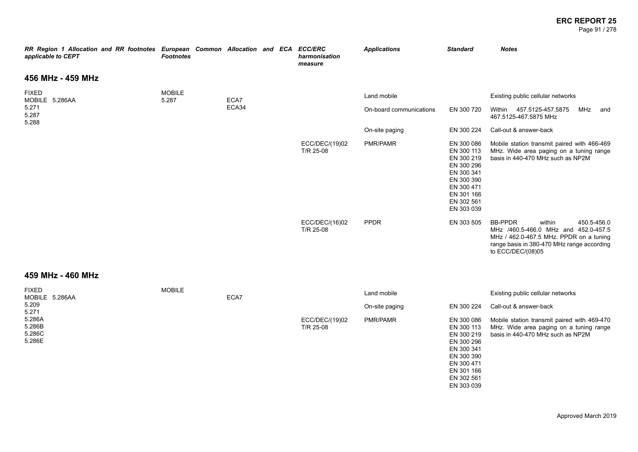Page 91 / 278

| RR Region 1 Allocation and RR footnotes European Common Allocation and ECA ECC/ERC<br>applicable to CEPT | <b>Footnotes</b>       |       |  | harmonisation<br>measure    | <b>Applications</b>     | <b>Standard</b>                                                                                                                          | <b>Notes</b>                                                                                                                                                                                  |
|----------------------------------------------------------------------------------------------------------|------------------------|-------|--|-----------------------------|-------------------------|------------------------------------------------------------------------------------------------------------------------------------------|-----------------------------------------------------------------------------------------------------------------------------------------------------------------------------------------------|
| 456 MHz - 459 MHz                                                                                        |                        |       |  |                             |                         |                                                                                                                                          |                                                                                                                                                                                               |
| <b>FIXED</b><br>MOBILE 5.286AA                                                                           | <b>MOBILE</b><br>5.287 | ECA7  |  |                             | Land mobile             |                                                                                                                                          | Existing public cellular networks                                                                                                                                                             |
| 5.271<br>5.287<br>5.288                                                                                  |                        | ECA34 |  |                             | On-board communications | EN 300 720                                                                                                                               | Within 457.5125-457.5875<br>MHz<br>and<br>467.5125-467.5875 MHz                                                                                                                               |
|                                                                                                          |                        |       |  |                             | On-site paging          | EN 300 224                                                                                                                               | Call-out & answer-back                                                                                                                                                                        |
|                                                                                                          |                        |       |  | ECC/DEC/(19)02<br>T/R 25-08 | PMR/PAMR                | EN 300 086<br>EN 300 113<br>EN 300 219<br>EN 300 296<br>EN 300 341<br>EN 300 390<br>EN 300 471<br>EN 301 166<br>EN 302 561<br>EN 303 039 | Mobile station transmit paired with 466-469<br>MHz. Wide area paging on a tuning range<br>basis in 440-470 MHz such as NP2M                                                                   |
|                                                                                                          |                        |       |  | ECC/DEC/(16)02<br>T/R 25-08 | <b>PPDR</b>             | EN 303 505                                                                                                                               | <b>BB-PPDR</b><br>within<br>450.5-456.0<br>MHz /460.5-466.0 MHz and 452.0-457.5<br>MHz / 462.0-467.5 MHz. PPDR on a tuning<br>range basis in 380-470 MHz range according<br>to ECC/DEC/(08)05 |
| 459 MHz - 460 MHz                                                                                        |                        |       |  |                             |                         |                                                                                                                                          |                                                                                                                                                                                               |
| <b>FIXED</b><br>MOBILE 5.286AA                                                                           | <b>MOBILE</b>          | ECA7  |  |                             | Land mobile             |                                                                                                                                          | Existing public cellular networks                                                                                                                                                             |
| 5.209<br>5.271                                                                                           |                        |       |  |                             | On-site paging          | EN 300 224                                                                                                                               | Call-out & answer-back                                                                                                                                                                        |
| 5.286A<br>5.286B<br>5.286C<br>5.286E                                                                     |                        |       |  | ECC/DEC/(19)02<br>T/R 25-08 | PMR/PAMR                | EN 300 086<br>EN 300 113<br>EN 300 219<br>EN 300 296<br>EN 300 341<br>EN 300 390<br>EN 300 471<br>EN 301 166<br>EN 302 561<br>EN 303 039 | Mobile station transmit paired with 469-470<br>MHz. Wide area paging on a tuning range<br>basis in 440-470 MHz such as NP2M                                                                   |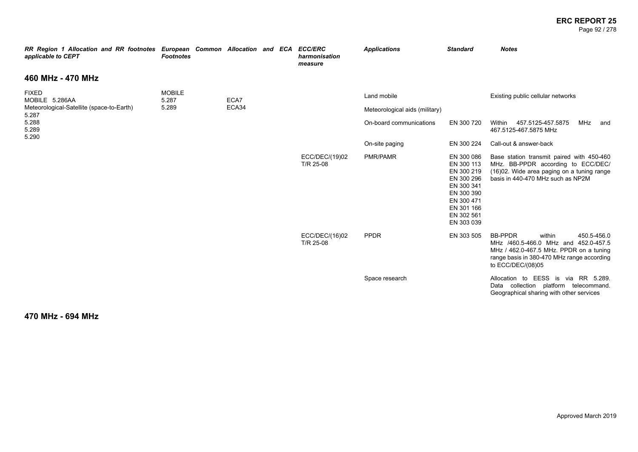#### **ERC REPORT 25** Page 92 / 278

| RR Region 1 Allocation and RR footnotes European Common Allocation and ECA<br>applicable to CEPT | <b>Footnotes</b>       |       |  | <b>ECC/ERC</b><br>harmonisation<br>measure | <b>Applications</b>            | <b>Standard</b>                                                                                                                          | <b>Notes</b>                                                                                                                                                                                  |
|--------------------------------------------------------------------------------------------------|------------------------|-------|--|--------------------------------------------|--------------------------------|------------------------------------------------------------------------------------------------------------------------------------------|-----------------------------------------------------------------------------------------------------------------------------------------------------------------------------------------------|
| 460 MHz - 470 MHz                                                                                |                        |       |  |                                            |                                |                                                                                                                                          |                                                                                                                                                                                               |
| <b>FIXED</b><br>MOBILE 5.286AA                                                                   | <b>MOBILE</b><br>5.287 | ECA7  |  |                                            | Land mobile                    |                                                                                                                                          | Existing public cellular networks                                                                                                                                                             |
| Meteorological-Satellite (space-to-Earth)<br>5.287                                               | 5.289                  | ECA34 |  |                                            | Meteorological aids (military) |                                                                                                                                          |                                                                                                                                                                                               |
| 5.288<br>5.289<br>5.290                                                                          |                        |       |  |                                            | On-board communications        | EN 300 720                                                                                                                               | 457.5125-457.5875<br>MHz<br>Within<br>and<br>467.5125-467.5875 MHz                                                                                                                            |
|                                                                                                  |                        |       |  |                                            | On-site paging                 | EN 300 224                                                                                                                               | Call-out & answer-back                                                                                                                                                                        |
|                                                                                                  |                        |       |  | ECC/DEC/(19)02<br>T/R 25-08                | <b>PMR/PAMR</b>                | EN 300 086<br>EN 300 113<br>EN 300 219<br>EN 300 296<br>EN 300 341<br>EN 300 390<br>EN 300 471<br>EN 301 166<br>EN 302 561<br>EN 303 039 | Base station transmit paired with 450-460<br>MHz. BB-PPDR according to ECC/DEC/<br>(16)02. Wide area paging on a tuning range<br>basis in 440-470 MHz such as NP2M                            |
|                                                                                                  |                        |       |  | ECC/DEC/(16)02<br>T/R 25-08                | <b>PPDR</b>                    | EN 303 505                                                                                                                               | <b>BB-PPDR</b><br>within<br>450.5-456.0<br>MHz /460.5-466.0 MHz and 452.0-457.5<br>MHz / 462.0-467.5 MHz. PPDR on a tuning<br>range basis in 380-470 MHz range according<br>to ECC/DEC/(08)05 |
|                                                                                                  |                        |       |  |                                            | Space research                 |                                                                                                                                          | Allocation to EESS is via RR 5.289.<br>Data collection platform telecommand.<br>Geographical sharing with other services                                                                      |

### **470 MHz - 694 MHz**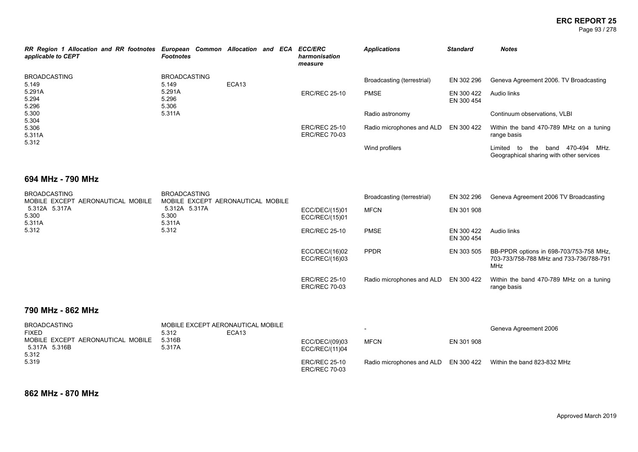Page 93 / 278

| applicable to CEPT                                       | RR Region 1 Allocation and RR footnotes European Common Allocation and ECA ECC/ERC<br><b>Footnotes</b> | harmonisation<br>measure                     | <b>Applications</b>        | <b>Standard</b>          | <b>Notes</b>                                                                                     |
|----------------------------------------------------------|--------------------------------------------------------------------------------------------------------|----------------------------------------------|----------------------------|--------------------------|--------------------------------------------------------------------------------------------------|
| <b>BROADCASTING</b><br>5.149                             | <b>BROADCASTING</b><br>ECA13<br>5.149                                                                  |                                              | Broadcasting (terrestrial) | EN 302 296               | Geneva Agreement 2006. TV Broadcasting                                                           |
| 5.291A<br>5.294<br>5.296                                 | 5.291A<br>5.296<br>5.306                                                                               | <b>ERC/REC 25-10</b>                         | <b>PMSE</b>                | EN 300 422<br>EN 300 454 | Audio links                                                                                      |
| 5.300<br>5.304                                           | 5.311A                                                                                                 |                                              | Radio astronomy            |                          | Continuum observations, VLBI                                                                     |
| 5.306<br>5.311A<br>5.312                                 |                                                                                                        | <b>ERC/REC 25-10</b><br><b>ERC/REC 70-03</b> | Radio microphones and ALD  | EN 300 422               | Within the band 470-789 MHz on a tuning<br>range basis                                           |
|                                                          |                                                                                                        |                                              | Wind profilers             |                          | the band 470-494 MHz.<br>Limited to<br>Geographical sharing with other services                  |
| 694 MHz - 790 MHz                                        |                                                                                                        |                                              |                            |                          |                                                                                                  |
| <b>BROADCASTING</b><br>MOBILE EXCEPT AERONAUTICAL MOBILE | <b>BROADCASTING</b><br>MOBILE EXCEPT AERONAUTICAL MOBILE                                               |                                              | Broadcasting (terrestrial) | EN 302 296               | Geneva Agreement 2006 TV Broadcasting                                                            |
| 5.312A 5.317A<br>5.300<br>5.311A                         | 5.312A 5.317A<br>5.300<br>5.311A                                                                       | ECC/DEC/(15)01<br>ECC/REC/(15)01             | <b>MFCN</b>                | EN 301 908               |                                                                                                  |
| 5.312                                                    | 5.312                                                                                                  | <b>ERC/REC 25-10</b>                         | <b>PMSE</b>                | EN 300 422<br>EN 300 454 | Audio links                                                                                      |
|                                                          |                                                                                                        | ECC/DEC/(16)02<br>ECC/REC/(16)03             | <b>PPDR</b>                | EN 303 505               | BB-PPDR options in 698-703/753-758 MHz,<br>703-733/758-788 MHz and 733-736/788-791<br><b>MHz</b> |
|                                                          |                                                                                                        | <b>ERC/REC 25-10</b><br><b>ERC/REC 70-03</b> | Radio microphones and ALD  | EN 300 422               | Within the band 470-789 MHz on a tuning<br>range basis                                           |
| 790 MHz - 862 MHz                                        |                                                                                                        |                                              |                            |                          |                                                                                                  |
| <b>BROADCASTING</b><br><b>FIXED</b>                      | MOBILE EXCEPT AERONAUTICAL MOBILE<br>ECA13<br>5.312                                                    |                                              |                            |                          | Geneva Agreement 2006                                                                            |

| FIXED                                                       | 5.312            | ECA <sub>13</sub> |                                              |             |            |                                                                  |
|-------------------------------------------------------------|------------------|-------------------|----------------------------------------------|-------------|------------|------------------------------------------------------------------|
| MOBILE EXCEPT AERONAUTICAL MOBILE<br>5.317A 5.316B<br>5.312 | 5.316B<br>5.317A |                   | ECC/DEC/(09)03<br>ECC/REC/(11)04             | <b>MFCN</b> | EN 301 908 |                                                                  |
| 5.319                                                       |                  |                   | <b>ERC/REC 25-10</b><br><b>ERC/REC 70-03</b> |             |            | Radio microphones and ALD EN 300 422 Within the band 823-832 MHz |

**862 MHz - 870 MHz**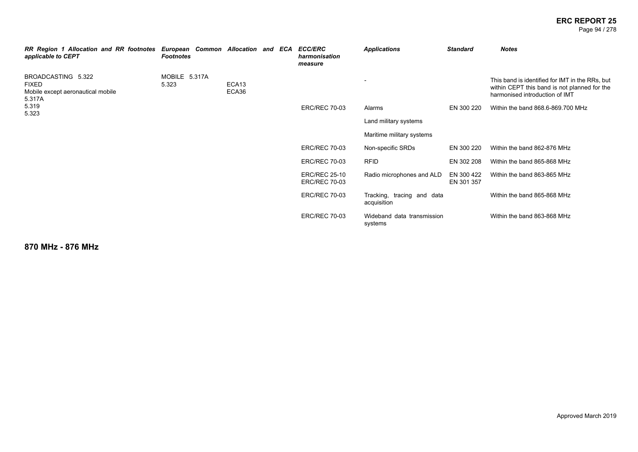Page 94 / 278

| RR Region 1 Allocation and RR footnotes<br>applicable to CEPT              | <b>Footnotes</b>       | European Common Allocation and ECA |  | <b>ECC/ERC</b><br>harmonisation<br>measure   | <b>Applications</b>                       | <b>Standard</b>          | <b>Notes</b>                                                                                                                      |
|----------------------------------------------------------------------------|------------------------|------------------------------------|--|----------------------------------------------|-------------------------------------------|--------------------------|-----------------------------------------------------------------------------------------------------------------------------------|
| BROADCASTING 5.322<br>FIXED<br>Mobile except aeronautical mobile<br>5.317A | MOBILE 5.317A<br>5.323 | ECA13<br>ECA36                     |  |                                              |                                           |                          | This band is identified for IMT in the RRs, but<br>within CEPT this band is not planned for the<br>harmonised introduction of IMT |
| 5.319<br>5.323                                                             |                        |                                    |  | <b>ERC/REC 70-03</b>                         | Alarms                                    | EN 300 220               | Within the band 868.6-869.700 MHz                                                                                                 |
|                                                                            |                        |                                    |  |                                              | Land military systems                     |                          |                                                                                                                                   |
|                                                                            |                        |                                    |  |                                              | Maritime military systems                 |                          |                                                                                                                                   |
|                                                                            |                        |                                    |  | <b>ERC/REC 70-03</b>                         | Non-specific SRDs                         | EN 300 220               | Within the band 862-876 MHz                                                                                                       |
|                                                                            |                        |                                    |  | <b>ERC/REC 70-03</b>                         | <b>RFID</b>                               | EN 302 208               | Within the band 865-868 MHz                                                                                                       |
|                                                                            |                        |                                    |  | <b>ERC/REC 25-10</b><br><b>ERC/REC 70-03</b> | Radio microphones and ALD                 | EN 300 422<br>EN 301 357 | Within the band 863-865 MHz                                                                                                       |
|                                                                            |                        |                                    |  | <b>ERC/REC 70-03</b>                         | Tracking, tracing and data<br>acquisition |                          | Within the band 865-868 MHz                                                                                                       |
|                                                                            |                        |                                    |  | <b>ERC/REC 70-03</b>                         | Wideband data transmission<br>systems     |                          | Within the band 863-868 MHz                                                                                                       |

**870 MHz - 876 MHz**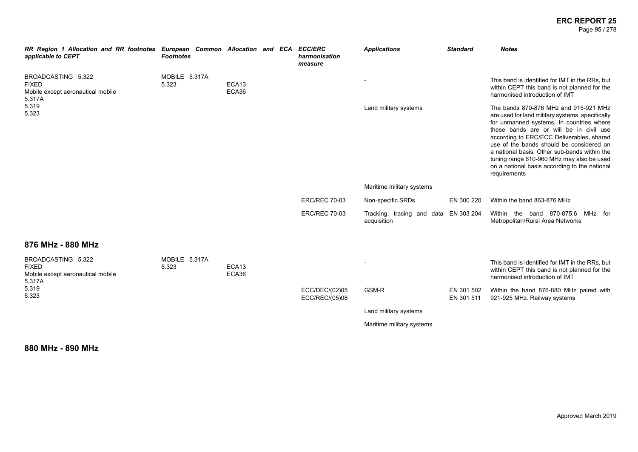Page 95 / 278

| RR Region 1 Allocation and RR footnotes European Common Allocation and ECA<br>applicable to CEPT | <b>Footnotes</b>       |                            |  | <b>ECC/ERC</b><br>harmonisation<br>measure | <b>Applications</b>                       | <b>Standard</b>          | <b>Notes</b>                                                                                                                                                                                                                                                                                                                                                                                                                            |
|--------------------------------------------------------------------------------------------------|------------------------|----------------------------|--|--------------------------------------------|-------------------------------------------|--------------------------|-----------------------------------------------------------------------------------------------------------------------------------------------------------------------------------------------------------------------------------------------------------------------------------------------------------------------------------------------------------------------------------------------------------------------------------------|
| BROADCASTING 5.322<br><b>FIXED</b><br>Mobile except aeronautical mobile<br>5.317A                | MOBILE 5.317A<br>5.323 | ECA <sub>13</sub><br>ECA36 |  |                                            |                                           |                          | This band is identified for IMT in the RRs, but<br>within CEPT this band is not planned for the<br>harmonised introduction of IMT                                                                                                                                                                                                                                                                                                       |
| 5.319<br>5.323                                                                                   |                        |                            |  |                                            | Land military systems                     |                          | The bands 870-876 MHz and 915-921 MHz<br>are used for land military systems, specifically<br>for unmanned systems. In countries where<br>these bands are or will be in civil use<br>according to ERC/ECC Deliverables, shared<br>use of the bands should be considered on<br>a national basis. Other sub-bands within the<br>tuning range 610-960 MHz may also be used<br>on a national basis according to the national<br>requirements |
|                                                                                                  |                        |                            |  |                                            | Maritime military systems                 |                          |                                                                                                                                                                                                                                                                                                                                                                                                                                         |
|                                                                                                  |                        |                            |  | <b>ERC/REC 70-03</b>                       | Non-specific SRDs                         | EN 300 220               | Within the band 863-876 MHz                                                                                                                                                                                                                                                                                                                                                                                                             |
|                                                                                                  |                        |                            |  | <b>ERC/REC 70-03</b>                       | Tracking, tracing and data<br>acquisition | EN 303 204               | Within the band 870-875.6 MHz for<br>Metropolitan/Rural Area Networks                                                                                                                                                                                                                                                                                                                                                                   |
| 876 MHz - 880 MHz                                                                                |                        |                            |  |                                            |                                           |                          |                                                                                                                                                                                                                                                                                                                                                                                                                                         |
| BROADCASTING 5.322<br><b>FIXED</b><br>Mobile except aeronautical mobile<br>5.317A                | MOBILE 5.317A<br>5.323 | ECA <sub>13</sub><br>ECA36 |  |                                            |                                           |                          | This band is identified for IMT in the RRs, but<br>within CEPT this band is not planned for the<br>harmonised introduction of IMT                                                                                                                                                                                                                                                                                                       |
| 5.319<br>5.323                                                                                   |                        |                            |  | ECC/DEC/(02)05<br>ECC/REC/(05)08           | GSM-R                                     | EN 301 502<br>EN 301 511 | Within the band 876-880 MHz paired with<br>921-925 MHz. Railway systems                                                                                                                                                                                                                                                                                                                                                                 |
|                                                                                                  |                        |                            |  |                                            | Land military systems                     |                          |                                                                                                                                                                                                                                                                                                                                                                                                                                         |
|                                                                                                  |                        |                            |  |                                            | Maritime military systems                 |                          |                                                                                                                                                                                                                                                                                                                                                                                                                                         |

**880 MHz - 890 MHz**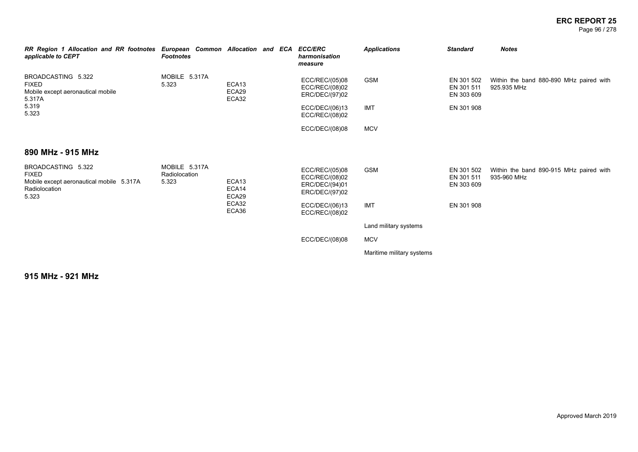Page 96 / 278

| RR Region 1 Allocation and RR footnotes<br>applicable to CEPT                                            | European Common Allocation and ECA ECC/ERC<br><b>Footnotes</b> |                                     | harmonisation<br>measure                                             | <b>Applications</b>       | <b>Standard</b>                        | <b>Notes</b>                                           |
|----------------------------------------------------------------------------------------------------------|----------------------------------------------------------------|-------------------------------------|----------------------------------------------------------------------|---------------------------|----------------------------------------|--------------------------------------------------------|
| BROADCASTING 5.322<br><b>FIXED</b><br>Mobile except aeronautical mobile<br>5.317A                        | MOBILE 5.317A<br>5.323                                         | ECA <sub>13</sub><br>ECA29<br>ECA32 | ECC/REC/(05)08<br>ECC/REC/(08)02<br>ERC/DEC/(97)02                   | <b>GSM</b>                | EN 301 502<br>EN 301 511<br>EN 303 609 | Within the band 880-890 MHz paired with<br>925.935 MHz |
| 5.319<br>5.323                                                                                           |                                                                |                                     | ECC/DEC/(06)13<br>ECC/REC/(08)02                                     | <b>IMT</b>                | EN 301 908                             |                                                        |
|                                                                                                          |                                                                |                                     | ECC/DEC/(08)08                                                       | <b>MCV</b>                |                                        |                                                        |
| 890 MHz - 915 MHz                                                                                        |                                                                |                                     |                                                                      |                           |                                        |                                                        |
| BROADCASTING 5.322<br><b>FIXED</b><br>Mobile except aeronautical mobile 5.317A<br>Radiolocation<br>5.323 | MOBILE 5.317A<br>Radiolocation<br>5.323                        | ECA <sub>13</sub><br>ECA14<br>ECA29 | ECC/REC/(05)08<br>ECC/REC/(08)02<br>ERC/DEC/(94)01<br>ERC/DEC/(97)02 | <b>GSM</b>                | EN 301 502<br>EN 301 511<br>EN 303 609 | Within the band 890-915 MHz paired with<br>935-960 MHz |
|                                                                                                          |                                                                | ECA32<br>ECA36                      | ECC/DEC/(06)13<br>ECC/REC/(08)02                                     | <b>IMT</b>                | EN 301 908                             |                                                        |
|                                                                                                          |                                                                |                                     |                                                                      | Land military systems     |                                        |                                                        |
|                                                                                                          |                                                                |                                     | ECC/DEC/(08)08                                                       | <b>MCV</b>                |                                        |                                                        |
|                                                                                                          |                                                                |                                     |                                                                      | Maritime military systems |                                        |                                                        |

**915 MHz - 921 MHz**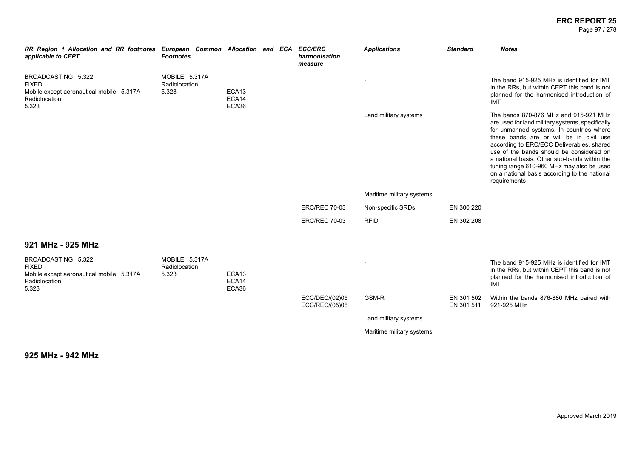#### **ERC REPORT 25** Page 97 / 278

| RR Region 1 Allocation and RR footnotes European Common Allocation and ECA ECC/ERC<br>applicable to CEPT | <b>Footnotes</b>                        |                         |  | harmonisation<br>measure         | <b>Applications</b>       | <b>Standard</b>          | <b>Notes</b>                                                                                                                                                                                                                                                                                                                                                                                                                            |
|----------------------------------------------------------------------------------------------------------|-----------------------------------------|-------------------------|--|----------------------------------|---------------------------|--------------------------|-----------------------------------------------------------------------------------------------------------------------------------------------------------------------------------------------------------------------------------------------------------------------------------------------------------------------------------------------------------------------------------------------------------------------------------------|
| BROADCASTING 5.322<br><b>FIXED</b><br>Mobile except aeronautical mobile 5.317A<br>Radiolocation<br>5.323 | MOBILE 5.317A<br>Radiolocation<br>5.323 | ECA13<br>ECA14<br>ECA36 |  |                                  |                           |                          | The band 915-925 MHz is identified for IMT<br>in the RRs, but within CEPT this band is not<br>planned for the harmonised introduction of<br><b>IMT</b>                                                                                                                                                                                                                                                                                  |
|                                                                                                          |                                         |                         |  |                                  | Land military systems     |                          | The bands 870-876 MHz and 915-921 MHz<br>are used for land military systems, specifically<br>for unmanned systems. In countries where<br>these bands are or will be in civil use<br>according to ERC/ECC Deliverables, shared<br>use of the bands should be considered on<br>a national basis. Other sub-bands within the<br>tuning range 610-960 MHz may also be used<br>on a national basis according to the national<br>requirements |
|                                                                                                          |                                         |                         |  |                                  | Maritime military systems |                          |                                                                                                                                                                                                                                                                                                                                                                                                                                         |
|                                                                                                          |                                         |                         |  | <b>ERC/REC 70-03</b>             | Non-specific SRDs         | EN 300 220               |                                                                                                                                                                                                                                                                                                                                                                                                                                         |
|                                                                                                          |                                         |                         |  | <b>ERC/REC 70-03</b>             | <b>RFID</b>               | EN 302 208               |                                                                                                                                                                                                                                                                                                                                                                                                                                         |
| 921 MHz - 925 MHz                                                                                        |                                         |                         |  |                                  |                           |                          |                                                                                                                                                                                                                                                                                                                                                                                                                                         |
| BROADCASTING 5.322<br><b>FIXED</b><br>Mobile except aeronautical mobile 5.317A<br>Radiolocation<br>5.323 | MOBILE 5.317A<br>Radiolocation<br>5.323 | ECA13<br>ECA14<br>ECA36 |  |                                  |                           |                          | The band 915-925 MHz is identified for IMT<br>in the RRs, but within CEPT this band is not<br>planned for the harmonised introduction of<br><b>IMT</b>                                                                                                                                                                                                                                                                                  |
|                                                                                                          |                                         |                         |  | ECC/DEC/(02)05<br>ECC/REC/(05)08 | GSM-R                     | EN 301 502<br>EN 301 511 | Within the bands 876-880 MHz paired with<br>921-925 MHz                                                                                                                                                                                                                                                                                                                                                                                 |
|                                                                                                          |                                         |                         |  |                                  | Land military systems     |                          |                                                                                                                                                                                                                                                                                                                                                                                                                                         |
|                                                                                                          |                                         |                         |  |                                  | Maritime military systems |                          |                                                                                                                                                                                                                                                                                                                                                                                                                                         |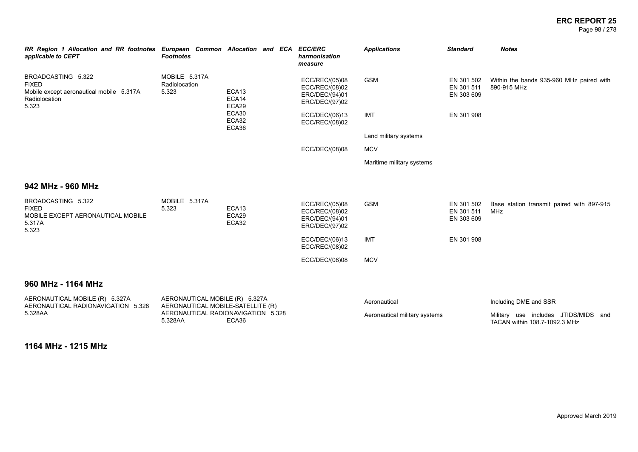Page 98 / 278

| RR Region 1 Allocation and RR footnotes European Common Allocation and ECA<br>applicable to CEPT         | <b>Footnotes</b>                                                                   |                                     | <b>ECC/ERC</b><br>harmonisation<br>measure                           | <b>Applications</b>           | <b>Standard</b>                        | <b>Notes</b>                                                          |
|----------------------------------------------------------------------------------------------------------|------------------------------------------------------------------------------------|-------------------------------------|----------------------------------------------------------------------|-------------------------------|----------------------------------------|-----------------------------------------------------------------------|
| BROADCASTING 5.322<br><b>FIXED</b><br>Mobile except aeronautical mobile 5.317A<br>Radiolocation<br>5.323 | MOBILE 5.317A<br>Radiolocation<br>5.323                                            | ECA13<br>ECA14<br>ECA29             | ECC/REC/(05)08<br>ECC/REC/(08)02<br>ERC/DEC/(94)01<br>ERC/DEC/(97)02 | <b>GSM</b>                    | EN 301 502<br>EN 301 511<br>EN 303 609 | Within the bands 935-960 MHz paired with<br>890-915 MHz               |
|                                                                                                          |                                                                                    | ECA30<br>ECA32<br>ECA36             | ECC/DEC/(06)13<br>ECC/REC/(08)02                                     | <b>IMT</b>                    | EN 301 908                             |                                                                       |
|                                                                                                          |                                                                                    |                                     |                                                                      | Land military systems         |                                        |                                                                       |
|                                                                                                          |                                                                                    |                                     | ECC/DEC/(08)08                                                       | <b>MCV</b>                    |                                        |                                                                       |
|                                                                                                          |                                                                                    |                                     |                                                                      | Maritime military systems     |                                        |                                                                       |
| 942 MHz - 960 MHz                                                                                        |                                                                                    |                                     |                                                                      |                               |                                        |                                                                       |
| BROADCASTING 5.322<br><b>FIXED</b><br>MOBILE EXCEPT AERONAUTICAL MOBILE<br>5.317A<br>5.323               | MOBILE 5.317A<br>5.323                                                             | ECA <sub>13</sub><br>ECA29<br>ECA32 | ECC/REC/(05)08<br>ECC/REC/(08)02<br>ERC/DEC/(94)01<br>ERC/DEC/(97)02 | <b>GSM</b>                    | EN 301 502<br>EN 301 511<br>EN 303 609 | Base station transmit paired with 897-915<br>MHz                      |
|                                                                                                          |                                                                                    |                                     | ECC/DEC/(06)13<br>ECC/REC/(08)02                                     | <b>IMT</b>                    | EN 301 908                             |                                                                       |
|                                                                                                          |                                                                                    |                                     | ECC/DEC/(08)08                                                       | <b>MCV</b>                    |                                        |                                                                       |
| 960 MHz - 1164 MHz                                                                                       |                                                                                    |                                     |                                                                      |                               |                                        |                                                                       |
| AERONAUTICAL MOBILE (R) 5.327A                                                                           | AERONAUTICAL MOBILE (R) 5.327A                                                     |                                     |                                                                      | Aeronautical                  |                                        | Including DME and SSR                                                 |
| AERONAUTICAL RADIONAVIGATION 5.328<br>5.328AA                                                            | AERONAUTICAL MOBILE-SATELLITE (R)<br>AERONAUTICAL RADIONAVIGATION 5.328<br>5.328AA | ECA36                               |                                                                      | Aeronautical military systems |                                        | Military use includes JTIDS/MIDS and<br>TACAN within 108.7-1092.3 MHz |
|                                                                                                          |                                                                                    |                                     |                                                                      |                               |                                        |                                                                       |

**1164 MHz - 1215 MHz**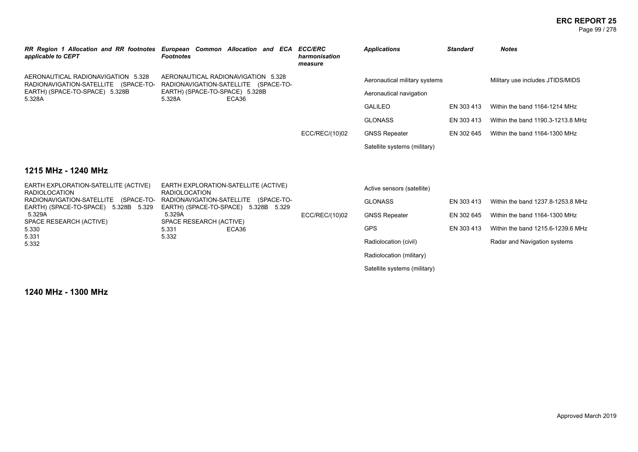| RR Region 1 Allocation and RR footnotes European Common Allocation and ECA ECC/ERC<br>applicable to CEPT | <b>Footnotes</b>                                                             |       |  | harmonisation<br>measure | <b>Applications</b>           | <b>Standard</b> | <b>Notes</b>                      |
|----------------------------------------------------------------------------------------------------------|------------------------------------------------------------------------------|-------|--|--------------------------|-------------------------------|-----------------|-----------------------------------|
| AERONAUTICAL RADIONAVIGATION 5.328<br>RADIONAVIGATION-SATELLITE (SPACE-TO-                               | AERONAUTICAL RADIONAVIGATION 5.328<br>RADIONAVIGATION-SATELLITE (SPACE-TO-   |       |  |                          | Aeronautical military systems |                 | Military use includes JTIDS/MIDS  |
| EARTH) (SPACE-TO-SPACE) 5.328B<br>5.328A                                                                 | EARTH) (SPACE-TO-SPACE) 5.328B<br>5.328A                                     | ECA36 |  | Aeronautical navigation  |                               |                 |                                   |
|                                                                                                          |                                                                              |       |  |                          | <b>GALILEO</b>                | EN 303 413      | Within the band 1164-1214 MHz     |
|                                                                                                          |                                                                              |       |  |                          | <b>GLONASS</b>                | EN 303 413      | Within the band 1190.3-1213.8 MHz |
|                                                                                                          |                                                                              |       |  | ECC/REC/(10)02           | <b>GNSS Repeater</b>          | EN 302 645      | Within the band 1164-1300 MHz     |
|                                                                                                          |                                                                              |       |  |                          | Satellite systems (military)  |                 |                                   |
| 1215 MHz - 1240 MHz                                                                                      |                                                                              |       |  |                          |                               |                 |                                   |
| EARTH EXPLORATION-SATELLITE (ACTIVE)<br><b>RADIOLOCATION</b>                                             | EARTH EXPLORATION-SATELLITE (ACTIVE)<br><b>RADIOLOCATION</b>                 |       |  |                          | Active sensors (satellite)    |                 |                                   |
| RADIONAVIGATION-SATELLITE (SPACE-TO-<br>EARTH) (SPACE-TO-SPACE) 5.328B 5.329                             | RADIONAVIGATION-SATELLITE (SPACE-TO-<br>EARTH) (SPACE-TO-SPACE) 5.328B 5.329 |       |  |                          | <b>GLONASS</b>                | EN 303 413      | Within the band 1237.8-1253.8 MHz |
| 5.329A<br>SPACE RESEARCH (ACTIVE)                                                                        | 5.329A<br>SPACE RESEARCH (ACTIVE)                                            |       |  | ECC/REC/(10)02           | <b>GNSS Repeater</b>          | EN 302 645      | Within the band 1164-1300 MHz     |
| 5.330                                                                                                    | 5.331                                                                        | ECA36 |  |                          | <b>GPS</b>                    | EN 303 413      | Within the band 1215.6-1239.6 MHz |
| 5.331<br>5.332                                                                                           | 5.332                                                                        |       |  |                          | Radiolocation (civil)         |                 | Radar and Navigation systems      |
|                                                                                                          |                                                                              |       |  |                          | Radiolocation (military)      |                 |                                   |
|                                                                                                          |                                                                              |       |  |                          | Satellite systems (military)  |                 |                                   |
|                                                                                                          |                                                                              |       |  |                          |                               |                 |                                   |

**1240 MHz - 1300 MHz**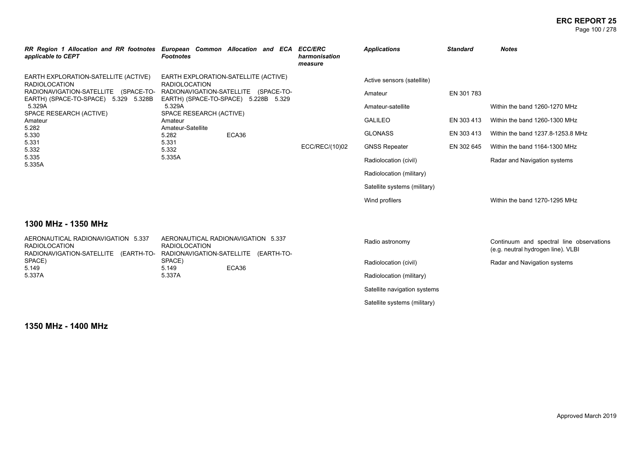#### **ERC REPORT 25** Page 100 / 278

| RR Region 1 Allocation and RR footnotes European Common Allocation and ECA<br>applicable to CEPT                                                                                                                                                    | <b>Footnotes</b>                                                                                                                                                                                                                                       |                                    |  | <b>ECC/ERC</b><br>harmonisation<br>measure | <b>Applications</b>                                                                                                                                                                                         | <b>Standard</b>                                      | <b>Notes</b>                                                                                                                                                         |
|-----------------------------------------------------------------------------------------------------------------------------------------------------------------------------------------------------------------------------------------------------|--------------------------------------------------------------------------------------------------------------------------------------------------------------------------------------------------------------------------------------------------------|------------------------------------|--|--------------------------------------------|-------------------------------------------------------------------------------------------------------------------------------------------------------------------------------------------------------------|------------------------------------------------------|----------------------------------------------------------------------------------------------------------------------------------------------------------------------|
| EARTH EXPLORATION-SATELLITE (ACTIVE)<br><b>RADIOLOCATION</b><br>RADIONAVIGATION-SATELLITE (SPACE-TO-<br>EARTH) (SPACE-TO-SPACE) 5.329 5.328B<br>5.329A<br>SPACE RESEARCH (ACTIVE)<br>Amateur<br>5.282<br>5.330<br>5.331<br>5.332<br>5.335<br>5.335A | EARTH EXPLORATION-SATELLITE (ACTIVE)<br><b>RADIOLOCATION</b><br>RADIONAVIGATION-SATELLITE (SPACE-TO-<br>EARTH) (SPACE-TO-SPACE) 5.228B 5.329<br>5.329A<br>SPACE RESEARCH (ACTIVE)<br>Amateur<br>Amateur-Satellite<br>5.282<br>5.331<br>5.332<br>5.335A | ECA36                              |  | ECC/REC/(10)02                             | Active sensors (satellite)<br>Amateur<br>Amateur-satellite<br><b>GALILEO</b><br><b>GLONASS</b><br><b>GNSS Repeater</b><br>Radiolocation (civil)<br>Radiolocation (military)<br>Satellite systems (military) | EN 301 783<br>EN 303 413<br>EN 303 413<br>EN 302 645 | Within the band 1260-1270 MHz<br>Within the band 1260-1300 MHz<br>Within the band 1237.8-1253.8 MHz<br>Within the band 1164-1300 MHz<br>Radar and Navigation systems |
|                                                                                                                                                                                                                                                     |                                                                                                                                                                                                                                                        |                                    |  | Wind profilers                             |                                                                                                                                                                                                             | Within the band 1270-1295 MHz                        |                                                                                                                                                                      |
| 1300 MHz - 1350 MHz                                                                                                                                                                                                                                 |                                                                                                                                                                                                                                                        |                                    |  |                                            |                                                                                                                                                                                                             |                                                      |                                                                                                                                                                      |
| AERONAUTICAL RADIONAVIGATION 5.337<br><b>RADIOLOCATION</b><br>RADIONAVIGATION-SATELLITE (EARTH-TO-                                                                                                                                                  | <b>RADIOLOCATION</b><br>RADIONAVIGATION-SATELLITE (EARTH-TO-                                                                                                                                                                                           | AERONAUTICAL RADIONAVIGATION 5.337 |  |                                            | Radio astronomy                                                                                                                                                                                             |                                                      | Continuum and spectral line observations<br>(e.g. neutral hydrogen line). VLBI                                                                                       |
| SPACE)<br>5.149                                                                                                                                                                                                                                     | SPACE)                                                                                                                                                                                                                                                 | ECA36                              |  |                                            | Radiolocation (civil)                                                                                                                                                                                       |                                                      | Radar and Navigation systems                                                                                                                                         |
| 5.337A                                                                                                                                                                                                                                              | 5.149<br>5.337A                                                                                                                                                                                                                                        |                                    |  | Radiolocation (military)                   |                                                                                                                                                                                                             |                                                      |                                                                                                                                                                      |
|                                                                                                                                                                                                                                                     |                                                                                                                                                                                                                                                        |                                    |  | Satellite navigation systems               |                                                                                                                                                                                                             |                                                      |                                                                                                                                                                      |
|                                                                                                                                                                                                                                                     |                                                                                                                                                                                                                                                        |                                    |  |                                            | Satellite systems (military)                                                                                                                                                                                |                                                      |                                                                                                                                                                      |

**1350 MHz - 1400 MHz**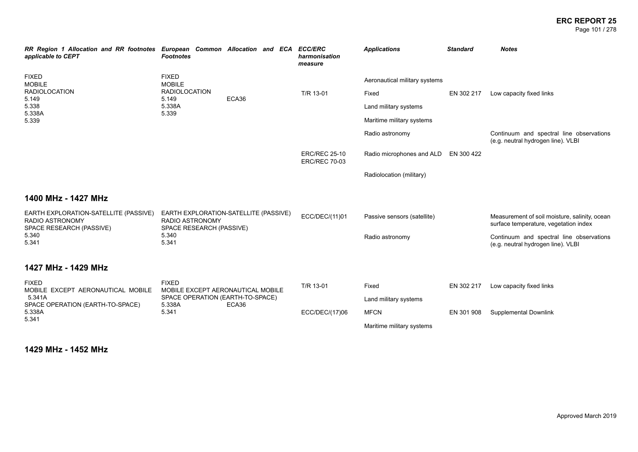#### **ERC REPORT 25** Page 101 / 278

| RR Region 1 Allocation and RR footnotes European Common Allocation and ECA ECC/ERC<br>applicable to CEPT | <b>Footnotes</b>                                                                            |       |                | harmonisation<br>measure                     | <b>Applications</b>           | <b>Standard</b>              | <b>Notes</b>                                                                           |
|----------------------------------------------------------------------------------------------------------|---------------------------------------------------------------------------------------------|-------|----------------|----------------------------------------------|-------------------------------|------------------------------|----------------------------------------------------------------------------------------|
| <b>FIXED</b><br><b>MOBILE</b>                                                                            | <b>FIXED</b><br><b>MOBILE</b>                                                               |       |                |                                              | Aeronautical military systems |                              |                                                                                        |
| <b>RADIOLOCATION</b><br>5.149                                                                            | <b>RADIOLOCATION</b><br>5.149                                                               | ECA36 |                | T/R 13-01                                    | Fixed                         | EN 302 217                   | Low capacity fixed links                                                               |
| 5.338<br>5.338A                                                                                          | 5.338A<br>5.339                                                                             |       |                |                                              | Land military systems         |                              |                                                                                        |
| 5.339                                                                                                    |                                                                                             |       |                |                                              | Maritime military systems     |                              |                                                                                        |
|                                                                                                          |                                                                                             |       |                |                                              | Radio astronomy               |                              | Continuum and spectral line observations<br>(e.g. neutral hydrogen line). VLBI         |
|                                                                                                          |                                                                                             |       |                | <b>ERC/REC 25-10</b><br><b>ERC/REC 70-03</b> | Radio microphones and ALD     | EN 300 422                   |                                                                                        |
|                                                                                                          |                                                                                             |       |                |                                              | Radiolocation (military)      |                              |                                                                                        |
| 1400 MHz - 1427 MHz                                                                                      |                                                                                             |       |                |                                              |                               |                              |                                                                                        |
| EARTH EXPLORATION-SATELLITE (PASSIVE)<br>RADIO ASTRONOMY<br>SPACE RESEARCH (PASSIVE)                     | EARTH EXPLORATION-SATELLITE (PASSIVE)<br><b>RADIO ASTRONOMY</b><br>SPACE RESEARCH (PASSIVE) |       |                | ECC/DEC/(11)01                               | Passive sensors (satellite)   |                              | Measurement of soil moisture, salinity, ocean<br>surface temperature, vegetation index |
| 5.340<br>5.341                                                                                           | 5.340<br>5.341                                                                              |       |                |                                              | Radio astronomy               |                              | Continuum and spectral line observations<br>(e.g. neutral hydrogen line). VLBI         |
| 1427 MHz - 1429 MHz                                                                                      |                                                                                             |       |                |                                              |                               |                              |                                                                                        |
| <b>FIXED</b><br>MOBILE EXCEPT AERONAUTICAL MOBILE                                                        | <b>FIXED</b><br>MOBILE EXCEPT AERONAUTICAL MOBILE                                           |       |                | T/R 13-01                                    | Fixed                         | EN 302 217                   | Low capacity fixed links                                                               |
| 5.341A<br>SPACE OPERATION (EARTH-TO-SPACE)                                                               | SPACE OPERATION (EARTH-TO-SPACE)<br>5.338A                                                  | ECA36 |                |                                              | Land military systems         |                              |                                                                                        |
| 5.338A<br>5.341                                                                                          | 5.341                                                                                       |       | ECC/DEC/(17)06 | <b>MFCN</b>                                  | EN 301 908                    | <b>Supplemental Downlink</b> |                                                                                        |
|                                                                                                          |                                                                                             |       |                |                                              | Maritime military systems     |                              |                                                                                        |

**1429 MHz - 1452 MHz**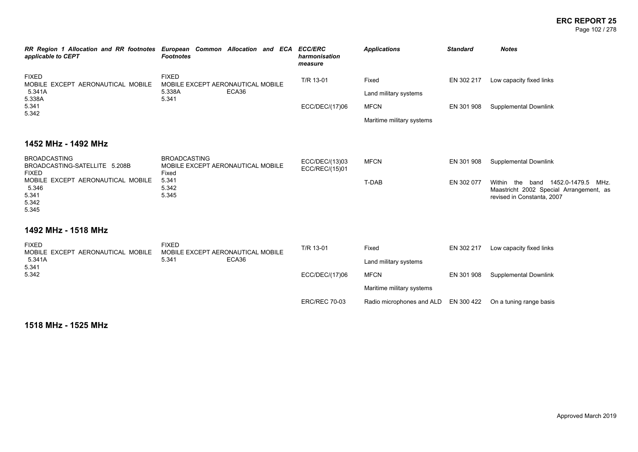#### **ERC REPORT 25** Page 102 / 278

| RR Region 1 Allocation and RR footnotes European Common Allocation and ECA ECC/ERC<br>applicable to CEPT                                               | <b>Footnotes</b> |                                | harmonisation<br>measure | <b>Applications</b>               | <b>Standard</b> | <b>Notes</b>          |
|--------------------------------------------------------------------------------------------------------------------------------------------------------|------------------|--------------------------------|--------------------------|-----------------------------------|-----------------|-----------------------|
| <b>FIXED</b><br><b>FIXED</b><br>MOBILE EXCEPT AERONAUTICAL MOBILE<br>MOBILE EXCEPT AERONAUTICAL MOBILE<br>ECA36<br>5.341A<br>5.338A<br>5.338A<br>5.341 | T/R 13-01        | Fixed<br>Land military systems | EN 302 217               | Low capacity fixed links          |                 |                       |
| 5.341<br>5.342                                                                                                                                         |                  |                                | ECC/DEC/(17)06           | MFCN<br>Maritime military systems | EN 301 908      | Supplemental Downlink |
| 1452 MHz - 1492 MHz                                                                                                                                    |                  |                                |                          |                                   |                 |                       |

#### BROADCASTING BROADCASTING-SATELLITE 5.208B FIXED MOBILE EXCEPT AERONAUTICAL MOBILE 5.346 5.341 5.342 5.345 BROADCASTING MOBILE EXCEPT AERONAUTICAL MOBILE Fixed 5.341 5.342 5.345 ECC/DEC/(13)03 ECC/REC/(15)01 MFCN EN 301 908 Supplemental Downlink T-DAB EN 302 077 Within the band 1452.0-1479.5 MHz. Maastricht 2002 Special Arrangement, as revised in Constanta, 2007

### **1492 MHz - 1518 MHz**

| <b>FIXED</b><br>FIXED<br>MOBILE EXCEPT AERONAUTICAL MOBILE<br>MOBILE EXCEPT AERONAUTICAL MOBILE |       | T/R 13-01      | Fixed                | EN 302 217                           | Low capacity fixed links |                         |
|-------------------------------------------------------------------------------------------------|-------|----------------|----------------------|--------------------------------------|--------------------------|-------------------------|
| 5.341A<br>5.341                                                                                 | 5.341 | ECA36          |                      | Land military systems                |                          |                         |
| 5.342                                                                                           |       | ECC/DEC/(17)06 |                      | <b>MFCN</b>                          | EN 301 908               | Supplemental Downlink   |
|                                                                                                 |       |                |                      | Maritime military systems            |                          |                         |
|                                                                                                 |       |                | <b>ERC/REC 70-03</b> | Radio microphones and ALD EN 300 422 |                          | On a tuning range basis |

**1518 MHz - 1525 MHz**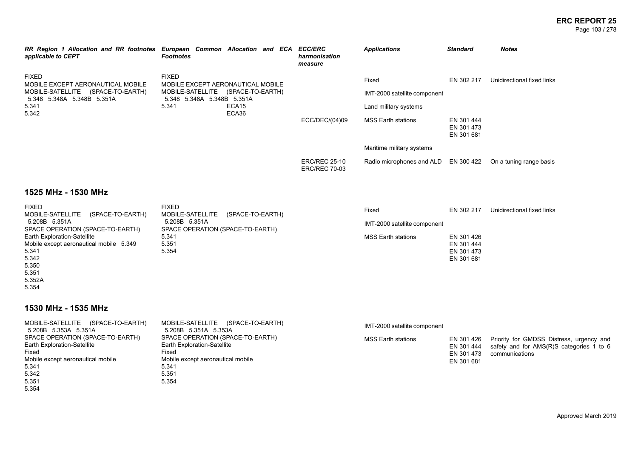#### **ERC REPORT 25** Page 103 / 278

| RR Region 1 Allocation and RR footnotes European Common Allocation and ECA ECC/ERC<br>applicable to CEPT | <b>Footnotes</b>                                                   |  |  |  | harmonisation<br>measure                     | <b>Applications</b>                  | <b>Standard</b>                        | <b>Notes</b>               |
|----------------------------------------------------------------------------------------------------------|--------------------------------------------------------------------|--|--|--|----------------------------------------------|--------------------------------------|----------------------------------------|----------------------------|
| <b>FIXED</b><br>MOBILE EXCEPT AERONAUTICAL MOBILE                                                        | <b>FIXED</b><br>MOBILE EXCEPT AERONAUTICAL MOBILE                  |  |  |  |                                              | Fixed                                | EN 302 217                             | Unidirectional fixed links |
| MOBILE-SATELLITE<br>(SPACE-TO-EARTH)<br>5.348 5.348A 5.348B 5.351A                                       | MOBILE-SATELLITE<br>(SPACE-TO-EARTH)<br>5.348 5.348A 5.348B 5.351A |  |  |  |                                              | IMT-2000 satellite component         |                                        |                            |
| 5.341<br>5.342                                                                                           | ECA15<br>5.341<br>ECA36                                            |  |  |  | Land military systems                        |                                      |                                        |                            |
|                                                                                                          |                                                                    |  |  |  | ECC/DEC/(04)09                               | <b>MSS Earth stations</b>            | EN 301 444<br>EN 301 473<br>EN 301 681 |                            |
|                                                                                                          |                                                                    |  |  |  |                                              | Maritime military systems            |                                        |                            |
|                                                                                                          |                                                                    |  |  |  | <b>ERC/REC 25-10</b><br><b>ERC/REC 70-03</b> | Radio microphones and ALD EN 300 422 |                                        | On a tuning range basis    |

# **1525 MHz - 1530 MHz**

| <b>FIXED</b>                            | <b>FIXED</b>                         | Fixed                        | EN 302 217 | Unidirectional fixed links |
|-----------------------------------------|--------------------------------------|------------------------------|------------|----------------------------|
| MOBILE-SATELLITE<br>(SPACE-TO-EARTH)    | MOBILE-SATELLITE<br>(SPACE-TO-EARTH) |                              |            |                            |
| 5.208B 5.351A                           | 5.208B 5.351A                        | IMT-2000 satellite component |            |                            |
| SPACE OPERATION (SPACE-TO-EARTH)        | SPACE OPERATION (SPACE-TO-EARTH)     |                              |            |                            |
| <b>Earth Exploration-Satellite</b>      | 5.341                                | <b>MSS Earth stations</b>    | EN 301 426 |                            |
| Mobile except aeronautical mobile 5.349 | 5.351                                |                              | EN 301 444 |                            |
| 5.341                                   | 5.354                                |                              | EN 301 473 |                            |
| 5.342                                   |                                      |                              | EN 301 681 |                            |
| 5.350                                   |                                      |                              |            |                            |
| 5.351                                   |                                      |                              |            |                            |
| 5.352A                                  |                                      |                              |            |                            |

5.354

# **1530 MHz - 1535 MHz**

| MOBILE-SATELLITE (SPACE-TO-EARTH)<br>5.208B 5.353A 5.351A                                                                                                | MOBILE-SATELLITE<br>(SPACE-TO-EARTH)<br>5.208B 5.351A 5.353A                                                                             | IMT-2000 satellite component |                                                      |                                                                                                        |
|----------------------------------------------------------------------------------------------------------------------------------------------------------|------------------------------------------------------------------------------------------------------------------------------------------|------------------------------|------------------------------------------------------|--------------------------------------------------------------------------------------------------------|
| SPACE OPERATION (SPACE-TO-EARTH)<br><b>Earth Exploration-Satellite</b><br>Fixed<br>Mobile except aeronautical mobile<br>5.341<br>5.342<br>5.351<br>5.354 | SPACE OPERATION (SPACE-TO-EARTH)<br>Earth Exploration-Satellite<br>Fixed<br>Mobile except aeronautical mobile<br>5.341<br>5.351<br>5.354 | MSS Earth stations           | EN 301 426<br>EN 301 444<br>EN 301 473<br>EN 301 681 | Priority for GMDSS Distress, urgency and<br>safety and for AMS(R)S categories 1 to 6<br>communications |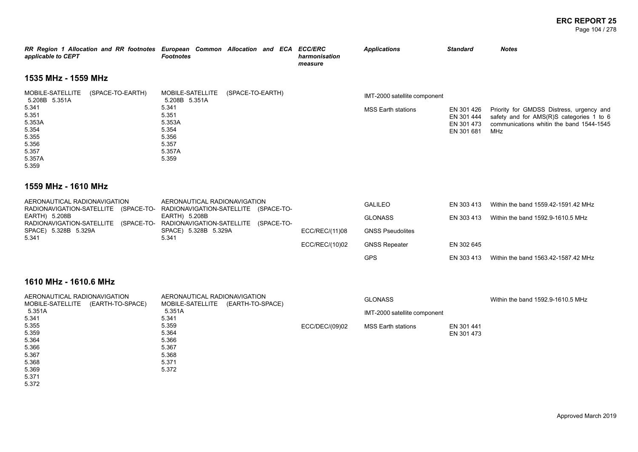**ERC REPORT 25** Page 104 / 278

| applicable to CEPT                                                                                                                       | RR Region 1 Allocation and RR footnotes European Common Allocation and ECA ECC/ERC<br><b>Footnotes</b>                          | harmonisation<br>measure | <b>Applications</b>                                       | <b>Standard</b>                                      | <b>Notes</b>                                                                                                                            |  |  |  |
|------------------------------------------------------------------------------------------------------------------------------------------|---------------------------------------------------------------------------------------------------------------------------------|--------------------------|-----------------------------------------------------------|------------------------------------------------------|-----------------------------------------------------------------------------------------------------------------------------------------|--|--|--|
| 1535 MHz - 1559 MHz                                                                                                                      |                                                                                                                                 |                          |                                                           |                                                      |                                                                                                                                         |  |  |  |
| MOBILE-SATELLITE<br>(SPACE-TO-EARTH)<br>5.208B 5.351A<br>5.341<br>5.351<br>5.353A<br>5.354<br>5.355<br>5.356<br>5.357<br>5.357A<br>5.359 | MOBILE-SATELLITE<br>(SPACE-TO-EARTH)<br>5.208B 5.351A<br>5.341<br>5.351<br>5.353A<br>5.354<br>5.356<br>5.357<br>5.357A<br>5.359 |                          | IMT-2000 satellite component<br><b>MSS Earth stations</b> | EN 301 426<br>EN 301 444<br>EN 301 473<br>EN 301 681 | Priority for GMDSS Distress, urgency and<br>safety and for AMS(R)S categories 1 to 6<br>communications whitin the band 1544-1545<br>MHz |  |  |  |
| 1559 MHz - 1610 MHz                                                                                                                      |                                                                                                                                 |                          |                                                           |                                                      |                                                                                                                                         |  |  |  |
| AERONAUTICAL RADIONAVIGATION<br>EARTH) 5.208B                                                                                            | AERONAUTICAL RADIONAVIGATION<br>RADIONAVIGATION-SATELLITE (SPACE-TO- RADIONAVIGATION-SATELLITE (SPACE-TO-<br>EARTH) 5.208B      |                          | <b>GALILEO</b><br><b>GLONASS</b>                          | EN 303 413<br>EN 303 413                             | Within the band 1559.42-1591.42 MHz<br>Within the band 1592.9-1610.5 MHz                                                                |  |  |  |
| SPACE) 5.328B 5.329A                                                                                                                     | RADIONAVIGATION-SATELLITE (SPACE-TO- RADIONAVIGATION-SATELLITE (SPACE-TO-<br>SPACE) 5.328B 5.329A                               | ECC/REC/(11)08           | <b>GNSS Pseudolites</b>                                   |                                                      |                                                                                                                                         |  |  |  |
| 5.341                                                                                                                                    | 5.341                                                                                                                           | ECC/REC/(10)02           | <b>GNSS Repeater</b>                                      | EN 302 645                                           |                                                                                                                                         |  |  |  |
|                                                                                                                                          |                                                                                                                                 |                          | <b>GPS</b>                                                | EN 303 413                                           | Within the band 1563.42-1587.42 MHz                                                                                                     |  |  |  |
| 1610 MHz - 1610.6 MHz                                                                                                                    |                                                                                                                                 |                          |                                                           |                                                      |                                                                                                                                         |  |  |  |
| AERONAUTICAL RADIONAVIGATION<br>MOBILE-SATELLITE (EARTH-TO-SPACE)                                                                        | AERONAUTICAL RADIONAVIGATION<br>MOBILE-SATELLITE (EARTH-TO-SPACE)                                                               |                          | <b>GLONASS</b>                                            |                                                      | Within the band 1592.9-1610.5 MHz                                                                                                       |  |  |  |
| 5.351A<br>5.341                                                                                                                          | 5.351A<br>5.341                                                                                                                 |                          | IMT-2000 satellite component                              |                                                      |                                                                                                                                         |  |  |  |
| 5.355<br>5.359<br>5.364<br>5.366<br>5.367<br>5.368<br>5.369                                                                              | 5.359<br>5.364<br>5.366<br>5.367<br>5.368<br>5.371<br>5.372                                                                     | ECC/DEC/(09)02           | <b>MSS Earth stations</b>                                 | EN 301 441<br>EN 301 473                             |                                                                                                                                         |  |  |  |

5.371 5.372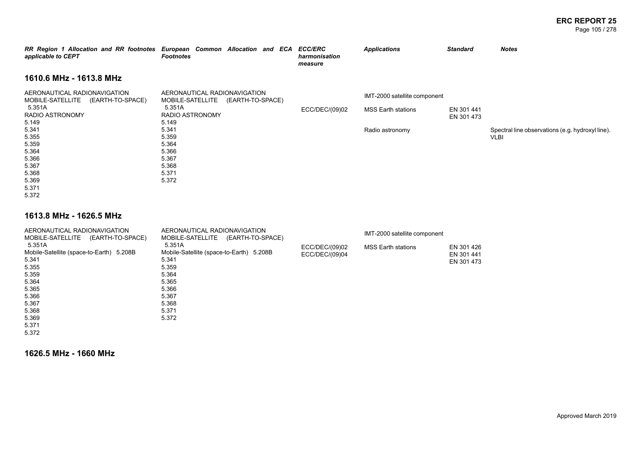#### **ERC REPORT 25** Page 105 / 278

| RR Region 1 Allocation and RR footnotes European Common Allocation and ECA ECC/ERC<br>applicable to CEPT | <b>Footnotes</b>                                                              |                  | harmonisation<br>measure | <b>Applications</b>                                       | <b>Standard</b>          | <b>Notes</b>                                             |
|----------------------------------------------------------------------------------------------------------|-------------------------------------------------------------------------------|------------------|--------------------------|-----------------------------------------------------------|--------------------------|----------------------------------------------------------|
| 1610.6 MHz - 1613.8 MHz                                                                                  |                                                                               |                  |                          |                                                           |                          |                                                          |
| AERONAUTICAL RADIONAVIGATION<br>MOBILE-SATELLITE (EARTH-TO-SPACE)<br>5.351A<br>RADIO ASTRONOMY           | AERONAUTICAL RADIONAVIGATION<br>MOBILE-SATELLITE<br>5.351A<br>RADIO ASTRONOMY | (EARTH-TO-SPACE) | ECC/DEC/(09)02           | IMT-2000 satellite component<br><b>MSS Earth stations</b> | EN 301 441<br>EN 301 473 |                                                          |
| 5.149<br>5.341<br>5.355<br>5.359<br>5.364<br>5.366<br>5.367<br>5.368<br>5.369                            | 5.149<br>5.341<br>5.359<br>5.364<br>5.366<br>5.367<br>5.368<br>5.371<br>5.372 |                  |                          | Radio astronomy                                           |                          | Spectral line observations (e.g. hydroxyl line).<br>VLBI |
| 5.371<br>5.372                                                                                           |                                                                               |                  |                          |                                                           |                          |                                                          |

### **1613.8 MHz - 1626.5 MHz**

| AERONAUTICAL RADIONAVIGATION             | AERONAUTICAL RADIONAVIGATION             |                | IMT-2000 satellite component |            |
|------------------------------------------|------------------------------------------|----------------|------------------------------|------------|
| MOBILE-SATELLITE (EARTH-TO-SPACE)        | MOBILE-SATELLITE<br>(EARTH-TO-SPACE)     |                |                              |            |
| 5.351A                                   | 5.351A                                   | ECC/DEC/(09)02 | <b>MSS Earth stations</b>    | EN 301 426 |
| Mobile-Satellite (space-to-Earth) 5.208B | Mobile-Satellite (space-to-Earth) 5.208B | ECC/DEC/(09)04 |                              | EN 301 441 |
| 5.341                                    | 5.341                                    |                |                              | EN 301 473 |
| 5.355                                    | 5.359                                    |                |                              |            |
| 5.359                                    | 5.364                                    |                |                              |            |
| 5.364                                    | 5.365                                    |                |                              |            |
| 5.365                                    | 5.366                                    |                |                              |            |
| 5.366                                    | 5.367                                    |                |                              |            |
| 5.367                                    | 5.368                                    |                |                              |            |
| 5.368                                    | 5.371                                    |                |                              |            |
| 5.369                                    | 5.372                                    |                |                              |            |
| 5.371                                    |                                          |                |                              |            |
| 5.372                                    |                                          |                |                              |            |

**1626.5 MHz - 1660 MHz**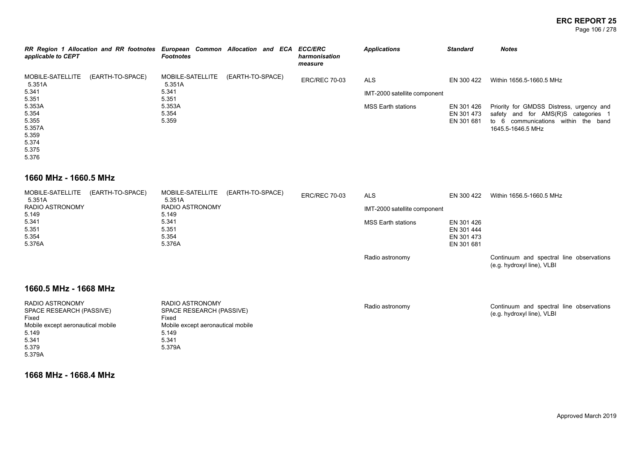#### **ERC REPORT 25** Page 106 / 278

| RR Region 1 Allocation and RR footnotes European Common Allocation and ECA ECC/ERC<br>applicable to CEPT | <b>Footnotes</b>           |                  | harmonisation<br>measure | <b>Applications</b>          | <b>Standard</b> | <b>Notes</b>                             |
|----------------------------------------------------------------------------------------------------------|----------------------------|------------------|--------------------------|------------------------------|-----------------|------------------------------------------|
| MOBILE-SATELLITE<br>(EARTH-TO-SPACE)<br>5.351A                                                           | MOBILE-SATELLITE<br>5.351A | (EARTH-TO-SPACE) | <b>ERC/REC 70-03</b>     | <b>ALS</b>                   | EN 300 422      | Within 1656.5-1660.5 MHz                 |
| 5.341                                                                                                    | 5.341                      |                  |                          | IMT-2000 satellite component |                 |                                          |
| 5.351                                                                                                    | 5.351                      |                  |                          |                              |                 |                                          |
| 5.353A                                                                                                   | 5.353A                     |                  |                          | <b>MSS Earth stations</b>    | EN 301 426      | Priority for GMDSS Distress, urgency and |
| 5.354                                                                                                    | 5.354                      |                  |                          |                              | EN 301 473      | safety and for AMS(R)S categories 1      |
| 5.355                                                                                                    | 5.359                      |                  |                          |                              | EN 301 681      | to 6 communications within the band      |
| 5.357A                                                                                                   |                            |                  |                          |                              |                 | 1645.5-1646.5 MHz                        |
| 5.359                                                                                                    |                            |                  |                          |                              |                 |                                          |
| 5.374                                                                                                    |                            |                  |                          |                              |                 |                                          |
| 5.375                                                                                                    |                            |                  |                          |                              |                 |                                          |
| 5.376                                                                                                    |                            |                  |                          |                              |                 |                                          |

### **1660 MHz - 1660.5 MHz**

| 5.351A          | MOBILE-SATELLITE (EARTH-TO-SPACE) | MOBILE-SATELLITE (EARTH-TO-SPACE)<br>5.351A | <b>ERC/REC 70-03</b> | <b>ALS</b>                   | EN 300 422 | Within 1656.5-1660.5 MHz                                               |
|-----------------|-----------------------------------|---------------------------------------------|----------------------|------------------------------|------------|------------------------------------------------------------------------|
| RADIO ASTRONOMY |                                   | RADIO ASTRONOMY                             |                      | IMT-2000 satellite component |            |                                                                        |
| 5.149           |                                   | 5.149                                       |                      |                              |            |                                                                        |
| 5.341           |                                   | 5.341                                       |                      | <b>MSS Earth stations</b>    | EN 301 426 |                                                                        |
| 5.351           |                                   | 5.351                                       |                      |                              | EN 301 444 |                                                                        |
| 5.354           |                                   | 5.354                                       |                      |                              | EN 301 473 |                                                                        |
| 5.376A          |                                   | 5.376A                                      |                      |                              | EN 301 681 |                                                                        |
|                 |                                   |                                             |                      | Radio astronomy              |            | Continuum and spectral line observations<br>(e.g. hydroxyl line), VLBI |

# **1660.5 MHz - 1668 MHz**

| RADIO ASTRONOMY<br>SPACE RESEARCH (PASSIVE)<br>Fixed | RADIO ASTRONOMY<br>SPACE RESEARCH (PASSIVE)<br>Fixed | Radio astronomy | Continuum and spectral line observations<br>(e.g. hydroxyl line), VLBI |
|------------------------------------------------------|------------------------------------------------------|-----------------|------------------------------------------------------------------------|
| Mobile except aeronautical mobile                    | Mobile except aeronautical mobile                    |                 |                                                                        |
| 5.149                                                | 5.149                                                |                 |                                                                        |
| 5.341                                                | 5.341                                                |                 |                                                                        |
| 5.379                                                | 5.379A                                               |                 |                                                                        |
| 5.379A                                               |                                                      |                 |                                                                        |

**1668 MHz - 1668.4 MHz**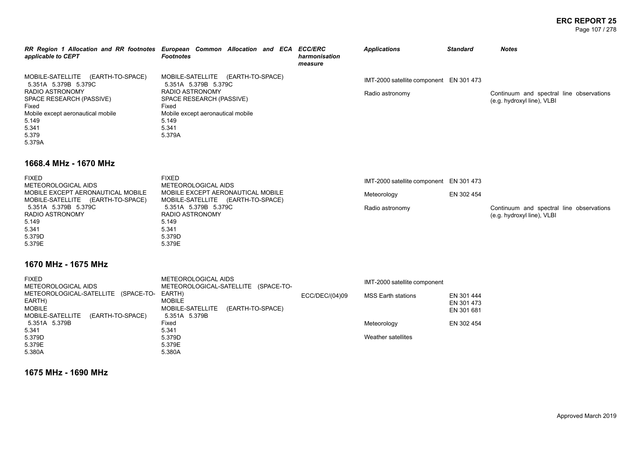#### **ERC REPORT 25** Page 107 / 278

| applicable to CEPT                                                                                                                                                                          | RR Region 1 Allocation and RR footnotes European Common Allocation and ECA ECC/ERC<br>Footnotes                                                                                       | harmonisation<br>measure | <b>Applications</b>                                        | <b>Standard</b> | <b>Notes</b>                                                           |
|---------------------------------------------------------------------------------------------------------------------------------------------------------------------------------------------|---------------------------------------------------------------------------------------------------------------------------------------------------------------------------------------|--------------------------|------------------------------------------------------------|-----------------|------------------------------------------------------------------------|
| MOBILE-SATELLITE (EARTH-TO-SPACE)<br>5.351A 5.379B 5.379C<br>RADIO ASTRONOMY<br>SPACE RESEARCH (PASSIVE)<br>Fixed<br>Mobile except aeronautical mobile<br>5.149<br>5.341<br>5.379<br>5.379A | MOBILE-SATELLITE<br>(EARTH-TO-SPACE)<br>5.351A 5.379B 5.379C<br>RADIO ASTRONOMY<br>SPACE RESEARCH (PASSIVE)<br>Fixed<br>Mobile except aeronautical mobile<br>5.149<br>5.341<br>5.379A |                          | IMT-2000 satellite component EN 301 473<br>Radio astronomy |                 | Continuum and spectral line observations<br>(e.g. hydroxyl line), VLBI |

### **1668.4 MHz - 1670 MHz**

| <b>FIXED</b><br>METEOROLOGICAL AIDS                                    | <b>FIXED</b><br>METEOROLOGICAL AIDS                                    | IMT-2000 satellite component EN 301 473 |            |                                                                        |
|------------------------------------------------------------------------|------------------------------------------------------------------------|-----------------------------------------|------------|------------------------------------------------------------------------|
| MOBILE EXCEPT AERONAUTICAL MOBILE<br>MOBILE-SATELLITE (EARTH-TO-SPACE) | MOBILE EXCEPT AERONAUTICAL MOBILE<br>MOBILE-SATELLITE (EARTH-TO-SPACE) | Meteorology                             | EN 302 454 |                                                                        |
| 5.351A 5.379B 5.379C<br>RADIO ASTRONOMY                                | 5.351A 5.379B 5.379C<br>RADIO ASTRONOMY                                | Radio astronomy                         |            | Continuum and spectral line observations<br>(e.g. hydroxyl line), VLBI |
| 5.149                                                                  | 5.149                                                                  |                                         |            |                                                                        |
| 5.341<br>5.379D                                                        | 5.341<br>5.379D                                                        |                                         |            |                                                                        |
| 5.379E                                                                 | 5.379E                                                                 |                                         |            |                                                                        |

# **1670 MHz - 1675 MHz**

| <b>FIXED</b>                         | METEOROLOGICAL AIDS                  |                | IMT-2000 satellite component |            |
|--------------------------------------|--------------------------------------|----------------|------------------------------|------------|
| METEOROLOGICAL AIDS                  | METEOROLOGICAL-SATELLITE (SPACE-TO-  |                |                              |            |
| METEOROLOGICAL-SATELLITE (SPACE-TO-  | EARTH)                               | ECC/DEC/(04)09 | <b>MSS Earth stations</b>    | EN 301 444 |
| EARTH)                               | <b>MOBILE</b>                        |                |                              | EN 301 473 |
| <b>MOBILE</b>                        | MOBILE-SATELLITE<br>(EARTH-TO-SPACE) |                |                              | EN 301 681 |
| MOBILE-SATELLITE<br>(EARTH-TO-SPACE) | 5.351A 5.379B                        |                |                              |            |
| 5.351A 5.379B                        | Fixed                                |                | Meteorology                  | EN 302 454 |
| 5.341                                | 5.341                                |                |                              |            |
| 5.379D                               | 5.379D                               |                | Weather satellites           |            |
| 5.379E                               | 5.379E                               |                |                              |            |
| 5.380A                               | 5.380A                               |                |                              |            |

**1675 MHz - 1690 MHz**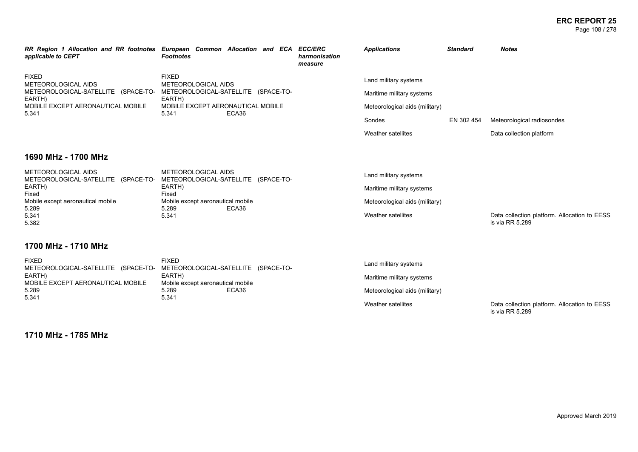**ERC REPORT 25** Page 108 / 278

| applicable to CEPT                                                                                                                                                                                | RR Region 1 Allocation and RR footnotes European Common Allocation and ECA ECC/ERC<br><b>Footnotes</b>                                      | harmonisation<br>measure | <b>Applications</b>                                                                                                  | <b>Standard</b> | <b>Notes</b>                                                    |
|---------------------------------------------------------------------------------------------------------------------------------------------------------------------------------------------------|---------------------------------------------------------------------------------------------------------------------------------------------|--------------------------|----------------------------------------------------------------------------------------------------------------------|-----------------|-----------------------------------------------------------------|
| <b>FIXED</b><br>METEOROLOGICAL AIDS<br>METEOROLOGICAL-SATELLITE (SPACE-TO-<br>EARTH)<br>MOBILE EXCEPT AERONAUTICAL MOBILE<br>5.341                                                                | <b>FIXED</b><br>METEOROLOGICAL AIDS<br>METEOROLOGICAL-SATELLITE (SPACE-TO-<br>EARTH)<br>MOBILE EXCEPT AERONAUTICAL MOBILE<br>ECA36<br>5.341 |                          | Land military systems<br>Maritime military systems<br>Meteorological aids (military)<br>Sondes<br>Weather satellites | EN 302 454      | Meteorological radiosondes                                      |
| 1690 MHz - 1700 MHz                                                                                                                                                                               |                                                                                                                                             |                          |                                                                                                                      |                 | Data collection platform                                        |
| METEOROLOGICAL AIDS<br>METEOROLOGICAL AIDS<br>METEOROLOGICAL-SATELLITE (SPACE-TO-<br>EARTH)<br>EARTH)<br>Fixed<br>Fixed<br>Mobile except aeronautical mobile<br>Mobile except aeronautical mobile | METEOROLOGICAL-SATELLITE (SPACE-TO-                                                                                                         |                          | Land military systems<br>Maritime military systems<br>Meteorological aids (military)                                 |                 |                                                                 |
| 5.289<br>5.341<br>5.382<br>1700 MHz - 1710 MHz                                                                                                                                                    | 5.289<br>ECA36<br>5.341                                                                                                                     |                          | Weather satellites                                                                                                   |                 | Data collection platform. Allocation to EESS<br>is via RR 5.289 |
| <b>CIVED</b>                                                                                                                                                                                      | <b>CIVED</b>                                                                                                                                |                          |                                                                                                                      |                 |                                                                 |

| FIXED                                                                   | FIXED                             | Land military systems          |                                              |
|-------------------------------------------------------------------------|-----------------------------------|--------------------------------|----------------------------------------------|
| METEOROLOGICAL-SATELLITE (SPACE-TO- METEOROLOGICAL-SATELLITE (SPACE-TO- |                                   |                                |                                              |
| EARTH)                                                                  | EARTH)                            | Maritime military systems      |                                              |
| MOBILE EXCEPT AERONAUTICAL MOBILE                                       | Mobile except aeronautical mobile |                                |                                              |
| 5.289                                                                   | 5.289<br>ECA36                    | Meteorological aids (military) |                                              |
| 5.341                                                                   | 5.341                             |                                |                                              |
|                                                                         |                                   | Weather satellites             | Data collection platform. Allocation to EESS |

**1710 MHz - 1785 MHz**

is via RR 5.289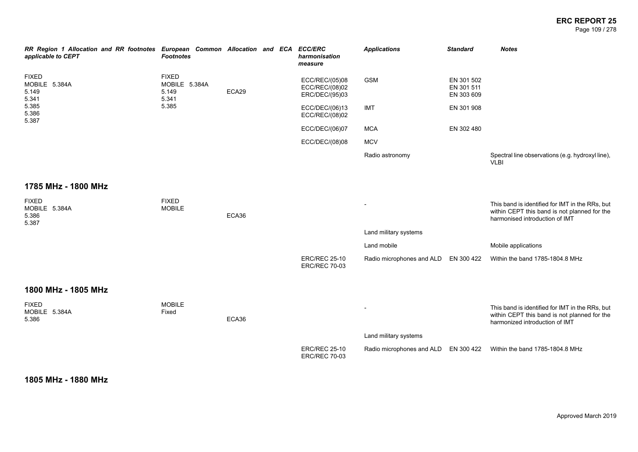### **ERC REPORT 25** Page 109 / 278

| RR Region 1 Allocation and RR footnotes European Common Allocation and ECA<br>applicable to CEPT | <b>Footnotes</b>                                |       |  | <b>ECC/ERC</b><br>harmonisation<br>measure         | <b>Applications</b>       | <b>Standard</b>                        | <b>Notes</b>                                                                                                                      |
|--------------------------------------------------------------------------------------------------|-------------------------------------------------|-------|--|----------------------------------------------------|---------------------------|----------------------------------------|-----------------------------------------------------------------------------------------------------------------------------------|
| <b>FIXED</b><br>MOBILE 5.384A<br>5.149<br>5.341                                                  | <b>FIXED</b><br>MOBILE 5.384A<br>5.149<br>5.341 | ECA29 |  | ECC/REC/(05)08<br>ECC/REC/(08)02<br>ERC/DEC/(95)03 | <b>GSM</b>                | EN 301 502<br>EN 301 511<br>EN 303 609 |                                                                                                                                   |
| 5.385<br>5.386<br>5.387                                                                          | 5.385                                           |       |  | ECC/DEC/(06)13<br>ECC/REC/(08)02                   | IMT                       | EN 301 908                             |                                                                                                                                   |
|                                                                                                  |                                                 |       |  | ECC/DEC/(06)07                                     | <b>MCA</b>                | EN 302 480                             |                                                                                                                                   |
|                                                                                                  |                                                 |       |  | ECC/DEC/(08)08                                     | <b>MCV</b>                |                                        |                                                                                                                                   |
|                                                                                                  |                                                 |       |  |                                                    | Radio astronomy           |                                        | Spectral line observations (e.g. hydroxyl line),<br><b>VLBI</b>                                                                   |
| 1785 MHz - 1800 MHz                                                                              |                                                 |       |  |                                                    |                           |                                        |                                                                                                                                   |
| <b>FIXED</b><br>MOBILE 5.384A<br>5.386<br>5.387                                                  | <b>FIXED</b><br><b>MOBILE</b>                   | ECA36 |  |                                                    |                           |                                        | This band is identified for IMT in the RRs, but<br>within CEPT this band is not planned for the<br>harmonised introduction of IMT |
|                                                                                                  |                                                 |       |  |                                                    | Land military systems     |                                        |                                                                                                                                   |
|                                                                                                  |                                                 |       |  |                                                    | Land mobile               |                                        | Mobile applications                                                                                                               |
|                                                                                                  |                                                 |       |  | <b>ERC/REC 25-10</b><br><b>ERC/REC 70-03</b>       | Radio microphones and ALD | EN 300 422                             | Within the band 1785-1804.8 MHz                                                                                                   |
| 1800 MHz - 1805 MHz                                                                              |                                                 |       |  |                                                    |                           |                                        |                                                                                                                                   |
| <b>FIXED</b><br>MOBILE 5.384A<br>5.386                                                           | <b>MOBILE</b><br>Fixed                          | ECA36 |  |                                                    |                           |                                        | This band is identified for IMT in the RRs, but<br>within CEPT this band is not planned for the<br>harmonized introduction of IMT |
|                                                                                                  |                                                 |       |  |                                                    | Land military systems     |                                        |                                                                                                                                   |
|                                                                                                  |                                                 |       |  | <b>ERC/REC 25-10</b><br><b>ERC/REC 70-03</b>       | Radio microphones and ALD | EN 300 422                             | Within the band 1785-1804.8 MHz                                                                                                   |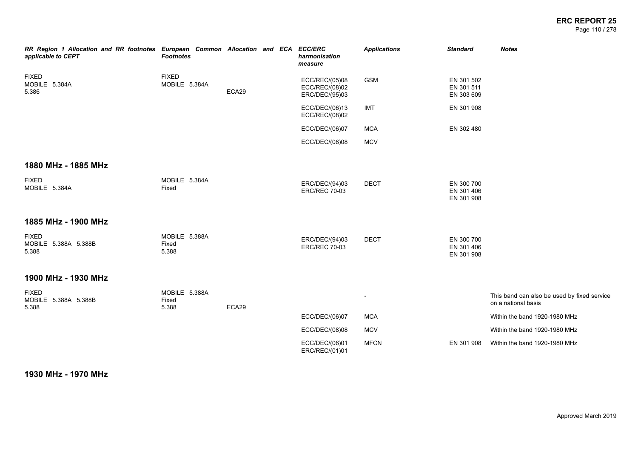### **ERC REPORT 25** Page 110 / 278

| RR Region 1 Allocation and RR footnotes European Common Allocation and ECA ECC/ERC<br>applicable to CEPT | <b>Footnotes</b>                |       |  | harmonisation<br>measure                           | <b>Applications</b> | <b>Standard</b>                        | <b>Notes</b>                                                       |
|----------------------------------------------------------------------------------------------------------|---------------------------------|-------|--|----------------------------------------------------|---------------------|----------------------------------------|--------------------------------------------------------------------|
| <b>FIXED</b><br>MOBILE 5.384A<br>5.386                                                                   | <b>FIXED</b><br>MOBILE 5.384A   | ECA29 |  | ECC/REC/(05)08<br>ECC/REC/(08)02<br>ERC/DEC/(95)03 | <b>GSM</b>          | EN 301 502<br>EN 301 511<br>EN 303 609 |                                                                    |
|                                                                                                          |                                 |       |  | ECC/DEC/(06)13<br>ECC/REC/(08)02                   | <b>IMT</b>          | EN 301 908                             |                                                                    |
|                                                                                                          |                                 |       |  | ECC/DEC/(06)07                                     | <b>MCA</b>          | EN 302 480                             |                                                                    |
|                                                                                                          |                                 |       |  | ECC/DEC/(08)08                                     | <b>MCV</b>          |                                        |                                                                    |
| 1880 MHz - 1885 MHz                                                                                      |                                 |       |  |                                                    |                     |                                        |                                                                    |
| <b>FIXED</b><br>MOBILE 5.384A                                                                            | MOBILE 5.384A<br>Fixed          |       |  | ERC/DEC/(94)03<br><b>ERC/REC 70-03</b>             | <b>DECT</b>         | EN 300 700<br>EN 301 406<br>EN 301 908 |                                                                    |
| 1885 MHz - 1900 MHz                                                                                      |                                 |       |  |                                                    |                     |                                        |                                                                    |
| <b>FIXED</b><br>MOBILE 5.388A 5.388B<br>5.388                                                            | MOBILE 5.388A<br>Fixed<br>5.388 |       |  | ERC/DEC/(94)03<br><b>ERC/REC 70-03</b>             | <b>DECT</b>         | EN 300 700<br>EN 301 406<br>EN 301 908 |                                                                    |
| 1900 MHz - 1930 MHz                                                                                      |                                 |       |  |                                                    |                     |                                        |                                                                    |
| <b>FIXED</b><br>MOBILE 5.388A 5.388B<br>5.388                                                            | MOBILE 5.388A<br>Fixed<br>5.388 | ECA29 |  |                                                    |                     |                                        | This band can also be used by fixed service<br>on a national basis |
|                                                                                                          |                                 |       |  | ECC/DEC/(06)07                                     | <b>MCA</b>          |                                        | Within the band 1920-1980 MHz                                      |
|                                                                                                          |                                 |       |  | ECC/DEC/(08)08                                     | <b>MCV</b>          |                                        | Within the band 1920-1980 MHz                                      |
|                                                                                                          |                                 |       |  | ECC/DEC/(06)01<br>ERC/REC/(01)01                   | <b>MFCN</b>         | EN 301 908                             | Within the band 1920-1980 MHz                                      |
|                                                                                                          |                                 |       |  |                                                    |                     |                                        |                                                                    |

**1930 MHz - 1970 MHz**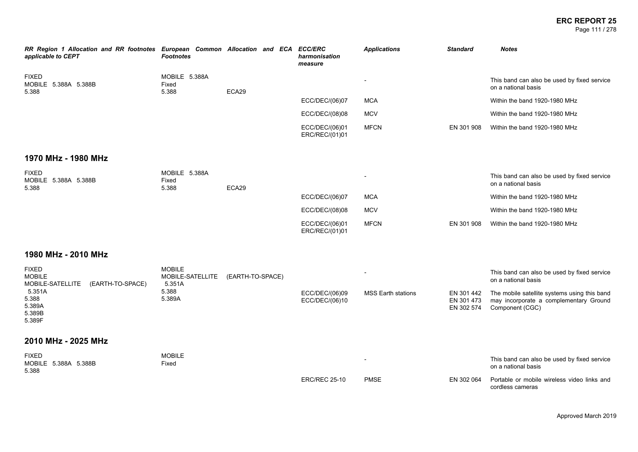### **ERC REPORT 25** Page 111 / 278

| RR Region 1 Allocation and RR footnotes European Common Allocation and ECA ECC/ERC<br>applicable to CEPT | <b>Footnotes</b>                            |                  | harmonisation<br>measure         | <b>Applications</b>       | <b>Standard</b>                        | <b>Notes</b>                                                                                              |
|----------------------------------------------------------------------------------------------------------|---------------------------------------------|------------------|----------------------------------|---------------------------|----------------------------------------|-----------------------------------------------------------------------------------------------------------|
| <b>FIXED</b><br>MOBILE 5.388A 5.388B<br>5.388                                                            | MOBILE 5.388A<br>Fixed<br>5.388             | ECA29            |                                  | $\overline{\phantom{a}}$  |                                        | This band can also be used by fixed service<br>on a national basis                                        |
|                                                                                                          |                                             |                  | ECC/DEC/(06)07                   | <b>MCA</b>                |                                        | Within the band 1920-1980 MHz                                                                             |
|                                                                                                          |                                             |                  | ECC/DEC/(08)08                   | <b>MCV</b>                |                                        | Within the band 1920-1980 MHz                                                                             |
|                                                                                                          |                                             |                  | ECC/DEC/(06)01<br>ERC/REC/(01)01 | <b>MFCN</b>               | EN 301 908                             | Within the band 1920-1980 MHz                                                                             |
| 1970 MHz - 1980 MHz                                                                                      |                                             |                  |                                  |                           |                                        |                                                                                                           |
| <b>FIXED</b><br>MOBILE 5.388A 5.388B<br>5.388                                                            | MOBILE 5.388A<br>Fixed<br>5.388             | ECA29            |                                  |                           |                                        | This band can also be used by fixed service<br>on a national basis                                        |
|                                                                                                          |                                             |                  | ECC/DEC/(06)07                   | <b>MCA</b>                |                                        | Within the band 1920-1980 MHz                                                                             |
|                                                                                                          |                                             |                  | ECC/DEC/(08)08                   | <b>MCV</b>                |                                        | Within the band 1920-1980 MHz                                                                             |
|                                                                                                          |                                             |                  | ECC/DEC/(06)01<br>ERC/REC/(01)01 | <b>MFCN</b>               | EN 301 908                             | Within the band 1920-1980 MHz                                                                             |
| 1980 MHz - 2010 MHz                                                                                      |                                             |                  |                                  |                           |                                        |                                                                                                           |
| <b>FIXED</b><br><b>MOBILE</b><br>MOBILE-SATELLITE<br>(EARTH-TO-SPACE)                                    | <b>MOBILE</b><br>MOBILE-SATELLITE<br>5.351A | (EARTH-TO-SPACE) |                                  |                           |                                        | This band can also be used by fixed service<br>on a national basis                                        |
| 5.351A<br>5.388<br>5.389A<br>5.389B<br>5.389F                                                            | 5.388<br>5.389A                             |                  | ECC/DEC/(06)09<br>ECC/DEC/(06)10 | <b>MSS Earth stations</b> | EN 301 442<br>EN 301 473<br>EN 302 574 | The mobile satellite systems using this band<br>may incorporate a complementary Ground<br>Component (CGC) |
| 2010 MHz - 2025 MHz                                                                                      |                                             |                  |                                  |                           |                                        |                                                                                                           |
| <b>FIXED</b><br>MOBILE 5.388A 5.388B<br>5.388                                                            | <b>MOBILE</b><br>Fixed                      |                  |                                  |                           |                                        | This band can also be used by fixed service<br>on a national basis                                        |
|                                                                                                          |                                             |                  | <b>ERC/REC 25-10</b>             | <b>PMSE</b>               | EN 302 064                             | Portable or mobile wireless video links and<br>cordless cameras                                           |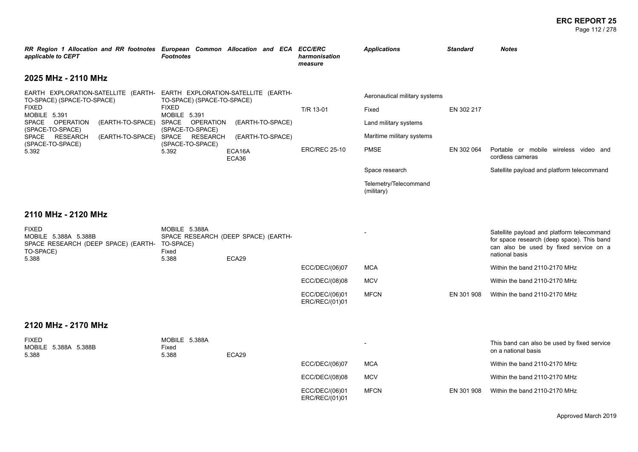### **ERC REPORT 25** Page 112 / 278

| RR Region 1 Allocation and RR footnotes European Common Allocation and ECA ECC/ERC<br>applicable to CEPT                                                                                                                                                                                                                                                                                | <b>Footnotes</b>                                                  |                                                         | harmonisation<br>measure          | <b>Applications</b>                                                                                         | <b>Standard</b>          | <b>Notes</b>                                                                                                                                         |
|-----------------------------------------------------------------------------------------------------------------------------------------------------------------------------------------------------------------------------------------------------------------------------------------------------------------------------------------------------------------------------------------|-------------------------------------------------------------------|---------------------------------------------------------|-----------------------------------|-------------------------------------------------------------------------------------------------------------|--------------------------|------------------------------------------------------------------------------------------------------------------------------------------------------|
| 2025 MHz - 2110 MHz                                                                                                                                                                                                                                                                                                                                                                     |                                                                   |                                                         |                                   |                                                                                                             |                          |                                                                                                                                                      |
| EARTH EXPLORATION-SATELLITE (EARTH- EARTH EXPLORATION-SATELLITE (EARTH-<br>TO-SPACE) (SPACE-TO-SPACE)<br><b>FIXED</b><br><b>FIXED</b><br>MOBILE 5.391<br>MOBILE 5.391<br>SPACE OPERATION<br>(EARTH-TO-SPACE)<br>SPACE<br>(SPACE-TO-SPACE)<br>(SPACE-TO-SPACE)<br><b>RESEARCH</b><br>SPACE<br><b>SPACE</b><br>(EARTH-TO-SPACE)<br>(SPACE-TO-SPACE)<br>(SPACE-TO-SPACE)<br>5.392<br>5.392 | TO-SPACE) (SPACE-TO-SPACE)<br><b>OPERATION</b><br><b>RESEARCH</b> | (EARTH-TO-SPACE)<br>(EARTH-TO-SPACE)<br>ECA16A<br>ECA36 | T/R 13-01<br><b>ERC/REC 25-10</b> | Aeronautical military systems<br>Fixed<br>Land military systems<br>Maritime military systems<br><b>PMSE</b> | EN 302 217<br>EN 302 064 | Portable or mobile wireless video and<br>cordless cameras                                                                                            |
|                                                                                                                                                                                                                                                                                                                                                                                         |                                                                   |                                                         |                                   | Space research<br>Telemetry/Telecommand<br>(military)                                                       |                          | Satellite payload and platform telecommand                                                                                                           |
| 2110 MHz - 2120 MHz                                                                                                                                                                                                                                                                                                                                                                     |                                                                   |                                                         |                                   |                                                                                                             |                          |                                                                                                                                                      |
| <b>FIXED</b><br>MOBILE 5.388A 5.388B<br>SPACE RESEARCH (DEEP SPACE) (EARTH- TO-SPACE)<br>TO-SPACE)                                                                                                                                                                                                                                                                                      | MOBILE 5.388A<br>Fixed<br>5.388                                   | SPACE RESEARCH (DEEP SPACE) (EARTH-<br>ECA29            |                                   |                                                                                                             |                          | Satellite payload and platform telecommand<br>for space research (deep space). This band<br>can also be used by fixed service on a<br>national basis |
| 5.388                                                                                                                                                                                                                                                                                                                                                                                   |                                                                   |                                                         | ECC/DEC/(06)07                    | <b>MCA</b>                                                                                                  |                          | Within the band 2110-2170 MHz                                                                                                                        |
|                                                                                                                                                                                                                                                                                                                                                                                         |                                                                   |                                                         | ECC/DEC/(08)08                    | <b>MCV</b>                                                                                                  |                          | Within the band 2110-2170 MHz                                                                                                                        |
|                                                                                                                                                                                                                                                                                                                                                                                         |                                                                   |                                                         | ECC/DEC/(06)01<br>ERC/REC/(01)01  | <b>MFCN</b>                                                                                                 | EN 301 908               | Within the band 2110-2170 MHz                                                                                                                        |
| 2120 MHz - 2170 MHz                                                                                                                                                                                                                                                                                                                                                                     |                                                                   |                                                         |                                   |                                                                                                             |                          |                                                                                                                                                      |
| <b>FIXED</b>                                                                                                                                                                                                                                                                                                                                                                            | MOBILE 5.388A                                                     |                                                         |                                   |                                                                                                             |                          | This band can also be used by fixed service                                                                                                          |

| <b>FIAEU</b><br>MOBILE 5.388A 5.388B<br>5.388 | <b>IVIUDILE U.JOOA</b><br>Fixed<br>5.388 | ECA29 |                                  | $\overline{\phantom{0}}$ |            | This band can also be used by fixed service<br>on a national basis |
|-----------------------------------------------|------------------------------------------|-------|----------------------------------|--------------------------|------------|--------------------------------------------------------------------|
|                                               |                                          |       | ECC/DEC/(06)07                   | MCA                      |            | Within the band 2110-2170 MHz                                      |
|                                               |                                          |       | ECC/DEC/(08)08                   | <b>MCV</b>               |            | Within the band 2110-2170 MHz                                      |
|                                               |                                          |       | ECC/DEC/(06)01<br>ERC/REC/(01)01 | MFCN                     | EN 301 908 | Within the band 2110-2170 MHz                                      |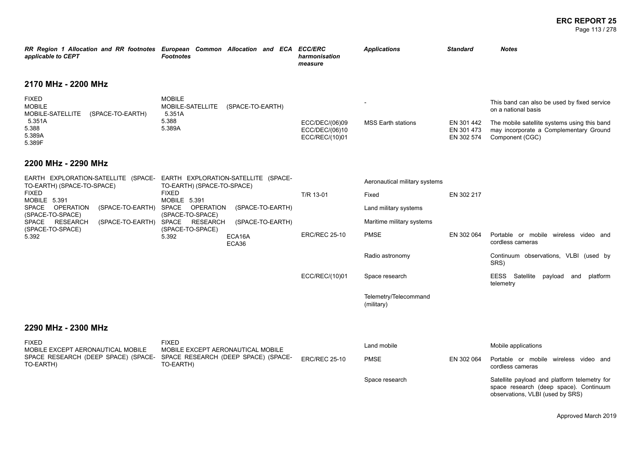### **ERC REPORT 25** Page 113 / 278

| RR Region 1 Allocation and RR footnotes European Common Allocation and ECA ECC/ERC<br>applicable to CEPT                                                                                                                                                                                       | <b>Footnotes</b>                                  |                                     | harmonisation<br>measure                           | <b>Applications</b>                 | <b>Standard</b>                        | <b>Notes</b>                                                                                                               |
|------------------------------------------------------------------------------------------------------------------------------------------------------------------------------------------------------------------------------------------------------------------------------------------------|---------------------------------------------------|-------------------------------------|----------------------------------------------------|-------------------------------------|----------------------------------------|----------------------------------------------------------------------------------------------------------------------------|
| 2170 MHz - 2200 MHz                                                                                                                                                                                                                                                                            |                                                   |                                     |                                                    |                                     |                                        |                                                                                                                            |
| <b>FIXED</b><br><b>MOBILE</b><br>MOBILE-SATELLITE<br>(SPACE-TO-EARTH)                                                                                                                                                                                                                          | <b>MOBILE</b><br>MOBILE-SATELLITE<br>5.351A       | (SPACE-TO-EARTH)                    |                                                    |                                     |                                        | This band can also be used by fixed service<br>on a national basis                                                         |
| 5.351A<br>5.388<br>5.389A<br>5.389F                                                                                                                                                                                                                                                            | 5.388<br>5.389A                                   |                                     | ECC/DEC/(06)09<br>ECC/DEC/(06)10<br>ECC/REC/(10)01 | <b>MSS Earth stations</b>           | EN 301 442<br>EN 301 473<br>EN 302 574 | The mobile satellite systems using this band<br>may incorporate a Complementary Ground<br>Component (CGC)                  |
| 2200 MHz - 2290 MHz                                                                                                                                                                                                                                                                            |                                                   |                                     |                                                    |                                     |                                        |                                                                                                                            |
| EARTH EXPLORATION-SATELLITE (SPACE- EARTH EXPLORATION-SATELLITE (SPACE-<br>TO-EARTH) (SPACE-TO-SPACE)                                                                                                                                                                                          | TO-EARTH) (SPACE-TO-SPACE)                        |                                     |                                                    | Aeronautical military systems       |                                        |                                                                                                                            |
| <b>FIXED</b><br><b>FIXED</b><br>MOBILE 5.391<br>MOBILE 5.391<br>SPACE<br><b>OPERATION</b><br>(SPACE-TO-EARTH) SPACE<br><b>OPERATION</b><br>(SPACE-TO-SPACE)<br>(SPACE-TO-SPACE)<br>SPACE RESEARCH<br>(SPACE-TO-EARTH) SPACE RESEARCH<br>(SPACE-TO-SPACE)<br>(SPACE-TO-SPACE)<br>5.392<br>5.392 |                                                   | T/R 13-01                           | Fixed                                              | EN 302 217                          |                                        |                                                                                                                            |
|                                                                                                                                                                                                                                                                                                | (SPACE-TO-EARTH)                                  |                                     | Land military systems                              |                                     |                                        |                                                                                                                            |
|                                                                                                                                                                                                                                                                                                |                                                   | (SPACE-TO-EARTH)                    |                                                    | Maritime military systems           |                                        |                                                                                                                            |
|                                                                                                                                                                                                                                                                                                |                                                   | ECA16A<br>ECA36                     | <b>ERC/REC 25-10</b>                               | <b>PMSE</b>                         | EN 302 064                             | Portable or mobile wireless video and<br>cordless cameras                                                                  |
|                                                                                                                                                                                                                                                                                                |                                                   |                                     |                                                    | Radio astronomy                     |                                        | Continuum observations, VLBI (used by<br>SRS)                                                                              |
|                                                                                                                                                                                                                                                                                                |                                                   |                                     | ECC/REC/(10)01                                     | Space research                      |                                        | EESS Satellite<br>payload and<br>platform<br>telemetry                                                                     |
|                                                                                                                                                                                                                                                                                                |                                                   |                                     |                                                    | Telemetry/Telecommand<br>(military) |                                        |                                                                                                                            |
| 2290 MHz - 2300 MHz                                                                                                                                                                                                                                                                            |                                                   |                                     |                                                    |                                     |                                        |                                                                                                                            |
| <b>FIXED</b><br>MOBILE EXCEPT AERONAUTICAL MOBILE                                                                                                                                                                                                                                              | <b>FIXED</b><br>MOBILE EXCEPT AERONAUTICAL MOBILE |                                     |                                                    | Land mobile                         |                                        | Mobile applications                                                                                                        |
| SPACE RESEARCH (DEEP SPACE) (SPACE-<br>TO-EARTH)                                                                                                                                                                                                                                               | TO-EARTH)                                         | SPACE RESEARCH (DEEP SPACE) (SPACE- | <b>ERC/REC 25-10</b>                               | <b>PMSE</b>                         | EN 302 064                             | Portable or mobile wireless video and<br>cordless cameras                                                                  |
|                                                                                                                                                                                                                                                                                                |                                                   |                                     |                                                    | Space research                      |                                        | Satellite payload and platform telemetry for<br>space research (deep space). Continuum<br>observations, VLBI (used by SRS) |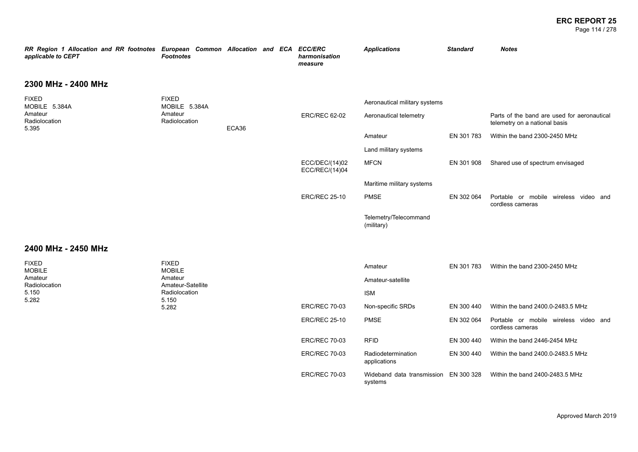### **ERC REPORT 25** Page 114 / 278

| RR Region 1 Allocation and RR footnotes<br>applicable to CEPT | European Common Allocation and ECA<br><b>Footnotes</b> |       |  | <b>ECC/ERC</b><br>harmonisation<br>measure | <b>Applications</b>                 | <b>Standard</b> | <b>Notes</b>                                                                 |
|---------------------------------------------------------------|--------------------------------------------------------|-------|--|--------------------------------------------|-------------------------------------|-----------------|------------------------------------------------------------------------------|
| 2300 MHz - 2400 MHz                                           |                                                        |       |  |                                            |                                     |                 |                                                                              |
| <b>FIXED</b><br>MOBILE 5.384A                                 | <b>FIXED</b><br>MOBILE 5.384A                          |       |  |                                            | Aeronautical military systems       |                 |                                                                              |
| Amateur<br>Radiolocation<br>5.395                             | Amateur<br>Radiolocation                               | ECA36 |  | <b>ERC/REC 62-02</b>                       | Aeronautical telemetry              |                 | Parts of the band are used for aeronautical<br>telemetry on a national basis |
|                                                               |                                                        |       |  |                                            | Amateur                             | EN 301 783      | Within the band 2300-2450 MHz                                                |
|                                                               |                                                        |       |  |                                            | Land military systems               |                 |                                                                              |
|                                                               |                                                        |       |  | ECC/DEC/(14)02<br>ECC/REC/(14)04           | <b>MFCN</b>                         | EN 301 908      | Shared use of spectrum envisaged                                             |
|                                                               |                                                        |       |  |                                            | Maritime military systems           |                 |                                                                              |
|                                                               |                                                        |       |  | <b>ERC/REC 25-10</b>                       | <b>PMSE</b>                         | EN 302 064      | Portable or mobile wireless video and<br>cordless cameras                    |
|                                                               |                                                        |       |  |                                            | Telemetry/Telecommand<br>(military) |                 |                                                                              |

### **2400 MHz - 2450 MHz**

| <b>FIXED</b><br><b>MOBILE</b>                     | <b>FIXED</b><br><b>MOBILE</b> |                      | Amateur                                          | EN 301 783 | Within the band 2300-2450 MHz                                |
|---------------------------------------------------|-------------------------------|----------------------|--------------------------------------------------|------------|--------------------------------------------------------------|
| Amateur<br>Radiolocation                          | Amateur<br>Amateur-Satellite  |                      | Amateur-satellite                                |            |                                                              |
| Radiolocation<br>5.150<br>5.282<br>5.150<br>5.282 |                               |                      | <b>ISM</b>                                       |            |                                                              |
|                                                   |                               | <b>ERC/REC 70-03</b> | Non-specific SRDs                                | EN 300 440 | Within the band 2400.0-2483.5 MHz                            |
|                                                   |                               | <b>ERC/REC 25-10</b> | <b>PMSE</b>                                      | EN 302 064 | Portable or mobile wireless<br>video and<br>cordless cameras |
|                                                   |                               | <b>ERC/REC 70-03</b> | <b>RFID</b>                                      | EN 300 440 | Within the band 2446-2454 MHz                                |
|                                                   |                               | <b>ERC/REC 70-03</b> | Radiodetermination<br>applications               | EN 300 440 | Within the band 2400.0-2483.5 MHz                            |
|                                                   |                               | <b>ERC/REC 70-03</b> | Wideband data transmission EN 300 328<br>systems |            | Within the band 2400-2483.5 MHz                              |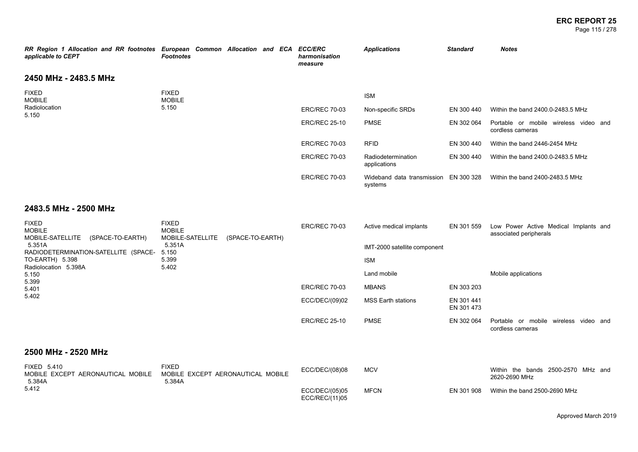#### **ERC REPORT 25** Page 115 / 278

| RR Region 1 Allocation and RR footnotes European Common Allocation and ECA ECC/ERC<br>applicable to CEPT | <b>Footnotes</b>              |  |  | harmonisation<br>measure | <b>Applications</b>                              | <b>Standard</b> | <b>Notes</b>                                              |
|----------------------------------------------------------------------------------------------------------|-------------------------------|--|--|--------------------------|--------------------------------------------------|-----------------|-----------------------------------------------------------|
| 2450 MHz - 2483.5 MHz                                                                                    |                               |  |  |                          |                                                  |                 |                                                           |
| <b>FIXED</b><br><b>MOBILE</b>                                                                            | <b>FIXED</b><br><b>MOBILE</b> |  |  |                          | <b>ISM</b>                                       |                 |                                                           |
| Radiolocation<br>5.150                                                                                   | 5.150                         |  |  | <b>ERC/REC 70-03</b>     | Non-specific SRDs                                | EN 300 440      | Within the band 2400.0-2483.5 MHz                         |
|                                                                                                          |                               |  |  | <b>ERC/REC 25-10</b>     | <b>PMSE</b>                                      | EN 302 064      | Portable or mobile wireless video and<br>cordless cameras |
|                                                                                                          |                               |  |  | <b>ERC/REC 70-03</b>     | <b>RFID</b>                                      | EN 300 440      | Within the band 2446-2454 MHz                             |
|                                                                                                          |                               |  |  | <b>ERC/REC 70-03</b>     | Radiodetermination<br>applications               | EN 300 440      | Within the band 2400.0-2483.5 MHz                         |
|                                                                                                          |                               |  |  | <b>ERC/REC 70-03</b>     | Wideband data transmission EN 300 328<br>systems |                 | Within the band 2400-2483.5 MHz                           |
|                                                                                                          |                               |  |  |                          |                                                  |                 |                                                           |

## **2483.5 MHz - 2500 MHz**

| <b>FIXED</b><br><b>MOBILE</b><br>MOBILE-SATELLITE<br>(SPACE-TO-EARTH) | <b>FIXED</b><br><b>MOBILE</b><br>MOBILE-SATELLITE | (SPACE-TO-EARTH) | <b>ERC/REC 70-03</b> | Active medical implants      | EN 301 559               | Low Power Active Medical Implants and<br>associated peripherals |
|-----------------------------------------------------------------------|---------------------------------------------------|------------------|----------------------|------------------------------|--------------------------|-----------------------------------------------------------------|
| 5.351A                                                                | 5.351A                                            |                  |                      | IMT-2000 satellite component |                          |                                                                 |
| RADIODETERMINATION-SATELLITE (SPACE-<br>TO-EARTH) 5.398               | 5.150<br>5.399                                    |                  |                      | <b>ISM</b>                   |                          |                                                                 |
| Radiolocation 5.398A<br>5.150                                         | 5.402                                             |                  |                      | Land mobile                  |                          | Mobile applications                                             |
| 5.399<br>5.401                                                        |                                                   |                  | <b>ERC/REC 70-03</b> | <b>MBANS</b>                 | EN 303 203               |                                                                 |
| 5.402                                                                 |                                                   |                  | ECC/DEC/(09)02       | <b>MSS Earth stations</b>    | EN 301 441<br>EN 301 473 |                                                                 |
|                                                                       |                                                   |                  | <b>ERC/REC 25-10</b> | <b>PMSE</b>                  | EN 302 064               | Portable or mobile wireless video and<br>cordless cameras       |
| 2500 MHz - 2520 MHz                                                   |                                                   |                  |                      |                              |                          |                                                                 |

#### FIXED 5.410 MOBILE EXCEPT AERONAUTICAL MOBILE 5.384A 5.412 FIXED MOBILE EXCEPT AERONAUTICAL MOBILE 5.384A ECC/DEC/(08)08 MCV Within the bands 2500-2570 MHz and 2620-2690 MHz ECC/DEC/(05)05 ECC/REC/(11)05 MFCN EN 301 908 Within the band 2500-2690 MHz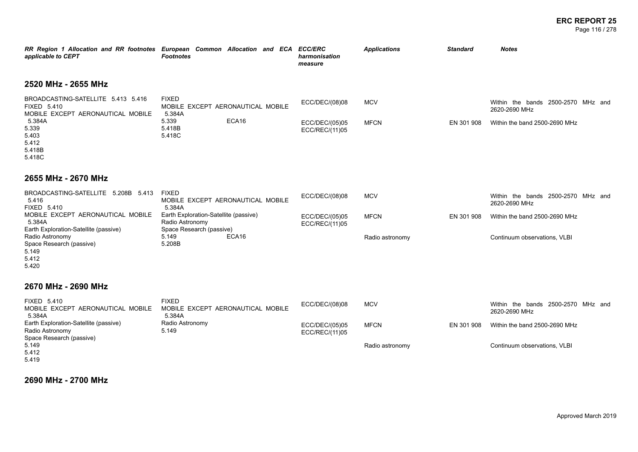### **ERC REPORT 25** Page 116 / 278

| applicable to CEPT                                                                     | RR Region 1 Allocation and RR footnotes European Common Allocation and ECA<br><b>Footnotes</b> | <b>ECC/ERC</b><br>harmonisation<br>measure | <b>Applications</b> | <b>Standard</b> | <b>Notes</b>                                        |
|----------------------------------------------------------------------------------------|------------------------------------------------------------------------------------------------|--------------------------------------------|---------------------|-----------------|-----------------------------------------------------|
| 2520 MHz - 2655 MHz                                                                    |                                                                                                |                                            |                     |                 |                                                     |
| BROADCASTING-SATELLITE 5.413 5.416<br>FIXED 5.410<br>MOBILE EXCEPT AERONAUTICAL MOBILE | <b>FIXED</b><br>MOBILE EXCEPT AERONAUTICAL MOBILE<br>5.384A                                    | ECC/DEC/(08)08                             | <b>MCV</b>          |                 | Within the bands 2500-2570 MHz and<br>2620-2690 MHz |
| 5.384A<br>5.339<br>5.403<br>5.412<br>5.418B<br>5.418C                                  | 5.339<br>ECA16<br>5.418B<br>5.418C                                                             | ECC/DEC/(05)05<br>ECC/REC/(11)05           | <b>MFCN</b>         | EN 301 908      | Within the band 2500-2690 MHz                       |
| 2655 MHz - 2670 MHz                                                                    |                                                                                                |                                            |                     |                 |                                                     |
| BROADCASTING-SATELLITE 5.208B 5.413<br>5.416<br>FIXED 5.410                            | <b>FIXED</b><br>MOBILE EXCEPT AERONAUTICAL MOBILE<br>5.384A                                    | ECC/DEC/(08)08                             | <b>MCV</b>          |                 | Within the bands 2500-2570 MHz and<br>2620-2690 MHz |
| MOBILE EXCEPT AERONAUTICAL MOBILE<br>5.384A<br>Earth Exploration-Satellite (passive)   | Earth Exploration-Satellite (passive)<br>Radio Astronomy<br>Space Research (passive)           | ECC/DEC/(05)05<br>ECC/REC/(11)05           | <b>MFCN</b>         | EN 301 908      | Within the band 2500-2690 MHz                       |
| Radio Astronomy<br>Space Research (passive)<br>5.149<br>5.412<br>5.420                 | ECA16<br>5.149<br>5.208B                                                                       |                                            | Radio astronomy     |                 | Continuum observations, VLBI                        |
| 2670 MHz - 2690 MHz                                                                    |                                                                                                |                                            |                     |                 |                                                     |
| FIXED 5.410<br>MOBILE EXCEPT AERONAUTICAL MOBILE<br>5.384A                             | <b>FIXED</b><br>MOBILE EXCEPT AERONAUTICAL MOBILE<br>5.384A                                    | ECC/DEC/(08)08                             | <b>MCV</b>          |                 | Within the bands 2500-2570 MHz and<br>2620-2690 MHz |
| Earth Exploration-Satellite (passive)<br>Radio Astronomy<br>Space Research (passive)   | Radio Astronomy<br>5.149                                                                       | ECC/DEC/(05)05<br>ECC/REC/(11)05           | <b>MFCN</b>         | EN 301 908      | Within the band 2500-2690 MHz                       |
| 5.149<br>5.412                                                                         |                                                                                                |                                            | Radio astronomy     |                 | Continuum observations, VLBI                        |

5.419

**2690 MHz - 2700 MHz**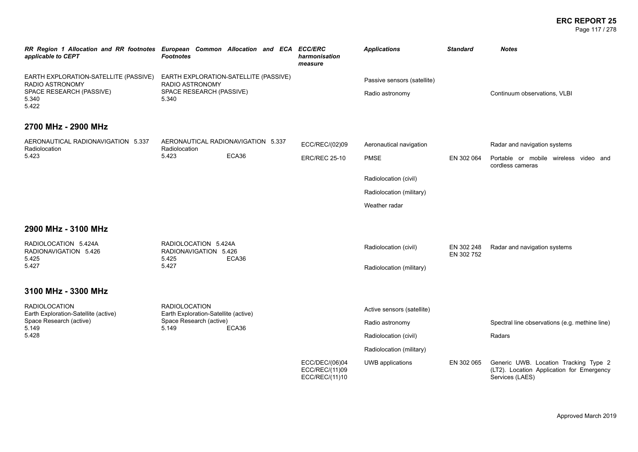### **ERC REPORT 25** Page 117 / 278

| RR Region 1 Allocation and RR footnotes European Common Allocation and ECA ECC/ERC<br>applicable to CEPT | <b>Footnotes</b>                                                | harmonisation<br>measure                           | <b>Applications</b>         | <b>Standard</b>          | <b>Notes</b>                                                                                          |
|----------------------------------------------------------------------------------------------------------|-----------------------------------------------------------------|----------------------------------------------------|-----------------------------|--------------------------|-------------------------------------------------------------------------------------------------------|
| EARTH EXPLORATION-SATELLITE (PASSIVE)<br>RADIO ASTRONOMY                                                 | EARTH EXPLORATION-SATELLITE (PASSIVE)<br>RADIO ASTRONOMY        |                                                    | Passive sensors (satellite) |                          |                                                                                                       |
| SPACE RESEARCH (PASSIVE)<br>5.340<br>5.422                                                               | SPACE RESEARCH (PASSIVE)<br>5.340                               |                                                    | Radio astronomy             |                          | Continuum observations, VLBI                                                                          |
| 2700 MHz - 2900 MHz                                                                                      |                                                                 |                                                    |                             |                          |                                                                                                       |
| AERONAUTICAL RADIONAVIGATION 5.337<br>Radiolocation                                                      | AERONAUTICAL RADIONAVIGATION 5.337<br>Radiolocation             | ECC/REC/(02)09                                     | Aeronautical navigation     |                          | Radar and navigation systems                                                                          |
| 5.423                                                                                                    | ECA36<br>5.423                                                  | <b>ERC/REC 25-10</b>                               | <b>PMSE</b>                 | EN 302 064               | Portable or mobile wireless video and<br>cordless cameras                                             |
|                                                                                                          |                                                                 |                                                    | Radiolocation (civil)       |                          |                                                                                                       |
|                                                                                                          |                                                                 |                                                    | Radiolocation (military)    |                          |                                                                                                       |
|                                                                                                          |                                                                 |                                                    | Weather radar               |                          |                                                                                                       |
| 2900 MHz - 3100 MHz                                                                                      |                                                                 |                                                    |                             |                          |                                                                                                       |
| RADIOLOCATION 5.424A<br>RADIONAVIGATION 5.426<br>5.425                                                   | RADIOLOCATION 5.424A<br>RADIONAVIGATION 5.426<br>ECA36<br>5.425 |                                                    | Radiolocation (civil)       | EN 302 248<br>EN 302 752 | Radar and navigation systems                                                                          |
| 5.427                                                                                                    | 5.427                                                           |                                                    | Radiolocation (military)    |                          |                                                                                                       |
| 3100 MHz - 3300 MHz                                                                                      |                                                                 |                                                    |                             |                          |                                                                                                       |
| <b>RADIOLOCATION</b><br>Earth Exploration-Satellite (active)                                             | <b>RADIOLOCATION</b><br>Earth Exploration-Satellite (active)    |                                                    | Active sensors (satellite)  |                          |                                                                                                       |
| Space Research (active)<br>5.149                                                                         | Space Research (active)<br>5.149<br>ECA36                       |                                                    | Radio astronomy             |                          | Spectral line observations (e.g. methine line)                                                        |
| 5.428                                                                                                    |                                                                 |                                                    | Radiolocation (civil)       |                          | Radars                                                                                                |
|                                                                                                          |                                                                 |                                                    | Radiolocation (military)    |                          |                                                                                                       |
|                                                                                                          |                                                                 | ECC/DEC/(06)04<br>ECC/REC/(11)09<br>ECC/REC/(11)10 | UWB applications            | EN 302 065               | Generic UWB. Location Tracking Type 2<br>(LT2). Location Application for Emergency<br>Services (LAES) |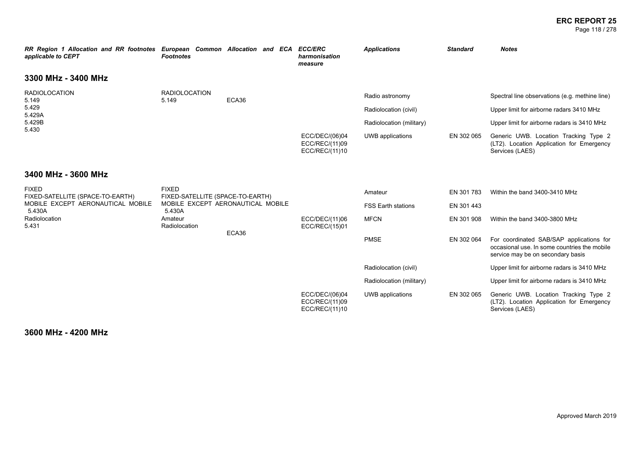### **ERC REPORT 25** Page 118 / 278

| RR Region 1 Allocation and RR footnotes European Common Allocation and ECA<br>applicable to CEPT | <b>Footnotes</b>                                 |       |       | <b>ECC/ERC</b><br>harmonisation<br>measure         | <b>Applications</b>                                                                      | <b>Standard</b> | <b>Notes</b>                                                                                                                                                                                                                                       |
|--------------------------------------------------------------------------------------------------|--------------------------------------------------|-------|-------|----------------------------------------------------|------------------------------------------------------------------------------------------|-----------------|----------------------------------------------------------------------------------------------------------------------------------------------------------------------------------------------------------------------------------------------------|
| 3300 MHz - 3400 MHz                                                                              |                                                  |       |       |                                                    |                                                                                          |                 |                                                                                                                                                                                                                                                    |
| <b>RADIOLOCATION</b><br>5.149<br>5.429<br>5.429A<br>5.429B<br>5.430                              | <b>RADIOLOCATION</b><br>5.149                    | ECA36 |       | ECC/DEC/(06)04<br>ECC/REC/(11)09<br>ECC/REC/(11)10 | Radio astronomy<br>Radiolocation (civil)<br>Radiolocation (military)<br>UWB applications | EN 302 065      | Spectral line observations (e.g. methine line)<br>Upper limit for airborne radars 3410 MHz<br>Upper limit for airborne radars is 3410 MHz<br>Generic UWB. Location Tracking Type 2<br>(LT2). Location Application for Emergency<br>Services (LAES) |
| 3400 MHz - 3600 MHz                                                                              |                                                  |       |       |                                                    |                                                                                          |                 |                                                                                                                                                                                                                                                    |
| <b>FIXED</b><br>FIXED-SATELLITE (SPACE-TO-EARTH)                                                 | <b>FIXED</b><br>FIXED-SATELLITE (SPACE-TO-EARTH) |       |       |                                                    | Amateur                                                                                  | EN 301 783      | Within the band 3400-3410 MHz                                                                                                                                                                                                                      |
| MOBILE EXCEPT AERONAUTICAL MOBILE<br>5.430A                                                      | MOBILE EXCEPT AERONAUTICAL MOBILE<br>5.430A      |       |       |                                                    | <b>FSS Earth stations</b>                                                                | EN 301 443      |                                                                                                                                                                                                                                                    |
| Radiolocation<br>5.431                                                                           | Amateur<br>Radiolocation                         |       |       | ECC/DEC/(11)06<br>ECC/REC/(15)01                   | <b>MFCN</b>                                                                              | EN 301 908      | Within the band 3400-3800 MHz                                                                                                                                                                                                                      |
|                                                                                                  |                                                  |       | ECA36 |                                                    | <b>PMSE</b>                                                                              | EN 302 064      | For coordinated SAB/SAP applications for<br>occasional use. In some countries the mobile<br>service may be on secondary basis                                                                                                                      |
|                                                                                                  |                                                  |       |       |                                                    | Radiolocation (civil)                                                                    |                 | Upper limit for airborne radars is 3410 MHz                                                                                                                                                                                                        |
|                                                                                                  |                                                  |       |       |                                                    | Radiolocation (military)                                                                 |                 | Upper limit for airborne radars is 3410 MHz                                                                                                                                                                                                        |
|                                                                                                  |                                                  |       |       | ECC/DEC/(06)04<br>ECC/REC/(11)09<br>ECC/REC/(11)10 | UWB applications                                                                         | EN 302 065      | Generic UWB. Location Tracking Type 2<br>(LT2). Location Application for Emergency<br>Services (LAES)                                                                                                                                              |

**3600 MHz - 4200 MHz**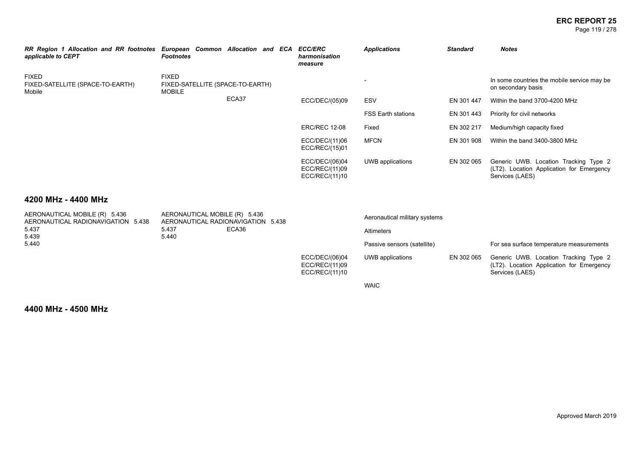### **ERC REPORT 25** Page 119 / 278

| RR Region 1 Allocation and RR footnotes<br>applicable to CEPT | European Common Allocation and ECA<br><b>Footnotes</b>            |       | <b>ECC/ERC</b><br>harmonisation<br>measure         | <b>Applications</b>       | <b>Standard</b> | <b>Notes</b>                                                                                          |
|---------------------------------------------------------------|-------------------------------------------------------------------|-------|----------------------------------------------------|---------------------------|-----------------|-------------------------------------------------------------------------------------------------------|
| <b>FIXED</b><br>FIXED-SATELLITE (SPACE-TO-EARTH)<br>Mobile    | <b>FIXED</b><br>FIXED-SATELLITE (SPACE-TO-EARTH)<br><b>MOBILE</b> |       |                                                    |                           |                 | In some countries the mobile service may be<br>on secondary basis                                     |
|                                                               |                                                                   | ECA37 | ECC/DEC/(05)09                                     | ESV                       | EN 301 447      | Within the band 3700-4200 MHz                                                                         |
|                                                               |                                                                   |       |                                                    | <b>FSS Earth stations</b> | EN 301 443      | Priority for civil networks                                                                           |
|                                                               |                                                                   |       | <b>ERC/REC 12-08</b>                               | Fixed                     | EN 302 217      | Medium/high capacity fixed                                                                            |
|                                                               |                                                                   |       | ECC/DEC/(11)06<br>ECC/REC/(15)01                   | <b>MFCN</b>               | EN 301 908      | Within the band 3400-3800 MHz                                                                         |
|                                                               |                                                                   |       | ECC/DEC/(06)04<br>ECC/REC/(11)09<br>ECC/REC/(11)10 | UWB applications          | EN 302 065      | Generic UWB. Location Tracking Type 2<br>(LT2). Location Application for Emergency<br>Services (LAES) |

### **4200 MHz - 4400 MHz**

| AERONAUTICAL MOBILE (R) 5.436<br>AERONAUTICAL RADIONAVIGATION 5.438 | AERONAUTICAL MOBILE (R) 5.436 | AERONAUTICAL RADIONAVIGATION 5.438 |                                                    | Aeronautical military systems |            |                                                                                                       |
|---------------------------------------------------------------------|-------------------------------|------------------------------------|----------------------------------------------------|-------------------------------|------------|-------------------------------------------------------------------------------------------------------|
| 5.437                                                               | 5.437                         | ECA36                              |                                                    | <b>Altimeters</b>             |            |                                                                                                       |
| 5.439                                                               | 5.440                         |                                    |                                                    |                               |            |                                                                                                       |
| 5.440                                                               |                               |                                    |                                                    | Passive sensors (satellite)   |            | For sea surface temperature measurements                                                              |
|                                                                     |                               |                                    | ECC/DEC/(06)04<br>ECC/REC/(11)09<br>ECC/REC/(11)10 | UWB applications              | EN 302 065 | Generic UWB. Location Tracking Type 2<br>(LT2). Location Application for Emergency<br>Services (LAES) |
|                                                                     |                               |                                    |                                                    | <b>WAIC</b>                   |            |                                                                                                       |

**4400 MHz - 4500 MHz**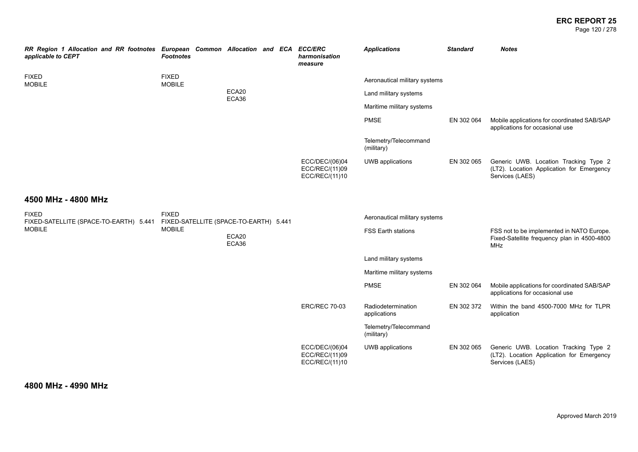### **ERC REPORT 25** Page 120 / 278

| RR Region 1 Allocation and RR footnotes European Common Allocation and ECA ECC/ERC<br>applicable to CEPT | <b>Footnotes</b>                                       |  |                |  | harmonisation<br>measure                           | <b>Applications</b>                 | <b>Standard</b> | <b>Notes</b>                                                                                           |
|----------------------------------------------------------------------------------------------------------|--------------------------------------------------------|--|----------------|--|----------------------------------------------------|-------------------------------------|-----------------|--------------------------------------------------------------------------------------------------------|
| <b>FIXED</b><br><b>MOBILE</b>                                                                            | <b>FIXED</b><br><b>MOBILE</b>                          |  |                |  |                                                    | Aeronautical military systems       |                 |                                                                                                        |
|                                                                                                          |                                                        |  | ECA20<br>ECA36 |  |                                                    | Land military systems               |                 |                                                                                                        |
|                                                                                                          |                                                        |  |                |  |                                                    | Maritime military systems           |                 |                                                                                                        |
|                                                                                                          |                                                        |  |                |  |                                                    | <b>PMSE</b>                         | EN 302 064      | Mobile applications for coordinated SAB/SAP<br>applications for occasional use                         |
|                                                                                                          |                                                        |  |                |  |                                                    | Telemetry/Telecommand<br>(military) |                 |                                                                                                        |
|                                                                                                          |                                                        |  |                |  | ECC/DEC/(06)04<br>ECC/REC/(11)09<br>ECC/REC/(11)10 | UWB applications                    | EN 302 065      | Generic UWB. Location Tracking Type 2<br>(LT2). Location Application for Emergency<br>Services (LAES)  |
| 4500 MHz - 4800 MHz                                                                                      |                                                        |  |                |  |                                                    |                                     |                 |                                                                                                        |
| <b>FIXED</b><br>FIXED-SATELLITE (SPACE-TO-EARTH) 5.441                                                   | <b>FIXED</b><br>FIXED-SATELLITE (SPACE-TO-EARTH) 5.441 |  |                |  |                                                    | Aeronautical military systems       |                 |                                                                                                        |
| <b>MOBILE</b>                                                                                            | <b>MOBILE</b>                                          |  | ECA20<br>ECA36 |  |                                                    | <b>FSS Earth stations</b>           |                 | FSS not to be implemented in NATO Europe.<br>Fixed-Satellite frequency plan in 4500-4800<br><b>MHz</b> |
|                                                                                                          |                                                        |  |                |  |                                                    | Land military systems               |                 |                                                                                                        |
|                                                                                                          |                                                        |  |                |  |                                                    | Maritime military systems           |                 |                                                                                                        |
|                                                                                                          |                                                        |  |                |  |                                                    | <b>PMSE</b>                         | EN 302 064      | Mobile applications for coordinated SAB/SAP<br>applications for occasional use                         |
|                                                                                                          |                                                        |  |                |  | <b>ERC/REC 70-03</b>                               | Radiodetermination<br>applications  | EN 302 372      | Within the band 4500-7000 MHz for TLPR<br>application                                                  |
|                                                                                                          |                                                        |  |                |  |                                                    | Telemetry/Telecommand<br>(military) |                 |                                                                                                        |
|                                                                                                          |                                                        |  |                |  | ECC/DEC/(06)04<br>ECC/REC/(11)09<br>ECC/REC/(11)10 | UWB applications                    | EN 302 065      | Generic UWB. Location Tracking Type 2<br>(LT2). Location Application for Emergency<br>Services (LAES)  |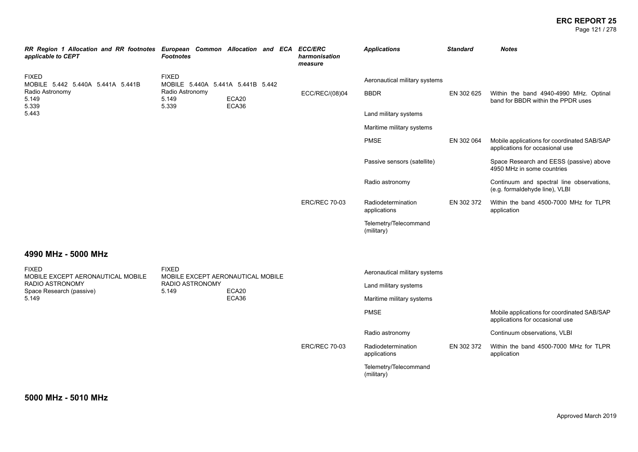### **ERC REPORT 25** Page 121 / 278

| RR Region 1 Allocation and RR footnotes European Common Allocation and ECA ECC/ERC<br>applicable to CEPT | <b>Footnotes</b>                                  |                | harmonisation<br>measure | <b>Applications</b>                 | <b>Standard</b> | <b>Notes</b>                                                                   |
|----------------------------------------------------------------------------------------------------------|---------------------------------------------------|----------------|--------------------------|-------------------------------------|-----------------|--------------------------------------------------------------------------------|
| <b>FIXED</b><br>MOBILE 5.442 5.440A 5.441A 5.441B                                                        | <b>FIXED</b><br>MOBILE 5.440A 5.441A 5.441B 5.442 |                |                          | Aeronautical military systems       |                 |                                                                                |
| Radio Astronomy<br>5.149<br>5.339                                                                        | Radio Astronomy<br>5.149<br>5.339                 | ECA20<br>ECA36 | ECC/REC/(08)04           | <b>BBDR</b>                         | EN 302 625      | Within the band 4940-4990 MHz. Optinal<br>band for BBDR within the PPDR uses   |
| 5.443                                                                                                    |                                                   |                |                          | Land military systems               |                 |                                                                                |
|                                                                                                          |                                                   |                |                          | Maritime military systems           |                 |                                                                                |
|                                                                                                          |                                                   |                |                          | <b>PMSE</b>                         | EN 302 064      | Mobile applications for coordinated SAB/SAP<br>applications for occasional use |
|                                                                                                          |                                                   |                |                          | Passive sensors (satellite)         |                 | Space Research and EESS (passive) above<br>4950 MHz in some countries          |
|                                                                                                          |                                                   |                |                          | Radio astronomy                     |                 | Continuum and spectral line observations,<br>(e.g. formaldehyde line), VLBI    |
|                                                                                                          |                                                   |                | <b>ERC/REC 70-03</b>     | Radiodetermination<br>applications  | EN 302 372      | Within the band 4500-7000 MHz for TLPR<br>application                          |
|                                                                                                          |                                                   |                |                          | Telemetry/Telecommand<br>(military) |                 |                                                                                |
| 4990 MHz - 5000 MHz                                                                                      |                                                   |                |                          |                                     |                 |                                                                                |
| <b>FIXED</b><br>MOBILE EXCEPT AERONAUTICAL MOBILE                                                        | <b>FIXED</b><br>MOBILE EXCEPT AERONAUTICAL MOBILE |                |                          | Aeronautical military systems       |                 |                                                                                |
| RADIO ASTRONOMY<br>Space Research (passive)                                                              | <b>RADIO ASTRONOMY</b><br>5.149                   | ECA20          |                          | Land military systems               |                 |                                                                                |
| 5.149                                                                                                    |                                                   | ECA36          |                          | Maritime military systems           |                 |                                                                                |
|                                                                                                          |                                                   |                |                          | <b>PMSE</b>                         |                 | Mobile applications for coordinated SAB/SAP<br>applications for occasional use |
|                                                                                                          |                                                   |                |                          | Radio astronomy                     |                 | Continuum observations, VLBI                                                   |
|                                                                                                          |                                                   |                | <b>ERC/REC 70-03</b>     | Radiodetermination<br>applications  | EN 302 372      | Within the band 4500-7000 MHz for TLPR<br>application                          |
|                                                                                                          |                                                   |                |                          | Telemetry/Telecommand<br>(military) |                 |                                                                                |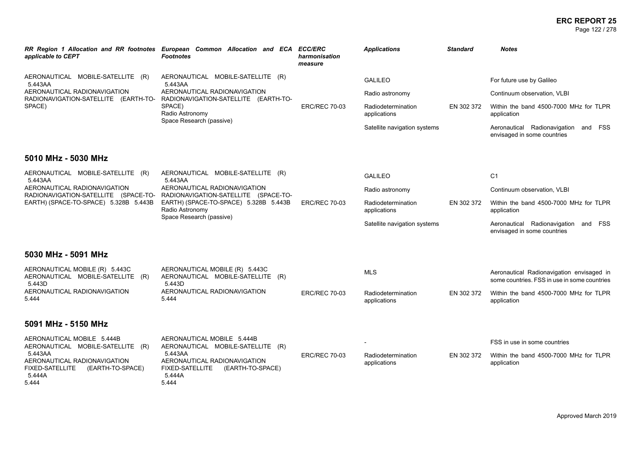### **ERC REPORT 25** Page 122 / 278

| applicable to CEPT                                                                                       | RR Region 1 Allocation and RR footnotes European Common Allocation and ECA<br><b>Footnotes</b>                                                               | <b>ECC/ERC</b><br>harmonisation<br>measure | <b>Applications</b>                | <b>Standard</b> | <b>Notes</b>                                                                              |
|----------------------------------------------------------------------------------------------------------|--------------------------------------------------------------------------------------------------------------------------------------------------------------|--------------------------------------------|------------------------------------|-----------------|-------------------------------------------------------------------------------------------|
| AERONAUTICAL MOBILE-SATELLITE (R)<br>5.443AA                                                             | AERONAUTICAL MOBILE-SATELLITE (R)<br>5.443AA                                                                                                                 |                                            | <b>GALILEO</b>                     |                 | For future use by Galileo                                                                 |
| AERONAUTICAL RADIONAVIGATION<br>RADIONAVIGATION-SATELLITE (EARTH-TO-                                     | AERONAUTICAL RADIONAVIGATION                                                                                                                                 |                                            | Radio astronomy                    |                 | Continuum observation, VLBI                                                               |
| SPACE)                                                                                                   | RADIONAVIGATION-SATELLITE (EARTH-TO-<br>SPACE)<br>Radio Astronomy<br>Space Research (passive)                                                                | <b>ERC/REC 70-03</b>                       | Radiodetermination<br>applications | EN 302 372      | Within the band 4500-7000 MHz for TLPR<br>application                                     |
|                                                                                                          |                                                                                                                                                              |                                            | Satellite navigation systems       |                 | Aeronautical Radionavigation and FSS<br>envisaged in some countries                       |
| 5010 MHz - 5030 MHz                                                                                      |                                                                                                                                                              |                                            |                                    |                 |                                                                                           |
| AERONAUTICAL MOBILE-SATELLITE (R)<br>5.443AA                                                             | AERONAUTICAL MOBILE-SATELLITE (R)<br>5.443AA                                                                                                                 |                                            | <b>GALILEO</b>                     |                 | C <sub>1</sub>                                                                            |
| AERONAUTICAL RADIONAVIGATION<br>RADIONAVIGATION-SATELLITE (SPACE-TO-                                     | AERONAUTICAL RADIONAVIGATION<br>RADIONAVIGATION-SATELLITE (SPACE-TO-<br>EARTH) (SPACE-TO-SPACE) 5.328B 5.443B<br>Radio Astronomy<br>Space Research (passive) |                                            | Radio astronomy                    |                 | Continuum observation, VLBI                                                               |
| EARTH) (SPACE-TO-SPACE) 5.328B 5.443B                                                                    |                                                                                                                                                              | <b>ERC/REC 70-03</b>                       | Radiodetermination<br>applications | EN 302 372      | Within the band 4500-7000 MHz for TLPR<br>application                                     |
|                                                                                                          |                                                                                                                                                              |                                            | Satellite navigation systems       |                 | Aeronautical Radionavigation and FSS<br>envisaged in some countries                       |
| 5030 MHz - 5091 MHz                                                                                      |                                                                                                                                                              |                                            |                                    |                 |                                                                                           |
| AERONAUTICAL MOBILE (R) 5.443C<br>AERONAUTICAL MOBILE-SATELLITE (R)<br>5.443D                            | AERONAUTICAL MOBILE (R) 5.443C<br>AERONAUTICAL MOBILE-SATELLITE (R)<br>5.443D                                                                                |                                            | <b>MLS</b>                         |                 | Aeronautical Radionavigation envisaged in<br>some countries. FSS in use in some countries |
| AERONAUTICAL RADIONAVIGATION<br>5.444                                                                    | AERONAUTICAL RADIONAVIGATION<br>5.444                                                                                                                        | <b>ERC/REC 70-03</b>                       | Radiodetermination<br>applications | EN 302 372      | Within the band 4500-7000 MHz for TLPR<br>application                                     |
| 5091 MHz - 5150 MHz                                                                                      |                                                                                                                                                              |                                            |                                    |                 |                                                                                           |
| AERONAUTICAL MOBILE 5.444B<br>AERONAUTICAL MOBILE-SATELLITE (R)                                          | AERONAUTICAL MOBILE 5.444B<br>AERONAUTICAL MOBILE-SATELLITE (R)                                                                                              |                                            |                                    |                 | FSS in use in some countries                                                              |
| 5.443AA<br>AERONAUTICAL RADIONAVIGATION<br><b>FIXED-SATELLITE</b><br>(EARTH-TO-SPACE)<br>5.444A<br>5.444 | 5.443AA<br>AERONAUTICAL RADIONAVIGATION<br><b>FIXED-SATELLITE</b><br>(EARTH-TO-SPACE)<br>5.444A<br>5.444                                                     | <b>ERC/REC 70-03</b>                       | Radiodetermination<br>applications | EN 302 372      | Within the band 4500-7000 MHz for TLPR<br>application                                     |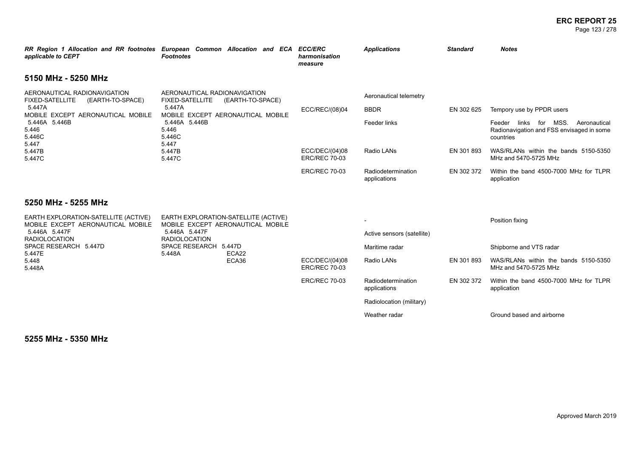### **ERC REPORT 25** Page 123 / 278

| applicable to CEPT                                                         | RR Region 1 Allocation and RR footnotes European Common Allocation and ECA<br><b>Footnotes</b> | <b>ECC/ERC</b><br>harmonisation<br>measure | <b>Applications</b>                | <b>Standard</b> | <b>Notes</b>                                                                                 |
|----------------------------------------------------------------------------|------------------------------------------------------------------------------------------------|--------------------------------------------|------------------------------------|-----------------|----------------------------------------------------------------------------------------------|
| 5150 MHz - 5250 MHz                                                        |                                                                                                |                                            |                                    |                 |                                                                                              |
| AERONAUTICAL RADIONAVIGATION<br><b>FIXED-SATELLITE</b><br>(EARTH-TO-SPACE) | AERONAUTICAL RADIONAVIGATION<br><b>FIXED-SATELLITE</b><br>(EARTH-TO-SPACE)                     |                                            | Aeronautical telemetry             |                 |                                                                                              |
| 5.447A<br>MOBILE EXCEPT AERONAUTICAL MOBILE                                | 5.447A<br>MOBILE EXCEPT AERONAUTICAL MOBILE                                                    | ECC/REC/(08)04                             | <b>BBDR</b>                        | EN 302 625      | Tempory use by PPDR users                                                                    |
| 5.446A 5.446B<br>5.446<br>5.446C<br>5.447                                  | 5.446A 5.446B<br>5.446<br>5.446C<br>5.447<br>5.447B<br>5.447C                                  |                                            | Feeder links                       |                 | Feeder links for MSS. Aeronautical<br>Radionavigation and FSS envisaged in some<br>countries |
| 5.447B<br>5.447C                                                           |                                                                                                | ECC/DEC/(04)08<br><b>ERC/REC 70-03</b>     | Radio LANs                         | EN 301 893      | WAS/RLANs within the bands 5150-5350<br>MHz and 5470-5725 MHz                                |
|                                                                            |                                                                                                | <b>ERC/REC 70-03</b>                       | Radiodetermination<br>applications | EN 302 372      | Within the band 4500-7000 MHz for TLPR<br>application                                        |
| 5250 MHz - 5255 MHz                                                        |                                                                                                |                                            |                                    |                 |                                                                                              |
| EARTH EXPLORATION-SATELLITE (ACTIVE)<br>MOBILE EXCEPT AERONAUTICAL MOBILE  | EARTH EXPLORATION-SATELLITE (ACTIVE)<br>MOBILE EXCEPT AERONAUTICAL MOBILE                      |                                            |                                    |                 | Position fixing                                                                              |
| 5.446A 5.447F<br><b>RADIOLOCATION</b>                                      | 5.446A 5.447F<br><b>RADIOLOCATION</b>                                                          |                                            | Active sensors (satellite)         |                 |                                                                                              |
| SPACE RESEARCH 5.447D                                                      | SPACE RESEARCH 5.447D<br>ECA22<br>5.448A                                                       |                                            | Maritime radar                     |                 | Shipborne and VTS radar                                                                      |
| 5.447E<br>5.448<br>5.448A                                                  | ECA36                                                                                          | ECC/DEC/(04)08<br><b>ERC/REC 70-03</b>     | Radio LANs                         | EN 301 893      | WAS/RLANs within the bands 5150-5350<br>MHz and 5470-5725 MHz                                |
|                                                                            |                                                                                                | <b>ERC/REC 70-03</b>                       | Radiodetermination<br>applications | EN 302 372      | Within the band 4500-7000 MHz for TLPR<br>application                                        |
|                                                                            |                                                                                                |                                            | Radiolocation (military)           |                 |                                                                                              |
|                                                                            |                                                                                                |                                            | Weather radar                      |                 | Ground based and airborne                                                                    |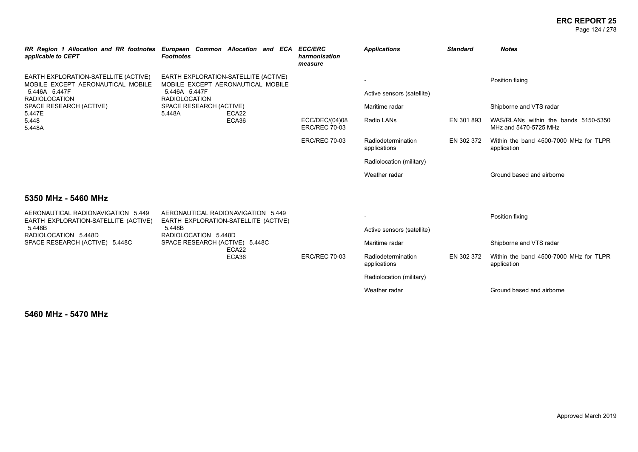### **ERC REPORT 25** Page 124 / 278

| applicable to CEPT                                                                         | RR Region 1 Allocation and RR footnotes European Common Allocation and ECA ECC/ERC<br><b>Footnotes</b> | harmonisation<br>measure               | <b>Applications</b>                          | <b>Standard</b> | <b>Notes</b>                                                  |
|--------------------------------------------------------------------------------------------|--------------------------------------------------------------------------------------------------------|----------------------------------------|----------------------------------------------|-----------------|---------------------------------------------------------------|
| EARTH EXPLORATION-SATELLITE (ACTIVE)<br>MOBILE EXCEPT AERONAUTICAL MOBILE<br>5.446A 5.447F | EARTH EXPLORATION-SATELLITE (ACTIVE)<br>MOBILE EXCEPT AERONAUTICAL MOBILE<br>5.446A 5.447F             |                                        |                                              |                 | Position fixing                                               |
| <b>RADIOLOCATION</b><br>SPACE RESEARCH (ACTIVE)                                            | <b>RADIOLOCATION</b><br>SPACE RESEARCH (ACTIVE)                                                        |                                        | Active sensors (satellite)<br>Maritime radar |                 | Shipborne and VTS radar                                       |
| 5.447E<br>5.448<br>5.448A                                                                  | 5.448A<br>ECA22<br>ECA36                                                                               | ECC/DEC/(04)08<br><b>ERC/REC 70-03</b> | Radio LANs                                   | EN 301 893      | WAS/RLANs within the bands 5150-5350<br>MHz and 5470-5725 MHz |
|                                                                                            |                                                                                                        | <b>ERC/REC 70-03</b>                   | Radiodetermination<br>applications           | EN 302 372      | Within the band 4500-7000 MHz for TLPR<br>application         |
|                                                                                            |                                                                                                        |                                        | Radiolocation (military)                     |                 |                                                               |
|                                                                                            |                                                                                                        |                                        | Weather radar                                |                 | Ground based and airborne                                     |
| 5350 MHz - 5460 MHz                                                                        |                                                                                                        |                                        |                                              |                 |                                                               |
| AERONAUTICAL RADIONAVIGATION 5.449<br>EARTH EXPLORATION-SATELLITE (ACTIVE)                 | AERONAUTICAL RADIONAVIGATION 5.449<br>EARTH EXPLORATION-SATELLITE (ACTIVE)                             |                                        |                                              |                 | Position fixing                                               |
| 5.448B<br>RADIOLOCATION 5.448D                                                             | 5.448B<br>RADIOLOCATION 5.448D                                                                         |                                        | Active sensors (satellite)                   |                 |                                                               |
| SPACE RESEARCH (ACTIVE) 5.448C                                                             | SPACE RESEARCH (ACTIVE) 5.448C<br>ECA22                                                                |                                        | Maritime radar                               |                 | Shipborne and VTS radar                                       |
|                                                                                            | ECA36                                                                                                  | <b>ERC/REC 70-03</b>                   | Radiodetermination<br>applications           | EN 302 372      | Within the band 4500-7000 MHz for TLPR<br>application         |
|                                                                                            |                                                                                                        |                                        | Radiolocation (military)                     |                 |                                                               |
|                                                                                            |                                                                                                        |                                        | Weather radar                                |                 | Ground based and airborne                                     |

**5460 MHz - 5470 MHz**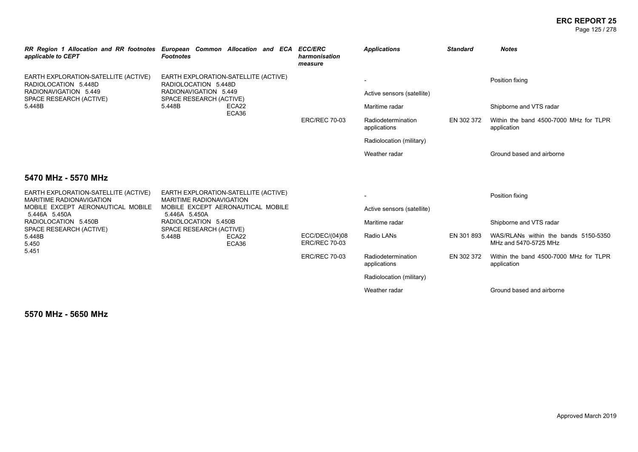### **ERC REPORT 25** Page 125 / 278

| applicable to CEPT                                                      | RR Region 1 Allocation and RR footnotes European Common Allocation and ECA ECC/ERC<br><b>Footnotes</b> | harmonisation<br>measure               | <b>Applications</b>                | <b>Standard</b> | <b>Notes</b>                                                  |
|-------------------------------------------------------------------------|--------------------------------------------------------------------------------------------------------|----------------------------------------|------------------------------------|-----------------|---------------------------------------------------------------|
| EARTH EXPLORATION-SATELLITE (ACTIVE)<br>RADIOLOCATION 5.448D            | EARTH EXPLORATION-SATELLITE (ACTIVE)<br>RADIOLOCATION 5.448D                                           |                                        |                                    |                 | Position fixing                                               |
| RADIONAVIGATION 5.449<br>SPACE RESEARCH (ACTIVE)                        | RADIONAVIGATION 5.449<br>SPACE RESEARCH (ACTIVE)                                                       |                                        | Active sensors (satellite)         |                 |                                                               |
| 5.448B                                                                  | 5.448B<br>ECA22<br>ECA36                                                                               |                                        | Maritime radar                     |                 | Shipborne and VTS radar                                       |
|                                                                         |                                                                                                        | <b>ERC/REC 70-03</b>                   | Radiodetermination<br>applications | EN 302 372      | Within the band 4500-7000 MHz for TLPR<br>application         |
|                                                                         |                                                                                                        |                                        | Radiolocation (military)           |                 |                                                               |
|                                                                         |                                                                                                        |                                        | Weather radar                      |                 | Ground based and airborne                                     |
| 5470 MHz - 5570 MHz                                                     |                                                                                                        |                                        |                                    |                 |                                                               |
| EARTH EXPLORATION-SATELLITE (ACTIVE)<br><b>MARITIME RADIONAVIGATION</b> | EARTH EXPLORATION-SATELLITE (ACTIVE)<br><b>MARITIME RADIONAVIGATION</b>                                |                                        |                                    |                 | Position fixing                                               |
| MOBILE EXCEPT AERONAUTICAL MOBILE<br>5.446A 5.450A                      | MOBILE EXCEPT AERONAUTICAL MOBILE<br>5.446A 5.450A                                                     |                                        | Active sensors (satellite)         |                 |                                                               |
| RADIOLOCATION 5.450B<br>SPACE RESEARCH (ACTIVE)                         | RADIOLOCATION 5.450B<br>SPACE RESEARCH (ACTIVE)                                                        |                                        | Maritime radar                     |                 | Shipborne and VTS radar                                       |
| 5.448B<br>5.450                                                         | 5.448B<br>ECA22<br>ECA36                                                                               | ECC/DEC/(04)08<br><b>ERC/REC 70-03</b> | Radio LANs                         | EN 301 893      | WAS/RLANs within the bands 5150-5350<br>MHz and 5470-5725 MHz |
| 5.451                                                                   |                                                                                                        | <b>ERC/REC 70-03</b>                   | Radiodetermination<br>applications | EN 302 372      | Within the band 4500-7000 MHz for TLPR<br>application         |
|                                                                         |                                                                                                        |                                        | Radiolocation (military)           |                 |                                                               |
|                                                                         |                                                                                                        |                                        | Weather radar                      |                 | Ground based and airborne                                     |

**5570 MHz - 5650 MHz**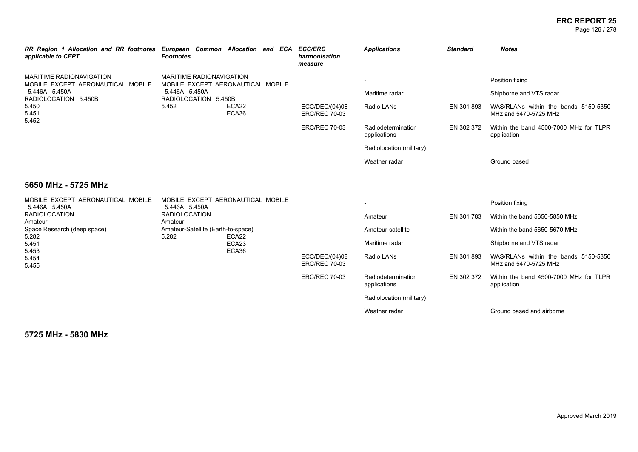### **ERC REPORT 25** Page 126 / 278

| RR Region 1 Allocation and RR footnotes<br>applicable to CEPT                                                                            | <b>Footnotes</b>                            | European Common Allocation and ECA | <b>ECC/ERC</b><br>harmonisation<br>measure | <b>Applications</b>                | <b>Standard</b> | <b>Notes</b>                                                  |
|------------------------------------------------------------------------------------------------------------------------------------------|---------------------------------------------|------------------------------------|--------------------------------------------|------------------------------------|-----------------|---------------------------------------------------------------|
| <b>MARITIME RADIONAVIGATION</b><br>MOBILE EXCEPT AERONAUTICAL MOBILE<br>5.446A 5.450A<br>RADIOLOCATION 5.450B<br>5.450<br>5.451<br>5.452 | MARITIME RADIONAVIGATION                    | MOBILE EXCEPT AERONAUTICAL MOBILE  |                                            |                                    |                 | Position fixing                                               |
|                                                                                                                                          | 5.446A 5.450A<br>RADIOLOCATION 5.450B       | ECA22<br>ECA36                     |                                            | Maritime radar                     |                 | Shipborne and VTS radar                                       |
|                                                                                                                                          | 5.452                                       |                                    | ECC/DEC/(04)08<br><b>ERC/REC 70-03</b>     | Radio LANs                         | EN 301 893      | WAS/RLANs within the bands 5150-5350<br>MHz and 5470-5725 MHz |
|                                                                                                                                          |                                             |                                    | <b>ERC/REC 70-03</b>                       | Radiodetermination<br>applications | EN 302 372      | Within the band 4500-7000 MHz for TLPR<br>application         |
|                                                                                                                                          |                                             |                                    |                                            | Radiolocation (military)           |                 |                                                               |
|                                                                                                                                          |                                             |                                    |                                            | Weather radar                      |                 | Ground based                                                  |
| 5650 MHz - 5725 MHz                                                                                                                      |                                             |                                    |                                            |                                    |                 |                                                               |
| MOBILE EXCEPT AERONAUTICAL MOBILE<br>5.446A 5.450A                                                                                       | 5.446A 5.450A                               | MOBILE EXCEPT AERONAUTICAL MOBILE  |                                            | $\overline{\phantom{a}}$           |                 | Position fixing                                               |
| <b>RADIOLOCATION</b><br>Amateur                                                                                                          | <b>RADIOLOCATION</b><br>Amateur             |                                    |                                            | Amateur                            | EN 301 783      | Within the band 5650-5850 MHz                                 |
| Space Research (deep space)<br>5.282                                                                                                     | Amateur-Satellite (Earth-to-space)<br>5.282 | ECA22                              |                                            | Amateur-satellite                  |                 | Within the band 5650-5670 MHz                                 |
| 5.451                                                                                                                                    |                                             | ECA23                              |                                            | Maritime radar                     |                 | Shipborne and VTS radar                                       |
| 5.453<br>5.454<br>5.455                                                                                                                  |                                             | ECA36                              | ECC/DEC/(04)08<br><b>ERC/REC 70-03</b>     | Radio LANs                         | EN 301 893      | WAS/RLANs within the bands 5150-5350<br>MHz and 5470-5725 MHz |
|                                                                                                                                          |                                             |                                    | <b>ERC/REC 70-03</b>                       | Radiodetermination<br>applications | EN 302 372      | Within the band 4500-7000 MHz for TLPR<br>application         |
|                                                                                                                                          |                                             |                                    |                                            | Radiolocation (military)           |                 |                                                               |
|                                                                                                                                          |                                             |                                    |                                            | Weather radar                      |                 | Ground based and airborne                                     |
|                                                                                                                                          |                                             |                                    |                                            |                                    |                 |                                                               |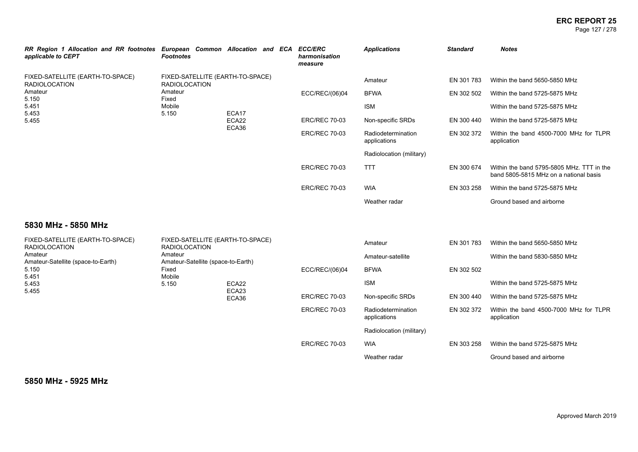### **ERC REPORT 25** Page 127 / 278

| RR Region 1 Allocation and RR footnotes<br>applicable to CEPT                           | European Common Allocation and ECA<br><b>Footnotes</b>            |       |                      | <b>ECC/ERC</b><br>harmonisation<br>measure | <b>Applications</b>      | <b>Standard</b>                                       | <b>Notes</b>                                                                        |
|-----------------------------------------------------------------------------------------|-------------------------------------------------------------------|-------|----------------------|--------------------------------------------|--------------------------|-------------------------------------------------------|-------------------------------------------------------------------------------------|
| FIXED-SATELLITE (EARTH-TO-SPACE)<br><b>RADIOLOCATION</b><br>Amateur<br>Amateur<br>5.150 | FIXED-SATELLITE (EARTH-TO-SPACE)<br><b>RADIOLOCATION</b><br>Fixed |       |                      | ECC/REC/(06)04                             | Amateur<br><b>BFWA</b>   | EN 301 783<br>EN 302 502                              | Within the band 5650-5850 MHz<br>Within the band 5725-5875 MHz                      |
| 5.451                                                                                   | Mobile                                                            | ECA17 |                      |                                            | <b>ISM</b>               |                                                       | Within the band 5725-5875 MHz                                                       |
| 5.453<br>5.150<br>5.455                                                                 | ECA22                                                             |       | <b>ERC/REC 70-03</b> | Non-specific SRDs                          | EN 300 440               | Within the band 5725-5875 MHz                         |                                                                                     |
|                                                                                         |                                                                   | ECA36 | <b>ERC/REC 70-03</b> | Radiodetermination<br>applications         | EN 302 372               | Within the band 4500-7000 MHz for TLPR<br>application |                                                                                     |
|                                                                                         |                                                                   |       |                      |                                            | Radiolocation (military) |                                                       |                                                                                     |
|                                                                                         |                                                                   |       |                      | <b>ERC/REC 70-03</b>                       | <b>TTT</b>               | EN 300 674                                            | Within the band 5795-5805 MHz. TTT in the<br>band 5805-5815 MHz on a national basis |
|                                                                                         |                                                                   |       |                      | <b>ERC/REC 70-03</b>                       | <b>WIA</b>               | EN 303 258                                            | Within the band 5725-5875 MHz                                                       |
|                                                                                         |                                                                   |       |                      |                                            | Weather radar            |                                                       | Ground based and airborne                                                           |

### **5830 MHz - 5850 MHz**

| FIXED-SATELLITE (EARTH-TO-SPACE)<br><b>RADIOLOCATION</b> | FIXED-SATELLITE (EARTH-TO-SPACE)<br><b>RADIOLOCATION</b> |                            |                      | Amateur                            | EN 301 783 | Within the band 5650-5850 MHz                         |
|----------------------------------------------------------|----------------------------------------------------------|----------------------------|----------------------|------------------------------------|------------|-------------------------------------------------------|
| Amateur<br>Amateur-Satellite (space-to-Earth)            | Amateur<br>Amateur-Satellite (space-to-Earth)            |                            |                      | Amateur-satellite                  |            | Within the band 5830-5850 MHz                         |
| 5.150<br>5.451                                           | Fixed<br>Mobile                                          |                            | ECC/REC/(06)04       | <b>BFWA</b>                        | EN 302 502 |                                                       |
| 5.453                                                    | 5.150                                                    | ECA22                      |                      | <b>ISM</b>                         |            | Within the band 5725-5875 MHz                         |
| 5.455                                                    |                                                          | ECA <sub>23</sub><br>ECA36 | <b>ERC/REC 70-03</b> | Non-specific SRDs                  | EN 300 440 | Within the band 5725-5875 MHz                         |
|                                                          |                                                          |                            | <b>ERC/REC 70-03</b> | Radiodetermination<br>applications | EN 302 372 | Within the band 4500-7000 MHz for TLPR<br>application |
|                                                          |                                                          |                            |                      | Radiolocation (military)           |            |                                                       |
|                                                          |                                                          |                            | <b>ERC/REC 70-03</b> | <b>WIA</b>                         | EN 303 258 | Within the band 5725-5875 MHz                         |
|                                                          |                                                          |                            |                      | Weather radar                      |            | Ground based and airborne                             |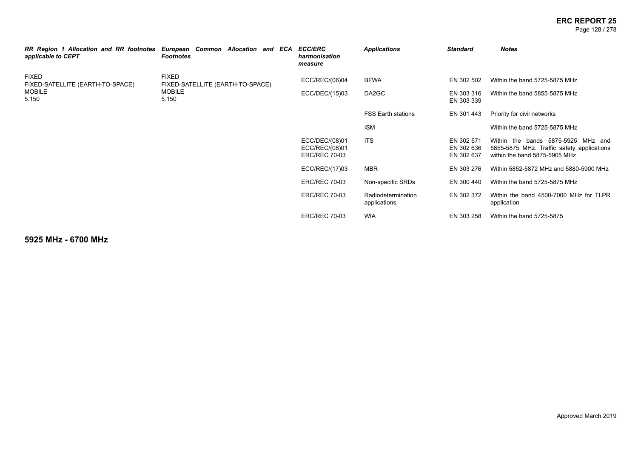### **ERC REPORT 25** Page 128 / 278

| RR Region 1 Allocation and RR footnotes<br>applicable to CEPT | European Common Allocation and ECA<br><b>Footnotes</b> | <b>ECC/ERC</b><br>harmonisation<br>measure               | <b>Applications</b>                | <b>Standard</b>                        | <b>Notes</b>                                                                                                      |
|---------------------------------------------------------------|--------------------------------------------------------|----------------------------------------------------------|------------------------------------|----------------------------------------|-------------------------------------------------------------------------------------------------------------------|
| <b>FIXED</b><br>FIXED-SATELLITE (EARTH-TO-SPACE)              | <b>FIXED</b><br>FIXED-SATELLITE (EARTH-TO-SPACE)       | ECC/REC/(06)04                                           | <b>BFWA</b>                        | EN 302 502                             | Within the band 5725-5875 MHz                                                                                     |
| <b>MOBILE</b><br>5.150                                        | <b>MOBILE</b><br>5.150                                 | ECC/DEC/(15)03                                           | DA2GC                              | EN 303 316<br>EN 303 339               | Within the band 5855-5875 MHz                                                                                     |
|                                                               |                                                        |                                                          | <b>FSS Earth stations</b>          | EN 301 443                             | Priority for civil networks                                                                                       |
|                                                               |                                                        |                                                          | <b>ISM</b>                         |                                        | Within the band 5725-5875 MHz                                                                                     |
|                                                               |                                                        | ECC/DEC/(08)01<br>ECC/REC/(08)01<br><b>ERC/REC 70-03</b> | <b>ITS</b>                         | EN 302 571<br>EN 302 636<br>EN 302 637 | Within the bands 5875-5925 MHz and<br>5855-5875 MHz. Traffic safety applications<br>within the band 5875-5905 MHz |
|                                                               |                                                        | ECC/REC/(17)03                                           | <b>MBR</b>                         | EN 303 276                             | Within 5852-5872 MHz and 5880-5900 MHz                                                                            |
|                                                               |                                                        | <b>ERC/REC 70-03</b>                                     | Non-specific SRDs                  | EN 300 440                             | Within the band 5725-5875 MHz                                                                                     |
|                                                               |                                                        | <b>ERC/REC 70-03</b>                                     | Radiodetermination<br>applications | EN 302 372                             | Within the band 4500-7000 MHz for TLPR<br>application                                                             |
|                                                               |                                                        | <b>ERC/REC 70-03</b>                                     | <b>WIA</b>                         | EN 303 258                             | Within the band 5725-5875                                                                                         |

**5925 MHz - 6700 MHz**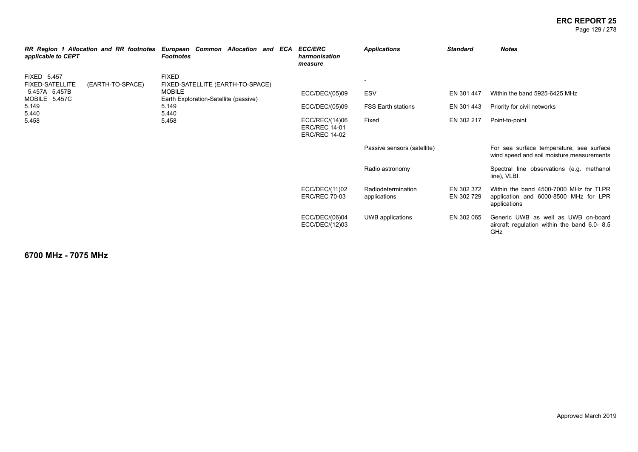### **ERC REPORT 25** Page 129 / 278

| applicable to CEPT                           | RR Region 1 Allocation and RR footnotes | European Common Allocation and ECA<br><b>Footnotes</b> |  | <b>ECC/ERC</b><br>harmonisation<br>measure                     | <b>Applications</b>                | <b>Standard</b>          | <b>Notes</b>                                                                                    |
|----------------------------------------------|-----------------------------------------|--------------------------------------------------------|--|----------------------------------------------------------------|------------------------------------|--------------------------|-------------------------------------------------------------------------------------------------|
| <b>FIXED 5.457</b><br><b>FIXED-SATELLITE</b> | (EARTH-TO-SPACE)                        | <b>FIXED</b><br>FIXED-SATELLITE (EARTH-TO-SPACE)       |  |                                                                |                                    |                          |                                                                                                 |
| 5.457A 5.457B<br>MOBILE 5.457C               |                                         | <b>MOBILE</b><br>Earth Exploration-Satellite (passive) |  | ECC/DEC/(05)09                                                 | ESV                                | EN 301 447               | Within the band 5925-6425 MHz                                                                   |
| 5.149<br>5.440                               |                                         | 5.149<br>5.440                                         |  | ECC/DEC/(05)09                                                 | <b>FSS Earth stations</b>          | EN 301 443               | Priority for civil networks                                                                     |
| 5.458                                        |                                         | 5.458                                                  |  | ECC/REC/(14)06<br><b>ERC/REC 14-01</b><br><b>ERC/REC 14-02</b> | Fixed                              | EN 302 217               | Point-to-point                                                                                  |
|                                              |                                         |                                                        |  |                                                                | Passive sensors (satellite)        |                          | For sea surface temperature, sea surface<br>wind speed and soil moisture measurements           |
|                                              |                                         |                                                        |  |                                                                | Radio astronomy                    |                          | Spectral line observations (e.g. methanol<br>line), VLBI.                                       |
|                                              |                                         |                                                        |  | ECC/DEC/(11)02<br><b>ERC/REC 70-03</b>                         | Radiodetermination<br>applications | EN 302 372<br>EN 302 729 | Within the band 4500-7000 MHz for TLPR<br>application and 6000-8500 MHz for LPR<br>applications |
|                                              |                                         |                                                        |  | ECC/DEC/(06)04<br>ECC/DEC/(12)03                               | UWB applications                   | EN 302 065               | Generic UWB as well as UWB on-board<br>aircraft regulation within the band 6.0-8.5<br>GHz       |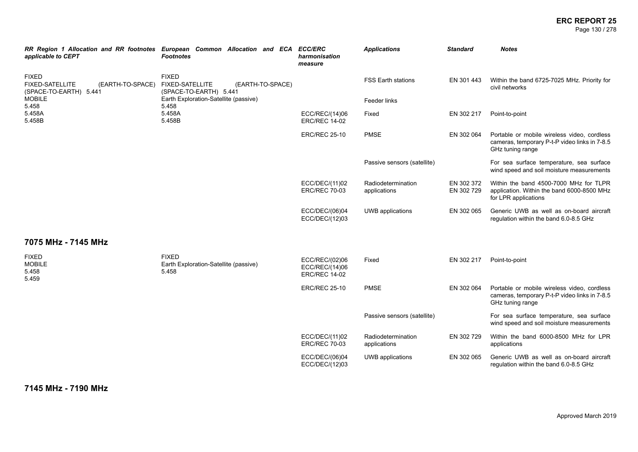# **ERC REPORT 25**

Page 130 / 278

| applicable to CEPT                                                                   | RR Region 1 Allocation and RR footnotes European Common Allocation and ECA ECC/ERC<br><b>Footnotes</b> | harmonisation<br>measure                                 | <b>Applications</b>                | <b>Standard</b>          | <b>Notes</b>                                                                                                     |
|--------------------------------------------------------------------------------------|--------------------------------------------------------------------------------------------------------|----------------------------------------------------------|------------------------------------|--------------------------|------------------------------------------------------------------------------------------------------------------|
| <b>FIXED</b><br><b>FIXED-SATELLITE</b><br>(EARTH-TO-SPACE)<br>(SPACE-TO-EARTH) 5.441 | <b>FIXED</b><br><b>FIXED-SATELLITE</b><br>(EARTH-TO-SPACE)<br>(SPACE-TO-EARTH) 5.441                   |                                                          | <b>FSS Earth stations</b>          | EN 301 443               | Within the band 6725-7025 MHz. Priority for<br>civil networks                                                    |
| <b>MOBILE</b><br>5.458                                                               | Earth Exploration-Satellite (passive)<br>5.458                                                         |                                                          | Feeder links                       |                          |                                                                                                                  |
| 5.458A<br>5.458B                                                                     | 5.458A<br>5.458B                                                                                       | ECC/REC/(14)06<br><b>ERC/REC 14-02</b>                   | Fixed                              | EN 302 217               | Point-to-point                                                                                                   |
|                                                                                      |                                                                                                        | <b>ERC/REC 25-10</b>                                     | <b>PMSE</b>                        | EN 302 064               | Portable or mobile wireless video, cordless<br>cameras, temporary P-t-P video links in 7-8.5<br>GHz tuning range |
|                                                                                      |                                                                                                        |                                                          | Passive sensors (satellite)        |                          | For sea surface temperature, sea surface<br>wind speed and soil moisture measurements                            |
|                                                                                      |                                                                                                        | ECC/DEC/(11)02<br><b>ERC/REC 70-03</b>                   | Radiodetermination<br>applications | EN 302 372<br>EN 302 729 | Within the band 4500-7000 MHz for TLPR<br>application. Within the band 6000-8500 MHz<br>for LPR applications     |
|                                                                                      |                                                                                                        | ECC/DEC/(06)04<br>ECC/DEC/(12)03                         | UWB applications                   | EN 302 065               | Generic UWB as well as on-board aircraft<br>regulation within the band 6.0-8.5 GHz                               |
| 7075 MHz - 7145 MHz                                                                  |                                                                                                        |                                                          |                                    |                          |                                                                                                                  |
| <b>FIXED</b><br><b>MOBILE</b><br>5.458<br>5.459                                      | <b>FIXED</b><br>Earth Exploration-Satellite (passive)<br>5.458                                         | ECC/REC/(02)06<br>ECC/REC/(14)06<br><b>ERC/REC 14-02</b> | Fixed                              | EN 302 217               | Point-to-point                                                                                                   |
|                                                                                      |                                                                                                        | <b>ERC/REC 25-10</b>                                     | <b>PMSE</b>                        | EN 302 064               | Portable or mobile wireless video, cordless<br>cameras, temporary P-t-P video links in 7-8.5<br>GHz tuning range |
|                                                                                      |                                                                                                        |                                                          | Passive sensors (satellite)        |                          | For sea surface temperature, sea surface<br>wind speed and soil moisture measurements                            |
|                                                                                      |                                                                                                        | ECC/DEC/(11)02<br><b>ERC/REC 70-03</b>                   | Radiodetermination<br>applications | EN 302 729               | Within the band 6000-8500 MHz for LPR<br>applications                                                            |
|                                                                                      |                                                                                                        | ECC/DEC/(06)04<br>ECC/DEC/(12)03                         | UWB applications                   | EN 302 065               | Generic UWB as well as on-board aircraft<br>regulation within the band 6.0-8.5 GHz                               |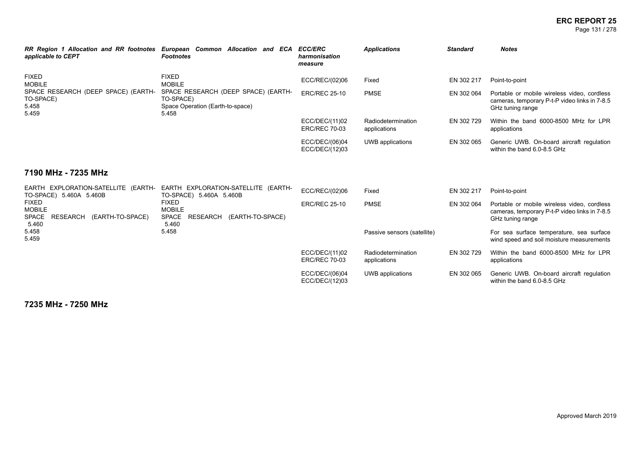### **ERC REPORT 25** Page 131 / 278

| RR Region 1 Allocation and RR footnotes<br>applicable to CEPT      | European Common Allocation and ECA<br>Footnotes                                               | <b>ECC/ERC</b><br>harmonisation<br>measure | <b>Applications</b>                | <b>Standard</b> | <b>Notes</b>                                                                                                     |
|--------------------------------------------------------------------|-----------------------------------------------------------------------------------------------|--------------------------------------------|------------------------------------|-----------------|------------------------------------------------------------------------------------------------------------------|
| <b>FIXED</b><br><b>MOBILE</b>                                      | <b>FIXED</b><br><b>MOBILE</b>                                                                 | ECC/REC/(02)06                             | Fixed                              | EN 302 217      | Point-to-point                                                                                                   |
| SPACE RESEARCH (DEEP SPACE) (EARTH-<br>TO-SPACE)<br>5.458<br>5.459 | SPACE RESEARCH (DEEP SPACE) (EARTH-<br>TO-SPACE)<br>Space Operation (Earth-to-space)<br>5.458 | <b>ERC/REC 25-10</b>                       | <b>PMSE</b>                        | EN 302 064      | Portable or mobile wireless video, cordless<br>cameras, temporary P-t-P video links in 7-8.5<br>GHz tuning range |
|                                                                    |                                                                                               | ECC/DEC/(11)02<br><b>ERC/REC 70-03</b>     | Radiodetermination<br>applications | EN 302 729      | Within the band 6000-8500 MHz for LPR<br>applications                                                            |
|                                                                    |                                                                                               | ECC/DEC/(06)04<br>ECC/DEC/(12)03           | UWB applications                   | EN 302 065      | Generic UWB. On-board aircraft regulation<br>within the band 6.0-8.5 GHz                                         |
| 7190 MHz - 7235 MHz                                                |                                                                                               |                                            |                                    |                 |                                                                                                                  |

| EARTH EXPLORATION-SATELLITE (EARTH-<br>TO-SPACE) 5.460A 5.460B           | EARTH EXPLORATION-SATELLITE (EARTH-<br>TO-SPACE) 5.460A 5.460B               | ECC/REC/(02)06                         | Fixed                              | EN 302 217 | Point-to-point                                                                                                   |
|--------------------------------------------------------------------------|------------------------------------------------------------------------------|----------------------------------------|------------------------------------|------------|------------------------------------------------------------------------------------------------------------------|
| <b>FIXED</b><br>MOBILE<br>RESEARCH<br>(EARTH-TO-SPACE)<br>SPACE<br>5.460 | <b>FIXED</b><br><b>MOBILE</b><br>RESEARCH (EARTH-TO-SPACE)<br>SPACE<br>5.460 | <b>ERC/REC 25-10</b>                   | <b>PMSE</b>                        | EN 302 064 | Portable or mobile wireless video, cordless<br>cameras, temporary P-t-P video links in 7-8.5<br>GHz tuning range |
| 5.458<br>5.459                                                           | 5.458                                                                        |                                        | Passive sensors (satellite)        |            | For sea surface temperature, sea surface<br>wind speed and soil moisture measurements                            |
|                                                                          |                                                                              | ECC/DEC/(11)02<br><b>ERC/REC 70-03</b> | Radiodetermination<br>applications | EN 302 729 | Within the band 6000-8500 MHz for LPR<br>applications                                                            |
|                                                                          |                                                                              | ECC/DEC/(06)04<br>ECC/DEC/(12)03       | UWB applications                   | EN 302 065 | Generic UWB. On-board aircraft regulation<br>within the band 6.0-8.5 GHz                                         |

**7235 MHz - 7250 MHz**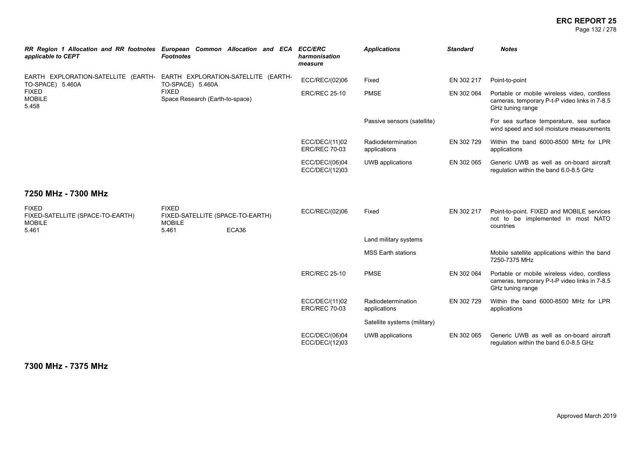### **ERC REPORT 25** Page 132 / 278

| RR Region 1 Allocation and RR footnotes European Common Allocation and ECA<br>applicable to CEPT | <b>Footnotes</b>                                                           |       | <b>ECC/ERC</b><br>harmonisation<br>measure | <b>Applications</b>                | <b>Standard</b> | <b>Notes</b>                                                                                                     |
|--------------------------------------------------------------------------------------------------|----------------------------------------------------------------------------|-------|--------------------------------------------|------------------------------------|-----------------|------------------------------------------------------------------------------------------------------------------|
| EARTH EXPLORATION-SATELLITE (EARTH- EARTH EXPLORATION-SATELLITE (EARTH-<br>TO-SPACE) 5.460A      | TO-SPACE) 5.460A                                                           |       | ECC/REC/(02)06                             | Fixed                              | EN 302 217      | Point-to-point                                                                                                   |
| <b>FIXED</b><br><b>MOBILE</b><br>5.458                                                           | <b>FIXED</b><br>Space Research (Earth-to-space)                            |       | <b>ERC/REC 25-10</b>                       | <b>PMSE</b>                        | EN 302 064      | Portable or mobile wireless video, cordless<br>cameras, temporary P-t-P video links in 7-8.5<br>GHz tuning range |
|                                                                                                  |                                                                            |       |                                            | Passive sensors (satellite)        |                 | For sea surface temperature, sea surface<br>wind speed and soil moisture measurements                            |
|                                                                                                  |                                                                            |       | ECC/DEC/(11)02<br><b>ERC/REC 70-03</b>     | Radiodetermination<br>applications | EN 302 729      | Within the band 6000-8500 MHz for LPR<br>applications                                                            |
|                                                                                                  |                                                                            |       | ECC/DEC/(06)04<br>ECC/DEC/(12)03           | UWB applications                   | EN 302 065      | Generic UWB as well as on-board aircraft<br>regulation within the band 6.0-8.5 GHz                               |
| 7250 MHz - 7300 MHz                                                                              |                                                                            |       |                                            |                                    |                 |                                                                                                                  |
| <b>FIXED</b><br>FIXED-SATELLITE (SPACE-TO-EARTH)<br><b>MOBILE</b><br>5.461                       | <b>FIXED</b><br>FIXED-SATELLITE (SPACE-TO-EARTH)<br><b>MOBILE</b><br>5.461 | ECA36 | ECC/REC/(02)06                             | Fixed                              | EN 302 217      | Point-to-point. FIXED and MOBILE services<br>not to be implemented in most NATO<br>countries                     |
|                                                                                                  |                                                                            |       |                                            | Land military systems              |                 |                                                                                                                  |
|                                                                                                  |                                                                            |       |                                            | <b>MSS Earth stations</b>          |                 | Mobile satellite applications within the band<br>7250-7375 MHz                                                   |
|                                                                                                  |                                                                            |       | <b>ERC/REC 25-10</b>                       | <b>PMSE</b>                        | EN 302 064      | Portable or mobile wireless video, cordless<br>cameras, temporary P-t-P video links in 7-8.5<br>GHz tuning range |
|                                                                                                  |                                                                            |       | ECC/DEC/(11)02<br><b>ERC/REC 70-03</b>     | Radiodetermination<br>applications | EN 302 729      | Within the band 6000-8500 MHz for LPR<br>applications                                                            |
|                                                                                                  |                                                                            |       |                                            | Satellite systems (military)       |                 |                                                                                                                  |
|                                                                                                  |                                                                            |       | ECC/DEC/(06)04<br>ECC/DEC/(12)03           | <b>UWB</b> applications            | EN 302 065      | Generic UWB as well as on-board aircraft<br>regulation within the band 6.0-8.5 GHz                               |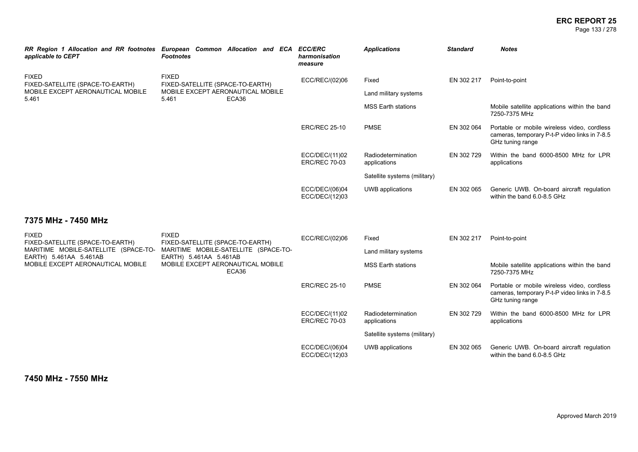### **ERC REPORT 25** Page 133 / 278

| applicable to CEPT                                             | RR Region 1 Allocation and RR footnotes European Common Allocation and ECA ECC/ERC<br><b>Footnotes</b>                                                           | harmonisation<br>measure               | <b>Applications</b>                | Standard   | <b>Notes</b>                                                                                                     |
|----------------------------------------------------------------|------------------------------------------------------------------------------------------------------------------------------------------------------------------|----------------------------------------|------------------------------------|------------|------------------------------------------------------------------------------------------------------------------|
| <b>FIXED</b><br>FIXED-SATELLITE (SPACE-TO-EARTH)               | <b>FIXED</b><br>FIXED-SATELLITE (SPACE-TO-EARTH)                                                                                                                 | ECC/REC/(02)06                         | Fixed                              | EN 302 217 | Point-to-point                                                                                                   |
| MOBILE EXCEPT AERONAUTICAL MOBILE<br>5.461                     | MOBILE EXCEPT AERONAUTICAL MOBILE<br>5.461<br>ECA36                                                                                                              |                                        | Land military systems              |            |                                                                                                                  |
|                                                                |                                                                                                                                                                  |                                        | <b>MSS Earth stations</b>          |            | Mobile satellite applications within the band<br>7250-7375 MHz                                                   |
|                                                                |                                                                                                                                                                  | <b>ERC/REC 25-10</b>                   | <b>PMSE</b>                        | EN 302 064 | Portable or mobile wireless video, cordless<br>cameras, temporary P-t-P video links in 7-8.5<br>GHz tuning range |
|                                                                |                                                                                                                                                                  | ECC/DEC/(11)02<br><b>ERC/REC 70-03</b> | Radiodetermination<br>applications | EN 302 729 | Within the band 6000-8500 MHz for LPR<br>applications                                                            |
|                                                                |                                                                                                                                                                  |                                        | Satellite systems (military)       |            |                                                                                                                  |
|                                                                |                                                                                                                                                                  | ECC/DEC/(06)04<br>ECC/DEC/(12)03       | UWB applications                   | EN 302 065 | Generic UWB. On-board aircraft regulation<br>within the band 6.0-8.5 GHz                                         |
| 7375 MHz - 7450 MHz                                            |                                                                                                                                                                  |                                        |                                    |            |                                                                                                                  |
| <b>FIXED</b><br>FIXED-SATELLITE (SPACE-TO-EARTH)               | <b>FIXED</b><br>FIXED-SATELLITE (SPACE-TO-EARTH)<br>MARITIME MOBILE-SATELLITE (SPACE-TO-<br>EARTH) 5.461AA 5.461AB<br>MOBILE EXCEPT AERONAUTICAL MOBILE<br>ECA36 | ECC/REC/(02)06                         | Fixed                              | EN 302 217 | Point-to-point                                                                                                   |
| MARITIME MOBILE-SATELLITE (SPACE-TO-<br>EARTH) 5.461AA 5.461AB |                                                                                                                                                                  |                                        | Land military systems              |            |                                                                                                                  |
| MOBILE EXCEPT AERONAUTICAL MOBILE                              |                                                                                                                                                                  |                                        | MSS Earth stations                 |            | Mobile satellite applications within the band<br>7250-7375 MHz                                                   |
|                                                                |                                                                                                                                                                  | <b>ERC/REC 25-10</b>                   | <b>PMSE</b>                        | EN 302 064 | Portable or mobile wireless video, cordless<br>cameras, temporary P-t-P video links in 7-8.5<br>GHz tuning range |
|                                                                |                                                                                                                                                                  | ECC/DEC/(11)02<br><b>ERC/REC 70-03</b> | Radiodetermination<br>applications | EN 302 729 | Within the band 6000-8500 MHz for LPR<br>applications                                                            |
|                                                                |                                                                                                                                                                  |                                        | Satellite systems (military)       |            |                                                                                                                  |
|                                                                |                                                                                                                                                                  | ECC/DEC/(06)04<br>ECC/DEC/(12)03       | UWB applications                   | EN 302 065 | Generic UWB. On-board aircraft regulation<br>within the band 6.0-8.5 GHz                                         |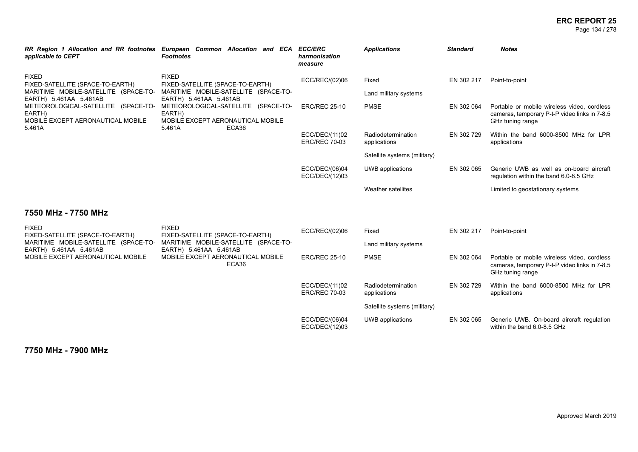### **ERC REPORT 25** Page 134 / 278

| applicable to CEPT                                                                                                 | RR Region 1 Allocation and RR footnotes European Common Allocation and ECA ECC/ERC<br><b>Footnotes</b>             | harmonisation<br>measure               | <b>Applications</b>                | <b>Standard</b> | <b>Notes</b>                                                                                                     |
|--------------------------------------------------------------------------------------------------------------------|--------------------------------------------------------------------------------------------------------------------|----------------------------------------|------------------------------------|-----------------|------------------------------------------------------------------------------------------------------------------|
| <b>FIXED</b><br>FIXED-SATELLITE (SPACE-TO-EARTH)<br>MARITIME MOBILE-SATELLITE (SPACE-TO-<br>EARTH) 5.461AA 5.461AB | <b>FIXED</b><br>FIXED-SATELLITE (SPACE-TO-EARTH)<br>MARITIME MOBILE-SATELLITE (SPACE-TO-<br>EARTH) 5.461AA 5.461AB | ECC/REC/(02)06                         | Fixed<br>Land military systems     | EN 302 217      | Point-to-point                                                                                                   |
| METEOROLOGICAL-SATELLITE (SPACE-TO-<br>EARTH)<br>MOBILE EXCEPT AERONAUTICAL MOBILE<br>5.461A                       | METEOROLOGICAL-SATELLITE (SPACE-TO-<br>EARTH)<br>MOBILE EXCEPT AERONAUTICAL MOBILE<br>5.461A<br>ECA36              | <b>ERC/REC 25-10</b>                   | <b>PMSE</b>                        | EN 302 064      | Portable or mobile wireless video, cordless<br>cameras, temporary P-t-P video links in 7-8.5<br>GHz tuning range |
|                                                                                                                    |                                                                                                                    | ECC/DEC/(11)02<br><b>ERC/REC 70-03</b> | Radiodetermination<br>applications | EN 302 729      | Within the band 6000-8500 MHz for LPR<br>applications                                                            |
|                                                                                                                    |                                                                                                                    |                                        | Satellite systems (military)       |                 |                                                                                                                  |
|                                                                                                                    |                                                                                                                    | ECC/DEC/(06)04<br>ECC/DEC/(12)03       | UWB applications                   | EN 302 065      | Generic UWB as well as on-board aircraft<br>regulation within the band 6.0-8.5 GHz                               |
|                                                                                                                    |                                                                                                                    |                                        | Weather satellites                 |                 | Limited to geostationary systems                                                                                 |
| 7550 MHz - 7750 MHz                                                                                                |                                                                                                                    |                                        |                                    |                 |                                                                                                                  |
| <b>FIXED</b><br>FIXED-SATELLITE (SPACE-TO-EARTH)                                                                   | <b>FIXED</b><br>FIXED-SATELLITE (SPACE-TO-EARTH)                                                                   | ECC/REC/(02)06                         | Fixed                              | EN 302 217      | Point-to-point                                                                                                   |
| MARITIME MOBILE-SATELLITE (SPACE-TO-<br>EARTH) 5.461AA 5.461AB                                                     | MARITIME MOBILE-SATELLITE (SPACE-TO-<br>EARTH) 5.461AA 5.461AB                                                     |                                        | Land military systems              |                 |                                                                                                                  |
| MOBILE EXCEPT AERONAUTICAL MOBILE                                                                                  | MOBILE EXCEPT AERONAUTICAL MOBILE<br>ECA36                                                                         | <b>ERC/REC 25-10</b>                   | <b>PMSE</b>                        | EN 302 064      | Portable or mobile wireless video, cordless<br>cameras, temporary P-t-P video links in 7-8.5<br>GHz tuning range |
|                                                                                                                    |                                                                                                                    | ECC/DEC/(11)02<br><b>ERC/REC 70-03</b> | Radiodetermination<br>applications | EN 302 729      | Within the band 6000-8500 MHz for LPR<br>applications                                                            |
|                                                                                                                    |                                                                                                                    |                                        | Satellite systems (military)       |                 |                                                                                                                  |
|                                                                                                                    |                                                                                                                    | ECC/DEC/(06)04<br>ECC/DEC/(12)03       | UWB applications                   | EN 302 065      | Generic UWB. On-board aircraft regulation<br>within the band 6.0-8.5 GHz                                         |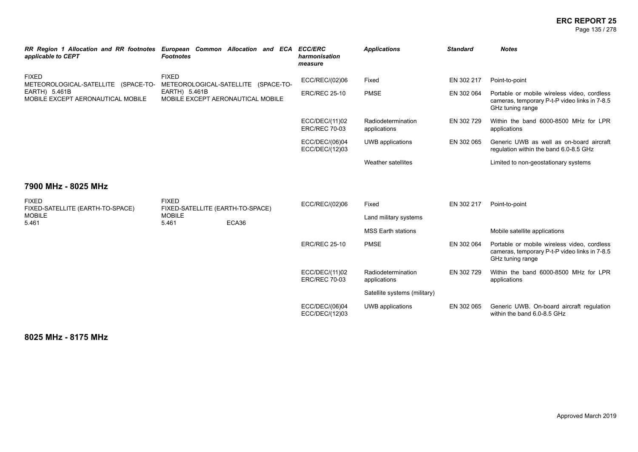### **ERC REPORT 25** Page 135 / 278

| applicable to CEPT                                  | RR Region 1 Allocation and RR footnotes European Common Allocation and ECA<br><b>Footnotes</b> | <b>ECC/ERC</b><br>harmonisation<br>measure | <b>Applications</b>                | <b>Standard</b> | <b>Notes</b>                                                                                                     |
|-----------------------------------------------------|------------------------------------------------------------------------------------------------|--------------------------------------------|------------------------------------|-----------------|------------------------------------------------------------------------------------------------------------------|
| <b>FIXED</b><br>METEOROLOGICAL-SATELLITE (SPACE-TO- | <b>FIXED</b><br>METEOROLOGICAL-SATELLITE (SPACE-TO-                                            | ECC/REC/(02)06                             | Fixed                              | EN 302 217      | Point-to-point                                                                                                   |
| EARTH) 5.461B<br>MOBILE EXCEPT AERONAUTICAL MOBILE  | EARTH) 5.461B<br>MOBILE EXCEPT AERONAUTICAL MOBILE                                             | <b>ERC/REC 25-10</b>                       | <b>PMSE</b>                        | EN 302 064      | Portable or mobile wireless video, cordless<br>cameras, temporary P-t-P video links in 7-8.5<br>GHz tuning range |
|                                                     |                                                                                                | ECC/DEC/(11)02<br><b>ERC/REC 70-03</b>     | Radiodetermination<br>applications | EN 302 729      | Within the band 6000-8500 MHz for LPR<br>applications                                                            |
|                                                     |                                                                                                | ECC/DEC/(06)04<br>ECC/DEC/(12)03           | UWB applications                   | EN 302 065      | Generic UWB as well as on-board aircraft<br>regulation within the band 6.0-8.5 GHz                               |
|                                                     |                                                                                                |                                            | Weather satellites                 |                 | Limited to non-geostationary systems                                                                             |
| 7900 MHz - 8025 MHz                                 |                                                                                                |                                            |                                    |                 |                                                                                                                  |
| <b>FIXED</b><br>FIXED-SATELLITE (EARTH-TO-SPACE)    | <b>FIXED</b><br>FIXED-SATELLITE (EARTH-TO-SPACE)                                               | ECC/REC/(02)06                             | Fixed                              | EN 302 217      | Point-to-point                                                                                                   |
| <b>MOBILE</b><br>5.461                              | <b>MOBILE</b><br>ECA36<br>5.461                                                                |                                            | Land military systems              |                 |                                                                                                                  |
|                                                     |                                                                                                |                                            | <b>MSS Earth stations</b>          |                 | Mobile satellite applications                                                                                    |
|                                                     |                                                                                                | <b>ERC/REC 25-10</b>                       | <b>PMSE</b>                        | EN 302 064      | Portable or mobile wireless video, cordless<br>cameras, temporary P-t-P video links in 7-8.5<br>GHz tuning range |
|                                                     |                                                                                                | ECC/DEC/(11)02<br><b>ERC/REC 70-03</b>     | Radiodetermination<br>applications | EN 302 729      | Within the band 6000-8500 MHz for LPR<br>applications                                                            |
|                                                     |                                                                                                |                                            | Satellite systems (military)       |                 |                                                                                                                  |
|                                                     |                                                                                                | ECC/DEC/(06)04<br>ECC/DEC/(12)03           | UWB applications                   | EN 302 065      | Generic UWB. On-board aircraft regulation<br>within the band 6.0-8.5 GHz                                         |

**8025 MHz - 8175 MHz**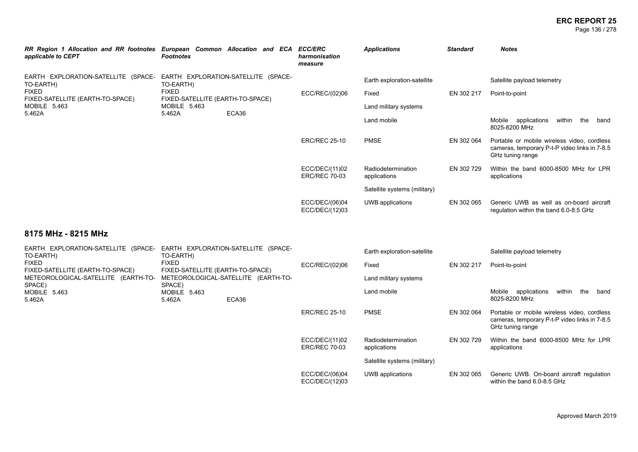### **ERC REPORT 25** Page 136 / 278

| RR Region 1 Allocation and RR footnotes European Common Allocation and ECA<br>applicable to CEPT                               | <b>Footnotes</b>                                                                                                                        |                | <b>ECC/ERC</b><br>harmonisation<br>measure                    | <b>Applications</b>                | <b>Standard</b>             | <b>Notes</b>                                                                                                     |
|--------------------------------------------------------------------------------------------------------------------------------|-----------------------------------------------------------------------------------------------------------------------------------------|----------------|---------------------------------------------------------------|------------------------------------|-----------------------------|------------------------------------------------------------------------------------------------------------------|
| EARTH EXPLORATION-SATELLITE (SPACE-<br>TO-EARTH)<br><b>FIXED</b><br>FIXED-SATELLITE (EARTH-TO-SPACE)<br>MOBILE 5.463<br>5.462A | EARTH EXPLORATION-SATELLITE (SPACE-<br>TO-EARTH)<br><b>FIXED</b><br>FIXED-SATELLITE (EARTH-TO-SPACE)<br>MOBILE 5.463<br>ECA36<br>5.462A | ECC/REC/(02)06 | Earth exploration-satellite<br>Fixed<br>Land military systems | EN 302 217<br>Point-to-point       | Satellite payload telemetry |                                                                                                                  |
|                                                                                                                                |                                                                                                                                         |                |                                                               | Land mobile                        |                             | Mobile applications<br>within<br>the<br>band<br>8025-8200 MHz                                                    |
|                                                                                                                                |                                                                                                                                         |                | <b>ERC/REC 25-10</b>                                          | <b>PMSE</b>                        | EN 302 064                  | Portable or mobile wireless video, cordless<br>cameras, temporary P-t-P video links in 7-8.5<br>GHz tuning range |
|                                                                                                                                |                                                                                                                                         |                | ECC/DEC/(11)02<br><b>ERC/REC 70-03</b>                        | Radiodetermination<br>applications | EN 302 729                  | Within the band 6000-8500 MHz for LPR<br>applications                                                            |
|                                                                                                                                |                                                                                                                                         |                |                                                               | Satellite systems (military)       |                             |                                                                                                                  |
|                                                                                                                                |                                                                                                                                         |                | ECC/DEC/(06)04<br>ECC/DEC/(12)03                              | UWB applications                   | EN 302 065                  | Generic UWB as well as on-board aircraft<br>regulation within the band 6.0-8.5 GHz                               |

### **8175 MHz - 8215 MHz**

| EARTH EXPLORATION-SATELLITE (SPACE-<br>TO-EARTH)                        | TO-EARTH)                        | EARTH EXPLORATION-SATELLITE (SPACE-                                     |                                        | Earth exploration-satellite        |            | Satellite payload telemetry                                                                                      |
|-------------------------------------------------------------------------|----------------------------------|-------------------------------------------------------------------------|----------------------------------------|------------------------------------|------------|------------------------------------------------------------------------------------------------------------------|
| <b>FIXED</b>                                                            | <b>FIXED</b>                     |                                                                         | ECC/REC/(02)06                         | Fixed                              | EN 302 217 | Point-to-point                                                                                                   |
| FIXED-SATELLITE (EARTH-TO-SPACE)<br>METEOROLOGICAL-SATELLITE (EARTH-TO- |                                  | FIXED-SATELLITE (EARTH-TO-SPACE)<br>METEOROLOGICAL-SATELLITE (EARTH-TO- |                                        | Land military systems              |            |                                                                                                                  |
| SPACE)<br>MOBILE 5.463<br>5.462A                                        | SPACE)<br>MOBILE 5.463<br>5.462A | ECA36                                                                   |                                        | Land mobile                        |            | Mobile applications<br>within<br>the<br>band<br>8025-8200 MHz                                                    |
|                                                                         |                                  |                                                                         | <b>ERC/REC 25-10</b>                   | <b>PMSE</b>                        | EN 302 064 | Portable or mobile wireless video, cordless<br>cameras, temporary P-t-P video links in 7-8.5<br>GHz tuning range |
|                                                                         |                                  |                                                                         | ECC/DEC/(11)02<br><b>ERC/REC 70-03</b> | Radiodetermination<br>applications | EN 302 729 | Within the band 6000-8500 MHz for LPR<br>applications                                                            |
|                                                                         |                                  |                                                                         |                                        | Satellite systems (military)       |            |                                                                                                                  |
|                                                                         |                                  |                                                                         | ECC/DEC/(06)04<br>ECC/DEC/(12)03       | UWB applications                   | EN 302 065 | Generic UWB. On-board aircraft regulation<br>within the band 6.0-8.5 GHz                                         |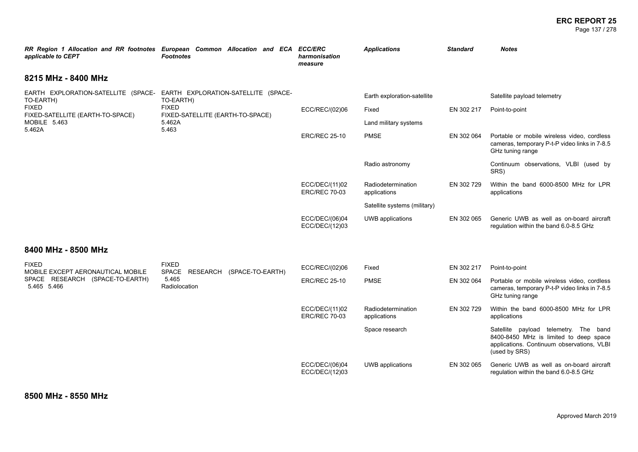### **ERC REPORT 25** Page 137 / 278

| applicable to CEPT                                                                   | RR Region 1 Allocation and RR footnotes European Common Allocation and ECA ECC/ERC<br><b>Footnotes</b> | harmonisation<br>measure               | <b>Applications</b>                | <b>Standard</b> | <b>Notes</b>                                                                                                                                   |
|--------------------------------------------------------------------------------------|--------------------------------------------------------------------------------------------------------|----------------------------------------|------------------------------------|-----------------|------------------------------------------------------------------------------------------------------------------------------------------------|
| 8215 MHz - 8400 MHz                                                                  |                                                                                                        |                                        |                                    |                 |                                                                                                                                                |
| EARTH EXPLORATION-SATELLITE (SPACE- EARTH EXPLORATION-SATELLITE (SPACE-<br>TO-EARTH) | TO-EARTH)                                                                                              |                                        | Earth exploration-satellite        |                 | Satellite payload telemetry                                                                                                                    |
| <b>FIXED</b><br>FIXED-SATELLITE (EARTH-TO-SPACE)                                     | <b>FIXED</b><br>FIXED-SATELLITE (EARTH-TO-SPACE)                                                       | ECC/REC/(02)06                         | Fixed                              | EN 302 217      | Point-to-point                                                                                                                                 |
| MOBILE 5.463<br>5.462A                                                               | 5.462A<br>5.463                                                                                        |                                        | Land military systems              |                 |                                                                                                                                                |
|                                                                                      |                                                                                                        | <b>ERC/REC 25-10</b>                   | <b>PMSE</b>                        | EN 302 064      | Portable or mobile wireless video, cordless<br>cameras, temporary P-t-P video links in 7-8.5<br>GHz tuning range                               |
|                                                                                      |                                                                                                        |                                        | Radio astronomy                    |                 | Continuum observations, VLBI (used by<br>SRS)                                                                                                  |
|                                                                                      |                                                                                                        | ECC/DEC/(11)02<br><b>ERC/REC 70-03</b> | Radiodetermination<br>applications | EN 302 729      | Within the band 6000-8500 MHz for LPR<br>applications                                                                                          |
|                                                                                      |                                                                                                        |                                        | Satellite systems (military)       |                 |                                                                                                                                                |
|                                                                                      |                                                                                                        | ECC/DEC/(06)04<br>ECC/DEC/(12)03       | UWB applications                   | EN 302 065      | Generic UWB as well as on-board aircraft<br>regulation within the band 6.0-8.5 GHz                                                             |
| 8400 MHz - 8500 MHz                                                                  |                                                                                                        |                                        |                                    |                 |                                                                                                                                                |
| <b>FIXED</b><br>MOBILE EXCEPT AERONAUTICAL MOBILE                                    | <b>FIXED</b><br>SPACE<br>RESEARCH (SPACE-TO-EARTH)                                                     | ECC/REC/(02)06                         | Fixed                              | EN 302 217      | Point-to-point                                                                                                                                 |
| SPACE RESEARCH (SPACE-TO-EARTH)<br>5.465 5.466                                       | 5.465<br>Radiolocation                                                                                 | <b>ERC/REC 25-10</b>                   | <b>PMSE</b>                        | EN 302 064      | Portable or mobile wireless video, cordless<br>cameras, temporary P-t-P video links in 7-8.5<br>GHz tuning range                               |
|                                                                                      |                                                                                                        | ECC/DEC/(11)02<br><b>ERC/REC 70-03</b> | Radiodetermination<br>applications | EN 302 729      | Within the band 6000-8500 MHz for LPR<br>applications                                                                                          |
|                                                                                      |                                                                                                        |                                        | Space research                     |                 | Satellite payload telemetry. The band<br>8400-8450 MHz is limited to deep space<br>applications. Continuum observations, VLBI<br>(used by SRS) |
|                                                                                      |                                                                                                        | ECC/DEC/(06)04<br>ECC/DEC/(12)03       | UWB applications                   | EN 302 065      | Generic UWB as well as on-board aircraft<br>regulation within the band 6.0-8.5 GHz                                                             |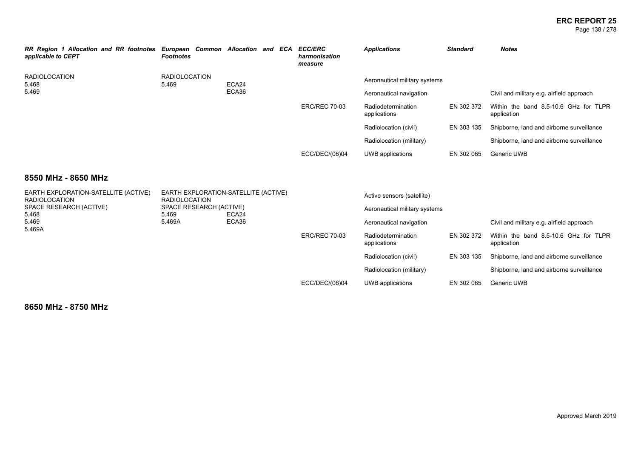### **ERC REPORT 25** Page 138 / 278

| <b>RR Region 1 Allocation and RR footnotes</b><br>applicable to CEPT | European Common Allocation and ECA<br><b>Footnotes</b> |       |  |  | <b>ECC/ERC</b><br>harmonisation<br>measure | <b>Applications</b>                | <b>Standard</b> | <b>Notes</b>                                         |
|----------------------------------------------------------------------|--------------------------------------------------------|-------|--|--|--------------------------------------------|------------------------------------|-----------------|------------------------------------------------------|
| <b>RADIOLOCATION</b><br>5.468                                        | <b>RADIOLOCATION</b><br>5.469                          | ECA24 |  |  |                                            | Aeronautical military systems      |                 |                                                      |
| 5.469                                                                |                                                        | ECA36 |  |  |                                            | Aeronautical navigation            |                 | Civil and military e.g. airfield approach            |
|                                                                      |                                                        |       |  |  | <b>ERC/REC 70-03</b>                       | Radiodetermination<br>applications | EN 302 372      | Within the band 8.5-10.6 GHz for TLPR<br>application |
|                                                                      |                                                        |       |  |  |                                            | Radiolocation (civil)              | EN 303 135      | Shipborne, land and airborne surveillance            |
|                                                                      |                                                        |       |  |  |                                            | Radiolocation (military)           |                 | Shipborne, land and airborne surveillance            |
|                                                                      |                                                        |       |  |  | ECC/DEC/(06)04                             | UWB applications                   | EN 302 065      | Generic UWB                                          |

## **8550 MHz - 8650 MHz**

| EARTH EXPLORATION-SATELLITE (ACTIVE)<br>RADIOLOCATION<br>SPACE RESEARCH (ACTIVE)<br>5.468 | <b>RADIOLOCATION</b><br>SPACE RESEARCH (ACTIVE)<br>5.469 | EARTH EXPLORATION-SATELLITE (ACTIVE)<br>ECA24 |                      | Active sensors (satellite)<br>Aeronautical military systems |            |                                                      |
|-------------------------------------------------------------------------------------------|----------------------------------------------------------|-----------------------------------------------|----------------------|-------------------------------------------------------------|------------|------------------------------------------------------|
| 5.469<br>5.469A                                                                           | 5.469A                                                   | ECA36                                         |                      | Aeronautical navigation                                     |            | Civil and military e.g. airfield approach            |
|                                                                                           |                                                          |                                               | <b>ERC/REC 70-03</b> | Radiodetermination<br>applications                          | EN 302 372 | Within the band 8.5-10.6 GHz for TLPR<br>application |
|                                                                                           |                                                          |                                               |                      | Radiolocation (civil)                                       | EN 303 135 | Shipborne, land and airborne surveillance            |
|                                                                                           |                                                          |                                               |                      | Radiolocation (military)                                    |            | Shipborne, land and airborne surveillance            |
|                                                                                           |                                                          |                                               | ECC/DEC/(06)04       | UWB applications                                            | EN 302 065 | Generic UWB                                          |

**8650 MHz - 8750 MHz**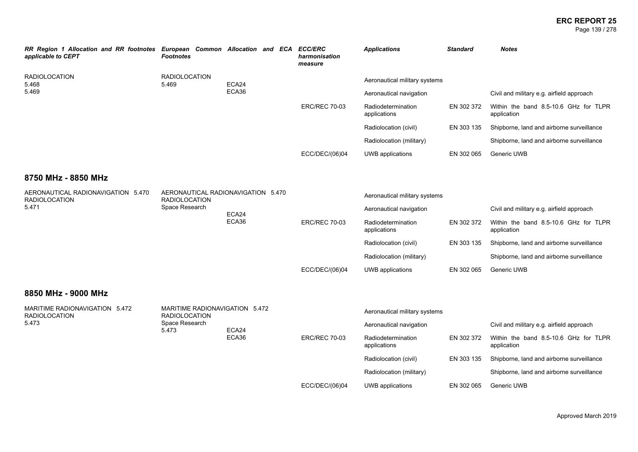### **ERC REPORT 25** Page 139 / 278

| RR Region 1 Allocation and RR footnotes<br>applicable to CEPT | European Common Allocation and ECA<br><b>Footnotes</b> |       |  |                         | <b>ECC/ERC</b><br>harmonisation<br>measure | <b>Applications</b>                       | <b>Standard</b> | <b>Notes</b>                                         |
|---------------------------------------------------------------|--------------------------------------------------------|-------|--|-------------------------|--------------------------------------------|-------------------------------------------|-----------------|------------------------------------------------------|
| <b>RADIOLOCATION</b><br>5.468                                 | <b>RADIOLOCATION</b><br>5.469                          | ECA24 |  |                         |                                            | Aeronautical military systems             |                 |                                                      |
| 5.469                                                         | ECA36                                                  |       |  | Aeronautical navigation |                                            | Civil and military e.g. airfield approach |                 |                                                      |
|                                                               |                                                        |       |  |                         | <b>ERC/REC 70-03</b>                       | Radiodetermination<br>applications        | EN 302 372      | Within the band 8.5-10.6 GHz for TLPR<br>application |
|                                                               |                                                        |       |  |                         |                                            | Radiolocation (civil)                     | EN 303 135      | Shipborne, land and airborne surveillance            |
|                                                               |                                                        |       |  |                         |                                            | Radiolocation (military)                  |                 | Shipborne, land and airborne surveillance            |
|                                                               |                                                        |       |  |                         | ECC/DEC/(06)04                             | UWB applications                          | EN 302 065      | Generic UWB                                          |

### **8750 MHz - 8850 MHz**

| AERONAUTICAL RADIONAVIGATION 5.470<br><b>RADIOLOCATION</b><br>5.471 | <b>RADIOLOCATION</b><br>Space Research                 | AERONAUTICAL RADIONAVIGATION 5.470<br>ECA24<br>ECA36 |                      | Aeronautical military systems<br>Aeronautical navigation |            | Civil and military e.g. airfield approach            |
|---------------------------------------------------------------------|--------------------------------------------------------|------------------------------------------------------|----------------------|----------------------------------------------------------|------------|------------------------------------------------------|
|                                                                     |                                                        |                                                      | <b>ERC/REC 70-03</b> | Radiodetermination<br>applications                       | EN 302 372 | Within the band 8.5-10.6 GHz for TLPR<br>application |
|                                                                     |                                                        |                                                      |                      | Radiolocation (civil)                                    | EN 303 135 | Shipborne, land and airborne surveillance            |
|                                                                     |                                                        |                                                      |                      | Radiolocation (military)                                 |            | Shipborne, land and airborne surveillance            |
|                                                                     |                                                        |                                                      | ECC/DEC/(06)04       | UWB applications                                         | EN 302 065 | Generic UWB                                          |
| 8850 MHz - 9000 MHz                                                 |                                                        |                                                      |                      |                                                          |            |                                                      |
| MARITIME RADIONAVIGATION 5.472<br><b>RADIOLOCATION</b>              | MARITIME RADIONAVIGATION 5.472<br><b>RADIOLOCATION</b> |                                                      |                      | Aeronautical military systems                            |            |                                                      |
| 5.473                                                               | Space Research<br>5.473                                | ECA24                                                |                      | Aeronautical navigation                                  |            | Civil and military e.g. airfield approach            |
|                                                                     |                                                        | ECA36                                                | <b>ERC/REC 70-03</b> | Radiodetermination<br>applications                       | EN 302 372 | Within the band 8.5-10.6 GHz for TLPR<br>application |
|                                                                     |                                                        |                                                      |                      | Radiolocation (civil)                                    | EN 303 135 | Shipborne, land and airborne surveillance            |

ECC/DEC/(06)04 UWB applications EN 302 065 Generic UWB

Radiolocation (military) Shipborne, land and airborne surveillance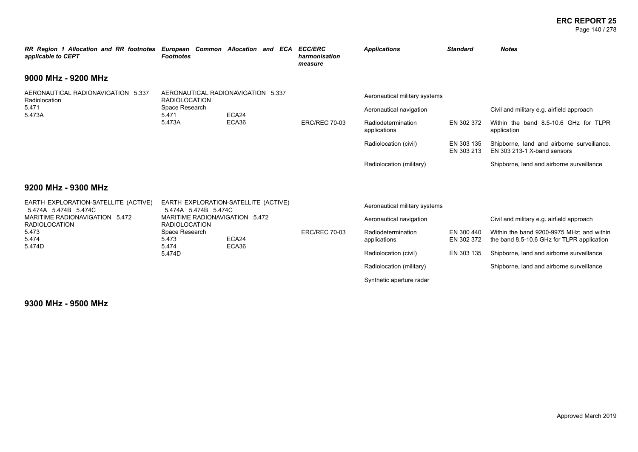### **ERC REPORT 25** Page 140 / 278

| RR Region 1 Allocation and RR footnotes European Common Allocation and ECA<br>applicable to CEPT | <b>Footnotes</b>                                       |                                      | <b>ECC/ERC</b><br>harmonisation<br>measure | <b>Applications</b>                | <b>Standard</b>          | <b>Notes</b>                                                                            |  |
|--------------------------------------------------------------------------------------------------|--------------------------------------------------------|--------------------------------------|--------------------------------------------|------------------------------------|--------------------------|-----------------------------------------------------------------------------------------|--|
| 9000 MHz - 9200 MHz                                                                              |                                                        |                                      |                                            |                                    |                          |                                                                                         |  |
| AERONAUTICAL RADIONAVIGATION 5.337<br>Radiolocation<br>5.471<br>5.473A                           | <b>RADIOLOCATION</b>                                   | AERONAUTICAL RADIONAVIGATION 5.337   |                                            | Aeronautical military systems      |                          |                                                                                         |  |
|                                                                                                  | Space Research<br>5.471                                | ECA24<br>ECA36                       |                                            | Aeronautical navigation            |                          | Civil and military e.g. airfield approach                                               |  |
|                                                                                                  | 5.473A                                                 |                                      | <b>ERC/REC 70-03</b>                       | Radiodetermination<br>applications | EN 302 372               | Within the band 8.5-10.6 GHz for TLPR<br>application                                    |  |
|                                                                                                  |                                                        |                                      |                                            | Radiolocation (civil)              | EN 303 135<br>EN 303 213 | Shipborne, land and airborne surveillance.<br>EN 303 213-1 X-band sensors               |  |
|                                                                                                  |                                                        |                                      |                                            | Radiolocation (military)           |                          | Shipborne, land and airborne surveillance                                               |  |
| 9200 MHz - 9300 MHz                                                                              |                                                        |                                      |                                            |                                    |                          |                                                                                         |  |
| EARTH EXPLORATION-SATELLITE (ACTIVE)<br>5.474A 5.474B 5.474C                                     | 5.474A 5.474B 5.474C                                   | EARTH EXPLORATION-SATELLITE (ACTIVE) |                                            | Aeronautical military systems      |                          |                                                                                         |  |
| MARITIME RADIONAVIGATION 5.472<br><b>RADIOLOCATION</b>                                           | MARITIME RADIONAVIGATION 5.472<br><b>RADIOLOCATION</b> |                                      |                                            | Aeronautical navigation            |                          | Civil and military e.g. airfield approach                                               |  |
| 5.473<br>5.474                                                                                   | Space Research<br>5.473<br>5.474                       | ECA24<br>ECA36                       | <b>ERC/REC 70-03</b>                       | Radiodetermination<br>applications | EN 300 440<br>EN 302 372 | Within the band 9200-9975 MHz; and within<br>the band 8.5-10.6 GHz for TLPR application |  |
| 5.474D                                                                                           | 5.474D                                                 |                                      |                                            | Radiolocation (civil)              | EN 303 135               | Shipborne, land and airborne surveillance                                               |  |
|                                                                                                  |                                                        |                                      |                                            | Radiolocation (military)           |                          | Shipborne, land and airborne surveillance                                               |  |
|                                                                                                  |                                                        |                                      |                                            | Synthetic aperture radar           |                          |                                                                                         |  |

**9300 MHz - 9500 MHz**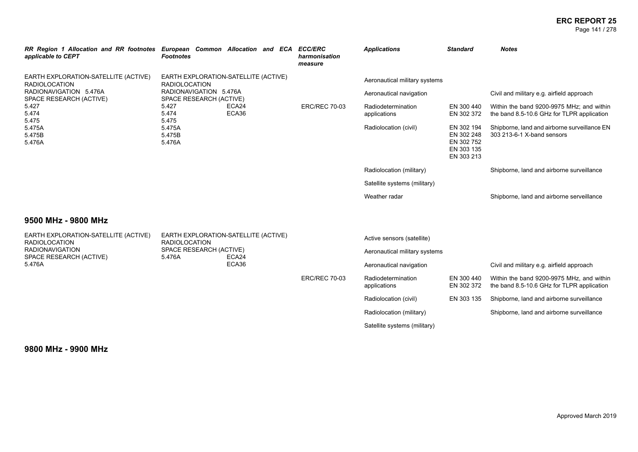### **ERC REPORT 25** Page 141 / 278

| RR Region 1 Allocation and RR footnotes European Common Allocation and ECA ECC/ERC<br>applicable to CEPT                         | <b>Footnotes</b>                                  |                                      | harmonisation<br>measure | <b>Applications</b>                                                | <b>Standard</b>                                                            | <b>Notes</b>                                                                            |
|----------------------------------------------------------------------------------------------------------------------------------|---------------------------------------------------|--------------------------------------|--------------------------|--------------------------------------------------------------------|----------------------------------------------------------------------------|-----------------------------------------------------------------------------------------|
| EARTH EXPLORATION-SATELLITE (ACTIVE)<br><b>RADIOLOCATION</b>                                                                     | <b>RADIOLOCATION</b>                              | EARTH EXPLORATION-SATELLITE (ACTIVE) |                          | Aeronautical military systems                                      |                                                                            |                                                                                         |
| RADIONAVIGATION 5.476A<br>SPACE RESEARCH (ACTIVE)                                                                                | RADIONAVIGATION 5.476A<br>SPACE RESEARCH (ACTIVE) |                                      |                          | Aeronautical navigation                                            |                                                                            | Civil and military e.g. airfield approach                                               |
| ECA24<br>5.427<br>5.427<br>ECA36<br>5.474<br>5.474<br>5.475<br>5.475<br>5.475A<br>5.475A<br>5.475B<br>5.475B<br>5.476A<br>5.476A |                                                   |                                      | <b>ERC/REC 70-03</b>     | Radiodetermination<br>applications                                 | EN 300 440<br>EN 302 372                                                   | Within the band 9200-9975 MHz; and within<br>the band 8.5-10.6 GHz for TLPR application |
|                                                                                                                                  |                                                   |                                      | Radiolocation (civil)    | EN 302 194<br>EN 302 248<br>EN 302 752<br>EN 303 135<br>EN 303 213 | Shipborne, land and airborne surveillance EN<br>303 213-6-1 X-band sensors |                                                                                         |
|                                                                                                                                  |                                                   |                                      |                          | Radiolocation (military)                                           |                                                                            | Shipborne, land and airborne surveillance                                               |
|                                                                                                                                  |                                                   |                                      |                          | Satellite systems (military)                                       |                                                                            |                                                                                         |
|                                                                                                                                  |                                                   |                                      |                          | Weather radar                                                      |                                                                            | Shipborne, land and airborne serveillance                                               |
| 9500 MHz - 9800 MHz                                                                                                              |                                                   |                                      |                          |                                                                    |                                                                            |                                                                                         |
| EARTH EXPLORATION-SATELLITE (ACTIVE)<br><b>RADIOLOCATION</b>                                                                     | <b>RADIOLOCATION</b>                              | EARTH EXPLORATION-SATELLITE (ACTIVE) |                          | Active sensors (satellite)                                         |                                                                            |                                                                                         |
| <b>RADIONAVIGATION</b><br>SPACE RESEARCH (ACTIVE)                                                                                | SPACE RESEARCH (ACTIVE)<br>5.476A                 | ECA24                                |                          | Aeronautical military systems                                      |                                                                            |                                                                                         |
| 5.476A                                                                                                                           |                                                   | ECA36                                |                          | Aeronautical navigation                                            |                                                                            | Civil and military e.g. airfield approach                                               |
|                                                                                                                                  |                                                   |                                      | <b>ERC/REC 70-03</b>     | Radiodetermination<br>applications                                 | EN 300 440<br>EN 302 372                                                   | Within the band 9200-9975 MHz, and within<br>the band 8.5-10.6 GHz for TLPR application |
|                                                                                                                                  |                                                   |                                      |                          | Radiolocation (civil)                                              | EN 303 135                                                                 | Shipborne, land and airborne surveillance                                               |
|                                                                                                                                  |                                                   |                                      |                          | Radiolocation (military)                                           |                                                                            | Shipborne, land and airborne surveillance                                               |
|                                                                                                                                  |                                                   |                                      |                          | Satellite systems (military)                                       |                                                                            |                                                                                         |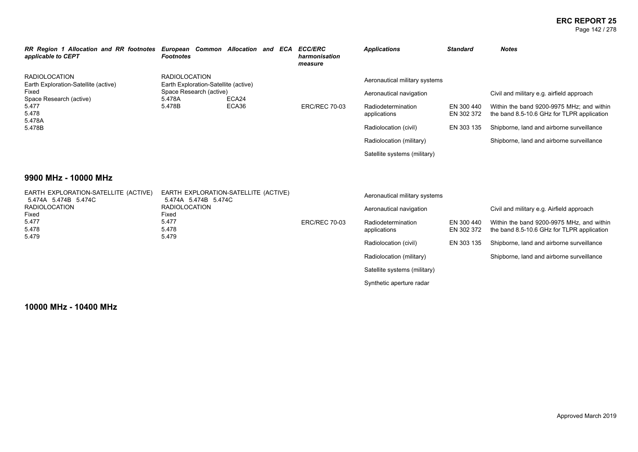### **ERC REPORT 25** Page 142 / 278

| RR Region 1 Allocation and RR footnotes<br>applicable to CEPT                                                         | European Common Allocation and ECA<br><b>Footnotes</b>                                   |  |                         | <b>ECC/ERC</b><br>harmonisation<br>measure | <b>Applications</b>                       | <b>Standard</b>                                                                         | <b>Notes</b>                              |
|-----------------------------------------------------------------------------------------------------------------------|------------------------------------------------------------------------------------------|--|-------------------------|--------------------------------------------|-------------------------------------------|-----------------------------------------------------------------------------------------|-------------------------------------------|
| <b>RADIOLOCATION</b><br>RADIOLOCATION<br>Earth Exploration-Satellite (active)<br>Earth Exploration-Satellite (active) |                                                                                          |  |                         |                                            | Aeronautical military systems             |                                                                                         |                                           |
| Fixed                                                                                                                 | Space Research (active)<br>ECA24<br>Space Research (active)<br>5.478A<br>5.478B<br>ECA36 |  | Aeronautical navigation |                                            | Civil and military e.g. airfield approach |                                                                                         |                                           |
| 5.477<br>5.478<br>5.478A                                                                                              |                                                                                          |  | <b>ERC/REC 70-03</b>    | Radiodetermination<br>applications         | EN 300 440<br>EN 302 372                  | Within the band 9200-9975 MHz: and within<br>the band 8.5-10.6 GHz for TLPR application |                                           |
| 5.478B                                                                                                                |                                                                                          |  |                         |                                            | Radiolocation (civil)                     | EN 303 135                                                                              | Shipborne, land and airborne surveillance |
|                                                                                                                       |                                                                                          |  |                         | Radiolocation (military)                   |                                           | Shipborne, land and airborne surveillance                                               |                                           |
|                                                                                                                       |                                                                                          |  |                         |                                            | Satellite systems (military)              |                                                                                         |                                           |

### **9900 MHz - 10000 MHz**

| EARTH EXPLORATION-SATELLITE (ACTIVE)<br>5.474A 5.474B 5.474C         | EARTH EXPLORATION-SATELLITE (ACTIVE)<br>5.474A 5.474B 5.474C |                                    | Aeronautical military systems |                                                                                         |                                           |  |
|----------------------------------------------------------------------|--------------------------------------------------------------|------------------------------------|-------------------------------|-----------------------------------------------------------------------------------------|-------------------------------------------|--|
| RADIOLOCATION                                                        | <b>RADIOLOCATION</b>                                         |                                    | Aeronautical navigation       |                                                                                         | Civil and military e.g. Airfield approach |  |
| Fixed<br>Fixed<br>5.477<br>5.477<br>5.478<br>5.478<br>5.479<br>5.479 | <b>ERC/REC 70-03</b>                                         | Radiodetermination<br>applications | EN 300 440<br>EN 302 372      | Within the band 9200-9975 MHz, and within<br>the band 8.5-10.6 GHz for TLPR application |                                           |  |
|                                                                      |                                                              |                                    | Radiolocation (civil)         | EN 303 135                                                                              | Shipborne, land and airborne surveillance |  |
|                                                                      |                                                              |                                    | Radiolocation (military)      |                                                                                         | Shipborne, land and airborne surveillance |  |
|                                                                      |                                                              |                                    | Satellite systems (military)  |                                                                                         |                                           |  |
|                                                                      |                                                              |                                    | Synthetic aperture radar      |                                                                                         |                                           |  |

**10000 MHz - 10400 MHz**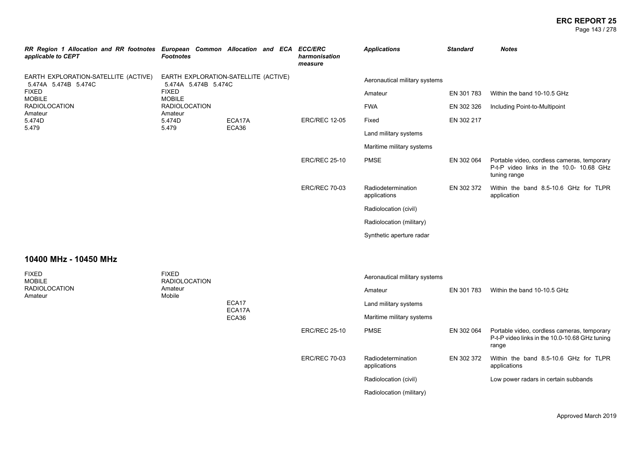### **ERC REPORT 25** Page 143 / 278

| RR Region 1 Allocation and RR footnotes European Common Allocation and ECA ECC/ERC<br>applicable to CEPT                     | <b>Footnotes</b>                |  |                      | harmonisation<br>measure           | <b>Applications</b>           | <b>Standard</b>                                                                                         | <b>Notes</b>                  |
|------------------------------------------------------------------------------------------------------------------------------|---------------------------------|--|----------------------|------------------------------------|-------------------------------|---------------------------------------------------------------------------------------------------------|-------------------------------|
| EARTH EXPLORATION-SATELLITE (ACTIVE)<br>EARTH EXPLORATION-SATELLITE (ACTIVE)<br>5.474A 5.474B 5.474C<br>5.474A 5.474B 5.474C |                                 |  |                      |                                    | Aeronautical military systems |                                                                                                         |                               |
| <b>FIXED</b><br><b>MOBILE</b>                                                                                                | <b>FIXED</b><br><b>MOBILE</b>   |  |                      |                                    | Amateur                       | EN 301 783                                                                                              | Within the band 10-10.5 GHz   |
| <b>RADIOLOCATION</b><br>Amateur                                                                                              | <b>RADIOLOCATION</b><br>Amateur |  |                      |                                    | <b>FWA</b>                    | EN 302 326                                                                                              | Including Point-to-Multipoint |
| 5.474D<br>5.474D<br>5.479<br>5.479                                                                                           | ECA17A                          |  | <b>ERC/REC 12-05</b> | Fixed                              | EN 302 217                    |                                                                                                         |                               |
|                                                                                                                              | ECA36                           |  |                      | Land military systems              |                               |                                                                                                         |                               |
|                                                                                                                              |                                 |  |                      | Maritime military systems          |                               |                                                                                                         |                               |
|                                                                                                                              |                                 |  | <b>ERC/REC 25-10</b> | <b>PMSE</b>                        | EN 302 064                    | Portable video, cordless cameras, temporary<br>P-t-P video links in the 10.0- 10.68 GHz<br>tuning range |                               |
|                                                                                                                              |                                 |  | <b>ERC/REC 70-03</b> | Radiodetermination<br>applications | EN 302 372                    | Within the band 8.5-10.6 GHz for TLPR<br>application                                                    |                               |
|                                                                                                                              |                                 |  |                      |                                    | Radiolocation (civil)         |                                                                                                         |                               |
|                                                                                                                              |                                 |  |                      |                                    | Radiolocation (military)      |                                                                                                         |                               |
|                                                                                                                              |                                 |  |                      |                                    | Synthetic aperture radar      |                                                                                                         |                               |

### **10400 MHz - 10450 MHz**

| <b>FIXED</b><br><b>MOBILE</b><br><b>RADIOLOCATION</b><br>Amateur | <b>FIXED</b><br><b>RADIOLOCATION</b> |                          |                      | Aeronautical military systems      |            |                                                                                                        |  |
|------------------------------------------------------------------|--------------------------------------|--------------------------|----------------------|------------------------------------|------------|--------------------------------------------------------------------------------------------------------|--|
|                                                                  | Amateur<br>Mobile                    | ECA17<br>ECA17A<br>ECA36 |                      | Amateur                            | EN 301 783 | Within the band 10-10.5 GHz                                                                            |  |
|                                                                  |                                      |                          |                      | Land military systems              |            |                                                                                                        |  |
|                                                                  |                                      |                          |                      | Maritime military systems          |            |                                                                                                        |  |
|                                                                  |                                      |                          | <b>ERC/REC 25-10</b> | <b>PMSE</b>                        | EN 302 064 | Portable video, cordless cameras, temporary<br>P-t-P video links in the 10.0-10.68 GHz tuning<br>range |  |
|                                                                  |                                      |                          | <b>ERC/REC 70-03</b> | Radiodetermination<br>applications | EN 302 372 | Within the band 8.5-10.6 GHz for TLPR<br>applications                                                  |  |
|                                                                  |                                      |                          |                      | Radiolocation (civil)              |            | Low power radars in certain subbands                                                                   |  |
|                                                                  |                                      |                          |                      | Radiolocation (military)           |            |                                                                                                        |  |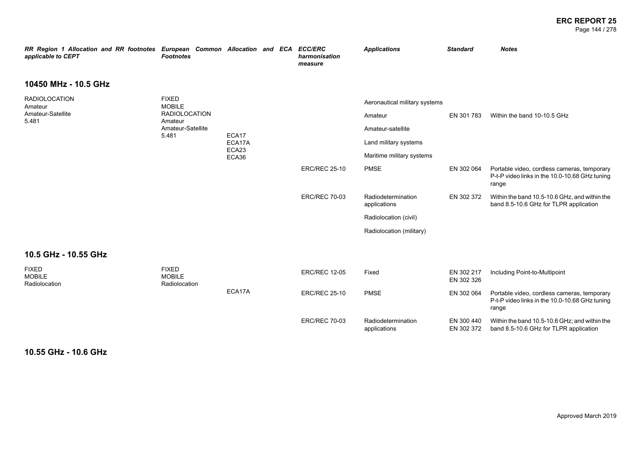### **ERC REPORT 25** Page 144 / 278

| RR Region 1 Allocation and RR footnotes European Common Allocation and ECA<br>applicable to CEPT | <b>Footnotes</b>                               |                                   |  |                       | <b>ECC/ERC</b><br>harmonisation<br>measure | <b>Applications</b>                | <b>Standard</b>             | <b>Notes</b>                                                                                           |
|--------------------------------------------------------------------------------------------------|------------------------------------------------|-----------------------------------|--|-----------------------|--------------------------------------------|------------------------------------|-----------------------------|--------------------------------------------------------------------------------------------------------|
| 10450 MHz - 10.5 GHz                                                                             |                                                |                                   |  |                       |                                            |                                    |                             |                                                                                                        |
| <b>RADIOLOCATION</b><br>Amateur                                                                  | <b>FIXED</b><br><b>MOBILE</b>                  |                                   |  |                       |                                            | Aeronautical military systems      |                             |                                                                                                        |
| Amateur-Satellite<br>5.481                                                                       | <b>RADIOLOCATION</b><br>Amateur                | ECA17<br>ECA17A<br>ECA23<br>ECA36 |  |                       | Amateur                                    | EN 301 783                         | Within the band 10-10.5 GHz |                                                                                                        |
|                                                                                                  | Amateur-Satellite<br>5.481                     |                                   |  | Amateur-satellite     |                                            |                                    |                             |                                                                                                        |
|                                                                                                  |                                                |                                   |  | Land military systems |                                            |                                    |                             |                                                                                                        |
|                                                                                                  |                                                |                                   |  |                       |                                            | Maritime military systems          |                             |                                                                                                        |
|                                                                                                  |                                                |                                   |  |                       | <b>ERC/REC 25-10</b>                       | <b>PMSE</b>                        | EN 302 064                  | Portable video, cordless cameras, temporary<br>P-t-P video links in the 10.0-10.68 GHz tuning<br>range |
|                                                                                                  |                                                |                                   |  |                       | <b>ERC/REC 70-03</b>                       | Radiodetermination<br>applications | EN 302 372                  | Within the band 10.5-10.6 GHz, and within the<br>band 8.5-10.6 GHz for TLPR application                |
|                                                                                                  |                                                |                                   |  |                       |                                            | Radiolocation (civil)              |                             |                                                                                                        |
|                                                                                                  |                                                |                                   |  |                       |                                            | Radiolocation (military)           |                             |                                                                                                        |
| 10.5 GHz - 10.55 GHz                                                                             |                                                |                                   |  |                       |                                            |                                    |                             |                                                                                                        |
| <b>FIXED</b><br><b>MOBILE</b><br>Radiolocation                                                   | <b>FIXED</b><br><b>MOBILE</b><br>Radiolocation |                                   |  |                       | <b>ERC/REC 12-05</b>                       | Fixed                              | EN 302 217<br>EN 302 326    | Including Point-to-Multipoint                                                                          |
|                                                                                                  |                                                | ECA17A                            |  |                       | <b>ERC/REC 25-10</b>                       | <b>PMSE</b>                        | EN 302 064                  | Portable video, cordless cameras, temporary<br>P-t-P video links in the 10.0-10.68 GHz tuning<br>range |
|                                                                                                  |                                                |                                   |  |                       | <b>ERC/REC 70-03</b>                       | Radiodetermination<br>applications | EN 300 440<br>EN 302 372    | Within the band 10.5-10.6 GHz; and within the<br>band 8.5-10.6 GHz for TLPR application                |

**10.55 GHz - 10.6 GHz**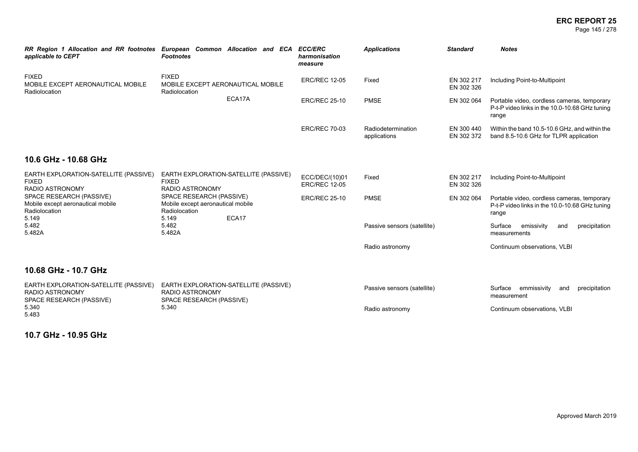#### **ERC REPORT 25** Page 145 / 278

| RR Region 1 Allocation and RR footnotes European Common Allocation and ECA<br>applicable to CEPT | <b>Footnotes</b>                                                                            | <b>ECC/ERC</b><br>harmonisation<br>measure | <b>Applications</b>                | <b>Standard</b>          | <b>Notes</b>                                                                                           |
|--------------------------------------------------------------------------------------------------|---------------------------------------------------------------------------------------------|--------------------------------------------|------------------------------------|--------------------------|--------------------------------------------------------------------------------------------------------|
| <b>FIXED</b><br>MOBILE EXCEPT AERONAUTICAL MOBILE<br>Radiolocation                               | <b>FIXED</b><br>MOBILE EXCEPT AERONAUTICAL MOBILE<br>Radiolocation                          | <b>ERC/REC 12-05</b>                       | Fixed                              | EN 302 217<br>EN 302 326 | Including Point-to-Multipoint                                                                          |
|                                                                                                  | ECA17A                                                                                      | <b>ERC/REC 25-10</b>                       | <b>PMSE</b>                        | EN 302 064               | Portable video, cordless cameras, temporary<br>P-t-P video links in the 10.0-10.68 GHz tuning<br>range |
|                                                                                                  |                                                                                             | <b>ERC/REC 70-03</b>                       | Radiodetermination<br>applications | EN 300 440<br>EN 302 372 | Within the band 10.5-10.6 GHz, and within the<br>band 8.5-10.6 GHz for TLPR application                |
| 10.6 GHz - 10.68 GHz                                                                             |                                                                                             |                                            |                                    |                          |                                                                                                        |
| EARTH EXPLORATION-SATELLITE (PASSIVE)<br><b>FIXED</b><br><b>FIXED</b><br><b>RADIO ASTRONOMY</b>  | EARTH EXPLORATION-SATELLITE (PASSIVE)<br><b>RADIO ASTRONOMY</b>                             | ECC/DEC/(10)01<br><b>ERC/REC 12-05</b>     | Fixed                              | EN 302 217<br>EN 302 326 | Including Point-to-Multipoint                                                                          |
| SPACE RESEARCH (PASSIVE)<br>Mobile except aeronautical mobile<br>Radiolocation                   | SPACE RESEARCH (PASSIVE)<br>Mobile except aeronautical mobile<br>Radiolocation              | <b>ERC/REC 25-10</b>                       | <b>PMSE</b>                        | EN 302 064               | Portable video, cordless cameras, temporary<br>P-t-P video links in the 10.0-10.68 GHz tuning<br>range |
| 5.149<br>5.482<br>5.482A                                                                         | ECA17<br>5.149<br>5.482<br>5.482A                                                           |                                            | Passive sensors (satellite)        |                          | Surface<br>emissivity<br>precipitation<br>and<br>measurements                                          |
|                                                                                                  |                                                                                             |                                            | Radio astronomy                    |                          | Continuum observations, VLBI                                                                           |
| 10.68 GHz - 10.7 GHz                                                                             |                                                                                             |                                            |                                    |                          |                                                                                                        |
| EARTH EXPLORATION-SATELLITE (PASSIVE)<br><b>RADIO ASTRONOMY</b><br>SPACE RESEARCH (PASSIVE)      | EARTH EXPLORATION-SATELLITE (PASSIVE)<br><b>RADIO ASTRONOMY</b><br>SPACE RESEARCH (PASSIVE) |                                            | Passive sensors (satellite)        |                          | Surface<br>emmissivity<br>precipitation<br>and<br>measurement                                          |
| 5.340<br>5.340<br>5.483                                                                          |                                                                                             |                                            | Radio astronomy                    |                          | Continuum observations, VLBI                                                                           |

**10.7 GHz - 10.95 GHz**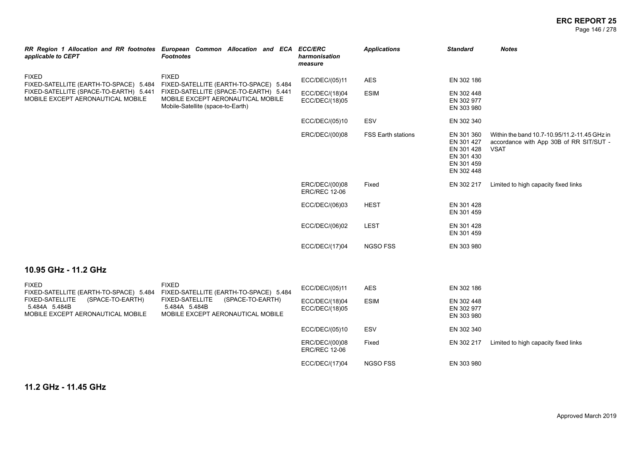#### **ERC REPORT 25** Page 146 / 278

| applicable to CEPT                                                                                                                    | RR Region 1 Allocation and RR footnotes European Common Allocation and ECA ECC/ERC<br><b>Footnotes</b>                                                                     | harmonisation<br>measure               | <b>Applications</b>       | <b>Standard</b>                                                                  | <b>Notes</b>                                                                                           |
|---------------------------------------------------------------------------------------------------------------------------------------|----------------------------------------------------------------------------------------------------------------------------------------------------------------------------|----------------------------------------|---------------------------|----------------------------------------------------------------------------------|--------------------------------------------------------------------------------------------------------|
| <b>FIXED</b><br>FIXED-SATELLITE (EARTH-TO-SPACE) 5.484<br>FIXED-SATELLITE (SPACE-TO-EARTH) 5.441<br>MOBILE EXCEPT AERONAUTICAL MOBILE | <b>FIXED</b><br>FIXED-SATELLITE (EARTH-TO-SPACE) 5.484<br>FIXED-SATELLITE (SPACE-TO-EARTH) 5.441<br>MOBILE EXCEPT AERONAUTICAL MOBILE<br>Mobile-Satellite (space-to-Earth) | ECC/DEC/(05)11                         | <b>AES</b>                | EN 302 186                                                                       |                                                                                                        |
|                                                                                                                                       |                                                                                                                                                                            | ECC/DEC/(18)04<br>ECC/DEC/(18)05       | <b>ESIM</b>               | EN 302 448<br>EN 302 977<br>EN 303 980                                           |                                                                                                        |
|                                                                                                                                       |                                                                                                                                                                            | ECC/DEC/(05)10                         | ESV                       | EN 302 340                                                                       |                                                                                                        |
|                                                                                                                                       |                                                                                                                                                                            | ERC/DEC/(00)08                         | <b>FSS Earth stations</b> | EN 301 360<br>EN 301 427<br>EN 301 428<br>EN 301 430<br>EN 301 459<br>EN 302 448 | Within the band 10.7-10.95/11.2-11.45 GHz in<br>accordance with App 30B of RR SIT/SUT -<br><b>VSAT</b> |
|                                                                                                                                       |                                                                                                                                                                            | ERC/DEC/(00)08<br><b>ERC/REC 12-06</b> | Fixed                     | EN 302 217                                                                       | Limited to high capacity fixed links                                                                   |
|                                                                                                                                       |                                                                                                                                                                            | ECC/DEC/(06)03                         | <b>HEST</b>               | EN 301 428<br>EN 301 459                                                         |                                                                                                        |
|                                                                                                                                       |                                                                                                                                                                            | ECC/DEC/(06)02                         | <b>LEST</b>               | EN 301 428<br>EN 301 459                                                         |                                                                                                        |
|                                                                                                                                       |                                                                                                                                                                            | ECC/DEC/(17)04                         | <b>NGSO FSS</b>           | EN 303 980                                                                       |                                                                                                        |
| 10.95 GHz - 11.2 GHz                                                                                                                  |                                                                                                                                                                            |                                        |                           |                                                                                  |                                                                                                        |
| <b>FIXED</b><br>FIXED-SATELLITE (EARTH-TO-SPACE) 5.484                                                                                | <b>FIXED</b><br>FIXED-SATELLITE (EARTH-TO-SPACE) 5.484                                                                                                                     | ECC/DEC/(05)11                         | <b>AES</b>                | EN 302 186                                                                       |                                                                                                        |
| (SPACE-TO-EARTH)<br><b>FIXED-SATELLITE</b><br>5.484A 5.484B<br>MOBILE EXCEPT AERONAUTICAL MOBILE                                      | <b>FIXED-SATELLITE</b><br>(SPACE-TO-EARTH)<br>5.484A 5.484B<br>MOBILE EXCEPT AERONAUTICAL MOBILE                                                                           | ECC/DEC/(18)04<br>ECC/DEC/(18)05       | <b>ESIM</b>               | EN 302 448<br>EN 302 977<br>EN 303 980                                           |                                                                                                        |
|                                                                                                                                       |                                                                                                                                                                            | ECC/DEC/(05)10                         | ESV                       | EN 302 340                                                                       |                                                                                                        |
|                                                                                                                                       |                                                                                                                                                                            | ERC/DEC/(00)08<br><b>ERC/REC 12-06</b> | Fixed                     | EN 302 217                                                                       | Limited to high capacity fixed links                                                                   |
|                                                                                                                                       |                                                                                                                                                                            | ECC/DEC/(17)04                         | <b>NGSO FSS</b>           | EN 303 980                                                                       |                                                                                                        |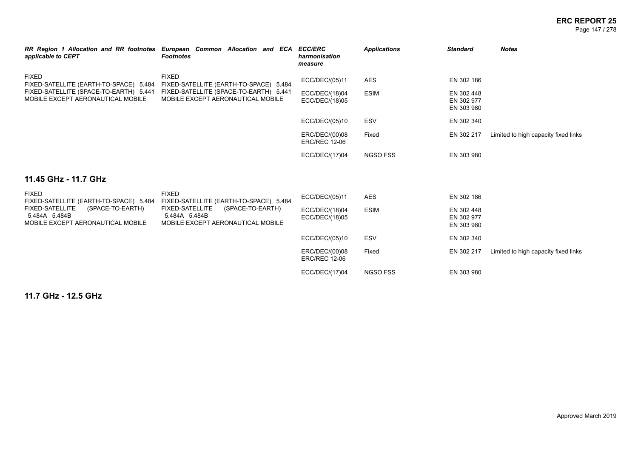| applicable to CEPT                                                                               | RR Region 1 Allocation and RR footnotes European Common Allocation and ECA<br><b>Footnotes</b>   | <b>ECC/ERC</b><br>harmonisation<br>measure | <b>Applications</b> | <b>Standard</b>                        | <b>Notes</b>                         |
|--------------------------------------------------------------------------------------------------|--------------------------------------------------------------------------------------------------|--------------------------------------------|---------------------|----------------------------------------|--------------------------------------|
| <b>FIXED</b><br>FIXED-SATELLITE (EARTH-TO-SPACE) 5.484                                           | <b>FIXED</b><br>FIXED-SATELLITE (EARTH-TO-SPACE) 5.484                                           | ECC/DEC/(05)11                             | <b>AES</b>          | EN 302 186                             |                                      |
| FIXED-SATELLITE (SPACE-TO-EARTH) 5.441<br>MOBILE EXCEPT AERONAUTICAL MOBILE                      | FIXED-SATELLITE (SPACE-TO-EARTH) 5.441<br>MOBILE EXCEPT AERONAUTICAL MOBILE                      | ECC/DEC/(18)04<br>ECC/DEC/(18)05           | <b>ESIM</b>         | EN 302 448<br>EN 302 977<br>EN 303 980 |                                      |
|                                                                                                  |                                                                                                  | ECC/DEC/(05)10                             | <b>ESV</b>          | EN 302 340                             |                                      |
|                                                                                                  |                                                                                                  | ERC/DEC/(00)08<br><b>ERC/REC 12-06</b>     | Fixed               | EN 302 217                             | Limited to high capacity fixed links |
|                                                                                                  |                                                                                                  | ECC/DEC/(17)04                             | <b>NGSO FSS</b>     | EN 303 980                             |                                      |
| 11.45 GHz - 11.7 GHz                                                                             |                                                                                                  |                                            |                     |                                        |                                      |
| <b>FIXED</b><br>FIXED-SATELLITE (EARTH-TO-SPACE) 5.484                                           | <b>FIXED</b><br>FIXED-SATELLITE (EARTH-TO-SPACE) 5.484                                           | ECC/DEC/(05)11                             | <b>AES</b>          | EN 302 186                             |                                      |
| <b>FIXED-SATELLITE</b><br>(SPACE-TO-EARTH)<br>5.484A 5.484B<br>MOBILE EXCEPT AERONAUTICAL MOBILE | <b>FIXED-SATELLITE</b><br>(SPACE-TO-EARTH)<br>5.484A 5.484B<br>MOBILE EXCEPT AERONAUTICAL MOBILE | ECC/DEC/(18)04<br>ECC/DEC/(18)05           | <b>ESIM</b>         | EN 302 448<br>EN 302 977<br>EN 303 980 |                                      |
|                                                                                                  |                                                                                                  | ECC/DEC/(05)10                             | <b>ESV</b>          | EN 302 340                             |                                      |
|                                                                                                  |                                                                                                  | ERC/DEC/(00)08<br><b>ERC/REC 12-06</b>     | Fixed               | EN 302 217                             | Limited to high capacity fixed links |
|                                                                                                  |                                                                                                  | ECC/DEC/(17)04                             | <b>NGSO FSS</b>     | EN 303 980                             |                                      |

**11.7 GHz - 12.5 GHz**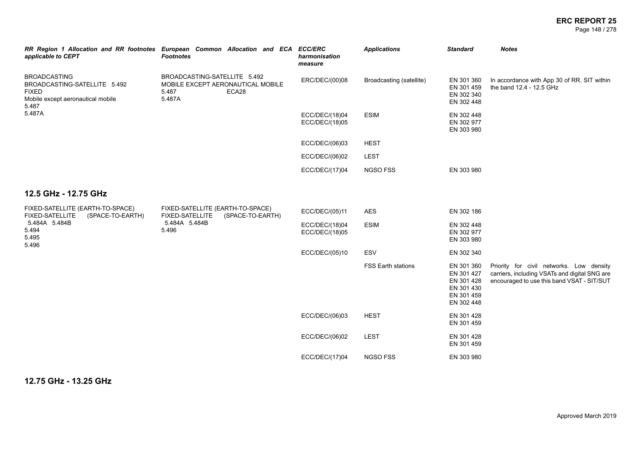Page 148 / 278

| applicable to CEPT                                                                                                | RR Region 1 Allocation and RR footnotes European Common Allocation and ECA ECC/ERC<br><b>Footnotes</b> | harmonisation<br>measure         | <b>Applications</b>       | <b>Standard</b>                                                                  | <b>Notes</b>                                                                                                                            |
|-------------------------------------------------------------------------------------------------------------------|--------------------------------------------------------------------------------------------------------|----------------------------------|---------------------------|----------------------------------------------------------------------------------|-----------------------------------------------------------------------------------------------------------------------------------------|
| <b>BROADCASTING</b><br>BROADCASTING-SATELLITE 5.492<br><b>FIXED</b><br>Mobile except aeronautical mobile<br>5.487 | BROADCASTING-SATELLITE 5.492<br>MOBILE EXCEPT AERONAUTICAL MOBILE<br>ECA28<br>5.487<br>5.487A          | ERC/DEC/(00)08                   | Broadcasting (satellite)  | EN 301 360<br>EN 301 459<br>EN 302 340<br>EN 302 448                             | In accordance with App 30 of RR. SIT within<br>the band 12.4 - 12.5 GHz                                                                 |
| 5.487A                                                                                                            |                                                                                                        | ECC/DEC/(18)04<br>ECC/DEC/(18)05 | <b>ESIM</b>               | EN 302 448<br>EN 302 977<br>EN 303 980                                           |                                                                                                                                         |
|                                                                                                                   |                                                                                                        | ECC/DEC/(06)03                   | <b>HEST</b>               |                                                                                  |                                                                                                                                         |
|                                                                                                                   |                                                                                                        | ECC/DEC/(06)02                   | <b>LEST</b>               |                                                                                  |                                                                                                                                         |
|                                                                                                                   |                                                                                                        | ECC/DEC/(17)04                   | NGSO FSS                  | EN 303 980                                                                       |                                                                                                                                         |
| 12.5 GHz - 12.75 GHz                                                                                              |                                                                                                        |                                  |                           |                                                                                  |                                                                                                                                         |
| FIXED-SATELLITE (EARTH-TO-SPACE)<br>(SPACE-TO-EARTH)<br><b>FIXED-SATELLITE</b>                                    | FIXED-SATELLITE (EARTH-TO-SPACE)<br><b>FIXED-SATELLITE</b><br>(SPACE-TO-EARTH)                         | ECC/DEC/(05)11                   | <b>AES</b>                | EN 302 186                                                                       |                                                                                                                                         |
| 5.484A 5.484B<br>5.494<br>5.495<br>5.496                                                                          | 5.484A 5.484B<br>5.496                                                                                 | ECC/DEC/(18)04<br>ECC/DEC/(18)05 | <b>ESIM</b>               | EN 302 448<br>EN 302 977<br>EN 303 980                                           |                                                                                                                                         |
|                                                                                                                   |                                                                                                        | ECC/DEC/(05)10                   | ESV                       | EN 302 340                                                                       |                                                                                                                                         |
|                                                                                                                   |                                                                                                        |                                  | <b>FSS Earth stations</b> | EN 301 360<br>EN 301 427<br>EN 301 428<br>EN 301 430<br>EN 301 459<br>EN 302 448 | Priority for civil networks. Low density<br>carriers, including VSATs and digital SNG are<br>encouraged to use this band VSAT - SIT/SUT |
|                                                                                                                   |                                                                                                        | ECC/DEC/(06)03                   | <b>HEST</b>               | EN 301 428<br>EN 301 459                                                         |                                                                                                                                         |
|                                                                                                                   |                                                                                                        | ECC/DEC/(06)02                   | <b>LEST</b>               | EN 301 428<br>EN 301 459                                                         |                                                                                                                                         |
|                                                                                                                   |                                                                                                        | ECC/DEC/(17)04                   | NGSO FSS                  | EN 303 980                                                                       |                                                                                                                                         |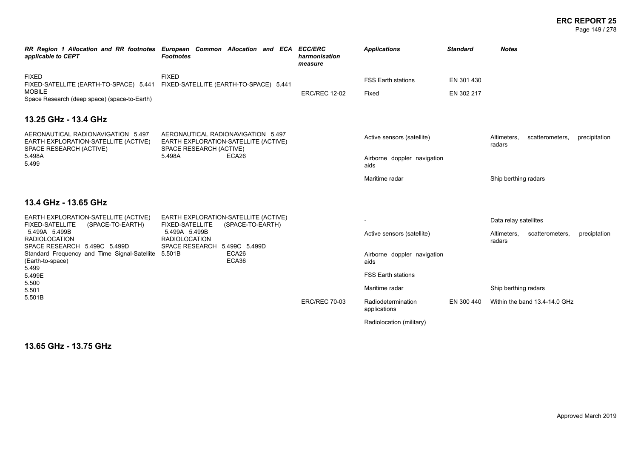#### **ERC REPORT 25** Page 149 / 278

*RR Region 1 Allocation and RR footnotes European Common Allocation and ECA ECC/ERC applicable to CEPT Footnotes harmonisation measure Applications Standard Notes* FIXED FIXED-SATELLITE (EARTH-TO-SPACE) 5.441 MOBILE Space Research (deep space) (space-to-Earth) FIXED FIXED-SATELLITE (EARTH-TO-SPACE) 5.441 FSS Earth stations EN 301 430 ERC/REC 12-02 Fixed EN 302 217 **13.25 GHz - 13.4 GHz** AERONAUTICAL RADIONAVIGATION 5.497 EARTH EXPLORATION-SATELLITE (ACTIVE) SPACE RESEARCH (ACTIVE) 5.498A 5.499 AERONAUTICAL RADIONAVIGATION 5.497 EARTH EXPLORATION-SATELLITE (ACTIVE) SPACE RESEARCH (ACTIVE)<br>5 498A FCA26 FCA26 Active sensors (satellite) Altimeters, scatterometers, precipitation radars Airborne doppler navigation aids Maritime radar National Ship berthing radars **13.4 GHz - 13.65 GHz** EARTH EXPLORATION-SATELLITE (ACTIVE) FIXED-SATELLITE (SPACE-TO-EARTH) 5.499A 5.499B RADIOLOCATION SPACE RESEARCH 5.499C 5.499D Standard Frequency and Time Signal-Satellite 5.501B ECA26 (Earth-to-space) 5.499 5.499E 5.500 5.501 5.501B EARTH EXPLORATION-SATELLITE (ACTIVE) FIXED-SATELLITE (SPACE-TO-EARTH) 5.499A 5.499B RADIOLOCATION SPACE RESEARCH 5.499C 5.499D ECA36 - Data relay satellites Active sensors (satellite) and Altimeters, scatterometers, preciptation radars Airborne doppler navigation aids FSS Earth stations Maritime radar **National Ship berthing radars** Ship berthing radars ERC/REC 70-03 Radiodetermination applications EN 300 440 Within the band 13.4-14.0 GHz Radiolocation (military)

**13.65 GHz - 13.75 GHz**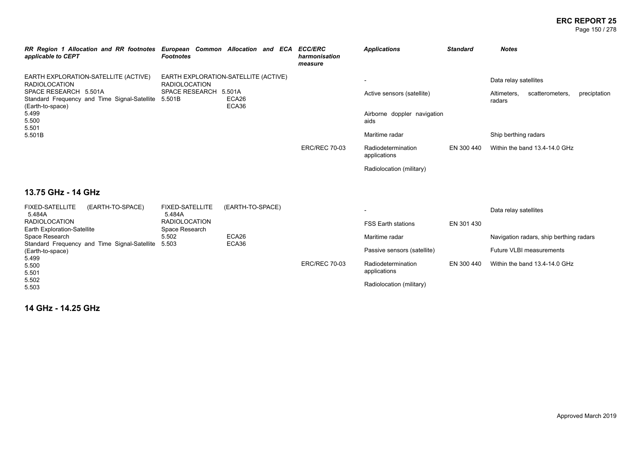#### **ERC REPORT 25** Page 150 / 278

| RR Region 1 Allocation and RR footnotes European Common Allocation and ECA ECC/ERC<br>applicable to CEPT | <b>Footnotes</b>                                             |                          |  | harmonisation<br>measure | <b>Applications</b>                 | <b>Standard</b> | <b>Notes</b>          |                               |              |
|----------------------------------------------------------------------------------------------------------|--------------------------------------------------------------|--------------------------|--|--------------------------|-------------------------------------|-----------------|-----------------------|-------------------------------|--------------|
| EARTH EXPLORATION-SATELLITE (ACTIVE)<br><b>RADIOLOCATION</b>                                             | EARTH EXPLORATION-SATELLITE (ACTIVE)<br><b>RADIOLOCATION</b> |                          |  |                          |                                     |                 | Data relay satellites |                               |              |
| SPACE RESEARCH 5.501A<br>Standard Frequency and Time Signal-Satellite 5.501B<br>(Earth-to-space)         | <b>SPACE RESEARCH</b>                                        | 5.501A<br>ECA26<br>ECA36 |  |                          | Active sensors (satellite)          |                 | Altimeters,<br>radars | scatterometers,               | preciptation |
| 5.499<br>5.500                                                                                           |                                                              |                          |  |                          | Airborne doppler navigation<br>aids |                 |                       |                               |              |
| 5.501<br>5.501B                                                                                          |                                                              |                          |  |                          | Maritime radar                      |                 | Ship berthing radars  |                               |              |
|                                                                                                          |                                                              |                          |  | <b>ERC/REC 70-03</b>     | Radiodetermination<br>applications  | EN 300 440      |                       | Within the band 13.4-14.0 GHz |              |
|                                                                                                          |                                                              |                          |  |                          | Radiolocation (military)            |                 |                       |                               |              |

## **13.75 GHz - 14 GHz**

| <b>FIXED-SATELLITE</b>             | (EARTH-TO-SPACE)                                   | <b>FIXED-SATELLITE</b> | (EARTH-TO-SPACE) |                      | $\overline{\phantom{a}}$    |            | Data relay satellites                   |
|------------------------------------|----------------------------------------------------|------------------------|------------------|----------------------|-----------------------------|------------|-----------------------------------------|
| 5.484A                             |                                                    | 5.484A                 |                  |                      |                             |            |                                         |
| RADIOLOCATION                      |                                                    | <b>RADIOLOCATION</b>   |                  |                      | <b>FSS Earth stations</b>   | EN 301 430 |                                         |
| <b>Earth Exploration-Satellite</b> |                                                    | Space Research         |                  |                      |                             |            |                                         |
| Space Research                     |                                                    | 5.502                  | ECA26            |                      | Maritime radar              |            | Navigation radars, ship berthing radars |
|                                    | Standard Frequency and Time Signal-Satellite 5.503 |                        | ECA36            |                      |                             |            |                                         |
| (Earth-to-space)                   |                                                    |                        |                  |                      | Passive sensors (satellite) |            | Future VLBI measurements                |
| 5.499                              |                                                    |                        |                  |                      |                             |            |                                         |
| 5.500                              |                                                    |                        |                  | <b>ERC/REC 70-03</b> | Radiodetermination          | EN 300 440 | Within the band 13.4-14.0 GHz           |
| 5.501                              |                                                    |                        |                  |                      | applications                |            |                                         |
| 5.502                              |                                                    |                        |                  |                      |                             |            |                                         |
| 5.503                              |                                                    |                        |                  |                      | Radiolocation (military)    |            |                                         |

**14 GHz - 14.25 GHz**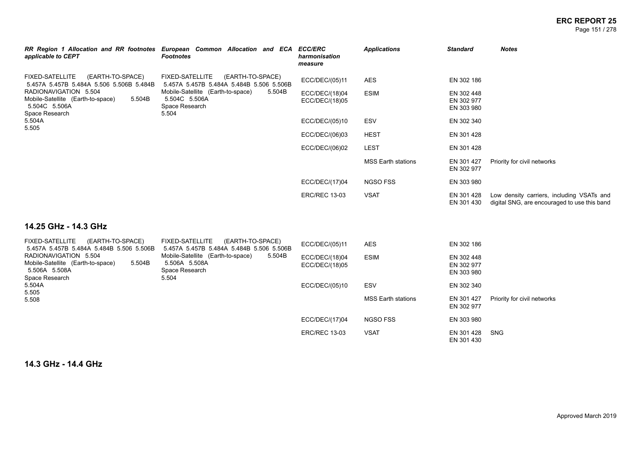#### **ERC REPORT 25** Page 151 / 278

| applicable to CEPT                                                                                                                                                                                                   | RR Region 1 Allocation and RR footnotes European Common Allocation and ECA<br><b>Footnotes</b>                                                                           | <b>ECC/ERC</b><br>harmonisation<br>measure         | <b>Applications</b>        | <b>Standard</b>                                      | <b>Notes</b>                                                                              |
|----------------------------------------------------------------------------------------------------------------------------------------------------------------------------------------------------------------------|--------------------------------------------------------------------------------------------------------------------------------------------------------------------------|----------------------------------------------------|----------------------------|------------------------------------------------------|-------------------------------------------------------------------------------------------|
| <b>FIXED-SATELLITE</b><br>(EARTH-TO-SPACE)<br>5.457A 5.457B 5.484A 5.506 5.506B 5.484B<br>RADIONAVIGATION 5.504<br>Mobile-Satellite (Earth-to-space)<br>5.504B<br>5.504C 5.506A<br>Space Research<br>5.504A<br>5.505 | <b>FIXED-SATELLITE</b><br>(EARTH-TO-SPACE)<br>5.457A 5.457B 5.484A 5.484B 5.506 5.506B<br>5.504B<br>Mobile-Satellite (Earth-to-space)<br>5.504C 5.506A<br>Space Research | ECC/DEC/(05)11<br>ECC/DEC/(18)04<br>ECC/DEC/(18)05 | AES<br><b>ESIM</b>         | EN 302 186<br>EN 302 448<br>EN 302 977<br>EN 303 980 |                                                                                           |
|                                                                                                                                                                                                                      | 5.504                                                                                                                                                                    | ECC/DEC/(05)10                                     | ESV                        | EN 302 340                                           |                                                                                           |
|                                                                                                                                                                                                                      |                                                                                                                                                                          | ECC/DEC/(06)03                                     | <b>HEST</b><br><b>LEST</b> | EN 301 428<br>EN 301 428                             |                                                                                           |
|                                                                                                                                                                                                                      |                                                                                                                                                                          | ECC/DEC/(06)02                                     | <b>MSS Earth stations</b>  | EN 301 427<br>EN 302 977                             | Priority for civil networks                                                               |
|                                                                                                                                                                                                                      |                                                                                                                                                                          | ECC/DEC/(17)04                                     | <b>NGSO FSS</b>            | EN 303 980                                           |                                                                                           |
|                                                                                                                                                                                                                      |                                                                                                                                                                          | <b>ERC/REC 13-03</b>                               | <b>VSAT</b>                | EN 301 428<br>EN 301 430                             | Low density carriers, including VSATs and<br>digital SNG, are encouraged to use this band |

### **14.25 GHz - 14.3 GHz**

| FIXED-SATELLITE<br>(EARTH-TO-SPACE)<br>5.457A 5.457B 5.484A 5.484B 5.506 5.506B                         | FIXED-SATELLITE<br>(EARTH-TO-SPACE)<br>5.457A 5.457B 5.484A 5.484B 5.506 5.506B         | ECC/DEC/(05)11                   | <b>AES</b>                | EN 302 186                             |                             |
|---------------------------------------------------------------------------------------------------------|-----------------------------------------------------------------------------------------|----------------------------------|---------------------------|----------------------------------------|-----------------------------|
| RADIONAVIGATION 5.504<br>Mobile-Satellite (Earth-to-space)<br>5.504B<br>5.506A 5.508A<br>Space Research | Mobile-Satellite (Earth-to-space)<br>5.504B<br>5.506A 5.508A<br>Space Research<br>5.504 | ECC/DEC/(18)04<br>ECC/DEC/(18)05 | <b>ESIM</b>               | EN 302 448<br>EN 302 977<br>EN 303 980 |                             |
| 5.504A                                                                                                  |                                                                                         | ECC/DEC/(05)10                   | <b>ESV</b>                | EN 302 340                             |                             |
| 5.505<br>5.508                                                                                          |                                                                                         |                                  | <b>MSS Earth stations</b> | EN 301 427<br>EN 302 977               | Priority for civil networks |
|                                                                                                         |                                                                                         | ECC/DEC/(17)04                   | <b>NGSO FSS</b>           | EN 303 980                             |                             |
|                                                                                                         |                                                                                         | <b>ERC/REC 13-03</b>             | <b>VSAT</b>               | EN 301 428<br>EN 301 430               | <b>SNG</b>                  |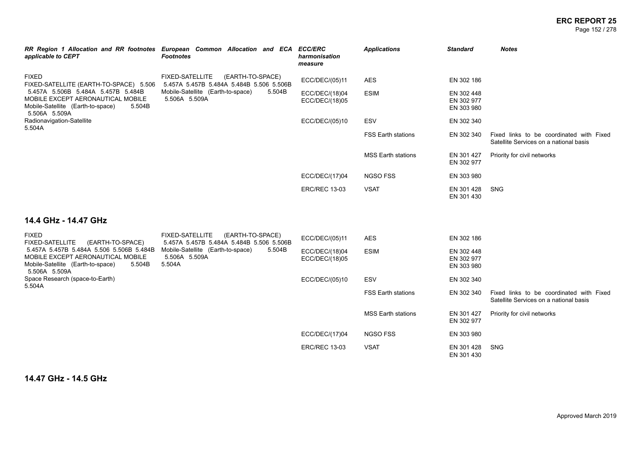#### **ERC REPORT 25** Page 152 / 278

| RR Region 1 Allocation and RR footnotes<br>applicable to CEPT                                                                                                                                     | European Common Allocation and ECA ECC/ERC<br>Footnotes                                | harmonisation<br>measure         | <b>Applications</b>       | <b>Standard</b>                        | <b>Notes</b>                                                                       |
|---------------------------------------------------------------------------------------------------------------------------------------------------------------------------------------------------|----------------------------------------------------------------------------------------|----------------------------------|---------------------------|----------------------------------------|------------------------------------------------------------------------------------|
| <b>FIXED</b><br>FIXED-SATELLITE (EARTH-TO-SPACE) 5.506<br>5.457A 5.506B 5.484A 5.457B 5.484B<br>MOBILE EXCEPT AERONAUTICAL MOBILE<br>Mobile-Satellite (Earth-to-space)<br>5.504B<br>5.506A 5.509A | (EARTH-TO-SPACE)<br><b>FIXED-SATELLITE</b><br>5.457A 5.457B 5.484A 5.484B 5.506 5.506B | ECC/DEC/(05)11                   | AES                       | EN 302 186                             |                                                                                    |
|                                                                                                                                                                                                   | 5.504B<br>Mobile-Satellite (Earth-to-space)<br>5.506A 5.509A                           | ECC/DEC/(18)04<br>ECC/DEC/(18)05 | <b>ESIM</b>               | EN 302 448<br>EN 302 977<br>EN 303 980 |                                                                                    |
| Radionavigation-Satellite                                                                                                                                                                         |                                                                                        | ECC/DEC/(05)10                   | ESV                       | EN 302 340                             |                                                                                    |
| 5.504A                                                                                                                                                                                            |                                                                                        |                                  | <b>FSS Earth stations</b> | EN 302 340                             | Fixed links to be coordinated with Fixed<br>Satellite Services on a national basis |
|                                                                                                                                                                                                   |                                                                                        |                                  | <b>MSS Earth stations</b> | EN 301 427<br>EN 302 977               | Priority for civil networks                                                        |
|                                                                                                                                                                                                   |                                                                                        | ECC/DEC/(17)04                   | NGSO FSS                  | EN 303 980                             |                                                                                    |
|                                                                                                                                                                                                   |                                                                                        | <b>ERC/REC 13-03</b>             | <b>VSAT</b>               | EN 301 428<br>EN 301 430               | SNG                                                                                |

# **14.4 GHz - 14.47 GHz**

| <b>FIXED</b><br><b>FIXED-SATELLITE</b><br>(EARTH-TO-SPACE)                                                                                    | (EARTH-TO-SPACE)<br><b>FIXED-SATELLITE</b><br>5.457A 5.457B 5.484A 5.484B 5.506 5.506B | ECC/DEC/(05)11                   | <b>AES</b>                | EN 302 186                             |                                                                                    |
|-----------------------------------------------------------------------------------------------------------------------------------------------|----------------------------------------------------------------------------------------|----------------------------------|---------------------------|----------------------------------------|------------------------------------------------------------------------------------|
| 5.457A 5.457B 5.484A 5.506 5.506B 5.484B<br>MOBILE EXCEPT AERONAUTICAL MOBILE<br>Mobile-Satellite (Earth-to-space)<br>5.504B<br>5.506A 5.509A | Mobile-Satellite (Earth-to-space)<br>5.504B<br>5.506A 5.509A<br>5.504A                 | ECC/DEC/(18)04<br>ECC/DEC/(18)05 | <b>ESIM</b>               | EN 302 448<br>EN 302 977<br>EN 303 980 |                                                                                    |
| Space Research (space-to-Earth)<br>5.504A                                                                                                     |                                                                                        | ECC/DEC/(05)10                   | <b>ESV</b>                | EN 302 340                             |                                                                                    |
|                                                                                                                                               |                                                                                        |                                  | <b>FSS Earth stations</b> | EN 302 340                             | Fixed links to be coordinated with Fixed<br>Satellite Services on a national basis |
|                                                                                                                                               |                                                                                        |                                  | MSS Earth stations        | EN 301 427<br>EN 302 977               | Priority for civil networks                                                        |
|                                                                                                                                               |                                                                                        | ECC/DEC/(17)04                   | <b>NGSO FSS</b>           | EN 303 980                             |                                                                                    |
|                                                                                                                                               |                                                                                        | <b>ERC/REC 13-03</b>             | <b>VSAT</b>               | EN 301 428<br>EN 301 430               | SNG                                                                                |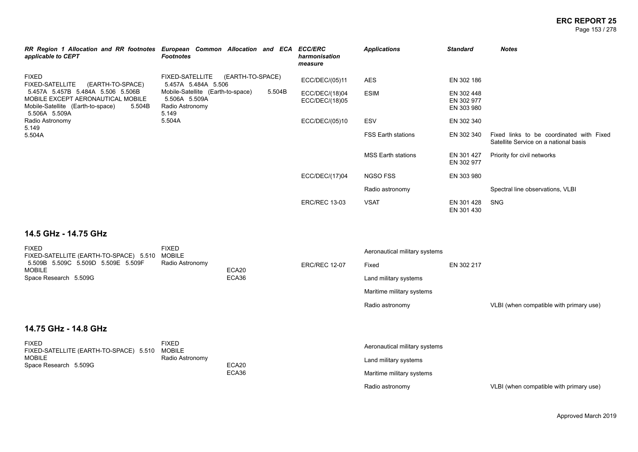Page 153 / 278

| RR Region 1 Allocation and RR footnotes European Common Allocation and ECA<br>applicable to CEPT                                       | <b>Footnotes</b>                                                               |                  |        | <b>ECC/ERC</b><br>harmonisation<br>measure | <b>Applications</b>           | <b>Standard</b>                        | <b>Notes</b>                                                                      |
|----------------------------------------------------------------------------------------------------------------------------------------|--------------------------------------------------------------------------------|------------------|--------|--------------------------------------------|-------------------------------|----------------------------------------|-----------------------------------------------------------------------------------|
| <b>FIXED</b><br><b>FIXED-SATELLITE</b><br>(EARTH-TO-SPACE)                                                                             | <b>FIXED-SATELLITE</b><br>5.457A 5.484A 5.506                                  | (EARTH-TO-SPACE) |        | ECC/DEC/(05)11                             | <b>AES</b>                    | EN 302 186                             |                                                                                   |
| 5.457A 5.457B 5.484A 5.506 5.506B<br>MOBILE EXCEPT AERONAUTICAL MOBILE<br>Mobile-Satellite (Earth-to-space)<br>5.504B<br>5.506A 5.509A | Mobile-Satellite (Earth-to-space)<br>5.506A 5.509A<br>Radio Astronomy<br>5.149 |                  | 5.504B | ECC/DEC/(18)04<br>ECC/DEC/(18)05           | <b>ESIM</b>                   | EN 302 448<br>EN 302 977<br>EN 303 980 |                                                                                   |
| Radio Astronomy                                                                                                                        | 5.504A                                                                         |                  |        | ECC/DEC/(05)10                             | <b>ESV</b>                    | EN 302 340                             |                                                                                   |
| 5.149<br>5.504A                                                                                                                        |                                                                                |                  |        |                                            | <b>FSS Earth stations</b>     | EN 302 340                             | Fixed links to be coordinated with Fixed<br>Satellite Service on a national basis |
|                                                                                                                                        |                                                                                |                  |        |                                            | <b>MSS Earth stations</b>     | EN 301 427<br>EN 302 977               | Priority for civil networks                                                       |
|                                                                                                                                        |                                                                                |                  |        | ECC/DEC/(17)04                             | <b>NGSO FSS</b>               | EN 303 980                             |                                                                                   |
|                                                                                                                                        |                                                                                |                  |        |                                            | Radio astronomy               |                                        | Spectral line observations, VLBI                                                  |
|                                                                                                                                        |                                                                                |                  |        | <b>ERC/REC 13-03</b>                       | <b>VSAT</b>                   | EN 301 428<br>EN 301 430               | <b>SNG</b>                                                                        |
| 14.5 GHz - 14.75 GHz                                                                                                                   |                                                                                |                  |        |                                            |                               |                                        |                                                                                   |
| <b>FIXED</b><br>FIXED-SATELLITE (EARTH-TO-SPACE) 5.510                                                                                 | <b>FIXED</b><br><b>MOBILE</b>                                                  |                  |        |                                            | Aeronautical military systems |                                        |                                                                                   |
| 5.509B 5.509C 5.509D 5.509E 5.509F<br><b>MOBILE</b>                                                                                    | Radio Astronomy                                                                | ECA20            |        | <b>ERC/REC 12-07</b>                       | Fixed                         | EN 302 217                             |                                                                                   |

### **14.75 GHz - 14.8 GHz**

Space Research 5.509G

| <b>FIXED</b>                                  | ⊡XEL            | Aeronautical military systems |
|-----------------------------------------------|-----------------|-------------------------------|
| FIXED-SATELLITE (EARTH-TO-SPACE) 5.510 MOBILE |                 |                               |
| <b>MOBILE</b>                                 | Radio Astronomy | Land military systems         |
| Space Research 5.509G                         | ECA20           |                               |
|                                               | ECA36           | Maritime military systems     |
|                                               |                 |                               |

ECA36

Land military systems Maritime military systems

Radio astronomy VLBI (when compatible with primary use)

Radio astronomy VLBI (when compatible with primary use)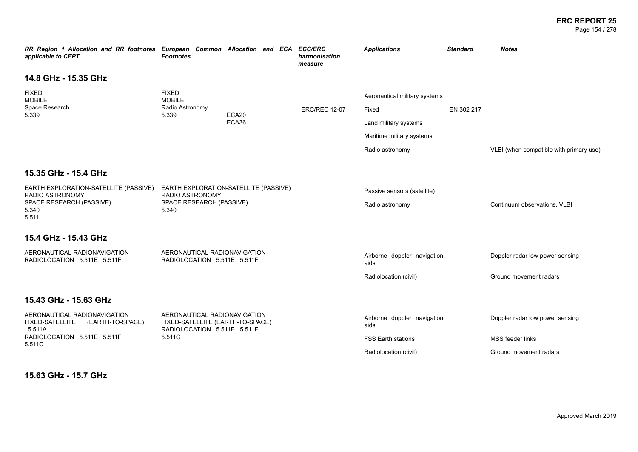Page 154 / 278

| RR Region 1 Allocation and RR footnotes European Common Allocation and ECA ECC/ERC<br>applicable to CEPT | <b>Footnotes</b>                                                                                |       |                      |       | harmonisation<br>measure    | <b>Applications</b>                 | <b>Standard</b>              | <b>Notes</b>                            |
|----------------------------------------------------------------------------------------------------------|-------------------------------------------------------------------------------------------------|-------|----------------------|-------|-----------------------------|-------------------------------------|------------------------------|-----------------------------------------|
| 14.8 GHz - 15.35 GHz                                                                                     |                                                                                                 |       |                      |       |                             |                                     |                              |                                         |
| <b>FIXED</b><br><b>MOBILE</b>                                                                            | <b>FIXED</b><br><b>MOBILE</b>                                                                   |       |                      |       |                             | Aeronautical military systems       |                              |                                         |
| Space Research<br>5.339                                                                                  | Radio Astronomy<br>5.339                                                                        | ECA20 | <b>ERC/REC 12-07</b> | Fixed | EN 302 217                  |                                     |                              |                                         |
|                                                                                                          |                                                                                                 | ECA36 |                      |       | Land military systems       |                                     |                              |                                         |
|                                                                                                          |                                                                                                 |       |                      |       |                             | Maritime military systems           |                              |                                         |
|                                                                                                          |                                                                                                 |       |                      |       |                             | Radio astronomy                     |                              | VLBI (when compatible with primary use) |
| 15.35 GHz - 15.4 GHz                                                                                     |                                                                                                 |       |                      |       |                             |                                     |                              |                                         |
| EARTH EXPLORATION-SATELLITE (PASSIVE)<br>EARTH EXPLORATION-SATELLITE (PASSIVE)                           |                                                                                                 |       |                      |       | Passive sensors (satellite) |                                     |                              |                                         |
| RADIO ASTRONOMY<br>SPACE RESEARCH (PASSIVE)<br>5.340<br>5.511                                            | <b>RADIO ASTRONOMY</b><br>SPACE RESEARCH (PASSIVE)<br>5.340                                     |       |                      |       | Radio astronomy             |                                     | Continuum observations, VLBI |                                         |
| 15.4 GHz - 15.43 GHz                                                                                     |                                                                                                 |       |                      |       |                             |                                     |                              |                                         |
| AERONAUTICAL RADIONAVIGATION<br>RADIOLOCATION 5.511E 5.511F                                              | AERONAUTICAL RADIONAVIGATION<br>RADIOLOCATION 5.511E 5.511F                                     |       |                      |       |                             | Airborne doppler navigation<br>aids |                              | Doppler radar low power sensing         |
|                                                                                                          |                                                                                                 |       |                      |       |                             | Radiolocation (civil)               |                              | Ground movement radars                  |
| 15.43 GHz - 15.63 GHz                                                                                    |                                                                                                 |       |                      |       |                             |                                     |                              |                                         |
| AERONAUTICAL RADIONAVIGATION<br>FIXED-SATELLITE (EARTH-TO-SPACE)<br>5.511A                               | AERONAUTICAL RADIONAVIGATION<br>FIXED-SATELLITE (EARTH-TO-SPACE)<br>RADIOLOCATION 5.511E 5.511F |       |                      |       |                             | Airborne doppler navigation<br>aids |                              | Doppler radar low power sensing         |
| RADIOLOCATION 5.511E 5.511F<br>5.511C                                                                    | 5.511C                                                                                          |       |                      |       |                             | <b>FSS Earth stations</b>           |                              | MSS feeder links                        |
|                                                                                                          |                                                                                                 |       |                      |       |                             | Radiolocation (civil)               |                              | Ground movement radars                  |
| 15.63 GHz - 15.7 GHz                                                                                     |                                                                                                 |       |                      |       |                             |                                     |                              |                                         |

**15.63 GHz - 15.7 GHz**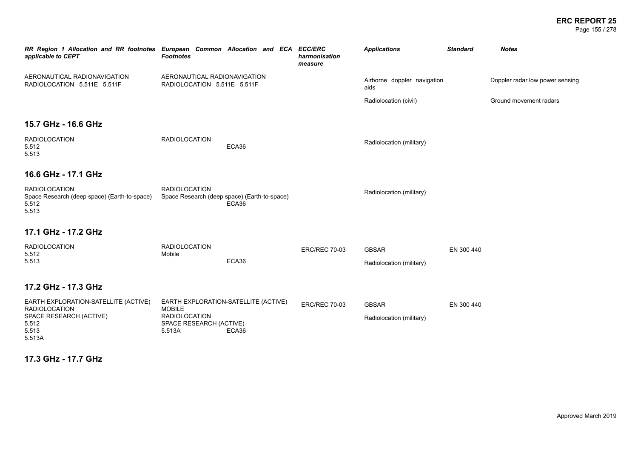#### **ERC REPORT 25** Page 155 / 278

| RR Region 1 Allocation and RR footnotes European Common Allocation and ECA<br>applicable to CEPT                    | <b>Footnotes</b>                                                           |                                                       | <b>ECC/ERC</b><br>harmonisation<br>measure | <b>Applications</b>                      | <b>Standard</b> | <b>Notes</b>                    |
|---------------------------------------------------------------------------------------------------------------------|----------------------------------------------------------------------------|-------------------------------------------------------|--------------------------------------------|------------------------------------------|-----------------|---------------------------------|
| AERONAUTICAL RADIONAVIGATION<br>RADIOLOCATION 5.511E 5.511F                                                         | AERONAUTICAL RADIONAVIGATION<br>RADIOLOCATION 5.511E 5.511F                |                                                       |                                            | Airborne doppler navigation<br>aids      |                 | Doppler radar low power sensing |
|                                                                                                                     |                                                                            |                                                       |                                            | Radiolocation (civil)                    |                 | Ground movement radars          |
| 15.7 GHz - 16.6 GHz                                                                                                 |                                                                            |                                                       |                                            |                                          |                 |                                 |
| <b>RADIOLOCATION</b><br>5.512<br>5.513                                                                              | <b>RADIOLOCATION</b>                                                       | ECA36                                                 |                                            | Radiolocation (military)                 |                 |                                 |
| 16.6 GHz - 17.1 GHz                                                                                                 |                                                                            |                                                       |                                            |                                          |                 |                                 |
| <b>RADIOLOCATION</b><br>Space Research (deep space) (Earth-to-space)<br>5.512<br>5.513                              | <b>RADIOLOCATION</b>                                                       | Space Research (deep space) (Earth-to-space)<br>ECA36 |                                            | Radiolocation (military)                 |                 |                                 |
| 17.1 GHz - 17.2 GHz                                                                                                 |                                                                            |                                                       |                                            |                                          |                 |                                 |
| <b>RADIOLOCATION</b><br>5.512<br>5.513                                                                              | <b>RADIOLOCATION</b><br>Mobile                                             | ECA36                                                 | <b>ERC/REC 70-03</b>                       | <b>GBSAR</b><br>Radiolocation (military) | EN 300 440      |                                 |
| 17.2 GHz - 17.3 GHz                                                                                                 |                                                                            |                                                       |                                            |                                          |                 |                                 |
| EARTH EXPLORATION-SATELLITE (ACTIVE)<br><b>RADIOLOCATION</b><br>SPACE RESEARCH (ACTIVE)<br>5.512<br>5.513<br>5.513A | <b>MOBILE</b><br><b>RADIOLOCATION</b><br>SPACE RESEARCH (ACTIVE)<br>5.513A | EARTH EXPLORATION-SATELLITE (ACTIVE)<br>ECA36         | <b>ERC/REC 70-03</b>                       | <b>GBSAR</b><br>Radiolocation (military) | EN 300 440      |                                 |

## **17.3 GHz - 17.7 GHz**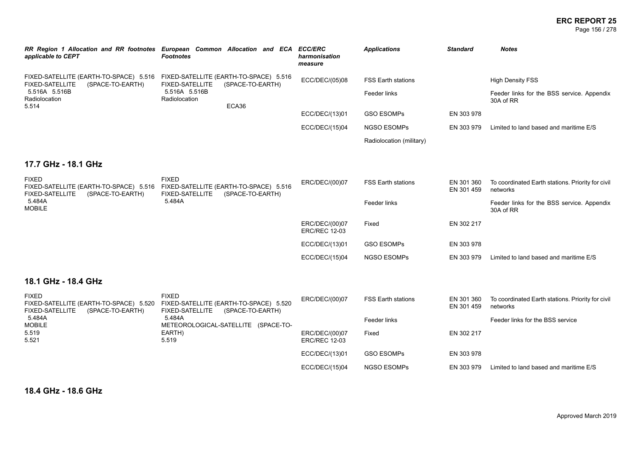#### **ERC REPORT 25** Page 156 / 278

| applicable to CEPT                                                                                                                                                     | RR Region 1 Allocation and RR footnotes European Common Allocation and ECA<br><b>Footnotes</b>                              | <b>ECC/ERC</b><br>harmonisation<br>measure | <b>Applications</b>       | <b>Standard</b>          | <b>Notes</b>                                                  |
|------------------------------------------------------------------------------------------------------------------------------------------------------------------------|-----------------------------------------------------------------------------------------------------------------------------|--------------------------------------------|---------------------------|--------------------------|---------------------------------------------------------------|
| <b>FIXED-SATELLITE</b><br>(SPACE-TO-EARTH)                                                                                                                             | FIXED-SATELLITE (EARTH-TO-SPACE) 5.516 FIXED-SATELLITE (EARTH-TO-SPACE) 5.516<br><b>FIXED-SATELLITE</b><br>(SPACE-TO-EARTH) | ECC/DEC/(05)08                             | <b>FSS Earth stations</b> |                          | <b>High Density FSS</b>                                       |
| 5.516A 5.516B<br>Radiolocation<br>5.514                                                                                                                                | 5.516A 5.516B<br>Radiolocation<br>ECA36                                                                                     |                                            | Feeder links              |                          | Feeder links for the BSS service. Appendix<br>30A of RR       |
|                                                                                                                                                                        |                                                                                                                             | ECC/DEC/(13)01                             | <b>GSO ESOMPs</b>         | EN 303 978               |                                                               |
|                                                                                                                                                                        |                                                                                                                             | ECC/DEC/(15)04                             | <b>NGSO ESOMPs</b>        | EN 303 979               | Limited to land based and maritime E/S                        |
|                                                                                                                                                                        |                                                                                                                             |                                            | Radiolocation (military)  |                          |                                                               |
| 17.7 GHz - 18.1 GHz                                                                                                                                                    |                                                                                                                             |                                            |                           |                          |                                                               |
| <b>FIXED</b><br>FIXED-SATELLITE (EARTH-TO-SPACE) 5.516 FIXED-SATELLITE (EARTH-TO-SPACE) 5.516<br><b>FIXED-SATELLITE</b><br>(SPACE-TO-EARTH)<br>5.484A<br><b>MOBILE</b> | <b>FIXED</b><br><b>FIXED-SATELLITE</b><br>(SPACE-TO-EARTH)                                                                  | ERC/DEC/(00)07                             | <b>FSS Earth stations</b> | EN 301 360<br>EN 301 459 | To coordinated Earth stations. Priority for civil<br>networks |
|                                                                                                                                                                        | 5.484A                                                                                                                      |                                            | Feeder links              |                          | Feeder links for the BSS service. Appendix<br>30A of RR       |
|                                                                                                                                                                        |                                                                                                                             | ERC/DEC/(00)07<br><b>ERC/REC 12-03</b>     | Fixed                     | EN 302 217               |                                                               |
|                                                                                                                                                                        |                                                                                                                             | ECC/DEC/(13)01                             | <b>GSO ESOMPs</b>         | EN 303 978               |                                                               |
|                                                                                                                                                                        |                                                                                                                             | ECC/DEC/(15)04                             | <b>NGSO ESOMPs</b>        | EN 303 979               | Limited to land based and maritime E/S                        |
| 18.1 GHz - 18.4 GHz                                                                                                                                                    |                                                                                                                             |                                            |                           |                          |                                                               |
| <b>FIXED</b><br>FIXED-SATELLITE (EARTH-TO-SPACE) 5.520<br><b>FIXED-SATELLITE</b><br>(SPACE-TO-EARTH)                                                                   | <b>FIXED</b><br>FIXED-SATELLITE (EARTH-TO-SPACE) 5.520<br><b>FIXED-SATELLITE</b><br>(SPACE-TO-EARTH)                        | ERC/DEC/(00)07                             | <b>FSS Earth stations</b> | EN 301 360<br>EN 301 459 | To coordinated Earth stations. Priority for civil<br>networks |
| 5.484A<br><b>MOBILE</b>                                                                                                                                                | 5.484A<br>METEOROLOGICAL-SATELLITE (SPACE-TO-                                                                               |                                            | Feeder links              |                          | Feeder links for the BSS service                              |
| 5.519<br>5.521                                                                                                                                                         | EARTH)<br>5.519                                                                                                             | ERC/DEC/(00)07<br><b>ERC/REC 12-03</b>     | Fixed                     | EN 302 217               |                                                               |
|                                                                                                                                                                        |                                                                                                                             | ECC/DEC/(13)01                             | <b>GSO ESOMPS</b>         | EN 303 978               |                                                               |
|                                                                                                                                                                        |                                                                                                                             | ECC/DEC/(15)04                             | <b>NGSO ESOMPS</b>        | EN 303 979               | Limited to land based and maritime E/S                        |

**18.4 GHz - 18.6 GHz**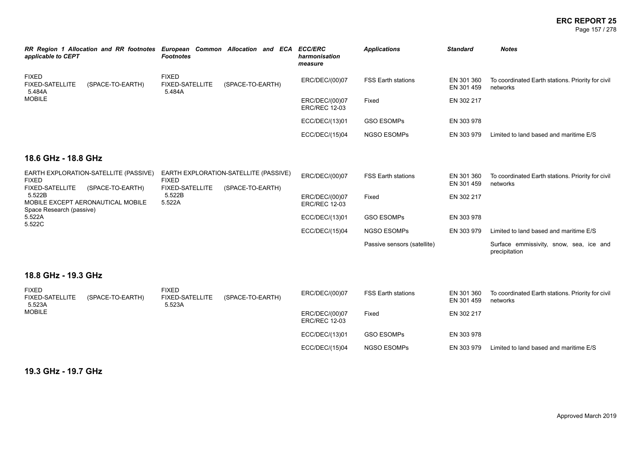Page 157 / 278

| applicable to CEPT                               | RR Region 1 Allocation and RR footnotes European Common Allocation and ECA | Footnotes                                        |                  | <b>ECC/ERC</b><br>harmonisation<br>measure | <b>Applications</b>       | <b>Standard</b>          | <b>Notes</b>                                                  |
|--------------------------------------------------|----------------------------------------------------------------------------|--------------------------------------------------|------------------|--------------------------------------------|---------------------------|--------------------------|---------------------------------------------------------------|
| <b>FIXED</b><br><b>FIXED-SATELLITE</b><br>5.484A | (SPACE-TO-EARTH)                                                           | <b>FIXED</b><br><b>FIXED-SATELLITE</b><br>5.484A | (SPACE-TO-EARTH) | ERC/DEC/(00)07                             | <b>FSS Earth stations</b> | EN 301 360<br>EN 301 459 | To coordinated Earth stations. Priority for civil<br>networks |
| MOBILE                                           |                                                                            |                                                  |                  | ERC/DEC/(00)07<br><b>ERC/REC 12-03</b>     | Fixed                     | EN 302 217               |                                                               |
|                                                  |                                                                            |                                                  |                  | ECC/DEC/(13)01                             | <b>GSO ESOMPS</b>         | EN 303 978               |                                                               |
|                                                  |                                                                            |                                                  |                  | ECC/DEC/(15)04                             | <b>NGSO ESOMPS</b>        | EN 303 979               | Limited to land based and maritime E/S                        |

## **18.6 GHz - 18.8 GHz**

| EARTH EXPLORATION-SATELLITE (PASSIVE)<br><b>FIXED</b>                                                                                                                         | <b>FIXED</b>     | EARTH EXPLORATION-SATELLITE (PASSIVE)  | ERC/DEC/(00)07 | <b>FSS Earth stations</b>   | EN 301 360<br>EN 301 459 | To coordinated Earth stations. Priority for civil<br>networks |
|-------------------------------------------------------------------------------------------------------------------------------------------------------------------------------|------------------|----------------------------------------|----------------|-----------------------------|--------------------------|---------------------------------------------------------------|
| <b>FIXED-SATELLITE</b><br><b>FIXED-SATELLITE</b><br>(SPACE-TO-EARTH)<br>5.522B<br>5.522B<br>MOBILE EXCEPT AERONAUTICAL MOBILE<br>5.522A<br>Space Research (passive)<br>5.522A | (SPACE-TO-EARTH) | ERC/DEC/(00)07<br><b>ERC/REC 12-03</b> | Fixed          | EN 302 217                  |                          |                                                               |
|                                                                                                                                                                               |                  |                                        | ECC/DEC/(13)01 | <b>GSO ESOMPS</b>           | EN 303 978               |                                                               |
| 5.522C                                                                                                                                                                        |                  |                                        | ECC/DEC/(15)04 | <b>NGSO ESOMPS</b>          | EN 303 979               | Limited to land based and maritime E/S                        |
|                                                                                                                                                                               |                  |                                        |                | Passive sensors (satellite) |                          | Surface emmissivity, snow, sea, ice and<br>precipitation      |

## **18.8 GHz - 19.3 GHz**

| <b>FIXED</b><br><b>FIXED-SATELLITE</b><br>5.523A | (SPACE-TO-EARTH) | FIXED<br><b>FIXED-SATELLITE</b><br>5.523A | (SPACE-TO-EARTH) | ERC/DEC/(00)07                         | <b>FSS Earth stations</b> | EN 301 360<br>EN 301 459 | To coordinated Earth stations. Priority for civil<br>networks |
|--------------------------------------------------|------------------|-------------------------------------------|------------------|----------------------------------------|---------------------------|--------------------------|---------------------------------------------------------------|
| <b>MOBILE</b>                                    |                  |                                           |                  | ERC/DEC/(00)07<br><b>ERC/REC 12-03</b> | Fixed                     | EN 302 217               |                                                               |
|                                                  |                  |                                           |                  | ECC/DEC/(13)01                         | <b>GSO ESOMPs</b>         | EN 303 978               |                                                               |
|                                                  |                  |                                           |                  | ECC/DEC/(15)04                         | <b>NGSO ESOMPS</b>        | EN 303 979               | Limited to land based and maritime E/S                        |

**19.3 GHz - 19.7 GHz**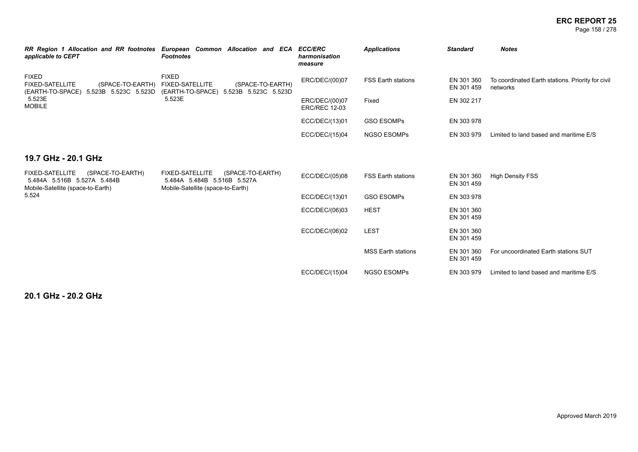Page 158 / 278

| applicable to CEPT                                                                                             | RR Region 1 Allocation and RR footnotes European Common Allocation and ECA<br><b>Footnotes</b>                 | <b>ECC/ERC</b><br>harmonisation<br>measure | <b>Applications</b>       | <b>Standard</b>          | <b>Notes</b>                                                  |
|----------------------------------------------------------------------------------------------------------------|----------------------------------------------------------------------------------------------------------------|--------------------------------------------|---------------------------|--------------------------|---------------------------------------------------------------|
| <b>FIXED</b><br><b>FIXED-SATELLITE</b><br>(SPACE-TO-EARTH)<br>(EARTH-TO-SPACE) 5.523B 5.523C 5.523D            | <b>FIXED</b><br><b>FIXED-SATELLITE</b><br>(SPACE-TO-EARTH)<br>(EARTH-TO-SPACE)<br>5.523B 5.523C 5.523D         | ERC/DEC/(00)07                             | <b>FSS Earth stations</b> | EN 301 360<br>EN 301 459 | To coordinated Earth stations. Priority for civil<br>networks |
| 5.523E<br><b>MOBILE</b>                                                                                        | 5.523E                                                                                                         | ERC/DEC/(00)07<br><b>ERC/REC 12-03</b>     | Fixed                     | EN 302 217               |                                                               |
|                                                                                                                |                                                                                                                | ECC/DEC/(13)01                             | <b>GSO ESOMPs</b>         | EN 303 978               |                                                               |
|                                                                                                                |                                                                                                                | ECC/DEC/(15)04                             | <b>NGSO ESOMPS</b>        | EN 303 979               | Limited to land based and maritime E/S                        |
| 19.7 GHz - 20.1 GHz                                                                                            |                                                                                                                |                                            |                           |                          |                                                               |
| <b>FIXED-SATELLITE</b><br>(SPACE-TO-EARTH)<br>5.484A 5.516B 5.527A 5.484B<br>Mobile-Satellite (space-to-Earth) | <b>FIXED-SATELLITE</b><br>(SPACE-TO-EARTH)<br>5.484A 5.484B 5.516B 5.527A<br>Mobile-Satellite (space-to-Earth) | ECC/DEC/(05)08                             | <b>FSS Earth stations</b> | EN 301 360<br>EN 301 459 | <b>High Density FSS</b>                                       |
| 5.524                                                                                                          |                                                                                                                | ECC/DEC/(13)01                             | <b>GSO ESOMPs</b>         | EN 303 978               |                                                               |
|                                                                                                                |                                                                                                                | ECC/DEC/(06)03                             | <b>HEST</b>               | EN 301 360<br>EN 301 459 |                                                               |
|                                                                                                                |                                                                                                                | ECC/DEC/(06)02                             | <b>LEST</b>               | EN 301 360<br>EN 301 459 |                                                               |
|                                                                                                                |                                                                                                                |                                            | <b>MSS Earth stations</b> | EN 301 360<br>EN 301 459 | For uncoordinated Earth stations SUT                          |
|                                                                                                                |                                                                                                                | ECC/DEC/(15)04                             | <b>NGSO ESOMPS</b>        | EN 303 979               | Limited to land based and maritime E/S                        |

**20.1 GHz - 20.2 GHz**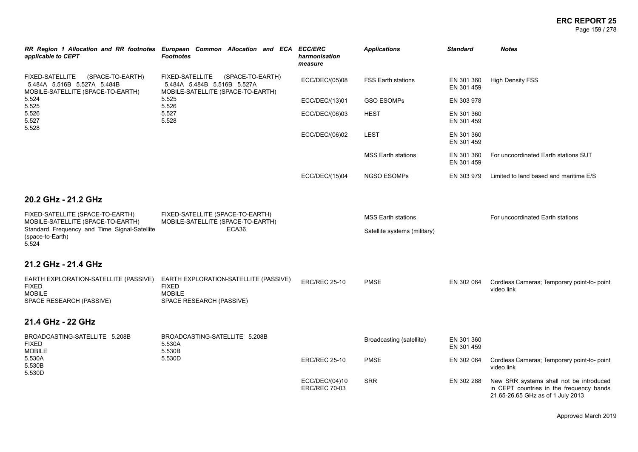| applicable to CEPT                                                                                                                                 | RR Region 1 Allocation and RR footnotes European Common Allocation and ECA ECC/ERC<br><b>Footnotes</b>  | harmonisation<br>measure               | <b>Applications</b>          | <b>Standard</b>          | <b>Notes</b>                                                                                                             |
|----------------------------------------------------------------------------------------------------------------------------------------------------|---------------------------------------------------------------------------------------------------------|----------------------------------------|------------------------------|--------------------------|--------------------------------------------------------------------------------------------------------------------------|
| <b>FIXED-SATELLITE</b><br>(SPACE-TO-EARTH)<br>5.484A 5.516B 5.527A 5.484B<br>MOBILE-SATELLITE (SPACE-TO-EARTH)<br>5.524<br>5.525<br>5.526<br>5.527 | FIXED-SATELLITE<br>(SPACE-TO-EARTH)<br>5.484A 5.484B 5.516B 5.527A<br>MOBILE-SATELLITE (SPACE-TO-EARTH) | ECC/DEC/(05)08                         | <b>FSS Earth stations</b>    | EN 301 360<br>EN 301 459 | <b>High Density FSS</b>                                                                                                  |
|                                                                                                                                                    | 5.525<br>5.526                                                                                          | ECC/DEC/(13)01                         | <b>GSO ESOMPs</b>            | EN 303 978               |                                                                                                                          |
|                                                                                                                                                    | 5.527<br>5.528                                                                                          | ECC/DEC/(06)03                         | <b>HEST</b>                  | EN 301 360<br>EN 301 459 |                                                                                                                          |
| 5.528                                                                                                                                              |                                                                                                         | ECC/DEC/(06)02                         | LEST                         | EN 301 360<br>EN 301 459 |                                                                                                                          |
|                                                                                                                                                    |                                                                                                         |                                        | <b>MSS Earth stations</b>    | EN 301 360<br>EN 301 459 | For uncoordinated Earth stations SUT                                                                                     |
|                                                                                                                                                    |                                                                                                         | ECC/DEC/(15)04                         | <b>NGSO ESOMPs</b>           | EN 303 979               | Limited to land based and maritime E/S                                                                                   |
| 20.2 GHz - 21.2 GHz                                                                                                                                |                                                                                                         |                                        |                              |                          |                                                                                                                          |
| FIXED-SATELLITE (SPACE-TO-EARTH)<br>MOBILE-SATELLITE (SPACE-TO-EARTH)                                                                              | FIXED-SATELLITE (SPACE-TO-EARTH)<br>MOBILE-SATELLITE (SPACE-TO-EARTH)                                   |                                        | <b>MSS Earth stations</b>    |                          | For uncoordinated Earth stations                                                                                         |
| Standard Frequency and Time Signal-Satellite<br>(space-to-Earth)<br>5.524                                                                          | ECA36                                                                                                   |                                        | Satellite systems (military) |                          |                                                                                                                          |
| 21.2 GHz - 21.4 GHz                                                                                                                                |                                                                                                         |                                        |                              |                          |                                                                                                                          |
| EARTH EXPLORATION-SATELLITE (PASSIVE)<br><b>FIXED</b><br><b>MOBILE</b><br>SPACE RESEARCH (PASSIVE)                                                 | EARTH EXPLORATION-SATELLITE (PASSIVE)<br><b>FIXED</b><br><b>MOBILE</b><br>SPACE RESEARCH (PASSIVE)      | <b>ERC/REC 25-10</b>                   | <b>PMSE</b>                  | EN 302 064               | Cordless Cameras; Temporary point-to- point<br>video link                                                                |
| 21.4 GHz - 22 GHz                                                                                                                                  |                                                                                                         |                                        |                              |                          |                                                                                                                          |
| BROADCASTING-SATELLITE 5.208B<br><b>FIXED</b><br><b>MOBILE</b>                                                                                     | BROADCASTING-SATELLITE 5.208B<br>5.530A<br>5.530B                                                       |                                        | Broadcasting (satellite)     | EN 301 360<br>EN 301 459 |                                                                                                                          |
| 5.530A<br>5.530B<br>5.530D                                                                                                                         | 5.530D                                                                                                  | <b>ERC/REC 25-10</b>                   | <b>PMSE</b>                  | EN 302 064               | Cordless Cameras; Temporary point-to-point<br>video link                                                                 |
|                                                                                                                                                    |                                                                                                         | ECC/DEC/(04)10<br><b>ERC/REC 70-03</b> | <b>SRR</b>                   | EN 302 288               | New SRR systems shall not be introduced<br>in CEPT countries in the frequency bands<br>21.65-26.65 GHz as of 1 July 2013 |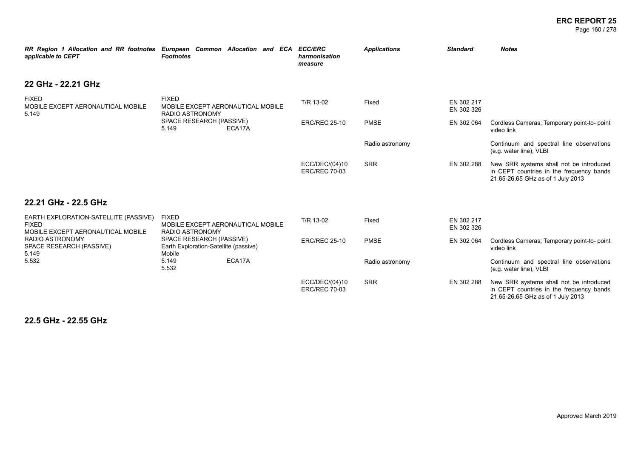#### **ERC REPORT 25** Page 160 / 278

| RR Region 1 Allocation and RR footnotes European Common Allocation and ECA ECC/ERC<br>applicable to CEPT | <b>Footnotes</b>                                                                              |        |  |  | harmonisation<br>measure               | <b>Applications</b> | <b>Standard</b>                                                     | <b>Notes</b>                                                                                                             |
|----------------------------------------------------------------------------------------------------------|-----------------------------------------------------------------------------------------------|--------|--|--|----------------------------------------|---------------------|---------------------------------------------------------------------|--------------------------------------------------------------------------------------------------------------------------|
| 22 GHz - 22.21 GHz                                                                                       |                                                                                               |        |  |  |                                        |                     |                                                                     |                                                                                                                          |
| <b>FIXED</b><br>MOBILE EXCEPT AERONAUTICAL MOBILE<br>5.149                                               | <b>FIXED</b><br>MOBILE EXCEPT AERONAUTICAL MOBILE<br>RADIO ASTRONOMY                          |        |  |  | T/R 13-02                              | Fixed               | EN 302 217<br>EN 302 326                                            |                                                                                                                          |
|                                                                                                          | SPACE RESEARCH (PASSIVE)<br>5.149                                                             | ECA17A |  |  | <b>ERC/REC 25-10</b>                   | <b>PMSE</b>         | EN 302 064                                                          | Cordless Cameras; Temporary point-to-point<br>video link                                                                 |
|                                                                                                          |                                                                                               |        |  |  |                                        | Radio astronomy     |                                                                     | Continuum and spectral line observations<br>(e.g. water line), VLBI                                                      |
|                                                                                                          |                                                                                               |        |  |  | ECC/DEC/(04)10<br><b>ERC/REC 70-03</b> | <b>SRR</b>          | EN 302 288                                                          | New SRR systems shall not be introduced<br>in CEPT countries in the frequency bands<br>21.65-26.65 GHz as of 1 July 2013 |
| 22.21 GHz - 22.5 GHz                                                                                     |                                                                                               |        |  |  |                                        |                     |                                                                     |                                                                                                                          |
| EARTH EXPLORATION-SATELLITE (PASSIVE)<br><b>FIXED</b><br>MOBILE EXCEPT AERONAUTICAL MOBILE               | <b>FIXED</b><br>MOBILE EXCEPT AERONAUTICAL MOBILE<br><b>RADIO ASTRONOMY</b>                   |        |  |  | T/R 13-02                              | Fixed               | EN 302 217<br>EN 302 326                                            |                                                                                                                          |
| <b>RADIO ASTRONOMY</b><br>SPACE RESEARCH (PASSIVE)<br>5.149<br>5.532                                     | SPACE RESEARCH (PASSIVE)<br>Earth Exploration-Satellite (passive)<br>Mobile<br>5.149<br>5.532 |        |  |  | <b>ERC/REC 25-10</b>                   | <b>PMSE</b>         | EN 302 064                                                          | Cordless Cameras; Temporary point-to-point<br>video link                                                                 |
|                                                                                                          |                                                                                               | ECA17A |  |  | Radio astronomy                        |                     | Continuum and spectral line observations<br>(e.g. water line), VLBI |                                                                                                                          |
|                                                                                                          |                                                                                               |        |  |  | ECC/DEC/(04)10<br><b>ERC/REC 70-03</b> | <b>SRR</b>          | EN 302 288                                                          | New SRR systems shall not be introduced<br>in CEPT countries in the frequency bands<br>21.65-26.65 GHz as of 1 July 2013 |

**22.5 GHz - 22.55 GHz**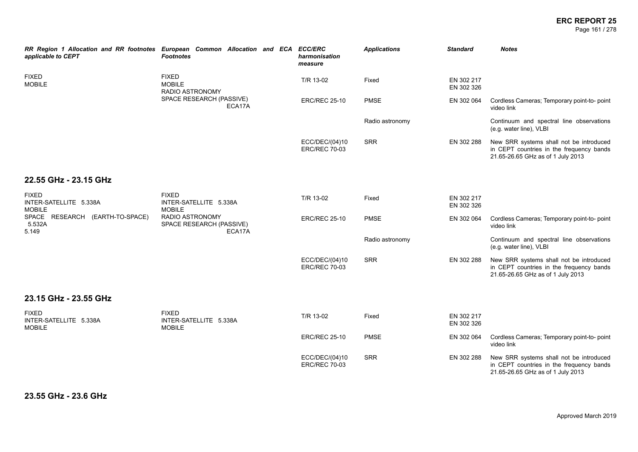#### **ERC REPORT 25** Page 161 / 278

| RR Region 1 Allocation and RR footnotes European Common Allocation and ECA ECC/ERC<br>applicable to CEPT | <b>Footnotes</b>                                        |  | harmonisation<br>measure               | <b>Applications</b> | <b>Standard</b>          | <b>Notes</b>                                                                                                             |
|----------------------------------------------------------------------------------------------------------|---------------------------------------------------------|--|----------------------------------------|---------------------|--------------------------|--------------------------------------------------------------------------------------------------------------------------|
| <b>FIXED</b><br><b>MOBILE</b>                                                                            | <b>FIXED</b><br><b>MOBILE</b><br><b>RADIO ASTRONOMY</b> |  | T/R 13-02                              | Fixed               | EN 302 217<br>EN 302 326 |                                                                                                                          |
|                                                                                                          | SPACE RESEARCH (PASSIVE)<br>ECA17A                      |  | <b>ERC/REC 25-10</b>                   | <b>PMSE</b>         | EN 302 064               | Cordless Cameras; Temporary point-to- point<br>video link                                                                |
|                                                                                                          |                                                         |  |                                        | Radio astronomy     |                          | Continuum and spectral line observations<br>(e.g. water line), VLBI                                                      |
|                                                                                                          |                                                         |  | ECC/DEC/(04)10<br><b>ERC/REC 70-03</b> | <b>SRR</b>          | EN 302 288               | New SRR systems shall not be introduced<br>in CEPT countries in the frequency bands<br>21.65-26.65 GHz as of 1 July 2013 |
| 22.55 GHz - 23.15 GHz                                                                                    |                                                         |  |                                        |                     |                          |                                                                                                                          |
| <b>FIXED</b><br>INTER-SATELLITE 5.338A<br><b>MOBILE</b>                                                  | <b>FIXED</b><br>INTER-SATELLITE 5.338A<br><b>MOBILE</b> |  | T/R 13-02                              | Fixed               | EN 302 217<br>EN 302 326 |                                                                                                                          |
| SPACE RESEARCH (EARTH-TO-SPACE)<br>5.532A<br>5.149                                                       | RADIO ASTRONOMY<br>SPACE RESEARCH (PASSIVE)<br>ECA17A   |  | <b>ERC/REC 25-10</b>                   | <b>PMSE</b>         | EN 302 064               | Cordless Cameras; Temporary point-to- point<br>video link                                                                |
|                                                                                                          |                                                         |  |                                        | Radio astronomy     |                          | Continuum and spectral line observations<br>(e.g. water line), VLBI                                                      |
|                                                                                                          |                                                         |  | ECC/DEC/(04)10<br><b>ERC/REC 70-03</b> | <b>SRR</b>          | EN 302 288               | New SRR systems shall not be introduced<br>in CEPT countries in the frequency bands<br>21.65-26.65 GHz as of 1 July 2013 |
| 23.15 GHz - 23.55 GHz                                                                                    |                                                         |  |                                        |                     |                          |                                                                                                                          |
| <b>FIXED</b><br>INTER-SATELLITE 5.338A<br><b>MOBILE</b>                                                  | <b>FIXED</b><br>INTER-SATELLITE 5.338A<br><b>MOBILE</b> |  | T/R 13-02                              | Fixed               | EN 302 217<br>EN 302 326 |                                                                                                                          |
|                                                                                                          |                                                         |  | <b>ERC/REC 25-10</b>                   | <b>PMSE</b>         | EN 302 064               | Cordless Cameras; Temporary point-to-point<br>video link                                                                 |
|                                                                                                          |                                                         |  | ECC/DEC/(04)10<br><b>ERC/REC 70-03</b> | <b>SRR</b>          | EN 302 288               | New SRR systems shall not be introduced<br>in CEPT countries in the frequency bands<br>21.65-26.65 GHz as of 1 July 2013 |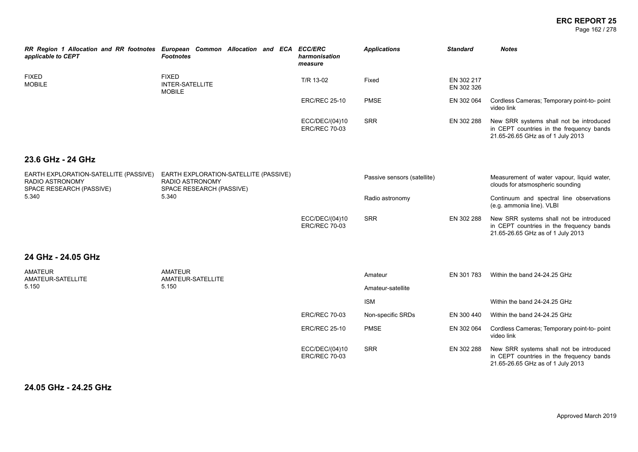#### **ERC REPORT 25** Page 162 / 278

| applicable to CEPT                                                                          | RR Region 1 Allocation and RR footnotes European Common Allocation and ECA ECC/ERC<br><b>Footnotes</b> | harmonisation<br>measure               | <b>Applications</b>          | <b>Standard</b>                                          | <b>Notes</b>                                                                                                             |
|---------------------------------------------------------------------------------------------|--------------------------------------------------------------------------------------------------------|----------------------------------------|------------------------------|----------------------------------------------------------|--------------------------------------------------------------------------------------------------------------------------|
| <b>FIXED</b><br><b>FIXED</b><br><b>MOBILE</b><br><b>INTER-SATELLITE</b><br><b>MOBILE</b>    |                                                                                                        | T/R 13-02                              | Fixed                        | EN 302 217<br>EN 302 326                                 |                                                                                                                          |
|                                                                                             | <b>ERC/REC 25-10</b>                                                                                   | <b>PMSE</b>                            | EN 302 064                   | Cordless Cameras; Temporary point-to-point<br>video link |                                                                                                                          |
|                                                                                             |                                                                                                        | ECC/DEC/(04)10<br><b>ERC/REC 70-03</b> | <b>SRR</b>                   | EN 302 288                                               | New SRR systems shall not be introduced<br>in CEPT countries in the frequency bands<br>21.65-26.65 GHz as of 1 July 2013 |
| 23.6 GHz - 24 GHz                                                                           |                                                                                                        |                                        |                              |                                                          |                                                                                                                          |
| EARTH EXPLORATION-SATELLITE (PASSIVE)<br><b>RADIO ASTRONOMY</b><br>SPACE RESEARCH (PASSIVE) | EARTH EXPLORATION-SATELLITE (PASSIVE)<br><b>RADIO ASTRONOMY</b><br>SPACE RESEARCH (PASSIVE)            |                                        | Passive sensors (satellite)  |                                                          | Measurement of water vapour, liquid water,<br>clouds for atsmospheric sounding                                           |
| 5.340                                                                                       | 5.340                                                                                                  |                                        | Radio astronomy              |                                                          | Continuum and spectral line observations<br>(e.g. ammonia line). VLBI                                                    |
|                                                                                             |                                                                                                        | ECC/DEC/(04)10<br><b>ERC/REC 70-03</b> | <b>SRR</b>                   | EN 302 288                                               | New SRR systems shall not be introduced<br>in CEPT countries in the frequency bands<br>21.65-26.65 GHz as of 1 July 2013 |
| 24 GHz - 24.05 GHz                                                                          |                                                                                                        |                                        |                              |                                                          |                                                                                                                          |
| <b>AMATEUR</b><br>AMATEUR-SATELLITE<br>5.150                                                | <b>AMATEUR</b><br>AMATEUR-SATELLITE<br>5.150                                                           |                                        | Amateur<br>Amateur-satellite | EN 301 783                                               | Within the band 24-24.25 GHz                                                                                             |
|                                                                                             |                                                                                                        |                                        | <b>ISM</b>                   |                                                          | Within the band 24-24.25 GHz                                                                                             |
|                                                                                             |                                                                                                        | <b>ERC/REC 70-03</b>                   | Non-specific SRDs            | EN 300 440                                               | Within the band 24-24.25 GHz                                                                                             |
|                                                                                             |                                                                                                        | <b>ERC/REC 25-10</b>                   | <b>PMSE</b>                  | EN 302 064                                               | Cordless Cameras; Temporary point-to-point<br>video link                                                                 |
|                                                                                             |                                                                                                        | ECC/DEC/(04)10<br><b>ERC/REC 70-03</b> | <b>SRR</b>                   | EN 302 288                                               | New SRR systems shall not be introduced<br>in CEPT countries in the frequency bands<br>21.65-26.65 GHz as of 1 July 2013 |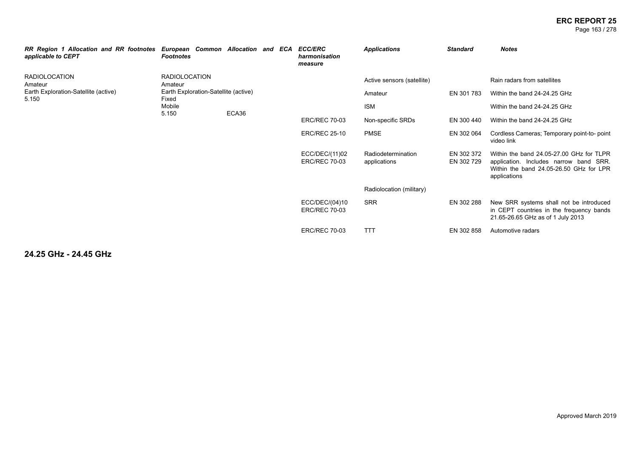#### **ERC REPORT 25** Page 163 / 278

| RR Region 1 Allocation and RR footnotes<br>applicable to CEPT | European Common Allocation and ECA<br><b>Footnotes</b> |       |  |  | <b>ECC/ERC</b><br>harmonisation<br>measure | <b>Applications</b>                | <b>Standard</b>          | <b>Notes</b>                                                                                                                                  |
|---------------------------------------------------------------|--------------------------------------------------------|-------|--|--|--------------------------------------------|------------------------------------|--------------------------|-----------------------------------------------------------------------------------------------------------------------------------------------|
| RADIOLOCATION<br>Amateur                                      | <b>RADIOLOCATION</b><br>Amateur                        |       |  |  |                                            | Active sensors (satellite)         |                          | Rain radars from satellites                                                                                                                   |
| Earth Exploration-Satellite (active)<br>5.150                 | Earth Exploration-Satellite (active)<br>Fixed          |       |  |  |                                            | Amateur                            | EN 301 783               | Within the band 24-24.25 GHz                                                                                                                  |
|                                                               | Mobile<br>5.150                                        | ECA36 |  |  |                                            | <b>ISM</b>                         |                          | Within the band 24-24.25 GHz                                                                                                                  |
|                                                               |                                                        |       |  |  | <b>ERC/REC 70-03</b>                       | Non-specific SRDs                  | EN 300 440               | Within the band 24-24.25 GHz                                                                                                                  |
|                                                               |                                                        |       |  |  | <b>ERC/REC 25-10</b>                       | <b>PMSE</b>                        | EN 302 064               | Cordless Cameras; Temporary point-to-point<br>video link                                                                                      |
|                                                               |                                                        |       |  |  | ECC/DEC/(11)02<br><b>ERC/REC 70-03</b>     | Radiodetermination<br>applications | EN 302 372<br>EN 302 729 | Within the band 24.05-27.00 GHz for TLPR<br>application. Includes narrow band SRR.<br>Within the band 24.05-26.50 GHz for LPR<br>applications |
|                                                               |                                                        |       |  |  |                                            | Radiolocation (military)           |                          |                                                                                                                                               |
|                                                               |                                                        |       |  |  | ECC/DEC/(04)10<br><b>ERC/REC 70-03</b>     | <b>SRR</b>                         | EN 302 288               | New SRR systems shall not be introduced<br>in CEPT countries in the frequency bands<br>21.65-26.65 GHz as of 1 July 2013                      |
|                                                               |                                                        |       |  |  | <b>ERC/REC 70-03</b>                       | <b>TTT</b>                         | EN 302 858               | Automotive radars                                                                                                                             |

**24.25 GHz - 24.45 GHz**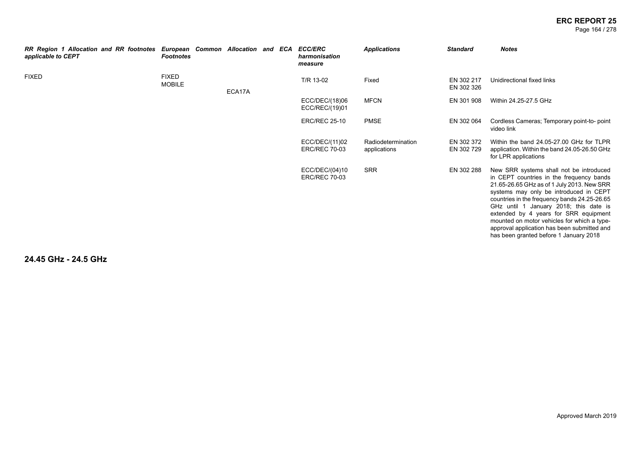#### **ERC REPORT 25** Page 164 / 278

| RR Region 1 Allocation and RR footnotes European Common Allocation and ECA<br>applicable to CEPT | <b>Footnotes</b>              |        |  | <b>ECC/ERC</b><br>harmonisation<br>measure | <b>Applications</b>                | <b>Standard</b>          | <b>Notes</b>                                                                                                                                                                                                                                                                                                                                                                                                                                           |
|--------------------------------------------------------------------------------------------------|-------------------------------|--------|--|--------------------------------------------|------------------------------------|--------------------------|--------------------------------------------------------------------------------------------------------------------------------------------------------------------------------------------------------------------------------------------------------------------------------------------------------------------------------------------------------------------------------------------------------------------------------------------------------|
| <b>FIXED</b>                                                                                     | <b>FIXED</b><br><b>MOBILE</b> | ECA17A |  | T/R 13-02                                  | Fixed                              | EN 302 217<br>EN 302 326 | Unidirectional fixed links                                                                                                                                                                                                                                                                                                                                                                                                                             |
|                                                                                                  |                               |        |  | ECC/DEC/(18)06<br>ECC/REC/(19)01           | <b>MFCN</b>                        | EN 301 908               | Within 24.25-27.5 GHz                                                                                                                                                                                                                                                                                                                                                                                                                                  |
|                                                                                                  |                               |        |  | <b>ERC/REC 25-10</b>                       | <b>PMSE</b>                        | EN 302 064               | Cordless Cameras; Temporary point-to-point<br>video link                                                                                                                                                                                                                                                                                                                                                                                               |
|                                                                                                  |                               |        |  | ECC/DEC/(11)02<br><b>ERC/REC 70-03</b>     | Radiodetermination<br>applications | EN 302 372<br>EN 302 729 | Within the band 24.05-27.00 GHz for TLPR<br>application. Within the band 24.05-26.50 GHz<br>for LPR applications                                                                                                                                                                                                                                                                                                                                       |
|                                                                                                  |                               |        |  | ECC/DEC/(04)10<br><b>ERC/REC 70-03</b>     | <b>SRR</b>                         | EN 302 288               | New SRR systems shall not be introduced<br>in CEPT countries in the frequency bands<br>21.65-26.65 GHz as of 1 July 2013. New SRR<br>systems may only be introduced in CEPT<br>countries in the frequency bands 24.25-26.65<br>GHz until 1 January 2018; this date is<br>extended by 4 years for SRR equipment<br>mounted on motor vehicles for which a type-<br>approval application has been submitted and<br>has been granted before 1 January 2018 |

**24.45 GHz - 24.5 GHz**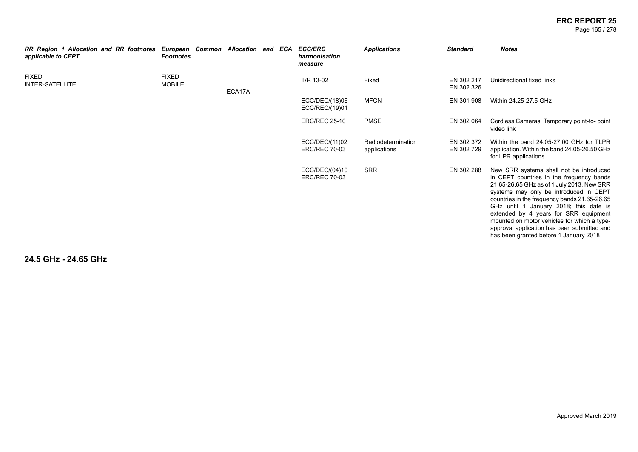#### **ERC REPORT 25** Page 165 / 278

| <b>RR Region 1 Allocation and RR footnotes</b><br>applicable to CEPT | <b>Footnotes</b>              | European Common Allocation and ECA |  | <b>ECC/ERC</b><br>harmonisation<br>measure | <b>Applications</b>                | <b>Standard</b>          | <b>Notes</b>                                                                                                                                                                                                                                                                                                                                                                                                                                           |
|----------------------------------------------------------------------|-------------------------------|------------------------------------|--|--------------------------------------------|------------------------------------|--------------------------|--------------------------------------------------------------------------------------------------------------------------------------------------------------------------------------------------------------------------------------------------------------------------------------------------------------------------------------------------------------------------------------------------------------------------------------------------------|
| <b>FIXED</b><br>INTER-SATELLITE                                      | <b>FIXED</b><br><b>MOBILE</b> | ECA17A                             |  | T/R 13-02                                  | Fixed                              | EN 302 217<br>EN 302 326 | Unidirectional fixed links                                                                                                                                                                                                                                                                                                                                                                                                                             |
|                                                                      |                               |                                    |  | ECC/DEC/(18)06<br>ECC/REC/(19)01           | <b>MFCN</b>                        | EN 301 908               | Within 24.25-27.5 GHz                                                                                                                                                                                                                                                                                                                                                                                                                                  |
|                                                                      |                               |                                    |  | <b>ERC/REC 25-10</b>                       | <b>PMSE</b>                        | EN 302 064               | Cordless Cameras; Temporary point-to-point<br>video link                                                                                                                                                                                                                                                                                                                                                                                               |
|                                                                      |                               |                                    |  | ECC/DEC/(11)02<br><b>ERC/REC 70-03</b>     | Radiodetermination<br>applications | EN 302 372<br>EN 302 729 | Within the band 24.05-27.00 GHz for TLPR<br>application. Within the band 24.05-26.50 GHz<br>for LPR applications                                                                                                                                                                                                                                                                                                                                       |
|                                                                      |                               |                                    |  | ECC/DEC/(04)10<br><b>ERC/REC 70-03</b>     | <b>SRR</b>                         | EN 302 288               | New SRR systems shall not be introduced<br>in CEPT countries in the frequency bands<br>21.65-26.65 GHz as of 1 July 2013. New SRR<br>systems may only be introduced in CEPT<br>countries in the frequency bands 21.65-26.65<br>GHz until 1 January 2018; this date is<br>extended by 4 years for SRR equipment<br>mounted on motor vehicles for which a type-<br>approval application has been submitted and<br>has been granted before 1 January 2018 |

**24.5 GHz - 24.65 GHz**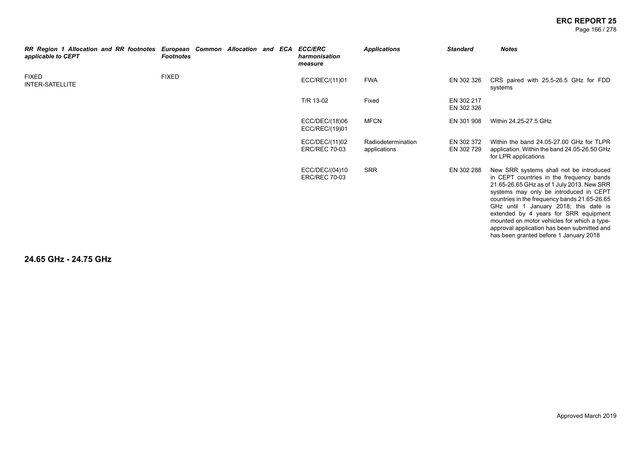Page 166 / 278

| RR Region 1 Allocation and RR footnotes<br>applicable to CEPT | European Common Allocation and ECA<br><b>Footnotes</b> |  |  | <b>ECC/ERC</b><br>harmonisation<br>measure | <b>Applications</b>                | <b>Standard</b>          | <b>Notes</b>                                                                                                                                                                                                                                                                                                                                                                                                                                           |
|---------------------------------------------------------------|--------------------------------------------------------|--|--|--------------------------------------------|------------------------------------|--------------------------|--------------------------------------------------------------------------------------------------------------------------------------------------------------------------------------------------------------------------------------------------------------------------------------------------------------------------------------------------------------------------------------------------------------------------------------------------------|
| <b>FIXED</b><br><b>INTER-SATELLITE</b>                        | <b>FIXED</b>                                           |  |  | ECC/REC/(11)01                             | <b>FWA</b>                         | EN 302 326               | CRS paired with 25.5-26.5 GHz for FDD<br>systems                                                                                                                                                                                                                                                                                                                                                                                                       |
|                                                               |                                                        |  |  | T/R 13-02                                  | Fixed                              | EN 302 217<br>EN 302 326 |                                                                                                                                                                                                                                                                                                                                                                                                                                                        |
|                                                               |                                                        |  |  | ECC/DEC/(18)06<br>ECC/REC/(19)01           | <b>MFCN</b>                        | EN 301 908               | Within 24.25-27.5 GHz                                                                                                                                                                                                                                                                                                                                                                                                                                  |
|                                                               |                                                        |  |  | ECC/DEC/(11)02<br><b>ERC/REC 70-03</b>     | Radiodetermination<br>applications | EN 302 372<br>EN 302 729 | Within the band 24.05-27.00 GHz for TLPR<br>application. Within the band 24.05-26.50 GHz<br>for LPR applications                                                                                                                                                                                                                                                                                                                                       |
|                                                               |                                                        |  |  | ECC/DEC/(04)10<br><b>ERC/REC 70-03</b>     | <b>SRR</b>                         | EN 302 288               | New SRR systems shall not be introduced<br>in CEPT countries in the frequency bands<br>21.65-26.65 GHz as of 1 July 2013. New SRR<br>systems may only be introduced in CEPT<br>countries in the frequency bands 21.65-26.65<br>GHz until 1 January 2018; this date is<br>extended by 4 years for SRR equipment<br>mounted on motor vehicles for which a type-<br>approval application has been submitted and<br>has been granted before 1 January 2018 |

**24.65 GHz - 24.75 GHz**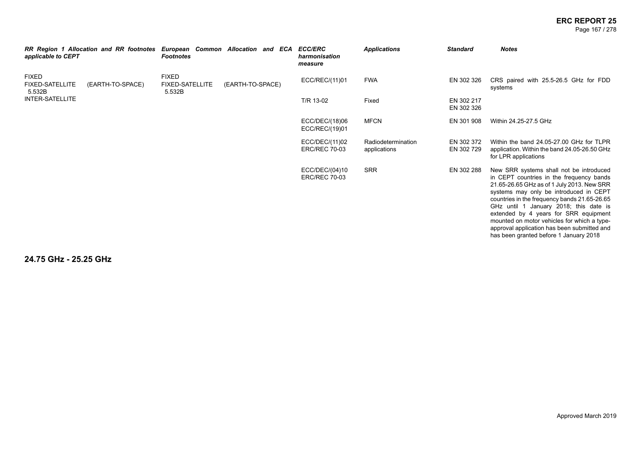Page 167 / 278

| RR Region 1 Allocation and RR footnotes<br>applicable to CEPT |                  | European Common Allocation and ECA ECC/ERC<br><b>Footnotes</b> |                  | harmonisation<br>measure               | <b>Applications</b>                | <b>Standard</b>          | <b>Notes</b>                                                                                                                                                                                                                                                                                                                                                                                                                                           |
|---------------------------------------------------------------|------------------|----------------------------------------------------------------|------------------|----------------------------------------|------------------------------------|--------------------------|--------------------------------------------------------------------------------------------------------------------------------------------------------------------------------------------------------------------------------------------------------------------------------------------------------------------------------------------------------------------------------------------------------------------------------------------------------|
| <b>FIXED</b><br><b>FIXED-SATELLITE</b><br>5.532B              | (EARTH-TO-SPACE) | <b>FIXED</b><br><b>FIXED-SATELLITE</b><br>5.532B               | (EARTH-TO-SPACE) | ECC/REC/(11)01                         | <b>FWA</b>                         | EN 302 326               | CRS paired with 25.5-26.5 GHz for FDD<br>systems                                                                                                                                                                                                                                                                                                                                                                                                       |
| INTER-SATELLITE                                               |                  |                                                                |                  | T/R 13-02                              | Fixed                              | EN 302 217<br>EN 302 326 |                                                                                                                                                                                                                                                                                                                                                                                                                                                        |
|                                                               |                  |                                                                |                  | ECC/DEC/(18)06<br>ECC/REC/(19)01       | <b>MFCN</b>                        | EN 301 908               | Within 24.25-27.5 GHz                                                                                                                                                                                                                                                                                                                                                                                                                                  |
|                                                               |                  |                                                                |                  | ECC/DEC/(11)02<br><b>ERC/REC 70-03</b> | Radiodetermination<br>applications | EN 302 372<br>EN 302 729 | Within the band 24.05-27.00 GHz for TLPR<br>application. Within the band 24.05-26.50 GHz<br>for LPR applications                                                                                                                                                                                                                                                                                                                                       |
|                                                               |                  |                                                                |                  | ECC/DEC/(04)10<br><b>ERC/REC 70-03</b> | <b>SRR</b>                         | EN 302 288               | New SRR systems shall not be introduced<br>in CEPT countries in the frequency bands<br>21.65-26.65 GHz as of 1 July 2013. New SRR<br>systems may only be introduced in CEPT<br>countries in the frequency bands 21.65-26.65<br>GHz until 1 January 2018; this date is<br>extended by 4 years for SRR equipment<br>mounted on motor vehicles for which a type-<br>approval application has been submitted and<br>has been granted before 1 January 2018 |

**24.75 GHz - 25.25 GHz**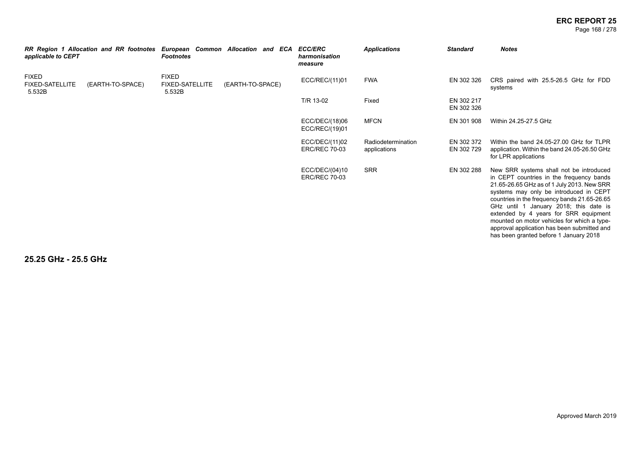#### **ERC REPORT 25** Page 168 / 278

| applicable to CEPT                               | RR Region 1 Allocation and RR footnotes | <b>Footnotes</b>                                 | European Common Allocation and ECA | <b>ECC/ERC</b><br>harmonisation<br>measure | <b>Applications</b>                | <b>Standard</b>          | <b>Notes</b>                                                                                                                                                                                                                                                                                                                                                                                                                                           |
|--------------------------------------------------|-----------------------------------------|--------------------------------------------------|------------------------------------|--------------------------------------------|------------------------------------|--------------------------|--------------------------------------------------------------------------------------------------------------------------------------------------------------------------------------------------------------------------------------------------------------------------------------------------------------------------------------------------------------------------------------------------------------------------------------------------------|
| <b>FIXED</b><br><b>FIXED-SATELLITE</b><br>5.532B | (EARTH-TO-SPACE)                        | <b>FIXED</b><br><b>FIXED-SATELLITE</b><br>5.532B | (EARTH-TO-SPACE)                   | ECC/REC/(11)01                             | <b>FWA</b>                         | EN 302 326               | CRS paired with 25.5-26.5 GHz for FDD<br>systems                                                                                                                                                                                                                                                                                                                                                                                                       |
|                                                  |                                         |                                                  |                                    | T/R 13-02                                  | Fixed                              | EN 302 217<br>EN 302 326 |                                                                                                                                                                                                                                                                                                                                                                                                                                                        |
|                                                  |                                         |                                                  |                                    | ECC/DEC/(18)06<br>ECC/REC/(19)01           | <b>MFCN</b>                        | EN 301 908               | Within 24.25-27.5 GHz                                                                                                                                                                                                                                                                                                                                                                                                                                  |
|                                                  |                                         |                                                  |                                    | ECC/DEC/(11)02<br><b>ERC/REC 70-03</b>     | Radiodetermination<br>applications | EN 302 372<br>EN 302 729 | Within the band 24.05-27.00 GHz for TLPR<br>application. Within the band 24.05-26.50 GHz<br>for LPR applications                                                                                                                                                                                                                                                                                                                                       |
|                                                  |                                         |                                                  |                                    | ECC/DEC/(04)10<br><b>ERC/REC 70-03</b>     | <b>SRR</b>                         | EN 302 288               | New SRR systems shall not be introduced<br>in CEPT countries in the frequency bands<br>21.65-26.65 GHz as of 1 July 2013. New SRR<br>systems may only be introduced in CEPT<br>countries in the frequency bands 21.65-26.65<br>GHz until 1 January 2018; this date is<br>extended by 4 years for SRR equipment<br>mounted on motor vehicles for which a type-<br>approval application has been submitted and<br>has been granted before 1 January 2018 |

**25.25 GHz - 25.5 GHz**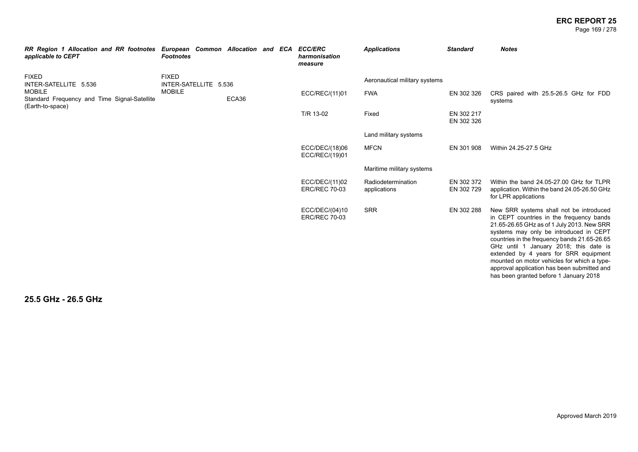#### **ERC REPORT 25** Page 169 / 278

| RR Region 1 Allocation and RR footnotes<br>applicable to CEPT                     | European Common Allocation and ECA<br><b>Footnotes</b> |       |  | <b>ECC/ERC</b><br>harmonisation<br>measure | <b>Applications</b>                | <b>Standard</b>          | <b>Notes</b>                                                                                                                                                                                                                                                                                                                                                                                                                                           |
|-----------------------------------------------------------------------------------|--------------------------------------------------------|-------|--|--------------------------------------------|------------------------------------|--------------------------|--------------------------------------------------------------------------------------------------------------------------------------------------------------------------------------------------------------------------------------------------------------------------------------------------------------------------------------------------------------------------------------------------------------------------------------------------------|
| <b>FIXED</b><br>INTER-SATELLITE 5.536                                             | <b>FIXED</b><br>INTER-SATELLITE 5.536                  |       |  |                                            | Aeronautical military systems      |                          |                                                                                                                                                                                                                                                                                                                                                                                                                                                        |
| <b>MOBILE</b><br>Standard Frequency and Time Signal-Satellite<br>(Earth-to-space) | <b>MOBILE</b>                                          | ECA36 |  | ECC/REC/(11)01                             | <b>FWA</b>                         | EN 302 326               | CRS paired with 25.5-26.5 GHz for FDD<br>systems                                                                                                                                                                                                                                                                                                                                                                                                       |
|                                                                                   |                                                        |       |  | T/R 13-02                                  | Fixed                              | EN 302 217<br>EN 302 326 |                                                                                                                                                                                                                                                                                                                                                                                                                                                        |
|                                                                                   |                                                        |       |  |                                            | Land military systems              |                          |                                                                                                                                                                                                                                                                                                                                                                                                                                                        |
|                                                                                   |                                                        |       |  | ECC/DEC/(18)06<br>ECC/REC/(19)01           | <b>MFCN</b>                        | EN 301 908               | Within 24.25-27.5 GHz                                                                                                                                                                                                                                                                                                                                                                                                                                  |
|                                                                                   |                                                        |       |  |                                            | Maritime military systems          |                          |                                                                                                                                                                                                                                                                                                                                                                                                                                                        |
|                                                                                   |                                                        |       |  | ECC/DEC/(11)02<br><b>ERC/REC 70-03</b>     | Radiodetermination<br>applications | EN 302 372<br>EN 302 729 | Within the band 24.05-27.00 GHz for TLPR<br>application. Within the band 24.05-26.50 GHz<br>for LPR applications                                                                                                                                                                                                                                                                                                                                       |
|                                                                                   |                                                        |       |  | ECC/DEC/(04)10<br><b>ERC/REC 70-03</b>     | <b>SRR</b>                         | EN 302 288               | New SRR systems shall not be introduced<br>in CEPT countries in the frequency bands<br>21.65-26.65 GHz as of 1 July 2013. New SRR<br>systems may only be introduced in CEPT<br>countries in the frequency bands 21.65-26.65<br>GHz until 1 January 2018; this date is<br>extended by 4 years for SRR equipment<br>mounted on motor vehicles for which a type-<br>approval application has been submitted and<br>has been granted before 1 January 2018 |

**25.5 GHz - 26.5 GHz**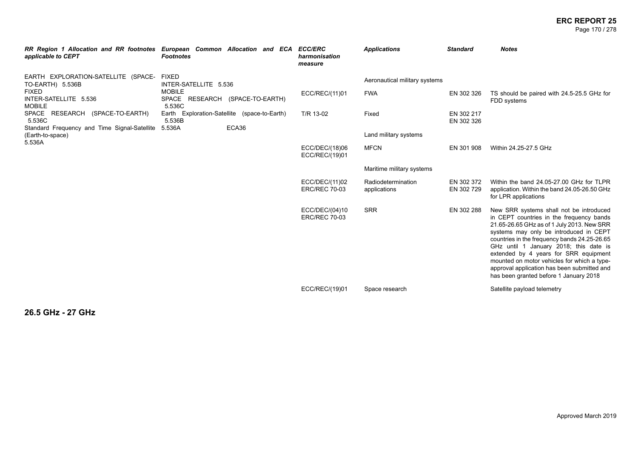#### **ERC REPORT 25** Page 170 / 278

| applicable to CEPT                                                                                                                                             | RR Region 1 Allocation and RR footnotes European Common Allocation and ECA ECC/ERC<br><b>Footnotes</b>                                                        | harmonisation<br>measure               | <b>Applications</b>                                             | <b>Standard</b>                        | <b>Notes</b>                                                                                                                                                                                                                                                                                                                                                                                                                                           |
|----------------------------------------------------------------------------------------------------------------------------------------------------------------|---------------------------------------------------------------------------------------------------------------------------------------------------------------|----------------------------------------|-----------------------------------------------------------------|----------------------------------------|--------------------------------------------------------------------------------------------------------------------------------------------------------------------------------------------------------------------------------------------------------------------------------------------------------------------------------------------------------------------------------------------------------------------------------------------------------|
| EARTH EXPLORATION-SATELLITE (SPACE-<br>TO-EARTH) 5.536B<br><b>FIXED</b><br>INTER-SATELLITE 5.536<br><b>MOBILE</b><br>SPACE RESEARCH (SPACE-TO-EARTH)<br>5.536C | <b>FIXED</b><br>INTER-SATELLITE 5.536<br><b>MOBILE</b><br>SPACE RESEARCH (SPACE-TO-EARTH)<br>5.536C<br>Earth Exploration-Satellite (space-to-Earth)<br>5.536B | ECC/REC/(11)01<br>T/R 13-02            | Aeronautical military systems<br><b>FWA</b><br>Fixed            | EN 302 326<br>EN 302 217<br>EN 302 326 | TS should be paired with 24.5-25.5 GHz for<br>FDD systems                                                                                                                                                                                                                                                                                                                                                                                              |
| Standard Frequency and Time Signal-Satellite<br>(Earth-to-space)<br>5.536A                                                                                     | ECA36<br>5.536A                                                                                                                                               | ECC/DEC/(18)06<br>ECC/REC/(19)01       | Land military systems<br><b>MFCN</b>                            | EN 301 908                             | Within 24.25-27.5 GHz                                                                                                                                                                                                                                                                                                                                                                                                                                  |
|                                                                                                                                                                |                                                                                                                                                               | ECC/DEC/(11)02<br><b>ERC/REC 70-03</b> | Maritime military systems<br>Radiodetermination<br>applications | EN 302 372<br>EN 302 729               | Within the band 24.05-27.00 GHz for TLPR<br>application. Within the band 24.05-26.50 GHz<br>for LPR applications                                                                                                                                                                                                                                                                                                                                       |
|                                                                                                                                                                |                                                                                                                                                               | ECC/DEC/(04)10<br><b>ERC/REC 70-03</b> | <b>SRR</b>                                                      | EN 302 288                             | New SRR systems shall not be introduced<br>in CEPT countries in the frequency bands<br>21.65-26.65 GHz as of 1 July 2013. New SRR<br>systems may only be introduced in CEPT<br>countries in the frequency bands 24.25-26.65<br>GHz until 1 January 2018; this date is<br>extended by 4 years for SRR equipment<br>mounted on motor vehicles for which a type-<br>approval application has been submitted and<br>has been granted before 1 January 2018 |
|                                                                                                                                                                |                                                                                                                                                               | ECC/REC/(19)01                         | Space research                                                  |                                        | Satellite payload telemetry                                                                                                                                                                                                                                                                                                                                                                                                                            |

**26.5 GHz - 27 GHz**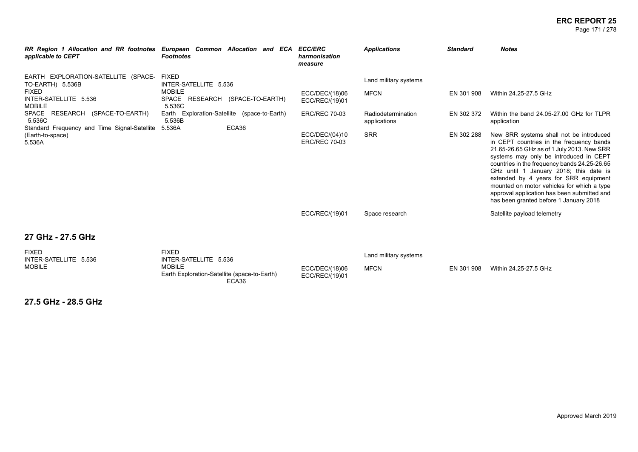#### **ERC REPORT 25** Page 171 / 278

| applicable to CEPT                                                                                                                                             | RR Region 1 Allocation and RR footnotes European Common Allocation and ECA ECC/ERC<br><b>Footnotes</b>                                              | harmonisation<br>measure                                 | <b>Applications</b>                                                        | <b>Standard</b>          | <b>Notes</b>                                                                                                                                                                                                                                                                                                                                                                                                                                          |
|----------------------------------------------------------------------------------------------------------------------------------------------------------------|-----------------------------------------------------------------------------------------------------------------------------------------------------|----------------------------------------------------------|----------------------------------------------------------------------------|--------------------------|-------------------------------------------------------------------------------------------------------------------------------------------------------------------------------------------------------------------------------------------------------------------------------------------------------------------------------------------------------------------------------------------------------------------------------------------------------|
| EARTH EXPLORATION-SATELLITE (SPACE-<br>TO-EARTH) 5.536B<br><b>FIXED</b><br>INTER-SATELLITE 5.536<br><b>MOBILE</b><br>SPACE RESEARCH (SPACE-TO-EARTH)<br>5.536C | <b>FIXED</b><br>INTER-SATELLITE 5.536<br><b>MOBILE</b><br>SPACE RESEARCH (SPACE-TO-EARTH)<br>5.536C<br>Earth Exploration-Satellite (space-to-Earth) | ECC/DEC/(18)06<br>ECC/REC/(19)01<br><b>ERC/REC 70-03</b> | Land military systems<br><b>MFCN</b><br>Radiodetermination<br>applications | EN 301 908<br>EN 302 372 | Within 24.25-27.5 GHz<br>Within the band 24.05-27.00 GHz for TLPR<br>application                                                                                                                                                                                                                                                                                                                                                                      |
| 5.536B<br>ECA36<br>Standard Frequency and Time Signal-Satellite<br>5.536A<br>(Earth-to-space)<br>5.536A                                                        |                                                                                                                                                     | ECC/DEC/(04)10<br><b>ERC/REC 70-03</b>                   | <b>SRR</b>                                                                 | EN 302 288               | New SRR systems shall not be introduced<br>in CEPT countries in the frequency bands<br>21.65-26.65 GHz as of 1 July 2013. New SRR<br>systems may only be introduced in CEPT<br>countries in the frequency bands 24.25-26.65<br>GHz until 1 January 2018; this date is<br>extended by 4 years for SRR equipment<br>mounted on motor vehicles for which a type<br>approval application has been submitted and<br>has been granted before 1 January 2018 |
|                                                                                                                                                                |                                                                                                                                                     | ECC/REC/(19)01                                           | Space research                                                             |                          | Satellite payload telemetry                                                                                                                                                                                                                                                                                                                                                                                                                           |
| 27 GHz - 27.5 GHz                                                                                                                                              |                                                                                                                                                     |                                                          |                                                                            |                          |                                                                                                                                                                                                                                                                                                                                                                                                                                                       |
| <b>FIXED</b><br>INTER-SATELLITE 5.536<br><b>MOBILE</b>                                                                                                         | <b>FIXED</b><br>INTER-SATELLITE 5.536<br><b>MOBILE</b>                                                                                              | ECC/DEC/(18)06                                           | Land military systems<br><b>MFCN</b>                                       | EN 301 908               | Within 24.25-27.5 GHz                                                                                                                                                                                                                                                                                                                                                                                                                                 |

ECC/REC/(19)01

Earth Exploration-Satellite (space-to-Earth)

ECA36

**27.5 GHz - 28.5 GHz**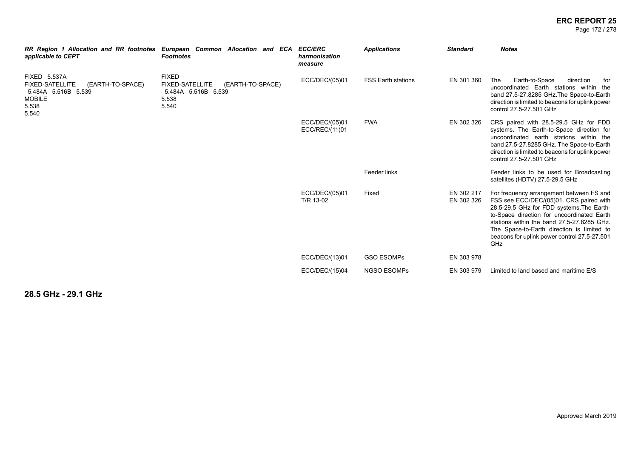#### **ERC REPORT 25** Page 172 / 278

| RR Region 1 Allocation and RR footnotes European Common Allocation and ECA ECC/ERC<br>applicable to CEPT                    | <b>Footnotes</b>                                                                                    | harmonisation<br>measure         | <b>Applications</b>       | <b>Standard</b>          | <b>Notes</b>                                                                                                                                                                                                                                                                                                                             |
|-----------------------------------------------------------------------------------------------------------------------------|-----------------------------------------------------------------------------------------------------|----------------------------------|---------------------------|--------------------------|------------------------------------------------------------------------------------------------------------------------------------------------------------------------------------------------------------------------------------------------------------------------------------------------------------------------------------------|
| <b>FIXED 5.537A</b><br><b>FIXED-SATELLITE</b><br>(EARTH-TO-SPACE)<br>5.484A 5.516B 5.539<br><b>MOBILE</b><br>5.538<br>5.540 | <b>FIXED</b><br><b>FIXED-SATELLITE</b><br>(EARTH-TO-SPACE)<br>5.484A 5.516B 5.539<br>5.538<br>5.540 | ECC/DEC/(05)01                   | <b>FSS Earth stations</b> | EN 301 360               | The<br>Earth-to-Space<br>direction<br>for<br>uncoordinated Earth stations within the<br>band 27.5-27.8285 GHz. The Space-to-Earth<br>direction is limited to beacons for uplink power<br>control 27.5-27.501 GHz                                                                                                                         |
|                                                                                                                             |                                                                                                     | ECC/DEC/(05)01<br>ECC/REC/(11)01 | <b>FWA</b>                | EN 302 326               | CRS paired with 28.5-29.5 GHz for FDD<br>systems. The Earth-to-Space direction for<br>uncoordinated earth stations within the<br>band 27.5-27.8285 GHz. The Space-to-Earth<br>direction is limited to beacons for uplink power<br>control 27.5-27.501 GHz                                                                                |
|                                                                                                                             |                                                                                                     |                                  | Feeder links              |                          | Feeder links to be used for Broadcasting<br>satellites (HDTV) 27.5-29.5 GHz                                                                                                                                                                                                                                                              |
|                                                                                                                             |                                                                                                     | ECC/DEC/(05)01<br>T/R 13-02      | Fixed                     | EN 302 217<br>EN 302 326 | For frequency arrangement between FS and<br>FSS see ECC/DEC/(05)01. CRS paired with<br>28.5-29.5 GHz for FDD systems. The Earth-<br>to-Space direction for uncoordinated Earth<br>stations within the band 27.5-27.8285 GHz.<br>The Space-to-Earth direction is limited to<br>beacons for uplink power control 27.5-27.501<br><b>GHz</b> |
|                                                                                                                             |                                                                                                     | ECC/DEC/(13)01                   | <b>GSO ESOMPs</b>         | EN 303 978               |                                                                                                                                                                                                                                                                                                                                          |
|                                                                                                                             |                                                                                                     | ECC/DEC/(15)04                   | <b>NGSO ESOMPS</b>        | EN 303 979               | Limited to land based and maritime E/S                                                                                                                                                                                                                                                                                                   |

**28.5 GHz - 29.1 GHz**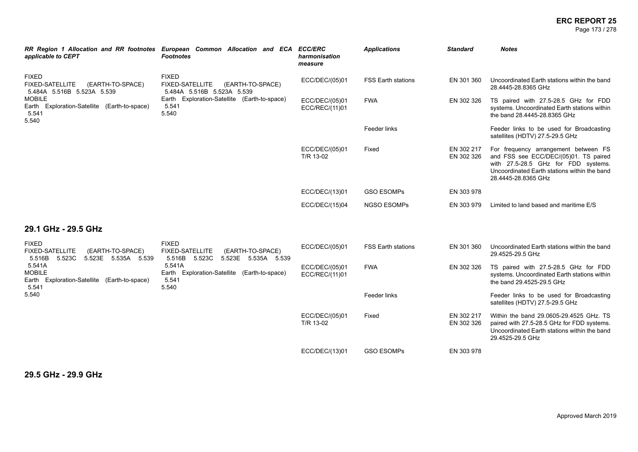#### **ERC REPORT 25** Page 173 / 278

| applicable to CEPT                                                                                    | RR Region 1 Allocation and RR footnotes European Common Allocation and ECA ECC/ERC<br><b>Footnotes</b> | harmonisation<br>measure         | <b>Applications</b>       | <b>Standard</b>          | <b>Notes</b>                                                                                                                                                                                |
|-------------------------------------------------------------------------------------------------------|--------------------------------------------------------------------------------------------------------|----------------------------------|---------------------------|--------------------------|---------------------------------------------------------------------------------------------------------------------------------------------------------------------------------------------|
| <b>FIXED</b><br><b>FIXED-SATELLITE</b><br>(EARTH-TO-SPACE)<br>5.484A 5.516B 5.523A 5.539              | <b>FIXED</b><br><b>FIXED-SATELLITE</b><br>(EARTH-TO-SPACE)<br>5.484A 5.516B 5.523A 5.539               | ECC/DEC/(05)01                   | <b>FSS Earth stations</b> | EN 301 360               | Uncoordinated Earth stations within the band<br>28.4445-28.8365 GHz                                                                                                                         |
| <b>MOBILE</b><br>Earth Exploration-Satellite (Earth-to-space)<br>5.541<br>5.540                       | Earth Exploration-Satellite (Earth-to-space)<br>5.541<br>5.540                                         | ECC/DEC/(05)01<br>ECC/REC/(11)01 | <b>FWA</b>                | EN 302 326               | TS paired with 27.5-28.5 GHz for FDD<br>systems. Uncoordinated Earth stations within<br>the band 28.4445-28.8365 GHz                                                                        |
|                                                                                                       |                                                                                                        |                                  | Feeder links              |                          | Feeder links to be used for Broadcasting<br>satellites (HDTV) 27.5-29.5 GHz                                                                                                                 |
|                                                                                                       |                                                                                                        | ECC/DEC/(05)01<br>T/R 13-02      | Fixed                     | EN 302 217<br>EN 302 326 | For frequency arrangement between FS<br>and FSS see ECC/DEC/(05)01. TS paired<br>with 27.5-28.5 GHz for FDD systems.<br>Uncoordinated Earth stations within the band<br>28.4445-28.8365 GHz |
|                                                                                                       |                                                                                                        | ECC/DEC/(13)01                   | <b>GSO ESOMPs</b>         | EN 303 978               |                                                                                                                                                                                             |
|                                                                                                       |                                                                                                        | ECC/DEC/(15)04                   | <b>NGSO ESOMPs</b>        | EN 303 979               | Limited to land based and maritime E/S                                                                                                                                                      |
| 29.1 GHz - 29.5 GHz                                                                                   |                                                                                                        |                                  |                           |                          |                                                                                                                                                                                             |
| <b>FIXED</b><br><b>FIXED-SATELLITE</b><br>(EARTH-TO-SPACE)<br>5.516B<br>5.523C<br>5.523E 5.535A 5.539 | <b>FIXED</b><br><b>FIXED-SATELLITE</b><br>(EARTH-TO-SPACE)<br>5.523C 5.523E 5.535A 5.539<br>5.516B     | ECC/DEC/(05)01                   | <b>FSS Earth stations</b> | EN 301 360               | Uncoordinated Earth stations within the band<br>29.4525-29.5 GHz                                                                                                                            |
| 5.541A<br><b>MOBILE</b><br>Earth Exploration-Satellite (Earth-to-space)<br>5.541<br>5.540             | 5.541A<br>Earth Exploration-Satellite (Earth-to-space)<br>5.541<br>5.540                               | ECC/DEC/(05)01<br>ECC/REC/(11)01 | <b>FWA</b>                | EN 302 326               | TS paired with 27.5-28.5 GHz for FDD<br>systems. Uncoordinated Earth stations within<br>the band 29.4525-29.5 GHz                                                                           |
|                                                                                                       |                                                                                                        |                                  | Feeder links              |                          | Feeder links to be used for Broadcasting<br>satellites (HDTV) 27.5-29.5 GHz                                                                                                                 |
|                                                                                                       |                                                                                                        | ECC/DEC/(05)01<br>T/R 13-02      | Fixed                     | EN 302 217<br>EN 302 326 | Within the band 29.0605-29.4525 GHz. TS<br>paired with 27.5-28.5 GHz for FDD systems.<br>Uncoordinated Earth stations within the band<br>29.4525-29.5 GHz                                   |
|                                                                                                       |                                                                                                        | ECC/DEC/(13)01                   | <b>GSO ESOMPs</b>         | EN 303 978               |                                                                                                                                                                                             |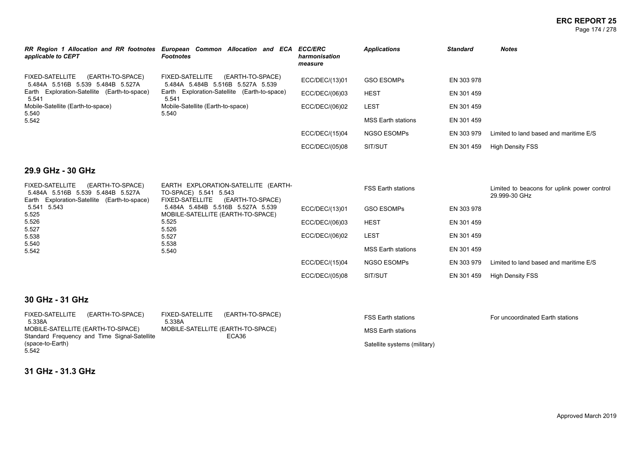#### **ERC REPORT 25** Page 174 / 278

| applicable to CEPT                                                       | RR Region 1 Allocation and RR footnotes European Common Allocation and ECA ECC/ERC<br><b>Footnotes</b> | harmonisation<br>measure | <b>Applications</b>       | <b>Standard</b> | <b>Notes</b>                           |
|--------------------------------------------------------------------------|--------------------------------------------------------------------------------------------------------|--------------------------|---------------------------|-----------------|----------------------------------------|
| FIXED-SATELLITE<br>(EARTH-TO-SPACE)<br>5.484A 5.516B 5.539 5.484B 5.527A | FIXED-SATELLITE<br>(EARTH-TO-SPACE)<br>5.484A 5.484B 5.516B 5.527A 5.539                               | ECC/DEC/(13)01           | <b>GSO ESOMPS</b>         | EN 303 978      |                                        |
| Earth Exploration-Satellite (Earth-to-space)<br>5.541                    | Earth Exploration-Satellite (Earth-to-space)<br>5.541                                                  | ECC/DEC/(06)03           | <b>HEST</b>               | EN 301 459      |                                        |
| Mobile-Satellite (Earth-to-space)<br>5.540                               | Mobile-Satellite (Earth-to-space)<br>5.540                                                             | ECC/DEC/(06)02           | <b>LEST</b>               | EN 301 459      |                                        |
| 5.542                                                                    |                                                                                                        |                          | <b>MSS Earth stations</b> | EN 301 459      |                                        |
|                                                                          |                                                                                                        | ECC/DEC/(15)04           | <b>NGSO ESOMPS</b>        | EN 303 979      | Limited to land based and maritime E/S |
|                                                                          |                                                                                                        | ECC/DEC/(05)08           | SIT/SUT                   | EN 301 459      | <b>High Density FSS</b>                |

### **29.9 GHz - 30 GHz**

| <b>FIXED-SATELLITE</b><br>(EARTH-TO-SPACE)<br>5.484A 5.516B 5.539 5.484B 5.527A<br>Earth Exploration-Satellite (Earth-to-space) | EARTH EXPLORATION-SATELLITE (EARTH-<br>TO-SPACE) 5.541 5.543<br>(EARTH-TO-SPACE)<br>FIXED-SATELLITE |                | <b>FSS Earth stations</b> |            | Limited to beacons for uplink power control<br>29.999-30 GHz |
|---------------------------------------------------------------------------------------------------------------------------------|-----------------------------------------------------------------------------------------------------|----------------|---------------------------|------------|--------------------------------------------------------------|
| 5.541 5.543<br>5.525                                                                                                            | 5.484A 5.484B 5.516B 5.527A 5.539<br>MOBILE-SATELLITE (EARTH-TO-SPACE)                              | ECC/DEC/(13)01 | <b>GSO ESOMPS</b>         | EN 303 978 |                                                              |
| 5.526                                                                                                                           | 5.525                                                                                               | ECC/DEC/(06)03 | <b>HEST</b>               | EN 301 459 |                                                              |
| 5.527<br>5.538                                                                                                                  | 5.526<br>5.527                                                                                      | ECC/DEC/(06)02 | <b>LEST</b>               | EN 301 459 |                                                              |
| 5.540<br>5.542                                                                                                                  | 5.538<br>5.540                                                                                      |                | MSS Earth stations        | EN 301 459 |                                                              |
|                                                                                                                                 |                                                                                                     | ECC/DEC/(15)04 | NGSO ESOMPs               | EN 303 979 | Limited to land based and maritime E/S                       |
|                                                                                                                                 |                                                                                                     | ECC/DEC/(05)08 | SIT/SUT                   | EN 301 459 | <b>High Density FSS</b>                                      |

### **30 GHz - 31 GHz**

| FIXED-SATELLITE (EARTH-TO-SPACE)             | FIXED-SATELLITE (EARTH-TO-SPACE)  | FSS Earth stations           | For uncoordinated Earth stations |
|----------------------------------------------|-----------------------------------|------------------------------|----------------------------------|
| 5.338A                                       | 5.338A                            |                              |                                  |
| MOBILE-SATELLITE (EARTH-TO-SPACE)            | MOBILE-SATELLITE (EARTH-TO-SPACE) | MSS Earth stations           |                                  |
| Standard Frequency and Time Signal-Satellite | ECA36                             |                              |                                  |
| (space-to-Earth)                             |                                   | Satellite systems (military) |                                  |

**31 GHz - 31.3 GHz**

5.542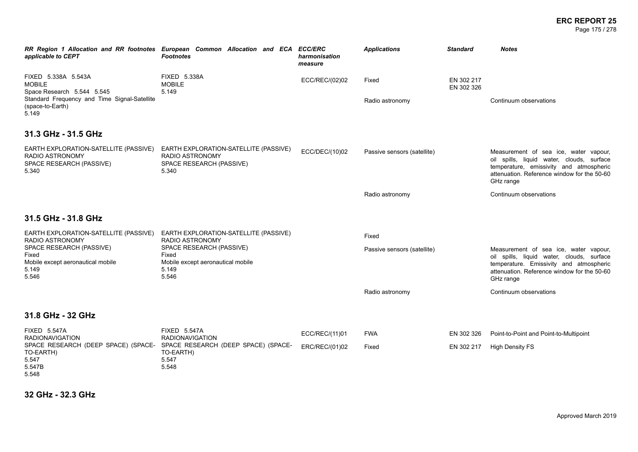#### **ERC REPORT 25** Page 175 / 278

| applicable to CEPT                                                                                                                              | RR Region 1 Allocation and RR footnotes European Common Allocation and ECA ECC/ERC<br><b>Footnotes</b> | harmonisation<br>measure | <b>Applications</b>         | <b>Standard</b>          | <b>Notes</b>                                                                                                                                                                              |
|-------------------------------------------------------------------------------------------------------------------------------------------------|--------------------------------------------------------------------------------------------------------|--------------------------|-----------------------------|--------------------------|-------------------------------------------------------------------------------------------------------------------------------------------------------------------------------------------|
| FIXED 5.338A 5.543A<br><b>MOBILE</b><br>Space Research 5.544 5.545<br>Standard Frequency and Time Signal-Satellite<br>(space-to-Earth)<br>5.149 | <b>FIXED 5.338A</b><br><b>MOBILE</b><br>5.149                                                          | ECC/REC/(02)02           | Fixed<br>Radio astronomy    | EN 302 217<br>EN 302 326 | Continuum observations                                                                                                                                                                    |
| 31.3 GHz - 31.5 GHz                                                                                                                             |                                                                                                        |                          |                             |                          |                                                                                                                                                                                           |
| EARTH EXPLORATION-SATELLITE (PASSIVE)<br>RADIO ASTRONOMY<br>SPACE RESEARCH (PASSIVE)<br>5.340                                                   | EARTH EXPLORATION-SATELLITE (PASSIVE)<br>RADIO ASTRONOMY<br>SPACE RESEARCH (PASSIVE)<br>5.340          | ECC/DEC/(10)02           | Passive sensors (satellite) |                          | Measurement of sea ice, water vapour,<br>oil spills, liquid water, clouds, surface<br>temperature, emissivity and atmospheric<br>attenuation. Reference window for the 50-60<br>GHz range |
|                                                                                                                                                 |                                                                                                        |                          | Radio astronomy             |                          | Continuum observations                                                                                                                                                                    |
| 31.5 GHz - 31.8 GHz                                                                                                                             |                                                                                                        |                          |                             |                          |                                                                                                                                                                                           |
| EARTH EXPLORATION-SATELLITE (PASSIVE)<br>RADIO ASTRONOMY                                                                                        | EARTH EXPLORATION-SATELLITE (PASSIVE)<br><b>RADIO ASTRONOMY</b>                                        |                          | Fixed                       |                          |                                                                                                                                                                                           |
| SPACE RESEARCH (PASSIVE)<br>Fixed<br>Mobile except aeronautical mobile<br>5.149<br>5.546                                                        | SPACE RESEARCH (PASSIVE)<br>Fixed<br>Mobile except aeronautical mobile<br>5.149<br>5.546               |                          | Passive sensors (satellite) |                          | Measurement of sea ice, water vapour,<br>oil spills, liquid water, clouds, surface<br>temperature. Emissivity and atmospheric<br>attenuation. Reference window for the 50-60<br>GHz range |
|                                                                                                                                                 |                                                                                                        |                          | Radio astronomy             |                          | Continuum observations                                                                                                                                                                    |
| 31.8 GHz - 32 GHz                                                                                                                               |                                                                                                        |                          |                             |                          |                                                                                                                                                                                           |
| <b>FIXED 5.547A</b><br><b>RADIONAVIGATION</b>                                                                                                   | <b>FIXED 5.547A</b><br><b>RADIONAVIGATION</b>                                                          | ECC/REC/(11)01           | <b>FWA</b>                  | EN 302 326               | Point-to-Point and Point-to-Multipoint                                                                                                                                                    |
| SPACE RESEARCH (DEEP SPACE) (SPACE-<br>TO-EARTH)<br>5.547<br>5.547B<br>5.548                                                                    | SPACE RESEARCH (DEEP SPACE) (SPACE-<br>TO-EARTH)<br>5.547<br>5.548                                     | ERC/REC/(01)02           | Fixed                       | EN 302 217               | <b>High Density FS</b>                                                                                                                                                                    |

**32 GHz - 32.3 GHz**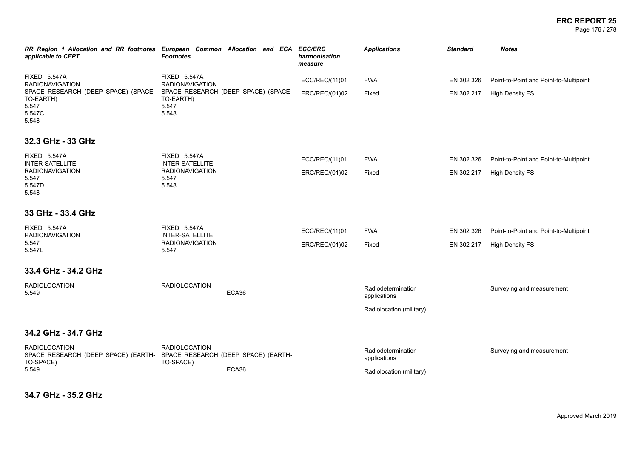#### **ERC REPORT 25** Page 176 / 278

| RR Region 1 Allocation and RR footnotes European Common Allocation and ECA ECC/ERC<br>applicable to CEPT              | <b>Footnotes</b>                              |       | harmonisation<br>measure | <b>Applications</b>                                            | <b>Standard</b> | <b>Notes</b>                           |
|-----------------------------------------------------------------------------------------------------------------------|-----------------------------------------------|-------|--------------------------|----------------------------------------------------------------|-----------------|----------------------------------------|
| <b>FIXED 5.547A</b><br><b>RADIONAVIGATION</b>                                                                         | <b>FIXED 5.547A</b><br><b>RADIONAVIGATION</b> |       | ECC/REC/(11)01           | <b>FWA</b>                                                     | EN 302 326      | Point-to-Point and Point-to-Multipoint |
| SPACE RESEARCH (DEEP SPACE) (SPACE- SPACE RESEARCH (DEEP SPACE) (SPACE-<br>TO-EARTH)<br>5.547<br>5.547C<br>5.548      | TO-EARTH)<br>5.547<br>5.548                   |       | ERC/REC/(01)02           | Fixed                                                          | EN 302 217      | <b>High Density FS</b>                 |
| 32.3 GHz - 33 GHz                                                                                                     |                                               |       |                          |                                                                |                 |                                        |
| <b>FIXED 5.547A</b><br>INTER-SATELLITE                                                                                | <b>FIXED 5.547A</b><br><b>INTER-SATELLITE</b> |       | ECC/REC/(11)01           | <b>FWA</b>                                                     | EN 302 326      | Point-to-Point and Point-to-Multipoint |
| <b>RADIONAVIGATION</b><br>5.547<br>5.547D<br>5.548                                                                    | <b>RADIONAVIGATION</b><br>5.547<br>5.548      |       | ERC/REC/(01)02           | Fixed                                                          | EN 302 217      | <b>High Density FS</b>                 |
| 33 GHz - 33.4 GHz                                                                                                     |                                               |       |                          |                                                                |                 |                                        |
| <b>FIXED 5.547A</b><br><b>RADIONAVIGATION</b>                                                                         | <b>FIXED 5.547A</b><br>INTER-SATELLITE        |       | ECC/REC/(11)01           | <b>FWA</b>                                                     | EN 302 326      | Point-to-Point and Point-to-Multipoint |
| 5.547<br>5.547E                                                                                                       | <b>RADIONAVIGATION</b><br>5.547               |       | ERC/REC/(01)02           | Fixed                                                          | EN 302 217      | <b>High Density FS</b>                 |
| 33.4 GHz - 34.2 GHz                                                                                                   |                                               |       |                          |                                                                |                 |                                        |
| <b>RADIOLOCATION</b><br>5.549                                                                                         | <b>RADIOLOCATION</b>                          | ECA36 |                          | Radiodetermination<br>applications                             |                 | Surveying and measurement              |
|                                                                                                                       |                                               |       |                          | Radiolocation (military)                                       |                 |                                        |
| 34.2 GHz - 34.7 GHz                                                                                                   |                                               |       |                          |                                                                |                 |                                        |
| <b>RADIOLOCATION</b><br>SPACE RESEARCH (DEEP SPACE) (EARTH- SPACE RESEARCH (DEEP SPACE) (EARTH-<br>TO-SPACE)<br>5.549 | <b>RADIOLOCATION</b><br>TO-SPACE)             | ECA36 |                          | Radiodetermination<br>applications<br>Radiolocation (military) |                 | Surveying and measurement              |

**34.7 GHz - 35.2 GHz**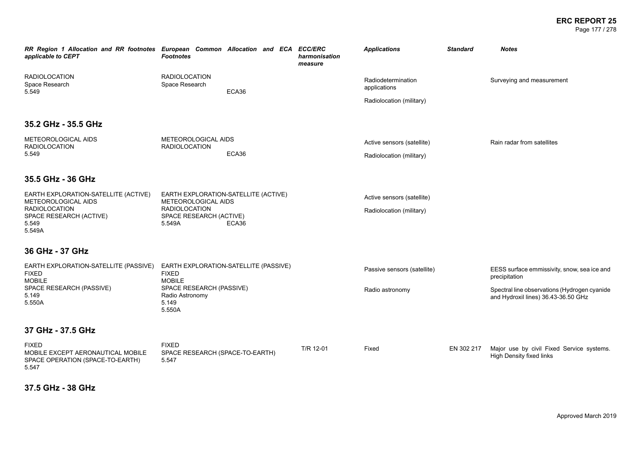#### **ERC REPORT 25** Page 177 / 278

| RR Region 1 Allocation and RR footnotes European Common Allocation and ECA ECC/ERC<br>applicable to CEPT | <b>Footnotes</b>                                                       |       |  | harmonisation<br>measure | <b>Applications</b>                | <b>Standard</b> | <b>Notes</b>                                                                        |
|----------------------------------------------------------------------------------------------------------|------------------------------------------------------------------------|-------|--|--------------------------|------------------------------------|-----------------|-------------------------------------------------------------------------------------|
| <b>RADIOLOCATION</b><br>Space Research<br>5.549                                                          | <b>RADIOLOCATION</b><br>Space Research                                 | ECA36 |  |                          | Radiodetermination<br>applications |                 | Surveying and measurement                                                           |
|                                                                                                          |                                                                        |       |  |                          | Radiolocation (military)           |                 |                                                                                     |
| 35.2 GHz - 35.5 GHz                                                                                      |                                                                        |       |  |                          |                                    |                 |                                                                                     |
| METEOROLOGICAL AIDS<br><b>RADIOLOCATION</b>                                                              | METEOROLOGICAL AIDS<br><b>RADIOLOCATION</b>                            |       |  |                          | Active sensors (satellite)         |                 | Rain radar from satellites                                                          |
| 5.549                                                                                                    |                                                                        | ECA36 |  |                          | Radiolocation (military)           |                 |                                                                                     |
| 35.5 GHz - 36 GHz                                                                                        |                                                                        |       |  |                          |                                    |                 |                                                                                     |
| EARTH EXPLORATION-SATELLITE (ACTIVE)<br>METEOROLOGICAL AIDS                                              | EARTH EXPLORATION-SATELLITE (ACTIVE)<br>METEOROLOGICAL AIDS            |       |  |                          | Active sensors (satellite)         |                 |                                                                                     |
| <b>RADIOLOCATION</b><br>SPACE RESEARCH (ACTIVE)<br>5.549<br>5.549A                                       | <b>RADIOLOCATION</b><br>SPACE RESEARCH (ACTIVE)<br>5.549A              | ECA36 |  |                          | Radiolocation (military)           |                 |                                                                                     |
|                                                                                                          |                                                                        |       |  |                          |                                    |                 |                                                                                     |
| 36 GHz - 37 GHz                                                                                          |                                                                        |       |  |                          |                                    |                 |                                                                                     |
| EARTH EXPLORATION-SATELLITE (PASSIVE)<br><b>FIXED</b><br><b>MOBILE</b>                                   | EARTH EXPLORATION-SATELLITE (PASSIVE)<br><b>FIXED</b><br><b>MOBILE</b> |       |  |                          | Passive sensors (satellite)        |                 | EESS surface emmissivity, snow, sea ice and<br>precipitation                        |
| SPACE RESEARCH (PASSIVE)<br>5.149                                                                        | SPACE RESEARCH (PASSIVE)<br>Radio Astronomy                            |       |  |                          | Radio astronomy                    |                 | Spectral line observations (Hydrogen cyanide<br>and Hydroxil lines) 36.43-36.50 GHz |
| 5.550A                                                                                                   | 5.149<br>5.550A                                                        |       |  |                          |                                    |                 |                                                                                     |
| 37 GHz - 37.5 GHz                                                                                        |                                                                        |       |  |                          |                                    |                 |                                                                                     |
| <b>FIXED</b><br>MOBILE EXCEPT AERONAUTICAL MOBILE<br>SPACE OPERATION (SPACE-TO-EARTH)<br>5.547           | <b>FIXED</b><br>SPACE RESEARCH (SPACE-TO-EARTH)<br>5.547               |       |  | T/R 12-01                | Fixed                              | EN 302 217      | Major use by civil Fixed Service systems.<br>High Density fixed links               |

**37.5 GHz - 38 GHz**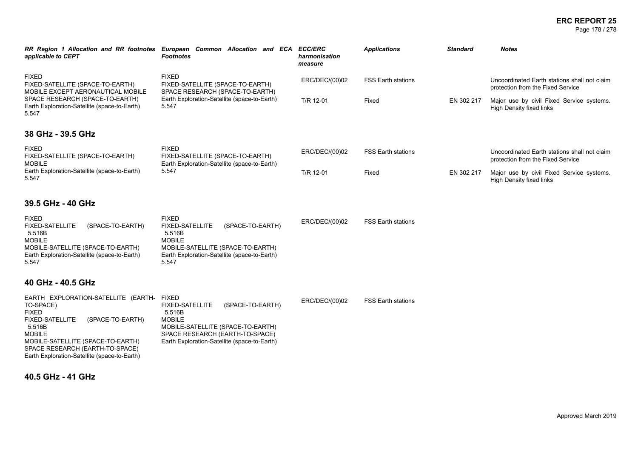Page 178 / 278

| applicable to CEPT                                                                                                                                                                                                | RR Region 1 Allocation and RR footnotes European Common Allocation and ECA ECC/ERC<br><b>Footnotes</b>                                                                                                        | harmonisation<br>measure | <b>Applications</b>       | <b>Standard</b> | <b>Notes</b>                                                                      |
|-------------------------------------------------------------------------------------------------------------------------------------------------------------------------------------------------------------------|---------------------------------------------------------------------------------------------------------------------------------------------------------------------------------------------------------------|--------------------------|---------------------------|-----------------|-----------------------------------------------------------------------------------|
| <b>FIXED</b><br>FIXED-SATELLITE (SPACE-TO-EARTH)<br>MOBILE EXCEPT AERONAUTICAL MOBILE                                                                                                                             | <b>FIXED</b><br>FIXED-SATELLITE (SPACE-TO-EARTH)<br>SPACE RESEARCH (SPACE-TO-EARTH)                                                                                                                           | ERC/DEC/(00)02           | FSS Earth stations        |                 | Uncoordinated Earth stations shall not claim<br>protection from the Fixed Service |
| SPACE RESEARCH (SPACE-TO-EARTH)<br>Earth Exploration-Satellite (space-to-Earth)<br>5.547                                                                                                                          | Earth Exploration-Satellite (space-to-Earth)<br>5.547                                                                                                                                                         | T/R 12-01                | Fixed                     | EN 302 217      | Major use by civil Fixed Service systems.<br>High Density fixed links             |
| 38 GHz - 39.5 GHz                                                                                                                                                                                                 |                                                                                                                                                                                                               |                          |                           |                 |                                                                                   |
| <b>FIXED</b><br>FIXED-SATELLITE (SPACE-TO-EARTH)<br><b>MOBILE</b>                                                                                                                                                 | <b>FIXED</b><br>FIXED-SATELLITE (SPACE-TO-EARTH)<br>Earth Exploration-Satellite (space-to-Earth)                                                                                                              | ERC/DEC/(00)02           | <b>FSS Earth stations</b> |                 | Uncoordinated Earth stations shall not claim<br>protection from the Fixed Service |
| Earth Exploration-Satellite (space-to-Earth)<br>5.547                                                                                                                                                             | 5.547                                                                                                                                                                                                         | T/R 12-01                | Fixed                     | EN 302 217      | Major use by civil Fixed Service systems.<br><b>High Density fixed links</b>      |
| 39.5 GHz - 40 GHz                                                                                                                                                                                                 |                                                                                                                                                                                                               |                          |                           |                 |                                                                                   |
| <b>FIXED</b><br>(SPACE-TO-EARTH)<br><b>FIXED-SATELLITE</b><br>5.516B<br><b>MOBILE</b><br>MOBILE-SATELLITE (SPACE-TO-EARTH)<br>Earth Exploration-Satellite (space-to-Earth)<br>5.547                               | <b>FIXED</b><br><b>FIXED-SATELLITE</b><br>(SPACE-TO-EARTH)<br>5.516B<br><b>MOBILE</b><br>MOBILE-SATELLITE (SPACE-TO-EARTH)<br>Earth Exploration-Satellite (space-to-Earth)<br>5.547                           | ERC/DEC/(00)02           | <b>FSS Earth stations</b> |                 |                                                                                   |
| 40 GHz - 40.5 GHz                                                                                                                                                                                                 |                                                                                                                                                                                                               |                          |                           |                 |                                                                                   |
| EARTH EXPLORATION-SATELLITE (EARTH-<br>TO-SPACE)<br><b>FIXED</b><br><b>FIXED-SATELLITE</b><br>(SPACE-TO-EARTH)<br>5.516B<br><b>MOBILE</b><br>MOBILE-SATELLITE (SPACE-TO-EARTH)<br>SPACE RESEARCH (EARTH-TO-SPACE) | <b>FIXED</b><br>(SPACE-TO-EARTH)<br><b>FIXED-SATELLITE</b><br>5.516B<br><b>MOBILE</b><br>MOBILE-SATELLITE (SPACE-TO-EARTH)<br>SPACE RESEARCH (EARTH-TO-SPACE)<br>Earth Exploration-Satellite (space-to-Earth) | ERC/DEC/(00)02           | <b>FSS Earth stations</b> |                 |                                                                                   |

**40.5 GHz - 41 GHz**

Earth Exploration-Satellite (space-to-Earth)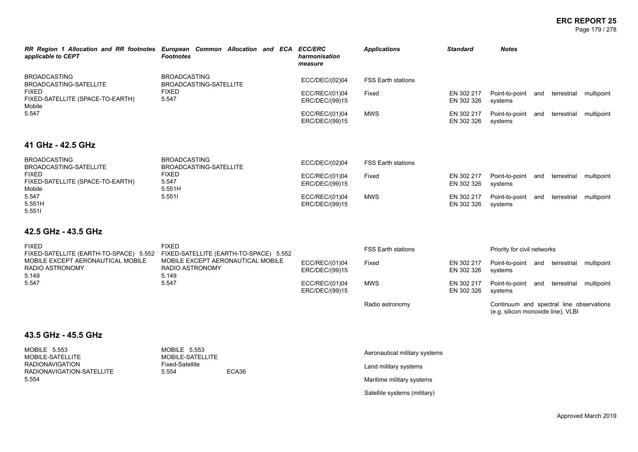#### **ERC REPORT 25** Page 179 / 278

| RR Region 1 Allocation and RR footnotes<br>applicable to CEPT                                                                                                           | European Common Allocation and ECA ECC/ERC<br><b>Footnotes</b>       | harmonisation<br>measure         | <b>Applications</b>                                                                                                                                                                                                               | <b>Standard</b>               | <b>Notes</b>                       |                                          |
|-------------------------------------------------------------------------------------------------------------------------------------------------------------------------|----------------------------------------------------------------------|----------------------------------|-----------------------------------------------------------------------------------------------------------------------------------------------------------------------------------------------------------------------------------|-------------------------------|------------------------------------|------------------------------------------|
| <b>BROADCASTING</b><br>BROADCASTING-SATELLITE<br><b>FIXED</b><br>FIXED-SATELLITE (SPACE-TO-EARTH)<br>Mobile                                                             | <b>BROADCASTING</b><br>BROADCASTING-SATELLITE                        | ECC/DEC/(02)04                   | <b>FSS Earth stations</b>                                                                                                                                                                                                         |                               |                                    |                                          |
|                                                                                                                                                                         | <b>FIXED</b><br>5.547                                                | ECC/REC/(01)04<br>ERC/DEC/(99)15 | Fixed                                                                                                                                                                                                                             | EN 302 217<br>EN 302 326      | Point-to-point and<br>systems      | terrestrial<br>multipoint                |
| 5.547                                                                                                                                                                   |                                                                      | ECC/REC/(01)04<br>ERC/DEC/(99)15 | <b>MWS</b>                                                                                                                                                                                                                        | EN 302 217<br>EN 302 326      | Point-to-point and<br>systems      | terrestrial<br>multipoint                |
| 41 GHz - 42.5 GHz                                                                                                                                                       |                                                                      |                                  |                                                                                                                                                                                                                                   |                               |                                    |                                          |
| <b>BROADCASTING</b><br>BROADCASTING-SATELLITE                                                                                                                           | <b>BROADCASTING</b><br>BROADCASTING-SATELLITE                        | ECC/DEC/(02)04                   | <b>FSS Earth stations</b>                                                                                                                                                                                                         |                               |                                    |                                          |
| <b>FIXED</b><br><b>FIXED</b><br>FIXED-SATELLITE (SPACE-TO-EARTH)<br>5.547<br>5.551H<br>Mobile                                                                           | ECC/REC/(01)04<br>ERC/DEC/(99)15                                     | Fixed                            | EN 302 217<br>EN 302 326                                                                                                                                                                                                          | Point-to-point and<br>systems | terrestrial<br>multipoint          |                                          |
| 5.547<br>5.551H<br>5.5511                                                                                                                                               | 5.5511                                                               | ECC/REC/(01)04<br>ERC/DEC/(99)15 | <b>MWS</b>                                                                                                                                                                                                                        | EN 302 217<br>EN 302 326      | Point-to-point and<br>systems      | terrestrial<br>multipoint                |
| 42.5 GHz - 43.5 GHz                                                                                                                                                     |                                                                      |                                  |                                                                                                                                                                                                                                   |                               |                                    |                                          |
| <b>FIXED</b><br>FIXED-SATELLITE (EARTH-TO-SPACE) 5.552 FIXED-SATELLITE (EARTH-TO-SPACE) 5.552<br>MOBILE EXCEPT AERONAUTICAL MOBILE<br>RADIO ASTRONOMY<br>5.149<br>5.547 | <b>FIXED</b>                                                         |                                  | <b>FSS Earth stations</b><br>Priority for civil networks<br>Fixed<br>EN 302 217<br>Point-to-point and terrestrial<br>EN 302 326<br>systems<br><b>MWS</b><br>EN 302 217<br>Point-to-point and terrestrial<br>EN 302 326<br>systems |                               |                                    |                                          |
|                                                                                                                                                                         | MOBILE EXCEPT AERONAUTICAL MOBILE<br><b>RADIO ASTRONOMY</b><br>5.149 | ECC/REC/(01)04<br>ERC/DEC/(99)15 |                                                                                                                                                                                                                                   | multipoint                    |                                    |                                          |
|                                                                                                                                                                         | 5.547                                                                | ECC/REC/(01)04<br>ERC/DEC/(99)15 |                                                                                                                                                                                                                                   |                               | multipoint                         |                                          |
|                                                                                                                                                                         |                                                                      |                                  | Radio astronomy                                                                                                                                                                                                                   |                               | (e.g. silicon monoxide line), VLBI | Continuum and spectral line observations |
| 43.5 GHz - 45.5 GHz                                                                                                                                                     |                                                                      |                                  |                                                                                                                                                                                                                                   |                               |                                    |                                          |
| <b>MOBILE 5.553</b><br>MOBILE-SATELLITE                                                                                                                                 | <b>MOBILE 5.553</b><br>MOBILE-SATELLITE                              |                                  | Aeronautical military systems                                                                                                                                                                                                     |                               |                                    |                                          |
| <b>RADIONAVIGATION</b><br>RADIONAVIGATION-SATELLITE                                                                                                                     | <b>Fixed-Satellite</b><br>5.554<br>ECA36                             |                                  | Land military systems                                                                                                                                                                                                             |                               |                                    |                                          |
| 5.554                                                                                                                                                                   |                                                                      |                                  | Maritime military systems                                                                                                                                                                                                         |                               |                                    |                                          |

Satellite systems (military)

Approved March 2019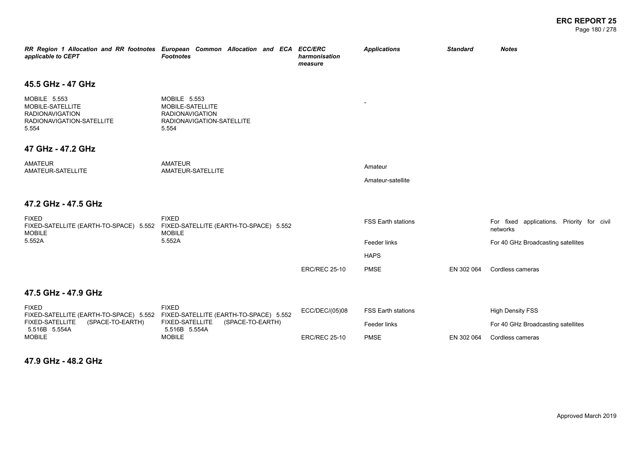| applicable to CEPT                                                                                      | RR Region 1 Allocation and RR footnotes European Common Allocation and ECA<br><b>Footnotes</b>                 | <b>ECC/ERC</b><br>harmonisation<br>measure        | <b>Applications</b>       | <b>Standard</b> | <b>Notes</b>                                           |
|---------------------------------------------------------------------------------------------------------|----------------------------------------------------------------------------------------------------------------|---------------------------------------------------|---------------------------|-----------------|--------------------------------------------------------|
| 45.5 GHz - 47 GHz                                                                                       |                                                                                                                |                                                   |                           |                 |                                                        |
| <b>MOBILE 5.553</b><br>MOBILE-SATELLITE<br><b>RADIONAVIGATION</b><br>RADIONAVIGATION-SATELLITE<br>5.554 | MOBILE 5.553<br>MOBILE-SATELLITE<br><b>RADIONAVIGATION</b><br>RADIONAVIGATION-SATELLITE<br>5.554               |                                                   |                           |                 |                                                        |
| 47 GHz - 47.2 GHz                                                                                       |                                                                                                                |                                                   |                           |                 |                                                        |
| <b>AMATEUR</b><br>AMATEUR-SATELLITE                                                                     | <b>AMATEUR</b><br>AMATEUR-SATELLITE                                                                            |                                                   | Amateur                   |                 |                                                        |
|                                                                                                         |                                                                                                                |                                                   | Amateur-satellite         |                 |                                                        |
| 47.2 GHz - 47.5 GHz                                                                                     |                                                                                                                |                                                   |                           |                 |                                                        |
| <b>FIXED</b><br><b>MOBILE</b>                                                                           | <b>FIXED</b><br>FIXED-SATELLITE (EARTH-TO-SPACE) 5.552 FIXED-SATELLITE (EARTH-TO-SPACE) 5.552<br><b>MOBILE</b> |                                                   | <b>FSS Earth stations</b> |                 | For fixed applications. Priority for civil<br>networks |
| 5.552A                                                                                                  | 5.552A                                                                                                         |                                                   | Feeder links              |                 | For 40 GHz Broadcasting satellites                     |
|                                                                                                         |                                                                                                                |                                                   | <b>HAPS</b>               |                 |                                                        |
|                                                                                                         |                                                                                                                | <b>ERC/REC 25-10</b>                              | <b>PMSE</b>               | EN 302 064      | Cordless cameras                                       |
| 47.5 GHz - 47.9 GHz                                                                                     |                                                                                                                |                                                   |                           |                 |                                                        |
| <b>FIXED</b><br>FIXED-SATELLITE (EARTH-TO-SPACE) 5.552 FIXED-SATELLITE (EARTH-TO-SPACE) 5.552           | <b>FIXED</b>                                                                                                   | ECC/DEC/(05)08                                    | <b>FSS Earth stations</b> |                 | <b>High Density FSS</b>                                |
| <b>FIXED-SATELLITE</b><br>(SPACE-TO-EARTH)<br>5.516B 5.554A                                             | (SPACE-TO-EARTH)<br><b>FIXED-SATELLITE</b><br>5.516B 5.554A                                                    |                                                   | Feeder links              |                 | For 40 GHz Broadcasting satellites                     |
| <b>MOBILE</b>                                                                                           | <b>MOBILE</b>                                                                                                  | <b>ERC/REC 25-10</b><br><b>PMSE</b><br>EN 302 064 | Cordless cameras          |                 |                                                        |
| 47.9 GHz - 48.2 GHz                                                                                     |                                                                                                                |                                                   |                           |                 |                                                        |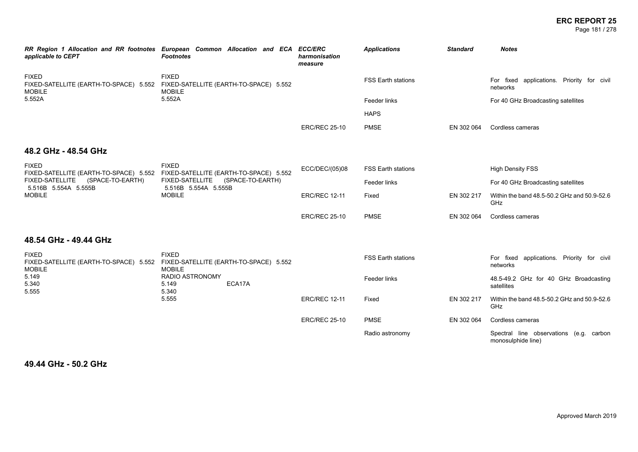# **ERC REPORT 25**

Page 181 / 278

| applicable to CEPT                                                                                                                                                                   | RR Region 1 Allocation and RR footnotes European Common Allocation and ECA<br><b>Footnotes</b>                 | <b>ECC/ERC</b><br>harmonisation<br>measure | <b>Applications</b>       | <b>Standard</b> | <b>Notes</b>                                                  |
|--------------------------------------------------------------------------------------------------------------------------------------------------------------------------------------|----------------------------------------------------------------------------------------------------------------|--------------------------------------------|---------------------------|-----------------|---------------------------------------------------------------|
| <b>FIXED</b><br><b>MOBILE</b>                                                                                                                                                        | <b>FIXED</b><br>FIXED-SATELLITE (EARTH-TO-SPACE) 5.552 FIXED-SATELLITE (EARTH-TO-SPACE) 5.552<br><b>MOBILE</b> |                                            | <b>FSS Earth stations</b> |                 | For fixed applications. Priority for civil<br>networks        |
| 5.552A                                                                                                                                                                               | 5.552A                                                                                                         |                                            | Feeder links              |                 | For 40 GHz Broadcasting satellites                            |
|                                                                                                                                                                                      |                                                                                                                |                                            | <b>HAPS</b>               |                 |                                                               |
|                                                                                                                                                                                      |                                                                                                                | <b>ERC/REC 25-10</b>                       | <b>PMSE</b>               | EN 302 064      | Cordless cameras                                              |
| 48.2 GHz - 48.54 GHz                                                                                                                                                                 |                                                                                                                |                                            |                           |                 |                                                               |
| <b>FIXED</b><br>FIXED-SATELLITE (EARTH-TO-SPACE) 5.552 FIXED-SATELLITE (EARTH-TO-SPACE) 5.552<br>(SPACE-TO-EARTH)<br><b>FIXED-SATELLITE</b><br>5.516B 5.554A 5.555B<br><b>MOBILE</b> | <b>FIXED</b>                                                                                                   | ECC/DEC/(05)08                             | <b>FSS Earth stations</b> |                 | <b>High Density FSS</b>                                       |
|                                                                                                                                                                                      | FIXED-SATELLITE<br>(SPACE-TO-EARTH)<br>5.516B 5.554A 5.555B<br><b>MOBILE</b>                                   |                                            | Feeder links              |                 | For 40 GHz Broadcasting satellites                            |
|                                                                                                                                                                                      |                                                                                                                | <b>ERC/REC 12-11</b>                       | Fixed                     | EN 302 217      | Within the band 48.5-50.2 GHz and 50.9-52.6<br>GHz            |
|                                                                                                                                                                                      |                                                                                                                | <b>ERC/REC 25-10</b>                       | <b>PMSE</b>               | EN 302 064      | Cordless cameras                                              |
| 48.54 GHz - 49.44 GHz                                                                                                                                                                |                                                                                                                |                                            |                           |                 |                                                               |
| <b>FIXED</b><br><b>MOBILE</b>                                                                                                                                                        | <b>FIXED</b><br>FIXED-SATELLITE (EARTH-TO-SPACE) 5.552 FIXED-SATELLITE (EARTH-TO-SPACE) 5.552<br><b>MOBILE</b> |                                            | <b>FSS Earth stations</b> |                 | For fixed applications. Priority for civil<br>networks        |
| 5.149<br>5.340<br>5.555                                                                                                                                                              | <b>RADIO ASTRONOMY</b><br>ECA17A<br>5.149<br>5.340                                                             |                                            | Feeder links              |                 | 48.5-49.2 GHz for 40 GHz Broadcasting<br>satellites           |
|                                                                                                                                                                                      | 5.555                                                                                                          | <b>ERC/REC 12-11</b>                       | Fixed                     | EN 302 217      | Within the band 48.5-50.2 GHz and 50.9-52.6<br>GHz            |
|                                                                                                                                                                                      |                                                                                                                | <b>ERC/REC 25-10</b>                       | <b>PMSE</b>               | EN 302 064      | Cordless cameras                                              |
|                                                                                                                                                                                      |                                                                                                                |                                            | Radio astronomy           |                 | Spectral line observations (e.g. carbon<br>monosulphide line) |

**49.44 GHz - 50.2 GHz**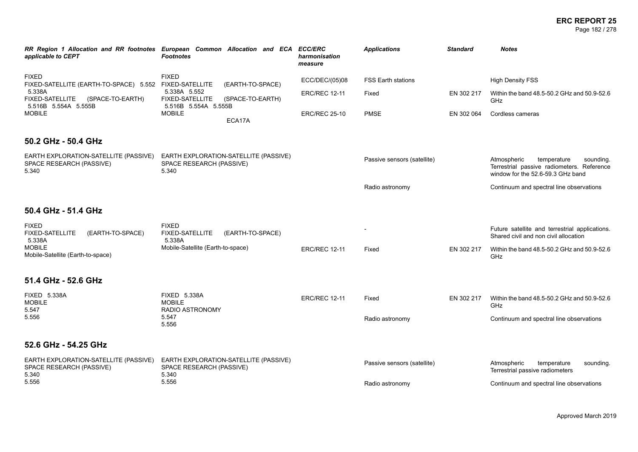#### **ERC REPORT 25** Page 182 / 278

| applicable to CEPT                                                           | RR Region 1 Allocation and RR footnotes European Common Allocation and ECA ECC/ERC<br><b>Footnotes</b> | harmonisation<br>measure | <b>Applications</b>         | <b>Standard</b> | <b>Notes</b>                                                                                                               |
|------------------------------------------------------------------------------|--------------------------------------------------------------------------------------------------------|--------------------------|-----------------------------|-----------------|----------------------------------------------------------------------------------------------------------------------------|
| <b>FIXED</b><br>FIXED-SATELLITE (EARTH-TO-SPACE) 5.552 FIXED-SATELLITE       | <b>FIXED</b><br>(EARTH-TO-SPACE)                                                                       | ECC/DEC/(05)08           | <b>FSS Earth stations</b>   |                 | <b>High Density FSS</b>                                                                                                    |
| 5.338A<br><b>FIXED-SATELLITE</b><br>(SPACE-TO-EARTH)<br>5.516B 5.554A 5.555B | 5.338A 5.552<br><b>FIXED-SATELLITE</b><br>(SPACE-TO-EARTH)<br>5.516B 5.554A 5.555B                     | <b>ERC/REC 12-11</b>     | Fixed                       | EN 302 217      | Within the band 48.5-50.2 GHz and 50.9-52.6<br><b>GHz</b>                                                                  |
| <b>MOBILE</b>                                                                | <b>MOBILE</b><br>ECA17A                                                                                | <b>ERC/REC 25-10</b>     | <b>PMSE</b>                 | EN 302 064      | Cordless cameras                                                                                                           |
| 50.2 GHz - 50.4 GHz                                                          |                                                                                                        |                          |                             |                 |                                                                                                                            |
| EARTH EXPLORATION-SATELLITE (PASSIVE)<br>SPACE RESEARCH (PASSIVE)<br>5.340   | EARTH EXPLORATION-SATELLITE (PASSIVE)<br>SPACE RESEARCH (PASSIVE)<br>5.340                             |                          | Passive sensors (satellite) |                 | Atmospheric<br>temperature<br>sounding.<br>Terrestrial passive radiometers. Reference<br>window for the 52.6-59.3 GHz band |
|                                                                              |                                                                                                        |                          | Radio astronomy             |                 | Continuum and spectral line observations                                                                                   |
| 50.4 GHz - 51.4 GHz                                                          |                                                                                                        |                          |                             |                 |                                                                                                                            |
| <b>FIXED</b><br>FIXED-SATELLITE<br>(EARTH-TO-SPACE)<br>5.338A                | <b>FIXED</b><br><b>FIXED-SATELLITE</b><br>(EARTH-TO-SPACE)<br>5.338A                                   |                          |                             |                 | Future satellite and terrestrial applications.<br>Shared civil and non civil allocation                                    |
| <b>MOBILE</b><br>Mobile-Satellite (Earth-to-space)                           | Mobile-Satellite (Earth-to-space)                                                                      | <b>ERC/REC 12-11</b>     | Fixed                       | EN 302 217      | Within the band 48.5-50.2 GHz and 50.9-52.6<br><b>GHz</b>                                                                  |
| 51.4 GHz - 52.6 GHz                                                          |                                                                                                        |                          |                             |                 |                                                                                                                            |
| <b>FIXED 5.338A</b><br><b>MOBILE</b><br>5.547                                | <b>FIXED 5.338A</b><br><b>MOBILE</b><br><b>RADIO ASTRONOMY</b>                                         | <b>ERC/REC 12-11</b>     | Fixed                       | EN 302 217      | Within the band 48.5-50.2 GHz and 50.9-52.6<br>GHz                                                                         |
| 5.556                                                                        | 5.547<br>5.556                                                                                         |                          | Radio astronomy             |                 | Continuum and spectral line observations                                                                                   |
| 52.6 GHz - 54.25 GHz                                                         |                                                                                                        |                          |                             |                 |                                                                                                                            |
| EARTH EXPLORATION-SATELLITE (PASSIVE)<br>SPACE RESEARCH (PASSIVE)<br>5.340   | EARTH EXPLORATION-SATELLITE (PASSIVE)<br>SPACE RESEARCH (PASSIVE)<br>5.340                             |                          | Passive sensors (satellite) |                 | Atmospheric<br>temperature<br>sounding.<br>Terrestrial passive radiometers                                                 |
| 5.556                                                                        | 5.556                                                                                                  |                          | Radio astronomy             |                 | Continuum and spectral line observations                                                                                   |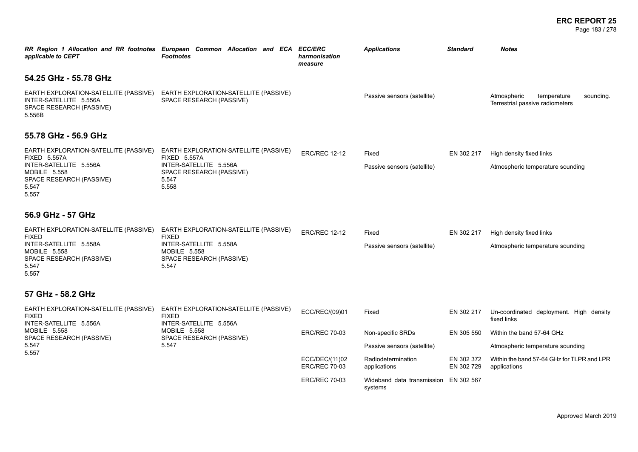#### **ERC REPORT 25** Page 183 / 278

| applicable to CEPT                                                                                                                                   | RR Region 1 Allocation and RR footnotes European Common Allocation and ECA ECC/ERC<br><b>Footnotes</b>                                      | harmonisation<br>measure               | <b>Applications</b>                   | <b>Standard</b>          | <b>Notes</b>                                                               |
|------------------------------------------------------------------------------------------------------------------------------------------------------|---------------------------------------------------------------------------------------------------------------------------------------------|----------------------------------------|---------------------------------------|--------------------------|----------------------------------------------------------------------------|
| 54.25 GHz - 55.78 GHz                                                                                                                                |                                                                                                                                             |                                        |                                       |                          |                                                                            |
| EARTH EXPLORATION-SATELLITE (PASSIVE)<br>INTER-SATELLITE 5.556A<br>SPACE RESEARCH (PASSIVE)<br>5.556B                                                | EARTH EXPLORATION-SATELLITE (PASSIVE)<br>SPACE RESEARCH (PASSIVE)                                                                           |                                        | Passive sensors (satellite)           |                          | Atmospheric<br>temperature<br>sounding.<br>Terrestrial passive radiometers |
| 55.78 GHz - 56.9 GHz                                                                                                                                 |                                                                                                                                             |                                        |                                       |                          |                                                                            |
| EARTH EXPLORATION-SATELLITE (PASSIVE)<br><b>FIXED 5.557A</b><br>INTER-SATELLITE 5.556A<br>MOBILE 5.558<br>SPACE RESEARCH (PASSIVE)<br>5.547<br>5.557 | EARTH EXPLORATION-SATELLITE (PASSIVE)<br><b>FIXED 5.557A</b><br>INTER-SATELLITE 5.556A<br>SPACE RESEARCH (PASSIVE)<br>5.547<br>5.558        | <b>ERC/REC 12-12</b>                   | Fixed<br>Passive sensors (satellite)  | EN 302 217               | High density fixed links<br>Atmospheric temperature sounding               |
| 56.9 GHz - 57 GHz                                                                                                                                    |                                                                                                                                             |                                        |                                       |                          |                                                                            |
| EARTH EXPLORATION-SATELLITE (PASSIVE)<br><b>FIXED</b><br>INTER-SATELLITE 5.558A<br><b>MOBILE 5.558</b><br>SPACE RESEARCH (PASSIVE)<br>5.547<br>5.557 | EARTH EXPLORATION-SATELLITE (PASSIVE)<br><b>FIXED</b><br>INTER-SATELLITE 5.558A<br><b>MOBILE 5.558</b><br>SPACE RESEARCH (PASSIVE)<br>5.547 | <b>ERC/REC 12-12</b>                   | Fixed<br>Passive sensors (satellite)  | EN 302 217               | High density fixed links<br>Atmospheric temperature sounding               |
| 57 GHz - 58.2 GHz                                                                                                                                    |                                                                                                                                             |                                        |                                       |                          |                                                                            |
| EARTH EXPLORATION-SATELLITE (PASSIVE)<br><b>FIXED</b><br>INTER-SATELLITE 5.556A                                                                      | EARTH EXPLORATION-SATELLITE (PASSIVE)<br><b>FIXED</b><br>INTER-SATELLITE 5.556A                                                             | ECC/REC/(09)01                         | Fixed                                 | EN 302 217               | Un-coordinated deployment. High density<br>fixed links                     |
| MOBILE 5.558<br>SPACE RESEARCH (PASSIVE)                                                                                                             | <b>MOBILE 5.558</b><br>SPACE RESEARCH (PASSIVE)                                                                                             | <b>ERC/REC 70-03</b>                   | Non-specific SRDs                     | EN 305 550               | Within the band 57-64 GHz                                                  |
| 5.547<br>5.557                                                                                                                                       | 5.547                                                                                                                                       |                                        | Passive sensors (satellite)           |                          | Atmospheric temperature sounding                                           |
|                                                                                                                                                      |                                                                                                                                             | ECC/DEC/(11)02<br><b>ERC/REC 70-03</b> | Radiodetermination<br>applications    | EN 302 372<br>EN 302 729 | Within the band 57-64 GHz for TLPR and LPR<br>applications                 |
|                                                                                                                                                      |                                                                                                                                             | <b>ERC/REC 70-03</b>                   | Wideband data transmission<br>systems | EN 302 567               |                                                                            |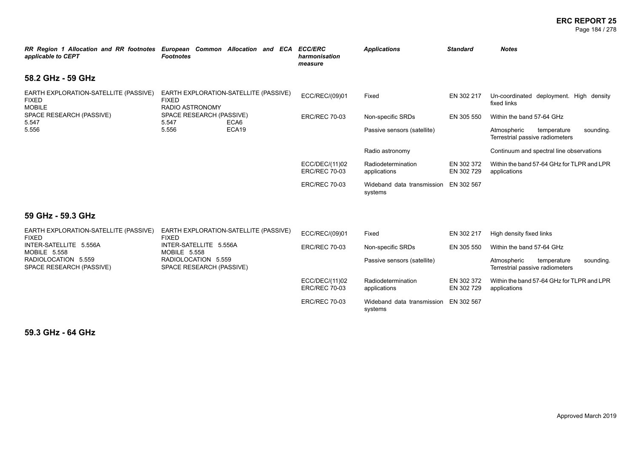#### **ERC REPORT 25** Page 184 / 278

| RR Region 1 Allocation and RR footnotes European Common Allocation and ECA<br>applicable to CEPT                                                                                                                                                                       | <b>Footnotes</b> |                             |                   | <b>ECC/ERC</b><br>harmonisation<br>measure                                 | <b>Applications</b>                   | <b>Standard</b>          | <b>Notes</b>                                               |
|------------------------------------------------------------------------------------------------------------------------------------------------------------------------------------------------------------------------------------------------------------------------|------------------|-----------------------------|-------------------|----------------------------------------------------------------------------|---------------------------------------|--------------------------|------------------------------------------------------------|
| 58.2 GHz - 59 GHz                                                                                                                                                                                                                                                      |                  |                             |                   |                                                                            |                                       |                          |                                                            |
| EARTH EXPLORATION-SATELLITE (PASSIVE)<br>EARTH EXPLORATION-SATELLITE (PASSIVE)<br><b>FIXED</b><br><b>FIXED</b><br><b>MOBILE</b><br><b>RADIO ASTRONOMY</b><br>SPACE RESEARCH (PASSIVE)<br>SPACE RESEARCH (PASSIVE)<br>5.547<br>5.547<br>ECA6<br>5.556<br>ECA19<br>5.556 | ECC/REC/(09)01   | Fixed                       | EN 302 217        | Un-coordinated deployment. High density<br>fixed links                     |                                       |                          |                                                            |
|                                                                                                                                                                                                                                                                        |                  | <b>ERC/REC 70-03</b>        | Non-specific SRDs | EN 305 550                                                                 | Within the band 57-64 GHz             |                          |                                                            |
|                                                                                                                                                                                                                                                                        |                  | Passive sensors (satellite) |                   | temperature<br>sounding.<br>Atmospheric<br>Terrestrial passive radiometers |                                       |                          |                                                            |
|                                                                                                                                                                                                                                                                        |                  |                             |                   |                                                                            | Radio astronomy                       |                          | Continuum and spectral line observations                   |
|                                                                                                                                                                                                                                                                        |                  |                             |                   | ECC/DEC/(11)02<br><b>ERC/REC 70-03</b>                                     | Radiodetermination<br>applications    | EN 302 372<br>EN 302 729 | Within the band 57-64 GHz for TLPR and LPR<br>applications |
|                                                                                                                                                                                                                                                                        |                  |                             |                   | <b>ERC/REC 70-03</b>                                                       | Wideband data transmission<br>systems | EN 302 567               |                                                            |
| 59 GHz - 59.3 GHz                                                                                                                                                                                                                                                      |                  |                             |                   |                                                                            |                                       |                          |                                                            |

| EARTH EXPLORATION-SATELLITE (PASSIVE)<br><b>FIXED</b> | EARTH EXPLORATION-SATELLITE (PASSIVE)<br><b>FIXED</b> | ECC/REC/(09)01                         | Fixed                                 | EN 302 217               | High density fixed links                                                   |
|-------------------------------------------------------|-------------------------------------------------------|----------------------------------------|---------------------------------------|--------------------------|----------------------------------------------------------------------------|
| INTER-SATELLITE 5.556A<br>MOBILE 5.558                | INTER-SATELLITE 5.556A<br>MOBILE 5.558                | <b>ERC/REC 70-03</b>                   | Non-specific SRDs                     | EN 305 550               | Within the band 57-64 GHz                                                  |
| RADIOLOCATION 5.559<br>SPACE RESEARCH (PASSIVE)       | RADIOLOCATION 5.559<br>SPACE RESEARCH (PASSIVE)       |                                        | Passive sensors (satellite)           |                          | sounding.<br>Atmospheric<br>temperature<br>Terrestrial passive radiometers |
|                                                       |                                                       | ECC/DEC/(11)02<br><b>ERC/REC 70-03</b> | Radiodetermination<br>applications    | EN 302 372<br>EN 302 729 | Within the band 57-64 GHz for TLPR and LPR<br>applications                 |
|                                                       |                                                       | <b>ERC/REC 70-03</b>                   | Wideband data transmission<br>systems | EN 302 567               |                                                                            |

**59.3 GHz - 64 GHz**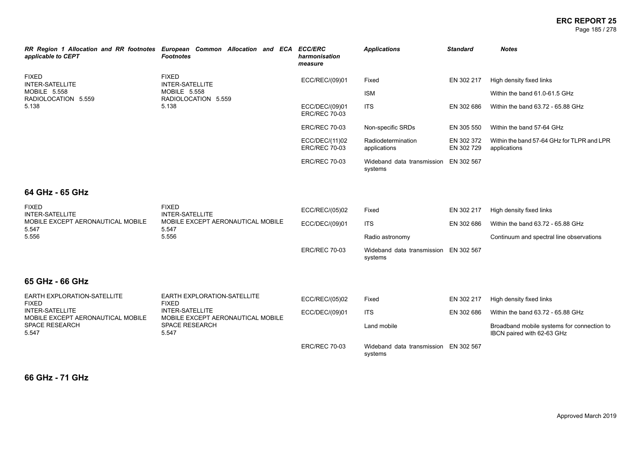#### **ERC REPORT 25** Page 185 / 278

| RR Region 1 Allocation and RR footnotes<br>applicable to CEPT                   | European Common Allocation and ECA ECC/ERC<br><b>Footnotes</b> |  | harmonisation<br>measure               | <b>Applications</b>                   | <b>Standard</b>          | <b>Notes</b>                                               |
|---------------------------------------------------------------------------------|----------------------------------------------------------------|--|----------------------------------------|---------------------------------------|--------------------------|------------------------------------------------------------|
| <b>FIXED</b><br>INTER-SATELLITE<br>MOBILE 5.558<br>RADIOLOCATION 5.559<br>5.138 | <b>FIXED</b><br><b>INTER-SATELLITE</b>                         |  | ECC/REC/(09)01                         | Fixed                                 | EN 302 217               | High density fixed links                                   |
|                                                                                 | MOBILE 5.558<br>RADIOLOCATION 5.559                            |  |                                        | <b>ISM</b>                            |                          | Within the band 61.0-61.5 GHz                              |
|                                                                                 | 5.138                                                          |  | ECC/DEC/(09)01<br><b>ERC/REC 70-03</b> | <b>ITS</b>                            | EN 302 686               | Within the band 63.72 - 65.88 GHz                          |
|                                                                                 |                                                                |  | <b>ERC/REC 70-03</b>                   | Non-specific SRDs                     | EN 305 550               | Within the band 57-64 GHz                                  |
|                                                                                 |                                                                |  | ECC/DEC/(11)02<br><b>ERC/REC 70-03</b> | Radiodetermination<br>applications    | EN 302 372<br>EN 302 729 | Within the band 57-64 GHz for TLPR and LPR<br>applications |
|                                                                                 |                                                                |  | <b>ERC/REC 70-03</b>                   | Wideband data transmission<br>systems | EN 302 567               |                                                            |

# **64 GHz - 65 GHz**

| <b>FIXED</b><br>INTER-SATELLITE<br>MOBILE EXCEPT AERONAUTICAL MOBILE<br>5.547<br>5.556 | <b>FIXED</b><br>INTER-SATELLITE<br>MOBILE EXCEPT AERONAUTICAL MOBILE<br>5.547<br>5.556 | ECC/REC/(05)02<br>ECC/DEC/(09)01 | Fixed<br><b>ITS</b><br>Radio astronomy | EN 302 217<br>EN 302 686 | High density fixed links<br>Within the band 63.72 - 65.88 GHz<br>Continuum and spectral line observations |
|----------------------------------------------------------------------------------------|----------------------------------------------------------------------------------------|----------------------------------|----------------------------------------|--------------------------|-----------------------------------------------------------------------------------------------------------|
|                                                                                        |                                                                                        | <b>ERC/REC 70-03</b>             | Wideband data transmission<br>systems  | EN 302 567               |                                                                                                           |
| 65 GHz - 66 GHz                                                                        |                                                                                        |                                  |                                        |                          |                                                                                                           |
| EARTH EXPLORATION-SATELLITE<br>FIXED<br>INTER-SATELLITE                                | EARTH EXPLORATION-SATELLITE<br><b>FIXED</b><br>INTER-SATELLITE                         | ECC/REC/(05)02<br>ECC/DEC/(09)01 | Fixed<br><b>ITS</b>                    | EN 302 217<br>EN 302 686 | High density fixed links<br>Within the band 63.72 - 65.88 GHz                                             |

| INTER-SATELLITE<br>MOBILE EXCEPT AERONAUTICAL MOBILE | INTER-SATELLITE<br>MOBILE EXCEPT AERONAUTICAL MOBILE | ECC/DEC/(09)01       | <b>ITS</b>                                       | EN 302 686 | Within the band 63.72 - 65.88 GHz                                        |
|------------------------------------------------------|------------------------------------------------------|----------------------|--------------------------------------------------|------------|--------------------------------------------------------------------------|
| SPACE RESEARCH<br>5.547                              | SPACE RESEARCH<br>5.547                              |                      | Land mobile                                      |            | Broadband mobile systems for connection to<br>IBCN paired with 62-63 GHz |
|                                                      |                                                      | <b>ERC/REC 70-03</b> | Wideband data transmission EN 302 567<br>systems |            |                                                                          |

**66 GHz - 71 GHz**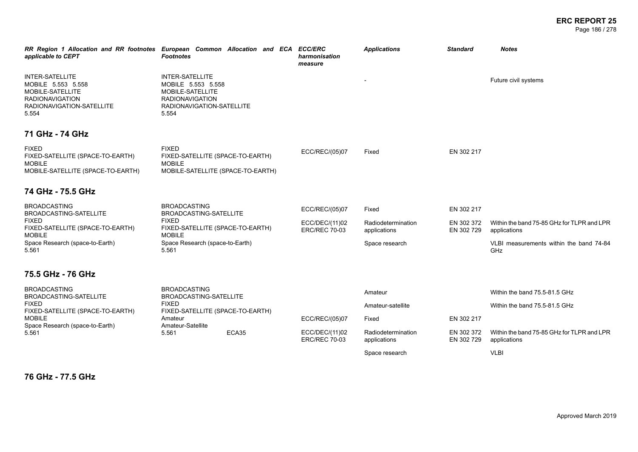| applicable to CEPT                                                                                                               | RR Region 1 Allocation and RR footnotes European Common Allocation and ECA ECC/ERC<br><b>Footnotes</b>                           | harmonisation<br>measure               | <b>Applications</b>                | <b>Standard</b>          | <b>Notes</b>                                               |
|----------------------------------------------------------------------------------------------------------------------------------|----------------------------------------------------------------------------------------------------------------------------------|----------------------------------------|------------------------------------|--------------------------|------------------------------------------------------------|
| <b>INTER-SATELLITE</b><br>MOBILE 5.553 5.558<br>MOBILE-SATELLITE<br><b>RADIONAVIGATION</b><br>RADIONAVIGATION-SATELLITE<br>5.554 | <b>INTER-SATELLITE</b><br>MOBILE 5.553 5.558<br>MOBILE-SATELLITE<br><b>RADIONAVIGATION</b><br>RADIONAVIGATION-SATELLITE<br>5.554 |                                        |                                    |                          | Future civil systems                                       |
| 71 GHz - 74 GHz                                                                                                                  |                                                                                                                                  |                                        |                                    |                          |                                                            |
| <b>FIXED</b><br>FIXED-SATELLITE (SPACE-TO-EARTH)<br><b>MOBILE</b><br>MOBILE-SATELLITE (SPACE-TO-EARTH)                           | <b>FIXED</b><br>FIXED-SATELLITE (SPACE-TO-EARTH)<br><b>MOBILE</b><br>MOBILE-SATELLITE (SPACE-TO-EARTH)                           | ECC/REC/(05)07                         | Fixed                              | EN 302 217               |                                                            |
| 74 GHz - 75.5 GHz                                                                                                                |                                                                                                                                  |                                        |                                    |                          |                                                            |
| <b>BROADCASTING</b><br><b>BROADCASTING-SATELLITE</b><br>FIXED                                                                    | <b>BROADCASTING</b><br>BROADCASTING-SATELLITE<br><b>FIXED</b>                                                                    | ECC/REC/(05)07<br>ECC/DEC/(11)02       | Fixed<br>Radiodetermination        | EN 302 217<br>EN 302 372 | Within the band 75-85 GHz for TLPR and LPR                 |
| FIXED-SATELLITE (SPACE-TO-EARTH)<br>MOBILE                                                                                       | FIXED-SATELLITE (SPACE-TO-EARTH)<br><b>MOBILE</b>                                                                                | <b>ERC/REC 70-03</b>                   | applications                       | EN 302 729               | applications                                               |
| Space Research (space-to-Earth)<br>5.561                                                                                         | Space Research (space-to-Earth)<br>5.561                                                                                         |                                        | Space research                     |                          | VLBI measurements within the band 74-84<br>GHz             |
| 75.5 GHz - 76 GHz                                                                                                                |                                                                                                                                  |                                        |                                    |                          |                                                            |
| <b>BROADCASTING</b><br><b>BROADCASTING-SATELLITE</b>                                                                             | <b>BROADCASTING</b><br>BROADCASTING-SATELLITE                                                                                    |                                        | Amateur                            |                          | Within the band 75.5-81.5 GHz                              |
| <b>FIXED</b><br>FIXED-SATELLITE (SPACE-TO-EARTH)                                                                                 | <b>FIXED</b><br>FIXED-SATELLITE (SPACE-TO-EARTH)                                                                                 |                                        | Amateur-satellite                  |                          | Within the band 75.5-81.5 GHz                              |
| <b>MOBILE</b><br>Space Research (space-to-Earth)                                                                                 | Amateur<br>Amateur-Satellite                                                                                                     | ECC/REC/(05)07                         | Fixed                              | EN 302 217               |                                                            |
| 5.561                                                                                                                            | ECA35<br>5.561                                                                                                                   | ECC/DEC/(11)02<br><b>ERC/REC 70-03</b> | Radiodetermination<br>applications | EN 302 372<br>EN 302 729 | Within the band 75-85 GHz for TLPR and LPR<br>applications |
|                                                                                                                                  |                                                                                                                                  |                                        | Space research                     |                          | <b>VLBI</b>                                                |

**76 GHz - 77.5 GHz**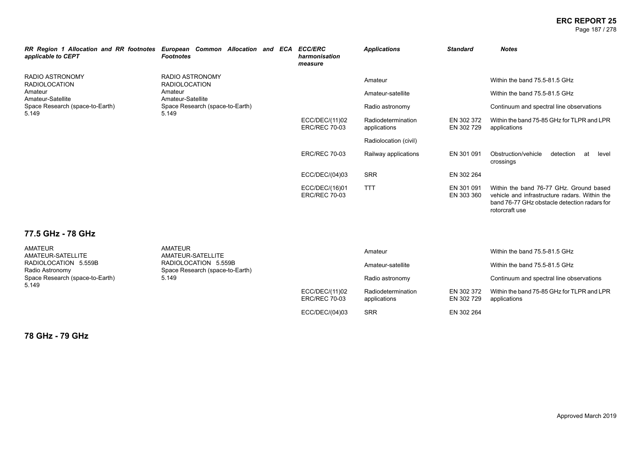#### **ERC REPORT 25** Page 187 / 278

| RR Region 1 Allocation and RR footnotes European Common Allocation and ECA<br>applicable to CEPT | <b>Footnotes</b>                               |                                                      |                                        | <b>ECC/ERC</b><br>harmonisation<br>measure | <b>Applications</b>      | <b>Standard</b>                                              | <b>Notes</b>                                                                                                                                               |
|--------------------------------------------------------------------------------------------------|------------------------------------------------|------------------------------------------------------|----------------------------------------|--------------------------------------------|--------------------------|--------------------------------------------------------------|------------------------------------------------------------------------------------------------------------------------------------------------------------|
| RADIO ASTRONOMY<br><b>RADIOLOCATION</b>                                                          | <b>RADIO ASTRONOMY</b><br><b>RADIOLOCATION</b> |                                                      |                                        |                                            | Amateur                  |                                                              | Within the band 75.5-81.5 GHz                                                                                                                              |
| Amateur<br>Amateur-Satellite                                                                     | Amateur                                        | Amateur-Satellite<br>Space Research (space-to-Earth) |                                        | Amateur-satellite                          |                          | Within the band 75.5-81.5 GHz                                |                                                                                                                                                            |
| Space Research (space-to-Earth)<br>5.149<br>5.149                                                |                                                |                                                      |                                        |                                            | Radio astronomy          |                                                              | Continuum and spectral line observations                                                                                                                   |
|                                                                                                  |                                                |                                                      | ECC/DEC/(11)02<br><b>ERC/REC 70-03</b> | Radiodetermination<br>applications         | EN 302 372<br>EN 302 729 | Within the band 75-85 GHz for TLPR and LPR<br>applications   |                                                                                                                                                            |
|                                                                                                  |                                                |                                                      |                                        |                                            | Radiolocation (civil)    |                                                              |                                                                                                                                                            |
|                                                                                                  |                                                |                                                      | <b>ERC/REC 70-03</b>                   | Railway applications                       | EN 301 091               | Obstruction/vehicle<br>detection<br>at<br>level<br>crossings |                                                                                                                                                            |
|                                                                                                  |                                                |                                                      |                                        | ECC/DEC/(04)03                             | <b>SRR</b>               | EN 302 264                                                   |                                                                                                                                                            |
|                                                                                                  |                                                |                                                      |                                        | ECC/DEC/(16)01<br><b>ERC/REC 70-03</b>     | <b>TTT</b>               | EN 301 091<br>EN 303 360                                     | Within the band 76-77 GHz. Ground based<br>vehicle and infrastructure radars. Within the<br>band 76-77 GHz obstacle detection radars for<br>rotorcraft use |

# **77.5 GHz - 78 GHz**

| <b>AMATEUR</b><br>AMATEUR-SATELLITE               | <b>AMATEUR</b><br>AMATEUR-SATELLITE                     |                                        | Amateur                            |                          | Within the band 75.5-81.5 GHz                              |  |
|---------------------------------------------------|---------------------------------------------------------|----------------------------------------|------------------------------------|--------------------------|------------------------------------------------------------|--|
| RADIOLOCATION 5.559B<br>Radio Astronomy           | RADIOLOCATION 5.559B<br>Space Research (space-to-Earth) |                                        | Amateur-satellite                  |                          | Within the band 75.5-81.5 GHz                              |  |
| Space Research (space-to-Earth)<br>5.149<br>5.149 |                                                         |                                        | Radio astronomy                    |                          | Continuum and spectral line observations                   |  |
|                                                   |                                                         | ECC/DEC/(11)02<br><b>ERC/REC 70-03</b> | Radiodetermination<br>applications | EN 302 372<br>EN 302 729 | Within the band 75-85 GHz for TLPR and LPR<br>applications |  |
|                                                   |                                                         | ECC/DEC/(04)03                         | <b>SRR</b>                         | EN 302 264               |                                                            |  |

**78 GHz - 79 GHz**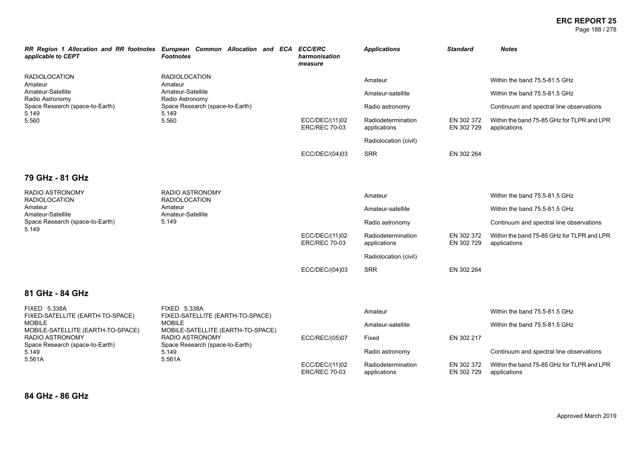#### **ERC REPORT 25** Page 188 / 278

| applicable to CEPT                                      | RR Region 1 Allocation and RR footnotes European Common Allocation and ECA ECC/ERC<br><b>Footnotes</b> | harmonisation<br>measure               | <b>Applications</b>                | <b>Standard</b>          | <b>Notes</b>                                               |
|---------------------------------------------------------|--------------------------------------------------------------------------------------------------------|----------------------------------------|------------------------------------|--------------------------|------------------------------------------------------------|
| <b>RADIOLOCATION</b><br>Amateur                         | <b>RADIOLOCATION</b><br>Amateur                                                                        |                                        | Amateur                            |                          | Within the band 75.5-81.5 GHz                              |
| Amateur-Satellite<br>Radio Astronomy                    | Amateur-Satellite<br>Radio Astronomy<br>Space Research (space-to-Earth)<br>5.149                       |                                        | Amateur-satellite                  |                          | Within the band 75.5-81.5 GHz                              |
| Space Research (space-to-Earth)<br>5.149                |                                                                                                        |                                        | Radio astronomy                    |                          | Continuum and spectral line observations                   |
| 5.560                                                   | 5.560                                                                                                  | ECC/DEC/(11)02<br><b>ERC/REC 70-03</b> | Radiodetermination<br>applications | EN 302 372<br>EN 302 729 | Within the band 75-85 GHz for TLPR and LPR<br>applications |
|                                                         |                                                                                                        |                                        | Radiolocation (civil)              |                          |                                                            |
|                                                         |                                                                                                        | ECC/DEC/(04)03                         | <b>SRR</b>                         | EN 302 264               |                                                            |
| 79 GHz - 81 GHz                                         |                                                                                                        |                                        |                                    |                          |                                                            |
| RADIO ASTRONOMY<br><b>RADIOLOCATION</b>                 | <b>RADIO ASTRONOMY</b><br><b>RADIOLOCATION</b><br>Amateur<br>Amateur-Satellite<br>5.149                |                                        | Amateur                            |                          | Within the band 75.5-81.5 GHz                              |
| Amateur<br>Amateur-Satellite                            |                                                                                                        |                                        | Amateur-satellite                  |                          | Within the band 75.5-81.5 GHz                              |
| Space Research (space-to-Earth)<br>5.149                |                                                                                                        |                                        | Radio astronomy                    |                          | Continuum and spectral line observations                   |
|                                                         |                                                                                                        | ECC/DEC/(11)02<br><b>ERC/REC 70-03</b> | Radiodetermination<br>applications | EN 302 372<br>EN 302 729 | Within the band 75-85 GHz for TLPR and LPR<br>applications |
|                                                         |                                                                                                        |                                        | Radiolocation (civil)              |                          |                                                            |
|                                                         |                                                                                                        | ECC/DEC/(04)03                         | <b>SRR</b>                         | EN 302 264               |                                                            |
| 81 GHz - 84 GHz                                         |                                                                                                        |                                        |                                    |                          |                                                            |
| <b>FIXED 5.338A</b><br>FIXED-SATELLITE (EARTH-TO-SPACE) | FIXED 5.338A<br>FIXED-SATELLITE (EARTH-TO-SPACE)                                                       |                                        | Amateur                            |                          | Within the band 75.5-81.5 GHz                              |
| <b>MOBILE</b><br>MOBILE-SATELLITE (EARTH-TO-SPACE)      | <b>MOBILE</b><br>MOBILE-SATELLITE (EARTH-TO-SPACE)                                                     |                                        | Amateur-satellite                  |                          | Within the band 75.5-81.5 GHz                              |
| RADIO ASTRONOMY<br>Space Research (space-to-Earth)      | <b>RADIO ASTRONOMY</b><br>Space Research (space-to-Earth)<br>5.149                                     | ECC/REC/(05)07                         | Fixed                              | EN 302 217               |                                                            |
| 5.149                                                   |                                                                                                        |                                        | Radio astronomy                    |                          | Continuum and spectral line observations                   |
| 5.561A                                                  | 5.561A                                                                                                 | ECC/DEC/(11)02<br><b>ERC/REC 70-03</b> | Radiodetermination<br>applications | EN 302 372<br>EN 302 729 | Within the band 75-85 GHz for TLPR and LPR<br>applications |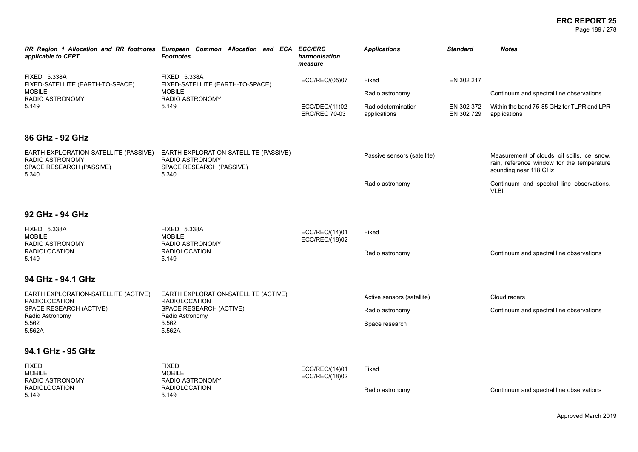#### **ERC REPORT 25** Page 189 / 278

| applicable to CEPT                                                                            | RR Region 1 Allocation and RR footnotes European Common Allocation and ECA ECC/ERC<br><b>Footnotes</b> | harmonisation<br>measure               | <b>Applications</b>                | <b>Standard</b>          | <b>Notes</b>                                                                                                         |
|-----------------------------------------------------------------------------------------------|--------------------------------------------------------------------------------------------------------|----------------------------------------|------------------------------------|--------------------------|----------------------------------------------------------------------------------------------------------------------|
| FIXED 5.338A<br>FIXED-SATELLITE (EARTH-TO-SPACE)<br><b>MOBILE</b>                             | <b>FIXED 5.338A</b><br>FIXED-SATELLITE (EARTH-TO-SPACE)<br><b>MOBILE</b>                               | ECC/REC/(05)07                         | Fixed                              | EN 302 217               |                                                                                                                      |
| RADIO ASTRONOMY<br>5.149                                                                      | <b>RADIO ASTRONOMY</b><br>5.149                                                                        |                                        | Radio astronomy                    |                          | Continuum and spectral line observations                                                                             |
|                                                                                               |                                                                                                        | ECC/DEC/(11)02<br><b>ERC/REC 70-03</b> | Radiodetermination<br>applications | EN 302 372<br>EN 302 729 | Within the band 75-85 GHz for TLPR and LPR<br>applications                                                           |
| 86 GHz - 92 GHz                                                                               |                                                                                                        |                                        |                                    |                          |                                                                                                                      |
| EARTH EXPLORATION-SATELLITE (PASSIVE)<br>RADIO ASTRONOMY<br>SPACE RESEARCH (PASSIVE)<br>5.340 | EARTH EXPLORATION-SATELLITE (PASSIVE)<br>RADIO ASTRONOMY<br>SPACE RESEARCH (PASSIVE)<br>5.340          |                                        | Passive sensors (satellite)        |                          | Measurement of clouds, oil spills, ice, snow,<br>rain, reference window for the temperature<br>sounding near 118 GHz |
|                                                                                               |                                                                                                        |                                        | Radio astronomy                    |                          | Continuum and spectral line observations.<br><b>VLBI</b>                                                             |
| 92 GHz - 94 GHz                                                                               |                                                                                                        |                                        |                                    |                          |                                                                                                                      |
| <b>FIXED 5.338A</b><br><b>MOBILE</b><br>RADIO ASTRONOMY                                       | <b>FIXED 5.338A</b><br><b>MOBILE</b><br>RADIO ASTRONOMY                                                | ECC/REC/(14)01<br>ECC/REC/(18)02       | Fixed                              |                          |                                                                                                                      |
| <b>RADIOLOCATION</b><br>5.149                                                                 | <b>RADIOLOCATION</b><br>5.149                                                                          |                                        | Radio astronomy                    |                          | Continuum and spectral line observations                                                                             |
| 94 GHz - 94.1 GHz                                                                             |                                                                                                        |                                        |                                    |                          |                                                                                                                      |
| EARTH EXPLORATION-SATELLITE (ACTIVE)<br><b>RADIOLOCATION</b>                                  | EARTH EXPLORATION-SATELLITE (ACTIVE)<br><b>RADIOLOCATION</b>                                           |                                        | Active sensors (satellite)         |                          | Cloud radars                                                                                                         |
| SPACE RESEARCH (ACTIVE)<br>Radio Astronomy                                                    | SPACE RESEARCH (ACTIVE)<br>Radio Astronomy                                                             |                                        | Radio astronomy                    |                          | Continuum and spectral line observations                                                                             |
| 5.562<br>5.562A                                                                               | 5.562<br>5.562A                                                                                        |                                        | Space research                     |                          |                                                                                                                      |
| 94.1 GHz - 95 GHz                                                                             |                                                                                                        |                                        |                                    |                          |                                                                                                                      |
| <b>FIXED</b><br><b>MOBILE</b><br>RADIO ASTRONOMY                                              | <b>FIXED</b><br><b>MOBILE</b><br><b>RADIO ASTRONOMY</b>                                                | ECC/REC/(14)01<br>ECC/REC/(18)02       | Fixed                              |                          |                                                                                                                      |
| <b>RADIOLOCATION</b><br>5.149                                                                 | <b>RADIOLOCATION</b><br>5.149                                                                          |                                        | Radio astronomy                    |                          | Continuum and spectral line observations                                                                             |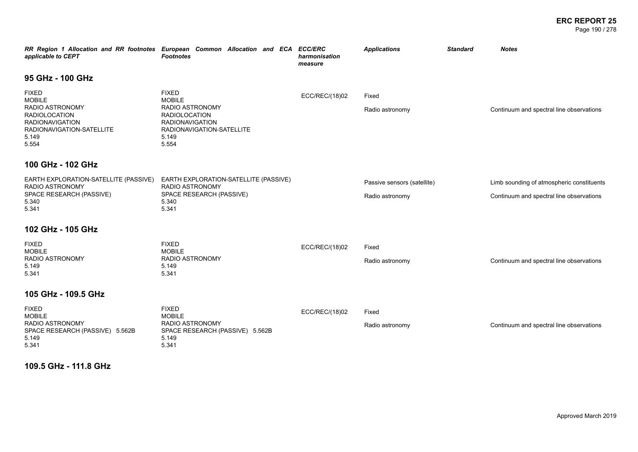#### **ERC REPORT 25** Page 190 / 278

| applicable to CEPT                                                                                                                                | RR Region 1 Allocation and RR footnotes European Common Allocation and ECA ECC/ERC<br><b>Footnotes</b>                                            | harmonisation<br>measure | <b>Applications</b>                            | <b>Standard</b> | <b>Notes</b>                                                                          |
|---------------------------------------------------------------------------------------------------------------------------------------------------|---------------------------------------------------------------------------------------------------------------------------------------------------|--------------------------|------------------------------------------------|-----------------|---------------------------------------------------------------------------------------|
| 95 GHz - 100 GHz                                                                                                                                  |                                                                                                                                                   |                          |                                                |                 |                                                                                       |
| <b>FIXED</b><br><b>MOBILE</b><br>RADIO ASTRONOMY<br><b>RADIOLOCATION</b><br><b>RADIONAVIGATION</b><br>RADIONAVIGATION-SATELLITE<br>5.149<br>5.554 | <b>FIXED</b><br><b>MOBILE</b><br>RADIO ASTRONOMY<br><b>RADIOLOCATION</b><br><b>RADIONAVIGATION</b><br>RADIONAVIGATION-SATELLITE<br>5.149<br>5.554 | ECC/REC/(18)02           | Fixed<br>Radio astronomy                       |                 | Continuum and spectral line observations                                              |
| 100 GHz - 102 GHz                                                                                                                                 |                                                                                                                                                   |                          |                                                |                 |                                                                                       |
| EARTH EXPLORATION-SATELLITE (PASSIVE)<br>RADIO ASTRONOMY<br>SPACE RESEARCH (PASSIVE)<br>5.340<br>5.341                                            | EARTH EXPLORATION-SATELLITE (PASSIVE)<br>RADIO ASTRONOMY<br>SPACE RESEARCH (PASSIVE)<br>5.340<br>5.341                                            |                          | Passive sensors (satellite)<br>Radio astronomy |                 | Limb sounding of atmospheric constituents<br>Continuum and spectral line observations |
| 102 GHz - 105 GHz                                                                                                                                 |                                                                                                                                                   |                          |                                                |                 |                                                                                       |
| <b>FIXED</b><br><b>MOBILE</b><br>RADIO ASTRONOMY<br>5.149<br>5.341                                                                                | <b>FIXED</b><br><b>MOBILE</b><br>RADIO ASTRONOMY<br>5.149<br>5.341                                                                                | ECC/REC/(18)02           | Fixed<br>Radio astronomy                       |                 | Continuum and spectral line observations                                              |
| 105 GHz - 109.5 GHz                                                                                                                               |                                                                                                                                                   |                          |                                                |                 |                                                                                       |
| <b>FIXED</b><br><b>MOBILE</b><br>RADIO ASTRONOMY<br>SPACE RESEARCH (PASSIVE) 5.562B<br>5.149<br>5.341                                             | <b>FIXED</b><br><b>MOBILE</b><br>RADIO ASTRONOMY<br>SPACE RESEARCH (PASSIVE) 5.562B<br>5.149<br>5.341                                             | ECC/REC/(18)02           | Fixed<br>Radio astronomy                       |                 | Continuum and spectral line observations                                              |

**109.5 GHz - 111.8 GHz**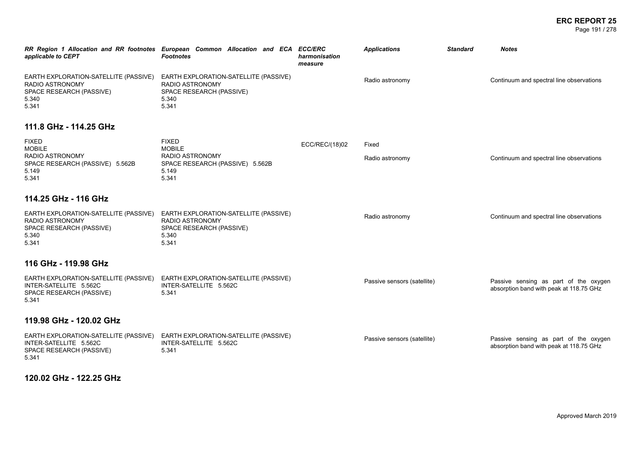#### **ERC REPORT 25** Page 191 / 278

| applicable to CEPT                                                                                            | RR Region 1 Allocation and RR footnotes European Common Allocation and ECA ECC/ERC<br><b>Footnotes</b>        | harmonisation<br>measure | <b>Applications</b>         | <b>Standard</b> | <b>Notes</b>                                                                     |
|---------------------------------------------------------------------------------------------------------------|---------------------------------------------------------------------------------------------------------------|--------------------------|-----------------------------|-----------------|----------------------------------------------------------------------------------|
| EARTH EXPLORATION-SATELLITE (PASSIVE)<br>RADIO ASTRONOMY<br>SPACE RESEARCH (PASSIVE)<br>5.340<br>5.341        | EARTH EXPLORATION-SATELLITE (PASSIVE)<br>RADIO ASTRONOMY<br>SPACE RESEARCH (PASSIVE)<br>5.340<br>5.341        |                          | Radio astronomy             |                 | Continuum and spectral line observations                                         |
| 111.8 GHz - 114.25 GHz                                                                                        |                                                                                                               |                          |                             |                 |                                                                                  |
| <b>FIXED</b><br><b>MOBILE</b><br>RADIO ASTRONOMY<br>SPACE RESEARCH (PASSIVE) 5.562B<br>5.149<br>5.341         | <b>FIXED</b><br><b>MOBILE</b><br>RADIO ASTRONOMY<br>SPACE RESEARCH (PASSIVE) 5.562B<br>5.149<br>5.341         | ECC/REC/(18)02           | Fixed<br>Radio astronomy    |                 | Continuum and spectral line observations                                         |
| 114.25 GHz - 116 GHz                                                                                          |                                                                                                               |                          |                             |                 |                                                                                  |
| EARTH EXPLORATION-SATELLITE (PASSIVE)<br><b>RADIO ASTRONOMY</b><br>SPACE RESEARCH (PASSIVE)<br>5.340<br>5.341 | EARTH EXPLORATION-SATELLITE (PASSIVE)<br><b>RADIO ASTRONOMY</b><br>SPACE RESEARCH (PASSIVE)<br>5.340<br>5.341 |                          | Radio astronomy             |                 | Continuum and spectral line observations                                         |
| 116 GHz - 119.98 GHz                                                                                          |                                                                                                               |                          |                             |                 |                                                                                  |
| EARTH EXPLORATION-SATELLITE (PASSIVE)<br>INTER-SATELLITE 5.562C<br>SPACE RESEARCH (PASSIVE)<br>5.341          | EARTH EXPLORATION-SATELLITE (PASSIVE)<br>INTER-SATELLITE 5.562C<br>5.341                                      |                          | Passive sensors (satellite) |                 | Passive sensing as part of the oxygen<br>absorption band with peak at 118.75 GHz |
| 119.98 GHz - 120.02 GHz                                                                                       |                                                                                                               |                          |                             |                 |                                                                                  |
| EARTH EXPLORATION-SATELLITE (PASSIVE)<br>INTER-SATELLITE 5.562C<br>SPACE RESEARCH (PASSIVE)<br>5.341          | EARTH EXPLORATION-SATELLITE (PASSIVE)<br>INTER-SATELLITE 5.562C<br>5.341                                      |                          | Passive sensors (satellite) |                 | Passive sensing as part of the oxygen<br>absorption band with peak at 118.75 GHz |

**120.02 GHz - 122.25 GHz**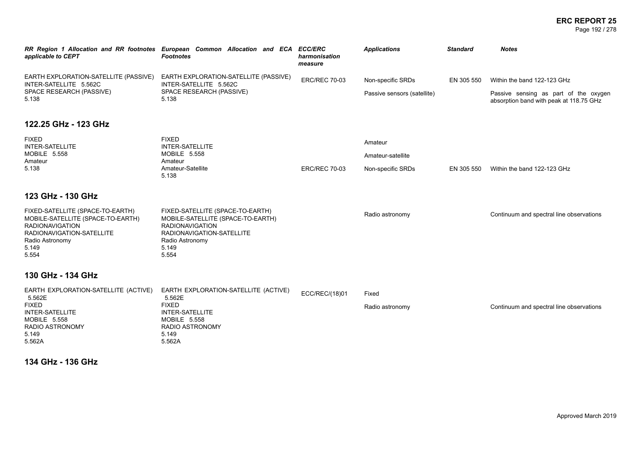#### **ERC REPORT 25** Page 192 / 278

| applicable to CEPT                                                                                                                                                | RR Region 1 Allocation and RR footnotes European Common Allocation and ECA ECC/ERC<br><b>Footnotes</b>                                                            | harmonisation<br>measure | <b>Applications</b>         | <b>Standard</b> | <b>Notes</b>                                                                     |
|-------------------------------------------------------------------------------------------------------------------------------------------------------------------|-------------------------------------------------------------------------------------------------------------------------------------------------------------------|--------------------------|-----------------------------|-----------------|----------------------------------------------------------------------------------|
| EARTH EXPLORATION-SATELLITE (PASSIVE)<br>INTER-SATELLITE 5.562C                                                                                                   | EARTH EXPLORATION-SATELLITE (PASSIVE)<br>INTER-SATELLITE 5.562C                                                                                                   | <b>ERC/REC 70-03</b>     | Non-specific SRDs           | EN 305 550      | Within the band 122-123 GHz                                                      |
| SPACE RESEARCH (PASSIVE)<br>5.138                                                                                                                                 | SPACE RESEARCH (PASSIVE)<br>5.138                                                                                                                                 |                          | Passive sensors (satellite) |                 | Passive sensing as part of the oxygen<br>absorption band with peak at 118.75 GHz |
| 122.25 GHz - 123 GHz                                                                                                                                              |                                                                                                                                                                   |                          |                             |                 |                                                                                  |
| <b>FIXED</b><br><b>INTER-SATELLITE</b>                                                                                                                            | <b>FIXED</b><br><b>INTER-SATELLITE</b>                                                                                                                            |                          | Amateur                     |                 |                                                                                  |
| MOBILE 5.558                                                                                                                                                      | MOBILE 5.558                                                                                                                                                      |                          | Amateur-satellite           |                 |                                                                                  |
| Amateur<br>5.138                                                                                                                                                  | Amateur<br>Amateur-Satellite<br>5.138                                                                                                                             | <b>ERC/REC 70-03</b>     | Non-specific SRDs           | EN 305 550      | Within the band 122-123 GHz                                                      |
| 123 GHz - 130 GHz                                                                                                                                                 |                                                                                                                                                                   |                          |                             |                 |                                                                                  |
| FIXED-SATELLITE (SPACE-TO-EARTH)<br>MOBILE-SATELLITE (SPACE-TO-EARTH)<br><b>RADIONAVIGATION</b><br>RADIONAVIGATION-SATELLITE<br>Radio Astronomy<br>5.149<br>5.554 | FIXED-SATELLITE (SPACE-TO-EARTH)<br>MOBILE-SATELLITE (SPACE-TO-EARTH)<br><b>RADIONAVIGATION</b><br>RADIONAVIGATION-SATELLITE<br>Radio Astronomy<br>5.149<br>5.554 |                          | Radio astronomy             |                 | Continuum and spectral line observations                                         |
| 130 GHz - 134 GHz                                                                                                                                                 |                                                                                                                                                                   |                          |                             |                 |                                                                                  |
| EARTH EXPLORATION-SATELLITE (ACTIVE)                                                                                                                              | EARTH EXPLORATION-SATELLITE (ACTIVE)                                                                                                                              | ECC/REC/(18)01           | Fixed                       |                 |                                                                                  |
| 5.562E<br><b>FIXED</b><br><b>INTER-SATELLITE</b><br>MOBILE 5.558<br>RADIO ASTRONOMY<br>5.149<br>5.562A                                                            | 5.562E<br><b>FIXED</b><br><b>INTER-SATELLITE</b><br>MOBILE 5.558<br><b>RADIO ASTRONOMY</b><br>5.149<br>5.562A                                                     |                          | Radio astronomy             |                 | Continuum and spectral line observations                                         |

**134 GHz - 136 GHz**

5.562A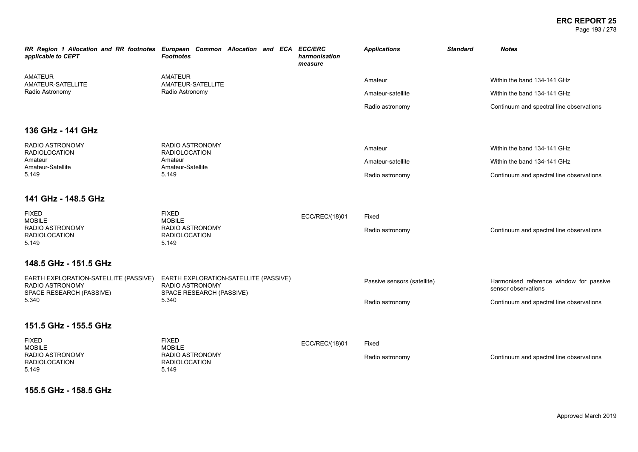#### **ERC REPORT 25** Page 193 / 278

| applicable to CEPT                                                                   | RR Region 1 Allocation and RR footnotes European Common Allocation and ECA ECC/ERC<br><b>Footnotes</b> | harmonisation<br>measure | <b>Applications</b>         | <b>Standard</b> | <b>Notes</b>                                                   |
|--------------------------------------------------------------------------------------|--------------------------------------------------------------------------------------------------------|--------------------------|-----------------------------|-----------------|----------------------------------------------------------------|
| <b>AMATEUR</b><br>AMATEUR-SATELLITE                                                  | <b>AMATEUR</b><br>AMATEUR-SATELLITE                                                                    |                          | Amateur                     |                 | Within the band 134-141 GHz                                    |
| Radio Astronomy                                                                      | Radio Astronomy                                                                                        |                          | Amateur-satellite           |                 | Within the band 134-141 GHz                                    |
|                                                                                      |                                                                                                        |                          | Radio astronomy             |                 | Continuum and spectral line observations                       |
| 136 GHz - 141 GHz                                                                    |                                                                                                        |                          |                             |                 |                                                                |
| <b>RADIO ASTRONOMY</b><br><b>RADIOLOCATION</b>                                       | <b>RADIO ASTRONOMY</b><br><b>RADIOLOCATION</b>                                                         |                          | Amateur                     |                 | Within the band 134-141 GHz                                    |
| Amateur<br>Amateur-Satellite                                                         | Amateur<br>Amateur-Satellite                                                                           |                          | Amateur-satellite           |                 | Within the band 134-141 GHz                                    |
| 5.149                                                                                | 5.149                                                                                                  |                          | Radio astronomy             |                 | Continuum and spectral line observations                       |
| 141 GHz - 148.5 GHz                                                                  |                                                                                                        |                          |                             |                 |                                                                |
| <b>FIXED</b><br><b>MOBILE</b>                                                        | <b>FIXED</b><br><b>MOBILE</b>                                                                          | ECC/REC/(18)01           | Fixed                       |                 |                                                                |
| <b>RADIO ASTRONOMY</b><br><b>RADIOLOCATION</b><br>5.149                              | <b>RADIO ASTRONOMY</b><br><b>RADIOLOCATION</b><br>5.149                                                |                          | Radio astronomy             |                 | Continuum and spectral line observations                       |
| 148.5 GHz - 151.5 GHz                                                                |                                                                                                        |                          |                             |                 |                                                                |
| EARTH EXPLORATION-SATELLITE (PASSIVE)<br>RADIO ASTRONOMY<br>SPACE RESEARCH (PASSIVE) | EARTH EXPLORATION-SATELLITE (PASSIVE)<br>RADIO ASTRONOMY<br>SPACE RESEARCH (PASSIVE)                   |                          | Passive sensors (satellite) |                 | Harmonised reference window for passive<br>sensor observations |
| 5.340                                                                                | 5.340                                                                                                  |                          | Radio astronomy             |                 | Continuum and spectral line observations                       |
| 151.5 GHz - 155.5 GHz                                                                |                                                                                                        |                          |                             |                 |                                                                |
| <b>FIXED</b><br><b>MOBILE</b>                                                        | <b>FIXED</b><br><b>MOBILE</b>                                                                          | ECC/REC/(18)01           | Fixed                       |                 |                                                                |
| RADIO ASTRONOMY<br><b>RADIOLOCATION</b><br>5.149                                     | <b>RADIO ASTRONOMY</b><br><b>RADIOLOCATION</b><br>5.149                                                |                          | Radio astronomy             |                 | Continuum and spectral line observations                       |

**155.5 GHz - 158.5 GHz**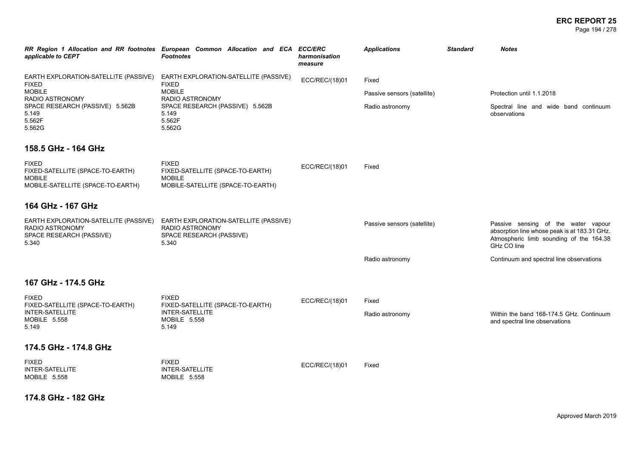#### **ERC REPORT 25** Page 194 / 278

| applicable to CEPT                                                                                     | RR Region 1 Allocation and RR footnotes European Common Allocation and ECA<br><b>Footnotes</b>         | <b>ECC/ERC</b><br>harmonisation<br>measure | <b>Applications</b>         | <b>Standard</b> | <b>Notes</b>                                                                                                                                  |
|--------------------------------------------------------------------------------------------------------|--------------------------------------------------------------------------------------------------------|--------------------------------------------|-----------------------------|-----------------|-----------------------------------------------------------------------------------------------------------------------------------------------|
| EARTH EXPLORATION-SATELLITE (PASSIVE)<br><b>FIXED</b>                                                  | EARTH EXPLORATION-SATELLITE (PASSIVE)<br><b>FIXED</b>                                                  | ECC/REC/(18)01                             | Fixed                       |                 |                                                                                                                                               |
| <b>MOBILE</b><br>RADIO ASTRONOMY                                                                       | <b>MOBILE</b><br>RADIO ASTRONOMY                                                                       |                                            | Passive sensors (satellite) |                 | Protection until 1.1.2018                                                                                                                     |
| SPACE RESEARCH (PASSIVE) 5.562B<br>5.149<br>5.562F<br>5.562G                                           | SPACE RESEARCH (PASSIVE) 5.562B<br>5.149<br>5.562F<br>5.562G                                           |                                            | Radio astronomy             |                 | Spectral line and wide band continuum<br>observations                                                                                         |
| 158.5 GHz - 164 GHz                                                                                    |                                                                                                        |                                            |                             |                 |                                                                                                                                               |
| <b>FIXED</b><br>FIXED-SATELLITE (SPACE-TO-EARTH)<br><b>MOBILE</b><br>MOBILE-SATELLITE (SPACE-TO-EARTH) | <b>FIXED</b><br>FIXED-SATELLITE (SPACE-TO-EARTH)<br><b>MOBILE</b><br>MOBILE-SATELLITE (SPACE-TO-EARTH) | ECC/REC/(18)01                             | Fixed                       |                 |                                                                                                                                               |
| 164 GHz - 167 GHz                                                                                      |                                                                                                        |                                            |                             |                 |                                                                                                                                               |
| EARTH EXPLORATION-SATELLITE (PASSIVE)<br>RADIO ASTRONOMY<br>SPACE RESEARCH (PASSIVE)<br>5.340          | EARTH EXPLORATION-SATELLITE (PASSIVE)<br>RADIO ASTRONOMY<br>SPACE RESEARCH (PASSIVE)<br>5.340          |                                            | Passive sensors (satellite) |                 | Passive sensing of the water vapour<br>absorption line whose peak is at 183.31 GHz.<br>Atmospheric limb sounding of the 164.38<br>GHz CO line |
|                                                                                                        |                                                                                                        |                                            | Radio astronomy             |                 | Continuum and spectral line observations                                                                                                      |
| 167 GHz - 174.5 GHz                                                                                    |                                                                                                        |                                            |                             |                 |                                                                                                                                               |
| <b>FIXED</b>                                                                                           | <b>FIXED</b>                                                                                           | ECC/REC/(18)01                             | Fixed                       |                 |                                                                                                                                               |
| FIXED-SATELLITE (SPACE-TO-EARTH)<br>INTER-SATELLITE<br>MOBILE 5.558<br>5.149                           | FIXED-SATELLITE (SPACE-TO-EARTH)<br><b>INTER-SATELLITE</b><br><b>MOBILE 5.558</b><br>5.149             |                                            | Radio astronomy             |                 | Within the band 168-174.5 GHz. Continuum<br>and spectral line observations                                                                    |
| 174.5 GHz - 174.8 GHz                                                                                  |                                                                                                        |                                            |                             |                 |                                                                                                                                               |
| <b>FIXED</b><br><b>INTER-SATELLITE</b><br>MOBILE 5.558                                                 | <b>FIXED</b><br>INTER-SATELLITE<br>MOBILE 5.558                                                        | ECC/REC/(18)01                             | Fixed                       |                 |                                                                                                                                               |

**174.8 GHz - 182 GHz**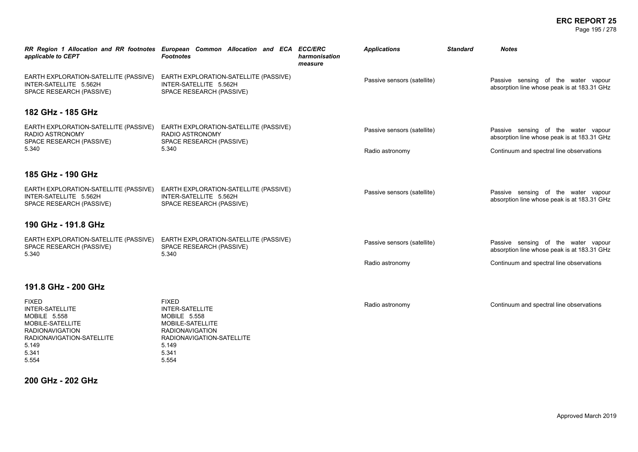#### **ERC REPORT 25** Page 195 / 278

| applicable to CEPT                                                                                                                                                  | RR Region 1 Allocation and RR footnotes European Common Allocation and ECA ECC/ERC<br><b>Footnotes</b>                                                              | harmonisation<br>measure | <b>Applications</b>         | <b>Standard</b> | Notes                                                                              |
|---------------------------------------------------------------------------------------------------------------------------------------------------------------------|---------------------------------------------------------------------------------------------------------------------------------------------------------------------|--------------------------|-----------------------------|-----------------|------------------------------------------------------------------------------------|
| EARTH EXPLORATION-SATELLITE (PASSIVE)<br>INTER-SATELLITE 5.562H<br>SPACE RESEARCH (PASSIVE)                                                                         | EARTH EXPLORATION-SATELLITE (PASSIVE)<br>INTER-SATELLITE 5.562H<br>SPACE RESEARCH (PASSIVE)                                                                         |                          | Passive sensors (satellite) |                 | Passive sensing of the water vapour<br>absorption line whose peak is at 183.31 GHz |
| 182 GHz - 185 GHz                                                                                                                                                   |                                                                                                                                                                     |                          |                             |                 |                                                                                    |
| EARTH EXPLORATION-SATELLITE (PASSIVE)<br>RADIO ASTRONOMY<br>SPACE RESEARCH (PASSIVE)                                                                                | EARTH EXPLORATION-SATELLITE (PASSIVE)<br>RADIO ASTRONOMY<br>SPACE RESEARCH (PASSIVE)                                                                                |                          | Passive sensors (satellite) |                 | Passive sensing of the water vapour<br>absorption line whose peak is at 183.31 GHz |
| 5.340                                                                                                                                                               | 5.340                                                                                                                                                               |                          | Radio astronomy             |                 | Continuum and spectral line observations                                           |
| 185 GHz - 190 GHz                                                                                                                                                   |                                                                                                                                                                     |                          |                             |                 |                                                                                    |
| EARTH EXPLORATION-SATELLITE (PASSIVE)<br>INTER-SATELLITE 5.562H<br>SPACE RESEARCH (PASSIVE)                                                                         | EARTH EXPLORATION-SATELLITE (PASSIVE)<br>INTER-SATELLITE 5.562H<br>SPACE RESEARCH (PASSIVE)                                                                         |                          | Passive sensors (satellite) |                 | Passive sensing of the water vapour<br>absorption line whose peak is at 183.31 GHz |
| 190 GHz - 191.8 GHz                                                                                                                                                 |                                                                                                                                                                     |                          |                             |                 |                                                                                    |
| EARTH EXPLORATION-SATELLITE (PASSIVE)<br>SPACE RESEARCH (PASSIVE)<br>5.340                                                                                          | EARTH EXPLORATION-SATELLITE (PASSIVE)<br>SPACE RESEARCH (PASSIVE)<br>5.340                                                                                          |                          | Passive sensors (satellite) |                 | Passive sensing of the water vapour<br>absorption line whose peak is at 183.31 GHz |
|                                                                                                                                                                     |                                                                                                                                                                     |                          | Radio astronomy             |                 | Continuum and spectral line observations                                           |
| 191.8 GHz - 200 GHz                                                                                                                                                 |                                                                                                                                                                     |                          |                             |                 |                                                                                    |
| <b>FIXED</b><br><b>INTER-SATELLITE</b><br><b>MOBILE 5.558</b><br>MOBILE-SATELLITE<br><b>RADIONAVIGATION</b><br>RADIONAVIGATION-SATELLITE<br>5.149<br>5.341<br>5.554 | <b>FIXED</b><br><b>INTER-SATELLITE</b><br><b>MOBILE 5.558</b><br>MOBILE-SATELLITE<br><b>RADIONAVIGATION</b><br>RADIONAVIGATION-SATELLITE<br>5.149<br>5.341<br>5.554 |                          | Radio astronomy             |                 | Continuum and spectral line observations                                           |

**200 GHz - 202 GHz**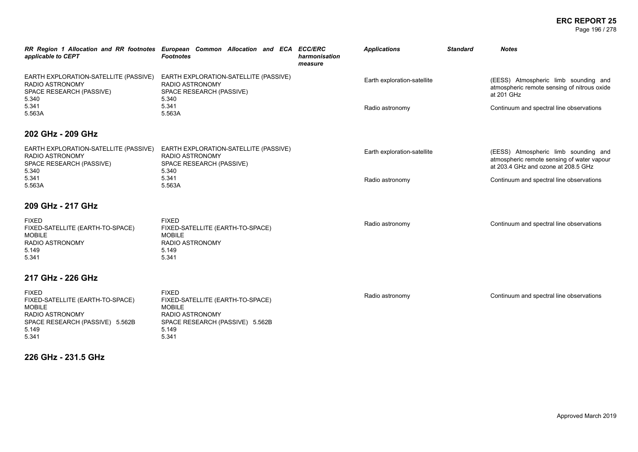#### **ERC REPORT 25** Page 196 / 278

| applicable to CEPT                                                                                                      | RR Region 1 Allocation and RR footnotes European Common Allocation and ECA ECC/ERC<br><b>Footnotes</b>                         | harmonisation<br>measure | <b>Applications</b>         | <b>Standard</b> | <b>Notes</b>                                                                                                              |
|-------------------------------------------------------------------------------------------------------------------------|--------------------------------------------------------------------------------------------------------------------------------|--------------------------|-----------------------------|-----------------|---------------------------------------------------------------------------------------------------------------------------|
| EARTH EXPLORATION-SATELLITE (PASSIVE)<br><b>RADIO ASTRONOMY</b><br>SPACE RESEARCH (PASSIVE)<br>5.340                    | EARTH EXPLORATION-SATELLITE (PASSIVE)<br><b>RADIO ASTRONOMY</b><br>SPACE RESEARCH (PASSIVE)<br>5.340                           |                          | Earth exploration-satellite |                 | (EESS) Atmospheric limb sounding and<br>atmospheric remote sensing of nitrous oxide<br>at 201 GHz                         |
| 5.341<br>5.563A                                                                                                         | 5.341<br>5.563A                                                                                                                |                          | Radio astronomy             |                 | Continuum and spectral line observations                                                                                  |
| 202 GHz - 209 GHz                                                                                                       |                                                                                                                                |                          |                             |                 |                                                                                                                           |
| EARTH EXPLORATION-SATELLITE (PASSIVE)<br><b>RADIO ASTRONOMY</b><br>SPACE RESEARCH (PASSIVE)<br>5.340                    | EARTH EXPLORATION-SATELLITE (PASSIVE)<br>RADIO ASTRONOMY<br>SPACE RESEARCH (PASSIVE)<br>5.340                                  |                          | Earth exploration-satellite |                 | (EESS) Atmospheric limb sounding and<br>atmospheric remote sensing of water vapour<br>at 203.4 GHz and ozone at 208.5 GHz |
| 5.341<br>5.563A                                                                                                         | 5.341<br>5.563A                                                                                                                |                          | Radio astronomy             |                 | Continuum and spectral line observations                                                                                  |
| 209 GHz - 217 GHz                                                                                                       |                                                                                                                                |                          |                             |                 |                                                                                                                           |
| <b>FIXED</b><br>FIXED-SATELLITE (EARTH-TO-SPACE)<br><b>MOBILE</b><br>RADIO ASTRONOMY<br>5.149<br>5.341                  | <b>FIXED</b><br>FIXED-SATELLITE (EARTH-TO-SPACE)<br><b>MOBILE</b><br><b>RADIO ASTRONOMY</b><br>5.149<br>5.341                  |                          | Radio astronomy             |                 | Continuum and spectral line observations                                                                                  |
| 217 GHz - 226 GHz                                                                                                       |                                                                                                                                |                          |                             |                 |                                                                                                                           |
| <b>FIXED</b><br>FIXED-SATELLITE (EARTH-TO-SPACE)<br><b>MOBILE</b><br>RADIO ASTRONOMY<br>SPACE RESEARCH (PASSIVE) 5.562B | <b>FIXED</b><br>FIXED-SATELLITE (EARTH-TO-SPACE)<br><b>MOBILE</b><br><b>RADIO ASTRONOMY</b><br>SPACE RESEARCH (PASSIVE) 5.562B |                          | Radio astronomy             |                 | Continuum and spectral line observations                                                                                  |

5.149 5.341

5.149 5.341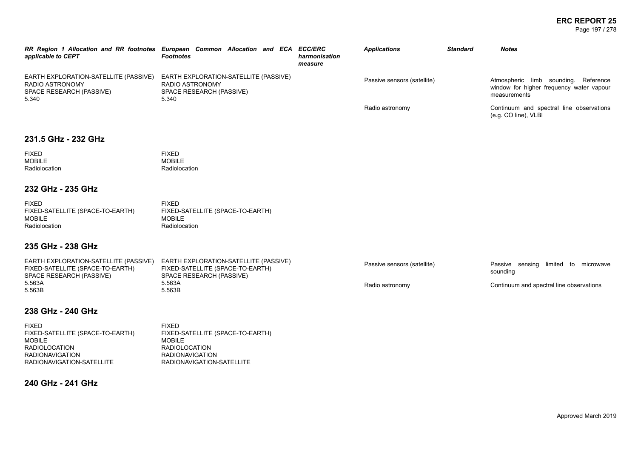#### **ERC REPORT 25** Page 197 / 278

| applicable to CEPT                                                                                    | RR Region 1 Allocation and RR footnotes European Common Allocation and ECA ECC/ERC<br><b>Footnotes</b> | harmonisation<br>measure | <b>Applications</b>         | <b>Standard</b> | <b>Notes</b>                                                                                        |
|-------------------------------------------------------------------------------------------------------|--------------------------------------------------------------------------------------------------------|--------------------------|-----------------------------|-----------------|-----------------------------------------------------------------------------------------------------|
| EARTH EXPLORATION-SATELLITE (PASSIVE)<br><b>RADIO ASTRONOMY</b><br>SPACE RESEARCH (PASSIVE)<br>5.340  | EARTH EXPLORATION-SATELLITE (PASSIVE)<br>RADIO ASTRONOMY<br>SPACE RESEARCH (PASSIVE)<br>5.340          |                          | Passive sensors (satellite) |                 | Atmospheric limb sounding.<br>Reference<br>window for higher frequency water vapour<br>measurements |
|                                                                                                       |                                                                                                        |                          | Radio astronomy             |                 | Continuum and spectral line observations<br>(e.g. CO line), VLBI                                    |
| 231.5 GHz - 232 GHz                                                                                   |                                                                                                        |                          |                             |                 |                                                                                                     |
| <b>FIXED</b><br><b>MOBILE</b><br>Radiolocation                                                        | <b>FIXED</b><br><b>MOBILE</b><br>Radiolocation                                                         |                          |                             |                 |                                                                                                     |
| 232 GHz - 235 GHz                                                                                     |                                                                                                        |                          |                             |                 |                                                                                                     |
| <b>FIXED</b><br>FIXED-SATELLITE (SPACE-TO-EARTH)<br><b>MOBILE</b><br>Radiolocation                    | <b>FIXED</b><br>FIXED-SATELLITE (SPACE-TO-EARTH)<br><b>MOBILE</b><br>Radiolocation                     |                          |                             |                 |                                                                                                     |
| 235 GHz - 238 GHz                                                                                     |                                                                                                        |                          |                             |                 |                                                                                                     |
| EARTH EXPLORATION-SATELLITE (PASSIVE)<br>FIXED-SATELLITE (SPACE-TO-EARTH)<br>SPACE RESEARCH (PASSIVE) | EARTH EXPLORATION-SATELLITE (PASSIVE)<br>FIXED-SATELLITE (SPACE-TO-EARTH)<br>SPACE RESEARCH (PASSIVE)  |                          | Passive sensors (satellite) |                 | Passive sensing limited to microwave<br>sounding                                                    |
| 5.563A<br>5.563B                                                                                      | 5.563A<br>5.563B                                                                                       |                          | Radio astronomy             |                 | Continuum and spectral line observations                                                            |
| 238 GHz - 240 GHz                                                                                     |                                                                                                        |                          |                             |                 |                                                                                                     |

# FIXED

| <b>FIXED</b>                     | <b>FIXED</b>                     |
|----------------------------------|----------------------------------|
| FIXED-SATELLITE (SPACE-TO-EARTH) | FIXED-SATELLITE (SPACE-TO-EARTH) |
| MOBILE                           | MOBILE                           |
| <b>RADIOLOCATION</b>             | <b>RADIOLOCATION</b>             |
| <b>RADIONAVIGATION</b>           | <b>RADIONAVIGATION</b>           |
| RADIONAVIGATION-SATELLITE        | RADIONAVIGATION-SATELLITE        |
|                                  |                                  |

## **240 GHz - 241 GHz**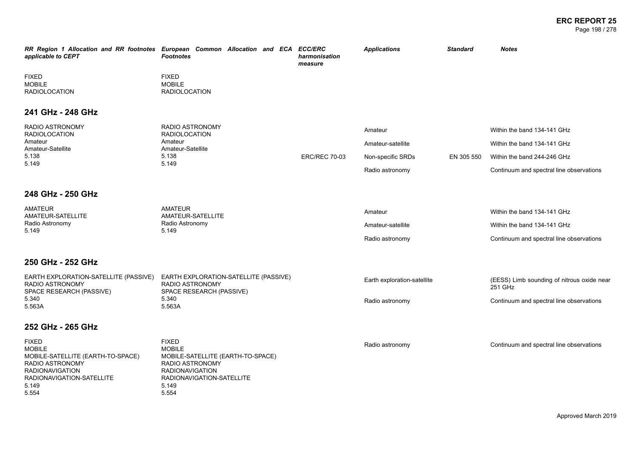| applicable to CEPT                                                                                                                                             | RR Region 1 Allocation and RR footnotes European Common Allocation and ECA ECC/ERC<br><b>Footnotes</b>                                                         | harmonisation<br>measure | <b>Applications</b>         | <b>Standard</b> | <b>Notes</b>                                          |
|----------------------------------------------------------------------------------------------------------------------------------------------------------------|----------------------------------------------------------------------------------------------------------------------------------------------------------------|--------------------------|-----------------------------|-----------------|-------------------------------------------------------|
| <b>FIXED</b><br><b>MOBILE</b><br><b>RADIOLOCATION</b>                                                                                                          | <b>FIXED</b><br><b>MOBILE</b><br><b>RADIOLOCATION</b>                                                                                                          |                          |                             |                 |                                                       |
| 241 GHz - 248 GHz                                                                                                                                              |                                                                                                                                                                |                          |                             |                 |                                                       |
| RADIO ASTRONOMY<br><b>RADIOLOCATION</b>                                                                                                                        | <b>RADIO ASTRONOMY</b><br><b>RADIOLOCATION</b>                                                                                                                 |                          | Amateur                     |                 | Within the band 134-141 GHz                           |
| Amateur<br>Amateur-Satellite                                                                                                                                   | Amateur<br>Amateur-Satellite                                                                                                                                   |                          | Amateur-satellite           |                 | Within the band 134-141 GHz                           |
| 5.138<br>5.149                                                                                                                                                 | 5.138<br>5.149                                                                                                                                                 | <b>ERC/REC 70-03</b>     | Non-specific SRDs           | EN 305 550      | Within the band 244-246 GHz                           |
|                                                                                                                                                                |                                                                                                                                                                |                          | Radio astronomy             |                 | Continuum and spectral line observations              |
| 248 GHz - 250 GHz                                                                                                                                              |                                                                                                                                                                |                          |                             |                 |                                                       |
| <b>AMATEUR</b><br>AMATEUR-SATELLITE                                                                                                                            | <b>AMATEUR</b><br>AMATEUR-SATELLITE                                                                                                                            |                          | Amateur                     |                 | Within the band 134-141 GHz                           |
| Radio Astronomy<br>5.149                                                                                                                                       | Radio Astronomy<br>5.149                                                                                                                                       |                          | Amateur-satellite           |                 | Within the band 134-141 GHz                           |
|                                                                                                                                                                |                                                                                                                                                                |                          | Radio astronomy             |                 | Continuum and spectral line observations              |
| 250 GHz - 252 GHz                                                                                                                                              |                                                                                                                                                                |                          |                             |                 |                                                       |
| EARTH EXPLORATION-SATELLITE (PASSIVE)<br>RADIO ASTRONOMY<br>SPACE RESEARCH (PASSIVE)                                                                           | EARTH EXPLORATION-SATELLITE (PASSIVE)<br>RADIO ASTRONOMY<br>SPACE RESEARCH (PASSIVE)                                                                           |                          | Earth exploration-satellite |                 | (EESS) Limb sounding of nitrous oxide near<br>251 GHz |
| 5.340<br>5.563A                                                                                                                                                | 5.340<br>5.563A                                                                                                                                                |                          | Radio astronomy             |                 | Continuum and spectral line observations              |
| 252 GHz - 265 GHz                                                                                                                                              |                                                                                                                                                                |                          |                             |                 |                                                       |
| <b>FIXED</b><br><b>MOBILE</b><br>MOBILE-SATELLITE (EARTH-TO-SPACE)<br>RADIO ASTRONOMY<br><b>RADIONAVIGATION</b><br>RADIONAVIGATION-SATELLITE<br>5.149<br>5.554 | <b>FIXED</b><br><b>MOBILE</b><br>MOBILE-SATELLITE (EARTH-TO-SPACE)<br>RADIO ASTRONOMY<br><b>RADIONAVIGATION</b><br>RADIONAVIGATION-SATELLITE<br>5.149<br>5.554 |                          | Radio astronomy             |                 | Continuum and spectral line observations              |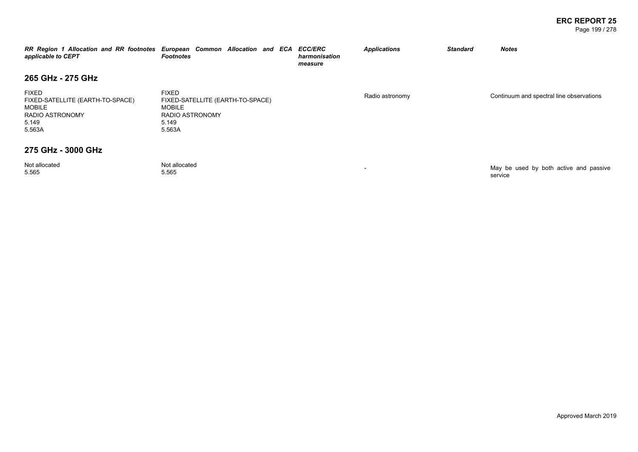#### **ERC REPORT 25** Page 199 / 278

service

| RR Region 1 Allocation and RR footnotes European Common Allocation and ECA ECC/ERC<br>applicable to CEPT       | <b>Footnotes</b>                                                                                               | harmonisation<br>measure | <b>Applications</b>      | <b>Standard</b> | <b>Notes</b>                             |
|----------------------------------------------------------------------------------------------------------------|----------------------------------------------------------------------------------------------------------------|--------------------------|--------------------------|-----------------|------------------------------------------|
| 265 GHz - 275 GHz                                                                                              |                                                                                                                |                          |                          |                 |                                          |
| <b>FIXED</b><br>FIXED-SATELLITE (EARTH-TO-SPACE)<br><b>MOBILE</b><br><b>RADIO ASTRONOMY</b><br>5.149<br>5.563A | <b>FIXED</b><br>FIXED-SATELLITE (EARTH-TO-SPACE)<br><b>MOBILE</b><br><b>RADIO ASTRONOMY</b><br>5.149<br>5.563A |                          | Radio astronomy          |                 | Continuum and spectral line observations |
| 275 GHz - 3000 GHz                                                                                             |                                                                                                                |                          |                          |                 |                                          |
| Not allocated<br>E EGE                                                                                         | Not allocated<br>E EGE.                                                                                        |                          | $\overline{\phantom{0}}$ |                 | May be used by both active and passive   |

5.565

Not allocated<br>5.565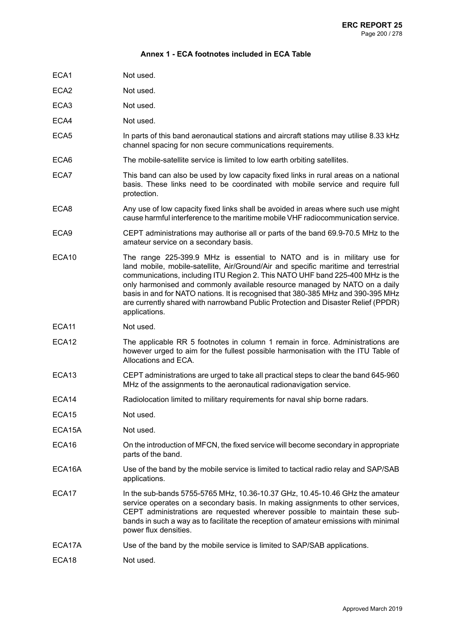#### **Annex 1 - ECA footnotes included in ECA Table**

- ECA1 Not used.
- ECA2 Not used.
- ECA3 Not used.
- ECA4 Not used.
- ECA5 In parts of this band aeronautical stations and aircraft stations may utilise 8.33 kHz channel spacing for non secure communications requirements.
- ECA6 The mobile-satellite service is limited to low earth orbiting satellites.
- ECA7 This band can also be used by low capacity fixed links in rural areas on a national basis. These links need to be coordinated with mobile service and require full protection.
- ECA8 Any use of low capacity fixed links shall be avoided in areas where such use might cause harmful interference to the maritime mobile VHF radiocommunication service.
- ECA9 CEPT administrations may authorise all or parts of the band 69.9-70.5 MHz to the amateur service on a secondary basis.
- ECA10 The range 225-399.9 MHz is essential to NATO and is in military use for land mobile, mobile-satellite, Air/Ground/Air and specific maritime and terrestrial communications, including ITU Region 2. This NATO UHF band 225-400 MHz is the only harmonised and commonly available resource managed by NATO on a daily basis in and for NATO nations. It is recognised that 380-385 MHz and 390-395 MHz are currently shared with narrowband Public Protection and Disaster Relief (PPDR) applications.
- ECA11 Not used.
- ECA12 The applicable RR 5 footnotes in column 1 remain in force. Administrations are however urged to aim for the fullest possible harmonisation with the ITU Table of Allocations and ECA.
- ECA13 CEPT administrations are urged to take all practical steps to clear the band 645-960 MHz of the assignments to the aeronautical radionavigation service.
- ECA14 Radiolocation limited to military requirements for naval ship borne radars.
- ECA15 Not used.
- ECA15A Not used.
- ECA16 On the introduction of MFCN, the fixed service will become secondary in appropriate parts of the band.
- ECA16A Use of the band by the mobile service is limited to tactical radio relay and SAP/SAB applications.
- ECA17 In the sub-bands 5755-5765 MHz, 10.36-10.37 GHz, 10.45-10.46 GHz the amateur service operates on a secondary basis. In making assignments to other services, CEPT administrations are requested wherever possible to maintain these subbands in such a way as to facilitate the reception of amateur emissions with minimal power flux densities.
- ECA17A Use of the band by the mobile service is limited to SAP/SAB applications.
- ECA18 Not used.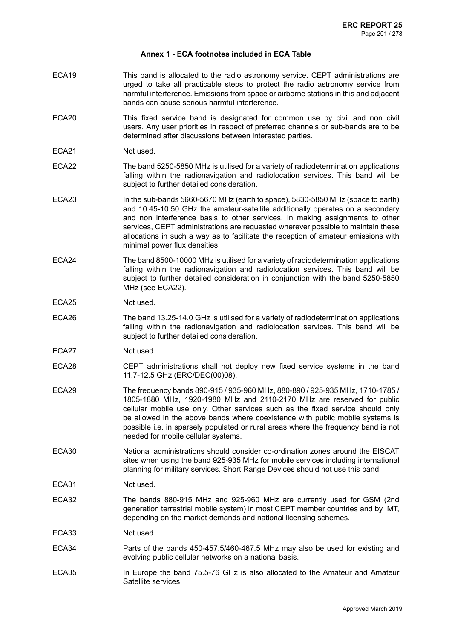#### **Annex 1 - ECA footnotes included in ECA Table**

- ECA19 This band is allocated to the radio astronomy service. CEPT administrations are urged to take all practicable steps to protect the radio astronomy service from harmful interference. Emissions from space or airborne stations in this and adjacent bands can cause serious harmful interference.
- ECA20 This fixed service band is designated for common use by civil and non civil users. Any user priorities in respect of preferred channels or sub-bands are to be determined after discussions between interested parties.
- ECA21 Not used.
- ECA22 The band 5250-5850 MHz is utilised for a variety of radiodetermination applications falling within the radionavigation and radiolocation services. This band will be subject to further detailed consideration.
- ECA23 In the sub-bands 5660-5670 MHz (earth to space), 5830-5850 MHz (space to earth) and 10.45-10.50 GHz the amateur-satellite additionally operates on a secondary and non interference basis to other services. In making assignments to other services, CEPT administrations are requested wherever possible to maintain these allocations in such a way as to facilitate the reception of amateur emissions with minimal power flux densities.
- ECA24 The band 8500-10000 MHz is utilised for a variety of radiodetermination applications falling within the radionavigation and radiolocation services. This band will be subject to further detailed consideration in conjunction with the band 5250-5850 MHz (see ECA22).

#### ECA25 Not used.

- ECA26 The band 13.25-14.0 GHz is utilised for a variety of radiodetermination applications falling within the radionavigation and radiolocation services. This band will be subject to further detailed consideration.
- ECA27 Not used.
- ECA28 CEPT administrations shall not deploy new fixed service systems in the band 11.7-12.5 GHz (ERC/DEC(00)08).
- ECA29 The frequency bands 890-915 / 935-960 MHz, 880-890 / 925-935 MHz, 1710-1785 / 1805-1880 MHz, 1920-1980 MHz and 2110-2170 MHz are reserved for public cellular mobile use only. Other services such as the fixed service should only be allowed in the above bands where coexistence with public mobile systems is possible i.e. in sparsely populated or rural areas where the frequency band is not needed for mobile cellular systems.
- ECA30 National administrations should consider co-ordination zones around the EISCAT sites when using the band 925-935 MHz for mobile services including international planning for military services. Short Range Devices should not use this band.
- ECA31 Not used.
- ECA32 The bands 880-915 MHz and 925-960 MHz are currently used for GSM (2nd generation terrestrial mobile system) in most CEPT member countries and by IMT, depending on the market demands and national licensing schemes.
- ECA33 Not used.
- ECA34 Parts of the bands 450-457.5/460-467.5 MHz may also be used for existing and evolving public cellular networks on a national basis.
- ECA35 In Europe the band 75.5-76 GHz is also allocated to the Amateur and Amateur Satellite services.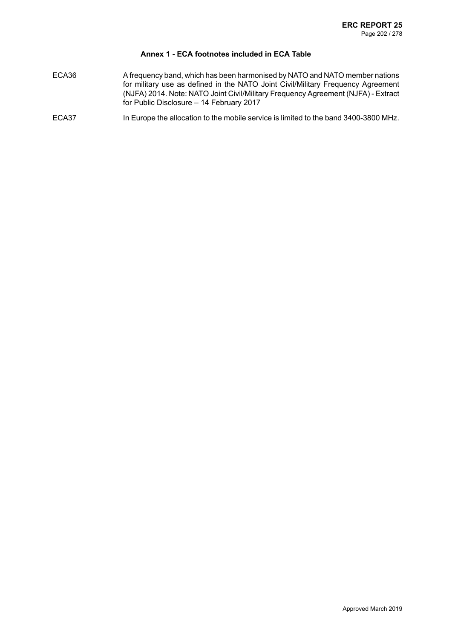## **Annex 1 - ECA footnotes included in ECA Table**

- ECA36 A frequency band, which has been harmonised by NATO and NATO member nations for military use as defined in the NATO Joint Civil/Military Frequency Agreement (NJFA) 2014. Note: NATO Joint Civil/Military Frequency Agreement (NJFA) - Extract for Public Disclosure – 14 February 2017
- ECA37 In Europe the allocation to the mobile service is limited to the band 3400-3800 MHz.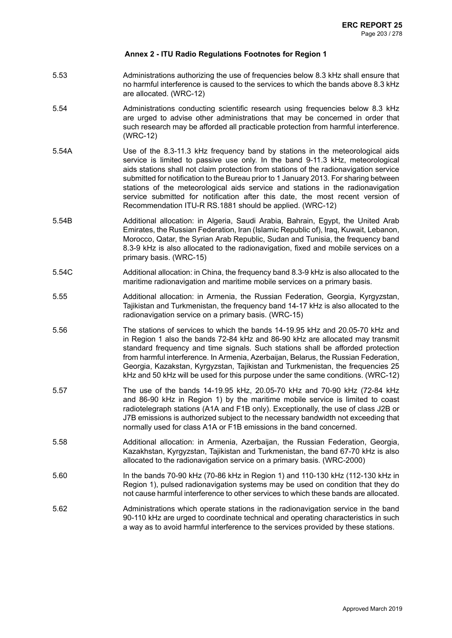- 5.53 Administrations authorizing the use of frequencies below 8.3 kHz shall ensure that no harmful interference is caused to the services to which the bands above 8.3 kHz are allocated. (WRC-12)
- 5.54 Administrations conducting scientific research using frequencies below 8.3 kHz are urged to advise other administrations that may be concerned in order that such research may be afforded all practicable protection from harmful interference. (WRC-12)
- 5.54A Use of the 8.3-11.3 kHz frequency band by stations in the meteorological aids service is limited to passive use only. In the band 9-11.3 kHz, meteorological aids stations shall not claim protection from stations of the radionavigation service submitted for notification to the Bureau prior to 1 January 2013. For sharing between stations of the meteorological aids service and stations in the radionavigation service submitted for notification after this date, the most recent version of Recommendation ITU-R RS.1881 should be applied. (WRC-12)
- 5.54B Additional allocation: in Algeria, Saudi Arabia, Bahrain, Egypt, the United Arab Emirates, the Russian Federation, Iran (Islamic Republic of), Iraq, Kuwait, Lebanon, Morocco, Qatar, the Syrian Arab Republic, Sudan and Tunisia, the frequency band 8.3-9 kHz is also allocated to the radionavigation, fixed and mobile services on a primary basis. (WRC-15)
- 5.54C Additional allocation: in China, the frequency band 8.3-9 kHz is also allocated to the maritime radionavigation and maritime mobile services on a primary basis.
- 5.55 Additional allocation: in Armenia, the Russian Federation, Georgia, Kyrgyzstan, Tajikistan and Turkmenistan, the frequency band 14-17 kHz is also allocated to the radionavigation service on a primary basis. (WRC-15)
- 5.56 The stations of services to which the bands 14-19.95 kHz and 20.05-70 kHz and in Region 1 also the bands 72-84 kHz and 86-90 kHz are allocated may transmit standard frequency and time signals. Such stations shall be afforded protection from harmful interference. In Armenia, Azerbaijan, Belarus, the Russian Federation, Georgia, Kazakstan, Kyrgyzstan, Tajikistan and Turkmenistan, the frequencies 25 kHz and 50 kHz will be used for this purpose under the same conditions. (WRC-12)
- 5.57 The use of the bands 14-19.95 kHz, 20.05-70 kHz and 70-90 kHz (72-84 kHz and 86-90 kHz in Region 1) by the maritime mobile service is limited to coast radiotelegraph stations (A1A and F1B only). Exceptionally, the use of class J2B or J7B emissions is authorized subject to the necessary bandwidth not exceeding that normally used for class A1A or F1B emissions in the band concerned.
- 5.58 Additional allocation: in Armenia, Azerbaijan, the Russian Federation, Georgia, Kazakhstan, Kyrgyzstan, Tajikistan and Turkmenistan, the band 67-70 kHz is also allocated to the radionavigation service on a primary basis. (WRC-2000)
- 5.60 In the bands 70-90 kHz (70-86 kHz in Region 1) and 110-130 kHz (112-130 kHz in Region 1), pulsed radionavigation systems may be used on condition that they do not cause harmful interference to other services to which these bands are allocated.
- 5.62 Administrations which operate stations in the radionavigation service in the band 90-110 kHz are urged to coordinate technical and operating characteristics in such a way as to avoid harmful interference to the services provided by these stations.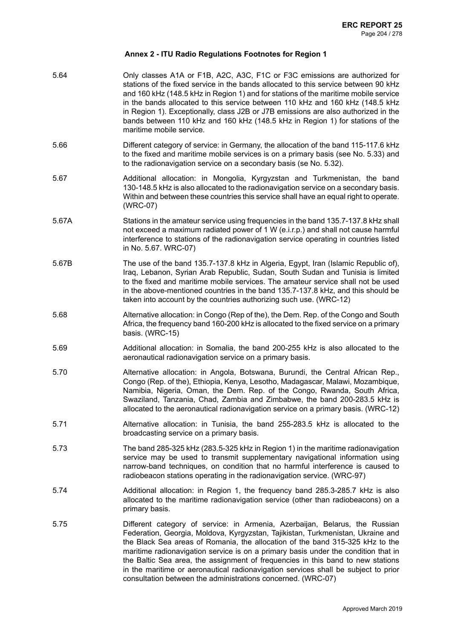5.64 Only classes A1A or F1B, A2C, A3C, F1C or F3C emissions are authorized for stations of the fixed service in the bands allocated to this service between 90 kHz and 160 kHz (148.5 kHz in Region 1) and for stations of the maritime mobile service in the bands allocated to this service between 110 kHz and 160 kHz (148.5 kHz in Region 1). Exceptionally, class J2B or J7B emissions are also authorized in the bands between 110 kHz and 160 kHz (148.5 kHz in Region 1) for stations of the maritime mobile service. 5.66 Different category of service: in Germany, the allocation of the band 115-117.6 kHz to the fixed and maritime mobile services is on a primary basis (see No. 5.33) and to the radionavigation service on a secondary basis (se No. 5.32). 5.67 Additional allocation: in Mongolia, Kyrgyzstan and Turkmenistan, the band 130-148.5 kHz is also allocated to the radionavigation service on a secondary basis. Within and between these countries this service shall have an equal right to operate. (WRC-07) 5.67A Stations in the amateur service using frequencies in the band 135.7-137.8 kHz shall not exceed a maximum radiated power of 1 W (e.i.r.p.) and shall not cause harmful interference to stations of the radionavigation service operating in countries listed in No. 5.67. WRC-07) 5.67B The use of the band 135.7-137.8 kHz in Algeria, Egypt, Iran (Islamic Republic of), Iraq, Lebanon, Syrian Arab Republic, Sudan, South Sudan and Tunisia is limited to the fixed and maritime mobile services. The amateur service shall not be used in the above-mentioned countries in the band 135.7-137.8 kHz, and this should be taken into account by the countries authorizing such use. (WRC-12) 5.68 Alternative allocation: in Congo (Rep of the), the Dem. Rep. of the Congo and South Africa, the frequency band 160-200 kHz is allocated to the fixed service on a primary basis. (WRC-15) 5.69 Additional allocation: in Somalia, the band 200-255 kHz is also allocated to the aeronautical radionavigation service on a primary basis. 5.70 Alternative allocation: in Angola, Botswana, Burundi, the Central African Rep., Congo (Rep. of the), Ethiopia, Kenya, Lesotho, Madagascar, Malawi, Mozambique, Namibia, Nigeria, Oman, the Dem. Rep. of the Congo, Rwanda, South Africa, Swaziland, Tanzania, Chad, Zambia and Zimbabwe, the band 200-283.5 kHz is allocated to the aeronautical radionavigation service on a primary basis. (WRC-12) 5.71 Alternative allocation: in Tunisia, the band 255-283.5 kHz is allocated to the broadcasting service on a primary basis. 5.73 The band 285-325 kHz (283.5-325 kHz in Region 1) in the maritime radionavigation service may be used to transmit supplementary navigational information using narrow-band techniques, on condition that no harmful interference is caused to radiobeacon stations operating in the radionavigation service. (WRC-97) 5.74 Additional allocation: in Region 1, the frequency band 285.3-285.7 kHz is also allocated to the maritime radionavigation service (other than radiobeacons) on a primary basis. 5.75 Different category of service: in Armenia, Azerbaijan, Belarus, the Russian Federation, Georgia, Moldova, Kyrgyzstan, Tajikistan, Turkmenistan, Ukraine and the Black Sea areas of Romania, the allocation of the band 315-325 kHz to the maritime radionavigation service is on a primary basis under the condition that in the Baltic Sea area, the assignment of frequencies in this band to new stations in the maritime or aeronautical radionavigation services shall be subject to prior consultation between the administrations concerned. (WRC-07)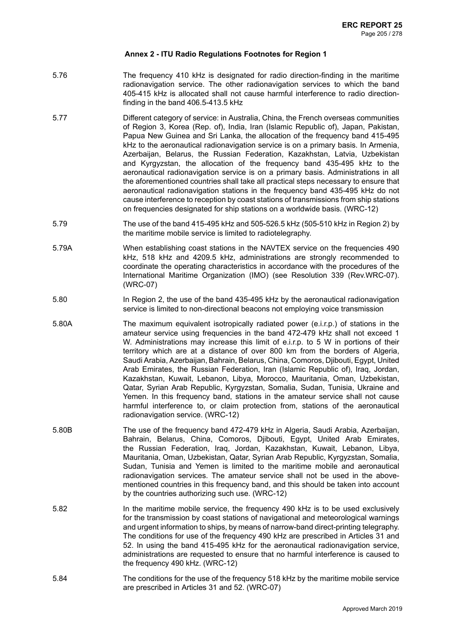- 5.76 The frequency 410 kHz is designated for radio direction-finding in the maritime radionavigation service. The other radionavigation services to which the band 405-415 kHz is allocated shall not cause harmful interference to radio directionfinding in the band 406.5-413.5 kHz
- 5.77 Different category of service: in Australia, China, the French overseas communities of Region 3, Korea (Rep. of), India, Iran (Islamic Republic of), Japan, Pakistan, Papua New Guinea and Sri Lanka, the allocation of the frequency band 415-495 kHz to the aeronautical radionavigation service is on a primary basis. In Armenia, Azerbaijan, Belarus, the Russian Federation, Kazakhstan, Latvia, Uzbekistan and Kyrgyzstan, the allocation of the frequency band 435-495 kHz to the aeronautical radionavigation service is on a primary basis. Administrations in all the aforementioned countries shall take all practical steps necessary to ensure that aeronautical radionavigation stations in the frequency band 435-495 kHz do not cause interference to reception by coast stations of transmissions from ship stations on frequencies designated for ship stations on a worldwide basis. (WRC-12)
- 5.79 The use of the band 415-495 kHz and 505-526.5 kHz (505-510 kHz in Region 2) by the maritime mobile service is limited to radiotelegraphy.
- 5.79A When establishing coast stations in the NAVTEX service on the frequencies 490 kHz, 518 kHz and 4209.5 kHz, administrations are strongly recommended to coordinate the operating characteristics in accordance with the procedures of the International Maritime Organization (IMO) (see Resolution 339 (Rev.WRC-07). (WRC-07)
- 5.80 In Region 2, the use of the band 435-495 kHz by the aeronautical radionavigation service is limited to non-directional beacons not employing voice transmission
- 5.80A The maximum equivalent isotropically radiated power (e.i.r.p.) of stations in the amateur service using frequencies in the band 472-479 kHz shall not exceed 1 W. Administrations may increase this limit of e.i.r.p. to 5 W in portions of their territory which are at a distance of over 800 km from the borders of Algeria, Saudi Arabia, Azerbaijan, Bahrain, Belarus, China, Comoros, Djibouti, Egypt, United Arab Emirates, the Russian Federation, Iran (Islamic Republic of), Iraq, Jordan, Kazakhstan, Kuwait, Lebanon, Libya, Morocco, Mauritania, Oman, Uzbekistan, Qatar, Syrian Arab Republic, Kyrgyzstan, Somalia, Sudan, Tunisia, Ukraine and Yemen. In this frequency band, stations in the amateur service shall not cause harmful interference to, or claim protection from, stations of the aeronautical radionavigation service. (WRC-12)
- 5.80B The use of the frequency band 472-479 kHz in Algeria, Saudi Arabia, Azerbaijan, Bahrain, Belarus, China, Comoros, Djibouti, Egypt, United Arab Emirates, the Russian Federation, Iraq, Jordan, Kazakhstan, Kuwait, Lebanon, Libya, Mauritania, Oman, Uzbekistan, Qatar, Syrian Arab Republic, Kyrgyzstan, Somalia, Sudan, Tunisia and Yemen is limited to the maritime mobile and aeronautical radionavigation services. The amateur service shall not be used in the abovementioned countries in this frequency band, and this should be taken into account by the countries authorizing such use. (WRC-12)
- 5.82 In the maritime mobile service, the frequency 490 kHz is to be used exclusively for the transmission by coast stations of navigational and meteorological warnings and urgent information to ships, by means of narrow-band direct-printing telegraphy. The conditions for use of the frequency 490 kHz are prescribed in Articles 31 and 52. In using the band 415-495 kHz for the aeronautical radionavigation service, administrations are requested to ensure that no harmful interference is caused to the frequency 490 kHz. (WRC-12)
- 5.84 The conditions for the use of the frequency 518 kHz by the maritime mobile service are prescribed in Articles 31 and 52. (WRC-07)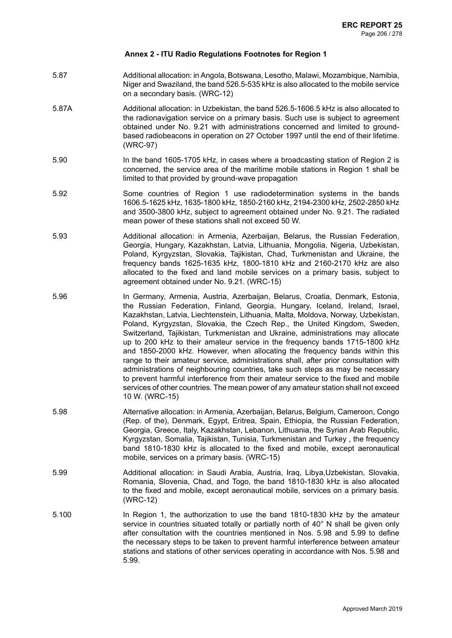- 5.87 Additional allocation: in Angola, Botswana, Lesotho, Malawi, Mozambique, Namibia, Niger and Swaziland, the band 526.5-535 kHz is also allocated to the mobile service on a secondary basis. (WRC-12)
- 5.87A Additional allocation: in Uzbekistan, the band 526.5-1606.5 kHz is also allocated to the radionavigation service on a primary basis. Such use is subject to agreement obtained under No. 9.21 with administrations concerned and limited to groundbased radiobeacons in operation on 27 October 1997 until the end of their lifetime. (WRC-97)
- 5.90 In the band 1605-1705 kHz, in cases where a broadcasting station of Region 2 is concerned, the service area of the maritime mobile stations in Region 1 shall be limited to that provided by ground-wave propagation
- 5.92 Some countries of Region 1 use radiodetermination systems in the bands 1606.5-1625 kHz, 1635-1800 kHz, 1850-2160 kHz, 2194-2300 kHz, 2502-2850 kHz and 3500-3800 kHz, subject to agreement obtained under No. 9.21. The radiated mean power of these stations shall not exceed 50 W.
- 5.93 Additional allocation: in Armenia, Azerbaijan, Belarus, the Russian Federation, Georgia, Hungary, Kazakhstan, Latvia, Lithuania, Mongolia, Nigeria, Uzbekistan, Poland, Kyrgyzstan, Slovakia, Tajikistan, Chad, Turkmenistan and Ukraine, the frequency bands 1625-1635 kHz, 1800-1810 kHz and 2160-2170 kHz are also allocated to the fixed and land mobile services on a primary basis, subject to agreement obtained under No. 9.21. (WRC-15)
- 5.96 In Germany, Armenia, Austria, Azerbaijan, Belarus, Croatia, Denmark, Estonia, the Russian Federation, Finland, Georgia, Hungary, Iceland, Ireland, Israel, Kazakhstan, Latvia, Liechtenstein, Lithuania, Malta, Moldova, Norway, Uzbekistan, Poland, Kyrgyzstan, Slovakia, the Czech Rep., the United Kingdom, Sweden, Switzerland, Tajikistan, Turkmenistan and Ukraine, administrations may allocate up to 200 kHz to their amateur service in the frequency bands 1715-1800 kHz and 1850-2000 kHz. However, when allocating the frequency bands within this range to their amateur service, administrations shall, after prior consultation with administrations of neighbouring countries, take such steps as may be necessary to prevent harmful interference from their amateur service to the fixed and mobile services of other countries. The mean power of any amateur station shall not exceed 10 W. (WRC-15)
- 5.98 Alternative allocation: in Armenia, Azerbaijan, Belarus, Belgium, Cameroon, Congo (Rep. of the), Denmark, Egypt, Eritrea, Spain, Ethiopia, the Russian Federation, Georgia, Greece, Italy, Kazakhstan, Lebanon, Lithuania, the Syrian Arab Republic, Kyrgyzstan, Somalia, Tajikistan, Tunisia, Turkmenistan and Turkey , the frequency band 1810-1830 kHz is allocated to the fixed and mobile, except aeronautical mobile, services on a primary basis. (WRC-15)
- 5.99 Additional allocation: in Saudi Arabia, Austria, Iraq, Libya,Uzbekistan, Slovakia, Romania, Slovenia, Chad, and Togo, the band 1810-1830 kHz is also allocated to the fixed and mobile, except aeronautical mobile, services on a primary basis. (WRC-12)
- 5.100 In Region 1, the authorization to use the band 1810-1830 kHz by the amateur service in countries situated totally or partially north of 40°N shall be given only after consultation with the countries mentioned in Nos. 5.98 and 5.99 to define the necessary steps to be taken to prevent harmful interference between amateur stations and stations of other services operating in accordance with Nos. 5.98 and 5.99.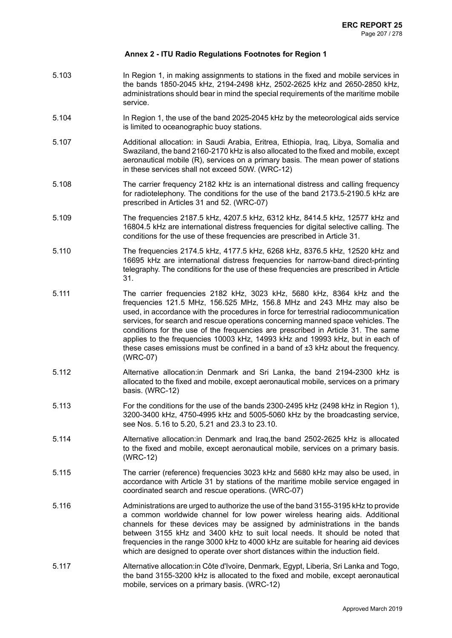- 5.103 In Region 1, in making assignments to stations in the fixed and mobile services in the bands 1850-2045 kHz, 2194-2498 kHz, 2502-2625 kHz and 2650-2850 kHz, administrations should bear in mind the special requirements of the maritime mobile service.
- 5.104 In Region 1, the use of the band 2025-2045 kHz by the meteorological aids service is limited to oceanographic buoy stations.
- 5.107 Additional allocation: in Saudi Arabia, Eritrea, Ethiopia, Iraq, Libya, Somalia and Swaziland, the band 2160-2170 kHz is also allocated to the fixed and mobile, except aeronautical mobile (R), services on a primary basis. The mean power of stations in these services shall not exceed 50W. (WRC-12)
- 5.108 The carrier frequency 2182 kHz is an international distress and calling frequency for radiotelephony. The conditions for the use of the band 2173.5-2190.5 kHz are prescribed in Articles 31 and 52. (WRC-07)
- 5.109 The frequencies 2187.5 kHz, 4207.5 kHz, 6312 kHz, 8414.5 kHz, 12577 kHz and 16804.5 kHz are international distress frequencies for digital selective calling. The conditions for the use of these frequencies are prescribed in Article 31.
- 5.110 The frequencies 2174.5 kHz, 4177.5 kHz, 6268 kHz, 8376.5 kHz, 12520 kHz and 16695 kHz are international distress frequencies for narrow-band direct-printing telegraphy. The conditions for the use of these frequencies are prescribed in Article 31.
- 5.111 The carrier frequencies 2182 kHz, 3023 kHz, 5680 kHz, 8364 kHz and the frequencies 121.5 MHz, 156.525 MHz, 156.8 MHz and 243 MHz may also be used, in accordance with the procedures in force for terrestrial radiocommunication services, for search and rescue operations concerning manned space vehicles. The conditions for the use of the frequencies are prescribed in Article 31. The same applies to the frequencies 10003 kHz, 14993 kHz and 19993 kHz, but in each of these cases emissions must be confined in a band of ±3 kHz about the frequency. (WRC-07)
- 5.112 Alternative allocation:in Denmark and Sri Lanka, the band 2194-2300 kHz is allocated to the fixed and mobile, except aeronautical mobile, services on a primary basis. (WRC-12)
- 5.113 For the conditions for the use of the bands 2300-2495 kHz (2498 kHz in Region 1), 3200-3400 kHz, 4750-4995 kHz and 5005-5060 kHz by the broadcasting service, see Nos. 5.16 to 5.20, 5.21 and 23.3 to 23.10.
- 5.114 Alternative allocation:in Denmark and Iraq,the band 2502-2625 kHz is allocated to the fixed and mobile, except aeronautical mobile, services on a primary basis. (WRC-12)
- 5.115 The carrier (reference) frequencies 3023 kHz and 5680 kHz may also be used, in accordance with Article 31 by stations of the maritime mobile service engaged in coordinated search and rescue operations. (WRC-07)
- 5.116 Administrations are urged to authorize the use of the band 3155-3195 kHz to provide a common worldwide channel for low power wireless hearing aids. Additional channels for these devices may be assigned by administrations in the bands between 3155 kHz and 3400 kHz to suit local needs. It should be noted that frequencies in the range 3000 kHz to 4000 kHz are suitable for hearing aid devices which are designed to operate over short distances within the induction field.
- 5.117 Alternative allocation:in Côte d'Ivoire, Denmark, Egypt, Liberia, Sri Lanka and Togo, the band 3155-3200 kHz is allocated to the fixed and mobile, except aeronautical mobile, services on a primary basis. (WRC-12)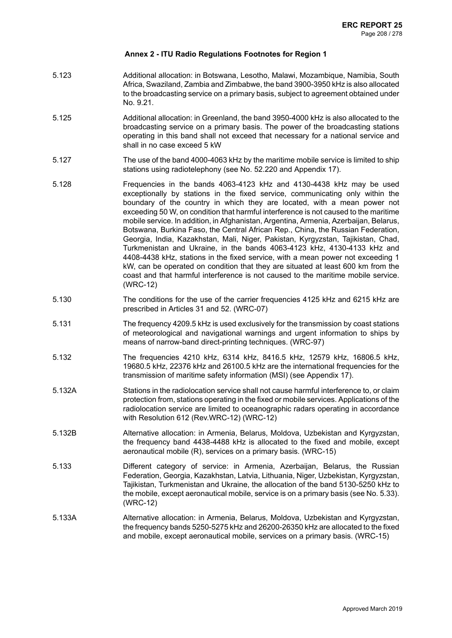- 5.123 Additional allocation: in Botswana, Lesotho, Malawi, Mozambique, Namibia, South Africa, Swaziland, Zambia and Zimbabwe, the band 3900-3950 kHz is also allocated to the broadcasting service on a primary basis, subject to agreement obtained under No. 9.21.
- 5.125 Additional allocation: in Greenland, the band 3950-4000 kHz is also allocated to the broadcasting service on a primary basis. The power of the broadcasting stations operating in this band shall not exceed that necessary for a national service and shall in no case exceed 5 kW
- 5.127 The use of the band 4000-4063 kHz by the maritime mobile service is limited to ship stations using radiotelephony (see No. 52.220 and Appendix 17).
- 5.128 Frequencies in the bands 4063-4123 kHz and 4130-4438 kHz may be used exceptionally by stations in the fixed service, communicating only within the boundary of the country in which they are located, with a mean power not exceeding 50 W, on condition that harmful interference is not caused to the maritime mobile service. In addition, in Afghanistan, Argentina, Armenia, Azerbaijan, Belarus, Botswana, Burkina Faso, the Central African Rep., China, the Russian Federation, Georgia, India, Kazakhstan, Mali, Niger, Pakistan, Kyrgyzstan, Tajikistan, Chad, Turkmenistan and Ukraine, in the bands 4063-4123 kHz, 4130-4133 kHz and 4408-4438 kHz, stations in the fixed service, with a mean power not exceeding 1 kW, can be operated on condition that they are situated at least 600 km from the coast and that harmful interference is not caused to the maritime mobile service. (WRC-12)
- 5.130 The conditions for the use of the carrier frequencies 4125 kHz and 6215 kHz are prescribed in Articles 31 and 52. (WRC-07)
- 5.131 The frequency 4209.5 kHz is used exclusively for the transmission by coast stations of meteorological and navigational warnings and urgent information to ships by means of narrow-band direct-printing techniques. (WRC-97)
- 5.132 The frequencies 4210 kHz, 6314 kHz, 8416.5 kHz, 12579 kHz, 16806.5 kHz, 19680.5 kHz, 22376 kHz and 26100.5 kHz are the international frequencies for the transmission of maritime safety information (MSI) (see Appendix 17).
- 5.132A Stations in the radiolocation service shall not cause harmful interference to, or claim protection from, stations operating in the fixed or mobile services. Applications of the radiolocation service are limited to oceanographic radars operating in accordance with Resolution 612 (Rev.WRC-12) (WRC-12)
- 5.132B Alternative allocation: in Armenia, Belarus, Moldova, Uzbekistan and Kyrgyzstan, the frequency band 4438-4488 kHz is allocated to the fixed and mobile, except aeronautical mobile (R), services on a primary basis. (WRC-15)
- 5.133 Different category of service: in Armenia, Azerbaijan, Belarus, the Russian Federation, Georgia, Kazakhstan, Latvia, Lithuania, Niger, Uzbekistan, Kyrgyzstan, Tajikistan, Turkmenistan and Ukraine, the allocation of the band 5130-5250 kHz to the mobile, except aeronautical mobile, service is on a primary basis (see No. 5.33). (WRC-12)
- 5.133A Alternative allocation: in Armenia, Belarus, Moldova, Uzbekistan and Kyrgyzstan, the frequency bands 5250-5275 kHz and 26200-26350 kHz are allocated to the fixed and mobile, except aeronautical mobile, services on a primary basis. (WRC-15)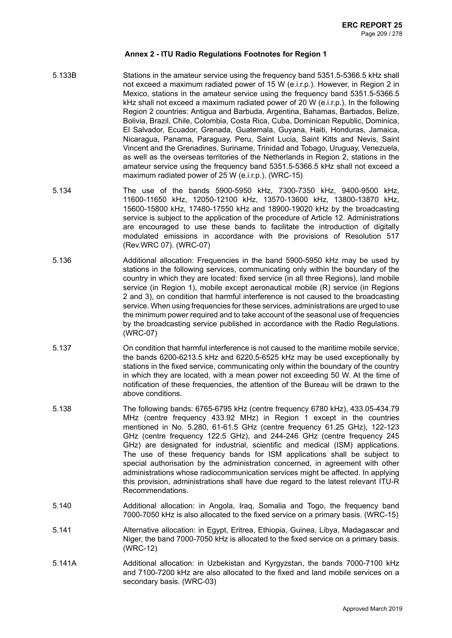- 5.133B Stations in the amateur service using the frequency band 5351.5-5366.5 kHz shall not exceed a maximum radiated power of 15 W (e.i.r.p.). However, in Region 2 in Mexico, stations in the amateur service using the frequency band 5351.5-5366.5 kHz shall not exceed a maximum radiated power of 20 W (e.i.r.p.). In the following Region 2 countries: Antigua and Barbuda, Argentina, Bahamas, Barbados, Belize, Bolivia, Brazil, Chile, Colombia, Costa Rica, Cuba, Dominican Republic, Dominica, El Salvador, Ecuador, Grenada, Guatemala, Guyana, Haiti, Honduras, Jamaica, Nicaragua, Panama, Paraguay, Peru, Saint Lucia, Saint Kitts and Nevis, Saint Vincent and the Grenadines, Suriname, Trinidad and Tobago, Uruguay, Venezuela, as well as the overseas territories of the Netherlands in Region 2, stations in the amateur service using the frequency band 5351.5-5366.5 kHz shall not exceed a maximum radiated power of 25 W (e.i.r.p.). (WRC-15)
- 5.134 The use of the bands 5900-5950 kHz, 7300-7350 kHz, 9400-9500 kHz, 11600-11650 kHz, 12050-12100 kHz, 13570-13600 kHz, 13800-13870 kHz, 15600-15800 kHz, 17480-17550 kHz and 18900-19020 kHz by the broadcasting service is subject to the application of the procedure of Article 12. Administrations are encouraged to use these bands to facilitate the introduction of digitally modulated emissions in accordance with the provisions of Resolution 517 (Rev.WRC 07). (WRC-07)
- 5.136 Additional allocation: Frequencies in the band 5900-5950 kHz may be used by stations in the following services, communicating only within the boundary of the country in which they are located: fixed service (in all three Regions), land mobile service (in Region 1), mobile except aeronautical mobile (R) service (in Regions 2 and 3), on condition that harmful interference is not caused to the broadcasting service. When using frequencies for these services, administrations are urged to use the minimum power required and to take account of the seasonal use of frequencies by the broadcasting service published in accordance with the Radio Regulations. (WRC-07)
- 5.137 On condition that harmful interference is not caused to the maritime mobile service, the bands 6200-6213.5 kHz and 6220.5-6525 kHz may be used exceptionally by stations in the fixed service, communicating only within the boundary of the country in which they are located, with a mean power not exceeding 50 W. At the time of notification of these frequencies, the attention of the Bureau will be drawn to the above conditions.
- 5.138 The following bands: 6765-6795 kHz (centre frequency 6780 kHz), 433.05-434.79 MHz (centre frequency 433.92 MHz) in Region 1 except in the countries mentioned in No. 5.280, 61-61.5 GHz (centre frequency 61.25 GHz), 122-123 GHz (centre frequency 122.5 GHz), and 244-246 GHz (centre frequency 245 GHz) are designated for industrial, scientific and medical (ISM) applications. The use of these frequency bands for ISM applications shall be subject to special authorisation by the administration concerned, in agreement with other administrations whose radiocommunication services might be affected. In applying this provision, administrations shall have due regard to the latest relevant ITU-R Recommendations.
- 5.140 Additional allocation: in Angola, Iraq, Somalia and Togo, the frequency band 7000-7050 kHz is also allocated to the fixed service on a primary basis. (WRC-15)
- 5.141 Alternative allocation: in Egypt, Eritrea, Ethiopia, Guinea, Libya, Madagascar and Niger, the band 7000-7050 kHz is allocated to the fixed service on a primary basis. (WRC-12)
- 5.141A Additional allocation: in Uzbekistan and Kyrgyzstan, the bands 7000-7100 kHz and 7100-7200 kHz are also allocated to the fixed and land mobile services on a secondary basis. (WRC-03)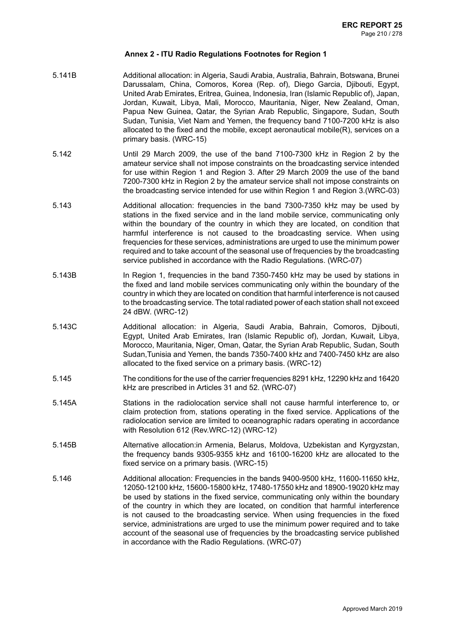- 5.141B Additional allocation: in Algeria, Saudi Arabia, Australia, Bahrain, Botswana, Brunei Darussalam, China, Comoros, Korea (Rep. of), Diego Garcia, Djibouti, Egypt, United Arab Emirates, Eritrea, Guinea, Indonesia, Iran (Islamic Republic of), Japan, Jordan, Kuwait, Libya, Mali, Morocco, Mauritania, Niger, New Zealand, Oman, Papua New Guinea, Qatar, the Syrian Arab Republic, Singapore, Sudan, South Sudan, Tunisia, Viet Nam and Yemen, the frequency band 7100-7200 kHz is also allocated to the fixed and the mobile, except aeronautical mobile(R), services on a primary basis. (WRC-15)
- 5.142 Until 29 March 2009, the use of the band 7100-7300 kHz in Region 2 by the amateur service shall not impose constraints on the broadcasting service intended for use within Region 1 and Region 3. After 29 March 2009 the use of the band 7200-7300 kHz in Region 2 by the amateur service shall not impose constraints on the broadcasting service intended for use within Region 1 and Region 3.(WRC-03)
- 5.143 Additional allocation: frequencies in the band 7300-7350 kHz may be used by stations in the fixed service and in the land mobile service, communicating only within the boundary of the country in which they are located, on condition that harmful interference is not caused to the broadcasting service. When using frequencies for these services, administrations are urged to use the minimum power required and to take account of the seasonal use of frequencies by the broadcasting service published in accordance with the Radio Regulations. (WRC-07)
- 5.143B In Region 1, frequencies in the band 7350-7450 kHz may be used by stations in the fixed and land mobile services communicating only within the boundary of the country in which they are located on condition that harmful interference is not caused to the broadcasting service. The total radiated power of each station shall not exceed 24 dBW. (WRC-12)
- 5.143C Additional allocation: in Algeria, Saudi Arabia, Bahrain, Comoros, Djibouti, Egypt, United Arab Emirates, Iran (Islamic Republic of), Jordan, Kuwait, Libya, Morocco, Mauritania, Niger, Oman, Qatar, the Syrian Arab Republic, Sudan, South Sudan,Tunisia and Yemen, the bands 7350-7400 kHz and 7400-7450 kHz are also allocated to the fixed service on a primary basis. (WRC-12)
- 5.145 The conditions for the use of the carrier frequencies 8291 kHz, 12290 kHz and 16420 kHz are prescribed in Articles 31 and 52. (WRC-07)
- 5.145A Stations in the radiolocation service shall not cause harmful interference to, or claim protection from, stations operating in the fixed service. Applications of the radiolocation service are limited to oceanographic radars operating in accordance with Resolution 612 (Rev.WRC-12) (WRC-12)
- 5.145B Alternative allocation:in Armenia, Belarus, Moldova, Uzbekistan and Kyrgyzstan, the frequency bands 9305-9355 kHz and 16100-16200 kHz are allocated to the fixed service on a primary basis. (WRC-15)
- 5.146 Additional allocation: Frequencies in the bands 9400-9500 kHz, 11600-11650 kHz, 12050-12100 kHz, 15600-15800 kHz, 17480-17550 kHz and 18900-19020 kHz may be used by stations in the fixed service, communicating only within the boundary of the country in which they are located, on condition that harmful interference is not caused to the broadcasting service. When using frequencies in the fixed service, administrations are urged to use the minimum power required and to take account of the seasonal use of frequencies by the broadcasting service published in accordance with the Radio Regulations. (WRC-07)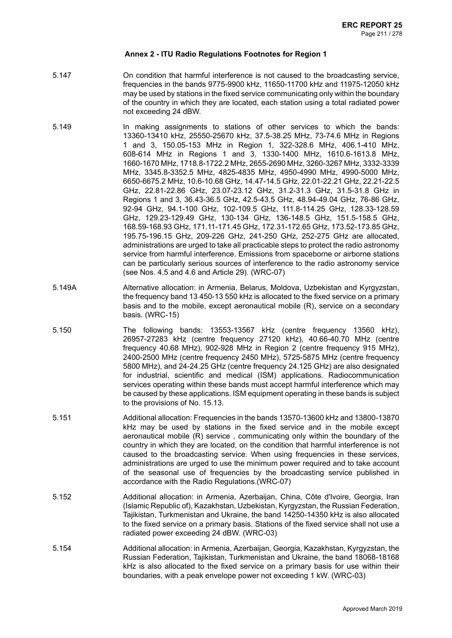- 5.147 On condition that harmful interference is not caused to the broadcasting service, frequencies in the bands 9775-9900 kHz, 11650-11700 kHz and 11975-12050 kHz may be used by stations in the fixed service communicating only within the boundary of the country in which they are located, each station using a total radiated power not exceeding 24 dBW.
- 5.149 In making assignments to stations of other services to which the bands: 13360-13410 kHz, 25550-25670 kHz, 37.5-38.25 MHz, 73-74.6 MHz in Regions 1 and 3, 150.05-153 MHz in Region 1, 322-328.6 MHz, 406.1-410 MHz, 608-614 MHz in Regions 1 and 3, 1330-1400 MHz, 1610.6-1613.8 MHz, 1660-1670 MHz, 1718.8-1722.2 MHz, 2655-2690 MHz, 3260-3267 MHz, 3332-3339 MHz, 3345.8-3352.5 MHz, 4825-4835 MHz, 4950-4990 MHz, 4990-5000 MHz, 6650-6675.2 MHz, 10.6-10.68 GHz, 14.47-14.5 GHz, 22.01-22.21 GHz, 22.21-22.5 GHz, 22.81-22.86 GHz, 23.07-23.12 GHz, 31.2-31.3 GHz, 31.5-31.8 GHz in Regions 1 and 3, 36.43-36.5 GHz, 42.5-43.5 GHz, 48.94-49.04 GHz, 76-86 GHz, 92-94 GHz, 94.1-100 GHz, 102-109.5 GHz, 111.8-114.25 GHz, 128.33-128.59 GHz, 129.23-129.49 GHz, 130-134 GHz, 136-148.5 GHz, 151.5-158.5 GHz, 168.59-168.93 GHz, 171.11-171.45 GHz, 172.31-172.65 GHz, 173.52-173.85 GHz, 195.75-196.15 GHz, 209-226 GHz, 241-250 GHz, 252-275 GHz are allocated, administrations are urged to take all practicable steps to protect the radio astronomy service from harmful interference. Emissions from spaceborne or airborne stations can be particularly serious sources of interference to the radio astronomy service (see Nos. 4.5 and 4.6 and Article 29). (WRC-07)
- 5.149A Alternative allocation: in Armenia, Belarus, Moldova, Uzbekistan and Kyrgyzstan, the frequency band 13 450-13 550 kHz is allocated to the fixed service on a primary basis and to the mobile, except aeronautical mobile (R), service on a secondary basis. (WRC-15)
- 5.150 The following bands: 13553-13567 kHz (centre frequency 13560 kHz), 26957-27283 kHz (centre frequency 27120 kHz), 40.66-40.70 MHz (centre frequency 40.68 MHz), 902-928 MHz in Region 2 (centre frequency 915 MHz), 2400-2500 MHz (centre frequency 2450 MHz), 5725-5875 MHz (centre frequency 5800 MHz), and 24-24.25 GHz (centre frequency 24.125 GHz) are also designated for industrial, scientific and medical (ISM) applications. Radiocommunication services operating within these bands must accept harmful interference which may be caused by these applications. ISM equipment operating in these bands is subject to the provisions of No. 15.13.
- 5.151 Additional allocation: Frequencies in the bands 13570-13600 kHz and 13800-13870 kHz may be used by stations in the fixed service and in the mobile except aeronautical mobile (R) service , communicating only within the boundary of the country in which they are located, on the condition that harmful interference is not caused to the broadcasting service. When using frequencies in these services, administrations are urged to use the minimum power required and to take account of the seasonal use of frequencies by the broadcasting service published in accordance with the Radio Regulations.(WRC-07)
- 5.152 Additional allocation: in Armenia, Azerbaijan, China, Côte d'Ivoire, Georgia, Iran (Islamic Republic of), Kazakhstan, Uzbekistan, Kyrgyzstan, the Russian Federation, Tajikistan, Turkmenistan and Ukraine, the band 14250-14350 kHz is also allocated to the fixed service on a primary basis. Stations of the fixed service shall not use a radiated power exceeding 24 dBW. (WRC-03)
- 5.154 Additional allocation: in Armenia, Azerbaijan, Georgia, Kazakhstan, Kyrgyzstan, the Russian Federation, Tajikistan, Turkmenistan and Ukraine, the band 18068-18168 kHz is also allocated to the fixed service on a primary basis for use within their boundaries, with a peak envelope power not exceeding 1 kW. (WRC-03)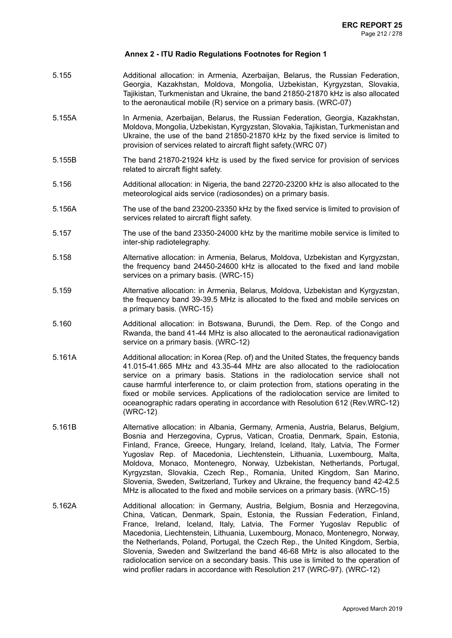- 5.155 Additional allocation: in Armenia, Azerbaijan, Belarus, the Russian Federation, Georgia, Kazakhstan, Moldova, Mongolia, Uzbekistan, Kyrgyzstan, Slovakia, Tajikistan, Turkmenistan and Ukraine, the band 21850-21870 kHz is also allocated to the aeronautical mobile (R) service on a primary basis. (WRC-07)
- 5.155A In Armenia, Azerbaijan, Belarus, the Russian Federation, Georgia, Kazakhstan, Moldova, Mongolia, Uzbekistan, Kyrgyzstan, Slovakia, Tajikistan, Turkmenistanand Ukraine, the use of the band 21850-21870 kHz by the fixed service is limited to provision of services related to aircraft flight safety.(WRC 07)
- 5.155B The band 21870-21924 kHz is used by the fixed service for provision of services related to aircraft flight safety.
- 5.156 Additional allocation: in Nigeria, the band 22720-23200 kHz is also allocated to the meteorological aids service (radiosondes) on a primary basis.
- 5.156A The use of the band 23200-23350 kHz by the fixed service is limited to provision of services related to aircraft flight safety.
- 5.157 The use of the band 23350-24000 kHz by the maritime mobile service is limited to inter-ship radiotelegraphy.
- 5.158 Alternative allocation: in Armenia, Belarus, Moldova, Uzbekistan and Kyrgyzstan, the frequency band 24450-24600 kHz is allocated to the fixed and land mobile services on a primary basis. (WRC-15)
- 5.159 Alternative allocation: in Armenia, Belarus, Moldova, Uzbekistan and Kyrgyzstan, the frequency band 39-39.5 MHz is allocated to the fixed and mobile services on a primary basis. (WRC-15)
- 5.160 Additional allocation: in Botswana, Burundi, the Dem. Rep. of the Congo and Rwanda, the band 41-44 MHz is also allocated to the aeronautical radionavigation service on a primary basis. (WRC-12)
- 5.161A Additional allocation: in Korea (Rep. of) and the United States, the frequency bands 41.015-41.665 MHz and 43.35-44 MHz are also allocated to the radiolocation service on a primary basis. Stations in the radiolocation service shall not cause harmful interference to, or claim protection from, stations operating in the fixed or mobile services. Applications of the radiolocation service are limited to oceanographic radars operating in accordance with Resolution 612 (Rev.WRC-12) (WRC-12)
- 5.161B Alternative allocation: in Albania, Germany, Armenia, Austria, Belarus, Belgium, Bosnia and Herzegovina, Cyprus, Vatican, Croatia, Denmark, Spain, Estonia, Finland, France, Greece, Hungary, Ireland, Iceland, Italy, Latvia, The Former Yugoslav Rep. of Macedonia, Liechtenstein, Lithuania, Luxembourg, Malta, Moldova, Monaco, Montenegro, Norway, Uzbekistan, Netherlands, Portugal, Kyrgyzstan, Slovakia, Czech Rep., Romania, United Kingdom, San Marino, Slovenia, Sweden, Switzerland, Turkey and Ukraine, the frequency band 42-42.5 MHz is allocated to the fixed and mobile services on a primary basis. (WRC-15)
- 5.162A Additional allocation: in Germany, Austria, Belgium, Bosnia and Herzegovina, China, Vatican, Denmark, Spain, Estonia, the Russian Federation, Finland, France, Ireland, Iceland, Italy, Latvia, The Former Yugoslav Republic of Macedonia, Liechtenstein, Lithuania, Luxembourg, Monaco, Montenegro, Norway, the Netherlands, Poland, Portugal, the Czech Rep., the United Kingdom, Serbia, Slovenia, Sweden and Switzerland the band 46-68 MHz is also allocated to the radiolocation service on a secondary basis. This use is limited to the operation of wind profiler radars in accordance with Resolution 217 (WRC-97). (WRC-12)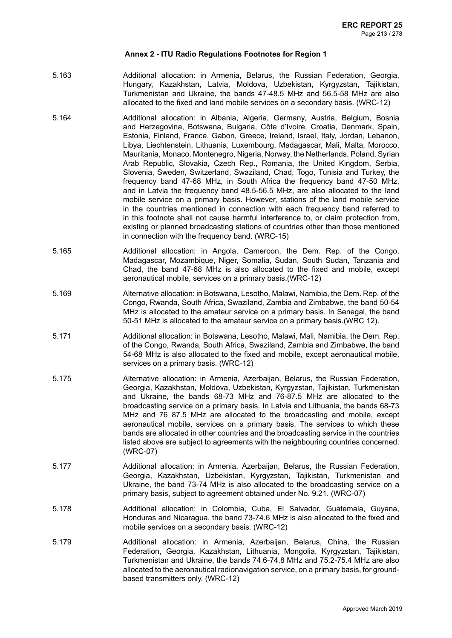- 5.163 Additional allocation: in Armenia, Belarus, the Russian Federation, Georgia, Hungary, Kazakhstan, Latvia, Moldova, Uzbekistan, Kyrgyzstan, Tajikistan, Turkmenistan and Ukraine, the bands 47-48.5 MHz and 56.5-58 MHz are also allocated to the fixed and land mobile services on a secondary basis. (WRC-12)
- 5.164 Additional allocation: in Albania, Algeria, Germany, Austria, Belgium, Bosnia and Herzegovina, Botswana, Bulgaria, Côte d'Ivoire, Croatia, Denmark, Spain, Estonia, Finland, France, Gabon, Greece, Ireland, Israel, Italy, Jordan, Lebanon, Libya, Liechtenstein, Lithuania, Luxembourg, Madagascar, Mali, Malta, Morocco, Mauritania, Monaco, Montenegro, Nigeria, Norway, the Netherlands, Poland, Syrian Arab Republic, Slovakia, Czech Rep., Romania, the United Kingdom, Serbia, Slovenia, Sweden, Switzerland, Swaziland, Chad, Togo, Tunisia and Turkey, the frequency band 47-68 MHz, in South Africa the frequency band 47-50 MHz, and in Latvia the frequency band 48.5-56.5 MHz, are also allocated to the land mobile service on a primary basis. However, stations of the land mobile service in the countries mentioned in connection with each frequency band referred to in this footnote shall not cause harmful interference to, or claim protection from, existing or planned broadcasting stations of countries other than those mentioned in connection with the frequency band. (WRC-15)
- 5.165 Additional allocation: in Angola, Cameroon, the Dem. Rep. of the Congo, Madagascar, Mozambique, Niger, Somalia, Sudan, South Sudan, Tanzania and Chad, the band 47-68 MHz is also allocated to the fixed and mobile, except aeronautical mobile, services on a primary basis.(WRC-12)
- 5.169 Alternative allocation: in Botswana, Lesotho, Malawi, Namibia, the Dem. Rep. of the Congo, Rwanda, South Africa, Swaziland, Zambia and Zimbabwe, the band 50-54 MHz is allocated to the amateur service on a primary basis. In Senegal, the band 50-51 MHz is allocated to the amateur service on a primary basis.(WRC 12).
- 5.171 Additional allocation: in Botswana, Lesotho, Malawi, Mali, Namibia, the Dem. Rep. of the Congo, Rwanda, South Africa, Swaziland, Zambia and Zimbabwe, the band 54-68 MHz is also allocated to the fixed and mobile, except aeronautical mobile, services on a primary basis. (WRC-12)
- 5.175 Alternative allocation: in Armenia, Azerbaijan, Belarus, the Russian Federation, Georgia, Kazakhstan, Moldova, Uzbekistan, Kyrgyzstan, Tajikistan, Turkmenistan and Ukraine, the bands 68-73 MHz and 76-87.5 MHz are allocated to the broadcasting service on a primary basis. In Latvia and Lithuania, the bands 68-73 MHz and 76 87.5 MHz are allocated to the broadcasting and mobile, except aeronautical mobile, services on a primary basis. The services to which these bands are allocated in other countries and the broadcasting service in the countries listed above are subject to agreements with the neighbouring countries concerned. (WRC-07)
- 5.177 Additional allocation: in Armenia, Azerbaijan, Belarus, the Russian Federation, Georgia, Kazakhstan, Uzbekistan, Kyrgyzstan, Tajikistan, Turkmenistan and Ukraine, the band 73-74 MHz is also allocated to the broadcasting service on a primary basis, subject to agreement obtained under No. 9.21. (WRC-07)
- 5.178 Additional allocation: in Colombia, Cuba, El Salvador, Guatemala, Guyana, Honduras and Nicaragua, the band 73-74.6 MHz is also allocated to the fixed and mobile services on a secondary basis. (WRC-12)
- 5.179 Additional allocation: in Armenia, Azerbaijan, Belarus, China, the Russian Federation, Georgia, Kazakhstan, Lithuania, Mongolia, Kyrgyzstan, Tajikistan, Turkmenistan and Ukraine, the bands 74.6-74.8 MHz and 75.2-75.4 MHz are also allocated to the aeronautical radionavigation service, on a primary basis, for groundbased transmitters only. (WRC-12)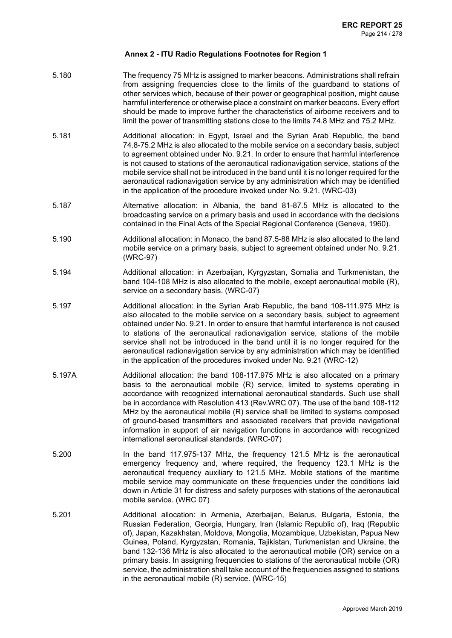- 5.180 The frequency 75 MHz is assigned to marker beacons. Administrations shall refrain from assigning frequencies close to the limits of the guardband to stations of other services which, because of their power or geographical position, might cause harmful interference or otherwise place a constraint on marker beacons. Every effort should be made to improve further the characteristics of airborne receivers and to limit the power of transmitting stations close to the limits 74.8 MHz and 75.2 MHz.
- 5.181 Additional allocation: in Egypt, Israel and the Syrian Arab Republic, the band 74.8-75.2 MHz is also allocated to the mobile service on a secondary basis, subject to agreement obtained under No. 9.21. In order to ensure that harmful interference is not caused to stations of the aeronautical radionavigation service, stations of the mobile service shall not be introduced in the band until it is no longer required for the aeronautical radionavigation service by any administration which may be identified in the application of the procedure invoked under No. 9.21. (WRC-03)
- 5.187 Alternative allocation: in Albania, the band 81-87.5 MHz is allocated to the broadcasting service on a primary basis and used in accordance with the decisions contained in the Final Acts of the Special Regional Conference (Geneva, 1960).
- 5.190 Additional allocation: in Monaco, the band 87.5-88 MHz is also allocated to the land mobile service on a primary basis, subject to agreement obtained under No. 9.21. (WRC-97)
- 5.194 Additional allocation: in Azerbaijan, Kyrgyzstan, Somalia and Turkmenistan, the band 104-108 MHz is also allocated to the mobile, except aeronautical mobile (R), service on a secondary basis. (WRC-07)
- 5.197 Additional allocation: in the Syrian Arab Republic, the band 108-111.975 MHz is also allocated to the mobile service on a secondary basis, subject to agreement obtained under No. 9.21. In order to ensure that harmful interference is not caused to stations of the aeronautical radionavigation service, stations of the mobile service shall not be introduced in the band until it is no longer required for the aeronautical radionavigation service by any administration which may be identified in the application of the procedures invoked under No. 9.21 (WRC-12)
- 5.197A Additional allocation: the band 108-117.975 MHz is also allocated on a primary basis to the aeronautical mobile (R) service, limited to systems operating in accordance with recognized international aeronautical standards. Such use shall be in accordance with Resolution 413 (Rev.WRC 07). The use of the band 108-112 MHz by the aeronautical mobile (R) service shall be limited to systems composed of ground-based transmitters and associated receivers that provide navigational information in support of air navigation functions in accordance with recognized international aeronautical standards. (WRC-07)
- 5.200 In the band 117.975-137 MHz, the frequency 121.5 MHz is the aeronautical emergency frequency and, where required, the frequency 123.1 MHz is the aeronautical frequency auxiliary to 121.5 MHz. Mobile stations of the maritime mobile service may communicate on these frequencies under the conditions laid down in Article 31 for distress and safety purposes with stations of the aeronautical mobile service. (WRC 07)
- 5.201 Additional allocation: in Armenia, Azerbaijan, Belarus, Bulgaria, Estonia, the Russian Federation, Georgia, Hungary, Iran (Islamic Republic of), Iraq (Republic of), Japan, Kazakhstan, Moldova, Mongolia, Mozambique, Uzbekistan, Papua New Guinea, Poland, Kyrgyzstan, Romania, Tajikistan, Turkmenistan and Ukraine, the band 132-136 MHz is also allocated to the aeronautical mobile (OR) service on a primary basis. In assigning frequencies to stations of the aeronautical mobile (OR) service, the administration shall take account of the frequencies assigned to stations in the aeronautical mobile (R) service. (WRC-15)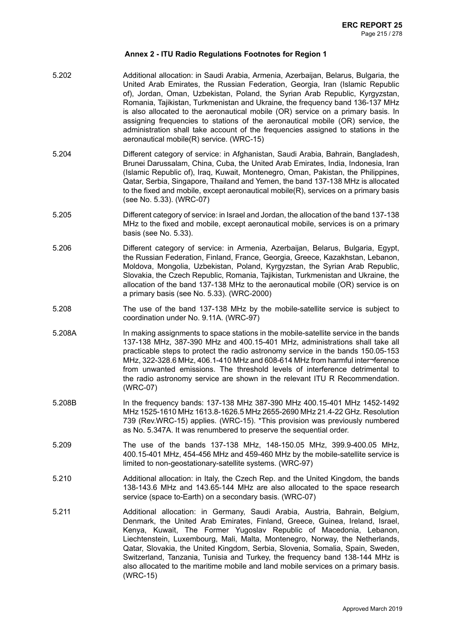5.202 Additional allocation: in Saudi Arabia, Armenia, Azerbaijan, Belarus, Bulgaria, the United Arab Emirates, the Russian Federation, Georgia, Iran (Islamic Republic of), Jordan, Oman, Uzbekistan, Poland, the Syrian Arab Republic, Kyrgyzstan, Romania, Tajikistan, Turkmenistan and Ukraine, the frequency band 136-137 MHz is also allocated to the aeronautical mobile (OR) service on a primary basis. In assigning frequencies to stations of the aeronautical mobile (OR) service, the administration shall take account of the frequencies assigned to stations in the aeronautical mobile(R) service. (WRC-15) 5.204 Different category of service: in Afghanistan, Saudi Arabia, Bahrain, Bangladesh, Brunei Darussalam, China, Cuba, the United Arab Emirates, India, Indonesia, Iran (Islamic Republic of), Iraq, Kuwait, Montenegro, Oman, Pakistan, the Philippines, Qatar, Serbia, Singapore, Thailand and Yemen, the band 137-138 MHz is allocated to the fixed and mobile, except aeronautical mobile(R), services on a primary basis (see No. 5.33). (WRC-07) 5.205 Different categoryof service: inIsraelandJordan, theallocationof theband137-138 MHz to the fixed and mobile, except aeronautical mobile, services is on a primary basis (see No. 5.33). 5.206 Different category of service: in Armenia, Azerbaijan, Belarus, Bulgaria, Egypt, the Russian Federation, Finland, France, Georgia, Greece, Kazakhstan, Lebanon, Moldova, Mongolia, Uzbekistan, Poland, Kyrgyzstan, the Syrian Arab Republic, Slovakia, the Czech Republic, Romania, Tajikistan, Turkmenistan and Ukraine, the allocation of the band 137-138 MHz to the aeronautical mobile (OR) service is on a primary basis (see No. 5.33). (WRC-2000) 5.208 The use of the band 137-138 MHz by the mobile-satellite service is subject to coordination under No. 9.11A. (WRC-97) 5.208A In making assignments to space stations in the mobile-satellite service in the bands 137-138 MHz, 387-390 MHz and 400.15-401 MHz, administrations shall take all practicable steps to protect the radio astronomy service in the bands 150.05-153 MHz, 322-328.6 MHz, 406.1-410 MHz and 608-614 MHz from harmful inter¬ference from unwanted emissions. The threshold levels of interference detrimental to the radio astronomy service are shown in the relevant ITU R Recommendation. (WRC-07) 5.208B In the frequency bands: 137-138 MHz 387-390 MHz 400.15-401 MHz 1452-1492 MHz 1525-1610 MHz 1613.8-1626.5 MHz 2655-2690 MHz 21.4-22 GHz. Resolution 739 (Rev.WRC-15) applies. (WRC-15). \*This provision was previously numbered as No. 5.347A. It was renumbered to preserve the sequential order. 5.209 The use of the bands 137-138 MHz, 148-150.05 MHz, 399.9-400.05 MHz, 400.15-401 MHz, 454-456 MHz and 459-460 MHz by the mobile-satellite service is limited to non-geostationary-satellite systems. (WRC-97) 5.210 Additional allocation: in Italy, the Czech Rep. and the United Kingdom, the bands 138-143.6 MHz and 143.65-144 MHz are also allocated to the space research service (space to-Earth) on a secondary basis. (WRC-07) 5.211 Additional allocation: in Germany, Saudi Arabia, Austria, Bahrain, Belgium, Denmark, the United Arab Emirates, Finland, Greece, Guinea, Ireland, Israel, Kenya, Kuwait, The Former Yugoslav Republic of Macedonia, Lebanon, Liechtenstein, Luxembourg, Mali, Malta, Montenegro, Norway, the Netherlands, Qatar, Slovakia, the United Kingdom, Serbia, Slovenia, Somalia, Spain, Sweden, Switzerland, Tanzania, Tunisia and Turkey, the frequency band 138-144 MHz is also allocated to the maritime mobile and land mobile services on a primary basis. (WRC-15)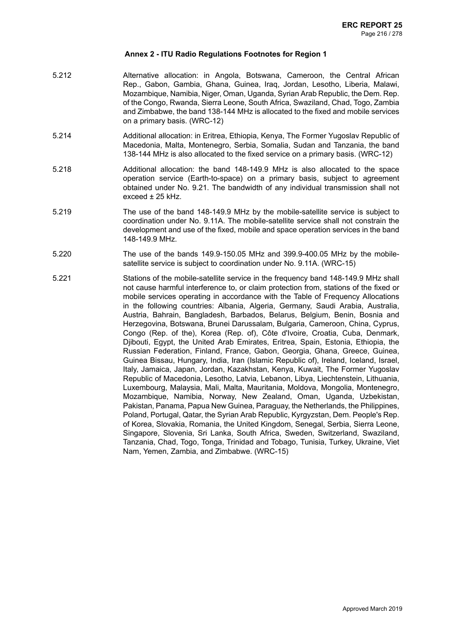- 5.212 Alternative allocation: in Angola, Botswana, Cameroon, the Central African Rep., Gabon, Gambia, Ghana, Guinea, Iraq, Jordan, Lesotho, Liberia, Malawi, Mozambique, Namibia, Niger, Oman, Uganda, Syrian Arab Republic, the Dem. Rep. of the Congo, Rwanda, Sierra Leone, South Africa, Swaziland, Chad, Togo, Zambia and Zimbabwe, the band 138-144 MHz is allocated to the fixed and mobile services on a primary basis. (WRC-12)
- 5.214 Additional allocation: in Eritrea, Ethiopia, Kenya, The Former Yugoslav Republic of Macedonia, Malta, Montenegro, Serbia, Somalia, Sudan and Tanzania, the band 138-144 MHz is also allocated to the fixed service on a primary basis. (WRC-12)
- 5.218 Additional allocation: the band 148-149.9 MHz is also allocated to the space operation service (Earth-to-space) on a primary basis, subject to agreement obtained under No. 9.21. The bandwidth of any individual transmission shall not exceed ± 25 kHz.
- 5.219 The use of the band 148-149.9 MHz by the mobile-satellite service is subject to coordination under No. 9.11A. The mobile-satellite service shall not constrain the development and use of the fixed, mobile and space operation services in the band 148-149.9 MHz.
- 5.220 The use of the bands 149.9-150.05 MHz and 399.9-400.05 MHz by the mobilesatellite service is subject to coordination under No. 9.11A. (WRC-15)
- 5.221 Stations of the mobile-satellite service in the frequency band 148-149.9 MHz shall not cause harmful interference to, or claim protection from, stations of the fixed or mobile services operating in accordance with the Table of Frequency Allocations in the following countries: Albania, Algeria, Germany, Saudi Arabia, Australia, Austria, Bahrain, Bangladesh, Barbados, Belarus, Belgium, Benin, Bosnia and Herzegovina, Botswana, Brunei Darussalam, Bulgaria, Cameroon, China, Cyprus, Congo (Rep. of the), Korea (Rep. of), Côte d'Ivoire, Croatia, Cuba, Denmark, Djibouti, Egypt, the United Arab Emirates, Eritrea, Spain, Estonia, Ethiopia, the Russian Federation, Finland, France, Gabon, Georgia, Ghana, Greece, Guinea, Guinea Bissau, Hungary, India, Iran (Islamic Republic of), Ireland, Iceland, Israel, Italy, Jamaica, Japan, Jordan, Kazakhstan, Kenya, Kuwait, The Former Yugoslav Republic of Macedonia, Lesotho, Latvia, Lebanon, Libya, Liechtenstein, Lithuania, Luxembourg, Malaysia, Mali, Malta, Mauritania, Moldova, Mongolia, Montenegro, Mozambique, Namibia, Norway, New Zealand, Oman, Uganda, Uzbekistan, Pakistan, Panama, Papua New Guinea, Paraguay, the Netherlands, the Philippines, Poland, Portugal, Qatar, the Syrian Arab Republic, Kyrgyzstan, Dem. People's Rep. of Korea, Slovakia, Romania, the United Kingdom, Senegal, Serbia, Sierra Leone, Singapore, Slovenia, Sri Lanka, South Africa, Sweden, Switzerland, Swaziland, Tanzania, Chad, Togo, Tonga, Trinidad and Tobago, Tunisia, Turkey, Ukraine, Viet Nam, Yemen, Zambia, and Zimbabwe. (WRC-15)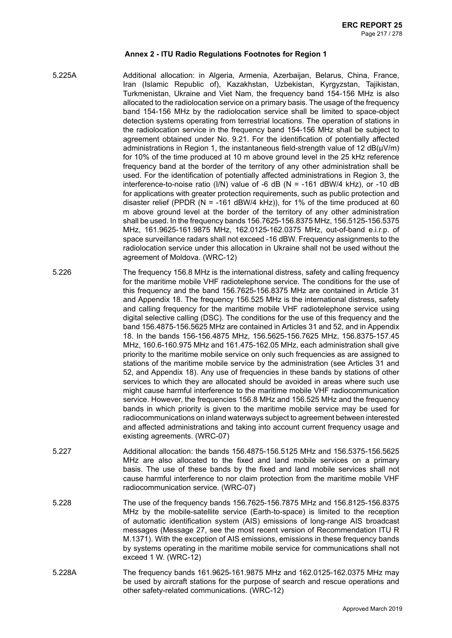- 5.225A Additional allocation: in Algeria, Armenia, Azerbaijan, Belarus, China, France, Iran (Islamic Republic of), Kazakhstan, Uzbekistan, Kyrgyzstan, Tajikistan, Turkmenistan, Ukraine and Viet Nam, the frequency band 154-156 MHz is also allocated to the radiolocation service on a primary basis. The usage of the frequency band 154-156 MHz by the radiolocation service shall be limited to space-object detection systems operating from terrestrial locations. The operation of stations in the radiolocation service in the frequency band 154-156 MHz shall be subject to agreement obtained under No. 9.21. For the identification of potentially affected administrations in Region 1, the instantaneous field-strength value of 12  $dB(\mu V/m)$ for 10% of the time produced at 10 m above ground level in the 25 kHz reference frequency band at the border of the territory of any other administration shall be used. For the identification of potentially affected administrations in Region 3, the interference-to-noise ratio (I/N) value of -6 dB (N = -161 dBW/4 kHz), or -10 dB for applications with greater protection requirements, such as public protection and disaster relief (PPDR (N = -161 dBW/4 kHz)), for 1% of the time produced at 60 m above ground level at the border of the territory of any other administration shall be used. In the frequency bands 156.7625-156.8375 MHz, 156.5125-156.5375 MHz, 161.9625-161.9875 MHz, 162.0125-162.0375 MHz, out-of-band e.i.r.p. of space surveillance radars shall not exceed -16 dBW. Frequency assignments to the radiolocation service under this allocation in Ukraine shall not be used without the agreement of Moldova. (WRC-12)
- 5.226 The frequency 156.8 MHz is the international distress, safety and calling frequency for the maritime mobile VHF radiotelephone service. The conditions for the use of this frequency and the band 156.7625-156.8375 MHz are contained in Article 31 and Appendix 18. The frequency 156.525 MHz is the international distress, safety and calling frequency for the maritime mobile VHF radiotelephone service using digital selective calling (DSC). The conditions for the use of this frequency and the band 156.4875-156.5625 MHz are contained in Articles 31 and 52, and in Appendix 18. In the bands 156-156.4875 MHz, 156.5625-156.7625 MHz, 156.8375-157.45 MHz, 160.6-160.975 MHz and 161.475-162.05 MHz, each administration shall give priority to the maritime mobile service on only such frequencies as are assigned to stations of the maritime mobile service by the administration (see Articles 31 and 52, and Appendix 18). Any use of frequencies in these bands by stations of other services to which they are allocated should be avoided in areas where such use might cause harmful interference to the maritime mobile VHF radiocommunication service. However, the frequencies 156.8 MHz and 156.525 MHz and the frequency bands in which priority is given to the maritime mobile service may be used for radiocommunications on inland waterways subject to agreement between interested and affected administrations and taking into account current frequency usage and existing agreements. (WRC-07)
- 5.227 Additional allocation: the bands 156.4875-156.5125 MHz and 156.5375-156.5625 MHz are also allocated to the fixed and land mobile services on a primary basis. The use of these bands by the fixed and land mobile services shall not cause harmful interference to nor claim protection from the maritime mobile VHF radiocommunication service. (WRC-07)
- 5.228 The use of the frequency bands 156.7625-156.7875 MHz and 156.8125-156.8375 MHz by the mobile-satellite service (Earth-to-space) is limited to the reception of automatic identification system (AIS) emissions of long-range AIS broadcast messages (Message 27, see the most recent version of Recommendation ITU R M.1371). With the exception of AIS emissions, emissions in these frequency bands by systems operating in the maritime mobile service for communications shall not exceed 1 W. (WRC-12)
- 5.228A The frequency bands 161.9625-161.9875 MHz and 162.0125-162.0375 MHz may be used by aircraft stations for the purpose of search and rescue operations and other safety-related communications. (WRC-12)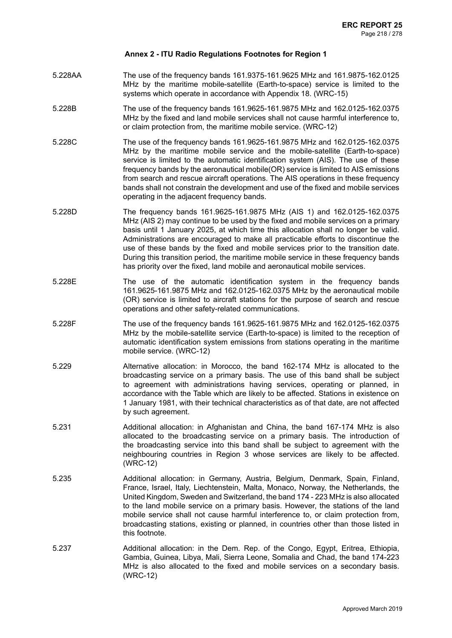- 5.228AA The use of the frequency bands 161.9375-161.9625 MHz and 161.9875-162.0125 MHz by the maritime mobile-satellite (Earth-to-space) service is limited to the systems which operate in accordance with Appendix 18. (WRC-15)
- 5.228B The use of the frequency bands 161.9625-161.9875 MHz and 162.0125-162.0375 MHz by the fixed and land mobile services shall not cause harmful interference to, or claim protection from, the maritime mobile service. (WRC-12)
- 5.228C The use of the frequency bands 161.9625-161.9875 MHz and 162.0125-162.0375 MHz by the maritime mobile service and the mobile-satellite (Earth-to-space) service is limited to the automatic identification system (AIS). The use of these frequency bands by the aeronautical mobile(OR) service is limited to AIS emissions from search and rescue aircraft operations. The AIS operations in these frequency bands shall not constrain the development and use of the fixed and mobile services operating in the adjacent frequency bands.
- 5.228D The frequency bands 161.9625-161.9875 MHz (AIS 1) and 162.0125-162.0375 MHz (AIS 2) may continue to be used by the fixed and mobile services on a primary basis until 1 January 2025, at which time this allocation shall no longer be valid. Administrations are encouraged to make all practicable efforts to discontinue the use of these bands by the fixed and mobile services prior to the transition date. During this transition period, the maritime mobile service in these frequency bands has priority over the fixed, land mobile and aeronautical mobile services.
- 5.228E The use of the automatic identification system in the frequency bands 161.9625-161.9875 MHz and 162.0125-162.0375 MHz by the aeronautical mobile (OR) service is limited to aircraft stations for the purpose of search and rescue operations and other safety-related communications.
- 5.228F The use of the frequency bands 161.9625-161.9875 MHz and 162.0125-162.0375 MHz by the mobile-satellite service (Earth-to-space) is limited to the reception of automatic identification system emissions from stations operating in the maritime mobile service. (WRC-12)
- 5.229 Alternative allocation: in Morocco, the band 162-174 MHz is allocated to the broadcasting service on a primary basis. The use of this band shall be subject to agreement with administrations having services, operating or planned, in accordance with the Table which are likely to be affected. Stations in existence on 1 January 1981, with their technical characteristics as of that date, are not affected by such agreement.
- 5.231 Additional allocation: in Afghanistan and China, the band 167-174 MHz is also allocated to the broadcasting service on a primary basis. The introduction of the broadcasting service into this band shall be subject to agreement with the neighbouring countries in Region 3 whose services are likely to be affected. (WRC-12)
- 5.235 Additional allocation: in Germany, Austria, Belgium, Denmark, Spain, Finland, France, Israel, Italy, Liechtenstein, Malta, Monaco, Norway, the Netherlands, the United Kingdom, Sweden and Switzerland, the band 174 - 223 MHz is also allocated to the land mobile service on a primary basis. However, the stations of the land mobile service shall not cause harmful interference to, or claim protection from, broadcasting stations, existing or planned, in countries other than those listed in this footnote.
- 5.237 Additional allocation: in the Dem. Rep. of the Congo, Egypt, Eritrea, Ethiopia, Gambia, Guinea, Libya, Mali, Sierra Leone, Somalia and Chad, the band 174-223 MHz is also allocated to the fixed and mobile services on a secondary basis. (WRC-12)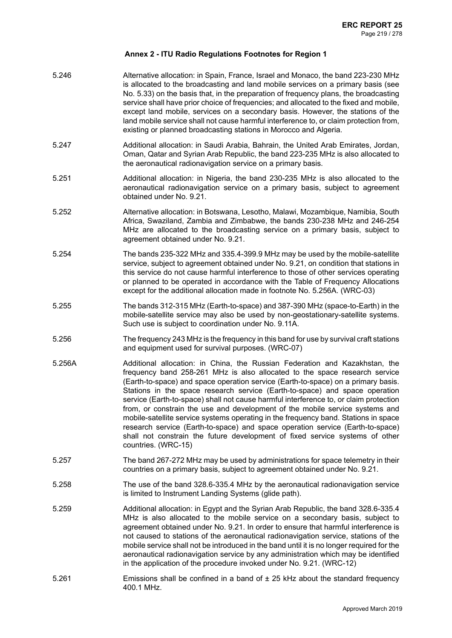| 5.246  | Alternative allocation: in Spain, France, Israel and Monaco, the band 223-230 MHz<br>is allocated to the broadcasting and land mobile services on a primary basis (see<br>No. 5.33) on the basis that, in the preparation of frequency plans, the broadcasting<br>service shall have prior choice of frequencies; and allocated to the fixed and mobile,<br>except land mobile, services on a secondary basis. However, the stations of the<br>land mobile service shall not cause harmful interference to, or claim protection from,<br>existing or planned broadcasting stations in Morocco and Algeria.                                                                                                                                                                             |
|--------|----------------------------------------------------------------------------------------------------------------------------------------------------------------------------------------------------------------------------------------------------------------------------------------------------------------------------------------------------------------------------------------------------------------------------------------------------------------------------------------------------------------------------------------------------------------------------------------------------------------------------------------------------------------------------------------------------------------------------------------------------------------------------------------|
| 5.247  | Additional allocation: in Saudi Arabia, Bahrain, the United Arab Emirates, Jordan,<br>Oman, Qatar and Syrian Arab Republic, the band 223-235 MHz is also allocated to<br>the aeronautical radionavigation service on a primary basis.                                                                                                                                                                                                                                                                                                                                                                                                                                                                                                                                                  |
| 5.251  | Additional allocation: in Nigeria, the band 230-235 MHz is also allocated to the<br>aeronautical radionavigation service on a primary basis, subject to agreement<br>obtained under No. 9.21.                                                                                                                                                                                                                                                                                                                                                                                                                                                                                                                                                                                          |
| 5.252  | Alternative allocation: in Botswana, Lesotho, Malawi, Mozambique, Namibia, South<br>Africa, Swaziland, Zambia and Zimbabwe, the bands 230-238 MHz and 246-254<br>MHz are allocated to the broadcasting service on a primary basis, subject to<br>agreement obtained under No. 9.21.                                                                                                                                                                                                                                                                                                                                                                                                                                                                                                    |
| 5.254  | The bands 235-322 MHz and 335.4-399.9 MHz may be used by the mobile-satellite<br>service, subject to agreement obtained under No. 9.21, on condition that stations in<br>this service do not cause harmful interference to those of other services operating<br>or planned to be operated in accordance with the Table of Frequency Allocations<br>except for the additional allocation made in footnote No. 5.256A. (WRC-03)                                                                                                                                                                                                                                                                                                                                                          |
| 5.255  | The bands 312-315 MHz (Earth-to-space) and 387-390 MHz (space-to-Earth) in the<br>mobile-satellite service may also be used by non-geostationary-satellite systems.<br>Such use is subject to coordination under No. 9.11A.                                                                                                                                                                                                                                                                                                                                                                                                                                                                                                                                                            |
| 5.256  | The frequency 243 MHz is the frequency in this band for use by survival craft stations<br>and equipment used for survival purposes. (WRC-07)                                                                                                                                                                                                                                                                                                                                                                                                                                                                                                                                                                                                                                           |
| 5.256A | Additional allocation: in China, the Russian Federation and Kazakhstan, the<br>frequency band 258-261 MHz is also allocated to the space research service<br>(Earth-to-space) and space operation service (Earth-to-space) on a primary basis.<br>Stations in the space research service (Earth-to-space) and space operation<br>service (Earth-to-space) shall not cause harmful interference to, or claim protection<br>from, or constrain the use and development of the mobile service systems and<br>mobile-satellite service systems operating in the frequency band. Stations in space<br>research service (Earth-to-space) and space operation service (Earth-to-space)<br>shall not constrain the future development of fixed service systems of other<br>countries. (WRC-15) |
| 5.257  | The band 267-272 MHz may be used by administrations for space telemetry in their<br>countries on a primary basis, subject to agreement obtained under No. 9.21.                                                                                                                                                                                                                                                                                                                                                                                                                                                                                                                                                                                                                        |
| 5.258  | The use of the band 328.6-335.4 MHz by the aeronautical radionavigation service<br>is limited to Instrument Landing Systems (glide path).                                                                                                                                                                                                                                                                                                                                                                                                                                                                                                                                                                                                                                              |
| 5.259  | Additional allocation: in Egypt and the Syrian Arab Republic, the band 328.6-335.4<br>MHz is also allocated to the mobile service on a secondary basis, subject to<br>agreement obtained under No. 9.21. In order to ensure that harmful interference is<br>not caused to stations of the aeronautical radionavigation service, stations of the<br>mobile service shall not be introduced in the band until it is no longer required for the<br>aeronautical radionavigation service by any administration which may be identified<br>in the application of the procedure invoked under No. 9.21. (WRC-12)                                                                                                                                                                             |
| 5.261  | Emissions shall be confined in a band of $\pm$ 25 kHz about the standard frequency<br>400.1 MHz.                                                                                                                                                                                                                                                                                                                                                                                                                                                                                                                                                                                                                                                                                       |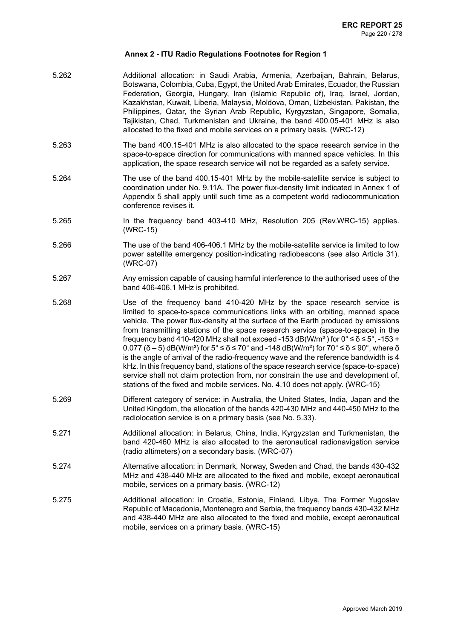- 5.262 Additional allocation: in Saudi Arabia, Armenia, Azerbaijan, Bahrain, Belarus, Botswana, Colombia, Cuba, Egypt, the United Arab Emirates, Ecuador, the Russian Federation, Georgia, Hungary, Iran (Islamic Republic of), Iraq, Israel, Jordan, Kazakhstan, Kuwait, Liberia, Malaysia, Moldova, Oman, Uzbekistan, Pakistan, the Philippines, Qatar, the Syrian Arab Republic, Kyrgyzstan, Singapore, Somalia, Tajikistan, Chad, Turkmenistan and Ukraine, the band 400.05-401 MHz is also allocated to the fixed and mobile services on a primary basis. (WRC-12)
- 5.263 The band 400.15-401 MHz is also allocated to the space research service in the space-to-space direction for communications with manned space vehicles. In this application, the space research service will not be regarded as a safety service.
- 5.264 The use of the band 400.15-401 MHz by the mobile-satellite service is subject to coordination under No. 9.11A. The power flux-density limit indicated in Annex 1 of Appendix 5 shall apply until such time as a competent world radiocommunication conference revises it.
- 5.265 In the frequency band 403-410 MHz, Resolution 205 (Rev.WRC-15) applies. (WRC-15)
- 5.266 The use of the band 406-406.1 MHz by the mobile-satellite service is limited to low power satellite emergency position-indicating radiobeacons (see also Article 31). (WRC-07)
- 5.267 Any emission capable of causing harmful interference to the authorised uses of the band 406-406.1 MHz is prohibited.
- 5.268 Use of the frequency band 410-420 MHz by the space research service is limited to space-to-space communications links with an orbiting, manned space vehicle. The power flux-density at the surface of the Earth produced by emissions from transmitting stations of the space research service (space-to-space) in the frequency band 410-420 MHz shall not exceed -153 dB(W/m<sup>2</sup>) for  $0^{\circ} \le \delta \le 5^{\circ}$ , -153 +  $0.077$  ( $\delta$  – 5) dB(W/m<sup>2</sup>) for 5°  $\leq \delta \leq 70$ ° and -148 dB(W/m<sup>2</sup>) for 70°  $\leq \delta \leq 90$ °, where  $\delta$ is the angle of arrival of the radio-frequency wave and the reference bandwidth is 4 kHz. In this frequency band, stations of the space research service (space-to-space) service shall not claim protection from, nor constrain the use and development of, stations of the fixed and mobile services. No. 4.10 does not apply. (WRC-15)
- 5.269 Different category of service: in Australia, the United States, India, Japan and the United Kingdom, the allocation of the bands 420-430 MHz and 440-450 MHz to the radiolocation service is on a primary basis (see No. 5.33).
- 5.271 Additional allocation: in Belarus, China, India, Kyrgyzstan and Turkmenistan, the band 420-460 MHz is also allocated to the aeronautical radionavigation service (radio altimeters) on a secondary basis. (WRC-07)
- 5.274 Alternative allocation: in Denmark, Norway, Sweden and Chad, the bands 430-432 MHz and 438-440 MHz are allocated to the fixed and mobile, except aeronautical mobile, services on a primary basis. (WRC-12)
- 5.275 Additional allocation: in Croatia, Estonia, Finland, Libya, The Former Yugoslav Republic of Macedonia, Montenegro and Serbia, the frequency bands 430-432 MHz and 438-440 MHz are also allocated to the fixed and mobile, except aeronautical mobile, services on a primary basis. (WRC-15)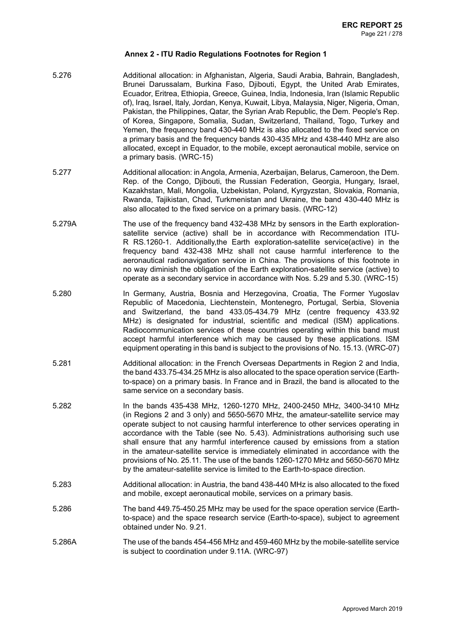- 5.276 Additional allocation: in Afghanistan, Algeria, Saudi Arabia, Bahrain, Bangladesh, Brunei Darussalam, Burkina Faso, Djibouti, Egypt, the United Arab Emirates, Ecuador, Eritrea, Ethiopia, Greece, Guinea, India, Indonesia, Iran (Islamic Republic of), Iraq, Israel, Italy, Jordan, Kenya, Kuwait, Libya, Malaysia, Niger, Nigeria, Oman, Pakistan, the Philippines, Qatar, the Syrian Arab Republic, the Dem. People's Rep. of Korea, Singapore, Somalia, Sudan, Switzerland, Thailand, Togo, Turkey and Yemen, the frequency band 430-440 MHz is also allocated to the fixed service on a primary basis and the frequency bands 430-435 MHz and 438-440 MHz are also allocated, except in Equador, to the mobile, except aeronautical mobile, service on a primary basis. (WRC-15)
- 5.277 Additional allocation: in Angola, Armenia, Azerbaijan, Belarus, Cameroon, the Dem. Rep. of the Congo, Djibouti, the Russian Federation, Georgia, Hungary, Israel, Kazakhstan, Mali, Mongolia, Uzbekistan, Poland, Kyrgyzstan, Slovakia, Romania, Rwanda, Tajikistan, Chad, Turkmenistan and Ukraine, the band 430-440 MHz is also allocated to the fixed service on a primary basis. (WRC-12)
- 5.279A The use of the frequency band 432-438 MHz by sensors in the Earth explorationsatellite service (active) shall be in accordance with Recommendation ITU-R RS.1260-1. Additionally,the Earth exploration-satellite service(active) in the frequency band 432-438 MHz shall not cause harmful interference to the aeronautical radionavigation service in China. The provisions of this footnote in no way diminish the obligation of the Earth exploration-satellite service (active) to operate as a secondary service in accordance with Nos. 5.29 and 5.30. (WRC-15)
- 5.280 In Germany, Austria, Bosnia and Herzegovina, Croatia, The Former Yugoslav Republic of Macedonia, Liechtenstein, Montenegro, Portugal, Serbia, Slovenia and Switzerland, the band 433.05-434.79 MHz (centre frequency 433.92 MHz) is designated for industrial, scientific and medical (ISM) applications. Radiocommunication services of these countries operating within this band must accept harmful interference which may be caused by these applications. ISM equipment operating in this band is subject to the provisions of No. 15.13. (WRC-07)
- 5.281 Additional allocation: in the French Overseas Departments in Region 2 and India, the band 433.75-434.25 MHz is also allocated to the space operation service (Earthto-space) on a primary basis. In France and in Brazil, the band is allocated to the same service on a secondary basis.
- 5.282 In the bands 435-438 MHz, 1260-1270 MHz, 2400-2450 MHz, 3400-3410 MHz (in Regions 2 and 3 only) and 5650-5670 MHz, the amateur-satellite service may operate subject to not causing harmful interference to other services operating in accordance with the Table (see No. 5.43). Administrations authorising such use shall ensure that any harmful interference caused by emissions from a station in the amateur-satellite service is immediately eliminated in accordance with the provisions of No. 25.11. The use of the bands 1260-1270 MHz and 5650-5670 MHz by the amateur-satellite service is limited to the Earth-to-space direction.
- 5.283 Additional allocation: in Austria, the band 438-440 MHz is also allocated to the fixed and mobile, except aeronautical mobile, services on a primary basis.
- 5.286 The band 449.75-450.25 MHz may be used for the space operation service (Earthto-space) and the space research service (Earth-to-space), subject to agreement obtained under No. 9.21.
- 5.286A The use of the bands 454-456 MHz and 459-460 MHz by the mobile-satellite service is subject to coordination under 9.11A. (WRC-97)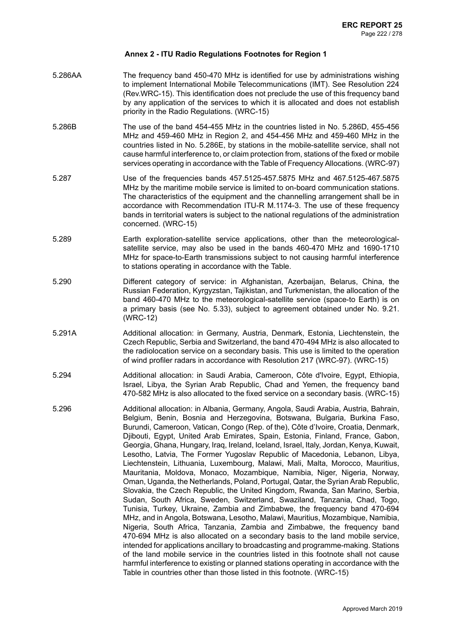- 5.286AA The frequency band 450-470 MHz is identified for use by administrations wishing to implement International Mobile Telecommunications (IMT). See Resolution 224 (Rev.WRC-15). This identification does not preclude the use of this frequency band by any application of the services to which it is allocated and does not establish priority in the Radio Regulations. (WRC-15)
- 5.286B The use of the band 454-455 MHz in the countries listed in No. 5.286D, 455-456 MHz and 459-460 MHz in Region 2, and 454-456 MHz and 459-460 MHz in the countries listed in No. 5.286E, by stations in the mobile-satellite service, shall not cause harmful interference to, or claim protection from, stations of the fixed or mobile services operating in accordance with the Table of Frequency Allocations. (WRC-97)
- 5.287 Use of the frequencies bands 457.5125-457.5875 MHz and 467.5125-467.5875 MHz by the maritime mobile service is limited to on-board communication stations. The characteristics of the equipment and the channelling arrangement shall be in accordance with Recommendation ITU-R M.1174-3. The use of these frequency bands in territorial waters is subject to the national regulations of the administration concerned. (WRC-15)
- 5.289 Earth exploration-satellite service applications, other than the meteorologicalsatellite service, may also be used in the bands 460-470 MHz and 1690-1710 MHz for space-to-Earth transmissions subject to not causing harmful interference to stations operating in accordance with the Table.
- 5.290 Different category of service: in Afghanistan, Azerbaijan, Belarus, China, the Russian Federation, Kyrgyzstan, Tajikistan, and Turkmenistan, the allocation of the band 460-470 MHz to the meteorological-satellite service (space-to Earth) is on a primary basis (see No. 5.33), subject to agreement obtained under No. 9.21. (WRC-12)
- 5.291A Additional allocation: in Germany, Austria, Denmark, Estonia, Liechtenstein, the Czech Republic, Serbia and Switzerland, the band 470-494 MHz is also allocated to the radiolocation service on a secondary basis. This use is limited to the operation of wind profiler radars in accordance with Resolution 217 (WRC-97). (WRC-15)
- 5.294 Additional allocation: in Saudi Arabia, Cameroon, Côte d'Ivoire, Egypt, Ethiopia, Israel, Libya, the Syrian Arab Republic, Chad and Yemen, the frequency band 470-582 MHz is also allocated to the fixed service on a secondary basis. (WRC-15)
- 5.296 Additional allocation: in Albania, Germany, Angola, Saudi Arabia, Austria, Bahrain, Belgium, Benin, Bosnia and Herzegovina, Botswana, Bulgaria, Burkina Faso, Burundi, Cameroon, Vatican, Congo (Rep. of the), Côte d'Ivoire, Croatia, Denmark, Djibouti, Egypt, United Arab Emirates, Spain, Estonia, Finland, France, Gabon, Georgia, Ghana, Hungary, Iraq, Ireland, Iceland, Israel, Italy, Jordan, Kenya, Kuwait, Lesotho, Latvia, The Former Yugoslav Republic of Macedonia, Lebanon, Libya, Liechtenstein, Lithuania, Luxembourg, Malawi, Mali, Malta, Morocco, Mauritius, Mauritania, Moldova, Monaco, Mozambique, Namibia, Niger, Nigeria, Norway, Oman, Uganda, the Netherlands, Poland, Portugal, Qatar, the Syrian Arab Republic, Slovakia, the Czech Republic, the United Kingdom, Rwanda, San Marino, Serbia, Sudan, South Africa, Sweden, Switzerland, Swaziland, Tanzania, Chad, Togo, Tunisia, Turkey, Ukraine, Zambia and Zimbabwe, the frequency band 470-694 MHz, and in Angola, Botswana, Lesotho, Malawi, Mauritius, Mozambique, Namibia, Nigeria, South Africa, Tanzania, Zambia and Zimbabwe, the frequency band 470-694 MHz is also allocated on a secondary basis to the land mobile service, intended for applications ancillary to broadcasting and programme-making. Stations of the land mobile service in the countries listed in this footnote shall not cause harmful interference to existing or planned stations operating in accordance with the Table in countries other than those listed in this footnote. (WRC-15)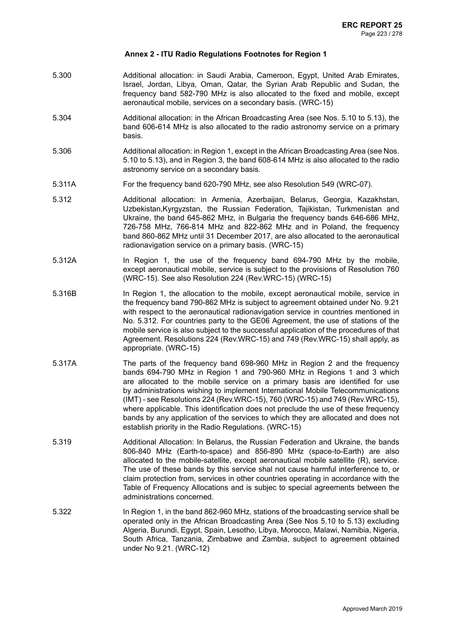- 5.300 Additional allocation: in Saudi Arabia, Cameroon, Egypt, United Arab Emirates, Israel, Jordan, Libya, Oman, Qatar, the Syrian Arab Republic and Sudan, the frequency band 582-790 MHz is also allocated to the fixed and mobile, except aeronautical mobile, services on a secondary basis. (WRC-15)
- 5.304 Additional allocation: in the African Broadcasting Area (see Nos. 5.10 to 5.13), the band 606-614 MHz is also allocated to the radio astronomy service on a primary basis.
- 5.306 Additional allocation: in Region 1, except in the African Broadcasting Area (see Nos. 5.10 to 5.13), and in Region 3, the band 608-614 MHz is also allocated to the radio astronomy service on a secondary basis.
- 5.311A For the frequency band 620-790 MHz, see also Resolution 549 (WRC-07).
- 5.312 Additional allocation: in Armenia, Azerbaijan, Belarus, Georgia, Kazakhstan, Uzbekistan,Kyrgyzstan, the Russian Federation, Tajikistan, Turkmenistan and Ukraine, the band 645-862 MHz, in Bulgaria the frequency bands 646-686 MHz, 726-758 MHz, 766-814 MHz and 822-862 MHz and in Poland, the frequency band 860-862 MHz until 31 December 2017, are also allocated to the aeronautical radionavigation service on a primary basis. (WRC-15)
- 5.312A In Region 1, the use of the frequency band 694-790 MHz by the mobile, except aeronautical mobile, service is subject to the provisions of Resolution 760 (WRC-15). See also Resolution 224 (Rev.WRC-15) (WRC-15)
- 5.316B In Region 1, the allocation to the mobile, except aeronautical mobile, service in the frequency band 790-862 MHz is subject to agreement obtained under No. 9.21 with respect to the aeronautical radionavigation service in countries mentioned in No. 5.312. For countries party to the GE06 Agreement, the use of stations of the mobile service is also subject to the successful application of the procedures of that Agreement. Resolutions 224 (Rev.WRC-15) and 749 (Rev.WRC-15) shall apply, as appropriate. (WRC-15)
- 5.317A The parts of the frequency band 698-960 MHz in Region 2 and the frequency bands 694-790 MHz in Region 1 and 790-960 MHz in Regions 1 and 3 which are allocated to the mobile service on a primary basis are identified for use by administrations wishing to implement International Mobile Telecommunications (IMT) - see Resolutions 224 (Rev.WRC-15), 760 (WRC-15) and 749 (Rev.WRC-15), where applicable. This identification does not preclude the use of these frequency bands by any application of the services to which they are allocated and does not establish priority in the Radio Regulations. (WRC-15)
- 5.319 Additional Allocation: In Belarus, the Russian Federation and Ukraine, the bands 806-840 MHz (Earth-to-space) and 856-890 MHz (space-to-Earth) are also allocated to the mobile-satellite, except aeronautical mobile satellite (R), service. The use of these bands by this service shal not cause harmful interference to, or claim protection from, services in other countries operating in accordance with the Table of Frequency Allocations and is subjec to special agreements between the administrations concerned.
- 5.322 In Region 1, in the band 862-960 MHz, stations of the broadcasting service shall be operated only in the African Broadcasting Area (See Nos 5.10 to 5.13) excluding Algeria, Burundi, Egypt, Spain, Lesotho, Libya, Morocco, Malawi, Namibia, Nigeria, South Africa, Tanzania, Zimbabwe and Zambia, subject to agreement obtained under No 9.21. (WRC-12)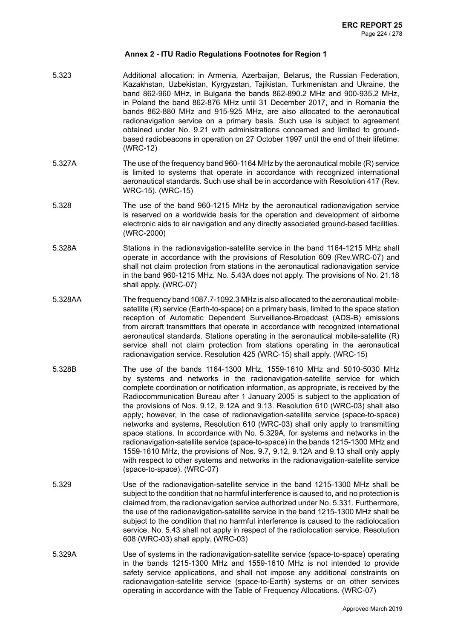- 5.323 Additional allocation: in Armenia, Azerbaijan, Belarus, the Russian Federation, Kazakhstan, Uzbekistan, Kyrgyzstan, Tajikistan, Turkmenistan and Ukraine, the band 862-960 MHz, in Bulgaria the bands 862-890.2 MHz and 900-935.2 MHz, in Poland the band 862-876 MHz until 31 December 2017, and in Romania the bands 862-880 MHz and 915-925 MHz, are also allocated to the aeronautical radionavigation service on a primary basis. Such use is subject to agreement obtained under No. 9.21 with administrations concerned and limited to groundbased radiobeacons in operation on 27 October 1997 until the end of their lifetime. (WRC-12)
- 5.327A The use of the frequency band 960-1164 MHz by the aeronautical mobile (R) service is limited to systems that operate in accordance with recognized international aeronautical standards. Such use shall be in accordance with Resolution 417 (Rev. WRC-15). (WRC-15)
- 5.328 The use of the band 960-1215 MHz by the aeronautical radionavigation service is reserved on a worldwide basis for the operation and development of airborne electronic aids to air navigation and any directly associated ground-based facilities. (WRC-2000)
- 5.328A Stations in the radionavigation-satellite service in the band 1164-1215 MHz shall operate in accordance with the provisions of Resolution 609 (Rev.WRC-07) and shall not claim protection from stations in the aeronautical radionavigation service in the band 960-1215 MHz. No. 5.43A does not apply. The provisions of No. 21.18 shall apply. (WRC-07)
- 5.328AA The frequency band 1087.7-1092.3 MHz is also allocated to the aeronautical mobilesatellite (R) service (Earth-to-space) on a primary basis, limited to the space station reception of Automatic Dependent Surveillance-Broadcast (ADS-B) emissions from aircraft transmitters that operate in accordance with recognized international aeronautical standards. Stations operating in the aeronautical mobile-satellite (R) service shall not claim protection from stations operating in the aeronautical radionavigation service. Resolution 425 (WRC-15) shall apply. (WRC-15)
- 5.328B The use of the bands 1164-1300 MHz, 1559-1610 MHz and 5010-5030 MHz by systems and networks in the radionavigation-satellite service for which complete coordination or notification information, as appropriate, is received by the Radiocommunication Bureau after 1 January 2005 is subject to the application of the provisions of Nos. 9.12, 9.12A and 9.13. Resolution 610 (WRC-03) shall also apply; however, in the case of radionavigation-satellite service (space-to-space) networks and systems, Resolution 610 (WRC-03) shall only apply to transmitting space stations. In accordance with No. 5.329A, for systems and networks in the radionavigation-satellite service (space-to-space) in the bands 1215-1300 MHz and 1559-1610 MHz, the provisions of Nos. 9.7, 9.12, 9.12A and 9.13 shall only apply with respect to other systems and networks in the radionavigation-satellite service (space-to-space). (WRC-07)
- 5.329 Use of the radionavigation-satellite service in the band 1215-1300 MHz shall be subject to the condition that no harmful interference is caused to, and no protection is claimed from, the radionavigation service authorized under No. 5.331. Furthermore, the use of the radionavigation-satellite service in the band 1215-1300 MHz shall be subject to the condition that no harmful interference is caused to the radiolocation service. No. 5.43 shall not apply in respect of the radiolocation service. Resolution 608 (WRC-03) shall apply. (WRC-03)
- 5.329A Use of systems in the radionavigation-satellite service (space-to-space) operating in the bands 1215-1300 MHz and 1559-1610 MHz is not intended to provide safety service applications, and shall not impose any additional constraints on radionavigation-satellite service (space-to-Earth) systems or on other services operating in accordance with the Table of Frequency Allocations. (WRC-07)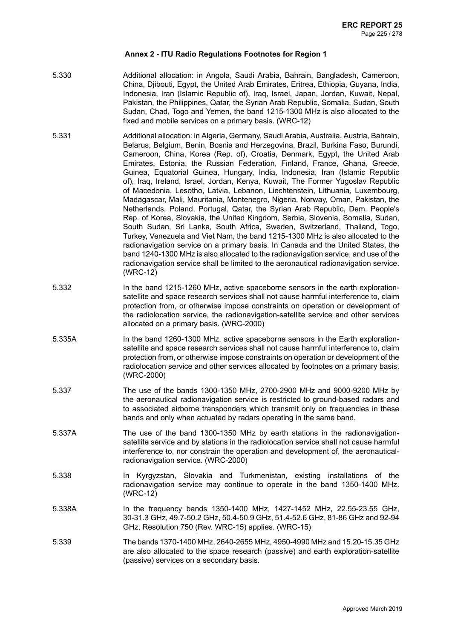- 5.330 Additional allocation: in Angola, Saudi Arabia, Bahrain, Bangladesh, Cameroon, China, Djibouti, Egypt, the United Arab Emirates, Eritrea, Ethiopia, Guyana, India, Indonesia, Iran (Islamic Republic of), Iraq, Israel, Japan, Jordan, Kuwait, Nepal, Pakistan, the Philippines, Qatar, the Syrian Arab Republic, Somalia, Sudan, South Sudan, Chad, Togo and Yemen, the band 1215-1300 MHz is also allocated to the fixed and mobile services on a primary basis. (WRC-12)
- 5.331 Additional allocation: in Algeria, Germany, Saudi Arabia, Australia, Austria, Bahrain, Belarus, Belgium, Benin, Bosnia and Herzegovina, Brazil, Burkina Faso, Burundi, Cameroon, China, Korea (Rep. of), Croatia, Denmark, Egypt, the United Arab Emirates, Estonia, the Russian Federation, Finland, France, Ghana, Greece, Guinea, Equatorial Guinea, Hungary, India, Indonesia, Iran (Islamic Republic of), Iraq, Ireland, Israel, Jordan, Kenya, Kuwait, The Former Yugoslav Republic of Macedonia, Lesotho, Latvia, Lebanon, Liechtenstein, Lithuania, Luxembourg, Madagascar, Mali, Mauritania, Montenegro, Nigeria, Norway, Oman, Pakistan, the Netherlands, Poland, Portugal, Qatar, the Syrian Arab Republic, Dem. People's Rep. of Korea, Slovakia, the United Kingdom, Serbia, Slovenia, Somalia, Sudan, South Sudan, Sri Lanka, South Africa, Sweden, Switzerland, Thailand, Togo, Turkey, Venezuela and Viet Nam, the band 1215-1300 MHz is also allocated to the radionavigation service on a primary basis. In Canada and the United States, the band 1240-1300 MHz is also allocated to the radionavigation service, and use of the radionavigation service shall be limited to the aeronautical radionavigation service. (WRC-12)
- 5.332 In the band 1215-1260 MHz, active spaceborne sensors in the earth explorationsatellite and space research services shall not cause harmful interference to, claim protection from, or otherwise impose constraints on operation or development of the radiolocation service, the radionavigation-satellite service and other services allocated on a primary basis. (WRC-2000)
- 5.335A In the band 1260-1300 MHz, active spaceborne sensors in the Earth explorationsatellite and space research services shall not cause harmful interference to, claim protection from, or otherwise impose constraints on operation or development of the radiolocation service and other services allocated by footnotes on a primary basis. (WRC-2000)
- 5.337 The use of the bands 1300-1350 MHz, 2700-2900 MHz and 9000-9200 MHz by the aeronautical radionavigation service is restricted to ground-based radars and to associated airborne transponders which transmit only on frequencies in these bands and only when actuated by radars operating in the same band.
- 5.337A The use of the band 1300-1350 MHz by earth stations in the radionavigationsatellite service and by stations in the radiolocation service shall not cause harmful interference to, nor constrain the operation and development of, the aeronauticalradionavigation service. (WRC-2000)
- 5.338 In Kyrgyzstan, Slovakia and Turkmenistan, existing installations of the radionavigation service may continue to operate in the band 1350-1400 MHz. (WRC-12)
- 5.338A In the frequency bands 1350-1400 MHz, 1427-1452 MHz, 22.55-23.55 GHz, 30-31.3 GHz, 49.7-50.2 GHz, 50.4-50.9 GHz, 51.4-52.6 GHz, 81-86 GHz and 92-94 GHz, Resolution 750 (Rev. WRC-15) applies. (WRC-15)
- 5.339 The bands 1370-1400 MHz, 2640-2655 MHz, 4950-4990 MHz and 15.20-15.35 GHz are also allocated to the space research (passive) and earth exploration-satellite (passive) services on a secondary basis.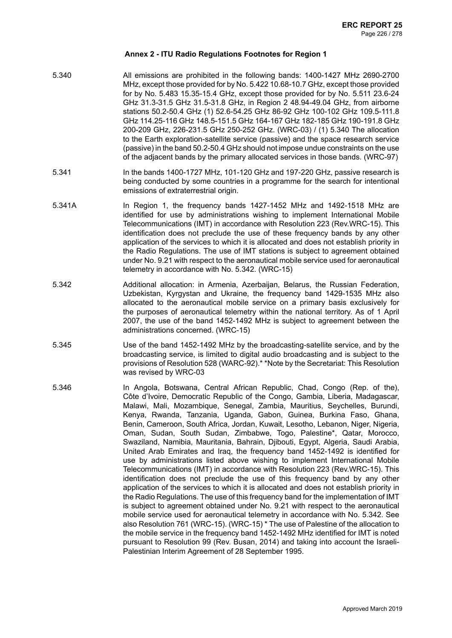- 5.340 All emissions are prohibited in the following bands: 1400-1427 MHz 2690-2700 MHz, except those provided for by No. 5.422 10.68-10.7 GHz, except those provided for by No. 5.483 15.35-15.4 GHz, except those provided for by No. 5.511 23.6-24 GHz 31.3-31.5 GHz 31.5-31.8 GHz, in Region 2 48.94-49.04 GHz, from airborne stations 50.2-50.4 GHz (1) 52.6-54.25 GHz 86-92 GHz 100-102 GHz 109.5-111.8 GHz 114.25-116 GHz 148.5-151.5 GHz 164-167 GHz 182-185 GHz 190-191.8 GHz 200-209 GHz, 226-231.5 GHz 250-252 GHz. (WRC-03) / (1) 5.340 The allocation to the Earth exploration-satellite service (passive) and the space research service (passive) in the band 50.2-50.4 GHz should not impose undue constraints on the use of the adjacent bands by the primary allocated services in those bands. (WRC-97)
- 5.341 In the bands 1400-1727 MHz, 101-120 GHz and 197-220 GHz, passive research is being conducted by some countries in a programme for the search for intentional emissions of extraterrestrial origin.
- 5.341A In Region 1, the frequency bands 1427-1452 MHz and 1492-1518 MHz are identified for use by administrations wishing to implement International Mobile Telecommunications (IMT) in accordance with Resolution 223 (Rev.WRC-15). This identification does not preclude the use of these frequency bands by any other application of the services to which it is allocated and does not establish priority in the Radio Regulations. The use of IMT stations is subject to agreement obtained under No. 9.21 with respect to the aeronautical mobile service used for aeronautical telemetry in accordance with No. 5.342. (WRC-15)
- 5.342 Additional allocation: in Armenia, Azerbaijan, Belarus, the Russian Federation, Uzbekistan, Kyrgystan and Ukraine, the frequency band 1429-1535 MHz also allocated to the aeronautical mobile service on a primary basis exclusively for the purposes of aeronautical telemetry within the national territory. As of 1 April 2007, the use of the band 1452-1492 MHz is subject to agreement between the administrations concerned. (WRC-15)
- 5.345 Use of the band 1452-1492 MHz by the broadcasting-satellite service, and by the broadcasting service, is limited to digital audio broadcasting and is subject to the provisions of Resolution 528 (WARC-92).\* \*Note by the Secretariat: This Resolution was revised by WRC-03
- 5.346 In Angola, Botswana, Central African Republic, Chad, Congo (Rep. of the), Côte d'Ivoire, Democratic Republic of the Congo, Gambia, Liberia, Madagascar, Malawi, Mali, Mozambique, Senegal, Zambia, Mauritius, Seychelles, Burundi, Kenya, Rwanda, Tanzania, Uganda, Gabon, Guinea, Burkina Faso, Ghana, Benin, Cameroon, South Africa, Jordan, Kuwait, Lesotho, Lebanon, Niger, Nigeria, Oman, Sudan, South Sudan, Zimbabwe, Togo, Palestine\*, Qatar, Morocco, Swaziland, Namibia, Mauritania, Bahrain, Djibouti, Egypt, Algeria, Saudi Arabia, United Arab Emirates and Iraq, the frequency band 1452-1492 is identified for use by administrations listed above wishing to implement International Mobile Telecommunications (IMT) in accordance with Resolution 223 (Rev.WRC-15). This identification does not preclude the use of this frequency band by any other application of the services to which it is allocated and does not establish priority in the Radio Regulations. The use of this frequency band for the implementation of IMT is subject to agreement obtained under No. 9.21 with respect to the aeronautical mobile service used for aeronautical telemetry in accordance with No. 5.342. See also Resolution 761 (WRC-15). (WRC-15) \* The use of Palestine of the allocation to the mobile service in the frequency band 1452-1492 MHz identified for IMT is noted pursuant to Resolution 99 (Rev. Busan, 2014) and taking into account the Israeli-Palestinian Interim Agreement of 28 September 1995.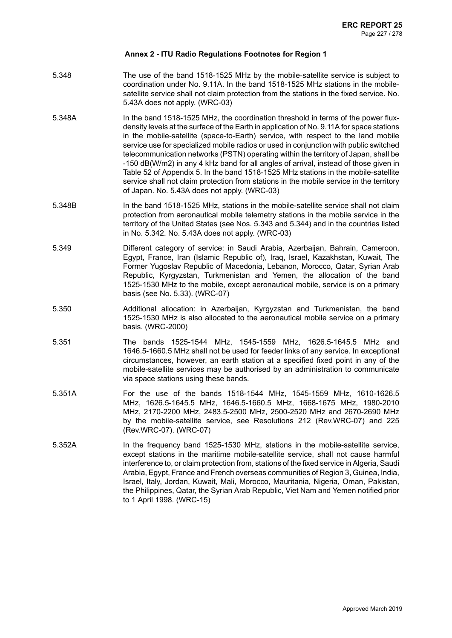- 5.348 The use of the band 1518-1525 MHz by the mobile-satellite service is subject to coordination under No. 9.11A. In the band 1518-1525 MHz stations in the mobilesatellite service shall not claim protection from the stations in the fixed service. No. 5.43A does not apply. (WRC-03)
- 5.348A In the band 1518-1525 MHz, the coordination threshold in terms of the power fluxdensity levels at the surface of the Earth in application of No. 9.11A for space stations in the mobile-satellite (space-to-Earth) service, with respect to the land mobile service use for specialized mobile radios or used in conjunction with public switched telecommunication networks (PSTN) operating within the territory of Japan, shall be -150 dB(W/m2) in any 4 kHz band for all angles of arrival, instead of those given in Table 52 of Appendix 5. In the band 1518-1525 MHz stations in the mobile-satellite service shall not claim protection from stations in the mobile service in the territory of Japan. No. 5.43A does not apply. (WRC-03)
- 5.348B In the band 1518-1525 MHz, stations in the mobile-satellite service shall not claim protection from aeronautical mobile telemetry stations in the mobile service in the territory of the United States (see Nos. 5.343 and 5.344) and in the countries listed in No. 5.342. No. 5.43A does not apply. (WRC-03)
- 5.349 Different category of service: in Saudi Arabia, Azerbaijan, Bahrain, Cameroon, Egypt, France, Iran (Islamic Republic of), Iraq, Israel, Kazakhstan, Kuwait, The Former Yugoslav Republic of Macedonia, Lebanon, Morocco, Qatar, Syrian Arab Republic, Kyrgyzstan, Turkmenistan and Yemen, the allocation of the band 1525-1530 MHz to the mobile, except aeronautical mobile, service is on a primary basis (see No. 5.33). (WRC-07)
- 5.350 Additional allocation: in Azerbaijan, Kyrgyzstan and Turkmenistan, the band 1525-1530 MHz is also allocated to the aeronautical mobile service on a primary basis. (WRC-2000)
- 5.351 The bands 1525-1544 MHz, 1545-1559 MHz, 1626.5-1645.5 MHz and 1646.5-1660.5 MHz shall not be used for feeder links of any service. In exceptional circumstances, however, an earth station at a specified fixed point in any of the mobile-satellite services may be authorised by an administration to communicate via space stations using these bands.
- 5.351A For the use of the bands 1518-1544 MHz, 1545-1559 MHz, 1610-1626.5 MHz, 1626.5-1645.5 MHz, 1646.5-1660.5 MHz, 1668-1675 MHz, 1980-2010 MHz, 2170-2200 MHz, 2483.5-2500 MHz, 2500-2520 MHz and 2670-2690 MHz by the mobile-satellite service, see Resolutions 212 (Rev.WRC-07) and 225 (Rev.WRC-07). (WRC-07)
- 5.352A In the frequency band 1525-1530 MHz, stations in the mobile-satellite service, except stations in the maritime mobile-satellite service, shall not cause harmful interference to, or claim protection from, stations of the fixed service in Algeria, Saudi Arabia, Egypt, France and French overseas communities of Region 3, Guinea, India, Israel, Italy, Jordan, Kuwait, Mali, Morocco, Mauritania, Nigeria, Oman, Pakistan, the Philippines, Qatar, the Syrian Arab Republic, Viet Nam and Yemen notified prior to 1 April 1998. (WRC-15)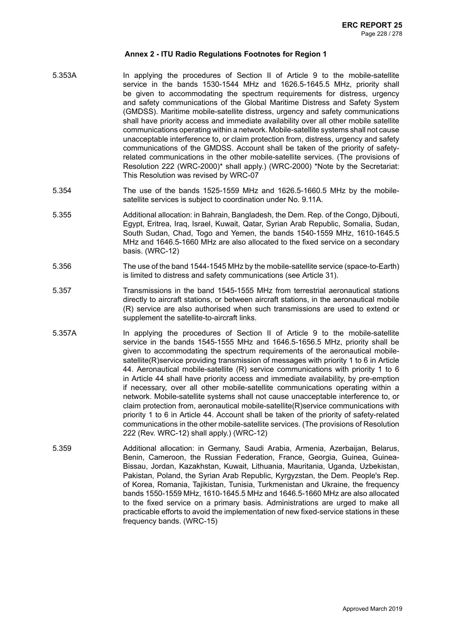- 5.353A In applying the procedures of Section II of Article 9 to the mobile-satellite service in the bands 1530-1544 MHz and 1626.5-1645.5 MHz, priority shall be given to accommodating the spectrum requirements for distress, urgency and safety communications of the Global Maritime Distress and Safety System (GMDSS). Maritime mobile-satellite distress, urgency and safety communications shall have priority access and immediate availability over all other mobile satellite communications operating within a network. Mobile-satellite systems shall not cause unacceptable interference to, or claim protection from, distress, urgency and safety communications of the GMDSS. Account shall be taken of the priority of safetyrelated communications in the other mobile-satellite services. (The provisions of Resolution 222 (WRC-2000)\* shall apply.) (WRC-2000) \*Note by the Secretariat: This Resolution was revised by WRC-07
- 5.354 The use of the bands 1525-1559 MHz and 1626.5-1660.5 MHz by the mobilesatellite services is subject to coordination under No. 9.11A.
- 5.355 Additional allocation: in Bahrain, Bangladesh, the Dem. Rep. of the Congo, Djibouti, Egypt, Eritrea, Iraq, Israel, Kuwait, Qatar, Syrian Arab Republic, Somalia, Sudan, South Sudan, Chad, Togo and Yemen, the bands 1540-1559 MHz, 1610-1645.5 MHz and 1646.5-1660 MHz are also allocated to the fixed service on a secondary basis. (WRC-12)
- 5.356 The use of the band 1544-1545 MHz by the mobile-satellite service (space-to-Earth) is limited to distress and safety communications (see Article 31).
- 5.357 Transmissions in the band 1545-1555 MHz from terrestrial aeronautical stations directly to aircraft stations, or between aircraft stations, in the aeronautical mobile (R) service are also authorised when such transmissions are used to extend or supplement the satellite-to-aircraft links.
- 5.357A In applying the procedures of Section II of Article 9 to the mobile-satellite service in the bands 1545-1555 MHz and 1646.5-1656.5 MHz, priority shall be given to accommodating the spectrum requirements of the aeronautical mobilesatellite(R)service providing transmission of messages with priority 1 to 6 in Article 44. Aeronautical mobile-satellite (R) service communications with priority 1 to 6 in Article 44 shall have priority access and immediate availability, by pre-emption if necessary, over all other mobile-satellite communications operating within a network. Mobile-satellite systems shall not cause unacceptable interference to, or claim protection from, aeronautical mobile-satellite(R)service communications with priority 1 to 6 in Article 44. Account shall be taken of the priority of safety-related communications in the other mobile-satellite services. (The provisions of Resolution 222 (Rev. WRC-12) shall apply.) (WRC-12)
- 5.359 Additional allocation: in Germany, Saudi Arabia, Armenia, Azerbaijan, Belarus, Benin, Cameroon, the Russian Federation, France, Georgia, Guinea, Guinea-Bissau, Jordan, Kazakhstan, Kuwait, Lithuania, Mauritania, Uganda, Uzbekistan, Pakistan, Poland, the Syrian Arab Republic, Kyrgyzstan, the Dem. People's Rep. of Korea, Romania, Tajikistan, Tunisia, Turkmenistan and Ukraine, the frequency bands 1550-1559 MHz, 1610-1645.5 MHz and 1646.5-1660 MHz are also allocated to the fixed service on a primary basis. Administrations are urged to make all practicable efforts to avoid the implementation of new fixed-service stations in these frequency bands. (WRC-15)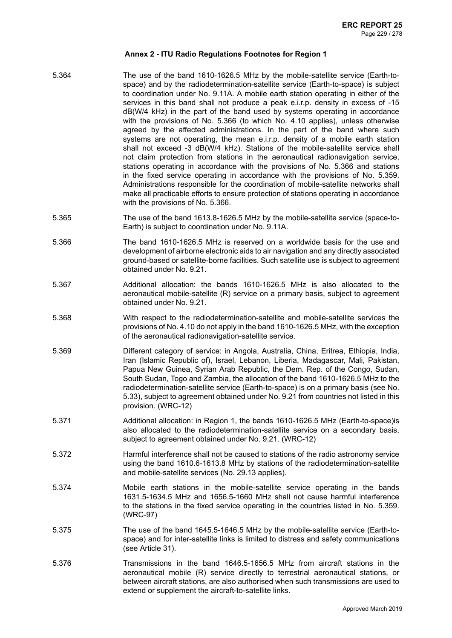- 5.364 The use of the band 1610-1626.5 MHz by the mobile-satellite service (Earth-tospace) and by the radiodetermination-satellite service (Earth-to-space) is subject to coordination under No. 9.11A. A mobile earth station operating in either of the services in this band shall not produce a peak e.i.r.p. density in excess of -15 dB(W/4 kHz) in the part of the band used by systems operating in accordance with the provisions of No. 5.366 (to which No. 4.10 applies), unless otherwise agreed by the affected administrations. In the part of the band where such systems are not operating, the mean e.i.r.p. density of a mobile earth station shall not exceed -3 dB(W/4 kHz). Stations of the mobile-satellite service shall not claim protection from stations in the aeronautical radionavigation service, stations operating in accordance with the provisions of No. 5.366 and stations in the fixed service operating in accordance with the provisions of No. 5.359. Administrations responsible for the coordination of mobile-satellite networks shall make all practicable efforts to ensure protection of stations operating in accordance with the provisions of No. 5.366.
- 5.365 The use of the band 1613.8-1626.5 MHz by the mobile-satellite service (space-to-Earth) is subject to coordination under No. 9.11A.
- 5.366 The band 1610-1626.5 MHz is reserved on a worldwide basis for the use and development of airborne electronic aids to air navigation and any directly associated ground-based or satellite-borne facilities. Such satellite use is subject to agreement obtained under No. 9.21.
- 5.367 Additional allocation: the bands 1610-1626.5 MHz is also allocated to the aeronautical mobile-satellite (R) service on a primary basis, subject to agreement obtained under No. 9.21.
- 5.368 With respect to the radiodetermination-satellite and mobile-satellite services the provisions of No. 4.10 do not apply in the band 1610-1626.5 MHz, with the exception of the aeronautical radionavigation-satellite service.
- 5.369 Different category of service: in Angola, Australia, China, Eritrea, Ethiopia, India, Iran (Islamic Republic of), Israel, Lebanon, Liberia, Madagascar, Mali, Pakistan, Papua New Guinea, Syrian Arab Republic, the Dem. Rep. of the Congo, Sudan, South Sudan, Togo and Zambia, the allocation of the band 1610-1626.5 MHz to the radiodetermination-satellite service (Earth-to-space) is on a primary basis (see No. 5.33), subject to agreement obtained under No. 9.21 from countries not listed in this provision. (WRC-12)
- 5.371 Additional allocation: in Region 1, the bands 1610-1626.5 MHz (Earth-to-space)is also allocated to the radiodetermination-satellite service on a secondary basis, subject to agreement obtained under No. 9.21. (WRC-12)
- 5.372 Harmful interference shall not be caused to stations of the radio astronomy service using the band 1610.6-1613.8 MHz by stations of the radiodetermination-satellite and mobile-satellite services (No. 29.13 applies).
- 5.374 Mobile earth stations in the mobile-satellite service operating in the bands 1631.5-1634.5 MHz and 1656.5-1660 MHz shall not cause harmful interference to the stations in the fixed service operating in the countries listed in No. 5.359. (WRC-97)
- 5.375 The use of the band 1645.5-1646.5 MHz by the mobile-satellite service (Earth-tospace) and for inter-satellite links is limited to distress and safety communications (see Article 31).
- 5.376 Transmissions in the band 1646.5-1656.5 MHz from aircraft stations in the aeronautical mobile (R) service directly to terrestrial aeronautical stations, or between aircraft stations, are also authorised when such transmissions are used to extend or supplement the aircraft-to-satellite links.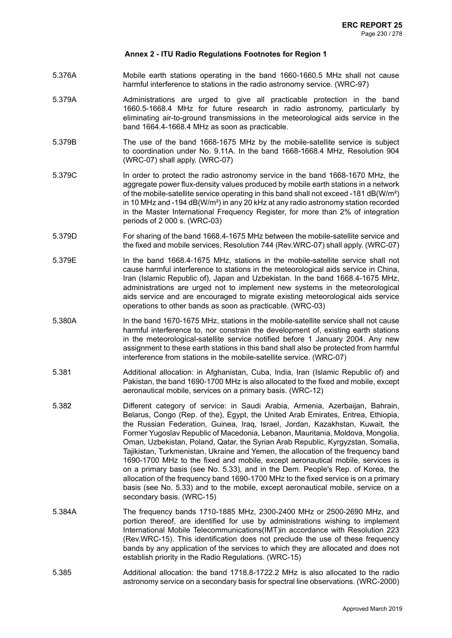- 5.376A Mobile earth stations operating in the band 1660-1660.5 MHz shall not cause harmful interference to stations in the radio astronomy service. (WRC-97)
- 5.379A Administrations are urged to give all practicable protection in the band 1660.5-1668.4 MHz for future research in radio astronomy, particularly by eliminating air-to-ground transmissions in the meteorological aids service in the band 1664.4-1668.4 MHz as soon as practicable.
- 5.379B The use of the band 1668-1675 MHz by the mobile-satellite service is subject to coordination under No. 9.11A. In the band 1668-1668.4 MHz, Resolution 904 (WRC-07) shall apply. (WRC-07)
- 5.379C In order to protect the radio astronomy service in the band 1668-1670 MHz, the aggregate power flux-density values produced by mobile earth stations in a network of the mobile-satellite service operating in this band shall not exceed -181 dB(W/m²) in 10 MHz and -194 dB(W/m²) in any 20 kHz at any radio astronomy station recorded in the Master International Frequency Register, for more than 2% of integration periods of 2 000 s. (WRC-03)
- 5.379D For sharing of the band 1668.4-1675 MHz between the mobile-satellite service and the fixed and mobile services, Resolution 744 (Rev.WRC-07) shall apply. (WRC-07)
- 5.379E In the band 1668.4-1675 MHz, stations in the mobile-satellite service shall not cause harmful interference to stations in the meteorological aids service in China, Iran (Islamic Republic of), Japan and Uzbekistan. In the band 1668.4-1675 MHz, administrations are urged not to implement new systems in the meteorological aids service and are encouraged to migrate existing meteorological aids service operations to other bands as soon as practicable. (WRC-03)
- 5.380A In the band 1670-1675 MHz, stations in the mobile-satellite service shall not cause harmful interference to, nor constrain the development of, existing earth stations in the meteorological-satellite service notified before 1 January 2004. Any new assignment to these earth stations in this band shall also be protected from harmful interference from stations in the mobile-satellite service. (WRC-07)
- 5.381 Additional allocation: in Afghanistan, Cuba, India, Iran (Islamic Republic of) and Pakistan, the band 1690-1700 MHz is also allocated to the fixed and mobile, except aeronautical mobile, services on a primary basis. (WRC-12)
- 5.382 Different category of service: in Saudi Arabia, Armenia, Azerbaijan, Bahrain, Belarus, Congo (Rep. of the), Egypt, the United Arab Emirates, Eritrea, Ethiopia, the Russian Federation, Guinea, Iraq, Israel, Jordan, Kazakhstan, Kuwait, the Former Yugoslav Republic of Macedonia, Lebanon, Mauritania, Moldova, Mongolia, Oman, Uzbekistan, Poland, Qatar, the Syrian Arab Republic, Kyrgyzstan, Somalia, Tajikistan, Turkmenistan, Ukraine and Yemen, the allocation of the frequency band 1690-1700 MHz to the fixed and mobile, except aeronautical mobile, services is on a primary basis (see No. 5.33), and in the Dem. People's Rep. of Korea, the allocation of the frequency band 1690-1700 MHz to the fixed service is on a primary basis (see No. 5.33) and to the mobile, except aeronautical mobile, service on a secondary basis. (WRC-15)
- 5.384A The frequency bands 1710-1885 MHz, 2300-2400 MHz or 2500-2690 MHz, and portion thereof, are identified for use by administrations wishing to implement International Mobile Telecommunications(IMT)in accordance with Resolution 223 (Rev.WRC-15). This identification does not preclude the use of these frequency bands by any application of the services to which they are allocated and does not establish priority in the Radio Regulations. (WRC-15)
- 5.385 Additional allocation: the band 1718.8-1722.2 MHz is also allocated to the radio astronomy service on a secondary basis for spectral line observations. (WRC-2000)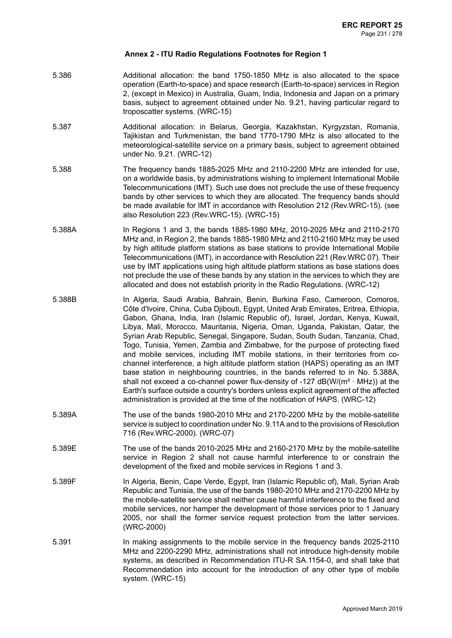- 5.386 Additional allocation: the band 1750-1850 MHz is also allocated to the space operation (Earth-to-space) and space research (Earth-to-space) services in Region 2, (except in Mexico) in Australia, Guam, India, Indonesia and Japan on a primary basis, subject to agreement obtained under No. 9.21, having particular regard to troposcatter systems. (WRC-15)
- 5.387 Additional allocation: in Belarus, Georgia, Kazakhstan, Kyrgyzstan, Romania, Tajikistan and Turkmenistan, the band 1770-1790 MHz is also allocated to the meteorological-satellite service on a primary basis, subject to agreement obtained under No. 9.21. (WRC-12)
- 5.388 The frequency bands 1885-2025 MHz and 2110-2200 MHz are intended for use, on a worldwide basis, by administrations wishing to implement International Mobile Telecommunications (IMT). Such use does not preclude the use of these frequency bands by other services to which they are allocated. The frequency bands should be made available for IMT in accordance with Resolution 212 (Rev.WRC-15). (see also Resolution 223 (Rev.WRC-15). (WRC-15)
- 5.388A In Regions 1 and 3, the bands 1885-1980 MHz, 2010-2025 MHz and 2110-2170 MHz and, in Region 2, the bands 1885-1980 MHz and 2110-2160 MHz may be used by high altitude platform stations as base stations to provide International Mobile Telecommunications (IMT), in accordance with Resolution 221 (Rev.WRC 07). Their use by IMT applications using high altitude platform stations as base stations does not preclude the use of these bands by any station in the services to which they are allocated and does not establish priority in the Radio Regulations. (WRC-12)
- 5.388B In Algeria, Saudi Arabia, Bahrain, Benin, Burkina Faso, Cameroon, Comoros, Côte d'Ivoire, China, Cuba Djibouti, Egypt, United Arab Emirates, Eritrea, Ethiopia, Gabon, Ghana, India, Iran (Islamic Republic of), Israel, Jordan, Kenya, Kuwait, Libya, Mali, Morocco, Mauritania, Nigeria, Oman, Uganda, Pakistan, Qatar, the Syrian Arab Republic, Senegal, Singapore, Sudan, South Sudan, Tanzania, Chad, Togo, Tunisia, Yemen, Zambia and Zimbabwe, for the purpose of protecting fixed and mobile services, including IMT mobile stations, in their territories from cochannel interference, a high altitude platform station (HAPS) operating as an IMT base station in neighbouring countries, in the bands referred to in No. 5.388A, shall not exceed a co-channel power flux-density of -127  $dB(W/(m^2 \cdot MHZ))$  at the Earth's surface outside a country's borders unless explicit agreement of the affected administration is provided at the time of the notification of HAPS. (WRC-12)
- 5.389A The use of the bands 1980-2010 MHz and 2170-2200 MHz by the mobile-satellite service is subject to coordination under No. 9.11A and to the provisions of Resolution 716 (Rev.WRC-2000). (WRC-07)
- 5.389E The use of the bands 2010-2025 MHz and 2160-2170 MHz by the mobile-satellite service in Region 2 shall not cause harmful interference to or constrain the development of the fixed and mobile services in Regions 1 and 3.
- 5.389F In Algeria, Benin, Cape Verde, Egypt, Iran (Islamic Republic of), Mali, Syrian Arab Republic and Tunisia, the use of the bands 1980-2010 MHz and 2170-2200 MHz by the mobile-satellite service shall neither cause harmful interference to the fixed and mobile services, nor hamper the development of those services prior to 1 January 2005, nor shall the former service request protection from the latter services. (WRC-2000)
- 5.391 In making assignments to the mobile service in the frequency bands 2025-2110 MHz and 2200-2290 MHz, administrations shall not introduce high-density mobile systems, as described in Recommendation ITU-R SA.1154-0, and shall take that Recommendation into account for the introduction of any other type of mobile system. (WRC-15)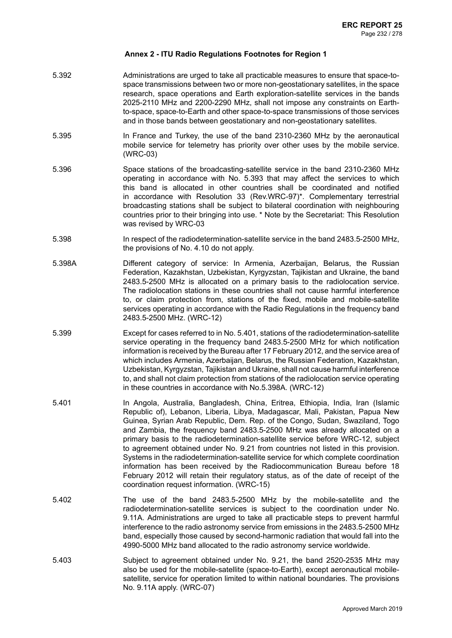- 5.392 Administrations are urged to take all practicable measures to ensure that space-tospace transmissions between two or more non-geostationary satellites, in the space research, space operations and Earth exploration-satellite services in the bands 2025-2110 MHz and 2200-2290 MHz, shall not impose any constraints on Earthto-space, space-to-Earth and other space-to-space transmissions of those services and in those bands between geostationary and non-geostationary satellites.
- 5.395 In France and Turkey, the use of the band 2310-2360 MHz by the aeronautical mobile service for telemetry has priority over other uses by the mobile service. (WRC-03)
- 5.396 Space stations of the broadcasting-satellite service in the band 2310-2360 MHz operating in accordance with No. 5.393 that may affect the services to which this band is allocated in other countries shall be coordinated and notified in accordance with Resolution 33 (Rev.WRC-97)\*. Complementary terrestrial broadcasting stations shall be subject to bilateral coordination with neighbouring countries prior to their bringing into use. \* Note by the Secretariat: This Resolution was revised by WRC-03
- 5.398 In respect of the radiodetermination-satellite service in the band 2483.5-2500 MHz, the provisions of No. 4.10 do not apply.
- 5.398A Different category of service: In Armenia, Azerbaijan, Belarus, the Russian Federation, Kazakhstan, Uzbekistan, Kyrgyzstan, Tajikistan and Ukraine, the band 2483.5-2500 MHz is allocated on a primary basis to the radiolocation service. The radiolocation stations in these countries shall not cause harmful interference to, or claim protection from, stations of the fixed, mobile and mobile-satellite services operating in accordance with the Radio Regulations in the frequency band 2483.5-2500 MHz. (WRC-12)
- 5.399 Except for cases referred to in No. 5.401, stations of the radiodetermination-satellite service operating in the frequency band 2483.5-2500 MHz for which notification information is received by the Bureau after 17 February 2012, and the service area of which includes Armenia, Azerbaijan, Belarus, the Russian Federation, Kazakhstan, Uzbekistan, Kyrgyzstan, Tajikistan and Ukraine, shall not cause harmful interference to, and shall not claim protection from stations of the radiolocation service operating in these countries in accordance with No.5.398A. (WRC-12)
- 5.401 In Angola, Australia, Bangladesh, China, Eritrea, Ethiopia, India, Iran (Islamic Republic of), Lebanon, Liberia, Libya, Madagascar, Mali, Pakistan, Papua New Guinea, Syrian Arab Republic, Dem. Rep. of the Congo, Sudan, Swaziland, Togo and Zambia, the frequency band 2483.5-2500 MHz was already allocated on a primary basis to the radiodetermination-satellite service before WRC-12, subject to agreement obtained under No. 9.21 from countries not listed in this provision. Systems in the radiodetermination-satellite service for which complete coordination information has been received by the Radiocommunication Bureau before 18 February 2012 will retain their regulatory status, as of the date of receipt of the coordination request information. (WRC-15)
- 5.402 The use of the band 2483.5-2500 MHz by the mobile-satellite and the radiodetermination-satellite services is subject to the coordination under No. 9.11A. Administrations are urged to take all practicable steps to prevent harmful interference to the radio astronomy service from emissions in the 2483.5-2500 MHz band, especially those caused by second-harmonic radiation that would fall into the 4990-5000 MHz band allocated to the radio astronomy service worldwide.
- 5.403 Subject to agreement obtained under No. 9.21, the band 2520-2535 MHz may also be used for the mobile-satellite (space-to-Earth), except aeronautical mobilesatellite, service for operation limited to within national boundaries. The provisions No. 9.11A apply. (WRC-07)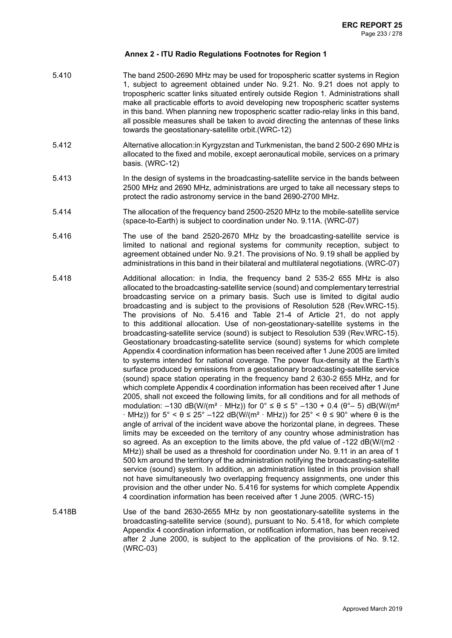- 5.410 The band 2500-2690 MHz may be used for tropospheric scatter systems in Region 1, subject to agreement obtained under No. 9.21. No. 9.21 does not apply to tropospheric scatter links situated entirely outside Region 1. Administrations shall make all practicable efforts to avoid developing new tropospheric scatter systems in this band. When planning new tropospheric scatter radio-relay links in this band, all possible measures shall be taken to avoid directing the antennas of these links towards the geostationary-satellite orbit.(WRC-12)
- 5.412 Alternative allocation:in Kyrgyzstan and Turkmenistan, the band 2 500-2 690 MHz is allocated to the fixed and mobile, except aeronautical mobile, services on a primary basis. (WRC-12)
- 5.413 In the design of systems in the broadcasting-satellite service in the bands between 2500 MHz and 2690 MHz, administrations are urged to take all necessary steps to protect the radio astronomy service in the band 2690-2700 MHz.
- 5.414 The allocation of the frequency band 2500-2520 MHz to the mobile-satellite service (space-to-Earth) is subject to coordination under No. 9.11A. (WRC-07)
- 5.416 The use of the band 2520-2670 MHz by the broadcasting-satellite service is limited to national and regional systems for community reception, subject to agreement obtained under No. 9.21. The provisions of No. 9.19 shall be applied by administrations in this band in their bilateral and multilateral negotiations. (WRC-07)
- 5.418 Additional allocation: in India, the frequency band 2 535-2 655 MHz is also allocated to the broadcasting-satellite service (sound) and complementary terrestrial broadcasting service on a primary basis. Such use is limited to digital audio broadcasting and is subject to the provisions of Resolution 528 (Rev.WRC-15). The provisions of No. 5.416 and Table 21-4 of Article 21, do not apply to this additional allocation. Use of non-geostationary-satellite systems in the broadcasting-satellite service (sound) is subject to Resolution 539 (Rev.WRC-15). Geostationary broadcasting-satellite service (sound) systems for which complete Appendix 4 coordination information has been received after 1 June 2005 are limited to systems intended for national coverage. The power flux-density at the Earth's surface produced by emissions from a geostationary broadcasting-satellite service (sound) space station operating in the frequency band 2 630-2 655 MHz, and for which complete Appendix 4 coordination information has been received after 1 June 2005, shall not exceed the following limits, for all conditions and for all methods of modulation: –130 dB(W/(m<sup>2</sup> · MHz)) for  $0^{\circ} \le \theta \le 5^{\circ}$  –130 + 0.4 ( $\theta^{\circ}$ – 5) dB(W/(m<sup>2</sup>  $\cdot$  MHz)) for 5° <  $\theta \le 25^{\circ}$  –122 dB(W/(m<sup>2</sup>  $\cdot$  MHz)) for 25° <  $\theta \le 90^{\circ}$  where  $\theta$  is the angle of arrival of the incident wave above the horizontal plane, in degrees. These limits may be exceeded on the territory of any country whose administration has so agreed. As an exception to the limits above, the pfd value of -122  $dB(W/(m2 \cdot n))$ MHz)) shall be used as a threshold for coordination under No. 9.11 in an area of 1 500 km around the territory of the administration notifying the broadcasting-satellite service (sound) system. In addition, an administration listed in this provision shall not have simultaneously two overlapping frequency assignments, one under this provision and the other under No. 5.416 for systems for which complete Appendix 4 coordination information has been received after 1 June 2005. (WRC-15)
- 5.418B Use of the band 2630-2655 MHz by non geostationary-satellite systems in the broadcasting-satellite service (sound), pursuant to No. 5.418, for which complete Appendix 4 coordination information, or notification information, has been received after 2 June 2000, is subject to the application of the provisions of No. 9.12. (WRC-03)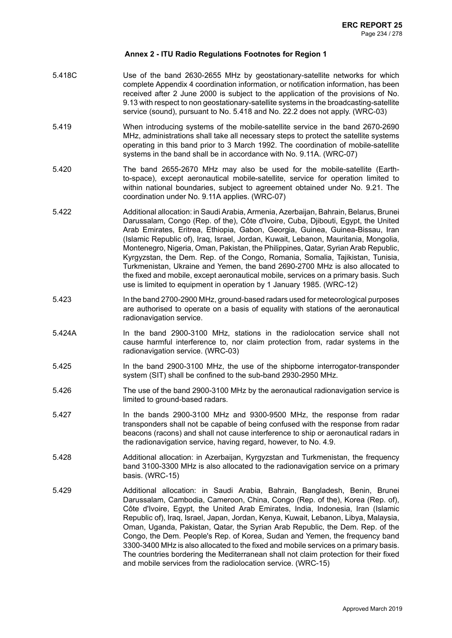- 5.418C Use of the band 2630-2655 MHz by geostationary-satellite networks for which complete Appendix 4 coordination information, or notification information, has been received after 2 June 2000 is subject to the application of the provisions of No. 9.13 with respect to non geostationary-satellite systems in the broadcasting-satellite service (sound), pursuant to No. 5.418 and No. 22.2 does not apply. (WRC-03)
- 5.419 When introducing systems of the mobile-satellite service in the band 2670-2690 MHz, administrations shall take all necessary steps to protect the satellite systems operating in this band prior to 3 March 1992. The coordination of mobile-satellite systems in the band shall be in accordance with No. 9.11A. (WRC-07)
- 5.420 The band 2655-2670 MHz may also be used for the mobile-satellite (Earthto-space), except aeronautical mobile-satellite, service for operation limited to within national boundaries, subject to agreement obtained under No. 9.21. The coordination under No. 9.11A applies. (WRC-07)
- 5.422 Additional allocation: in Saudi Arabia, Armenia, Azerbaijan, Bahrain, Belarus, Brunei Darussalam, Congo (Rep. of the), Côte d'Ivoire, Cuba, Djibouti, Egypt, the United Arab Emirates, Eritrea, Ethiopia, Gabon, Georgia, Guinea, Guinea-Bissau, Iran (Islamic Republic of), Iraq, Israel, Jordan, Kuwait, Lebanon, Mauritania, Mongolia, Montenegro, Nigeria, Oman, Pakistan, the Philippines, Qatar, Syrian Arab Republic, Kyrgyzstan, the Dem. Rep. of the Congo, Romania, Somalia, Tajikistan, Tunisia, Turkmenistan, Ukraine and Yemen, the band 2690-2700 MHz is also allocated to the fixed and mobile, except aeronautical mobile, services on a primary basis. Such use is limited to equipment in operation by 1 January 1985. (WRC-12)
- 5.423 In the band 2700-2900 MHz, ground-based radars used for meteorological purposes are authorised to operate on a basis of equality with stations of the aeronautical radionavigation service.
- 5.424A In the band 2900-3100 MHz, stations in the radiolocation service shall not cause harmful interference to, nor claim protection from, radar systems in the radionavigation service. (WRC-03)
- 5.425 In the band 2900-3100 MHz, the use of the shipborne interrogator-transponder system (SIT) shall be confined to the sub-band 2930-2950 MHz.
- 5.426 The use of the band 2900-3100 MHz by the aeronautical radionavigation service is limited to ground-based radars.
- 5.427 In the bands 2900-3100 MHz and 9300-9500 MHz, the response from radar transponders shall not be capable of being confused with the response from radar beacons (racons) and shall not cause interference to ship or aeronautical radars in the radionavigation service, having regard, however, to No. 4.9.
- 5.428 Additional allocation: in Azerbaijan, Kyrgyzstan and Turkmenistan, the frequency band 3100-3300 MHz is also allocated to the radionavigation service on a primary basis. (WRC-15)
- 5.429 Additional allocation: in Saudi Arabia, Bahrain, Bangladesh, Benin, Brunei Darussalam, Cambodia, Cameroon, China, Congo (Rep. of the), Korea (Rep. of), Côte d'Ivoire, Egypt, the United Arab Emirates, India, Indonesia, Iran (Islamic Republic of), Iraq, Israel, Japan, Jordan, Kenya, Kuwait, Lebanon, Libya, Malaysia, Oman, Uganda, Pakistan, Qatar, the Syrian Arab Republic, the Dem. Rep. of the Congo, the Dem. People's Rep. of Korea, Sudan and Yemen, the frequency band 3300-3400 MHz is also allocated to the fixed and mobile services on a primary basis. The countries bordering the Mediterranean shall not claim protection for their fixed and mobile services from the radiolocation service. (WRC-15)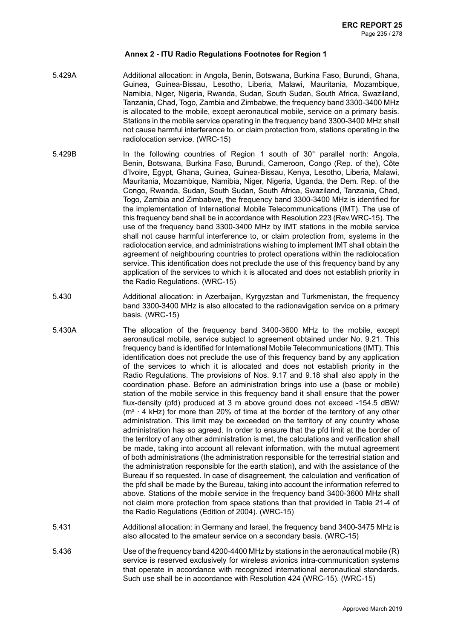- 5.429A Additional allocation: in Angola, Benin, Botswana, Burkina Faso, Burundi, Ghana, Guinea, Guinea-Bissau, Lesotho, Liberia, Malawi, Mauritania, Mozambique, Namibia, Niger, Nigeria, Rwanda, Sudan, South Sudan, South Africa, Swaziland, Tanzania, Chad, Togo, Zambia and Zimbabwe, the frequency band 3300-3400 MHz is allocated to the mobile, except aeronautical mobile, service on a primary basis. Stations in the mobile service operating in the frequency band 3300-3400 MHz shall not cause harmful interference to, or claim protection from, stations operating in the radiolocation service. (WRC-15)
- 5.429B In the following countries of Region 1 south of 30° parallel north: Angola, Benin, Botswana, Burkina Faso, Burundi, Cameroon, Congo (Rep. of the), Côte d'Ivoire, Egypt, Ghana, Guinea, Guinea-Bissau, Kenya, Lesotho, Liberia, Malawi, Mauritania, Mozambique, Namibia, Niger, Nigeria, Uganda, the Dem. Rep. of the Congo, Rwanda, Sudan, South Sudan, South Africa, Swaziland, Tanzania, Chad, Togo, Zambia and Zimbabwe, the frequency band 3300-3400 MHz is identified for the implementation of International Mobile Telecommunications (IMT). The use of this frequency band shall be in accordance with Resolution 223 (Rev.WRC-15). The use of the frequency band 3300-3400 MHz by IMT stations in the mobile service shall not cause harmful interference to, or claim protection from, systems in the radiolocation service, and administrations wishing to implement IMT shall obtain the agreement of neighbouring countries to protect operations within the radiolocation service. This identification does not preclude the use of this frequency band by any application of the services to which it is allocated and does not establish priority in the Radio Regulations. (WRC-15)
- 5.430 Additional allocation: in Azerbaijan, Kyrgyzstan and Turkmenistan, the frequency band 3300-3400 MHz is also allocated to the radionavigation service on a primary basis. (WRC-15)
- 5.430A The allocation of the frequency band 3400-3600 MHz to the mobile, except aeronautical mobile, service subject to agreement obtained under No. 9.21. This frequency band is identified for International Mobile Telecommunications (IMT). This identification does not preclude the use of this frequency band by any application of the services to which it is allocated and does not establish priority in the Radio Regulations. The provisions of Nos. 9.17 and 9.18 shall also apply in the coordination phase. Before an administration brings into use a (base or mobile) station of the mobile service in this frequency band it shall ensure that the power flux-density (pfd) produced at 3 m above ground does not exceed -154.5 dBW/  $(m<sup>2</sup> · 4$  kHz) for more than 20% of time at the border of the territory of any other administration. This limit may be exceeded on the territory of any country whose administration has so agreed. In order to ensure that the pfd limit at the border of the territory of any other administration is met, the calculations and verification shall be made, taking into account all relevant information, with the mutual agreement of both administrations (the administration responsible for the terrestrial station and the administration responsible for the earth station), and with the assistance of the Bureau if so requested. In case of disagreement, the calculation and verification of the pfd shall be made by the Bureau, taking into account the information referred to above. Stations of the mobile service in the frequency band 3400-3600 MHz shall not claim more protection from space stations than that provided in Table 21-4 of the Radio Regulations (Edition of 2004). (WRC-15)
- 5.431 Additional allocation: in Germany and Israel, the frequency band 3400-3475 MHz is also allocated to the amateur service on a secondary basis. (WRC-15)
- 5.436 Use of the frequency band 4200-4400 MHz by stations in the aeronautical mobile (R) service is reserved exclusively for wireless avionics intra-communication systems that operate in accordance with recognized international aeronautical standards. Such use shall be in accordance with Resolution 424 (WRC-15). (WRC-15)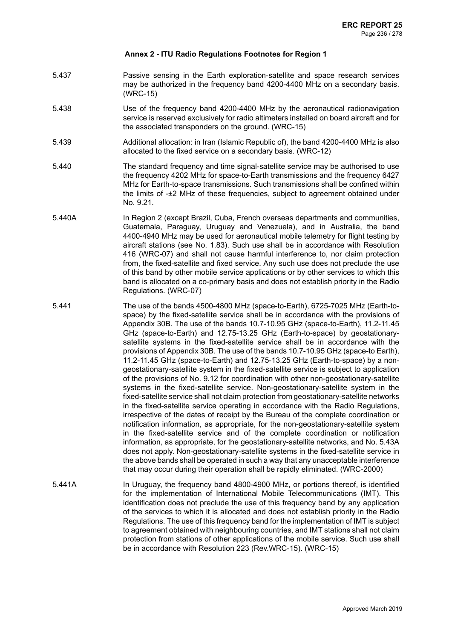- 5.437 Passive sensing in the Earth exploration-satellite and space research services may be authorized in the frequency band 4200-4400 MHz on a secondary basis. (WRC-15)
- 5.438 Use of the frequency band 4200-4400 MHz by the aeronautical radionavigation service is reserved exclusively for radio altimeters installed on board aircraft and for the associated transponders on the ground. (WRC-15)
- 5.439 Additional allocation: in Iran (Islamic Republic of), the band 4200-4400 MHz is also allocated to the fixed service on a secondary basis. (WRC-12)
- 5.440 The standard frequency and time signal-satellite service may be authorised to use the frequency 4202 MHz for space-to-Earth transmissions and the frequency 6427 MHz for Earth-to-space transmissions. Such transmissions shall be confined within the limits of -±2 MHz of these frequencies, subject to agreement obtained under No. 9.21.
- 5.440A In Region 2 (except Brazil, Cuba, French overseas departments and communities, Guatemala, Paraguay, Uruguay and Venezuela), and in Australia, the band 4400-4940 MHz may be used for aeronautical mobile telemetry for flight testing by aircraft stations (see No. 1.83). Such use shall be in accordance with Resolution 416 (WRC-07) and shall not cause harmful interference to, nor claim protection from, the fixed-satellite and fixed service. Any such use does not preclude the use of this band by other mobile service applications or by other services to which this band is allocated on a co-primary basis and does not establish priority in the Radio Regulations. (WRC-07)
- 5.441 The use of the bands 4500-4800 MHz (space-to-Earth), 6725-7025 MHz (Earth-tospace) by the fixed-satellite service shall be in accordance with the provisions of Appendix 30B. The use of the bands 10.7-10.95 GHz (space-to-Earth), 11.2-11.45 GHz (space-to-Earth) and 12.75-13.25 GHz (Earth-to-space) by geostationarysatellite systems in the fixed-satellite service shall be in accordance with the provisions of Appendix 30B. The use of the bands 10.7-10.95 GHz (space-to Earth), 11.2-11.45 GHz (space-to-Earth) and 12.75-13.25 GHz (Earth-to-space) by a nongeostationary-satellite system in the fixed-satellite service is subject to application of the provisions of No. 9.12 for coordination with other non-geostationary-satellite systems in the fixed-satellite service. Non-geostationary-satellite system in the fixed-satellite service shall not claim protection from geostationary-satellite networks in the fixed-satellite service operating in accordance with the Radio Regulations, irrespective of the dates of receipt by the Bureau of the complete coordination or notification information, as appropriate, for the non-geostationary-satellite system in the fixed-satellite service and of the complete coordination or notification information, as appropriate, for the geostationary-satellite networks, and No. 5.43A does not apply. Non-geostationary-satellite systems in the fixed-satellite service in the above bands shall be operated in such a way that any unacceptable interference that may occur during their operation shall be rapidly eliminated. (WRC-2000)
- 5.441A In Uruguay, the frequency band 4800-4900 MHz, or portions thereof, is identified for the implementation of International Mobile Telecommunications (IMT). This identification does not preclude the use of this frequency band by any application of the services to which it is allocated and does not establish priority in the Radio Regulations. The use of this frequency band for the implementation of IMT is subject to agreement obtained with neighbouring countries, and IMT stations shall not claim protection from stations of other applications of the mobile service. Such use shall be in accordance with Resolution 223 (Rev.WRC-15). (WRC-15)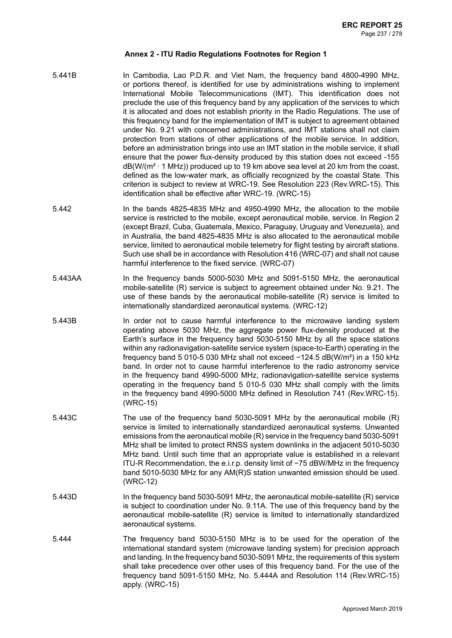- 5.441B In Cambodia, Lao P.D.R. and Viet Nam, the frequency band 4800-4990 MHz, or portions thereof, is identified for use by administrations wishing to implement International Mobile Telecommunications (IMT). This identification does not preclude the use of this frequency band by any application of the services to which it is allocated and does not establish priority in the Radio Regulations. The use of this frequency band for the implementation of IMT is subject to agreement obtained under No. 9.21 with concerned administrations, and IMT stations shall not claim protection from stations of other applications of the mobile service. In addition, before an administration brings into use an IMT station in the mobile service, it shall ensure that the power flux-density produced by this station does not exceed -155  $dB(W/(m^2 \cdot 1 \text{ MHz}))$  produced up to 19 km above sea level at 20 km from the coast. defined as the low-water mark, as officially recognized by the coastal State. This criterion is subject to review at WRC-19. See Resolution 223 (Rev.WRC-15). This identification shall be effective after WRC-19. (WRC-15)
- 5.442 In the bands 4825-4835 MHz and 4950-4990 MHz, the allocation to the mobile service is restricted to the mobile, except aeronautical mobile, service. In Region 2 (except Brazil, Cuba, Guatemala, Mexico, Paraguay, Uruguay and Venezuela), and in Australia, the band 4825-4835 MHz is also allocated to the aeronautical mobile service, limited to aeronautical mobile telemetry for flight testing by aircraft stations. Such use shall be in accordance with Resolution 416 (WRC-07) and shall not cause harmful interference to the fixed service. (WRC-07)
- 5.443AA In the frequency bands 5000-5030 MHz and 5091-5150 MHz, the aeronautical mobile-satellite (R) service is subject to agreement obtained under No. 9.21. The use of these bands by the aeronautical mobile-satellite (R) service is limited to internationally standardized aeronautical systems. (WRC-12)
- 5.443B In order not to cause harmful interference to the microwave landing system operating above 5030 MHz, the aggregate power flux-density produced at the Earth's surface in the frequency band 5030-5150 MHz by all the space stations within any radionavigation-satellite service system (space-to-Earth) operating in the frequency band 5 010-5 030 MHz shall not exceed −124.5 dB(W/m²) in a 150 kHz band. In order not to cause harmful interference to the radio astronomy service in the frequency band 4990-5000 MHz, radionavigation-satellite service systems operating in the frequency band 5 010-5 030 MHz shall comply with the limits in the frequency band 4990-5000 MHz defined in Resolution 741 (Rev.WRC-15). (WRC-15)
- 5.443C The use of the frequency band 5030-5091 MHz by the aeronautical mobile (R) service is limited to internationally standardized aeronautical systems. Unwanted emissions from the aeronautical mobile (R) service in the frequency band 5030-5091 MHz shall be limited to protect RNSS system downlinks in the adjacent 5010-5030 MHz band. Until such time that an appropriate value is established in a relevant ITU-R Recommendation, the e.i.r.p. density limit of −75 dBW/MHz in the frequency band 5010-5030 MHz for any AM(R)S station unwanted emission should be used. (WRC-12)
- 5.443D In the frequency band 5030-5091 MHz, the aeronautical mobile-satellite (R) service is subject to coordination under No. 9.11A. The use of this frequency band by the aeronautical mobile-satellite (R) service is limited to internationally standardized aeronautical systems.
- 5.444 The frequency band 5030-5150 MHz is to be used for the operation of the international standard system (microwave landing system) for precision approach and landing. In the frequency band 5030-5091 MHz, the requirements of this system shall take precedence over other uses of this frequency band. For the use of the frequency band 5091-5150 MHz, No. 5.444A and Resolution 114 (Rev.WRC-15) apply. (WRC-15)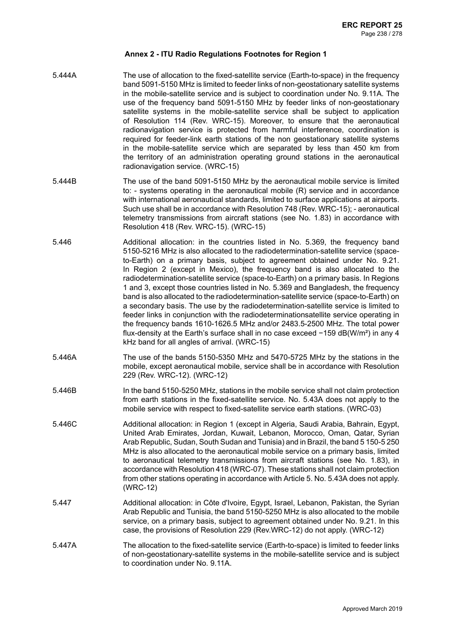- 5.444A The use of allocation to the fixed-satellite service (Earth-to-space) in the frequency band 5091-5150 MHz is limited to feeder links of non-geostationary satellite systems in the mobile-satellite service and is subject to coordination under No. 9.11A. The use of the frequency band 5091-5150 MHz by feeder links of non-geostationary satellite systems in the mobile-satellite service shall be subject to application of Resolution 114 (Rev. WRC-15). Moreover, to ensure that the aeronautical radionavigation service is protected from harmful interference, coordination is required for feeder-link earth stations of the non geostationary satellite systems in the mobile-satellite service which are separated by less than 450 km from the territory of an administration operating ground stations in the aeronautical radionavigation service. (WRC-15)
- 5.444B The use of the band 5091-5150 MHz by the aeronautical mobile service is limited to: - systems operating in the aeronautical mobile (R) service and in accordance with international aeronautical standards, limited to surface applications at airports. Such use shall be in accordance with Resolution 748 (Rev. WRC-15); - aeronautical telemetry transmissions from aircraft stations (see No. 1.83) in accordance with Resolution 418 (Rev. WRC-15). (WRC-15)
- 5.446 Additional allocation: in the countries listed in No. 5.369, the frequency band 5150-5216 MHz is also allocated to the radiodetermination-satellite service (spaceto-Earth) on a primary basis, subject to agreement obtained under No. 9.21. In Region 2 (except in Mexico), the frequency band is also allocated to the radiodetermination-satellite service (space-to-Earth) on a primary basis. In Regions 1 and 3, except those countries listed in No. 5.369 and Bangladesh, the frequency band is also allocated to the radiodetermination-satellite service (space-to-Earth) on a secondary basis. The use by the radiodetermination-satellite service is limited to feeder links in conjunction with the radiodeterminationsatellite service operating in the frequency bands 1610-1626.5 MHz and/or 2483.5-2500 MHz. The total power flux-density at the Earth's surface shall in no case exceed −159 dB(W/m²) in any 4 kHz band for all angles of arrival. (WRC-15)
- 5.446A The use of the bands 5150-5350 MHz and 5470-5725 MHz by the stations in the mobile, except aeronautical mobile, service shall be in accordance with Resolution 229 (Rev. WRC-12). (WRC-12)
- 5.446B In the band 5150-5250 MHz, stations in the mobile service shall not claim protection from earth stations in the fixed-satellite service. No. 5.43A does not apply to the mobile service with respect to fixed-satellite service earth stations. (WRC-03)
- 5.446C Additional allocation: in Region 1 (except in Algeria, Saudi Arabia, Bahrain, Egypt, United Arab Emirates, Jordan, Kuwait, Lebanon, Morocco, Oman, Qatar, Syrian Arab Republic, Sudan, South Sudan and Tunisia) and in Brazil, the band 5150-5250 MHz is also allocated to the aeronautical mobile service on a primary basis, limited to aeronautical telemetry transmissions from aircraft stations (see No. 1.83), in accordance with Resolution 418 (WRC-07). These stations shall not claim protection from other stations operating in accordance with Article 5. No. 5.43A does not apply. (WRC-12)
- 5.447 Additional allocation: in Côte d'Ivoire, Egypt, Israel, Lebanon, Pakistan, the Syrian Arab Republic and Tunisia, the band 5150-5250 MHz is also allocated to the mobile service, on a primary basis, subject to agreement obtained under No. 9.21. In this case, the provisions of Resolution 229 (Rev.WRC-12) do not apply. (WRC-12)
- 5.447A The allocation to the fixed-satellite service (Earth-to-space) is limited to feeder links of non-geostationary-satellite systems in the mobile-satellite service and is subject to coordination under No. 9.11A.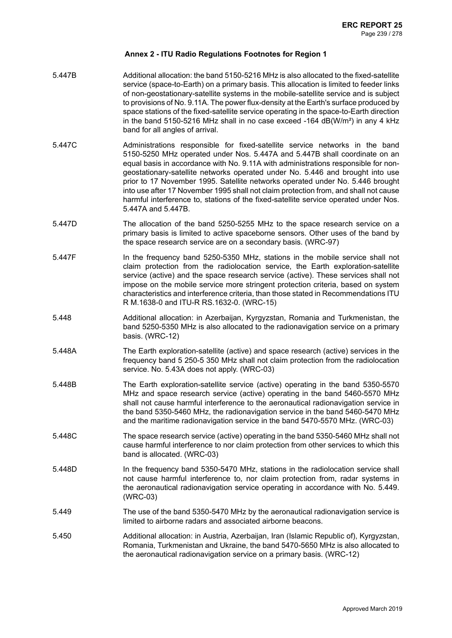- 5.447B Additional allocation: the band 5150-5216 MHz is also allocated to the fixed-satellite service (space-to-Earth) on a primary basis. This allocation is limited to feeder links of non-geostationary-satellite systems in the mobile-satellite service and is subject to provisions of No. 9.11A. The power flux-density at the Earth's surface produced by space stations of the fixed-satellite service operating in the space-to-Earth direction in the band 5150-5216 MHz shall in no case exceed  $-164$  dB(W/m<sup>2</sup>) in any 4 kHz band for all angles of arrival.
- 5.447C Administrations responsible for fixed-satellite service networks in the band 5150-5250 MHz operated under Nos. 5.447A and 5.447B shall coordinate on an equal basis in accordance with No. 9.11A with administrations responsible for nongeostationary-satellite networks operated under No. 5.446 and brought into use prior to 17 November 1995. Satellite networks operated under No. 5.446 brought into use after 17 November 1995 shall not claim protection from, and shall not cause harmful interference to, stations of the fixed-satellite service operated under Nos. 5.447A and 5.447B.
- 5.447D The allocation of the band 5250-5255 MHz to the space research service on a primary basis is limited to active spaceborne sensors. Other uses of the band by the space research service are on a secondary basis. (WRC-97)
- 5.447F In the frequency band 5250-5350 MHz, stations in the mobile service shall not claim protection from the radiolocation service, the Earth exploration-satellite service (active) and the space research service (active). These services shall not impose on the mobile service more stringent protection criteria, based on system characteristics and interference criteria, than those stated in Recommendations ITU R M.1638-0 and ITU-R RS.1632-0. (WRC-15)
- 5.448 Additional allocation: in Azerbaijan, Kyrgyzstan, Romania and Turkmenistan, the band 5250-5350 MHz is also allocated to the radionavigation service on a primary basis. (WRC-12)
- 5.448A The Earth exploration-satellite (active) and space research (active) services in the frequency band 5 250-5 350 MHz shall not claim protection from the radiolocation service. No. 5.43A does not apply. (WRC-03)
- 5.448B The Earth exploration-satellite service (active) operating in the band 5350-5570 MHz and space research service (active) operating in the band 5460-5570 MHz shall not cause harmful interference to the aeronautical radionavigation service in the band 5350-5460 MHz, the radionavigation service in the band 5460-5470 MHz and the maritime radionavigation service in the band 5470-5570 MHz. (WRC-03)
- 5.448C The space research service (active) operating in the band 5350-5460 MHz shall not cause harmful interference to nor claim protection from other services to which this band is allocated. (WRC-03)
- 5.448D In the frequency band 5350-5470 MHz, stations in the radiolocation service shall not cause harmful interference to, nor claim protection from, radar systems in the aeronautical radionavigation service operating in accordance with No. 5.449. (WRC-03)
- 5.449 The use of the band 5350-5470 MHz by the aeronautical radionavigation service is limited to airborne radars and associated airborne beacons.
- 5.450 Additional allocation: in Austria, Azerbaijan, Iran (Islamic Republic of), Kyrgyzstan, Romania, Turkmenistan and Ukraine, the band 5470-5650 MHz is also allocated to the aeronautical radionavigation service on a primary basis. (WRC-12)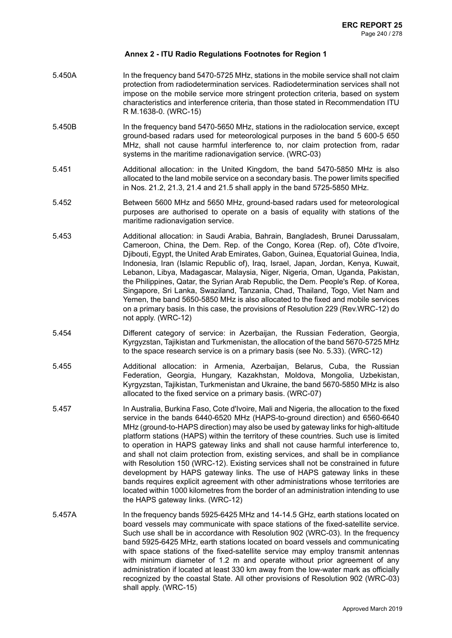- 5.450A In the frequency band 5470-5725 MHz, stations in the mobile service shall not claim protection from radiodetermination services. Radiodetermination services shall not impose on the mobile service more stringent protection criteria, based on system characteristics and interference criteria, than those stated in Recommendation ITU R M.1638-0. (WRC-15)
- 5.450B In the frequency band 5470-5650 MHz, stations in the radiolocation service, except ground-based radars used for meteorological purposes in the band 5 600-5 650 MHz, shall not cause harmful interference to, nor claim protection from, radar systems in the maritime radionavigation service. (WRC-03)
- 5.451 Additional allocation: in the United Kingdom, the band 5470-5850 MHz is also allocated to the land mobile service on a secondary basis. The power limits specified in Nos. 21.2, 21.3, 21.4 and 21.5 shall apply in the band 5725-5850 MHz.
- 5.452 Between 5600 MHz and 5650 MHz, ground-based radars used for meteorological purposes are authorised to operate on a basis of equality with stations of the maritime radionavigation service.
- 5.453 Additional allocation: in Saudi Arabia, Bahrain, Bangladesh, Brunei Darussalam, Cameroon, China, the Dem. Rep. of the Congo, Korea (Rep. of), Côte d'Ivoire, Djibouti, Egypt, the United Arab Emirates, Gabon, Guinea, Equatorial Guinea, India, Indonesia, Iran (Islamic Republic of), Iraq, Israel, Japan, Jordan, Kenya, Kuwait, Lebanon, Libya, Madagascar, Malaysia, Niger, Nigeria, Oman, Uganda, Pakistan, the Philippines, Qatar, the Syrian Arab Republic, the Dem. People's Rep. of Korea, Singapore, Sri Lanka, Swaziland, Tanzania, Chad, Thailand, Togo, Viet Nam and Yemen, the band 5650-5850 MHz is also allocated to the fixed and mobile services on a primary basis. In this case, the provisions of Resolution 229 (Rev.WRC-12) do not apply. (WRC-12)
- 5.454 Different category of service: in Azerbaijan, the Russian Federation, Georgia, Kyrgyzstan, Tajikistan and Turkmenistan, the allocation of the band 5670-5725 MHz to the space research service is on a primary basis (see No. 5.33). (WRC-12)
- 5.455 Additional allocation: in Armenia, Azerbaijan, Belarus, Cuba, the Russian Federation, Georgia, Hungary, Kazakhstan, Moldova, Mongolia, Uzbekistan, Kyrgyzstan, Tajikistan, Turkmenistan and Ukraine, the band 5670-5850 MHz is also allocated to the fixed service on a primary basis. (WRC-07)
- 5.457 In Australia, Burkina Faso, Cote d'Ivoire, Mali and Nigeria, the allocation to the fixed service in the bands 6440-6520 MHz (HAPS-to-ground direction) and 6560-6640 MHz (ground-to-HAPS direction) may also be used by gateway links for high-altitude platform stations (HAPS) within the territory of these countries. Such use is limited to operation in HAPS gateway links and shall not cause harmful interference to, and shall not claim protection from, existing services, and shall be in compliance with Resolution 150 (WRC-12). Existing services shall not be constrained in future development by HAPS gateway links. The use of HAPS gateway links in these bands requires explicit agreement with other administrations whose territories are located within 1000 kilometres from the border of an administration intending to use the HAPS gateway links. (WRC-12)
- 5.457A In the frequency bands 5925-6425 MHz and 14-14.5 GHz, earth stations located on board vessels may communicate with space stations of the fixed-satellite service. Such use shall be in accordance with Resolution 902 (WRC-03). In the frequency band 5925-6425 MHz, earth stations located on board vessels and communicating with space stations of the fixed-satellite service may employ transmit antennas with minimum diameter of 1.2 m and operate without prior agreement of any administration if located at least 330 km away from the low-water mark as officially recognized by the coastal State. All other provisions of Resolution 902 (WRC-03) shall apply. (WRC-15)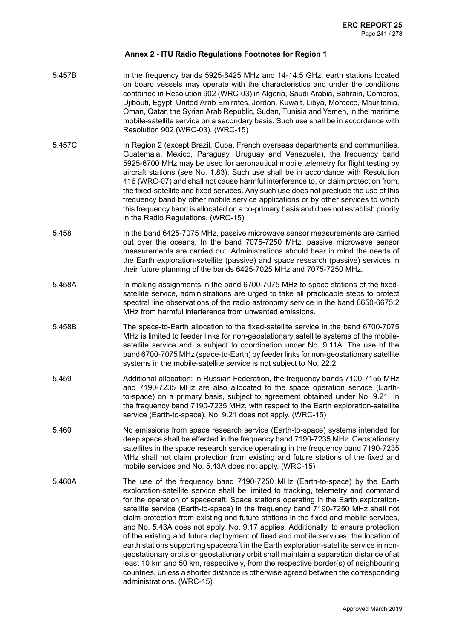- 5.457B In the frequency bands 5925-6425 MHz and 14-14.5 GHz, earth stations located on board vessels may operate with the characteristics and under the conditions contained in Resolution 902 (WRC-03) in Algeria, Saudi Arabia, Bahrain, Comoros, Djibouti, Egypt, United Arab Emirates, Jordan, Kuwait, Libya, Morocco, Mauritania, Oman, Qatar, the Syrian Arab Republic, Sudan, Tunisia and Yemen, in the maritime mobile-satellite service on a secondary basis. Such use shall be in accordance with Resolution 902 (WRC-03). (WRC-15)
- 5.457C In Region 2 (except Brazil, Cuba, French overseas departments and communities, Guatemala, Mexico, Paraguay, Uruguay and Venezuela), the frequency band 5925-6700 MHz may be used for aeronautical mobile telemetry for flight testing by aircraft stations (see No. 1.83). Such use shall be in accordance with Resolution 416 (WRC-07) and shall not cause harmful interference to, or claim protection from, the fixed-satellite and fixed services. Any such use does not preclude the use of this frequency band by other mobile service applications or by other services to which this frequency band is allocated on a co-primary basis and does not establish priority in the Radio Regulations. (WRC-15)
- 5.458 In the band 6425-7075 MHz, passive microwave sensor measurements are carried out over the oceans. In the band 7075-7250 MHz, passive microwave sensor measurements are carried out. Administrations should bear in mind the needs of the Earth exploration-satellite (passive) and space research (passive) services in their future planning of the bands 6425-7025 MHz and 7075-7250 MHz.
- 5.458A In making assignments in the band 6700-7075 MHz to space stations of the fixedsatellite service, administrations are urged to take all practicable steps to protect spectral line observations of the radio astronomy service in the band 6650-6675.2 MHz from harmful interference from unwanted emissions.
- 5.458B The space-to-Earth allocation to the fixed-satellite service in the band 6700-7075 MHz is limited to feeder links for non-geostationary satellite systems of the mobilesatellite service and is subject to coordination under No. 9.11A. The use of the band 6700-7075 MHz (space-to-Earth) by feeder links for non-geostationary satellite systems in the mobile-satellite service is not subject to No. 22.2.
- 5.459 Additional allocation: in Russian Federation, the frequency bands 7100-7155 MHz and 7190-7235 MHz are also allocated to the space operation service (Earthto-space) on a primary basis, subject to agreement obtained under No. 9.21. In the frequency band 7190-7235 MHz, with respect to the Earth exploration-satellite service (Earth-to-space), No. 9.21 does not apply. (WRC-15)
- 5.460 No emissions from space research service (Earth-to-space) systems intended for deep space shall be effected in the frequency band 7190-7235 MHz. Geostationary satellites in the space research service operating in the frequency band 7190-7235 MHz shall not claim protection from existing and future stations of the fixed and mobile services and No. 5.43A does not apply. (WRC-15)
- 5.460A The use of the frequency band 7190-7250 MHz (Earth-to-space) by the Earth exploration-satellite service shall be limited to tracking, telemetry and command for the operation of spacecraft. Space stations operating in the Earth explorationsatellite service (Earth-to-space) in the frequency band 7190-7250 MHz shall not claim protection from existing and future stations in the fixed and mobile services, and No. 5.43A does not apply. No. 9.17 applies. Additionally, to ensure protection of the existing and future deployment of fixed and mobile services, the location of earth stations supporting spacecraft in the Earth exploration-satellite service in nongeostationary orbits or geostationary orbit shall maintain a separation distance of at least 10 km and 50 km, respectively, from the respective border(s) of neighbouring countries, unless a shorter distance is otherwise agreed between the corresponding administrations. (WRC-15)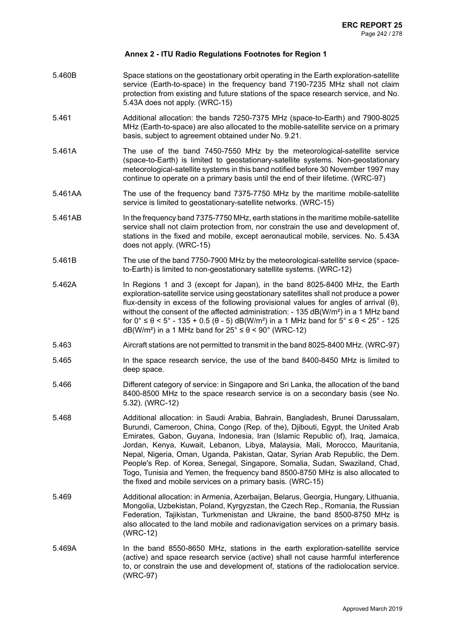- 5.460B Space stations on the geostationary orbit operating in the Earth exploration-satellite service (Earth-to-space) in the frequency band 7190-7235 MHz shall not claim protection from existing and future stations of the space research service, and No. 5.43A does not apply. (WRC-15)
- 5.461 Additional allocation: the bands 7250-7375 MHz (space-to-Earth) and 7900-8025 MHz (Earth-to-space) are also allocated to the mobile-satellite service on a primary basis, subject to agreement obtained under No. 9.21.
- 5.461A The use of the band 7450-7550 MHz by the meteorological-satellite service (space-to-Earth) is limited to geostationary-satellite systems. Non-geostationary meteorological-satellite systems in this band notified before 30 November 1997 may continue to operate on a primary basis until the end of their lifetime. (WRC-97)
- 5.461AA The use of the frequency band 7375-7750 MHz by the maritime mobile-satellite service is limited to geostationary-satellite networks. (WRC-15)
- 5.461AB In the frequency band 7375-7750 MHz, earth stations in the maritime mobile-satellite service shall not claim protection from, nor constrain the use and development of, stations in the fixed and mobile, except aeronautical mobile, services. No. 5.43A does not apply. (WRC-15)
- 5.461B The use of the band 7750-7900 MHz by the meteorological-satellite service (spaceto-Earth) is limited to non-geostationary satellite systems. (WRC-12)
- 5.462A In Regions 1 and 3 (except for Japan), in the band 8025-8400 MHz, the Earth exploration-satellite service using geostationary satellites shall not produce a power flux-density in excess of the following provisional values for angles of arrival (θ), without the consent of the affected administration:  $-135$  dB(W/m<sup>2</sup>) in a 1 MHz band for 0° ≤  $\theta$  < 5° - 135 + 0.5 ( $\theta$  - 5) dB(W/m<sup>2</sup>) in a 1 MHz band for 5° ≤  $\theta$  < 25° - 125 dB(W/m<sup>2</sup>) in a 1 MHz band for  $25^{\circ} \le \theta \le 90^{\circ}$  (WRC-12)
- 5.463 Aircraft stations are not permitted to transmit in the band 8025-8400 MHz. (WRC-97)
- 5.465 In the space research service, the use of the band 8400-8450 MHz is limited to deep space.
- 5.466 Different category of service: in Singapore and Sri Lanka, the allocation of the band 8400-8500 MHz to the space research service is on a secondary basis (see No. 5.32). (WRC-12)
- 5.468 Additional allocation: in Saudi Arabia, Bahrain, Bangladesh, Brunei Darussalam, Burundi, Cameroon, China, Congo (Rep. of the), Djibouti, Egypt, the United Arab Emirates, Gabon, Guyana, Indonesia, Iran (Islamic Republic of), Iraq, Jamaica, Jordan, Kenya, Kuwait, Lebanon, Libya, Malaysia, Mali, Morocco, Mauritania, Nepal, Nigeria, Oman, Uganda, Pakistan, Qatar, Syrian Arab Republic, the Dem. People's Rep. of Korea, Senegal, Singapore, Somalia, Sudan, Swaziland, Chad, Togo, Tunisia and Yemen, the frequency band 8500-8750 MHz is also allocated to the fixed and mobile services on a primary basis. (WRC-15)
- 5.469 Additional allocation: in Armenia, Azerbaijan, Belarus, Georgia, Hungary, Lithuania, Mongolia, Uzbekistan, Poland, Kyrgyzstan, the Czech Rep., Romania, the Russian Federation, Tajikistan, Turkmenistan and Ukraine, the band 8500-8750 MHz is also allocated to the land mobile and radionavigation services on a primary basis. (WRC-12)
- 5.469A In the band 8550-8650 MHz, stations in the earth exploration-satellite service (active) and space research service (active) shall not cause harmful interference to, or constrain the use and development of, stations of the radiolocation service. (WRC-97)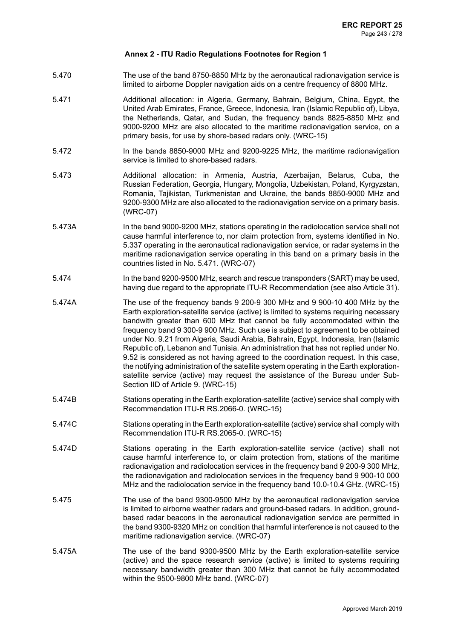- 5.470 The use of the band 8750-8850 MHz by the aeronautical radionavigation service is limited to airborne Doppler navigation aids on a centre frequency of 8800 MHz.
- 5.471 Additional allocation: in Algeria, Germany, Bahrain, Belgium, China, Egypt, the United Arab Emirates, France, Greece, Indonesia, Iran (Islamic Republic of), Libya, the Netherlands, Qatar, and Sudan, the frequency bands 8825-8850 MHz and 9000-9200 MHz are also allocated to the maritime radionavigation service, on a primary basis, for use by shore-based radars only. (WRC-15)
- 5.472 In the bands 8850-9000 MHz and 9200-9225 MHz, the maritime radionavigation service is limited to shore-based radars.
- 5.473 Additional allocation: in Armenia, Austria, Azerbaijan, Belarus, Cuba, the Russian Federation, Georgia, Hungary, Mongolia, Uzbekistan, Poland, Kyrgyzstan, Romania, Tajikistan, Turkmenistan and Ukraine, the bands 8850-9000 MHz and 9200-9300 MHz are also allocated to the radionavigation service on a primary basis. (WRC-07)
- 5.473A In the band 9000-9200 MHz, stations operating in the radiolocation service shall not cause harmful interference to, nor claim protection from, systems identified in No. 5.337 operating in the aeronautical radionavigation service, or radar systems in the maritime radionavigation service operating in this band on a primary basis in the countries listed in No. 5.471. (WRC-07)
- 5.474 In the band 9200-9500 MHz, search and rescue transponders (SART) may be used, having due regard to the appropriate ITU-R Recommendation (see also Article 31).
- 5.474A The use of the frequency bands 9 200-9 300 MHz and 9 900-10 400 MHz by the Earth exploration-satellite service (active) is limited to systems requiring necessary bandwith greater than 600 MHz that cannot be fully accommodated within the frequency band 9 300-9 900 MHz. Such use is subject to agreement to be obtained under No. 9.21 from Algeria, Saudi Arabia, Bahrain, Egypt, Indonesia, Iran (Islamic Republic of), Lebanon and Tunisia. An administration that has not replied under No. 9.52 is considered as not having agreed to the coordination request. In this case, the notifying administration of the satellite system operating in the Earth explorationsatellite service (active) may request the assistance of the Bureau under Sub-Section IID of Article 9. (WRC-15)
- 5.474B Stations operating in the Earth exploration-satellite (active) service shall comply with Recommendation ITU-R RS.2066-0. (WRC-15)
- 5.474C Stations operating in the Earth exploration-satellite (active) service shall comply with Recommendation ITU-R RS.2065-0. (WRC-15)
- 5.474D Stations operating in the Earth exploration-satellite service (active) shall not cause harmful interference to, or claim protection from, stations of the maritime radionavigation and radiolocation services in the frequency band 9 200-9 300 MHz, the radionavigation and radiolocation services in the frequency band 9 900-10 000 MHz and the radiolocation service in the frequency band 10.0-10.4 GHz. (WRC-15)
- 5.475 The use of the band 9300-9500 MHz by the aeronautical radionavigation service is limited to airborne weather radars and ground-based radars. In addition, groundbased radar beacons in the aeronautical radionavigation service are permitted in the band 9300-9320 MHz on condition that harmful interference is not caused to the maritime radionavigation service. (WRC-07)
- 5.475A The use of the band 9300-9500 MHz by the Earth exploration-satellite service (active) and the space research service (active) is limited to systems requiring necessary bandwidth greater than 300 MHz that cannot be fully accommodated within the 9500-9800 MHz band. (WRC-07)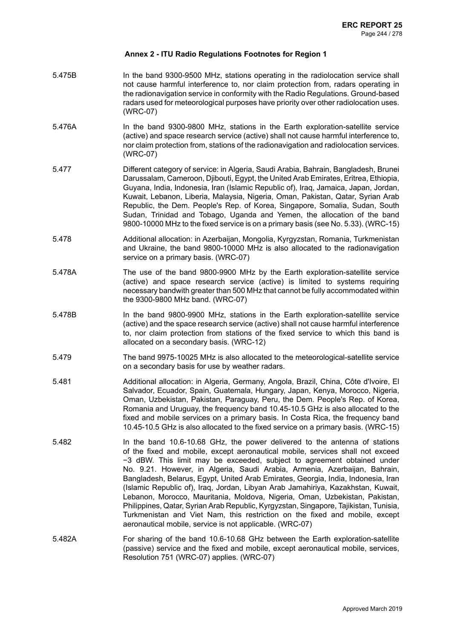- 5.475B In the band 9300-9500 MHz, stations operating in the radiolocation service shall not cause harmful interference to, nor claim protection from, radars operating in the radionavigation service in conformity with the Radio Regulations. Ground-based radars used for meteorological purposes have priority over other radiolocation uses. (WRC-07)
- 5.476A In the band 9300-9800 MHz, stations in the Earth exploration-satellite service (active) and space research service (active) shall not cause harmful interference to, nor claim protection from, stations of the radionavigation and radiolocation services. (WRC-07)
- 5.477 Different category of service: in Algeria, Saudi Arabia, Bahrain, Bangladesh, Brunei Darussalam, Cameroon, Djibouti, Egypt, the United Arab Emirates, Eritrea, Ethiopia, Guyana, India, Indonesia, Iran (Islamic Republic of), Iraq, Jamaica, Japan, Jordan, Kuwait, Lebanon, Liberia, Malaysia, Nigeria, Oman, Pakistan, Qatar, Syrian Arab Republic, the Dem. People's Rep. of Korea, Singapore, Somalia, Sudan, South Sudan, Trinidad and Tobago, Uganda and Yemen, the allocation of the band 9800-10000 MHz to the fixed service is on a primary basis (see No. 5.33). (WRC-15)
- 5.478 Additional allocation: in Azerbaijan, Mongolia, Kyrgyzstan, Romania, Turkmenistan and Ukraine, the band 9800-10000 MHz is also allocated to the radionavigation service on a primary basis. (WRC-07)
- 5.478A The use of the band 9800-9900 MHz by the Earth exploration-satellite service (active) and space research service (active) is limited to systems requiring necessary bandwith greater than 500 MHz that cannot be fully accommodated within the 9300-9800 MHz band. (WRC-07)
- 5.478B In the band 9800-9900 MHz, stations in the Earth exploration-satellite service (active) and the space research service (active) shall not cause harmful interference to, nor claim protection from stations of the fixed service to which this band is allocated on a secondary basis. (WRC-12)
- 5.479 The band 9975-10025 MHz is also allocated to the meteorological-satellite service on a secondary basis for use by weather radars.
- 5.481 Additional allocation: in Algeria, Germany, Angola, Brazil, China, Côte d'Ivoire, El Salvador, Ecuador, Spain, Guatemala, Hungary, Japan, Kenya, Morocco, Nigeria, Oman, Uzbekistan, Pakistan, Paraguay, Peru, the Dem. People's Rep. of Korea, Romania and Uruguay, the frequency band 10.45-10.5 GHz is also allocated to the fixed and mobile services on a primary basis. In Costa Rica, the frequency band 10.45-10.5 GHz is also allocated to the fixed service on a primary basis. (WRC-15)
- 5.482 In the band 10.6-10.68 GHz, the power delivered to the antenna of stations of the fixed and mobile, except aeronautical mobile, services shall not exceed −3 dBW. This limit may be exceeded, subject to agreement obtained under No. 9.21. However, in Algeria, Saudi Arabia, Armenia, Azerbaijan, Bahrain, Bangladesh, Belarus, Egypt, United Arab Emirates, Georgia, India, Indonesia, Iran (Islamic Republic of), Iraq, Jordan, Libyan Arab Jamahiriya, Kazakhstan, Kuwait, Lebanon, Morocco, Mauritania, Moldova, Nigeria, Oman, Uzbekistan, Pakistan, Philippines, Qatar, Syrian Arab Republic, Kyrgyzstan, Singapore, Tajikistan, Tunisia, Turkmenistan and Viet Nam, this restriction on the fixed and mobile, except aeronautical mobile, service is not applicable. (WRC-07)
- 5.482A For sharing of the band 10.6-10.68 GHz between the Earth exploration-satellite (passive) service and the fixed and mobile, except aeronautical mobile, services, Resolution 751 (WRC-07) applies. (WRC-07)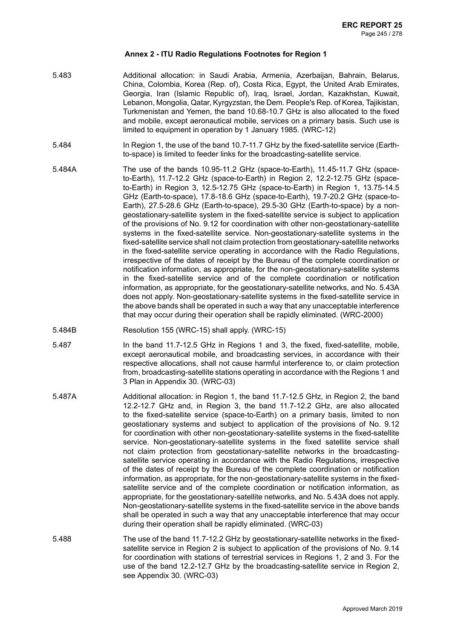- 5.483 Additional allocation: in Saudi Arabia, Armenia, Azerbaijan, Bahrain, Belarus, China, Colombia, Korea (Rep. of), Costa Rica, Egypt, the United Arab Emirates, Georgia, Iran (Islamic Republic of), Iraq, Israel, Jordan, Kazakhstan, Kuwait, Lebanon, Mongolia, Qatar, Kyrgyzstan, the Dem. People's Rep. of Korea, Tajikistan, Turkmenistan and Yemen, the band 10.68-10.7 GHz is also allocated to the fixed and mobile, except aeronautical mobile, services on a primary basis. Such use is limited to equipment in operation by 1 January 1985. (WRC-12)
- 5.484 In Region 1, the use of the band 10.7-11.7 GHz by the fixed-satellite service (Earthto-space) is limited to feeder links for the broadcasting-satellite service.
- 5.484A The use of the bands 10.95-11.2 GHz (space-to-Earth), 11.45-11.7 GHz (spaceto-Earth), 11.7-12.2 GHz (space-to-Earth) in Region 2, 12.2-12.75 GHz (spaceto-Earth) in Region 3, 12.5-12.75 GHz (space-to-Earth) in Region 1, 13.75-14.5 GHz (Earth-to-space), 17.8-18.6 GHz (space-to-Earth), 19.7-20.2 GHz (space-to-Earth), 27.5-28.6 GHz (Earth-to-space), 29.5-30 GHz (Earth-to-space) by a nongeostationary-satellite system in the fixed-satellite service is subject to application of the provisions of No. 9.12 for coordination with other non-geostationary-satellite systems in the fixed-satellite service. Non-geostationary-satellite systems in the fixed-satellite service shall not claim protection from geostationary-satellite networks in the fixed-satellite service operating in accordance with the Radio Regulations, irrespective of the dates of receipt by the Bureau of the complete coordination or notification information, as appropriate, for the non-geostationary-satellite systems in the fixed-satellite service and of the complete coordination or notification information, as appropriate, for the geostationary-satellite networks, and No. 5.43A does not apply. Non-geostationary-satellite systems in the fixed-satellite service in the above bands shall be operated in such a way that any unacceptable interference that may occur during their operation shall be rapidly eliminated. (WRC-2000)
- 5.484B Resolution 155 (WRC-15) shall apply. (WRC-15)
- 5.487 In the band 11.7-12.5 GHz in Regions 1 and 3, the fixed, fixed-satellite, mobile, except aeronautical mobile, and broadcasting services, in accordance with their respective allocations, shall not cause harmful interference to, or claim protection from, broadcasting-satellite stations operating in accordance with the Regions 1 and 3 Plan in Appendix 30. (WRC-03)
- 5.487A Additional allocation: in Region 1, the band 11.7-12.5 GHz, in Region 2, the band 12.2-12.7 GHz and, in Region 3, the band 11.7-12.2 GHz, are also allocated to the fixed-satellite service (space-to-Earth) on a primary basis, limited to non geostationary systems and subject to application of the provisions of No. 9.12 for coordination with other non-geostationary-satellite systems in the fixed-satellite service. Non-geostationary-satellite systems in the fixed satellite service shall not claim protection from geostationary-satellite networks in the broadcastingsatellite service operating in accordance with the Radio Regulations, irrespective of the dates of receipt by the Bureau of the complete coordination or notification information, as appropriate, for the non-geostationary-satellite systems in the fixedsatellite service and of the complete coordination or notification information, as appropriate, for the geostationary-satellite networks, and No. 5.43A does not apply. Non-geostationary-satellite systems in the fixed-satellite service in the above bands shall be operated in such a way that any unacceptable interference that may occur during their operation shall be rapidly eliminated. (WRC-03)
- 5.488 The use of the band 11.7-12.2 GHz by geostationary-satellite networks in the fixedsatellite service in Region 2 is subject to application of the provisions of No. 9.14 for coordination with stations of terrestrial services in Regions 1, 2 and 3. For the use of the band 12.2-12.7 GHz by the broadcasting-satellite service in Region 2, see Appendix 30. (WRC-03)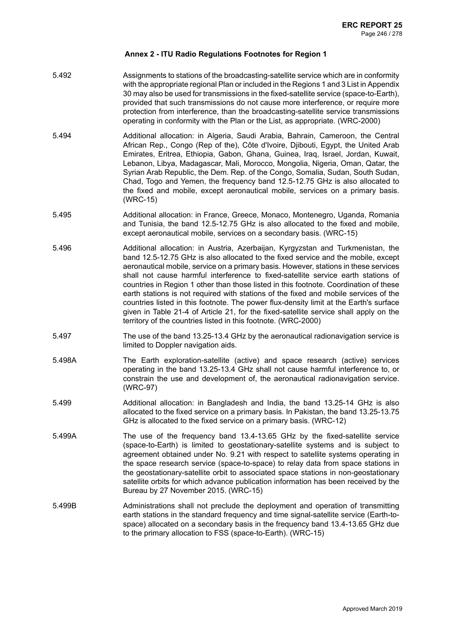- 5.492 Assignments to stations of the broadcasting-satellite service which are in conformity with the appropriate regional Plan or included in the Regions 1 and 3 List in Appendix 30 may also be used for transmissions in the fixed-satellite service (space-to-Earth), provided that such transmissions do not cause more interference, or require more protection from interference, than the broadcasting-satellite service transmissions operating in conformity with the Plan or the List, as appropriate. (WRC-2000)
- 5.494 Additional allocation: in Algeria, Saudi Arabia, Bahrain, Cameroon, the Central African Rep., Congo (Rep of the), Côte d'Ivoire, Djibouti, Egypt, the United Arab Emirates, Eritrea, Ethiopia, Gabon, Ghana, Guinea, Iraq, Israel, Jordan, Kuwait, Lebanon, Libya, Madagascar, Mali, Morocco, Mongolia, Nigeria, Oman, Qatar, the Syrian Arab Republic, the Dem. Rep. of the Congo, Somalia, Sudan, South Sudan, Chad, Togo and Yemen, the frequency band 12.5-12.75 GHz is also allocated to the fixed and mobile, except aeronautical mobile, services on a primary basis. (WRC-15)
- 5.495 Additional allocation: in France, Greece, Monaco, Montenegro, Uganda, Romania and Tunisia, the band 12.5-12.75 GHz is also allocated to the fixed and mobile, except aeronautical mobile, services on a secondary basis. (WRC-15)
- 5.496 Additional allocation: in Austria, Azerbaijan, Kyrgyzstan and Turkmenistan, the band 12.5-12.75 GHz is also allocated to the fixed service and the mobile, except aeronautical mobile, service on a primary basis. However, stations in these services shall not cause harmful interference to fixed-satellite service earth stations of countries in Region 1 other than those listed in this footnote. Coordination of these earth stations is not required with stations of the fixed and mobile services of the countries listed in this footnote. The power flux-density limit at the Earth's surface given in Table 21-4 of Article 21, for the fixed-satellite service shall apply on the territory of the countries listed in this footnote. (WRC-2000)
- 5.497 The use of the band 13.25-13.4 GHz by the aeronautical radionavigation service is limited to Doppler navigation aids.
- 5.498A The Earth exploration-satellite (active) and space research (active) services operating in the band 13.25-13.4 GHz shall not cause harmful interference to, or constrain the use and development of, the aeronautical radionavigation service. (WRC-97)
- 5.499 Additional allocation: in Bangladesh and India, the band 13.25-14 GHz is also allocated to the fixed service on a primary basis. In Pakistan, the band 13.25-13.75 GHz is allocated to the fixed service on a primary basis. (WRC-12)
- 5.499A The use of the frequency band 13.4-13.65 GHz by the fixed-satellite service (space-to-Earth) is limited to geostationary-satellite systems and is subject to agreement obtained under No. 9.21 with respect to satellite systems operating in the space research service (space-to-space) to relay data from space stations in the geostationary-satellite orbit to associated space stations in non-geostationary satellite orbits for which advance publication information has been received by the Bureau by 27 November 2015. (WRC-15)
- 5.499B Administrations shall not preclude the deployment and operation of transmitting earth stations in the standard frequency and time signal-satellite service (Earth-tospace) allocated on a secondary basis in the frequency band 13.4-13.65 GHz due to the primary allocation to FSS (space-to-Earth). (WRC-15)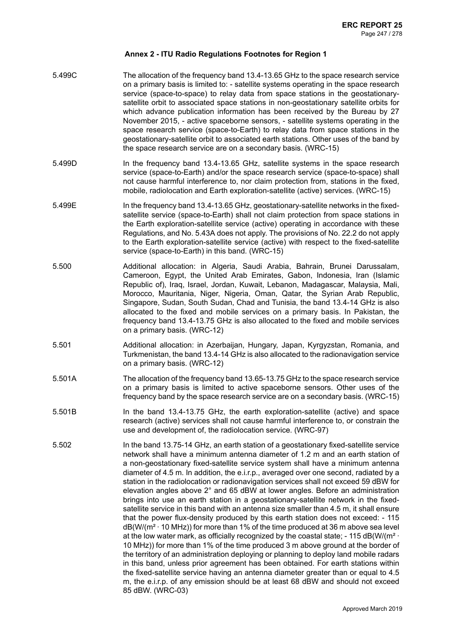| 5.499C | The allocation of the frequency band 13.4-13.65 GHz to the space research service<br>on a primary basis is limited to: - satellite systems operating in the space research<br>service (space-to-space) to relay data from space stations in the geostationary-<br>satellite orbit to associated space stations in non-geostationary satellite orbits for<br>which advance publication information has been received by the Bureau by 27<br>November 2015, - active spaceborne sensors, - satellite systems operating in the<br>space research service (space-to-Earth) to relay data from space stations in the<br>geostationary-satellite orbit to associated earth stations. Other uses of the band by<br>the space research service are on a secondary basis. (WRC-15)                                                                                                                                                                                                                                                                                                                                                                                                                                                                                                                                                                                                                                                                                                             |
|--------|---------------------------------------------------------------------------------------------------------------------------------------------------------------------------------------------------------------------------------------------------------------------------------------------------------------------------------------------------------------------------------------------------------------------------------------------------------------------------------------------------------------------------------------------------------------------------------------------------------------------------------------------------------------------------------------------------------------------------------------------------------------------------------------------------------------------------------------------------------------------------------------------------------------------------------------------------------------------------------------------------------------------------------------------------------------------------------------------------------------------------------------------------------------------------------------------------------------------------------------------------------------------------------------------------------------------------------------------------------------------------------------------------------------------------------------------------------------------------------------|
| 5.499D | In the frequency band 13.4-13.65 GHz, satellite systems in the space research<br>service (space-to-Earth) and/or the space research service (space-to-space) shall<br>not cause harmful interference to, nor claim protection from, stations in the fixed,<br>mobile, radiolocation and Earth exploration-satellite (active) services. (WRC-15)                                                                                                                                                                                                                                                                                                                                                                                                                                                                                                                                                                                                                                                                                                                                                                                                                                                                                                                                                                                                                                                                                                                                       |
| 5.499E | In the frequency band 13.4-13.65 GHz, geostationary-satellite networks in the fixed-<br>satellite service (space-to-Earth) shall not claim protection from space stations in<br>the Earth exploration-satellite service (active) operating in accordance with these<br>Regulations, and No. 5.43A does not apply. The provisions of No. 22.2 do not apply<br>to the Earth exploration-satellite service (active) with respect to the fixed-satellite<br>service (space-to-Earth) in this band. (WRC-15)                                                                                                                                                                                                                                                                                                                                                                                                                                                                                                                                                                                                                                                                                                                                                                                                                                                                                                                                                                               |
| 5.500  | Additional allocation: in Algeria, Saudi Arabia, Bahrain, Brunei Darussalam,<br>Cameroon, Egypt, the United Arab Emirates, Gabon, Indonesia, Iran (Islamic<br>Republic of), Iraq, Israel, Jordan, Kuwait, Lebanon, Madagascar, Malaysia, Mali,<br>Morocco, Mauritania, Niger, Nigeria, Oman, Qatar, the Syrian Arab Republic,<br>Singapore, Sudan, South Sudan, Chad and Tunisia, the band 13.4-14 GHz is also<br>allocated to the fixed and mobile services on a primary basis. In Pakistan, the<br>frequency band 13.4-13.75 GHz is also allocated to the fixed and mobile services<br>on a primary basis. (WRC-12)                                                                                                                                                                                                                                                                                                                                                                                                                                                                                                                                                                                                                                                                                                                                                                                                                                                                 |
| 5.501  | Additional allocation: in Azerbaijan, Hungary, Japan, Kyrgyzstan, Romania, and<br>Turkmenistan, the band 13.4-14 GHz is also allocated to the radionavigation service<br>on a primary basis. (WRC-12)                                                                                                                                                                                                                                                                                                                                                                                                                                                                                                                                                                                                                                                                                                                                                                                                                                                                                                                                                                                                                                                                                                                                                                                                                                                                                 |
| 5.501A | The allocation of the frequency band 13.65-13.75 GHz to the space research service<br>on a primary basis is limited to active spaceborne sensors. Other uses of the<br>frequency band by the space research service are on a secondary basis. (WRC-15)                                                                                                                                                                                                                                                                                                                                                                                                                                                                                                                                                                                                                                                                                                                                                                                                                                                                                                                                                                                                                                                                                                                                                                                                                                |
| 5.501B | In the band 13.4-13.75 GHz, the earth exploration-satellite (active) and space<br>research (active) services shall not cause harmful interference to, or constrain the<br>use and development of, the radiolocation service. (WRC-97)                                                                                                                                                                                                                                                                                                                                                                                                                                                                                                                                                                                                                                                                                                                                                                                                                                                                                                                                                                                                                                                                                                                                                                                                                                                 |
| 5.502  | In the band 13.75-14 GHz, an earth station of a geostationary fixed-satellite service<br>network shall have a minimum antenna diameter of 1.2 m and an earth station of<br>a non-geostationary fixed-satellite service system shall have a minimum antenna<br>diameter of 4.5 m. In addition, the e.i.r.p., averaged over one second, radiated by a<br>station in the radiolocation or radionavigation services shall not exceed 59 dBW for<br>elevation angles above 2° and 65 dBW at lower angles. Before an administration<br>brings into use an earth station in a geostationary-satellite network in the fixed-<br>satellite service in this band with an antenna size smaller than 4.5 m, it shall ensure<br>that the power flux-density produced by this earth station does not exceed: - 115<br>$dB(W/(m^2 \cdot 10 \text{ MHz}))$ for more than 1% of the time produced at 36 m above sea level<br>at the low water mark, as officially recognized by the coastal state; $-115$ dB(W/(m <sup>2</sup> $\cdot$<br>10 MHz)) for more than 1% of the time produced 3 m above ground at the border of<br>the territory of an administration deploying or planning to deploy land mobile radars<br>in this band, unless prior agreement has been obtained. For earth stations within<br>the fixed-satellite service having an antenna diameter greater than or equal to 4.5<br>m, the e.i.r.p. of any emission should be at least 68 dBW and should not exceed<br>85 dBW. (WRC-03) |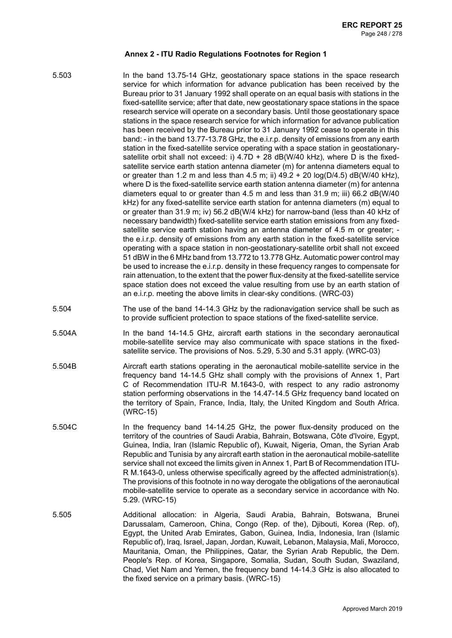- 5.503 In the band 13.75-14 GHz, geostationary space stations in the space research service for which information for advance publication has been received by the Bureau prior to 31 January 1992 shall operate on an equal basis with stations in the fixed-satellite service; after that date, new geostationary space stations in the space research service will operate on a secondary basis. Until those geostationary space stations in the space research service for which information for advance publication has been received by the Bureau prior to 31 January 1992 cease to operate in this band: - in the band 13.77-13.78 GHz, the e.i.r.p. density of emissions from any earth station in the fixed-satellite service operating with a space station in geostationarysatellite orbit shall not exceed: i)  $4.7D + 28$  dB(W/40 kHz), where D is the fixedsatellite service earth station antenna diameter (m) for antenna diameters equal to or greater than 1.2 m and less than 4.5 m; ii)  $49.2 + 20 \log(D/4.5)$  dB(W/40 kHz), where D is the fixed-satellite service earth station antenna diameter (m) for antenna diameters equal to or greater than 4.5 m and less than 31.9 m; iii) 66.2 dB(W/40 kHz) for any fixed-satellite service earth station for antenna diameters (m) equal to or greater than 31.9 m; iv) 56.2 dB(W/4 kHz) for narrow-band (less than 40 kHz of necessary bandwidth) fixed-satellite service earth station emissions from any fixedsatellite service earth station having an antenna diameter of 4.5 m or greater; the e.i.r.p. density of emissions from any earth station in the fixed-satellite service operating with a space station in non-geostationary-satellite orbit shall not exceed 51 dBW in the 6 MHz band from 13.772 to 13.778 GHz. Automatic power control may be used to increase the e.i.r.p. density in these frequency ranges to compensate for rain attenuation, to the extent that the power flux-density at the fixed-satellite service space station does not exceed the value resulting from use by an earth station of an e.i.r.p. meeting the above limits in clear-sky conditions. (WRC-03)
	- 5.504 The use of the band 14-14.3 GHz by the radionavigation service shall be such as to provide sufficient protection to space stations of the fixed-satellite service.
	- 5.504A In the band 14-14.5 GHz, aircraft earth stations in the secondary aeronautical mobile-satellite service may also communicate with space stations in the fixedsatellite service. The provisions of Nos. 5.29, 5.30 and 5.31 apply. (WRC-03)
	- 5.504B Aircraft earth stations operating in the aeronautical mobile-satellite service in the frequency band 14-14.5 GHz shall comply with the provisions of Annex 1, Part C of Recommendation ITU-R M.1643-0, with respect to any radio astronomy station performing observations in the 14.47-14.5 GHz frequency band located on the territory of Spain, France, India, Italy, the United Kingdom and South Africa. (WRC-15)
	- 5.504C In the frequency band 14-14.25 GHz, the power flux-density produced on the territory of the countries of Saudi Arabia, Bahrain, Botswana, Côte d'Ivoire, Egypt, Guinea, India, Iran (Islamic Republic of), Kuwait, Nigeria, Oman, the Syrian Arab Republic and Tunisia by any aircraft earth station in the aeronautical mobile-satellite service shall not exceed the limits given in Annex 1, Part B of Recommendation ITU-R M.1643-0, unless otherwise specifically agreed by the affected administration(s). The provisions of this footnote in no way derogate the obligations of the aeronautical mobile-satellite service to operate as a secondary service in accordance with No. 5.29. (WRC-15)
	- 5.505 Additional allocation: in Algeria, Saudi Arabia, Bahrain, Botswana, Brunei Darussalam, Cameroon, China, Congo (Rep. of the), Djibouti, Korea (Rep. of), Egypt, the United Arab Emirates, Gabon, Guinea, India, Indonesia, Iran (Islamic Republic of), Iraq, Israel, Japan, Jordan, Kuwait, Lebanon, Malaysia, Mali, Morocco, Mauritania, Oman, the Philippines, Qatar, the Syrian Arab Republic, the Dem. People's Rep. of Korea, Singapore, Somalia, Sudan, South Sudan, Swaziland, Chad, Viet Nam and Yemen, the frequency band 14-14.3 GHz is also allocated to the fixed service on a primary basis. (WRC-15)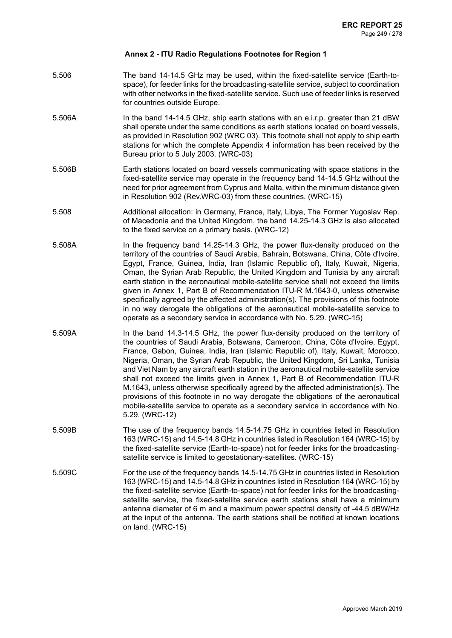- 5.506 The band 14-14.5 GHz may be used, within the fixed-satellite service (Earth-tospace), for feeder links for the broadcasting-satellite service, subject to coordination with other networks in the fixed-satellite service. Such use of feeder links is reserved for countries outside Europe.
- 5.506A In the band 14-14.5 GHz, ship earth stations with an e.i.r.p. greater than 21 dBW shall operate under the same conditions as earth stations located on board vessels, as provided in Resolution 902 (WRC 03). This footnote shall not apply to ship earth stations for which the complete Appendix 4 information has been received by the Bureau prior to 5 July 2003. (WRC-03)
- 5.506B Earth stations located on board vessels communicating with space stations in the fixed-satellite service may operate in the frequency band 14-14.5 GHz without the need for prior agreement from Cyprus and Malta, within the minimum distance given in Resolution 902 (Rev.WRC-03) from these countries. (WRC-15)
- 5.508 Additional allocation: in Germany, France, Italy, Libya, The Former Yugoslav Rep. of Macedonia and the United Kingdom, the band 14.25-14.3 GHz is also allocated to the fixed service on a primary basis. (WRC-12)
- 5.508A In the frequency band 14.25-14.3 GHz, the power flux-density produced on the territory of the countries of Saudi Arabia, Bahrain, Botswana, China, Côte d'Ivoire, Egypt, France, Guinea, India, Iran (Islamic Republic of), Italy, Kuwait, Nigeria, Oman, the Syrian Arab Republic, the United Kingdom and Tunisia by any aircraft earth station in the aeronautical mobile-satellite service shall not exceed the limits given in Annex 1, Part B of Recommendation ITU-R M.1643-0, unless otherwise specifically agreed by the affected administration(s). The provisions of this footnote in no way derogate the obligations of the aeronautical mobile-satellite service to operate as a secondary service in accordance with No. 5.29. (WRC-15)
- 5.509A In the band 14.3-14.5 GHz, the power flux-density produced on the territory of the countries of Saudi Arabia, Botswana, Cameroon, China, Côte d'Ivoire, Egypt, France, Gabon, Guinea, India, Iran (Islamic Republic of), Italy, Kuwait, Morocco, Nigeria, Oman, the Syrian Arab Republic, the United Kingdom, Sri Lanka, Tunisia and Viet Nam by any aircraft earth station in the aeronautical mobile-satellite service shall not exceed the limits given in Annex 1, Part B of Recommendation ITU-R M.1643, unless otherwise specifically agreed by the affected administration(s). The provisions of this footnote in no way derogate the obligations of the aeronautical mobile-satellite service to operate as a secondary service in accordance with No. 5.29. (WRC-12)
- 5.509B The use of the frequency bands 14.5-14.75 GHz in countries listed in Resolution 163 (WRC-15) and 14.5-14.8 GHz in countries listed in Resolution 164 (WRC-15) by the fixed-satellite service (Earth-to-space) not for feeder links for the broadcastingsatellite service is limited to geostationary-satellites. (WRC-15)
- 5.509C For the use of the frequency bands 14.5-14.75 GHz in countries listed in Resolution 163 (WRC-15) and 14.5-14.8 GHz in countries listed in Resolution 164 (WRC-15) by the fixed-satellite service (Earth-to-space) not for feeder links for the broadcastingsatellite service, the fixed-satellite service earth stations shall have a minimum antenna diameter of 6 m and a maximum power spectral density of -44.5 dBW/Hz at the input of the antenna. The earth stations shall be notified at known locations on land. (WRC-15)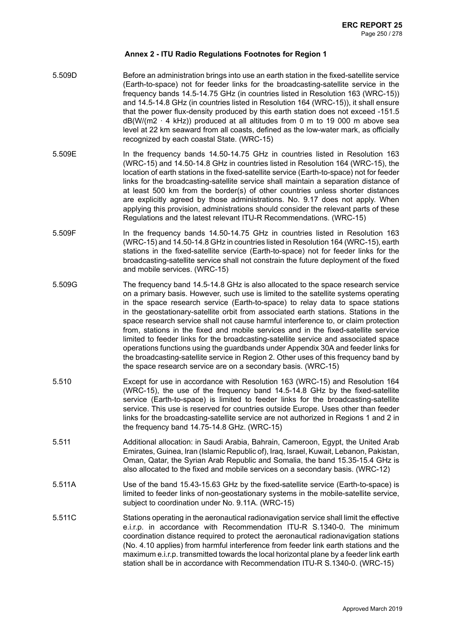- 5.509D Before an administration brings into use an earth station in the fixed-satellite service (Earth-to-space) not for feeder links for the broadcasting-satellite service in the frequency bands 14.5-14.75 GHz (in countries listed in Resolution 163 (WRC-15)) and 14.5-14.8 GHz (in countries listed in Resolution 164 (WRC-15)), it shall ensure that the power flux-density produced by this earth station does not exceed -151.5  $dB(W/(m2 \cdot 4 \text{ kHz}))$  produced at all altitudes from 0 m to 19 000 m above sea level at 22 km seaward from all coasts, defined as the low-water mark, as officially recognized by each coastal State. (WRC-15)
- 5.509E In the frequency bands 14.50-14.75 GHz in countries listed in Resolution 163 (WRC-15) and 14.50-14.8 GHz in countries listed in Resolution 164 (WRC-15), the location of earth stations in the fixed-satellite service (Earth-to-space) not for feeder links for the broadcasting-satellite service shall maintain a separation distance of at least 500 km from the border(s) of other countries unless shorter distances are explicitly agreed by those administrations. No. 9.17 does not apply. When applying this provision, administrations should consider the relevant parts of these Regulations and the latest relevant ITU-R Recommendations. (WRC-15)
- 5.509F In the frequency bands 14.50-14.75 GHz in countries listed in Resolution 163 (WRC-15) and 14.50-14.8 GHz in countries listed in Resolution 164 (WRC-15), earth stations in the fixed-satellite service (Earth-to-space) not for feeder links for the broadcasting-satellite service shall not constrain the future deployment of the fixed and mobile services. (WRC-15)
- 5.509G The frequency band 14.5-14.8 GHz is also allocated to the space research service on a primary basis. However, such use is limited to the satellite systems operating in the space research service (Earth-to-space) to relay data to space stations in the geostationary-satellite orbit from associated earth stations. Stations in the space research service shall not cause harmful interference to, or claim protection from, stations in the fixed and mobile services and in the fixed-satellite service limited to feeder links for the broadcasting-satellite service and associated space operations functions using the guardbands under Appendix 30A and feeder links for the broadcasting-satellite service in Region 2. Other uses of this frequency band by the space research service are on a secondary basis. (WRC-15)
- 5.510 Except for use in accordance with Resolution 163 (WRC-15) and Resolution 164 (WRC-15), the use of the frequency band 14.5-14.8 GHz by the fixed-satellite service (Earth-to-space) is limited to feeder links for the broadcasting-satellite service. This use is reserved for countries outside Europe. Uses other than feeder links for the broadcasting-satellite service are not authorized in Regions 1 and 2 in the frequency band 14.75-14.8 GHz. (WRC-15)
- 5.511 Additional allocation: in Saudi Arabia, Bahrain, Cameroon, Egypt, the United Arab Emirates, Guinea, Iran (Islamic Republic of), Iraq, Israel, Kuwait, Lebanon, Pakistan, Oman, Qatar, the Syrian Arab Republic and Somalia, the band 15.35-15.4 GHz is also allocated to the fixed and mobile services on a secondary basis. (WRC-12)
- 5.511A Use of the band 15.43-15.63 GHz by the fixed-satellite service (Earth-to-space) is limited to feeder links of non-geostationary systems in the mobile-satellite service, subject to coordination under No. 9.11A. (WRC-15)
- 5.511C Stations operating in the aeronautical radionavigation service shall limit the effective e.i.r.p. in accordance with Recommendation ITU-R S.1340-0. The minimum coordination distance required to protect the aeronautical radionavigation stations (No. 4.10 applies) from harmful interference from feeder link earth stations and the maximum e.i.r.p. transmitted towards the local horizontal plane by a feeder link earth station shall be in accordance with Recommendation ITU-R S.1340-0. (WRC-15)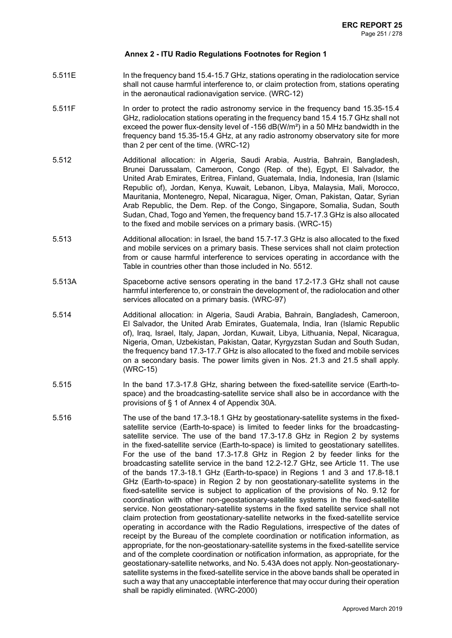- 5.511E In the frequency band 15.4-15.7 GHz, stations operating in the radiolocation service shall not cause harmful interference to, or claim protection from, stations operating in the aeronautical radionavigation service. (WRC-12)
- 5.511F In order to protect the radio astronomy service in the frequency band 15.35-15.4 GHz, radiolocation stations operating in the frequency band 15.4 15.7 GHz shall not exceed the power flux-density level of -156 dB(W/m²) in a 50 MHz bandwidth in the frequency band 15.35-15.4 GHz, at any radio astronomy observatory site for more than 2 per cent of the time. (WRC-12)
- 5.512 Additional allocation: in Algeria, Saudi Arabia, Austria, Bahrain, Bangladesh, Brunei Darussalam, Cameroon, Congo (Rep. of the), Egypt, El Salvador, the United Arab Emirates, Eritrea, Finland, Guatemala, India, Indonesia, Iran (Islamic Republic of), Jordan, Kenya, Kuwait, Lebanon, Libya, Malaysia, Mali, Morocco, Mauritania, Montenegro, Nepal, Nicaragua, Niger, Oman, Pakistan, Qatar, Syrian Arab Republic, the Dem. Rep. of the Congo, Singapore, Somalia, Sudan, South Sudan, Chad, Togo and Yemen, the frequency band 15.7-17.3 GHz is also allocated to the fixed and mobile services on a primary basis. (WRC-15)
- 5.513 Additional allocation: in Israel, the band 15.7-17.3 GHz is also allocated to the fixed and mobile services on a primary basis. These services shall not claim protection from or cause harmful interference to services operating in accordance with the Table in countries other than those included in No. 5512.
- 5.513A Spaceborne active sensors operating in the band 17.2-17.3 GHz shall not cause harmful interference to, or constrain the development of, the radiolocation and other services allocated on a primary basis. (WRC-97)
- 5.514 Additional allocation: in Algeria, Saudi Arabia, Bahrain, Bangladesh, Cameroon, El Salvador, the United Arab Emirates, Guatemala, India, Iran (Islamic Republic of), Iraq, Israel, Italy, Japan, Jordan, Kuwait, Libya, Lithuania, Nepal, Nicaragua, Nigeria, Oman, Uzbekistan, Pakistan, Qatar, Kyrgyzstan Sudan and South Sudan, the frequency band 17.3-17.7 GHz is also allocated to the fixed and mobile services on a secondary basis. The power limits given in Nos. 21.3 and 21.5 shall apply. (WRC-15)
- 5.515 In the band 17.3-17.8 GHz, sharing between the fixed-satellite service (Earth-tospace) and the broadcasting-satellite service shall also be in accordance with the provisions of § 1 of Annex 4 of Appendix 30A.
- 5.516 The use of the band 17.3-18.1 GHz by geostationary-satellite systems in the fixedsatellite service (Earth-to-space) is limited to feeder links for the broadcastingsatellite service. The use of the band 17.3-17.8 GHz in Region 2 by systems in the fixed-satellite service (Earth-to-space) is limited to geostationary satellites. For the use of the band 17.3-17.8 GHz in Region 2 by feeder links for the broadcasting satellite service in the band 12.2-12.7 GHz, see Article 11. The use of the bands 17.3-18.1 GHz (Earth-to-space) in Regions 1 and 3 and 17.8-18.1 GHz (Earth-to-space) in Region 2 by non geostationary-satellite systems in the fixed-satellite service is subject to application of the provisions of No. 9.12 for coordination with other non-geostationary-satellite systems in the fixed-satellite service. Non geostationary-satellite systems in the fixed satellite service shall not claim protection from geostationary-satellite networks in the fixed-satellite service operating in accordance with the Radio Regulations, irrespective of the dates of receipt by the Bureau of the complete coordination or notification information, as appropriate, for the non-geostationary-satellite systems in the fixed-satellite service and of the complete coordination or notification information, as appropriate, for the geostationary-satellite networks, and No. 5.43A does not apply. Non-geostationarysatellite systems in the fixed-satellite service in the above bands shall be operated in such a way that any unacceptable interference that may occur during their operation shall be rapidly eliminated. (WRC-2000)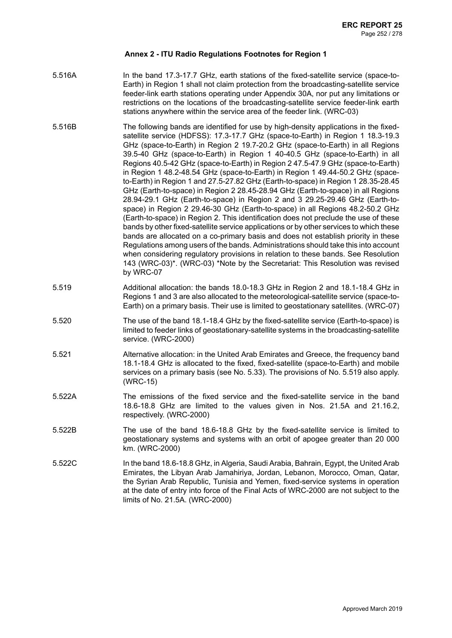- 5.516A In the band 17.3-17.7 GHz, earth stations of the fixed-satellite service (space-to-Earth) in Region 1 shall not claim protection from the broadcasting-satellite service feeder-link earth stations operating under Appendix 30A, nor put any limitations or restrictions on the locations of the broadcasting-satellite service feeder-link earth stations anywhere within the service area of the feeder link. (WRC-03)
- 5.516B The following bands are identified for use by high-density applications in the fixedsatellite service (HDFSS): 17.3-17.7 GHz (space-to-Earth) in Region 1 18.3-19.3 GHz (space-to-Earth) in Region 2 19.7-20.2 GHz (space-to-Earth) in all Regions 39.5-40 GHz (space-to-Earth) in Region 1 40-40.5 GHz (space-to-Earth) in all Regions 40.5-42 GHz (space-to-Earth) in Region 2 47.5-47.9 GHz (space-to-Earth) in Region 1 48.2-48.54 GHz (space-to-Earth) in Region 1 49.44-50.2 GHz (spaceto-Earth) in Region 1 and 27.5-27.82 GHz (Earth-to-space) in Region 1 28.35-28.45 GHz (Earth-to-space) in Region 2 28.45-28.94 GHz (Earth-to-space) in all Regions 28.94-29.1 GHz (Earth-to-space) in Region 2 and 3 29.25-29.46 GHz (Earth-tospace) in Region 2 29.46-30 GHz (Earth-to-space) in all Regions 48.2-50.2 GHz (Earth-to-space) in Region 2. This identification does not preclude the use of these bands by other fixed-satellite service applications or by other services to which these bands are allocated on a co-primary basis and does not establish priority in these Regulations among users of the bands. Administrations should take this into account when considering regulatory provisions in relation to these bands. See Resolution 143 (WRC-03)\*. (WRC-03) \*Note by the Secretariat: This Resolution was revised by WRC-07
- 5.519 Additional allocation: the bands 18.0-18.3 GHz in Region 2 and 18.1-18.4 GHz in Regions 1 and 3 are also allocated to the meteorological-satellite service (space-to-Earth) on a primary basis. Their use is limited to geostationary satellites. (WRC-07)
- 5.520 The use of the band 18.1-18.4 GHz by the fixed-satellite service (Earth-to-space) is limited to feeder links of geostationary-satellite systems in the broadcasting-satellite service. (WRC-2000)
- 5.521 Alternative allocation: in the United Arab Emirates and Greece, the frequency band 18.1-18.4 GHz is allocated to the fixed, fixed-satellite (space-to-Earth) and mobile services on a primary basis (see No. 5.33). The provisions of No. 5.519 also apply. (WRC-15)
- 5.522A The emissions of the fixed service and the fixed-satellite service in the band 18.6-18.8 GHz are limited to the values given in Nos. 21.5A and 21.16.2, respectively. (WRC-2000)
- 5.522B The use of the band 18.6-18.8 GHz by the fixed-satellite service is limited to geostationary systems and systems with an orbit of apogee greater than 20 000 km. (WRC-2000)
- 5.522C In the band 18.6-18.8 GHz, in Algeria, Saudi Arabia, Bahrain, Egypt, the United Arab Emirates, the Libyan Arab Jamahiriya, Jordan, Lebanon, Morocco, Oman, Qatar, the Syrian Arab Republic, Tunisia and Yemen, fixed-service systems in operation at the date of entry into force of the Final Acts of WRC-2000 are not subject to the limits of No. 21.5A. (WRC-2000)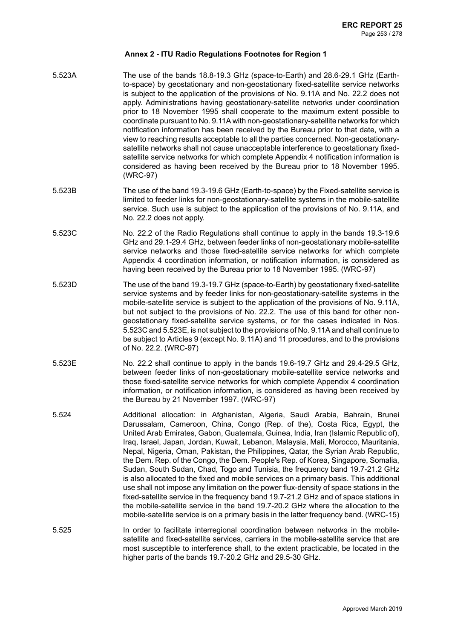- 5.523A The use of the bands 18.8-19.3 GHz (space-to-Earth) and 28.6-29.1 GHz (Earthto-space) by geostationary and non-geostationary fixed-satellite service networks is subject to the application of the provisions of No. 9.11A and No. 22.2 does not apply. Administrations having geostationary-satellite networks under coordination prior to 18 November 1995 shall cooperate to the maximum extent possible to coordinate pursuant to No.9.11A with non-geostationary-satellite networks for which notification information has been received by the Bureau prior to that date, with a view to reaching results acceptable to all the parties concerned. Non-geostationarysatellite networks shall not cause unacceptable interference to geostationary fixedsatellite service networks for which complete Appendix 4 notification information is considered as having been received by the Bureau prior to 18 November 1995. (WRC-97)
- 5.523B The use of the band 19.3-19.6 GHz (Earth-to-space) by the Fixed-satellite service is limited to feeder links for non-geostationary-satellite systems in the mobile-satellite service. Such use is subject to the application of the provisions of No. 9.11A, and No. 22.2 does not apply.
- 5.523C No. 22.2 of the Radio Regulations shall continue to apply in the bands 19.3-19.6 GHz and 29.1-29.4 GHz, between feeder links of non-geostationary mobile-satellite service networks and those fixed-satellite service networks for which complete Appendix 4 coordination information, or notification information, is considered as having been received by the Bureau prior to 18 November 1995. (WRC-97)
- 5.523D The use of the band 19.3-19.7 GHz (space-to-Earth) by geostationary fixed-satellite service systems and by feeder links for non-geostationary-satellite systems in the mobile-satellite service is subject to the application of the provisions of No. 9.11A, but not subject to the provisions of No. 22.2. The use of this band for other nongeostationary fixed-satellite service systems, or for the cases indicated in Nos. 5.523C and 5.523E, is not subject to the provisions of No. 9.11A and shall continue to be subject to Articles 9 (except No. 9.11A) and 11 procedures, and to the provisions of No. 22.2. (WRC-97)
- 5.523E No. 22.2 shall continue to apply in the bands 19.6-19.7 GHz and 29.4-29.5 GHz, between feeder links of non-geostationary mobile-satellite service networks and those fixed-satellite service networks for which complete Appendix 4 coordination information, or notification information, is considered as having been received by the Bureau by 21 November 1997. (WRC-97)
- 5.524 Additional allocation: in Afghanistan, Algeria, Saudi Arabia, Bahrain, Brunei Darussalam, Cameroon, China, Congo (Rep. of the), Costa Rica, Egypt, the United Arab Emirates, Gabon, Guatemala, Guinea, India, Iran (Islamic Republic of), Iraq, Israel, Japan, Jordan, Kuwait, Lebanon, Malaysia, Mali, Morocco, Mauritania, Nepal, Nigeria, Oman, Pakistan, the Philippines, Qatar, the Syrian Arab Republic, the Dem. Rep. of the Congo, the Dem. People's Rep. of Korea, Singapore, Somalia, Sudan, South Sudan, Chad, Togo and Tunisia, the frequency band 19.7-21.2 GHz is also allocated to the fixed and mobile services on a primary basis. This additional use shall not impose any limitation on the power flux-density of space stations in the fixed-satellite service in the frequency band 19.7-21.2 GHz and of space stations in the mobile-satellite service in the band 19.7-20.2 GHz where the allocation to the mobile-satellite service is on a primary basis in the latter frequency band. (WRC-15)
- 5.525 In order to facilitate interregional coordination between networks in the mobilesatellite and fixed-satellite services, carriers in the mobile-satellite service that are most susceptible to interference shall, to the extent practicable, be located in the higher parts of the bands 19.7-20.2 GHz and 29.5-30 GHz.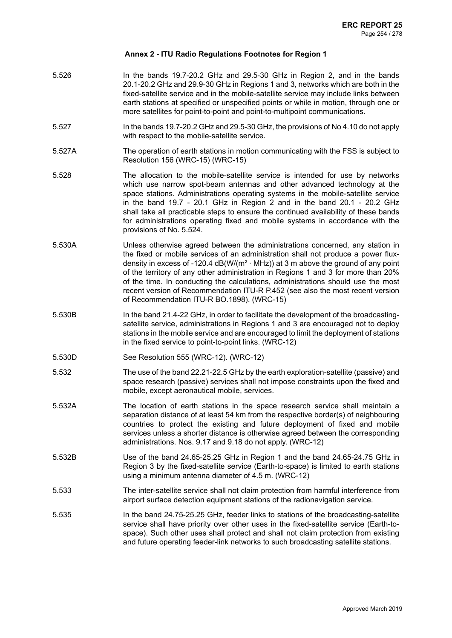- 5.526 In the bands 19.7-20.2 GHz and 29.5-30 GHz in Region 2, and in the bands 20.1-20.2 GHz and 29.9-30 GHz in Regions 1 and 3, networks which are both in the fixed-satellite service and in the mobile-satellite service may include links between earth stations at specified or unspecified points or while in motion, through one or more satellites for point-to-point and point-to-multipoint communications.
- 5.527 In the bands 19.7-20.2 GHz and 29.5-30 GHz, the provisions of No 4.10 do not apply with respect to the mobile-satellite service.
- 5.527A The operation of earth stations in motion communicating with the FSS is subject to Resolution 156 (WRC-15) (WRC-15)
- 5.528 The allocation to the mobile-satellite service is intended for use by networks which use narrow spot-beam antennas and other advanced technology at the space stations. Administrations operating systems in the mobile-satellite service in the band 19.7 - 20.1 GHz in Region 2 and in the band 20.1 - 20.2 GHz shall take all practicable steps to ensure the continued availability of these bands for administrations operating fixed and mobile systems in accordance with the provisions of No. 5.524.
- 5.530A Unless otherwise agreed between the administrations concerned, any station in the fixed or mobile services of an administration shall not produce a power fluxdensity in excess of -120.4  $dB(W/(m^2 \cdot MHz))$  at 3 m above the ground of any point of the territory of any other administration in Regions 1 and 3 for more than 20% of the time. In conducting the calculations, administrations should use the most recent version of Recommendation ITU-R P.452 (see also the most recent version of Recommendation ITU-R BO.1898). (WRC-15)
- 5.530B In the band 21.4-22 GHz, in order to facilitate the development of the broadcastingsatellite service, administrations in Regions 1 and 3 are encouraged not to deploy stations in the mobile service and are encouraged to limit the deployment of stations in the fixed service to point-to-point links. (WRC-12)
- 5.530D See Resolution 555 (WRC-12). (WRC-12)
- 5.532 The use of the band 22.21-22.5 GHz by the earth exploration-satellite (passive) and space research (passive) services shall not impose constraints upon the fixed and mobile, except aeronautical mobile, services.
- 5.532A The location of earth stations in the space research service shall maintain a separation distance of at least 54 km from the respective border(s) of neighbouring countries to protect the existing and future deployment of fixed and mobile services unless a shorter distance is otherwise agreed between the corresponding administrations. Nos. 9.17 and 9.18 do not apply. (WRC-12)
- 5.532B Use of the band 24.65-25.25 GHz in Region 1 and the band 24.65-24.75 GHz in Region 3 by the fixed-satellite service (Earth-to-space) is limited to earth stations using a minimum antenna diameter of 4.5 m. (WRC-12)
- 5.533 The inter-satellite service shall not claim protection from harmful interference from airport surface detection equipment stations of the radionavigation service.
- 5.535 In the band 24.75-25.25 GHz, feeder links to stations of the broadcasting-satellite service shall have priority over other uses in the fixed-satellite service (Earth-tospace). Such other uses shall protect and shall not claim protection from existing and future operating feeder-link networks to such broadcasting satellite stations.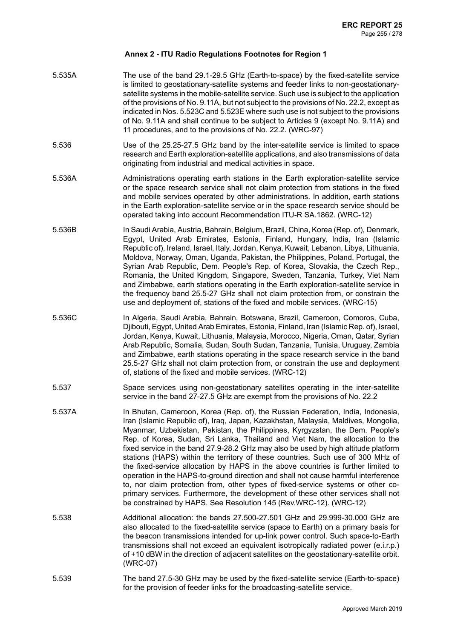| 5.535A | The use of the band 29.1-29.5 GHz (Earth-to-space) by the fixed-satellite service<br>is limited to geostationary-satellite systems and feeder links to non-geostationary-<br>satellite systems in the mobile-satellite service. Such use is subject to the application<br>of the provisions of No. 9.11A, but not subject to the provisions of No. 22.2, except as<br>indicated in Nos. 5.523C and 5.523E where such use is not subject to the provisions<br>of No. 9.11A and shall continue to be subject to Articles 9 (except No. 9.11A) and<br>11 procedures, and to the provisions of No. 22.2. (WRC-97)                                                                                                                                                                                                                                                                                                                            |
|--------|------------------------------------------------------------------------------------------------------------------------------------------------------------------------------------------------------------------------------------------------------------------------------------------------------------------------------------------------------------------------------------------------------------------------------------------------------------------------------------------------------------------------------------------------------------------------------------------------------------------------------------------------------------------------------------------------------------------------------------------------------------------------------------------------------------------------------------------------------------------------------------------------------------------------------------------|
| 5.536  | Use of the 25.25-27.5 GHz band by the inter-satellite service is limited to space<br>research and Earth exploration-satellite applications, and also transmissions of data<br>originating from industrial and medical activities in space.                                                                                                                                                                                                                                                                                                                                                                                                                                                                                                                                                                                                                                                                                               |
| 5.536A | Administrations operating earth stations in the Earth exploration-satellite service<br>or the space research service shall not claim protection from stations in the fixed<br>and mobile services operated by other administrations. In addition, earth stations<br>in the Earth exploration-satellite service or in the space research service should be<br>operated taking into account Recommendation ITU-R SA.1862. (WRC-12)                                                                                                                                                                                                                                                                                                                                                                                                                                                                                                         |
| 5.536B | In Saudi Arabia, Austria, Bahrain, Belgium, Brazil, China, Korea (Rep. of), Denmark,<br>Egypt, United Arab Emirates, Estonia, Finland, Hungary, India, Iran (Islamic<br>Republic of), Ireland, Israel, Italy, Jordan, Kenya, Kuwait, Lebanon, Libya, Lithuania,<br>Moldova, Norway, Oman, Uganda, Pakistan, the Philippines, Poland, Portugal, the<br>Syrian Arab Republic, Dem. People's Rep. of Korea, Slovakia, the Czech Rep.,<br>Romania, the United Kingdom, Singapore, Sweden, Tanzania, Turkey, Viet Nam<br>and Zimbabwe, earth stations operating in the Earth exploration-satellite service in<br>the frequency band 25.5-27 GHz shall not claim protection from, or constrain the<br>use and deployment of, stations of the fixed and mobile services. (WRC-15)                                                                                                                                                               |
| 5.536C | In Algeria, Saudi Arabia, Bahrain, Botswana, Brazil, Cameroon, Comoros, Cuba,<br>Djibouti, Egypt, United Arab Emirates, Estonia, Finland, Iran (Islamic Rep. of), Israel,<br>Jordan, Kenya, Kuwait, Lithuania, Malaysia, Morocco, Nigeria, Oman, Qatar, Syrian<br>Arab Republic, Somalia, Sudan, South Sudan, Tanzania, Tunisia, Uruguay, Zambia<br>and Zimbabwe, earth stations operating in the space research service in the band<br>25.5-27 GHz shall not claim protection from, or constrain the use and deployment<br>of, stations of the fixed and mobile services. (WRC-12)                                                                                                                                                                                                                                                                                                                                                      |
| 5.537  | Space services using non-geostationary satellites operating in the inter-satellite<br>service in the band 27-27.5 GHz are exempt from the provisions of No. 22.2                                                                                                                                                                                                                                                                                                                                                                                                                                                                                                                                                                                                                                                                                                                                                                         |
| 5.537A | In Bhutan, Cameroon, Korea (Rep. of), the Russian Federation, India, Indonesia,<br>Iran (Islamic Republic of), Iraq, Japan, Kazakhstan, Malaysia, Maldives, Mongolia,<br>Myanmar, Uzbekistan, Pakistan, the Philippines, Kyrgyzstan, the Dem. People's<br>Rep. of Korea, Sudan, Sri Lanka, Thailand and Viet Nam, the allocation to the<br>fixed service in the band 27.9-28.2 GHz may also be used by high altitude platform<br>stations (HAPS) within the territory of these countries. Such use of 300 MHz of<br>the fixed-service allocation by HAPS in the above countries is further limited to<br>operation in the HAPS-to-ground direction and shall not cause harmful interference<br>to, nor claim protection from, other types of fixed-service systems or other co-<br>primary services. Furthermore, the development of these other services shall not<br>be constrained by HAPS. See Resolution 145 (Rev.WRC-12). (WRC-12) |
| 5.538  | Additional allocation: the bands 27.500-27.501 GHz and 29.999-30.000 GHz are<br>also allocated to the fixed-satellite service (space to Earth) on a primary basis for<br>the beacon transmissions intended for up-link power control. Such space-to-Earth<br>transmissions shall not exceed an equivalent isotropically radiated power (e.i.r.p.)<br>of +10 dBW in the direction of adjacent satellites on the geostationary-satellite orbit.<br>(WRC-07)                                                                                                                                                                                                                                                                                                                                                                                                                                                                                |
| 5.539  | The band 27.5-30 GHz may be used by the fixed-satellite service (Earth-to-space)<br>for the provision of feeder links for the broadcasting-satellite service.                                                                                                                                                                                                                                                                                                                                                                                                                                                                                                                                                                                                                                                                                                                                                                            |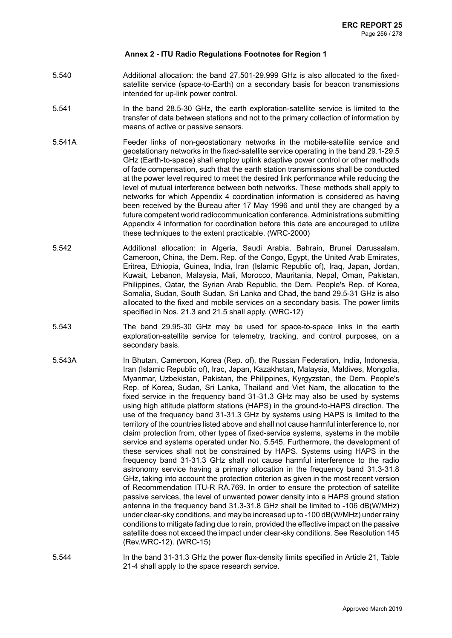- 5.540 Additional allocation: the band 27.501-29.999 GHz is also allocated to the fixedsatellite service (space-to-Earth) on a secondary basis for beacon transmissions intended for up-link power control.
- 5.541 In the band 28.5-30 GHz, the earth exploration-satellite service is limited to the transfer of data between stations and not to the primary collection of information by means of active or passive sensors.
- 5.541A Feeder links of non-geostationary networks in the mobile-satellite service and geostationary networks in the fixed-satellite service operating in the band 29.1-29.5 GHz (Earth-to-space) shall employ uplink adaptive power control or other methods of fade compensation, such that the earth station transmissions shall be conducted at the power level required to meet the desired link performance while reducing the level of mutual interference between both networks. These methods shall apply to networks for which Appendix 4 coordination information is considered as having been received by the Bureau after 17 May 1996 and until they are changed by a future competent world radiocommunication conference. Administrations submitting Appendix 4 information for coordination before this date are encouraged to utilize these techniques to the extent practicable. (WRC-2000)
- 5.542 Additional allocation: in Algeria, Saudi Arabia, Bahrain, Brunei Darussalam, Cameroon, China, the Dem. Rep. of the Congo, Egypt, the United Arab Emirates, Eritrea, Ethiopia, Guinea, India, Iran (Islamic Republic of), Iraq, Japan, Jordan, Kuwait, Lebanon, Malaysia, Mali, Morocco, Mauritania, Nepal, Oman, Pakistan, Philippines, Qatar, the Syrian Arab Republic, the Dem. People's Rep. of Korea, Somalia, Sudan, South Sudan, Sri Lanka and Chad, the band 29.5-31 GHz is also allocated to the fixed and mobile services on a secondary basis. The power limits specified in Nos. 21.3 and 21.5 shall apply. (WRC-12)
- 5.543 The band 29.95-30 GHz may be used for space-to-space links in the earth exploration-satellite service for telemetry, tracking, and control purposes, on a secondary basis.
- 5.543A In Bhutan, Cameroon, Korea (Rep. of), the Russian Federation, India, Indonesia, Iran (Islamic Republic of), Irac, Japan, Kazakhstan, Malaysia, Maldives, Mongolia, Myanmar, Uzbekistan, Pakistan, the Philippines, Kyrgyzstan, the Dem. People's Rep. of Korea, Sudan, Sri Lanka, Thailand and Viet Nam, the allocation to the fixed service in the frequency band 31-31.3 GHz may also be used by systems using high altitude platform stations (HAPS) in the ground-to-HAPS direction. The use of the frequency band 31-31.3 GHz by systems using HAPS is limited to the territory of the countries listed above and shall not cause harmful interference to, nor claim protection from, other types of fixed-service systems, systems in the mobile service and systems operated under No. 5.545. Furthermore, the development of these services shall not be constrained by HAPS. Systems using HAPS in the frequency band 31-31.3 GHz shall not cause harmful interference to the radio astronomy service having a primary allocation in the frequency band 31.3-31.8 GHz, taking into account the protection criterion as given in the most recent version of Recommendation ITU-R RA.769. In order to ensure the protection of satellite passive services, the level of unwanted power density into a HAPS ground station antenna in the frequency band 31.3-31.8 GHz shall be limited to -106 dB(W/MHz) under clear-sky conditions, and may be increased up to -100 dB(W/MHz) under rainy conditions to mitigate fading due to rain, provided the effective impact on the passive satellite does not exceed the impact under clear-sky conditions. See Resolution 145 (Rev.WRC-12). (WRC-15)
- 5.544 In the band 31-31.3 GHz the power flux-density limits specified in Article 21, Table 21-4 shall apply to the space research service.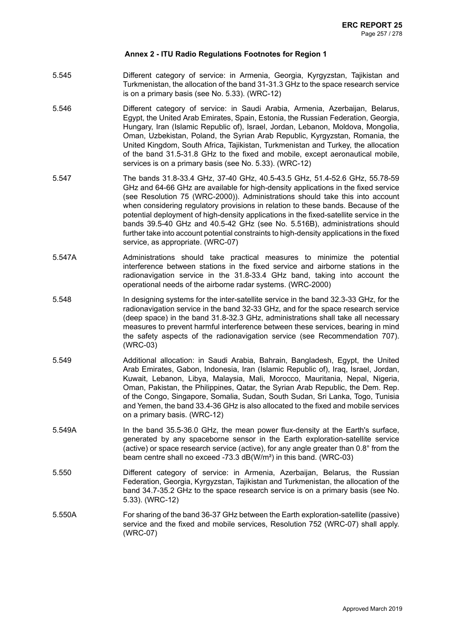- 5.545 Different category of service: in Armenia, Georgia, Kyrgyzstan, Tajikistan and Turkmenistan, the allocation of the band 31-31.3 GHz to the space research service is on a primary basis (see No. 5.33). (WRC-12)
- 5.546 Different category of service: in Saudi Arabia, Armenia, Azerbaijan, Belarus, Egypt, the United Arab Emirates, Spain, Estonia, the Russian Federation, Georgia, Hungary, Iran (Islamic Republic of), Israel, Jordan, Lebanon, Moldova, Mongolia, Oman, Uzbekistan, Poland, the Syrian Arab Republic, Kyrgyzstan, Romania, the United Kingdom, South Africa, Tajikistan, Turkmenistan and Turkey, the allocation of the band 31.5-31.8 GHz to the fixed and mobile, except aeronautical mobile, services is on a primary basis (see No. 5.33). (WRC-12)
- 5.547 The bands 31.8-33.4 GHz, 37-40 GHz, 40.5-43.5 GHz, 51.4-52.6 GHz, 55.78-59 GHz and 64-66 GHz are available for high-density applications in the fixed service (see Resolution 75 (WRC-2000)). Administrations should take this into account when considering regulatory provisions in relation to these bands. Because of the potential deployment of high-density applications in the fixed-satellite service in the bands 39.5-40 GHz and 40.5-42 GHz (see No. 5.516B), administrations should further take into account potential constraints to high-density applications in the fixed service, as appropriate. (WRC-07)
- 5.547A Administrations should take practical measures to minimize the potential interference between stations in the fixed service and airborne stations in the radionavigation service in the 31.8-33.4 GHz band, taking into account the operational needs of the airborne radar systems. (WRC-2000)
- 5.548 In designing systems for the inter-satellite service in the band 32.3-33 GHz, for the radionavigation service in the band 32-33 GHz, and for the space research service (deep space) in the band 31.8-32.3 GHz, administrations shall take all necessary measures to prevent harmful interference between these services, bearing in mind the safety aspects of the radionavigation service (see Recommendation 707). (WRC-03)
- 5.549 Additional allocation: in Saudi Arabia, Bahrain, Bangladesh, Egypt, the United Arab Emirates, Gabon, Indonesia, Iran (Islamic Republic of), Iraq, Israel, Jordan, Kuwait, Lebanon, Libya, Malaysia, Mali, Morocco, Mauritania, Nepal, Nigeria, Oman, Pakistan, the Philippines, Qatar, the Syrian Arab Republic, the Dem. Rep. of the Congo, Singapore, Somalia, Sudan, South Sudan, Sri Lanka, Togo, Tunisia and Yemen, the band 33.4-36 GHz is also allocated to the fixed and mobile services on a primary basis. (WRC-12)
- 5.549A In the band 35.5-36.0 GHz, the mean power flux-density at the Earth's surface, generated by any spaceborne sensor in the Earth exploration-satellite service (active) or space research service (active), for any angle greater than 0.8° from the beam centre shall no exceed -73.3 dB(W/m²) in this band. (WRC-03)
- 5.550 Different category of service: in Armenia, Azerbaijan, Belarus, the Russian Federation, Georgia, Kyrgyzstan, Tajikistan and Turkmenistan, the allocation of the band 34.7-35.2 GHz to the space research service is on a primary basis (see No. 5.33). (WRC-12)
- 5.550A For sharing of the band 36-37 GHz between the Earth exploration-satellite (passive) service and the fixed and mobile services, Resolution 752 (WRC-07) shall apply. (WRC-07)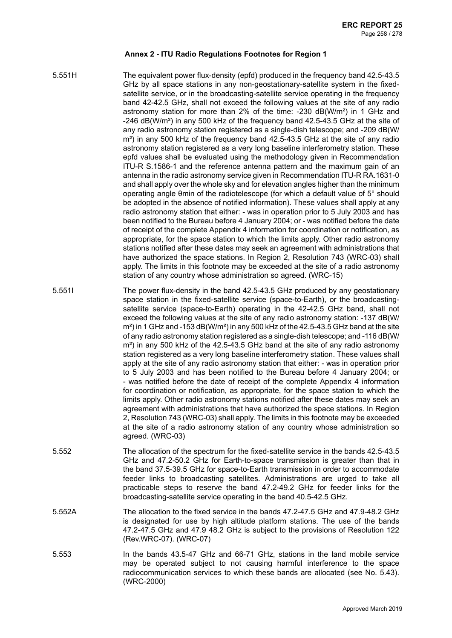5.551H The equivalent power flux-density (epfd) produced in the frequency band 42.5-43.5 GHz by all space stations in any non-geostationary-satellite system in the fixedsatellite service, or in the broadcasting-satellite service operating in the frequency band 42-42.5 GHz, shall not exceed the following values at the site of any radio astronomy station for more than 2% of the time: -230 dB(W/m²) in 1 GHz and -246 dB(W/m²) in any 500 kHz of the frequency band 42.5-43.5 GHz at the site of any radio astronomy station registered as a single-dish telescope; and -209 dB(W/ m²) in any 500 kHz of the frequency band 42.5-43.5 GHz at the site of any radio astronomy station registered as a very long baseline interferometry station. These epfd values shall be evaluated using the methodology given in Recommendation ITU-R S.1586-1 and the reference antenna pattern and the maximum gain of an antenna in the radio astronomy service given in Recommendation ITU-R RA.1631-0 and shall apply over the whole sky and for elevation angles higher than the minimum operating angle θmin of the radiotelescope (for which a default value of 5° should be adopted in the absence of notified information). These values shall apply at any radio astronomy station that either: - was in operation prior to 5 July 2003 and has been notified to the Bureau before 4 January 2004; or - was notified before the date of receipt of the complete Appendix 4 information for coordination or notification, as appropriate, for the space station to which the limits apply. Other radio astronomy stations notified after these dates may seek an agreement with administrations that have authorized the space stations. In Region 2, Resolution 743 (WRC-03) shall apply. The limits in this footnote may be exceeded at the site of a radio astronomy station of any country whose administration so agreed. (WRC-15)

- 5.551I The power flux-density in the band 42.5-43.5 GHz produced by any geostationary space station in the fixed-satellite service (space-to-Earth), or the broadcastingsatellite service (space-to-Earth) operating in the 42-42.5 GHz band, shall not exceed the following values at the site of any radio astronomy station: -137 dB(W/  $m<sup>2</sup>$ ) in 1 GHz and -153 dB(W/m<sup>2</sup>) in any 500 kHz of the 42.5-43.5 GHz band at the site of any radio astronomy station registered as a single-dish telescope; and -116 dB(W/ m²) in any 500 kHz of the 42.5-43.5 GHz band at the site of any radio astronomy station registered as a very long baseline interferometry station. These values shall apply at the site of any radio astronomy station that either: - was in operation prior to 5 July 2003 and has been notified to the Bureau before 4 January 2004; or - was notified before the date of receipt of the complete Appendix 4 information for coordination or notification, as appropriate, for the space station to which the limits apply. Other radio astronomy stations notified after these dates may seek an agreement with administrations that have authorized the space stations. In Region 2, Resolution 743 (WRC-03) shall apply. The limits in this footnote may be exceeded at the site of a radio astronomy station of any country whose administration so agreed. (WRC-03)
- 5.552 The allocation of the spectrum for the fixed-satellite service in the bands 42.5-43.5 GHz and 47.2-50.2 GHz for Earth-to-space transmission is greater than that in the band 37.5-39.5 GHz for space-to-Earth transmission in order to accommodate feeder links to broadcasting satellites. Administrations are urged to take all practicable steps to reserve the band 47.2-49.2 GHz for feeder links for the broadcasting-satellite service operating in the band 40.5-42.5 GHz.
- 5.552A The allocation to the fixed service in the bands 47.2-47.5 GHz and 47.9-48.2 GHz is designated for use by high altitude platform stations. The use of the bands 47.2-47.5 GHz and 47.9 48.2 GHz is subject to the provisions of Resolution 122 (Rev.WRC-07). (WRC-07)
- 5.553 In the bands 43.5-47 GHz and 66-71 GHz, stations in the land mobile service may be operated subject to not causing harmful interference to the space radiocommunication services to which these bands are allocated (see No. 5.43). (WRC-2000)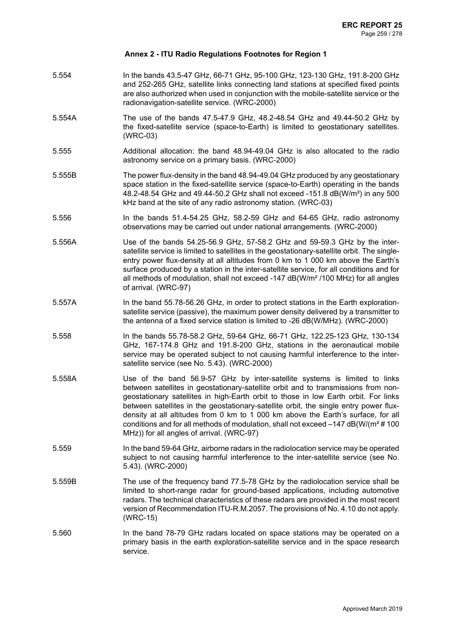- 5.554 In the bands 43.5-47 GHz, 66-71 GHz, 95-100 GHz, 123-130 GHz, 191.8-200 GHz and 252-265 GHz, satellite links connecting land stations at specified fixed points are also authorized when used in conjunction with the mobile-satellite service or the radionavigation-satellite service. (WRC-2000)
- 5.554A The use of the bands 47.5-47.9 GHz, 48.2-48.54 GHz and 49.44-50.2 GHz by the fixed-satellite service (space-to-Earth) is limited to geostationary satellites. (WRC-03)
- 5.555 Additional allocation: the band 48.94-49.04 GHz is also allocated to the radio astronomy service on a primary basis. (WRC-2000)
- 5.555B The power flux-density in the band 48.94-49.04 GHz produced by any geostationary space station in the fixed-satellite service (space-to-Earth) operating in the bands 48.2-48.54 GHz and 49.44-50.2 GHz shall not exceed -151.8 dB(W/m²) in any 500 kHz band at the site of any radio astronomy station. (WRC-03)
- 5.556 In the bands 51.4-54.25 GHz, 58.2-59 GHz and 64-65 GHz, radio astronomy observations may be carried out under national arrangements. (WRC-2000)
- 5.556A Use of the bands 54.25-56.9 GHz, 57-58.2 GHz and 59-59.3 GHz by the intersatellite service is limited to satellites in the geostationary-satellite orbit. The singleentry power flux-density at all altitudes from 0 km to 1 000 km above the Earth's surface produced by a station in the inter-satellite service, for all conditions and for all methods of modulation, shall not exceed -147 dB(W/m² /100 MHz) for all angles of arrival. (WRC-97)
- 5.557A In the band 55.78-56.26 GHz, in order to protect stations in the Earth explorationsatellite service (passive), the maximum power density delivered by a transmitter to the antenna of a fixed service station is limited to -26 dB(W/MHz). (WRC-2000)
- 5.558 In the bands 55.78-58.2 GHz, 59-64 GHz, 66-71 GHz, 122.25-123 GHz, 130-134 GHz, 167-174.8 GHz and 191.8-200 GHz, stations in the aeronautical mobile service may be operated subject to not causing harmful interference to the intersatellite service (see No. 5.43). (WRC-2000)
- 5.558A Use of the band 56.9-57 GHz by inter-satellite systems is limited to links between satellites in geostationary-satellite orbit and to transmissions from nongeostationary satellites in high-Earth orbit to those in low Earth orbit. For links between satellites in the geostationary-satellite orbit, the single entry power fluxdensity at all altitudes from 0 km to 1 000 km above the Earth's surface, for all conditions and for all methods of modulation, shall not exceed –147 dB(W/(m² # 100 MHz)) for all angles of arrival. (WRC-97)
- 5.559 In the band 59-64 GHz, airborne radars in the radiolocation service may be operated subject to not causing harmful interference to the inter-satellite service (see No. 5.43). (WRC-2000)
- 5.559B The use of the frequency band 77.5-78 GHz by the radiolocation service shall be limited to short-range radar for ground-based applications, including automotive radars. The technical characteristics of these radars are provided in the most recent version of Recommendation ITU-R.M.2057. The provisions of No. 4.10 do not apply. (WRC-15)
- 5.560 In the band 78-79 GHz radars located on space stations may be operated on a primary basis in the earth exploration-satellite service and in the space research service.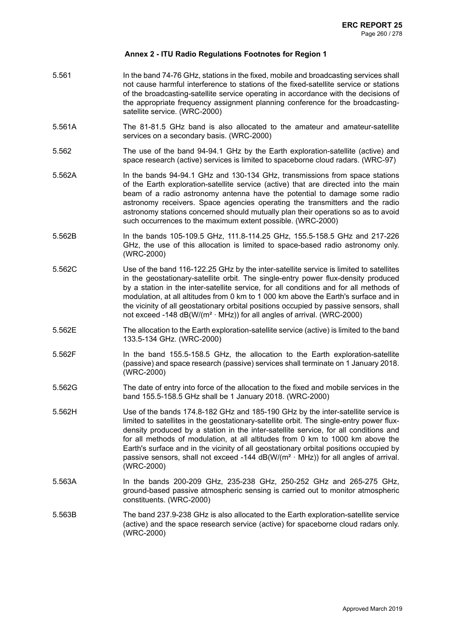- 5.561 In the band 74-76 GHz, stations in the fixed, mobile and broadcasting services shall not cause harmful interference to stations of the fixed-satellite service or stations of the broadcasting-satellite service operating in accordance with the decisions of the appropriate frequency assignment planning conference for the broadcastingsatellite service. (WRC-2000)
- 5.561A The 81-81.5 GHz band is also allocated to the amateur and amateur-satellite services on a secondary basis. (WRC-2000)
- 5.562 The use of the band 94-94.1 GHz by the Earth exploration-satellite (active) and space research (active) services is limited to spaceborne cloud radars. (WRC-97)
- 5.562A In the bands 94-94.1 GHz and 130-134 GHz, transmissions from space stations of the Earth exploration-satellite service (active) that are directed into the main beam of a radio astronomy antenna have the potential to damage some radio astronomy receivers. Space agencies operating the transmitters and the radio astronomy stations concerned should mutually plan their operations so as to avoid such occurrences to the maximum extent possible. (WRC-2000)
- 5.562B In the bands 105-109.5 GHz, 111.8-114.25 GHz, 155.5-158.5 GHz and 217-226 GHz, the use of this allocation is limited to space-based radio astronomy only. (WRC-2000)
- 5.562C Use of the band 116-122.25 GHz by the inter-satellite service is limited to satellites in the geostationary-satellite orbit. The single-entry power flux-density produced by a station in the inter-satellite service, for all conditions and for all methods of modulation, at all altitudes from 0 km to 1 000 km above the Earth's surface and in the vicinity of all geostationary orbital positions occupied by passive sensors, shall not exceed -148  $dB(W/(m^2 \cdot MHz))$  for all angles of arrival. (WRC-2000)
- 5.562E The allocation to the Earth exploration-satellite service (active) is limited to the band 133.5-134 GHz. (WRC-2000)
- 5.562F In the band 155.5-158.5 GHz, the allocation to the Earth exploration-satellite (passive) and space research (passive) services shall terminate on 1 January 2018. (WRC-2000)
- 5.562G The date of entry into force of the allocation to the fixed and mobile services in the band 155.5-158.5 GHz shall be 1 January 2018. (WRC-2000)
- 5.562H Use of the bands 174.8-182 GHz and 185-190 GHz by the inter-satellite service is limited to satellites in the geostationary-satellite orbit. The single-entry power fluxdensity produced by a station in the inter-satellite service, for all conditions and for all methods of modulation, at all altitudes from 0 km to 1000 km above the Earth's surface and in the vicinity of all geostationary orbital positions occupied by passive sensors, shall not exceed -144  $dB(W/(m^2 \cdot MHz))$  for all angles of arrival. (WRC-2000)
- 5.563A In the bands 200-209 GHz, 235-238 GHz, 250-252 GHz and 265-275 GHz, ground-based passive atmospheric sensing is carried out to monitor atmospheric constituents. (WRC-2000)
- 5.563B The band 237.9-238 GHz is also allocated to the Earth exploration-satellite service (active) and the space research service (active) for spaceborne cloud radars only. (WRC-2000)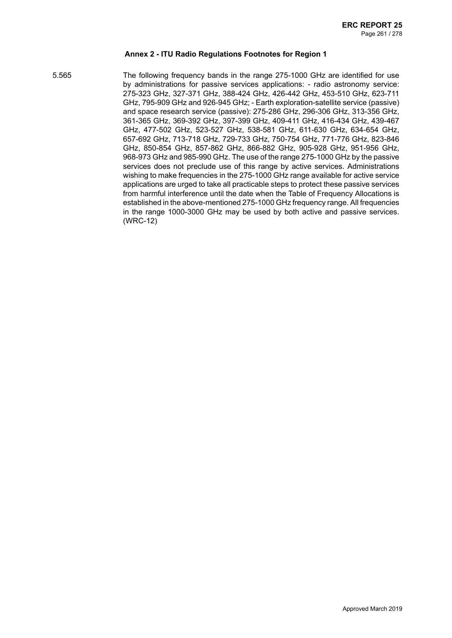5.565 The following frequency bands in the range 275-1000 GHz are identified for use by administrations for passive services applications: - radio astronomy service: 275-323 GHz, 327-371 GHz, 388-424 GHz, 426-442 GHz, 453-510 GHz, 623-711 GHz, 795-909 GHz and 926-945 GHz; - Earth exploration-satellite service (passive) and space research service (passive): 275-286 GHz, 296-306 GHz, 313-356 GHz, 361-365 GHz, 369-392 GHz, 397-399 GHz, 409-411 GHz, 416-434 GHz, 439-467 GHz, 477-502 GHz, 523-527 GHz, 538-581 GHz, 611-630 GHz, 634-654 GHz, 657-692 GHz, 713-718 GHz, 729-733 GHz, 750-754 GHz, 771-776 GHz, 823-846 GHz, 850-854 GHz, 857-862 GHz, 866-882 GHz, 905-928 GHz, 951-956 GHz, 968-973 GHz and 985-990 GHz. The use of the range 275-1000 GHz by the passive services does not preclude use of this range by active services. Administrations wishing to make frequencies in the 275-1000 GHz range available for active service applications are urged to take all practicable steps to protect these passive services from harmful interference until the date when the Table of Frequency Allocations is established in the above-mentioned 275-1000 GHz frequency range. All frequencies in the range 1000-3000 GHz may be used by both active and passive services. (WRC-12)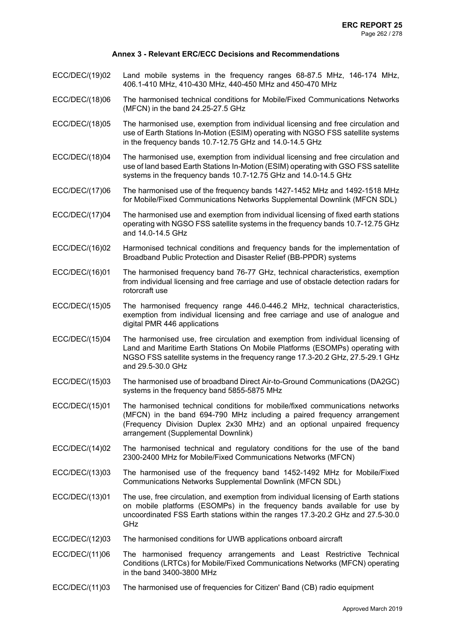- ECC/DEC/(19)02 Land mobile systems in the frequency ranges 68-87.5 MHz, 146-174 MHz, 406.1-410 MHz, 410-430 MHz, 440-450 MHz and 450-470 MHz
- ECC/DEC/(18)06 The harmonised technical conditions for Mobile/Fixed Communications Networks (MFCN) in the band 24.25-27.5 GHz
- ECC/DEC/(18)05 The harmonised use, exemption from individual licensing and free circulation and use of Earth Stations In-Motion (ESIM) operating with NGSO FSS satellite systems in the frequency bands 10.7-12.75 GHz and 14.0-14.5 GHz
- ECC/DEC/(18)04 The harmonised use, exemption from individual licensing and free circulation and use of land based Earth Stations In-Motion (ESIM) operating with GSO FSS satellite systems in the frequency bands 10.7-12.75 GHz and 14.0-14.5 GHz
- ECC/DEC/(17)06 The harmonised use of the frequency bands 1427-1452 MHz and 1492-1518 MHz for Mobile/Fixed Communications Networks Supplemental Downlink (MFCN SDL)
- ECC/DEC/(17)04 The harmonised use and exemption from individual licensing of fixed earth stations operating with NGSO FSS satellite systems in the frequency bands 10.7-12.75 GHz and 14.0-14.5 GHz
- ECC/DEC/(16)02 Harmonised technical conditions and frequency bands for the implementation of Broadband Public Protection and Disaster Relief (BB-PPDR) systems
- ECC/DEC/(16)01 The harmonised frequency band 76-77 GHz, technical characteristics, exemption from individual licensing and free carriage and use of obstacle detection radars for rotorcraft use
- ECC/DEC/(15)05 The harmonised frequency range 446.0-446.2 MHz, technical characteristics, exemption from individual licensing and free carriage and use of analogue and digital PMR 446 applications
- ECC/DEC/(15)04 The harmonised use, free circulation and exemption from individual licensing of Land and Maritime Earth Stations On Mobile Platforms (ESOMPs) operating with NGSO FSS satellite systems in the frequency range 17.3-20.2 GHz, 27.5-29.1 GHz and 29.5-30.0 GHz
- ECC/DEC/(15)03 The harmonised use of broadband Direct Air-to-Ground Communications (DA2GC) systems in the frequency band 5855-5875 MHz
- ECC/DEC/(15)01 The harmonised technical conditions for mobile/fixed communications networks (MFCN) in the band 694-790 MHz including a paired frequency arrangement (Frequency Division Duplex 2x30 MHz) and an optional unpaired frequency arrangement (Supplemental Downlink)
- ECC/DEC/(14)02 The harmonised technical and regulatory conditions for the use of the band 2300-2400 MHz for Mobile/Fixed Communications Networks (MFCN)
- ECC/DEC/(13)03 The harmonised use of the frequency band 1452-1492 MHz for Mobile/Fixed Communications Networks Supplemental Downlink (MFCN SDL)
- ECC/DEC/(13)01 The use, free circulation, and exemption from individual licensing of Earth stations on mobile platforms (ESOMPs) in the frequency bands available for use by uncoordinated FSS Earth stations within the ranges 17.3-20.2 GHz and 27.5-30.0 GHz
- ECC/DEC/(12)03 The harmonised conditions for UWB applications onboard aircraft
- ECC/DEC/(11)06 The harmonised frequency arrangements and Least Restrictive Technical Conditions (LRTCs) for Mobile/Fixed Communications Networks (MFCN) operating in the band 3400-3800 MHz
- ECC/DEC/(11)03 The harmonised use of frequencies for Citizen' Band (CB) radio equipment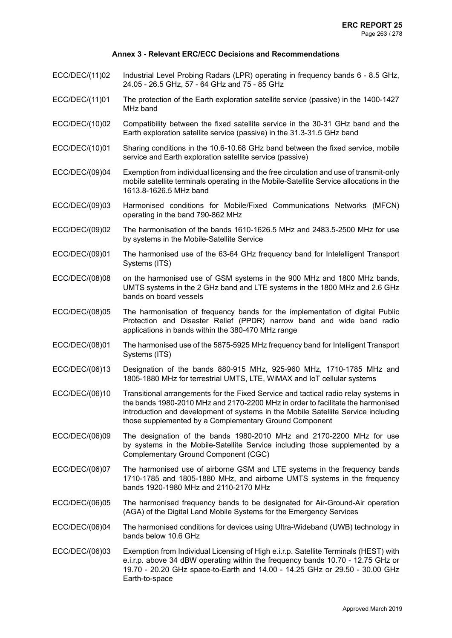- ECC/DEC/(11)02 Industrial Level Probing Radars (LPR) operating in frequency bands 6 8.5 GHz, 24.05 - 26.5 GHz, 57 - 64 GHz and 75 - 85 GHz
- ECC/DEC/(11)01 The protection of the Earth exploration satellite service (passive) in the 1400-1427 MHz band
- ECC/DEC/(10)02 Compatibility between the fixed satellite service in the 30-31 GHz band and the Earth exploration satellite service (passive) in the 31.3-31.5 GHz band
- ECC/DEC/(10)01 Sharing conditions in the 10.6-10.68 GHz band between the fixed service, mobile service and Earth exploration satellite service (passive)
- ECC/DEC/(09)04 Exemption from individual licensing and the free circulation and use of transmit-only mobile satellite terminals operating in the Mobile-Satellite Service allocations in the 1613.8-1626.5 MHz band
- ECC/DEC/(09)03 Harmonised conditions for Mobile/Fixed Communications Networks (MFCN) operating in the band 790-862 MHz
- ECC/DEC/(09)02 The harmonisation of the bands 1610-1626.5 MHz and 2483.5-2500 MHz for use by systems in the Mobile-Satellite Service
- ECC/DEC/(09)01 The harmonised use of the 63-64 GHz frequency band for Intelelligent Transport Systems (ITS)
- ECC/DEC/(08)08 on the harmonised use of GSM systems in the 900 MHz and 1800 MHz bands, UMTS systems in the 2 GHz band and LTE systems in the 1800 MHz and 2.6 GHz bands on board vessels
- ECC/DEC/(08)05 The harmonisation of frequency bands for the implementation of digital Public Protection and Disaster Relief (PPDR) narrow band and wide band radio applications in bands within the 380-470 MHz range
- ECC/DEC/(08)01 The harmonised use of the 5875-5925 MHz frequency band for Intelligent Transport Systems (ITS)
- ECC/DEC/(06)13 Designation of the bands 880-915 MHz, 925-960 MHz, 1710-1785 MHz and 1805-1880 MHz for terrestrial UMTS, LTE, WiMAX and IoT cellular systems
- ECC/DEC/(06)10 Transitional arrangements for the Fixed Service and tactical radio relay systems in the bands 1980-2010 MHz and 2170-2200 MHz in order to facilitate the harmonised introduction and development of systems in the Mobile Satellite Service including those supplemented by a Complementary Ground Component
- ECC/DEC/(06)09 The designation of the bands 1980-2010 MHz and 2170-2200 MHz for use by systems in the Mobile-Satellite Service including those supplemented by a Complementary Ground Component (CGC)
- ECC/DEC/(06)07 The harmonised use of airborne GSM and LTE systems in the frequency bands 1710-1785 and 1805-1880 MHz, and airborne UMTS systems in the frequency bands 1920-1980 MHz and 2110-2170 MHz
- ECC/DEC/(06)05 The harmonised frequency bands to be designated for Air-Ground-Air operation (AGA) of the Digital Land Mobile Systems for the Emergency Services
- ECC/DEC/(06)04 The harmonised conditions for devices using Ultra-Wideband (UWB) technology in bands below 10.6 GHz
- ECC/DEC/(06)03 Exemption from Individual Licensing of High e.i.r.p. Satellite Terminals (HEST) with e.i.r.p. above 34 dBW operating within the frequency bands 10.70 - 12.75 GHz or 19.70 - 20.20 GHz space-to-Earth and 14.00 - 14.25 GHz or 29.50 - 30.00 GHz Earth-to-space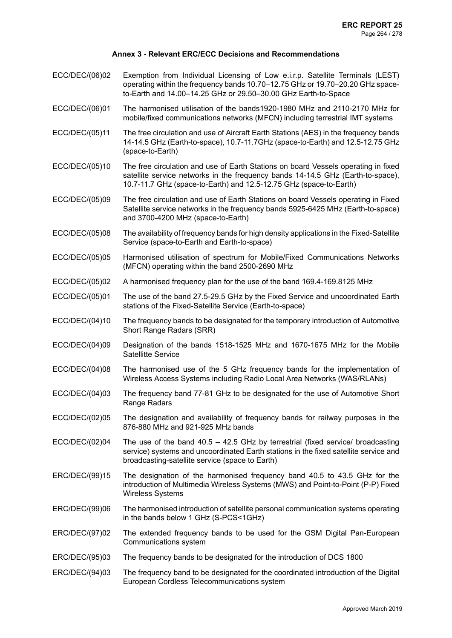- ECC/DEC/(06)02 Exemption from Individual Licensing of Low e.i.r.p. Satellite Terminals (LEST) operating within the frequency bands 10.70–12.75 GHz or 19.70–20.20 GHz spaceto-Earth and 14.00–14.25 GHz or 29.50–30.00 GHz Earth-to-Space
- ECC/DEC/(06)01 The harmonised utilisation of the bands1920-1980 MHz and 2110-2170 MHz for mobile/fixed communications networks (MFCN) including terrestrial IMT systems
- ECC/DEC/(05)11 The free circulation and use of Aircraft Earth Stations (AES) in the frequency bands 14-14.5 GHz (Earth-to-space), 10.7-11.7GHz (space-to-Earth) and 12.5-12.75 GHz (space-to-Earth)
- ECC/DEC/(05)10 The free circulation and use of Earth Stations on board Vessels operating in fixed satellite service networks in the frequency bands 14-14.5 GHz (Earth-to-space), 10.7-11.7 GHz (space-to-Earth) and 12.5-12.75 GHz (space-to-Earth)
- ECC/DEC/(05)09 The free circulation and use of Earth Stations on board Vessels operating in Fixed Satellite service networks in the frequency bands 5925-6425 MHz (Earth-to-space) and 3700-4200 MHz (space-to-Earth)
- ECC/DEC/(05)08 The availability of frequency bands for high density applications in the Fixed-Satellite Service (space-to-Earth and Earth-to-space)
- ECC/DEC/(05)05 Harmonised utilisation of spectrum for Mobile/Fixed Communications Networks (MFCN) operating within the band 2500-2690 MHz
- ECC/DEC/(05)02 A harmonised frequency plan for the use of the band 169.4-169.8125 MHz
- ECC/DEC/(05)01 The use of the band 27.5-29.5 GHz by the Fixed Service and uncoordinated Earth stations of the Fixed-Satellite Service (Earth-to-space)
- ECC/DEC/(04)10 The frequency bands to be designated for the temporary introduction of Automotive Short Range Radars (SRR)
- ECC/DEC/(04)09 Designation of the bands 1518-1525 MHz and 1670-1675 MHz for the Mobile Satellitte Service
- ECC/DEC/(04)08 The harmonised use of the 5 GHz frequency bands for the implementation of Wireless Access Systems including Radio Local Area Networks (WAS/RLANs)
- ECC/DEC/(04)03 The frequency band 77-81 GHz to be designated for the use of Automotive Short Range Radars
- ECC/DEC/(02)05 The designation and availability of frequency bands for railway purposes in the 876-880 MHz and 921-925 MHz bands
- ECC/DEC/(02)04 The use of the band 40.5 42.5 GHz by terrestrial (fixed service/ broadcasting service) systems and uncoordinated Earth stations in the fixed satellite service and broadcasting-satellite service (space to Earth)
- ERC/DEC/(99)15 The designation of the harmonised frequency band 40.5 to 43.5 GHz for the introduction of Multimedia Wireless Systems (MWS) and Point-to-Point (P-P) Fixed Wireless Systems
- ERC/DEC/(99)06 The harmonised introduction of satellite personal communication systems operating in the bands below 1 GHz (S-PCS<1GHz)
- ERC/DEC/(97)02 The extended frequency bands to be used for the GSM Digital Pan-European Communications system
- ERC/DEC/(95)03 The frequency bands to be designated for the introduction of DCS 1800
- ERC/DEC/(94)03 The frequency band to be designated for the coordinated introduction of the Digital European Cordless Telecommunications system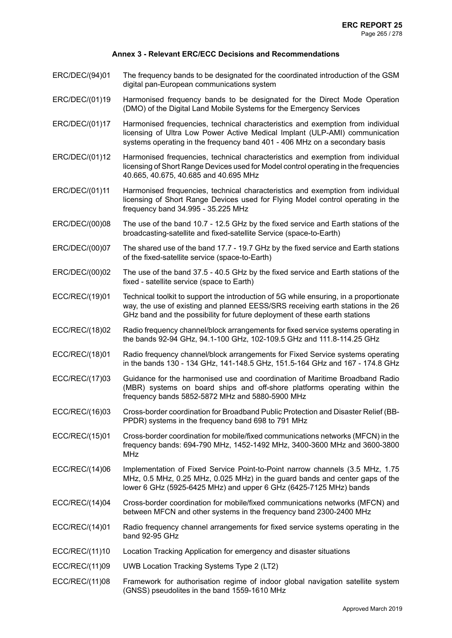- ERC/DEC/(94)01 The frequency bands to be designated for the coordinated introduction of the GSM digital pan-European communications system
- ERC/DEC/(01)19 Harmonised frequency bands to be designated for the Direct Mode Operation (DMO) of the Digital Land Mobile Systems for the Emergency Services
- ERC/DEC/(01)17 Harmonised frequencies, technical characteristics and exemption from individual licensing of Ultra Low Power Active Medical Implant (ULP-AMI) communication systems operating in the frequency band 401 - 406 MHz on a secondary basis
- ERC/DEC/(01)12 Harmonised frequencies, technical characteristics and exemption from individual licensing of Short Range Devices used for Model control operating in the frequencies 40.665, 40.675, 40.685 and 40.695 MHz
- ERC/DEC/(01)11 Harmonised frequencies, technical characteristics and exemption from individual licensing of Short Range Devices used for Flying Model control operating in the frequency band 34.995 - 35.225 MHz
- ERC/DEC/(00)08 The use of the band 10.7 12.5 GHz by the fixed service and Earth stations of the broadcasting-satellite and fixed-satellite Service (space-to-Earth)
- ERC/DEC/(00)07 The shared use of the band 17.7 19.7 GHz by the fixed service and Earth stations of the fixed-satellite service (space-to-Earth)
- ERC/DEC/(00)02 The use of the band 37.5 40.5 GHz by the fixed service and Earth stations of the fixed - satellite service (space to Earth)
- ECC/REC/(19)01 Technical toolkit to support the introduction of 5G while ensuring, in a proportionate way, the use of existing and planned EESS/SRS receiving earth stations in the 26 GHz band and the possibility for future deployment of these earth stations
- ECC/REC/(18)02 Radio frequency channel/block arrangements for fixed service systems operating in the bands 92-94 GHz, 94.1-100 GHz, 102-109.5 GHz and 111.8-114.25 GHz
- ECC/REC/(18)01 Radio frequency channel/block arrangements for Fixed Service systems operating in the bands 130 - 134 GHz, 141-148.5 GHz, 151.5-164 GHz and 167 - 174.8 GHz
- ECC/REC/(17)03 Guidance for the harmonised use and coordination of Maritime Broadband Radio (MBR) systems on board ships and off-shore platforms operating within the frequency bands 5852-5872 MHz and 5880-5900 MHz
- ECC/REC/(16)03 Cross-border coordination for Broadband Public Protection and Disaster Relief (BB-PPDR) systems in the frequency band 698 to 791 MHz
- ECC/REC/(15)01 Cross-border coordination for mobile/fixed communications networks (MFCN) in the frequency bands: 694-790 MHz, 1452-1492 MHz, 3400-3600 MHz and 3600-3800 MHz
- ECC/REC/(14)06 Implementation of Fixed Service Point-to-Point narrow channels (3.5 MHz, 1.75 MHz, 0.5 MHz, 0.25 MHz, 0.025 MHz) in the guard bands and center gaps of the lower 6 GHz (5925-6425 MHz) and upper 6 GHz (6425-7125 MHz) bands
- ECC/REC/(14)04 Cross-border coordination for mobile/fixed communications networks (MFCN) and between MFCN and other systems in the frequency band 2300-2400 MHz
- ECC/REC/(14)01 Radio frequency channel arrangements for fixed service systems operating in the band 92-95 GHz
- ECC/REC/(11)10 Location Tracking Application for emergency and disaster situations
- ECC/REC/(11)09 UWB Location Tracking Systems Type 2 (LT2)
- ECC/REC/(11)08 Framework for authorisation regime of indoor global navigation satellite system (GNSS) pseudolites in the band 1559-1610 MHz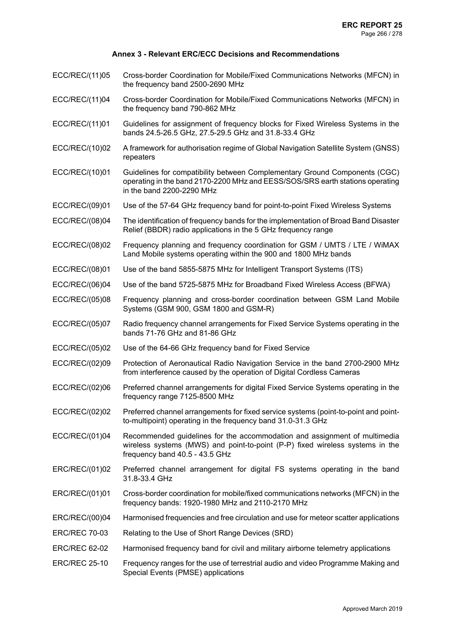- ECC/REC/(11)05 Cross-border Coordination for Mobile/Fixed Communications Networks (MFCN) in the frequency band 2500-2690 MHz
- ECC/REC/(11)04 Cross-border Coordination for Mobile/Fixed Communications Networks (MFCN) in the frequency band 790-862 MHz
- ECC/REC/(11)01 Guidelines for assignment of frequency blocks for Fixed Wireless Systems in the bands 24.5-26.5 GHz, 27.5-29.5 GHz and 31.8-33.4 GHz
- ECC/REC/(10)02 A framework for authorisation regime of Global Navigation Satellite System (GNSS) repeaters
- ECC/REC/(10)01 Guidelines for compatibility between Complementary Ground Components (CGC) operating in the band 2170-2200 MHz and EESS/SOS/SRS earth stations operating in the band 2200-2290 MHz
- ECC/REC/(09)01 Use of the 57-64 GHz frequency band for point-to-point Fixed Wireless Systems
- ECC/REC/(08)04 The identification of frequency bands for the implementation of Broad Band Disaster Relief (BBDR) radio applications in the 5 GHz frequency range
- ECC/REC/(08)02 Frequency planning and frequency coordination for GSM / UMTS / LTE / WiMAX Land Mobile systems operating within the 900 and 1800 MHz bands
- ECC/REC/(08)01 Use of the band 5855-5875 MHz for Intelligent Transport Systems (ITS)
- ECC/REC/(06)04 Use of the band 5725-5875 MHz for Broadband Fixed Wireless Access (BFWA)
- ECC/REC/(05)08 Frequency planning and cross-border coordination between GSM Land Mobile Systems (GSM 900, GSM 1800 and GSM-R)
- ECC/REC/(05)07 Radio frequency channel arrangements for Fixed Service Systems operating in the bands 71-76 GHz and 81-86 GHz
- ECC/REC/(05)02 Use of the 64-66 GHz frequency band for Fixed Service
- ECC/REC/(02)09 Protection of Aeronautical Radio Navigation Service in the band 2700-2900 MHz from interference caused by the operation of Digital Cordless Cameras
- ECC/REC/(02)06 Preferred channel arrangements for digital Fixed Service Systems operating in the frequency range 7125-8500 MHz
- ECC/REC/(02)02 Preferred channel arrangements for fixed service systems (point-to-point and pointto-multipoint) operating in the frequency band 31.0-31.3 GHz
- ECC/REC/(01)04 Recommended guidelines for the accommodation and assignment of multimedia wireless systems (MWS) and point-to-point (P-P) fixed wireless systems in the frequency band 40.5 - 43.5 GHz
- ERC/REC/(01)02 Preferred channel arrangement for digital FS systems operating in the band 31.8-33.4 GHz
- ERC/REC/(01)01 Cross-border coordination for mobile/fixed communications networks (MFCN) in the frequency bands: 1920-1980 MHz and 2110-2170 MHz
- ERC/REC/(00)04 Harmonised frequencies and free circulation and use for meteor scatter applications
- ERC/REC 70-03 Relating to the Use of Short Range Devices (SRD)
- ERC/REC 62-02 Harmonised frequency band for civil and military airborne telemetry applications
- ERC/REC 25-10 Frequency ranges for the use of terrestrial audio and video Programme Making and Special Events (PMSE) applications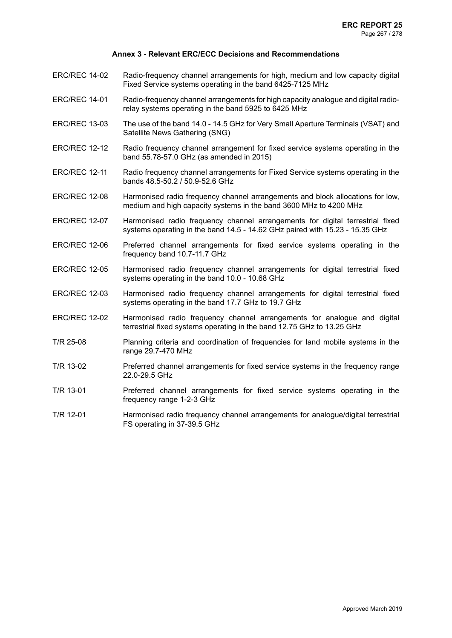- ERC/REC 14-02 Radio-frequency channel arrangements for high, medium and low capacity digital Fixed Service systems operating in the band 6425-7125 MHz
- ERC/REC 14-01 Radio-frequency channel arrangements for high capacity analogue and digital radiorelay systems operating in the band 5925 to 6425 MHz
- ERC/REC 13-03 The use of the band 14.0 14.5 GHz for Very Small Aperture Terminals (VSAT) and Satellite News Gathering (SNG)
- ERC/REC 12-12 Radio frequency channel arrangement for fixed service systems operating in the band 55.78-57.0 GHz (as amended in 2015)
- ERC/REC 12-11 Radio frequency channel arrangements for Fixed Service systems operating in the bands 48.5-50.2 / 50.9-52.6 GHz
- ERC/REC 12-08 Harmonised radio frequency channel arrangements and block allocations for low, medium and high capacity systems in the band 3600 MHz to 4200 MHz
- ERC/REC 12-07 Harmonised radio frequency channel arrangements for digital terrestrial fixed systems operating in the band 14.5 - 14.62 GHz paired with 15.23 - 15.35 GHz
- ERC/REC 12-06 Preferred channel arrangements for fixed service systems operating in the frequency band 10.7-11.7 GHz
- ERC/REC 12-05 Harmonised radio frequency channel arrangements for digital terrestrial fixed systems operating in the band 10.0 - 10.68 GHz
- ERC/REC 12-03 Harmonised radio frequency channel arrangements for digital terrestrial fixed systems operating in the band 17.7 GHz to 19.7 GHz
- ERC/REC 12-02 Harmonised radio frequency channel arrangements for analogue and digital terrestrial fixed systems operating in the band 12.75 GHz to 13.25 GHz
- T/R 25-08 Planning criteria and coordination of frequencies for land mobile systems in the range 29.7-470 MHz
- T/R 13-02 Preferred channel arrangements for fixed service systems in the frequency range 22.0-29.5 GHz
- T/R 13-01 Preferred channel arrangements for fixed service systems operating in the frequency range 1-2-3 GHz
- T/R 12-01 Harmonised radio frequency channel arrangements for analogue/digital terrestrial FS operating in 37-39.5 GHz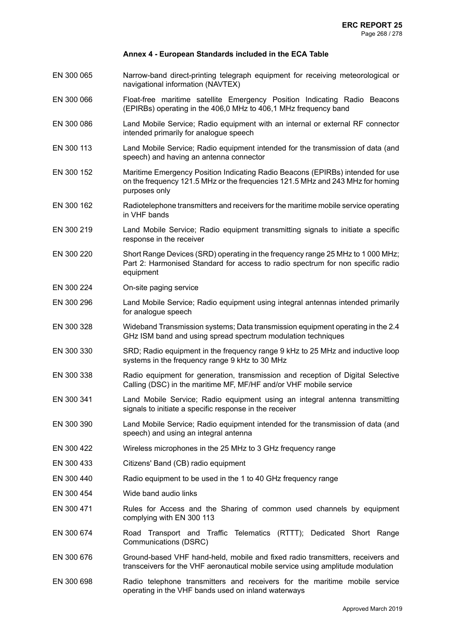- EN 300 065 Narrow-band direct-printing telegraph equipment for receiving meteorological or navigational information (NAVTEX)
- EN 300 066 Float-free maritime satellite Emergency Position Indicating Radio Beacons (EPIRBs) operating in the 406,0 MHz to 406,1 MHz frequency band
- EN 300 086 Land Mobile Service; Radio equipment with an internal or external RF connector intended primarily for analogue speech
- EN 300 113 Land Mobile Service; Radio equipment intended for the transmission of data (and speech) and having an antenna connector
- EN 300 152 Maritime Emergency Position Indicating Radio Beacons (EPIRBs) intended for use on the frequency 121.5 MHz or the frequencies 121.5 MHz and 243 MHz for homing purposes only
- EN 300 162 Radiotelephone transmitters and receivers for the maritime mobile service operating in VHF bands
- EN 300 219 Land Mobile Service; Radio equipment transmitting signals to initiate a specific response in the receiver
- EN 300 220 Short Range Devices (SRD) operating in the frequency range 25 MHz to 1 000 MHz; Part 2: Harmonised Standard for access to radio spectrum for non specific radio equipment
- EN 300 224 On-site paging service
- EN 300 296 Land Mobile Service; Radio equipment using integral antennas intended primarily for analogue speech
- EN 300 328 Wideband Transmission systems; Data transmission equipment operating in the 2.4 GHz ISM band and using spread spectrum modulation techniques
- EN 300 330 SRD; Radio equipment in the frequency range 9 kHz to 25 MHz and inductive loop systems in the frequency range 9 kHz to 30 MHz
- EN 300 338 Radio equipment for generation, transmission and reception of Digital Selective Calling (DSC) in the maritime MF, MF/HF and/or VHF mobile service
- EN 300 341 Land Mobile Service; Radio equipment using an integral antenna transmitting signals to initiate a specific response in the receiver
- EN 300 390 Land Mobile Service; Radio equipment intended for the transmission of data (and speech) and using an integral antenna
- EN 300 422 Wireless microphones in the 25 MHz to 3 GHz frequency range
- EN 300 433 Citizens' Band (CB) radio equipment
- EN 300 440 Radio equipment to be used in the 1 to 40 GHz frequency range
- EN 300 454 Wide band audio links
- EN 300 471 Rules for Access and the Sharing of common used channels by equipment complying with EN 300 113
- EN 300 674 Road Transport and Traffic Telematics (RTTT); Dedicated Short Range Communications (DSRC)
- EN 300 676 Ground-based VHF hand-held, mobile and fixed radio transmitters, receivers and transceivers for the VHF aeronautical mobile service using amplitude modulation
- EN 300 698 Radio telephone transmitters and receivers for the maritime mobile service operating in the VHF bands used on inland waterways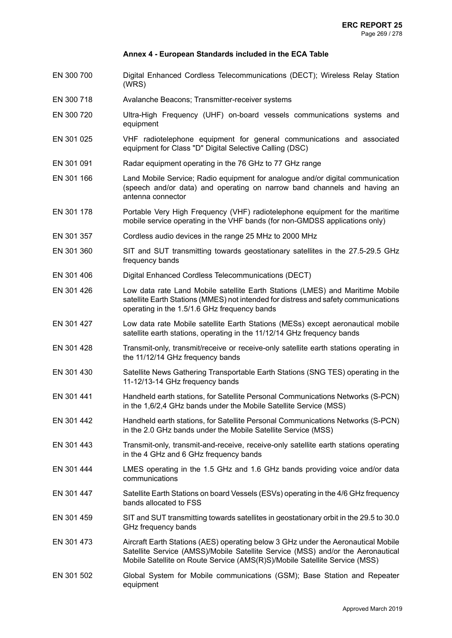- EN 300 700 Digital Enhanced Cordless Telecommunications (DECT); Wireless Relay Station (WRS)
- EN 300 718 Avalanche Beacons; Transmitter-receiver systems
- EN 300 720 Ultra-High Frequency (UHF) on-board vessels communications systems and equipment
- EN 301 025 VHF radiotelephone equipment for general communications and associated equipment for Class "D" Digital Selective Calling (DSC)
- EN 301 091 Radar equipment operating in the 76 GHz to 77 GHz range
- EN 301 166 Land Mobile Service; Radio equipment for analogue and/or digital communication (speech and/or data) and operating on narrow band channels and having an antenna connector
- EN 301 178 Portable Very High Frequency (VHF) radiotelephone equipment for the maritime mobile service operating in the VHF bands (for non-GMDSS applications only)
- EN 301 357 Cordless audio devices in the range 25 MHz to 2000 MHz
- EN 301 360 SIT and SUT transmitting towards geostationary satellites in the 27.5-29.5 GHz frequency bands
- EN 301 406 Digital Enhanced Cordless Telecommunications (DECT)
- EN 301 426 Low data rate Land Mobile satellite Earth Stations (LMES) and Maritime Mobile satellite Earth Stations (MMES) not intended for distress and safety communications operating in the 1.5/1.6 GHz frequency bands
- EN 301 427 Low data rate Mobile satellite Earth Stations (MESs) except aeronautical mobile satellite earth stations, operating in the 11/12/14 GHz frequency bands
- EN 301 428 Transmit-only, transmit/receive or receive-only satellite earth stations operating in the 11/12/14 GHz frequency bands
- EN 301 430 Satellite News Gathering Transportable Earth Stations (SNG TES) operating in the 11-12/13-14 GHz frequency bands
- EN 301 441 Handheld earth stations, for Satellite Personal Communications Networks (S-PCN) in the 1,6/2,4 GHz bands under the Mobile Satellite Service (MSS)
- EN 301 442 Handheld earth stations, for Satellite Personal Communications Networks (S-PCN) in the 2.0 GHz bands under the Mobile Satellite Service (MSS)
- EN 301 443 Transmit-only, transmit-and-receive, receive-only satellite earth stations operating in the 4 GHz and 6 GHz frequency bands
- EN 301 444 LMES operating in the 1.5 GHz and 1.6 GHz bands providing voice and/or data communications
- EN 301 447 Satellite Earth Stations on board Vessels (ESVs) operating in the 4/6 GHz frequency bands allocated to FSS
- EN 301 459 SIT and SUT transmitting towards satellites in geostationary orbit in the 29.5 to 30.0 GHz frequency bands
- EN 301 473 Aircraft Earth Stations (AES) operating below 3 GHz under the Aeronautical Mobile Satellite Service (AMSS)/Mobile Satellite Service (MSS) and/or the Aeronautical Mobile Satellite on Route Service (AMS(R)S)/Mobile Satellite Service (MSS)
- EN 301 502 Global System for Mobile communications (GSM); Base Station and Repeater equipment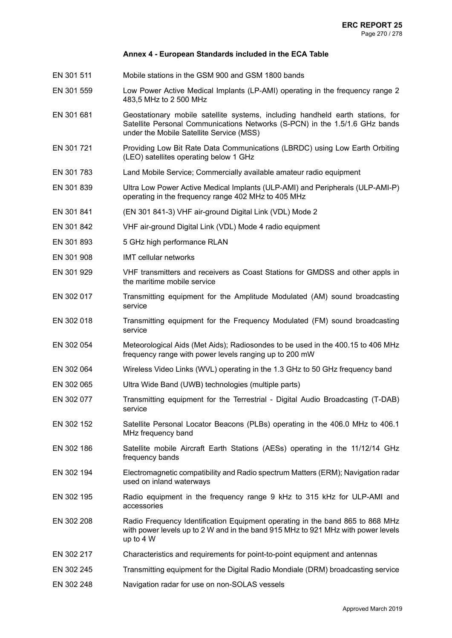- EN 301 511 Mobile stations in the GSM 900 and GSM 1800 bands
- EN 301 559 Low Power Active Medical Implants (LP-AMI) operating in the frequency range 2 483,5 MHz to 2 500 MHz
- EN 301 681 Geostationary mobile satellite systems, including handheld earth stations, for Satellite Personal Communications Networks (S-PCN) in the 1.5/1.6 GHz bands under the Mobile Satellite Service (MSS)
- EN 301 721 Providing Low Bit Rate Data Communications (LBRDC) using Low Earth Orbiting (LEO) satellites operating below 1 GHz
- EN 301 783 Land Mobile Service; Commercially available amateur radio equipment
- EN 301 839 Ultra Low Power Active Medical Implants (ULP-AMI) and Peripherals (ULP-AMI-P) operating in the frequency range 402 MHz to 405 MHz
- EN 301 841 (EN 301 841-3) VHF air-ground Digital Link (VDL) Mode 2
- EN 301 842 VHF air-ground Digital Link (VDL) Mode 4 radio equipment
- EN 301 893 5 GHz high performance RLAN
- EN 301 908 IMT cellular networks
- EN 301 929 VHF transmitters and receivers as Coast Stations for GMDSS and other appls in the maritime mobile service
- EN 302 017 Transmitting equipment for the Amplitude Modulated (AM) sound broadcasting service
- EN 302 018 Transmitting equipment for the Frequency Modulated (FM) sound broadcasting service
- EN 302 054 Meteorological Aids (Met Aids); Radiosondes to be used in the 400.15 to 406 MHz frequency range with power levels ranging up to 200 mW
- EN 302 064 Wireless Video Links (WVL) operating in the 1.3 GHz to 50 GHz frequency band
- EN 302 065 Ultra Wide Band (UWB) technologies (multiple parts)
- EN 302 077 Transmitting equipment for the Terrestrial Digital Audio Broadcasting (T-DAB) service
- EN 302 152 Satellite Personal Locator Beacons (PLBs) operating in the 406.0 MHz to 406.1 MHz frequency band
- EN 302 186 Satellite mobile Aircraft Earth Stations (AESs) operating in the 11/12/14 GHz frequency bands
- EN 302 194 Electromagnetic compatibility and Radio spectrum Matters (ERM); Navigation radar used on inland waterways
- EN 302 195 Radio equipment in the frequency range 9 kHz to 315 kHz for ULP-AMI and accessories
- EN 302 208 Radio Frequency Identification Equipment operating in the band 865 to 868 MHz with power levels up to 2 W and in the band 915 MHz to 921 MHz with power levels up to 4 W
- EN 302 217 Characteristics and requirements for point-to-point equipment and antennas
- EN 302 245 Transmitting equipment for the Digital Radio Mondiale (DRM) broadcasting service
- EN 302 248 Navigation radar for use on non-SOLAS vessels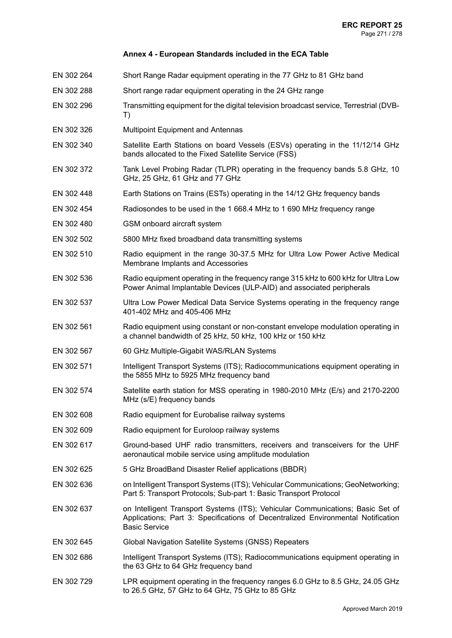- EN 302 264 Short Range Radar equipment operating in the 77 GHz to 81 GHz band
- EN 302 288 Short range radar equipment operating in the 24 GHz range
- EN 302 296 Transmitting equipment for the digital television broadcast service, Terrestrial (DVB-T)
- EN 302 326 Multipoint Equipment and Antennas
- EN 302 340 Satellite Earth Stations on board Vessels (ESVs) operating in the 11/12/14 GHz bands allocated to the Fixed Satellite Service (FSS)
- EN 302 372 Tank Level Probing Radar (TLPR) operating in the frequency bands 5.8 GHz, 10 GHz, 25 GHz, 61 GHz and 77 GHz
- EN 302 448 Earth Stations on Trains (ESTs) operating in the 14/12 GHz frequency bands
- EN 302 454 Radiosondes to be used in the 1 668.4 MHz to 1 690 MHz frequency range
- EN 302 480 GSM onboard aircraft system
- EN 302 502 5800 MHz fixed broadband data transmitting systems
- EN 302 510 Radio equipment in the range 30-37.5 MHz for Ultra Low Power Active Medical Membrane Implants and Accessories
- EN 302 536 Radio equipment operating in the frequency range 315 kHz to 600 kHz for Ultra Low Power Animal Implantable Devices (ULP-AID) and associated peripherals
- EN 302 537 Ultra Low Power Medical Data Service Systems operating in the frequency range 401-402 MHz and 405-406 MHz
- EN 302 561 Radio equipment using constant or non-constant envelope modulation operating in a channel bandwidth of 25 kHz, 50 kHz, 100 kHz or 150 kHz
- EN 302 567 60 GHz Multiple-Gigabit WAS/RLAN Systems
- EN 302 571 Intelligent Transport Systems (ITS); Radiocommunications equipment operating in the 5855 MHz to 5925 MHz frequency band
- EN 302 574 Satellite earth station for MSS operating in 1980-2010 MHz (E/s) and 2170-2200 MHz (s/E) frequency bands
- EN 302 608 Radio equipment for Eurobalise railway systems
- EN 302 609 Radio equipment for Euroloop railway systems
- EN 302 617 Ground-based UHF radio transmitters, receivers and transceivers for the UHF aeronautical mobile service using amplitude modulation
- EN 302 625 5 GHz BroadBand Disaster Relief applications (BBDR)
- EN 302 636 onIntelligent Transport Systems (ITS); Vehicular Communications; GeoNetworking; Part 5: Transport Protocols; Sub-part 1: Basic Transport Protocol
- EN 302 637 on Intelligent Transport Systems (ITS); Vehicular Communications; Basic Set of Applications; Part 3: Specifications of Decentralized Environmental Notification Basic Service
- EN 302 645 Global Navigation Satellite Systems (GNSS) Repeaters
- EN 302 686 Intelligent Transport Systems (ITS); Radiocommunications equipment operating in the 63 GHz to 64 GHz frequency band
- EN 302 729 LPR equipment operating in the frequency ranges 6.0 GHz to 8.5 GHz, 24.05 GHz to 26.5 GHz, 57 GHz to 64 GHz, 75 GHz to 85 GHz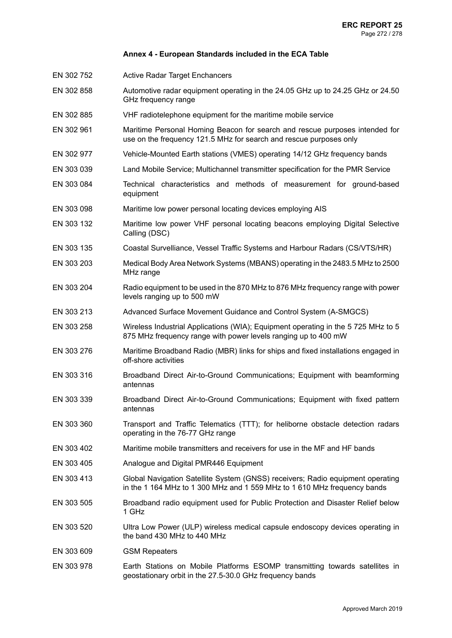- EN 302 752 Active Radar Target Enchancers
- EN 302 858 Automotive radar equipment operating in the 24.05 GHz up to 24.25 GHz or 24.50 GHz frequency range
- EN 302 885 VHF radiotelephone equipment for the maritime mobile service
- EN 302 961 Maritime Personal Homing Beacon for search and rescue purposes intended for use on the frequency 121.5 MHz for search and rescue purposes only
- EN 302 977 Vehicle-Mounted Earth stations (VMES) operating 14/12 GHz frequency bands
- EN 303 039 Land Mobile Service; Multichannel transmitter specification for the PMR Service
- EN 303 084 Technical characteristics and methods of measurement for ground-based equipment
- EN 303 098 Maritime low power personal locating devices employing AIS
- EN 303 132 Maritime low power VHF personal locating beacons employing Digital Selective Calling (DSC)
- EN 303 135 Coastal Survelliance, Vessel Traffic Systems and Harbour Radars (CS/VTS/HR)
- EN 303 203 Medical Body Area Network Systems (MBANS) operating in the 2483.5 MHz to 2500 MHz range
- EN 303 204 Radio equipment to be used in the 870 MHz to 876 MHz frequency range with power levels ranging up to 500 mW
- EN 303 213 Advanced Surface Movement Guidance and Control System (A-SMGCS)
- EN 303 258 Wireless Industrial Applications (WIA); Equipment operating in the 5 725 MHz to 5 875 MHz frequency range with power levels ranging up to 400 mW
- EN 303 276 Maritime Broadband Radio (MBR) links for ships and fixed installations engaged in off-shore activities
- EN 303 316 Broadband Direct Air-to-Ground Communications; Equipment with beamforming antennas
- EN 303 339 Broadband Direct Air-to-Ground Communications; Equipment with fixed pattern antennas
- EN 303 360 Transport and Traffic Telematics (TTT); for heliborne obstacle detection radars operating in the 76-77 GHz range
- EN 303 402 Maritime mobile transmitters and receivers for use in the MF and HF bands
- EN 303 405 Analogue and Digital PMR446 Equipment
- EN 303 413 Global Navigation Satellite System (GNSS) receivers; Radio equipment operating in the 1 164 MHz to 1 300 MHz and 1 559 MHz to 1 610 MHz frequency bands
- EN 303 505 Broadband radio equipment used for Public Protection and Disaster Relief below 1 GHz
- EN 303 520 Ultra Low Power (ULP) wireless medical capsule endoscopy devices operating in the band 430 MHz to 440 MHz
- EN 303 609 GSM Repeaters
- EN 303 978 Earth Stations on Mobile Platforms ESOMP transmitting towards satellites in geostationary orbit in the 27.5-30.0 GHz frequency bands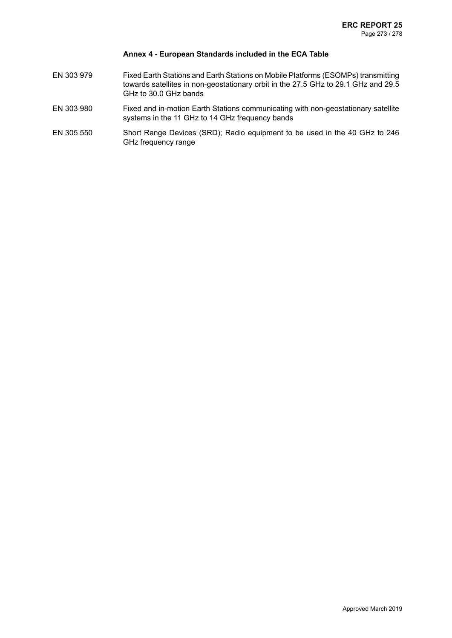- EN 303 979 Fixed Earth Stations and Earth Stations on Mobile Platforms (ESOMPs) transmitting towards satellites in non-geostationary orbit in the 27.5 GHz to 29.1 GHz and 29.5 GHz to 30.0 GHz bands
- EN 303 980 Fixed and in-motion Earth Stations communicating with non-geostationary satellite systems in the 11 GHz to 14 GHz frequency bands
- EN 305 550 Short Range Devices (SRD); Radio equipment to be used in the 40 GHz to 246 GHz frequency range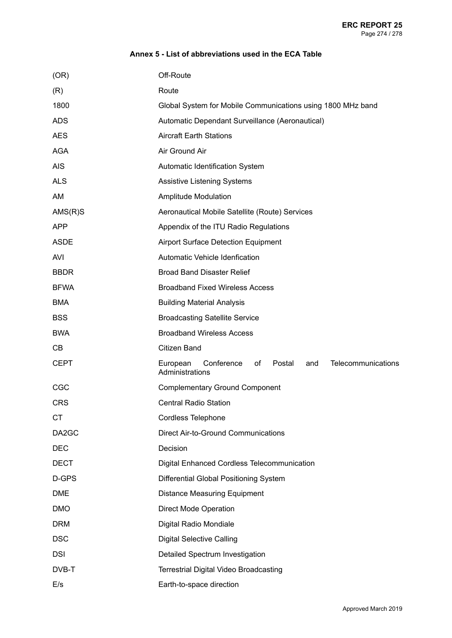| (OR)        | Off-Route                                                                              |
|-------------|----------------------------------------------------------------------------------------|
| (R)         | Route                                                                                  |
| 1800        | Global System for Mobile Communications using 1800 MHz band                            |
| <b>ADS</b>  | Automatic Dependant Surveillance (Aeronautical)                                        |
| <b>AES</b>  | <b>Aircraft Earth Stations</b>                                                         |
| AGA         | Air Ground Air                                                                         |
| <b>AIS</b>  | Automatic Identification System                                                        |
| <b>ALS</b>  | <b>Assistive Listening Systems</b>                                                     |
| AM          | <b>Amplitude Modulation</b>                                                            |
| $AMS(R)$ S  | Aeronautical Mobile Satellite (Route) Services                                         |
| <b>APP</b>  | Appendix of the ITU Radio Regulations                                                  |
| <b>ASDE</b> | <b>Airport Surface Detection Equipment</b>                                             |
| AVI         | Automatic Vehicle Idenfication                                                         |
| <b>BBDR</b> | <b>Broad Band Disaster Relief</b>                                                      |
| <b>BFWA</b> | <b>Broadband Fixed Wireless Access</b>                                                 |
| <b>BMA</b>  | <b>Building Material Analysis</b>                                                      |
| <b>BSS</b>  | <b>Broadcasting Satellite Service</b>                                                  |
| <b>BWA</b>  | <b>Broadband Wireless Access</b>                                                       |
| <b>CB</b>   | Citizen Band                                                                           |
| <b>CEPT</b> | Telecommunications<br>European<br>Conference<br>0f<br>Postal<br>and<br>Administrations |
| CGC         | <b>Complementary Ground Component</b>                                                  |
| <b>CRS</b>  | <b>Central Radio Station</b>                                                           |
| <b>CT</b>   | Cordless Telephone                                                                     |
| DA2GC       | <b>Direct Air-to-Ground Communications</b>                                             |
| <b>DEC</b>  | Decision                                                                               |
| <b>DECT</b> | <b>Digital Enhanced Cordless Telecommunication</b>                                     |
| D-GPS       | Differential Global Positioning System                                                 |
| <b>DME</b>  | <b>Distance Measuring Equipment</b>                                                    |
| <b>DMO</b>  | <b>Direct Mode Operation</b>                                                           |
| <b>DRM</b>  | Digital Radio Mondiale                                                                 |
| <b>DSC</b>  | <b>Digital Selective Calling</b>                                                       |
| <b>DSI</b>  | Detailed Spectrum Investigation                                                        |
| DVB-T       | Terrestrial Digital Video Broadcasting                                                 |
| E/s         | Earth-to-space direction                                                               |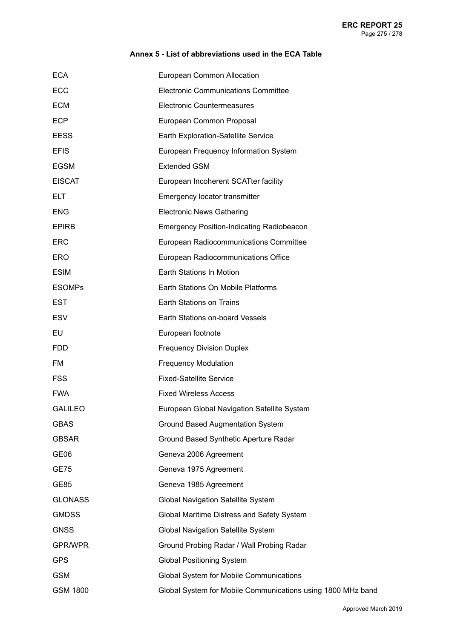| <b>ECA</b>      | European Common Allocation                                  |
|-----------------|-------------------------------------------------------------|
| ECC             | <b>Electronic Communications Committee</b>                  |
| <b>ECM</b>      | <b>Electronic Countermeasures</b>                           |
| <b>ECP</b>      | European Common Proposal                                    |
| <b>EESS</b>     | Earth Exploration-Satellite Service                         |
| <b>EFIS</b>     | European Frequency Information System                       |
| <b>EGSM</b>     | <b>Extended GSM</b>                                         |
| <b>EISCAT</b>   | European Incoherent SCATter facility                        |
| <b>ELT</b>      | Emergency locator transmitter                               |
| <b>ENG</b>      | <b>Electronic News Gathering</b>                            |
| <b>EPIRB</b>    | <b>Emergency Position-Indicating Radiobeacon</b>            |
| <b>ERC</b>      | European Radiocommunications Committee                      |
| <b>ERO</b>      | European Radiocommunications Office                         |
| <b>ESIM</b>     | Earth Stations In Motion                                    |
| <b>ESOMPs</b>   | Earth Stations On Mobile Platforms                          |
| <b>EST</b>      | Earth Stations on Trains                                    |
| <b>ESV</b>      | Earth Stations on-board Vessels                             |
| <b>EU</b>       | European footnote                                           |
| <b>FDD</b>      | <b>Frequency Division Duplex</b>                            |
| FM              | <b>Frequency Modulation</b>                                 |
| <b>FSS</b>      | <b>Fixed-Satellite Service</b>                              |
| <b>FWA</b>      | <b>Fixed Wireless Access</b>                                |
| <b>GALILEO</b>  | European Global Navigation Satellite System                 |
| <b>GBAS</b>     | <b>Ground Based Augmentation System</b>                     |
| <b>GBSAR</b>    | Ground Based Synthetic Aperture Radar                       |
| GE06            | Geneva 2006 Agreement                                       |
| <b>GE75</b>     | Geneva 1975 Agreement                                       |
| <b>GE85</b>     | Geneva 1985 Agreement                                       |
| <b>GLONASS</b>  | Global Navigation Satellite System                          |
| <b>GMDSS</b>    | Global Maritime Distress and Safety System                  |
| <b>GNSS</b>     | Global Navigation Satellite System                          |
| <b>GPR/WPR</b>  | Ground Probing Radar / Wall Probing Radar                   |
| <b>GPS</b>      | <b>Global Positioning System</b>                            |
| <b>GSM</b>      | Global System for Mobile Communications                     |
| <b>GSM 1800</b> | Global System for Mobile Communications using 1800 MHz band |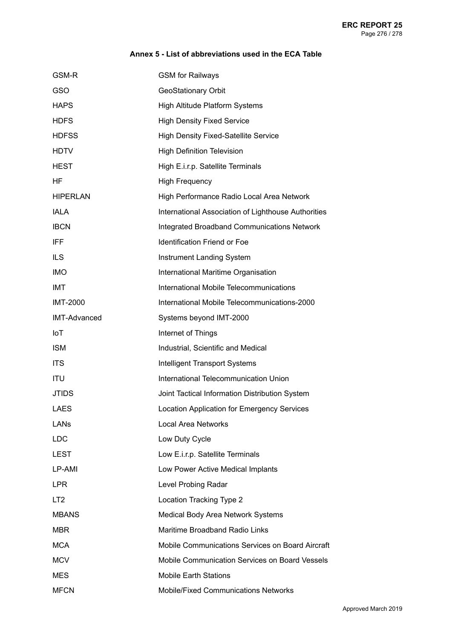| GSM-R               | <b>GSM</b> for Railways                             |
|---------------------|-----------------------------------------------------|
| <b>GSO</b>          | GeoStationary Orbit                                 |
| <b>HAPS</b>         | High Altitude Platform Systems                      |
| <b>HDFS</b>         | <b>High Density Fixed Service</b>                   |
| <b>HDFSS</b>        | <b>High Density Fixed-Satellite Service</b>         |
| <b>HDTV</b>         | <b>High Definition Television</b>                   |
| <b>HEST</b>         | High E.i.r.p. Satellite Terminals                   |
| ΗF                  | <b>High Frequency</b>                               |
| <b>HIPERLAN</b>     | High Performance Radio Local Area Network           |
| <b>IALA</b>         | International Association of Lighthouse Authorities |
| <b>IBCN</b>         | <b>Integrated Broadband Communications Network</b>  |
| IFF                 | <b>Identification Friend or Foe</b>                 |
| <b>ILS</b>          | Instrument Landing System                           |
| <b>IMO</b>          | International Maritime Organisation                 |
| <b>IMT</b>          | International Mobile Telecommunications             |
| <b>IMT-2000</b>     | International Mobile Telecommunications-2000        |
| <b>IMT-Advanced</b> | Systems beyond IMT-2000                             |
| IoT                 | Internet of Things                                  |
| <b>ISM</b>          | Industrial, Scientific and Medical                  |
| <b>ITS</b>          | <b>Intelligent Transport Systems</b>                |
| <b>ITU</b>          | International Telecommunication Union               |
| <b>JTIDS</b>        | Joint Tactical Information Distribution System      |
| <b>LAES</b>         | <b>Location Application for Emergency Services</b>  |
| LANS                | <b>Local Area Networks</b>                          |
| <b>LDC</b>          | Low Duty Cycle                                      |
| LEST                | Low E.i.r.p. Satellite Terminals                    |
| LP-AMI              | Low Power Active Medical Implants                   |
| <b>LPR</b>          | Level Probing Radar                                 |
| LT <sub>2</sub>     | Location Tracking Type 2                            |
| <b>MBANS</b>        | Medical Body Area Network Systems                   |
| <b>MBR</b>          | Maritime Broadband Radio Links                      |
| <b>MCA</b>          | Mobile Communications Services on Board Aircraft    |
| <b>MCV</b>          | Mobile Communication Services on Board Vessels      |
| <b>MES</b>          | <b>Mobile Earth Stations</b>                        |
| <b>MFCN</b>         | Mobile/Fixed Communications Networks                |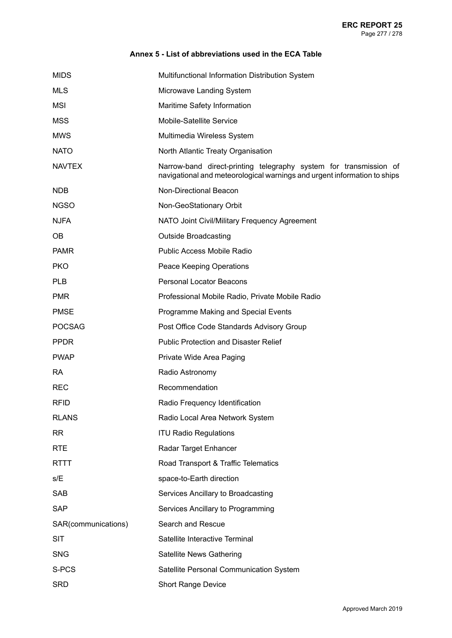| <b>MIDS</b>         | Multifunctional Information Distribution System                                                                                               |
|---------------------|-----------------------------------------------------------------------------------------------------------------------------------------------|
| <b>MLS</b>          | Microwave Landing System                                                                                                                      |
| MSI                 | Maritime Safety Information                                                                                                                   |
| <b>MSS</b>          | Mobile-Satellite Service                                                                                                                      |
| <b>MWS</b>          | Multimedia Wireless System                                                                                                                    |
| <b>NATO</b>         | North Atlantic Treaty Organisation                                                                                                            |
| <b>NAVTEX</b>       | Narrow-band direct-printing telegraphy system for transmission of<br>navigational and meteorological warnings and urgent information to ships |
| NDB                 | Non-Directional Beacon                                                                                                                        |
| <b>NGSO</b>         | Non-GeoStationary Orbit                                                                                                                       |
| <b>NJFA</b>         | NATO Joint Civil/Military Frequency Agreement                                                                                                 |
| OB.                 | <b>Outside Broadcasting</b>                                                                                                                   |
| <b>PAMR</b>         | Public Access Mobile Radio                                                                                                                    |
| <b>PKO</b>          | Peace Keeping Operations                                                                                                                      |
| <b>PLB</b>          | <b>Personal Locator Beacons</b>                                                                                                               |
| <b>PMR</b>          | Professional Mobile Radio, Private Mobile Radio                                                                                               |
| <b>PMSE</b>         | Programme Making and Special Events                                                                                                           |
| <b>POCSAG</b>       | Post Office Code Standards Advisory Group                                                                                                     |
| <b>PPDR</b>         | <b>Public Protection and Disaster Relief</b>                                                                                                  |
| <b>PWAP</b>         | Private Wide Area Paging                                                                                                                      |
| <b>RA</b>           | Radio Astronomy                                                                                                                               |
| <b>REC</b>          | Recommendation                                                                                                                                |
| <b>RFID</b>         | Radio Frequency Identification                                                                                                                |
| <b>RLANS</b>        | Radio Local Area Network System                                                                                                               |
| <b>RR</b>           | <b>ITU Radio Regulations</b>                                                                                                                  |
| <b>RTE</b>          | Radar Target Enhancer                                                                                                                         |
| <b>RTTT</b>         | Road Transport & Traffic Telematics                                                                                                           |
| s/E                 | space-to-Earth direction                                                                                                                      |
| <b>SAB</b>          | Services Ancillary to Broadcasting                                                                                                            |
| <b>SAP</b>          | Services Ancillary to Programming                                                                                                             |
| SAR(communications) | Search and Rescue                                                                                                                             |
| <b>SIT</b>          | Satellite Interactive Terminal                                                                                                                |
| <b>SNG</b>          | Satellite News Gathering                                                                                                                      |
| S-PCS               | Satellite Personal Communication System                                                                                                       |
| <b>SRD</b>          | <b>Short Range Device</b>                                                                                                                     |